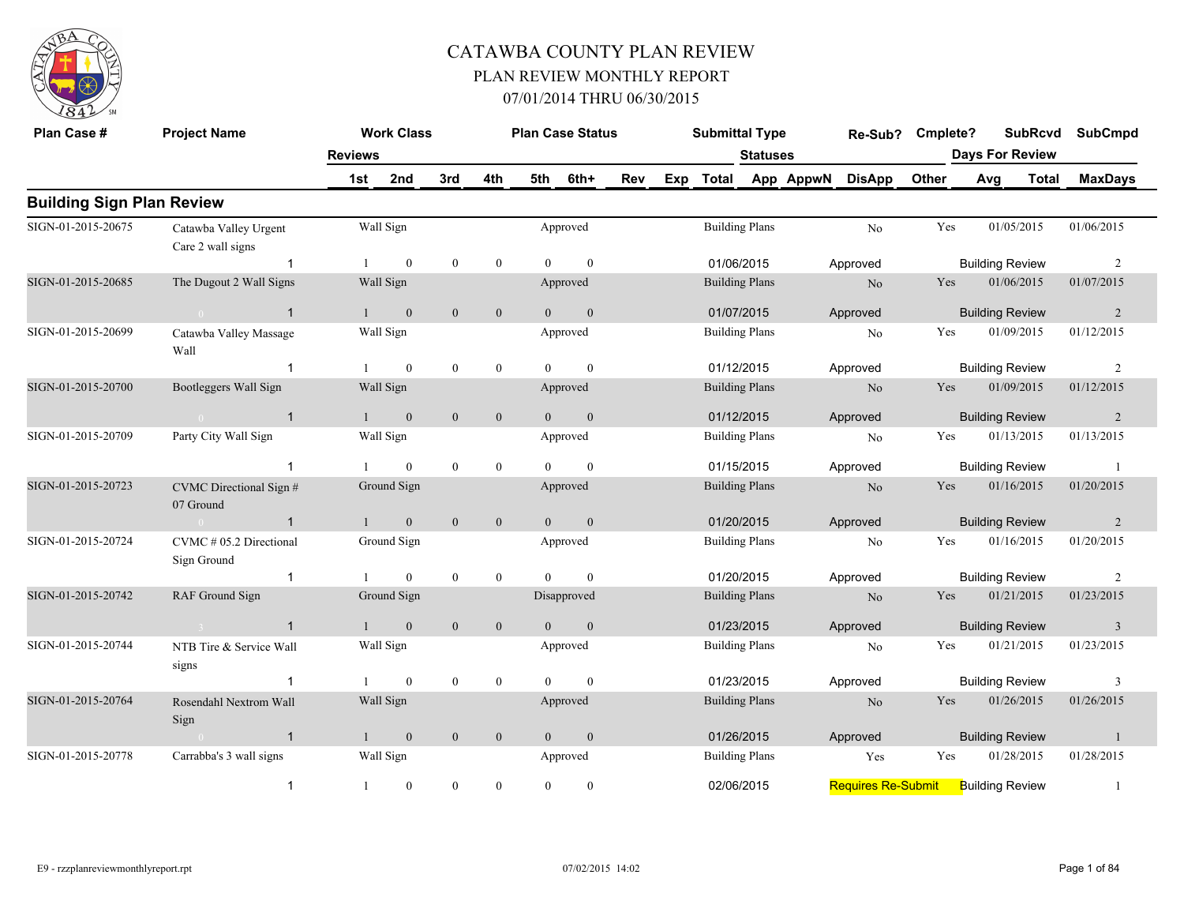

| Plan Case #                      | <b>Project Name</b>                         |                | <b>Work Class</b> |                  |                  |                | <b>Plan Case Status</b> |     |     | <b>Submittal Type</b> |                 |           | Re-Sub?                   | Cmplete? |                        | <b>SubRcvd</b> | <b>SubCmpd</b>          |
|----------------------------------|---------------------------------------------|----------------|-------------------|------------------|------------------|----------------|-------------------------|-----|-----|-----------------------|-----------------|-----------|---------------------------|----------|------------------------|----------------|-------------------------|
|                                  |                                             | <b>Reviews</b> |                   |                  |                  |                |                         |     |     |                       | <b>Statuses</b> |           |                           |          | <b>Days For Review</b> |                |                         |
|                                  |                                             | 1st            | 2nd               | 3rd              | 4th              | 5th            | 6th+                    | Rev | Exp | <b>Total</b>          |                 | App AppwN | <b>DisApp</b>             | Other    | Avg                    | <b>Total</b>   | <b>MaxDays</b>          |
| <b>Building Sign Plan Review</b> |                                             |                |                   |                  |                  |                |                         |     |     |                       |                 |           |                           |          |                        |                |                         |
| SIGN-01-2015-20675               | Catawba Valley Urgent<br>Care 2 wall signs  |                | Wall Sign         |                  |                  |                | Approved                |     |     | <b>Building Plans</b> |                 |           | No                        | Yes      |                        | 01/05/2015     | 01/06/2015              |
|                                  | $\overline{1}$                              |                | $\mathbf{0}$      | $\bf{0}$         | $\mathbf{0}$     | $\Omega$       | $\theta$                |     |     | 01/06/2015            |                 |           | Approved                  |          | <b>Building Review</b> |                | 2                       |
| SIGN-01-2015-20685               | The Dugout 2 Wall Signs                     |                | Wall Sign         |                  |                  |                | Approved                |     |     | <b>Building Plans</b> |                 |           | No                        | Yes      |                        | 01/06/2015     | 01/07/2015              |
|                                  | $\overline{1}$<br>$\sim 0$                  | $\mathbf{1}$   | $\mathbf{0}$      | $\mathbf{0}$     | $\boldsymbol{0}$ | $\overline{0}$ | $\mathbf{0}$            |     |     | 01/07/2015            |                 |           | Approved                  |          | <b>Building Review</b> |                | 2                       |
| SIGN-01-2015-20699               | Catawba Valley Massage<br>Wall              |                | Wall Sign         |                  |                  |                | Approved                |     |     | <b>Building Plans</b> |                 |           | N <sub>o</sub>            | Yes      |                        | 01/09/2015     | 01/12/2015              |
|                                  | $\overline{1}$                              |                | $\overline{0}$    | $\boldsymbol{0}$ | $\boldsymbol{0}$ | $\theta$       | $\mathbf{0}$            |     |     | 01/12/2015            |                 |           | Approved                  |          | <b>Building Review</b> |                | 2                       |
| SIGN-01-2015-20700               | Bootleggers Wall Sign                       |                | Wall Sign         |                  |                  |                | Approved                |     |     | <b>Building Plans</b> |                 |           | N <sub>o</sub>            | Yes      |                        | 01/09/2015     | 01/12/2015              |
|                                  | $\sim 0$ and $\sim 0.000$<br>$\overline{1}$ | $\mathbf{1}$   | $\mathbf{0}$      | $\mathbf{0}$     | $\mathbf{0}$     | $\theta$       | $\mathbf{0}$            |     |     | 01/12/2015            |                 |           | Approved                  |          | <b>Building Review</b> |                | 2                       |
| SIGN-01-2015-20709               | Party City Wall Sign                        |                | Wall Sign         |                  |                  |                | Approved                |     |     | <b>Building Plans</b> |                 |           | N <sub>0</sub>            | Yes      |                        | 01/13/2015     | 01/13/2015              |
|                                  | $\overline{1}$                              |                | $\mathbf{0}$      | $\boldsymbol{0}$ | $\boldsymbol{0}$ | $\Omega$       | $\theta$                |     |     | 01/15/2015            |                 |           | Approved                  |          | <b>Building Review</b> |                | -1                      |
| SIGN-01-2015-20723               | CVMC Directional Sign #<br>07 Ground        |                | Ground Sign       |                  |                  |                | Approved                |     |     | <b>Building Plans</b> |                 |           | N <sub>o</sub>            | Yes      |                        | 01/16/2015     | 01/20/2015              |
|                                  | $\overline{1}$<br>$\sim 0$                  |                | $\mathbf{0}$      | $\mathbf{0}$     | $\boldsymbol{0}$ | $\overline{0}$ | $\mathbf{0}$            |     |     | 01/20/2015            |                 |           | Approved                  |          | <b>Building Review</b> |                | 2                       |
| SIGN-01-2015-20724               | $CVMC \# 05.2$ Directional<br>Sign Ground   |                | Ground Sign       |                  |                  |                | Approved                |     |     | <b>Building Plans</b> |                 |           | N <sub>o</sub>            | Yes      |                        | 01/16/2015     | 01/20/2015              |
|                                  | $\overline{1}$                              |                | $\mathbf{0}$      | $\mathbf{0}$     | $\mathbf{0}$     | $\Omega$       | $\mathbf{0}$            |     |     | 01/20/2015            |                 |           | Approved                  |          | <b>Building Review</b> |                | 2                       |
| SIGN-01-2015-20742               | RAF Ground Sign                             |                | Ground Sign       |                  |                  |                | Disapproved             |     |     | <b>Building Plans</b> |                 |           | N <sub>o</sub>            | Yes      |                        | 01/21/2015     | 01/23/2015              |
|                                  | $\overline{1}$                              |                | $\mathbf{0}$      | $\mathbf{0}$     | $\mathbf{0}$     | $\theta$       | $\mathbf{0}$            |     |     | 01/23/2015            |                 |           | Approved                  |          | <b>Building Review</b> |                | $\overline{\mathbf{3}}$ |
| SIGN-01-2015-20744               | NTB Tire & Service Wall<br>signs            |                | Wall Sign         |                  |                  |                | Approved                |     |     | <b>Building Plans</b> |                 |           | N <sub>o</sub>            | Yes      |                        | 01/21/2015     | 01/23/2015              |
|                                  | $\overline{1}$                              |                | $\mathbf{0}$      | $\bf{0}$         | $\mathbf{0}$     | $\Omega$       | $\mathbf{0}$            |     |     | 01/23/2015            |                 |           | Approved                  |          | <b>Building Review</b> |                | 3                       |
| SIGN-01-2015-20764               | Rosendahl Nextrom Wall<br>Sign              |                | Wall Sign         |                  |                  |                | Approved                |     |     | <b>Building Plans</b> |                 |           | N <sub>o</sub>            | Yes      |                        | 01/26/2015     | 01/26/2015              |
|                                  | $\overline{1}$<br>$\sim 0$                  |                | $\mathbf{0}$      | $\boldsymbol{0}$ | $\boldsymbol{0}$ | $\overline{0}$ | $\mathbf{0}$            |     |     | 01/26/2015            |                 |           | Approved                  |          | <b>Building Review</b> |                | -1                      |
| SIGN-01-2015-20778               | Carrabba's 3 wall signs                     |                | Wall Sign         |                  |                  |                | Approved                |     |     | <b>Building Plans</b> |                 |           | Yes                       | Yes      |                        | 01/28/2015     | 01/28/2015              |
|                                  | $\mathbf{1}$                                |                | $\boldsymbol{0}$  | $\boldsymbol{0}$ | $\mathbf{0}$     | $\Omega$       | $\theta$                |     |     | 02/06/2015            |                 |           | <b>Requires Re-Submit</b> |          | <b>Building Review</b> |                |                         |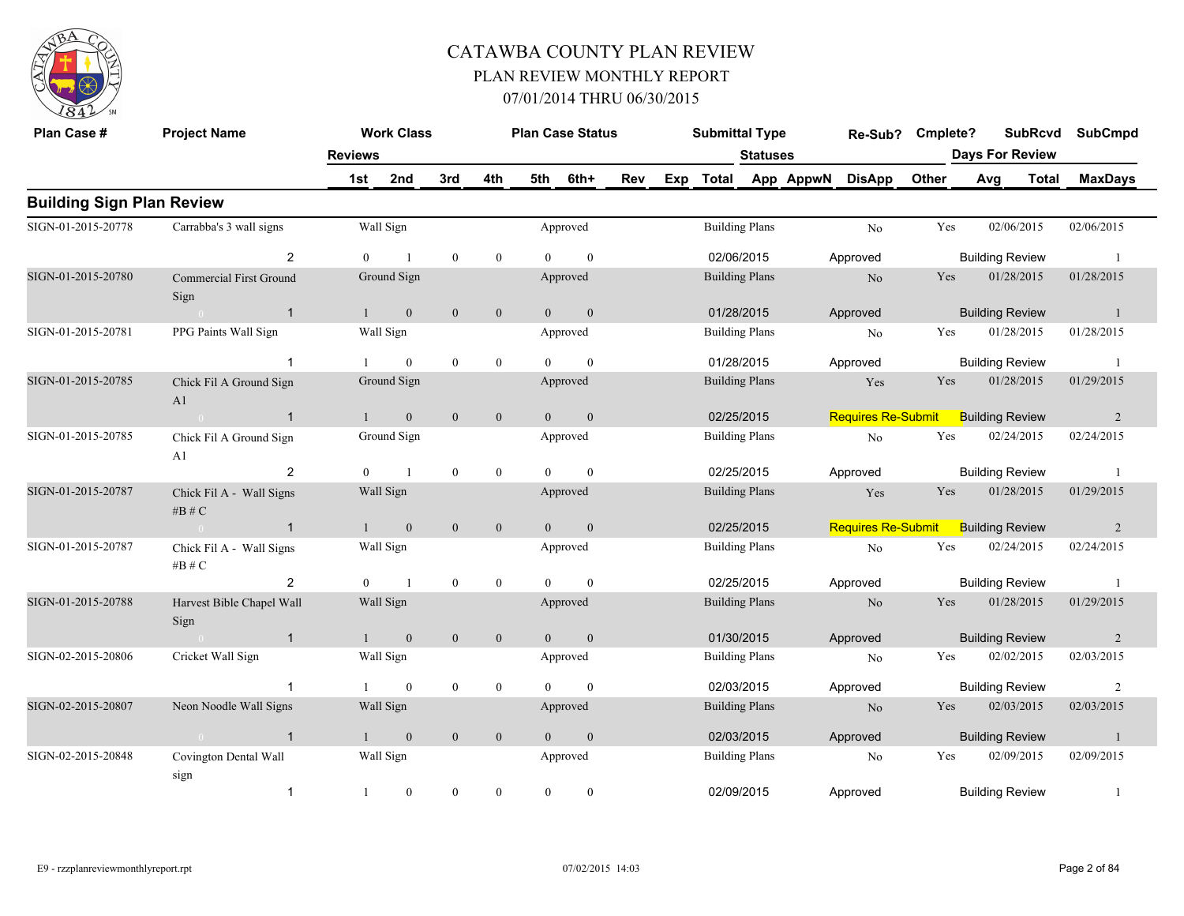

| Plan Case #                      | <b>Project Name</b>                    |                | <b>Work Class</b> |                |              |                | <b>Plan Case Status</b> |     |     | <b>Submittal Type</b> |                       |           | Re-Sub?                   | Cmplete? |                        | <b>SubRcvd</b> | <b>SubCmpd</b> |
|----------------------------------|----------------------------------------|----------------|-------------------|----------------|--------------|----------------|-------------------------|-----|-----|-----------------------|-----------------------|-----------|---------------------------|----------|------------------------|----------------|----------------|
|                                  |                                        | <b>Reviews</b> |                   |                |              |                |                         |     |     |                       | <b>Statuses</b>       |           |                           |          | <b>Days For Review</b> |                |                |
|                                  |                                        | 1st            | 2nd               | 3rd            | 4th          | 5th            | 6th+                    | Rev | Exp | Total                 |                       | App AppwN | <b>DisApp</b>             | Other    | Avg                    | <b>Total</b>   | <b>MaxDays</b> |
| <b>Building Sign Plan Review</b> |                                        |                |                   |                |              |                |                         |     |     |                       |                       |           |                           |          |                        |                |                |
| SIGN-01-2015-20778               | Carrabba's 3 wall signs                |                | Wall Sign         |                |              |                | Approved                |     |     |                       | <b>Building Plans</b> |           | N <sub>0</sub>            | Yes      |                        | 02/06/2015     | 02/06/2015     |
|                                  | $\overline{2}$                         | $\Omega$       |                   | $\theta$       | $\mathbf{0}$ | $\Omega$       | $\mathbf{0}$            |     |     | 02/06/2015            |                       |           | Approved                  |          | <b>Building Review</b> |                | $\overline{1}$ |
| SIGN-01-2015-20780               | <b>Commercial First Ground</b><br>Sign |                | Ground Sign       |                |              |                | Approved                |     |     | <b>Building Plans</b> |                       |           | No                        | Yes      |                        | 01/28/2015     | 01/28/2015     |
|                                  | $\overline{1}$<br>$\sim 0$             | 1              | $\mathbf{0}$      | $\overline{0}$ | $\mathbf{0}$ | $\overline{0}$ | $\mathbf{0}$            |     |     | 01/28/2015            |                       |           | Approved                  |          | <b>Building Review</b> |                | $\overline{1}$ |
| SIGN-01-2015-20781               | PPG Paints Wall Sign                   |                | Wall Sign         |                |              |                | Approved                |     |     |                       | <b>Building Plans</b> |           | N <sub>o</sub>            | Yes      |                        | 01/28/2015     | 01/28/2015     |
|                                  | -1                                     |                | $\theta$          | $\theta$       | $\mathbf{0}$ | $\Omega$       | $\theta$                |     |     | 01/28/2015            |                       |           | Approved                  |          | <b>Building Review</b> |                | - 1            |
| SIGN-01-2015-20785               | Chick Fil A Ground Sign<br>A1          |                | Ground Sign       |                |              |                | Approved                |     |     | <b>Building Plans</b> |                       |           | Yes                       | Yes      |                        | 01/28/2015     | 01/29/2015     |
|                                  | $\overline{1}$<br>$\sim 0$             | $\mathbf{1}$   | $\overline{0}$    | $\mathbf{0}$   | $\mathbf{0}$ | $\overline{0}$ | $\mathbf{0}$            |     |     | 02/25/2015            |                       |           | <b>Requires Re-Submit</b> |          | <b>Building Review</b> |                | 2              |
| SIGN-01-2015-20785               | Chick Fil A Ground Sign<br>A1          |                | Ground Sign       |                |              |                | Approved                |     |     | <b>Building Plans</b> |                       |           | N <sub>0</sub>            | Yes      |                        | 02/24/2015     | 02/24/2015     |
|                                  | 2                                      | $\theta$       |                   | $\mathbf{0}$   | $\mathbf{0}$ | $\Omega$       | $\mathbf{0}$            |     |     | 02/25/2015            |                       |           | Approved                  |          | <b>Building Review</b> |                | -1             |
| SIGN-01-2015-20787               | Chick Fil A - Wall Signs<br># $B \# C$ |                | Wall Sign         |                |              |                | Approved                |     |     | <b>Building Plans</b> |                       |           | Yes                       | Yes      |                        | 01/28/2015     | 01/29/2015     |
|                                  | $\overline{1}$<br>$\sim$ 0             | $\mathbf{1}$   | $\overline{0}$    | $\mathbf{0}$   | $\mathbf{0}$ | $\theta$       | $\mathbf{0}$            |     |     | 02/25/2015            |                       |           | <b>Requires Re-Submit</b> |          | <b>Building Review</b> |                | 2              |
| SIGN-01-2015-20787               | Chick Fil A - Wall Signs<br># $B \# C$ |                | Wall Sign         |                |              |                | Approved                |     |     | <b>Building Plans</b> |                       |           | No                        | Yes      |                        | 02/24/2015     | 02/24/2015     |
|                                  | $\overline{2}$                         | $\theta$       | $\overline{1}$    | $\theta$       | $\mathbf{0}$ | $\theta$       | $\mathbf{0}$            |     |     | 02/25/2015            |                       |           | Approved                  |          | <b>Building Review</b> |                | $\overline{1}$ |
| SIGN-01-2015-20788               | Harvest Bible Chapel Wall<br>Sign      |                | Wall Sign         |                |              |                | Approved                |     |     | <b>Building Plans</b> |                       |           | No                        | Yes      |                        | 01/28/2015     | 01/29/2015     |
|                                  | $\overline{1}$                         | 1              | $\overline{0}$    | $\mathbf{0}$   | $\mathbf{0}$ | $\overline{0}$ | $\mathbf{0}$            |     |     | 01/30/2015            |                       |           | Approved                  |          | <b>Building Review</b> |                | 2              |
| SIGN-02-2015-20806               | Cricket Wall Sign                      |                | Wall Sign         |                |              |                | Approved                |     |     | <b>Building Plans</b> |                       |           | N <sub>o</sub>            | Yes      |                        | 02/02/2015     | 02/03/2015     |
|                                  | $\overline{1}$                         |                | $\mathbf{0}$      | $\mathbf{0}$   | $\mathbf{0}$ | $\Omega$       | $\theta$                |     |     | 02/03/2015            |                       |           | Approved                  |          | <b>Building Review</b> |                | $\overline{2}$ |
| SIGN-02-2015-20807               | Neon Noodle Wall Signs                 |                | Wall Sign         |                |              |                | Approved                |     |     | <b>Building Plans</b> |                       |           | No                        | Yes      |                        | 02/03/2015     | 02/03/2015     |
|                                  | $\overline{1}$                         | 1              | $\mathbf{0}$      | $\mathbf{0}$   | $\mathbf{0}$ | $\Omega$       | $\mathbf{0}$            |     |     | 02/03/2015            |                       |           | Approved                  |          | <b>Building Review</b> |                | -1             |
| SIGN-02-2015-20848               | Covington Dental Wall<br>sign          |                | Wall Sign         |                |              |                | Approved                |     |     |                       | <b>Building Plans</b> |           | N <sub>o</sub>            | Yes      |                        | 02/09/2015     | 02/09/2015     |
|                                  | $\overline{1}$                         | $\mathbf{1}$   | $\mathbf{0}$      | $\theta$       | $\Omega$     | $\Omega$       | $\mathbf{0}$            |     |     | 02/09/2015            |                       |           | Approved                  |          | <b>Building Review</b> |                | $\overline{1}$ |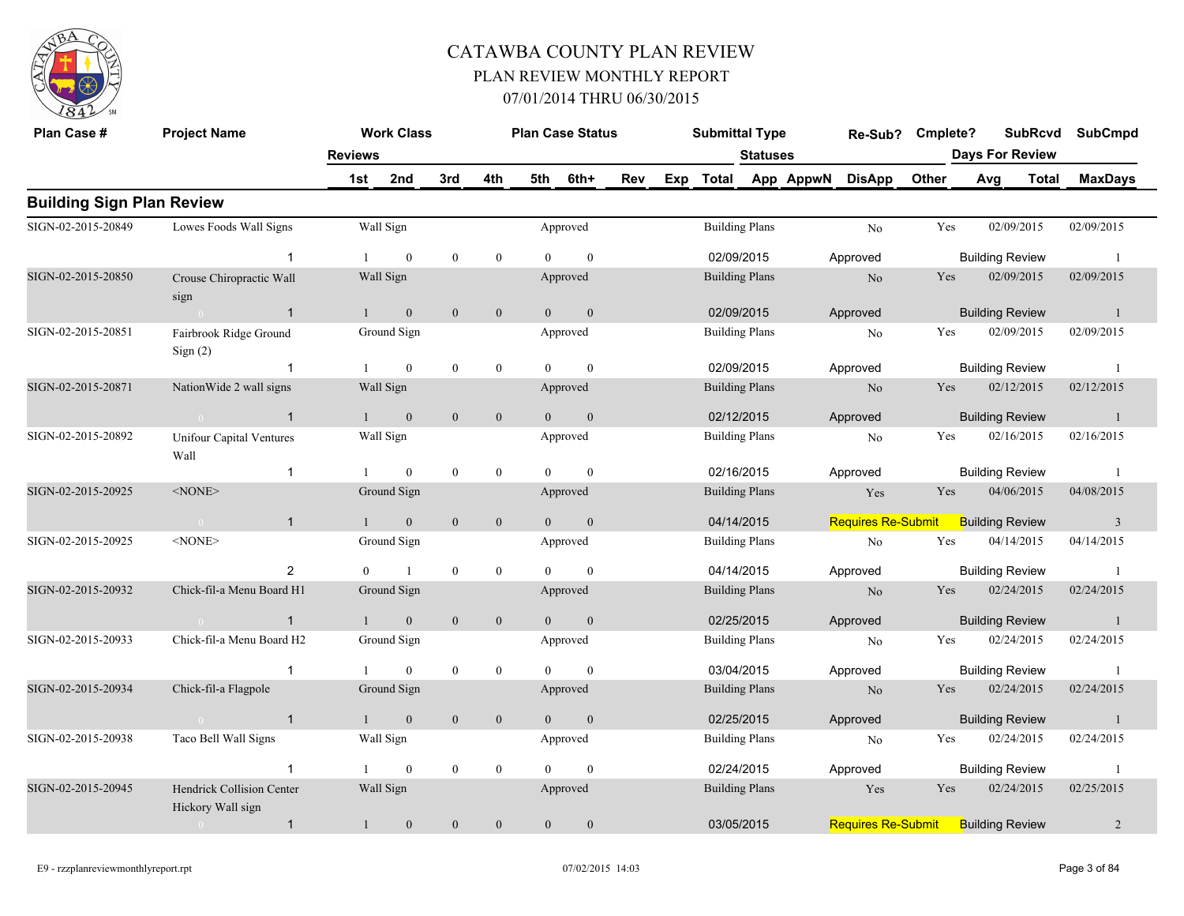

| Plan Case #                      | <b>Project Name</b>                            |                | <b>Work Class</b> |              |                  |                | <b>Plan Case Status</b> |     | <b>Submittal Type</b> |                 |           | Re-Sub?                   | Cmplete?   |     | <b>SubRcvd</b>         | <b>SubCmpd</b> |
|----------------------------------|------------------------------------------------|----------------|-------------------|--------------|------------------|----------------|-------------------------|-----|-----------------------|-----------------|-----------|---------------------------|------------|-----|------------------------|----------------|
|                                  |                                                | <b>Reviews</b> |                   |              |                  |                |                         |     |                       | <b>Statuses</b> |           |                           |            |     | <b>Days For Review</b> |                |
|                                  |                                                | 1st            | 2nd               | 3rd          | 4th              | 5th            | 6th+                    | Rev | Exp Total             |                 | App AppwN | <b>DisApp</b>             | Other      | Avg | Total                  | <b>MaxDays</b> |
| <b>Building Sign Plan Review</b> |                                                |                |                   |              |                  |                |                         |     |                       |                 |           |                           |            |     |                        |                |
| SIGN-02-2015-20849               | Lowes Foods Wall Signs                         |                | Wall Sign         |              |                  |                | Approved                |     | <b>Building Plans</b> |                 |           | N <sub>o</sub>            | Yes        |     | 02/09/2015             | 02/09/2015     |
|                                  | $\mathbf{1}$                                   |                | $\theta$          | $\mathbf{0}$ | $\mathbf{0}$     | $\Omega$       | $\theta$                |     | 02/09/2015            |                 |           | Approved                  |            |     | <b>Building Review</b> | $\overline{1}$ |
| SIGN-02-2015-20850               | Crouse Chiropractic Wall<br>sign               |                | Wall Sign         |              |                  |                | Approved                |     | <b>Building Plans</b> |                 |           | N <sub>o</sub>            | Yes        |     | 02/09/2015             | 02/09/2015     |
|                                  | $\overline{1}$<br>$\sim 0$                     |                | $\mathbf{0}$      | $\mathbf{0}$ | $\mathbf{0}$     | $\overline{0}$ | $\mathbf{0}$            |     | 02/09/2015            |                 |           | Approved                  |            |     | <b>Building Review</b> | -1             |
| SIGN-02-2015-20851               | Fairbrook Ridge Ground<br>Sign(2)              |                | Ground Sign       |              |                  |                | Approved                |     | <b>Building Plans</b> |                 |           | No                        | Yes        |     | 02/09/2015             | 02/09/2015     |
|                                  | $\mathbf{1}$                                   |                | $\mathbf{0}$      | $\mathbf{0}$ | $\mathbf{0}$     | $\Omega$       | $\theta$                |     | 02/09/2015            |                 |           | Approved                  |            |     | <b>Building Review</b> | -1             |
| SIGN-02-2015-20871               | NationWide 2 wall signs                        |                | Wall Sign         |              |                  |                | Approved                |     | <b>Building Plans</b> |                 |           | N <sub>o</sub>            | Yes        |     | 02/12/2015             | 02/12/2015     |
|                                  | $\sim 0$<br>$\overline{1}$                     | $\mathbf{1}$   | $\overline{0}$    | $\mathbf{0}$ | $\mathbf{0}$     | $\theta$       | $\mathbf{0}$            |     | 02/12/2015            |                 |           | Approved                  |            |     | <b>Building Review</b> | $\overline{1}$ |
| SIGN-02-2015-20892               | <b>Unifour Capital Ventures</b><br>Wall        |                | Wall Sign         |              |                  |                | Approved                |     | <b>Building Plans</b> |                 |           | N <sub>o</sub>            | Yes        |     | 02/16/2015             | 02/16/2015     |
|                                  | $\mathbf{1}$                                   |                | $\mathbf{0}$      | $\mathbf{0}$ | $\boldsymbol{0}$ | $\theta$       | $\mathbf{0}$            |     | 02/16/2015            |                 |           | Approved                  |            |     | <b>Building Review</b> | -1             |
| SIGN-02-2015-20925               | $<$ NONE $>$                                   |                | Ground Sign       |              |                  |                | Approved                |     | <b>Building Plans</b> |                 |           | Yes                       | Yes        |     | 04/06/2015             | 04/08/2015     |
|                                  | $\mathbf{1}$<br>$\sim 0$                       |                | $\mathbf{0}$      | $\mathbf{0}$ | $\mathbf{0}$     | $\overline{0}$ | $\mathbf{0}$            |     | 04/14/2015            |                 |           | Requires Re-Submit        |            |     | <b>Building Review</b> | $\overline{3}$ |
| SIGN-02-2015-20925               | $<$ NONE $>$                                   |                | Ground Sign       |              |                  |                | Approved                |     | <b>Building Plans</b> |                 |           | No                        | Yes        |     | 04/14/2015             | 04/14/2015     |
|                                  | $\overline{2}$                                 | $\overline{0}$ | $\overline{1}$    | $\bf{0}$     | $\boldsymbol{0}$ | $\theta$       | $\mathbf{0}$            |     | 04/14/2015            |                 |           | Approved                  |            |     | <b>Building Review</b> | - 1            |
| SIGN-02-2015-20932               | Chick-fil-a Menu Board H1                      |                | Ground Sign       |              |                  |                | Approved                |     | <b>Building Plans</b> |                 |           | N <sub>o</sub>            | Yes        |     | 02/24/2015             | 02/24/2015     |
|                                  | $\mathbf{1}$<br>$\sim 0$                       |                | $\mathbf{0}$      | $\mathbf{0}$ | $\mathbf{0}$     | $\overline{0}$ | $\mathbf{0}$            |     | 02/25/2015            |                 |           | Approved                  |            |     | <b>Building Review</b> | $\overline{1}$ |
| SIGN-02-2015-20933               | Chick-fil-a Menu Board H2                      |                | Ground Sign       |              |                  |                | Approved                |     | <b>Building Plans</b> |                 |           | No                        | Yes        |     | 02/24/2015             | 02/24/2015     |
|                                  | $\mathbf{1}$                                   |                | $\boldsymbol{0}$  | $\bf{0}$     | $\boldsymbol{0}$ | $\Omega$       | $\mathbf{0}$            |     | 03/04/2015            |                 |           | Approved                  |            |     | <b>Building Review</b> | - 1            |
| SIGN-02-2015-20934               | Chick-fil-a Flagpole                           |                | Ground Sign       |              |                  |                | Approved                |     | <b>Building Plans</b> |                 |           | $\rm No$                  | <b>Yes</b> |     | 02/24/2015             | 02/24/2015     |
|                                  | $\overline{1}$<br>$\sim 0$ and $\sim 0.00$     | $\mathbf{1}$   | $\overline{0}$    | $\mathbf{0}$ | $\mathbf{0}$     | $\overline{0}$ | $\mathbf{0}$            |     | 02/25/2015            |                 |           | Approved                  |            |     | <b>Building Review</b> | $\overline{1}$ |
| SIGN-02-2015-20938               | Taco Bell Wall Signs                           |                | Wall Sign         |              |                  |                | Approved                |     | <b>Building Plans</b> |                 |           | No                        | Yes        |     | 02/24/2015             | 02/24/2015     |
|                                  | $\overline{1}$                                 |                | $\theta$          | $\mathbf{0}$ | $\overline{0}$   | $\Omega$       | $\theta$                |     | 02/24/2015            |                 |           | Approved                  |            |     | <b>Building Review</b> | -1             |
| SIGN-02-2015-20945               | Hendrick Collision Center<br>Hickory Wall sign |                | Wall Sign         |              |                  |                | Approved                |     | <b>Building Plans</b> |                 |           | Yes                       | Yes        |     | 02/24/2015             | 02/25/2015     |
|                                  | $\mathbf{1}$<br>$\sim 0$                       | $\mathbf{1}$   | $\mathbf{0}$      | $\mathbf{0}$ | $\overline{0}$   | $\overline{0}$ | $\mathbf{0}$            |     | 03/05/2015            |                 |           | <b>Requires Re-Submit</b> |            |     | <b>Building Review</b> | $\overline{2}$ |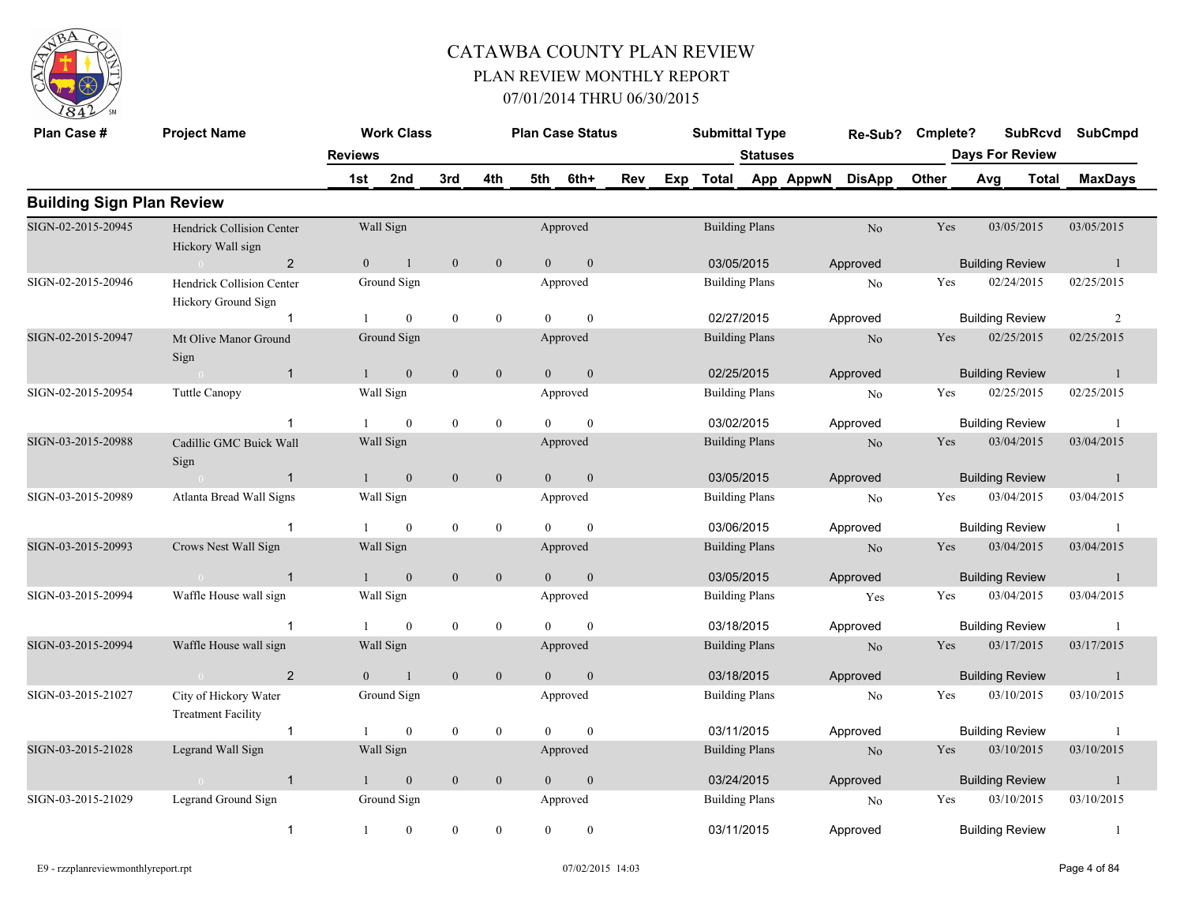

| Plan Case #                      | <b>Project Name</b>                                     |                | <b>Work Class</b> |                  |                  |                | <b>Plan Case Status</b> |     | <b>Submittal Type</b> |                 |           | Re-Sub?        | Cmplete? |                        | <b>SubRcvd</b>         | <b>SubCmpd</b> |
|----------------------------------|---------------------------------------------------------|----------------|-------------------|------------------|------------------|----------------|-------------------------|-----|-----------------------|-----------------|-----------|----------------|----------|------------------------|------------------------|----------------|
|                                  |                                                         | <b>Reviews</b> |                   |                  |                  |                |                         |     |                       | <b>Statuses</b> |           |                |          |                        | <b>Days For Review</b> |                |
|                                  |                                                         | 1st            | 2nd               | 3rd              | 4th              | 5th            | 6th+                    | Rev | Exp Total             |                 | App AppwN | <b>DisApp</b>  | Other    | Avg                    | <b>Total</b>           | <b>MaxDays</b> |
| <b>Building Sign Plan Review</b> |                                                         |                |                   |                  |                  |                |                         |     |                       |                 |           |                |          |                        |                        |                |
| SIGN-02-2015-20945               | Hendrick Collision Center<br>Hickory Wall sign          |                | Wall Sign         |                  |                  |                | Approved                |     | <b>Building Plans</b> |                 |           | $\rm No$       | Yes      |                        | 03/05/2015             | 03/05/2015     |
|                                  | $\overline{2}$<br>$\sim 0$                              | $\overline{0}$ | $\overline{1}$    | $\mathbf{0}$     | $\mathbf{0}$     | $\overline{0}$ | $\mathbf{0}$            |     | 03/05/2015            |                 |           | Approved       |          | <b>Building Review</b> |                        | $\mathbf{1}$   |
| SIGN-02-2015-20946               | Hendrick Collision Center<br><b>Hickory Ground Sign</b> |                | Ground Sign       |                  |                  |                | Approved                |     | <b>Building Plans</b> |                 |           | No             | Yes      |                        | 02/24/2015             | 02/25/2015     |
|                                  | -1                                                      |                | $\mathbf{0}$      | $\overline{0}$   | $\bf{0}$         | $\Omega$       | $\mathbf{0}$            |     | 02/27/2015            |                 |           | Approved       |          | <b>Building Review</b> |                        | 2              |
| SIGN-02-2015-20947               | Mt Olive Manor Ground<br>Sign                           |                | Ground Sign       |                  |                  |                | Approved                |     | <b>Building Plans</b> |                 |           | No             | Yes      |                        | 02/25/2015             | 02/25/2015     |
|                                  | $\overline{1}$<br>$\sim 0$                              |                | $\mathbf{0}$      | $\mathbf{0}$     | $\mathbf{0}$     | $\overline{0}$ | $\mathbf{0}$            |     | 02/25/2015            |                 |           | Approved       |          | <b>Building Review</b> |                        | -1             |
| SIGN-02-2015-20954               | Tuttle Canopy                                           |                | Wall Sign         |                  |                  |                | Approved                |     | <b>Building Plans</b> |                 |           | No             | Yes      |                        | 02/25/2015             | 02/25/2015     |
|                                  | 1                                                       |                | $\overline{0}$    | $\mathbf{0}$     | $\bf{0}$         | $\overline{0}$ | $\mathbf{0}$            |     | 03/02/2015            |                 |           | Approved       |          | <b>Building Review</b> |                        | -1             |
| SIGN-03-2015-20988               | Cadillic GMC Buick Wall<br>Sign                         |                | Wall Sign         |                  |                  |                | Approved                |     | <b>Building Plans</b> |                 |           | N <sub>o</sub> | Yes      |                        | 03/04/2015             | 03/04/2015     |
|                                  | $\mathbf{1}$<br>$\sim 0$                                | 1              | $\mathbf{0}$      | $\mathbf{0}$     | $\mathbf{0}$     | $\overline{0}$ | $\mathbf{0}$            |     | 03/05/2015            |                 |           | Approved       |          | <b>Building Review</b> |                        | -1             |
| SIGN-03-2015-20989               | Atlanta Bread Wall Signs                                |                | Wall Sign         |                  |                  |                | Approved                |     | <b>Building Plans</b> |                 |           | No             | Yes      |                        | 03/04/2015             | 03/04/2015     |
|                                  | $\overline{1}$                                          |                | $\overline{0}$    | $\overline{0}$   | $\boldsymbol{0}$ | $\theta$       | $\mathbf{0}$            |     | 03/06/2015            |                 |           | Approved       |          | <b>Building Review</b> |                        | -1             |
| SIGN-03-2015-20993               | Crows Nest Wall Sign                                    |                | Wall Sign         |                  |                  |                | Approved                |     | <b>Building Plans</b> |                 |           | N <sub>o</sub> | Yes      |                        | 03/04/2015             | 03/04/2015     |
|                                  | $\overline{\mathbf{1}}$                                 | $1 \quad$      | $\overline{0}$    | $\mathbf{0}$     | $\mathbf{0}$     | $\overline{0}$ | $\overline{0}$          |     | 03/05/2015            |                 |           | Approved       |          | <b>Building Review</b> |                        | $\overline{1}$ |
| SIGN-03-2015-20994               | Waffle House wall sign                                  |                | Wall Sign         |                  |                  |                | Approved                |     | <b>Building Plans</b> |                 |           | Yes            | Yes      |                        | 03/04/2015             | 03/04/2015     |
|                                  | $\overline{1}$                                          |                | $\mathbf{0}$      | $\overline{0}$   | $\mathbf{0}$     | $\overline{0}$ | $\mathbf{0}$            |     | 03/18/2015            |                 |           | Approved       |          | <b>Building Review</b> |                        | -1             |
| SIGN-03-2015-20994               | Waffle House wall sign                                  |                | Wall Sign         |                  |                  |                | Approved                |     | <b>Building Plans</b> |                 |           | N <sub>o</sub> | Yes      |                        | 03/17/2015             | 03/17/2015     |
|                                  | $\overline{2}$<br>$\overline{0}$                        | $\Omega$       | $\overline{1}$    | $\overline{0}$   | $\mathbf{0}$     | $\overline{0}$ | $\mathbf{0}$            |     | 03/18/2015            |                 |           | Approved       |          | <b>Building Review</b> |                        | $\overline{1}$ |
| SIGN-03-2015-21027               | City of Hickory Water<br><b>Treatment Facility</b>      |                | Ground Sign       |                  |                  |                | Approved                |     | <b>Building Plans</b> |                 |           | No             | Yes      |                        | 03/10/2015             | 03/10/2015     |
|                                  | $\mathbf{1}$                                            |                | $\mathbf{0}$      | $\boldsymbol{0}$ | $\bf{0}$         | $\overline{0}$ | $\mathbf{0}$            |     | 03/11/2015            |                 |           | Approved       |          | <b>Building Review</b> |                        | -1             |
| SIGN-03-2015-21028               | Legrand Wall Sign                                       |                | Wall Sign         |                  |                  |                | Approved                |     | <b>Building Plans</b> |                 |           | N <sub>o</sub> | Yes      |                        | 03/10/2015             | 03/10/2015     |
|                                  | $\mathbf{1}$<br>$\sim 0$                                | 1              | $\mathbf{0}$      | $\mathbf{0}$     | $\mathbf{0}$     | $\overline{0}$ | $\mathbf{0}$            |     | 03/24/2015            |                 |           | Approved       |          | <b>Building Review</b> |                        | -1             |
| SIGN-03-2015-21029               | Legrand Ground Sign                                     |                | Ground Sign       |                  |                  |                | Approved                |     | <b>Building Plans</b> |                 |           | No             | Yes      |                        | 03/10/2015             | 03/10/2015     |
|                                  | $\mathbf{1}$                                            | $\mathbf{1}$   | $\boldsymbol{0}$  | $\boldsymbol{0}$ | $\mathbf{0}$     | $\overline{0}$ | $\boldsymbol{0}$        |     | 03/11/2015            |                 |           | Approved       |          | <b>Building Review</b> |                        | $\overline{1}$ |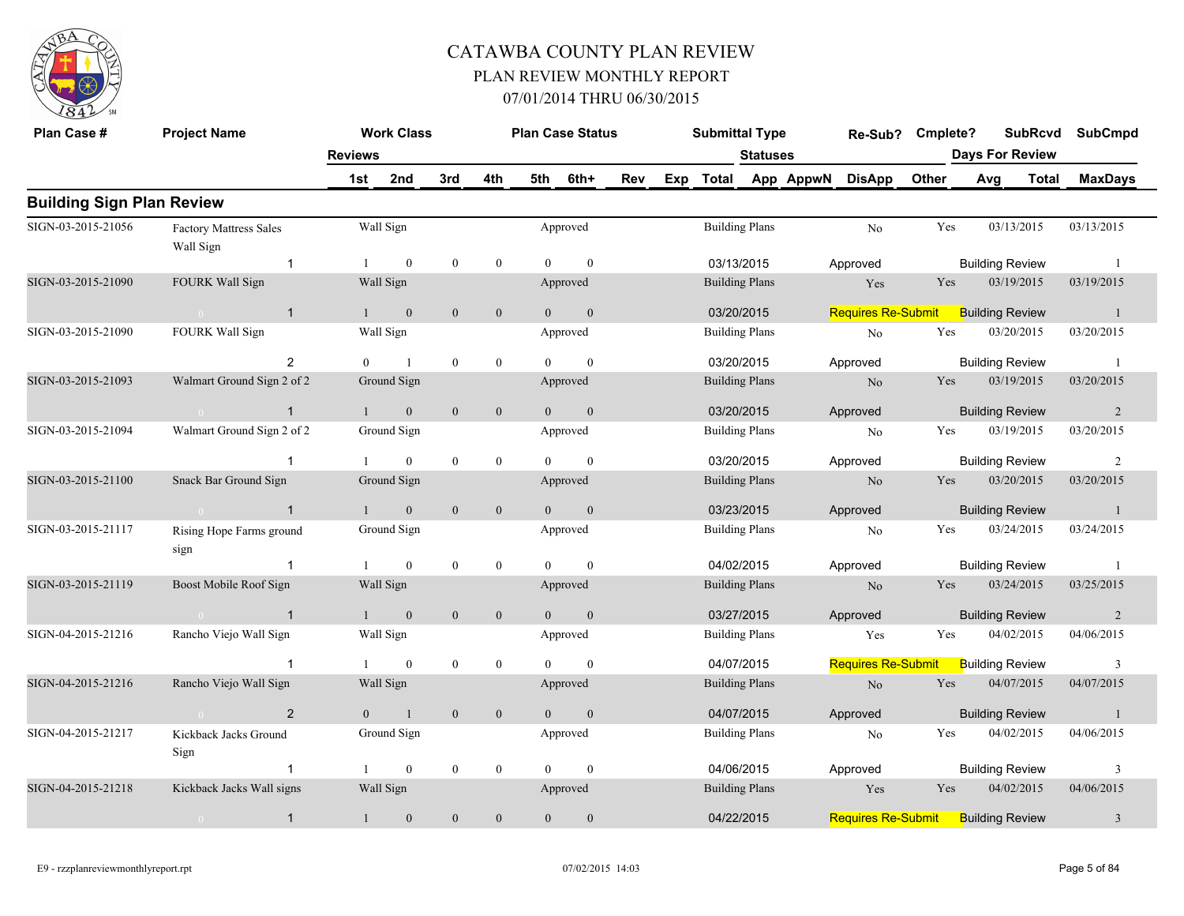

| Plan Case #                      | <b>Project Name</b>                   |                | <b>Work Class</b> |                  |                  |                | <b>Plan Case Status</b> |     | <b>Submittal Type</b> |                 |                     | Re-Sub?                   | Cmplete? |                        | <b>SubRcvd</b> | <b>SubCmpd</b> |
|----------------------------------|---------------------------------------|----------------|-------------------|------------------|------------------|----------------|-------------------------|-----|-----------------------|-----------------|---------------------|---------------------------|----------|------------------------|----------------|----------------|
|                                  |                                       | <b>Reviews</b> |                   |                  |                  |                |                         |     |                       | <b>Statuses</b> |                     |                           |          | <b>Days For Review</b> |                |                |
|                                  |                                       | 1st            | 2nd               | 3rd              | 4th              | 5th            | 6th+                    | Rev |                       |                 | Exp Total App AppwN | <b>DisApp</b>             | Other    | Avg                    | Total          | <b>MaxDays</b> |
| <b>Building Sign Plan Review</b> |                                       |                |                   |                  |                  |                |                         |     |                       |                 |                     |                           |          |                        |                |                |
| SIGN-03-2015-21056               | Factory Mattress Sales<br>Wall Sign   |                | Wall Sign         |                  |                  |                | Approved                |     | <b>Building Plans</b> |                 |                     | No                        | Yes      |                        | 03/13/2015     | 03/13/2015     |
|                                  | $\mathbf{1}$                          |                | $\mathbf{0}$      | $\mathbf{0}$     | $\mathbf{0}$     | $\Omega$       | $\mathbf{0}$            |     | 03/13/2015            |                 |                     | Approved                  |          | <b>Building Review</b> |                | -1             |
| SIGN-03-2015-21090               | FOURK Wall Sign                       |                | Wall Sign         |                  |                  |                | Approved                |     | <b>Building Plans</b> |                 |                     | Yes                       | Yes      |                        | 03/19/2015     | 03/19/2015     |
|                                  | $\overline{1}$<br>$\sim 0$            |                | $\mathbf{0}$      | $\boldsymbol{0}$ | $\boldsymbol{0}$ | $\Omega$       | $\boldsymbol{0}$        |     | 03/20/2015            |                 |                     | <b>Requires Re-Submit</b> |          | <b>Building Review</b> |                | -1             |
| SIGN-03-2015-21090               | FOURK Wall Sign                       |                | Wall Sign         |                  |                  |                | Approved                |     | <b>Building Plans</b> |                 |                     | No                        | Yes      |                        | 03/20/2015     | 03/20/2015     |
|                                  | 2                                     | $\theta$       | $\overline{1}$    | $\boldsymbol{0}$ | $\mathbf{0}$     | $\theta$       | $\mathbf{0}$            |     | 03/20/2015            |                 |                     | Approved                  |          | <b>Building Review</b> |                | $\overline{1}$ |
| SIGN-03-2015-21093               | Walmart Ground Sign 2 of 2            |                | Ground Sign       |                  |                  |                | Approved                |     | <b>Building Plans</b> |                 |                     | N <sub>o</sub>            | Yes      |                        | 03/19/2015     | 03/20/2015     |
|                                  | $\mathbf{1}$<br>$\sim 0$              | $\mathbf{1}$   | $\mathbf{0}$      | $\mathbf{0}$     | $\mathbf{0}$     | $\overline{0}$ | $\boldsymbol{0}$        |     | 03/20/2015            |                 |                     | Approved                  |          | <b>Building Review</b> |                | $\overline{2}$ |
| SIGN-03-2015-21094               | Walmart Ground Sign 2 of 2            |                | Ground Sign       |                  |                  |                | Approved                |     | <b>Building Plans</b> |                 |                     | No                        | Yes      |                        | 03/19/2015     | 03/20/2015     |
|                                  |                                       |                | $\overline{0}$    | $\mathbf{0}$     | $\boldsymbol{0}$ |                | $\theta$                |     | 03/20/2015            |                 |                     | Approved                  |          | <b>Building Review</b> |                | 2              |
| SIGN-03-2015-21100               | Snack Bar Ground Sign                 |                | Ground Sign       |                  |                  |                | Approved                |     | <b>Building Plans</b> |                 |                     | N <sub>o</sub>            | Yes      |                        | 03/20/2015     | 03/20/2015     |
|                                  | $\overline{1}$<br>$\sim 0$            |                | $\overline{0}$    | $\overline{0}$   | $\mathbf{0}$     | $\Omega$       | $\mathbf{0}$            |     | 03/23/2015            |                 |                     | Approved                  |          | <b>Building Review</b> |                | $\overline{1}$ |
| SIGN-03-2015-21117               | Rising Hope Farms ground<br>sign      |                | Ground Sign       |                  |                  |                | Approved                |     | <b>Building Plans</b> |                 |                     | No                        | Yes      |                        | 03/24/2015     | 03/24/2015     |
|                                  | $\mathbf{1}$                          | $\mathbf{1}$   | $\overline{0}$    | $\mathbf{0}$     | $\mathbf{0}$     | $\Omega$       | $\mathbf{0}$            |     | 04/02/2015            |                 |                     | Approved                  |          | <b>Building Review</b> |                | $\overline{1}$ |
| SIGN-03-2015-21119               | Boost Mobile Roof Sign                |                | Wall Sign         |                  |                  |                | Approved                |     | <b>Building Plans</b> |                 |                     | N <sub>o</sub>            | Yes      |                        | 03/24/2015     | 03/25/2015     |
|                                  | $\overline{1}$<br>$\sim 0$            | $\mathbf{1}$   | $\mathbf{0}$      | $\boldsymbol{0}$ | $\boldsymbol{0}$ | $\Omega$       | $\boldsymbol{0}$        |     | 03/27/2015            |                 |                     | Approved                  |          | <b>Building Review</b> |                | $\overline{2}$ |
| SIGN-04-2015-21216               | Rancho Viejo Wall Sign                |                | Wall Sign         |                  |                  |                | Approved                |     | <b>Building Plans</b> |                 |                     | Yes                       | Yes      |                        | 04/02/2015     | 04/06/2015     |
|                                  | $\overline{1}$                        |                | $\mathbf{0}$      | $\boldsymbol{0}$ | $\mathbf{0}$     | $\theta$       | $\mathbf{0}$            |     | 04/07/2015            |                 |                     | <b>Requires Re-Submit</b> |          | <b>Building Review</b> |                | 3              |
| SIGN-04-2015-21216               | Rancho Viejo Wall Sign                |                | Wall Sign         |                  |                  |                | Approved                |     | <b>Building Plans</b> |                 |                     | N <sub>o</sub>            | Yes      |                        | 04/07/2015     | 04/07/2015     |
|                                  | $\overline{2}$<br>$\sim 0$            | $\overline{0}$ | $\mathbf{1}$      | $\mathbf{0}$     | $\mathbf{0}$     | $\overline{0}$ | $\boldsymbol{0}$        |     | 04/07/2015            |                 |                     | Approved                  |          | <b>Building Review</b> |                | $\mathbf{1}$   |
| SIGN-04-2015-21217               | Kickback Jacks Ground<br>Sign         |                | Ground Sign       |                  |                  |                | Approved                |     | <b>Building Plans</b> |                 |                     | No                        | Yes      |                        | 04/02/2015     | 04/06/2015     |
|                                  | $\mathbf{1}$                          |                | $\overline{0}$    | $\mathbf{0}$     | $\mathbf{0}$     | $\Omega$       | $\mathbf{0}$            |     | 04/06/2015            |                 |                     | Approved                  |          | <b>Building Review</b> |                | 3              |
| SIGN-04-2015-21218               | Kickback Jacks Wall signs             |                | Wall Sign         |                  |                  |                | Approved                |     | <b>Building Plans</b> |                 |                     | Yes                       | Yes      |                        | 04/02/2015     | 04/06/2015     |
|                                  | $\mathbf{1}$<br>$\bigcirc$ $\bigcirc$ | $\mathbf{1}$   | $\boldsymbol{0}$  | $\boldsymbol{0}$ | $\boldsymbol{0}$ | $\overline{0}$ | $\boldsymbol{0}$        |     | 04/22/2015            |                 |                     | <b>Requires Re-Submit</b> |          | <b>Building Review</b> |                | $\mathfrak{Z}$ |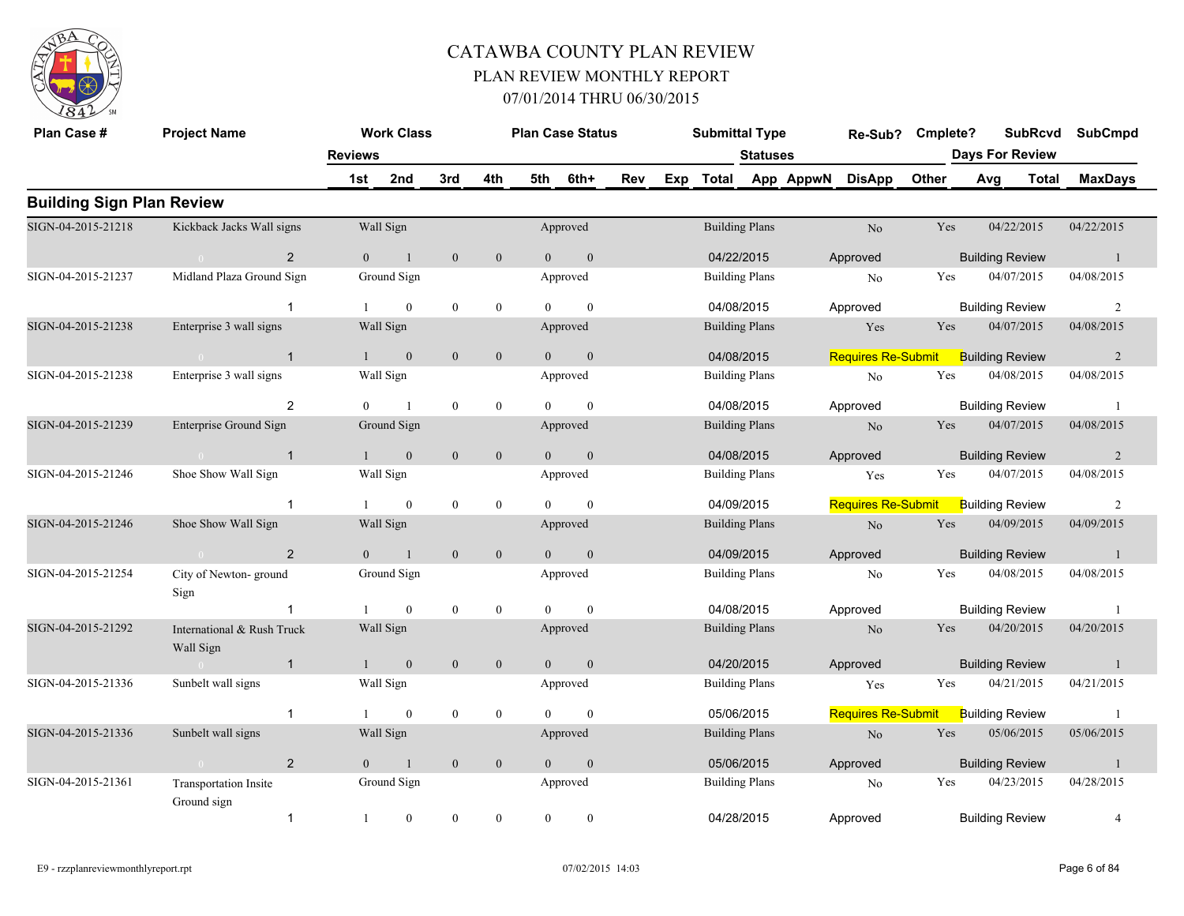

| Plan Case #                      | <b>Project Name</b>                                 |                | <b>Work Class</b> |                  |                  |                | <b>Plan Case Status</b> |     | <b>Submittal Type</b> |                 |           | Re-Sub?                   | Cmplete? |     | <b>SubRcvd</b>         | <b>SubCmpd</b> |
|----------------------------------|-----------------------------------------------------|----------------|-------------------|------------------|------------------|----------------|-------------------------|-----|-----------------------|-----------------|-----------|---------------------------|----------|-----|------------------------|----------------|
|                                  |                                                     | <b>Reviews</b> |                   |                  |                  |                |                         |     |                       | <b>Statuses</b> |           |                           |          |     | <b>Days For Review</b> |                |
|                                  |                                                     | 1st            | 2nd               | 3rd              | 4th              | 5th            | 6th+                    | Rev | Exp Total             |                 | App AppwN | <b>DisApp</b>             | Other    | Avg | <b>Total</b>           | <b>MaxDays</b> |
| <b>Building Sign Plan Review</b> |                                                     |                |                   |                  |                  |                |                         |     |                       |                 |           |                           |          |     |                        |                |
| SIGN-04-2015-21218               | Kickback Jacks Wall signs                           |                | Wall Sign         |                  |                  |                | Approved                |     | <b>Building Plans</b> |                 |           | N <sub>o</sub>            | Yes      |     | 04/22/2015             | 04/22/2015     |
|                                  | 2<br>$\overline{0}$                                 | $\overline{0}$ | $\overline{1}$    | $\mathbf{0}$     | $\mathbf{0}$     | $\Omega$       | $\mathbf{0}$            |     | 04/22/2015            |                 |           | Approved                  |          |     | <b>Building Review</b> | $\overline{1}$ |
| SIGN-04-2015-21237               | Midland Plaza Ground Sign                           |                | Ground Sign       |                  |                  |                | Approved                |     | <b>Building Plans</b> |                 |           | No                        | Yes      |     | 04/07/2015             | 04/08/2015     |
|                                  | -1                                                  |                | $\mathbf{0}$      | $\mathbf{0}$     | $\mathbf{0}$     | $\Omega$       | $\theta$                |     | 04/08/2015            |                 |           | Approved                  |          |     | <b>Building Review</b> | 2              |
| SIGN-04-2015-21238               | Enterprise 3 wall signs                             |                | Wall Sign         |                  |                  |                | Approved                |     | <b>Building Plans</b> |                 |           | Yes                       | Yes      |     | 04/07/2015             | 04/08/2015     |
|                                  | $\overline{1}$<br>$\sim 0$ and $\sim 0$             | $\mathbf{1}$   | $\overline{0}$    | $\overline{0}$   | $\mathbf{0}$     | $\theta$       | $\mathbf{0}$            |     | 04/08/2015            |                 |           | <b>Requires Re-Submit</b> |          |     | <b>Building Review</b> | $\overline{2}$ |
| SIGN-04-2015-21238               | Enterprise 3 wall signs                             |                | Wall Sign         |                  |                  |                | Approved                |     | <b>Building Plans</b> |                 |           | No                        | Yes      |     | 04/08/2015             | 04/08/2015     |
|                                  | $\overline{2}$                                      | $\Omega$       | $\overline{1}$    | $\boldsymbol{0}$ | $\boldsymbol{0}$ | $\Omega$       | $\mathbf{0}$            |     | 04/08/2015            |                 |           | Approved                  |          |     | <b>Building Review</b> | - 1            |
| SIGN-04-2015-21239               | Enterprise Ground Sign                              |                | Ground Sign       |                  |                  |                | Approved                |     | <b>Building Plans</b> |                 |           | N <sub>o</sub>            | Yes      |     | 04/07/2015             | 04/08/2015     |
|                                  | $\overline{1}$                                      |                | $\mathbf{0}$      | $\boldsymbol{0}$ | $\boldsymbol{0}$ | $\overline{0}$ | $\mathbf{0}$            |     | 04/08/2015            |                 |           | Approved                  |          |     | <b>Building Review</b> | 2              |
| SIGN-04-2015-21246               | Shoe Show Wall Sign                                 |                | Wall Sign         |                  |                  |                | Approved                |     | <b>Building Plans</b> |                 |           | Yes                       | Yes      |     | 04/07/2015             | 04/08/2015     |
|                                  | $\mathbf{1}$                                        |                | $\mathbf{0}$      | $\boldsymbol{0}$ | $\mathbf{0}$     | $\Omega$       | $\mathbf{0}$            |     | 04/09/2015            |                 |           | <b>Requires Re-Submit</b> |          |     | <b>Building Review</b> | 2              |
| SIGN-04-2015-21246               | Shoe Show Wall Sign                                 |                | Wall Sign         |                  |                  |                | Approved                |     | <b>Building Plans</b> |                 |           | $\rm No$                  | Yes      |     | 04/09/2015             | 04/09/2015     |
|                                  | 2<br>$\mathbf{0}$ and $\mathbf{0}$ and $\mathbf{0}$ | $\Omega$       | $\mathbf{1}$      | $\mathbf{0}$     | $\mathbf{0}$     | $\Omega$       | $\mathbf{0}$            |     | 04/09/2015            |                 |           | Approved                  |          |     | <b>Building Review</b> | $\overline{1}$ |
| SIGN-04-2015-21254               | City of Newton-ground<br>Sign                       |                | Ground Sign       |                  |                  |                | Approved                |     | <b>Building Plans</b> |                 |           | No                        | Yes      |     | 04/08/2015             | 04/08/2015     |
|                                  |                                                     |                | $\mathbf{0}$      | $\boldsymbol{0}$ | $\boldsymbol{0}$ | $\theta$       | $\mathbf{0}$            |     | 04/08/2015            |                 |           | Approved                  |          |     | <b>Building Review</b> | -1             |
| SIGN-04-2015-21292               | International & Rush Truck<br>Wall Sign             |                | Wall Sign         |                  |                  |                | Approved                |     | <b>Building Plans</b> |                 |           | N <sub>o</sub>            | Yes      |     | 04/20/2015             | 04/20/2015     |
|                                  | $\mathbf{1}$<br>$\overline{0}$                      | $\mathbf{1}$   | $\mathbf{0}$      | $\mathbf{0}$     | $\mathbf{0}$     | $\overline{0}$ | $\boldsymbol{0}$        |     | 04/20/2015            |                 |           | Approved                  |          |     | <b>Building Review</b> | $\mathbf{1}$   |
| SIGN-04-2015-21336               | Sunbelt wall signs                                  |                | Wall Sign         |                  |                  |                | Approved                |     | <b>Building Plans</b> |                 |           | Yes                       | Yes      |     | 04/21/2015             | 04/21/2015     |
|                                  | $\mathbf{1}$                                        |                | $\mathbf{0}$      | $\mathbf{0}$     | $\mathbf{0}$     | $\Omega$       | $\mathbf{0}$            |     | 05/06/2015            |                 |           | <b>Requires Re-Submit</b> |          |     | <b>Building Review</b> | -1             |
| SIGN-04-2015-21336               | Sunbelt wall signs                                  |                | Wall Sign         |                  |                  |                | Approved                |     | <b>Building Plans</b> |                 |           | $\rm No$                  | Yes      |     | 05/06/2015             | 05/06/2015     |
|                                  | 2<br>$\sim 0$                                       | $\theta$       | $\mathbf{1}$      | $\mathbf{0}$     | $\mathbf{0}$     | $\theta$       | $\mathbf{0}$            |     | 05/06/2015            |                 |           | Approved                  |          |     | <b>Building Review</b> | $\overline{1}$ |
| SIGN-04-2015-21361               | Transportation Insite<br>Ground sign                |                | Ground Sign       |                  |                  |                | Approved                |     | <b>Building Plans</b> |                 |           | No                        | Yes      |     | 04/23/2015             | 04/28/2015     |
|                                  | $\mathbf{1}$                                        | 1              | $\overline{0}$    | $\mathbf{0}$     | $\mathbf{0}$     | $\theta$       | $\boldsymbol{0}$        |     | 04/28/2015            |                 |           | Approved                  |          |     | <b>Building Review</b> | $\overline{4}$ |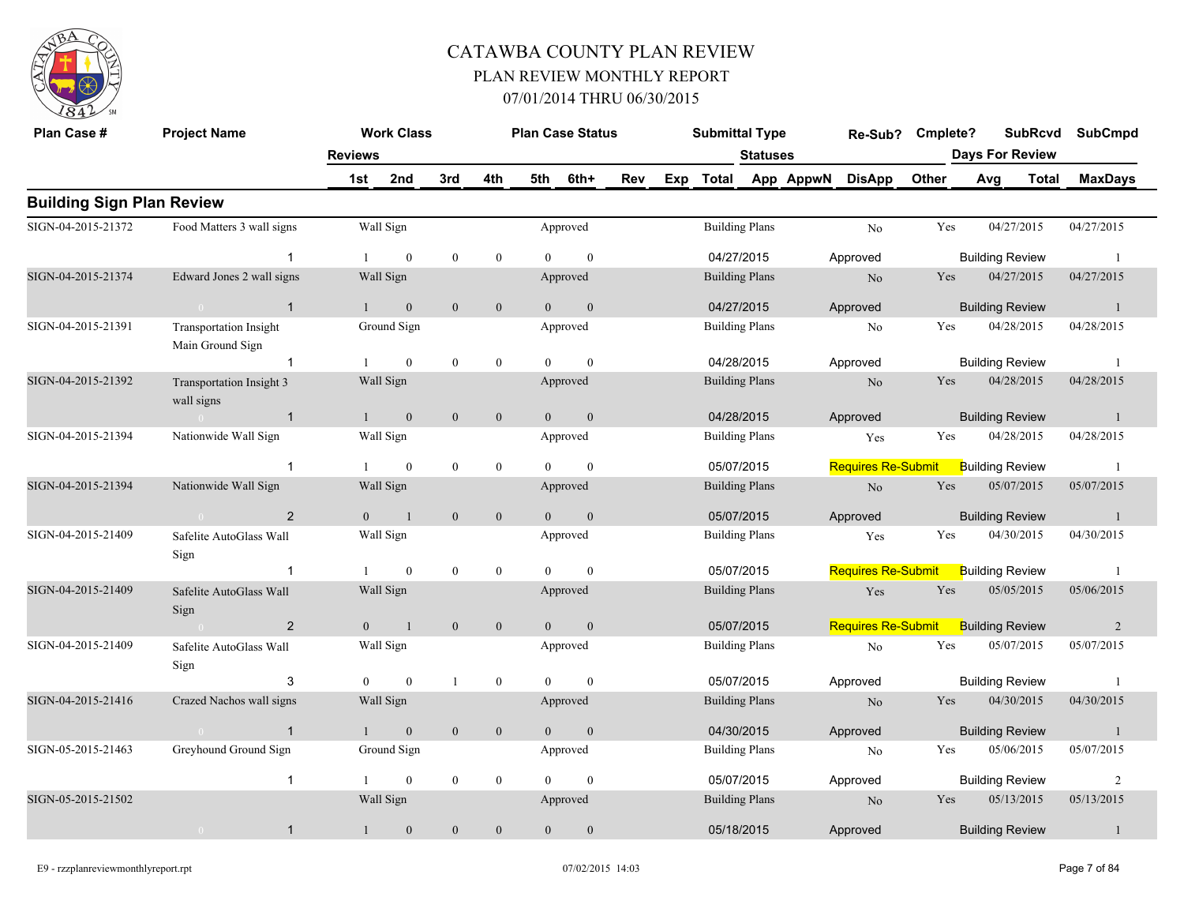

| Plan Case #                      | <b>Project Name</b>                               |                | <b>Work Class</b> |                  |                  |                | <b>Plan Case Status</b> |     |     | <b>Submittal Type</b> |                 |           | Re-Sub?                   | Cmplete? |                        | <b>SubRcvd</b> | <b>SubCmpd</b> |
|----------------------------------|---------------------------------------------------|----------------|-------------------|------------------|------------------|----------------|-------------------------|-----|-----|-----------------------|-----------------|-----------|---------------------------|----------|------------------------|----------------|----------------|
|                                  |                                                   | <b>Reviews</b> |                   |                  |                  |                |                         |     |     |                       | <b>Statuses</b> |           |                           |          | <b>Days For Review</b> |                |                |
|                                  |                                                   | 1st            | 2nd               | 3rd              | 4th              | 5th            | 6th+                    | Rev | Exp | <b>Total</b>          |                 | App AppwN | <b>DisApp</b>             | Other    | Avg                    | <b>Total</b>   | <b>MaxDays</b> |
| <b>Building Sign Plan Review</b> |                                                   |                |                   |                  |                  |                |                         |     |     |                       |                 |           |                           |          |                        |                |                |
| SIGN-04-2015-21372               | Food Matters 3 wall signs                         |                | Wall Sign         |                  |                  |                | Approved                |     |     | <b>Building Plans</b> |                 |           | No                        | Yes      | 04/27/2015             |                | 04/27/2015     |
|                                  | $\mathbf{1}$                                      |                | $\theta$          | $\boldsymbol{0}$ | $\boldsymbol{0}$ | $\Omega$       | $\theta$                |     |     | 04/27/2015            |                 |           | Approved                  |          | <b>Building Review</b> |                | $\overline{1}$ |
| SIGN-04-2015-21374               | Edward Jones 2 wall signs                         |                | Wall Sign         |                  |                  |                | Approved                |     |     | <b>Building Plans</b> |                 |           | No                        | Yes      | 04/27/2015             |                | 04/27/2015     |
|                                  | $\overline{1}$<br>$\sim$ 0 $\sim$                 | $\mathbf{1}$   | $\mathbf{0}$      | $\mathbf{0}$     | $\mathbf{0}$     | $\overline{0}$ | $\mathbf{0}$            |     |     | 04/27/2015            |                 |           | Approved                  |          | <b>Building Review</b> |                | -1             |
| SIGN-04-2015-21391               | <b>Transportation Insight</b><br>Main Ground Sign |                | Ground Sign       |                  |                  |                | Approved                |     |     | <b>Building Plans</b> |                 |           | N <sub>o</sub>            | Yes      | 04/28/2015             |                | 04/28/2015     |
|                                  | $\mathbf{1}$                                      |                | $\mathbf{0}$      | $\mathbf{0}$     | $\boldsymbol{0}$ | $\Omega$       | $\boldsymbol{0}$        |     |     | 04/28/2015            |                 |           | Approved                  |          | <b>Building Review</b> |                | -1             |
| SIGN-04-2015-21392               | Transportation Insight 3<br>wall signs            |                | Wall Sign         |                  |                  |                | Approved                |     |     | <b>Building Plans</b> |                 |           | N <sub>o</sub>            | Yes      | 04/28/2015             |                | 04/28/2015     |
|                                  | $\overline{1}$<br>$\sim 0$                        | $\mathbf{1}$   | $\mathbf{0}$      | $\mathbf{0}$     | $\mathbf{0}$     | $\mathbf{0}$   | $\boldsymbol{0}$        |     |     | 04/28/2015            |                 |           | Approved                  |          | <b>Building Review</b> |                | $\mathbf{1}$   |
| SIGN-04-2015-21394               | Nationwide Wall Sign                              |                | Wall Sign         |                  |                  |                | Approved                |     |     | <b>Building Plans</b> |                 |           | Yes                       | Yes      | 04/28/2015             |                | 04/28/2015     |
|                                  | $\overline{1}$                                    |                | $\mathbf{0}$      | $\boldsymbol{0}$ | $\boldsymbol{0}$ |                | $\Omega$                |     |     | 05/07/2015            |                 |           | <b>Requires Re-Submit</b> |          | <b>Building Review</b> |                | -1             |
| SIGN-04-2015-21394               | Nationwide Wall Sign                              |                | Wall Sign         |                  |                  |                | Approved                |     |     | <b>Building Plans</b> |                 |           | $\rm No$                  | Yes      | 05/07/2015             |                | 05/07/2015     |
|                                  | 2<br>$\sim 0$                                     | $\theta$       | $\overline{1}$    | $\mathbf{0}$     | $\mathbf{0}$     | $\theta$       | $\mathbf{0}$            |     |     | 05/07/2015            |                 |           | Approved                  |          | <b>Building Review</b> |                | $\overline{1}$ |
| SIGN-04-2015-21409               | Safelite AutoGlass Wall<br>Sign                   |                | Wall Sign         |                  |                  |                | Approved                |     |     | <b>Building Plans</b> |                 |           | Yes                       | Yes      | 04/30/2015             |                | 04/30/2015     |
|                                  |                                                   |                | $\mathbf{0}$      | $\boldsymbol{0}$ | $\boldsymbol{0}$ | $\theta$       | $\mathbf{0}$            |     |     | 05/07/2015            |                 |           | <b>Requires Re-Submit</b> |          | <b>Building Review</b> |                | -1             |
| SIGN-04-2015-21409               | Safelite AutoGlass Wall<br>Sign                   |                | Wall Sign         |                  |                  |                | Approved                |     |     | <b>Building Plans</b> |                 |           | Yes                       | Yes      | 05/05/2015             |                | 05/06/2015     |
|                                  | 2                                                 | $\overline{0}$ | $\overline{1}$    | $\mathbf{0}$     | $\mathbf{0}$     | $\overline{0}$ | $\mathbf{0}$            |     |     | 05/07/2015            |                 |           | <b>Requires Re-Submit</b> |          | <b>Building Review</b> |                | 2              |
| SIGN-04-2015-21409               | Safelite AutoGlass Wall<br>Sign                   |                | Wall Sign         |                  |                  |                | Approved                |     |     | <b>Building Plans</b> |                 |           | $\rm No$                  | Yes      | 05/07/2015             |                | 05/07/2015     |
|                                  | 3                                                 | $\theta$       | $\mathbf{0}$      |                  | $\mathbf{0}$     | $\Omega$       | $\theta$                |     |     | 05/07/2015            |                 |           | Approved                  |          | <b>Building Review</b> |                | -1             |
| SIGN-04-2015-21416               | Crazed Nachos wall signs                          |                | Wall Sign         |                  |                  |                | Approved                |     |     | <b>Building Plans</b> |                 |           | $\rm No$                  | Yes      | 04/30/2015             |                | 04/30/2015     |
|                                  | $\overline{1}$                                    |                | $\mathbf{0}$      | $\mathbf{0}$     | $\mathbf{0}$     | $\overline{0}$ | $\mathbf{0}$            |     |     | 04/30/2015            |                 |           | Approved                  |          | <b>Building Review</b> |                | -1             |
| SIGN-05-2015-21463               | Greyhound Ground Sign                             |                | Ground Sign       |                  |                  |                | Approved                |     |     | <b>Building Plans</b> |                 |           | No                        | Yes      | 05/06/2015             |                | 05/07/2015     |
|                                  | $\overline{1}$                                    |                | $\mathbf{0}$      | $\mathbf{0}$     | $\mathbf{0}$     | $\overline{0}$ | $\mathbf{0}$            |     |     | 05/07/2015            |                 |           | Approved                  |          | <b>Building Review</b> |                | $\overline{2}$ |
| SIGN-05-2015-21502               |                                                   |                | Wall Sign         |                  |                  |                | Approved                |     |     | <b>Building Plans</b> |                 |           | N <sub>o</sub>            | Yes      | 05/13/2015             |                | 05/13/2015     |
|                                  | $\overline{1}$<br>$\bigcirc$                      | $\mathbf{1}$   | $\mathbf{0}$      | $\boldsymbol{0}$ | $\boldsymbol{0}$ | $\mathbf{0}$   | $\boldsymbol{0}$        |     |     | 05/18/2015            |                 |           | Approved                  |          | <b>Building Review</b> |                | $\mathbf{1}$   |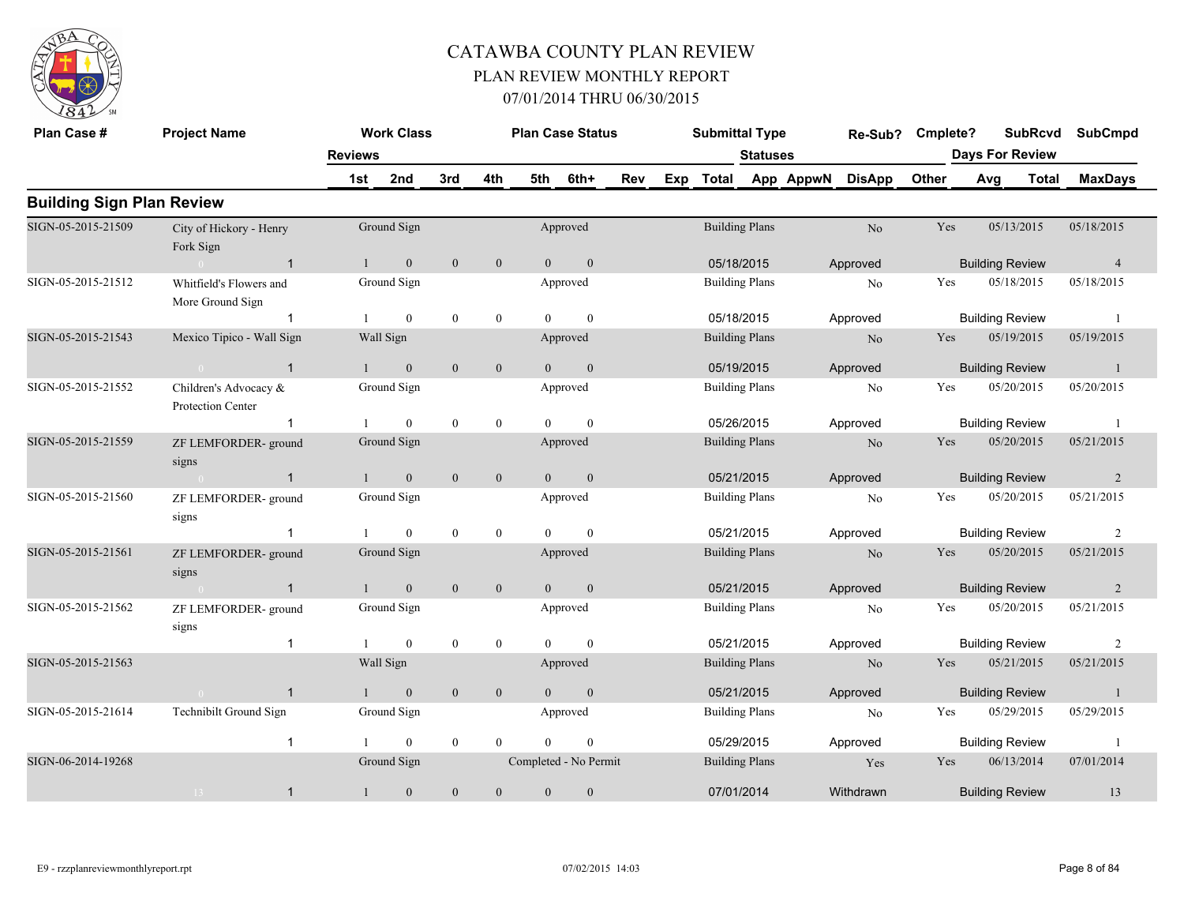

| Plan Case #                      | <b>Project Name</b>                         |                | <b>Work Class</b> |                  |                  |                | <b>Plan Case Status</b> |     |     | <b>Submittal Type</b> |                 |           | Re-Sub?        | Cmplete? |     | <b>SubRcvd</b>         | <b>SubCmpd</b> |
|----------------------------------|---------------------------------------------|----------------|-------------------|------------------|------------------|----------------|-------------------------|-----|-----|-----------------------|-----------------|-----------|----------------|----------|-----|------------------------|----------------|
|                                  |                                             | <b>Reviews</b> |                   |                  |                  |                |                         |     |     |                       | <b>Statuses</b> |           |                |          |     | <b>Days For Review</b> |                |
|                                  |                                             | 1st            | 2nd               | 3rd              | 4th              | 5th            | 6th+                    | Rev | Exp | <b>Total</b>          |                 | App AppwN | <b>DisApp</b>  | Other    | Avg | <b>Total</b>           | <b>MaxDays</b> |
| <b>Building Sign Plan Review</b> |                                             |                |                   |                  |                  |                |                         |     |     |                       |                 |           |                |          |     |                        |                |
| SIGN-05-2015-21509               | City of Hickory - Henry<br>Fork Sign        |                | Ground Sign       |                  |                  |                | Approved                |     |     | <b>Building Plans</b> |                 |           | N <sub>o</sub> | Yes      |     | 05/13/2015             | 05/18/2015     |
|                                  | $\overline{1}$                              | $\mathbf{1}$   | $\mathbf{0}$      | $\mathbf{0}$     | $\mathbf{0}$     | $\overline{0}$ | $\mathbf{0}$            |     |     | 05/18/2015            |                 |           | Approved       |          |     | <b>Building Review</b> | $\overline{4}$ |
| SIGN-05-2015-21512               | Whitfield's Flowers and<br>More Ground Sign |                | Ground Sign       |                  |                  |                | Approved                |     |     | <b>Building Plans</b> |                 |           | No             | Yes      |     | 05/18/2015             | 05/18/2015     |
|                                  | $\mathbf 1$                                 |                | $\theta$          | $\mathbf{0}$     | $\mathbf{0}$     | $\Omega$       | $\Omega$                |     |     | 05/18/2015            |                 |           | Approved       |          |     | <b>Building Review</b> | $\overline{1}$ |
| SIGN-05-2015-21543               | Mexico Tipico - Wall Sign                   |                | Wall Sign         |                  |                  |                | Approved                |     |     | <b>Building Plans</b> |                 |           | N <sub>o</sub> | Yes      |     | 05/19/2015             | 05/19/2015     |
|                                  | $\overline{1}$<br>$\sim 0$                  | $\mathbf{1}$   | $\mathbf{0}$      | $\mathbf{0}$     | $\mathbf{0}$     | $\overline{0}$ | $\mathbf{0}$            |     |     | 05/19/2015            |                 |           | Approved       |          |     | <b>Building Review</b> | -1             |
| SIGN-05-2015-21552               | Children's Advocacy &<br>Protection Center  |                | Ground Sign       |                  |                  |                | Approved                |     |     | <b>Building Plans</b> |                 |           | No             | Yes      |     | 05/20/2015             | 05/20/2015     |
|                                  | $\overline{1}$                              |                | $\theta$          | $\mathbf{0}$     | $\mathbf{0}$     | $\Omega$       | $\theta$                |     |     | 05/26/2015            |                 |           | Approved       |          |     | <b>Building Review</b> | - 1            |
| SIGN-05-2015-21559               | ZF LEMFORDER- ground<br>signs               |                | Ground Sign       |                  |                  |                | Approved                |     |     | <b>Building Plans</b> |                 |           | N <sub>o</sub> | Yes      |     | 05/20/2015             | 05/21/2015     |
|                                  | $\mathbf{1}$                                |                | $\mathbf{0}$      | $\mathbf{0}$     | $\boldsymbol{0}$ | $\overline{0}$ | $\mathbf{0}$            |     |     | 05/21/2015            |                 |           | Approved       |          |     | <b>Building Review</b> | 2              |
| SIGN-05-2015-21560               | ZF LEMFORDER-ground<br>signs                |                | Ground Sign       |                  |                  |                | Approved                |     |     | <b>Building Plans</b> |                 |           | No             | Yes      |     | 05/20/2015             | 05/21/2015     |
|                                  |                                             |                | $\theta$          | $\mathbf{0}$     | $\mathbf{0}$     | $\Omega$       | $\theta$                |     |     | 05/21/2015            |                 |           | Approved       |          |     | <b>Building Review</b> | 2              |
| SIGN-05-2015-21561               | ZF LEMFORDER-ground<br>signs                |                | Ground Sign       |                  |                  |                | Approved                |     |     | <b>Building Plans</b> |                 |           | N <sub>o</sub> | Yes      |     | 05/20/2015             | 05/21/2015     |
|                                  | $\mathbf{1}$                                |                | $\mathbf{0}$      | $\mathbf{0}$     | $\mathbf{0}$     | $\Omega$       | $\theta$                |     |     | 05/21/2015            |                 |           | Approved       |          |     | <b>Building Review</b> | $\overline{2}$ |
| SIGN-05-2015-21562               | ZF LEMFORDER-ground<br>signs                |                | Ground Sign       |                  |                  |                | Approved                |     |     | <b>Building Plans</b> |                 |           | No             | Yes      |     | 05/20/2015             | 05/21/2015     |
|                                  | $\mathbf{1}$                                |                | $\mathbf{0}$      | $\boldsymbol{0}$ | $\boldsymbol{0}$ | $\Omega$       | $\theta$                |     |     | 05/21/2015            |                 |           | Approved       |          |     | <b>Building Review</b> | $\overline{2}$ |
| SIGN-05-2015-21563               |                                             |                | Wall Sign         |                  |                  |                | Approved                |     |     | <b>Building Plans</b> |                 |           | N <sub>o</sub> | Yes      |     | 05/21/2015             | 05/21/2015     |
|                                  | $\mathbf{1}$                                | $\mathbf{1}$   | $\mathbf{0}$      | $\theta$         | $\mathbf{0}$     | $\theta$       | $\mathbf{0}$            |     |     | 05/21/2015            |                 |           | Approved       |          |     | <b>Building Review</b> | $\overline{1}$ |
| SIGN-05-2015-21614               | Technibilt Ground Sign                      |                | Ground Sign       |                  |                  |                | Approved                |     |     | <b>Building Plans</b> |                 |           | No             | Yes      |     | 05/29/2015             | 05/29/2015     |
|                                  | -1                                          |                | $\mathbf{0}$      | $\mathbf{0}$     | $\theta$         | $\Omega$       | $\mathbf{0}$            |     |     | 05/29/2015            |                 |           | Approved       |          |     | <b>Building Review</b> | -1             |
| SIGN-06-2014-19268               |                                             |                | Ground Sign       |                  |                  |                | Completed - No Permit   |     |     | <b>Building Plans</b> |                 |           | Yes            | Yes      |     | 06/13/2014             | 07/01/2014     |
|                                  | $\mathbf{1}$<br>$13 -$                      |                | $\mathbf{0}$      | $\mathbf{0}$     | $\theta$         | $\Omega$       | $\theta$                |     |     | 07/01/2014            |                 |           | Withdrawn      |          |     | <b>Building Review</b> | 13             |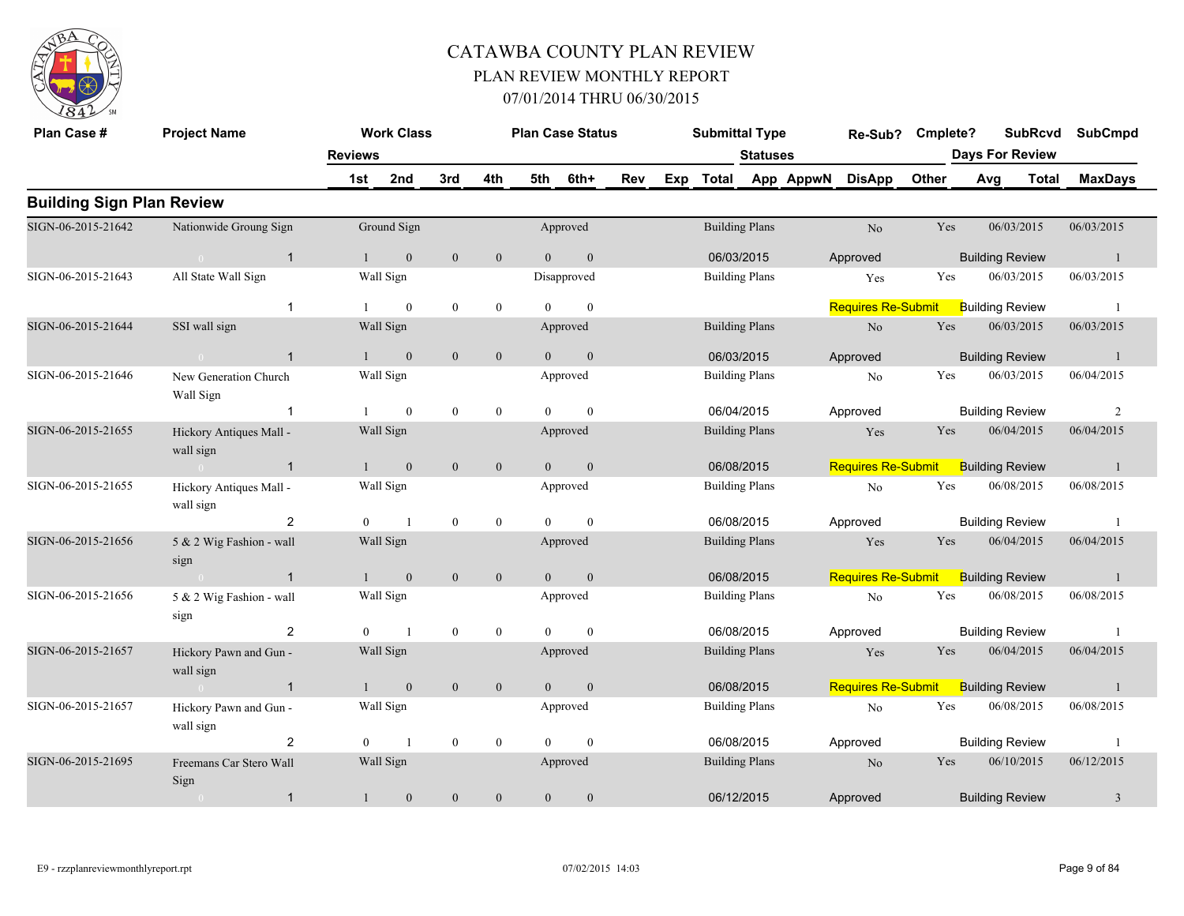

| Plan Case #                      | <b>Project Name</b>                      |                | <b>Work Class</b> |                  |                  |                | <b>Plan Case Status</b> |     |     | <b>Submittal Type</b> |                 |           | Re-Sub?                   | Cmplete? |     | <b>SubRcvd</b>         | <b>SubCmpd</b> |
|----------------------------------|------------------------------------------|----------------|-------------------|------------------|------------------|----------------|-------------------------|-----|-----|-----------------------|-----------------|-----------|---------------------------|----------|-----|------------------------|----------------|
|                                  |                                          | <b>Reviews</b> |                   |                  |                  |                |                         |     |     |                       | <b>Statuses</b> |           |                           |          |     | <b>Days For Review</b> |                |
|                                  |                                          | 1st            | 2nd               | 3rd              | 4th              | 5th            | 6th+                    | Rev | Exp | <b>Total</b>          |                 | App AppwN | <b>DisApp</b>             | Other    | Avg | <b>Total</b>           | <b>MaxDays</b> |
| <b>Building Sign Plan Review</b> |                                          |                |                   |                  |                  |                |                         |     |     |                       |                 |           |                           |          |     |                        |                |
| SIGN-06-2015-21642               | Nationwide Groung Sign                   |                | Ground Sign       |                  |                  |                | Approved                |     |     | <b>Building Plans</b> |                 |           | No                        | Yes      |     | 06/03/2015             | 06/03/2015     |
|                                  | $\sim 0$ and $\sim 0.00$<br>$\mathbf{1}$ | $\overline{1}$ | $\mathbf{0}$      | $\mathbf{0}$     | $\mathbf{0}$     | $\overline{0}$ | $\mathbf{0}$            |     |     | 06/03/2015            |                 |           | Approved                  |          |     | <b>Building Review</b> | $\mathbf{1}$   |
| SIGN-06-2015-21643               | All State Wall Sign                      |                | Wall Sign         |                  |                  |                | Disapproved             |     |     | <b>Building Plans</b> |                 |           | Yes                       | Yes      |     | 06/03/2015             | 06/03/2015     |
|                                  | $\mathbf{1}$                             |                | $\boldsymbol{0}$  | $\mathbf{0}$     | $\overline{0}$   | $\theta$       | $\mathbf{0}$            |     |     |                       |                 |           | <b>Requires Re-Submit</b> |          |     | <b>Building Review</b> | - 1            |
| SIGN-06-2015-21644               | SSI wall sign                            |                | Wall Sign         |                  |                  |                | Approved                |     |     | <b>Building Plans</b> |                 |           | $\rm No$                  | Yes      |     | 06/03/2015             | 06/03/2015     |
|                                  | $\mathbf{1}$<br>$\sim$ 0                 | $\mathbf{1}$   | $\boldsymbol{0}$  | $\boldsymbol{0}$ | $\boldsymbol{0}$ | $\theta$       | $\boldsymbol{0}$        |     |     | 06/03/2015            |                 |           | Approved                  |          |     | <b>Building Review</b> | 1              |
| SIGN-06-2015-21646               | New Generation Church<br>Wall Sign       |                | Wall Sign         |                  |                  |                | Approved                |     |     | <b>Building Plans</b> |                 |           | No                        | Yes      |     | 06/03/2015             | 06/04/2015     |
|                                  | $\mathbf{1}$                             |                | $\mathbf{0}$      | $\mathbf{0}$     | $\overline{0}$   | $\Omega$       | $\theta$                |     |     | 06/04/2015            |                 |           | Approved                  |          |     | <b>Building Review</b> | 2              |
| SIGN-06-2015-21655               | Hickory Antiques Mall -<br>wall sign     |                | Wall Sign         |                  |                  |                | Approved                |     |     | <b>Building Plans</b> |                 |           | Yes                       | Yes      |     | 06/04/2015             | 06/04/2015     |
|                                  | $\overline{1}$                           |                | $\boldsymbol{0}$  | $\mathbf{0}$     | $\boldsymbol{0}$ | $\overline{0}$ | $\mathbf{0}$            |     |     | 06/08/2015            |                 |           | <b>Requires Re-Submit</b> |          |     | <b>Building Review</b> | $\mathbf{1}$   |
| SIGN-06-2015-21655               | Hickory Antiques Mall -<br>wall sign     |                | Wall Sign         |                  |                  |                | Approved                |     |     | <b>Building Plans</b> |                 |           | N <sub>o</sub>            | Yes      |     | 06/08/2015             | 06/08/2015     |
|                                  | 2                                        | $\Omega$       | $\mathbf{1}$      | $\mathbf{0}$     | $\overline{0}$   | $\Omega$       | $\theta$                |     |     | 06/08/2015            |                 |           | Approved                  |          |     | <b>Building Review</b> | $\overline{1}$ |
| SIGN-06-2015-21656               | 5 & 2 Wig Fashion - wall<br>sign         |                | Wall Sign         |                  |                  |                | Approved                |     |     | <b>Building Plans</b> |                 |           | Yes                       | Yes      |     | 06/04/2015             | 06/04/2015     |
|                                  | $\overline{1}$                           |                | $\mathbf{0}$      | $\mathbf{0}$     | $\mathbf{0}$     | $\theta$       | $\mathbf{0}$            |     |     | 06/08/2015            |                 |           | <b>Requires Re-Submit</b> |          |     | <b>Building Review</b> | -1             |
| SIGN-06-2015-21656               | 5 & 2 Wig Fashion - wall<br>sign         |                | Wall Sign         |                  |                  |                | Approved                |     |     | <b>Building Plans</b> |                 |           | No                        | Yes      |     | 06/08/2015             | 06/08/2015     |
|                                  | $\overline{c}$                           | $\theta$       | $\mathbf{1}$      | $\boldsymbol{0}$ | $\bf{0}$         | $\theta$       | $\mathbf{0}$            |     |     | 06/08/2015            |                 |           | Approved                  |          |     | <b>Building Review</b> | -1             |
| SIGN-06-2015-21657               | Hickory Pawn and Gun -<br>wall sign      |                | Wall Sign         |                  |                  |                | Approved                |     |     | <b>Building Plans</b> |                 |           | Yes                       | Yes      |     | 06/04/2015             | 06/04/2015     |
|                                  | $\overline{1}$                           | $\mathbf{1}$   | $\mathbf{0}$      | $\mathbf{0}$     | $\mathbf{0}$     | $\theta$       | $\mathbf{0}$            |     |     | 06/08/2015            |                 |           | <b>Requires Re-Submit</b> |          |     | <b>Building Review</b> | $\overline{1}$ |
| SIGN-06-2015-21657               | Hickory Pawn and Gun -<br>wall sign      |                | Wall Sign         |                  |                  |                | Approved                |     |     | <b>Building Plans</b> |                 |           | $\rm No$                  | Yes      |     | 06/08/2015             | 06/08/2015     |
|                                  | $\overline{2}$                           | $\theta$       | $\overline{1}$    | $\mathbf{0}$     | $\overline{0}$   | $\theta$       | $\mathbf{0}$            |     |     | 06/08/2015            |                 |           | Approved                  |          |     | <b>Building Review</b> | $\overline{1}$ |
| SIGN-06-2015-21695               | Freemans Car Stero Wall<br>Sign          |                | Wall Sign         |                  |                  |                | Approved                |     |     | <b>Building Plans</b> |                 |           | N <sub>o</sub>            | Yes      |     | 06/10/2015             | 06/12/2015     |
|                                  | $\mathbf{1}$                             | $\mathbf{1}$   | $\boldsymbol{0}$  | $\mathbf{0}$     | $\theta$         | $\mathbf{0}$   | $\mathbf{0}$            |     |     | 06/12/2015            |                 |           | Approved                  |          |     | <b>Building Review</b> | 3              |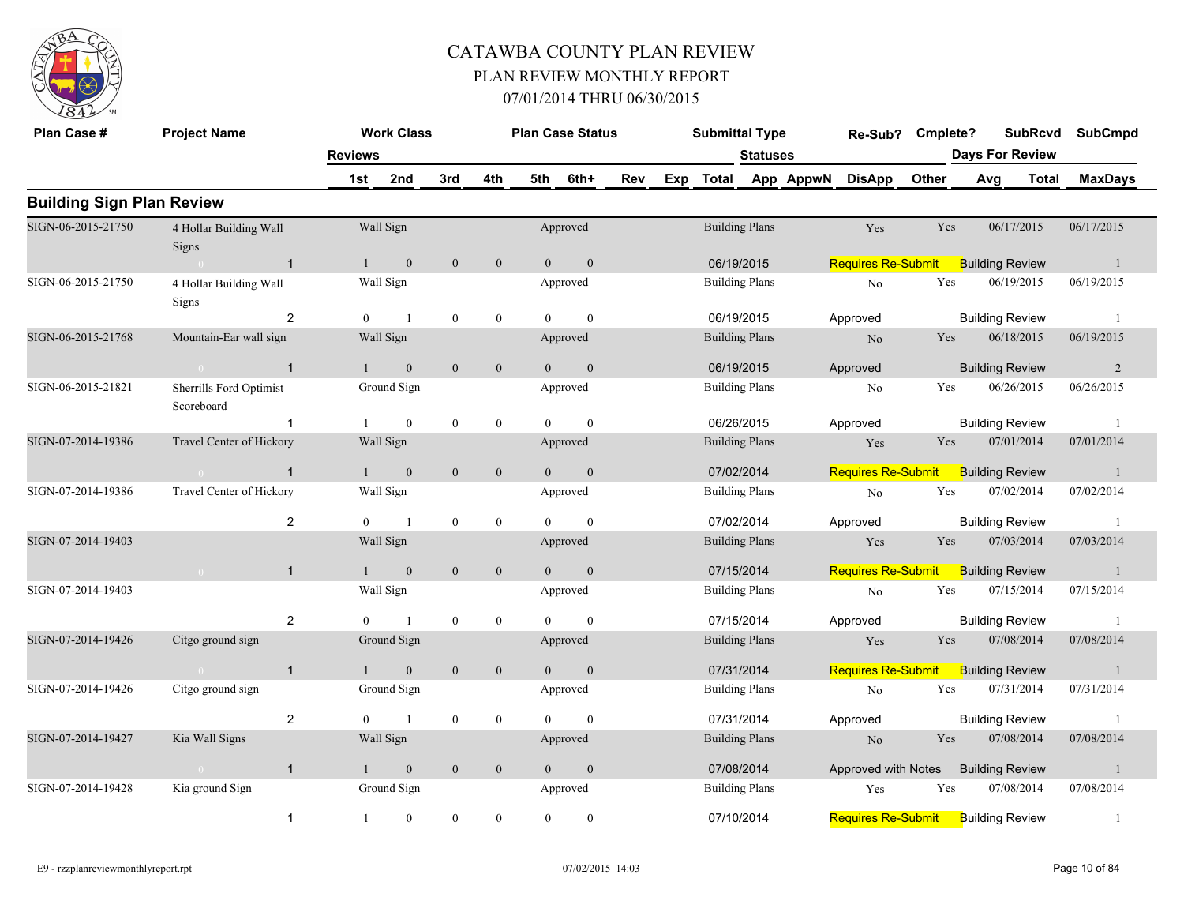

| Plan Case #                      | <b>Project Name</b>                    |                | <b>Work Class</b>       |                  |                |                | <b>Plan Case Status</b> |     | <b>Submittal Type</b> |                 |                     | Re-Sub?                   | Cmplete? |                        | <b>SubRcvd</b> | <b>SubCmpd</b> |
|----------------------------------|----------------------------------------|----------------|-------------------------|------------------|----------------|----------------|-------------------------|-----|-----------------------|-----------------|---------------------|---------------------------|----------|------------------------|----------------|----------------|
|                                  |                                        | <b>Reviews</b> |                         |                  |                |                |                         |     |                       | <b>Statuses</b> |                     |                           |          | <b>Days For Review</b> |                |                |
|                                  |                                        | 1st            | 2nd                     | 3rd              | 4th            | 5th            | 6th+                    | Rev |                       |                 | Exp Total App AppwN | <b>DisApp</b>             | Other    | Avg                    | <b>Total</b>   | <b>MaxDays</b> |
| <b>Building Sign Plan Review</b> |                                        |                |                         |                  |                |                |                         |     |                       |                 |                     |                           |          |                        |                |                |
| SIGN-06-2015-21750               | 4 Hollar Building Wall<br><b>Signs</b> |                | Wall Sign               |                  |                |                | Approved                |     | <b>Building Plans</b> |                 |                     | Yes                       | Yes      | 06/17/2015             |                | 06/17/2015     |
|                                  | $\overline{1}$                         |                | $1 -$<br>$\overline{0}$ | $\mathbf{0}$     | $\overline{0}$ | $\theta$       | $\mathbf{0}$            |     | 06/19/2015            |                 |                     | <b>Requires Re-Submit</b> |          | <b>Building Review</b> |                | $\overline{1}$ |
| SIGN-06-2015-21750               | 4 Hollar Building Wall<br>Signs        |                | Wall Sign               |                  |                |                | Approved                |     | <b>Building Plans</b> |                 |                     | $\rm No$                  | Yes      | 06/19/2015             |                | 06/19/2015     |
|                                  | 2                                      | $\theta$       | $\overline{1}$          | $\mathbf{0}$     | $\mathbf{0}$   | $\Omega$       | $\mathbf{0}$            |     | 06/19/2015            |                 |                     | Approved                  |          | <b>Building Review</b> |                | -1             |
| SIGN-06-2015-21768               | Mountain-Ear wall sign                 |                | Wall Sign               |                  |                |                | Approved                |     | <b>Building Plans</b> |                 |                     | N <sub>o</sub>            | Yes      | 06/18/2015             |                | 06/19/2015     |
|                                  | $\overline{1}$                         | $\mathbf{1}$   | $\mathbf{0}$            | $\mathbf{0}$     | $\mathbf{0}$   | $\Omega$       | $\mathbf{0}$            |     | 06/19/2015            |                 |                     | Approved                  |          | <b>Building Review</b> |                | 2              |
| SIGN-06-2015-21821               | Sherrills Ford Optimist<br>Scoreboard  |                | Ground Sign             |                  |                |                | Approved                |     | <b>Building Plans</b> |                 |                     | No                        | Yes      | 06/26/2015             |                | 06/26/2015     |
|                                  | $\overline{1}$                         |                | $\mathbf{0}$            | $\boldsymbol{0}$ | $\mathbf{0}$   | $\Omega$       | $\mathbf{0}$            |     | 06/26/2015            |                 |                     | Approved                  |          | <b>Building Review</b> |                | -1             |
| SIGN-07-2014-19386               | Travel Center of Hickory               |                | Wall Sign               |                  |                |                | Approved                |     | <b>Building Plans</b> |                 |                     | Yes                       | Yes      | 07/01/2014             |                | 07/01/2014     |
|                                  | $\sim 0$<br>$\overline{1}$             | 1              | $\mathbf{0}$            | $\mathbf{0}$     | $\mathbf{0}$   | $\overline{0}$ | $\mathbf{0}$            |     | 07/02/2014            |                 |                     | <b>Requires Re-Submit</b> |          | <b>Building Review</b> |                | $\overline{1}$ |
| SIGN-07-2014-19386               | Travel Center of Hickory               |                | Wall Sign               |                  |                |                | Approved                |     | <b>Building Plans</b> |                 |                     | No                        | Yes      | 07/02/2014             |                | 07/02/2014     |
|                                  | $\overline{2}$                         | $\theta$       | $\overline{1}$          | $\mathbf{0}$     | $\mathbf{0}$   | $\Omega$       | $\mathbf{0}$            |     | 07/02/2014            |                 |                     | Approved                  |          | <b>Building Review</b> |                | -1             |
| SIGN-07-2014-19403               |                                        |                | Wall Sign               |                  |                |                | Approved                |     | <b>Building Plans</b> |                 |                     | Yes                       | Yes      | 07/03/2014             |                | 07/03/2014     |
|                                  | $\mathbf{1}$<br>$\sim 0$               | 1              | $\mathbf{0}$            | $\mathbf{0}$     | $\mathbf{0}$   | $\overline{0}$ | $\boldsymbol{0}$        |     | 07/15/2014            |                 |                     | <b>Requires Re-Submit</b> |          | <b>Building Review</b> |                | $\mathbf{1}$   |
| SIGN-07-2014-19403               |                                        |                | Wall Sign               |                  |                |                | Approved                |     | <b>Building Plans</b> |                 |                     | No                        | Yes      | 07/15/2014             |                | 07/15/2014     |
|                                  | $\overline{2}$                         | $\Omega$       | $\overline{1}$          | $\boldsymbol{0}$ | $\mathbf{0}$   | $\Omega$       | $\mathbf{0}$            |     | 07/15/2014            |                 |                     | Approved                  |          | <b>Building Review</b> |                | $\overline{1}$ |
| SIGN-07-2014-19426               | Citgo ground sign                      |                | Ground Sign             |                  |                |                | Approved                |     | <b>Building Plans</b> |                 |                     | Yes                       | Yes      | 07/08/2014             |                | 07/08/2014     |
|                                  | $\overline{1}$<br>$\sim 0$             | $\mathbf{1}$   | $\mathbf{0}$            | $\mathbf{0}$     | $\mathbf{0}$   | $\theta$       | $\mathbf{0}$            |     | 07/31/2014            |                 |                     | <b>Requires Re-Submit</b> |          | <b>Building Review</b> |                | $\mathbf{1}$   |
| SIGN-07-2014-19426               | Citgo ground sign                      |                | Ground Sign             |                  |                |                | Approved                |     | <b>Building Plans</b> |                 |                     | No                        | Yes      | 07/31/2014             |                | 07/31/2014     |
|                                  | $\overline{c}$                         | $\theta$       | $\overline{1}$          | $\mathbf{0}$     | $\overline{0}$ | $\theta$       | $\mathbf{0}$            |     | 07/31/2014            |                 |                     | Approved                  |          | <b>Building Review</b> |                | -1             |
| SIGN-07-2014-19427               | Kia Wall Signs                         |                | Wall Sign               |                  |                |                | Approved                |     | <b>Building Plans</b> |                 |                     | No                        | Yes      | 07/08/2014             |                | 07/08/2014     |
|                                  | $\mathbf{1}$<br>$\sim 0$               | 1              | $\mathbf{0}$            | $\mathbf{0}$     | $\mathbf{0}$   | $\overline{0}$ | $\boldsymbol{0}$        |     | 07/08/2014            |                 |                     | Approved with Notes       |          | <b>Building Review</b> |                | $\mathbf{1}$   |
| SIGN-07-2014-19428               | Kia ground Sign                        |                | Ground Sign             |                  |                |                | Approved                |     | <b>Building Plans</b> |                 |                     | Yes                       | Yes      | 07/08/2014             |                | 07/08/2014     |
|                                  | $\mathbf{1}$                           | 1              | $\mathbf{0}$            | $\mathbf{0}$     | $\mathbf{0}$   | $\theta$       | $\mathbf{0}$            |     | 07/10/2014            |                 |                     | <b>Requires Re-Submit</b> |          | <b>Building Review</b> |                | -1             |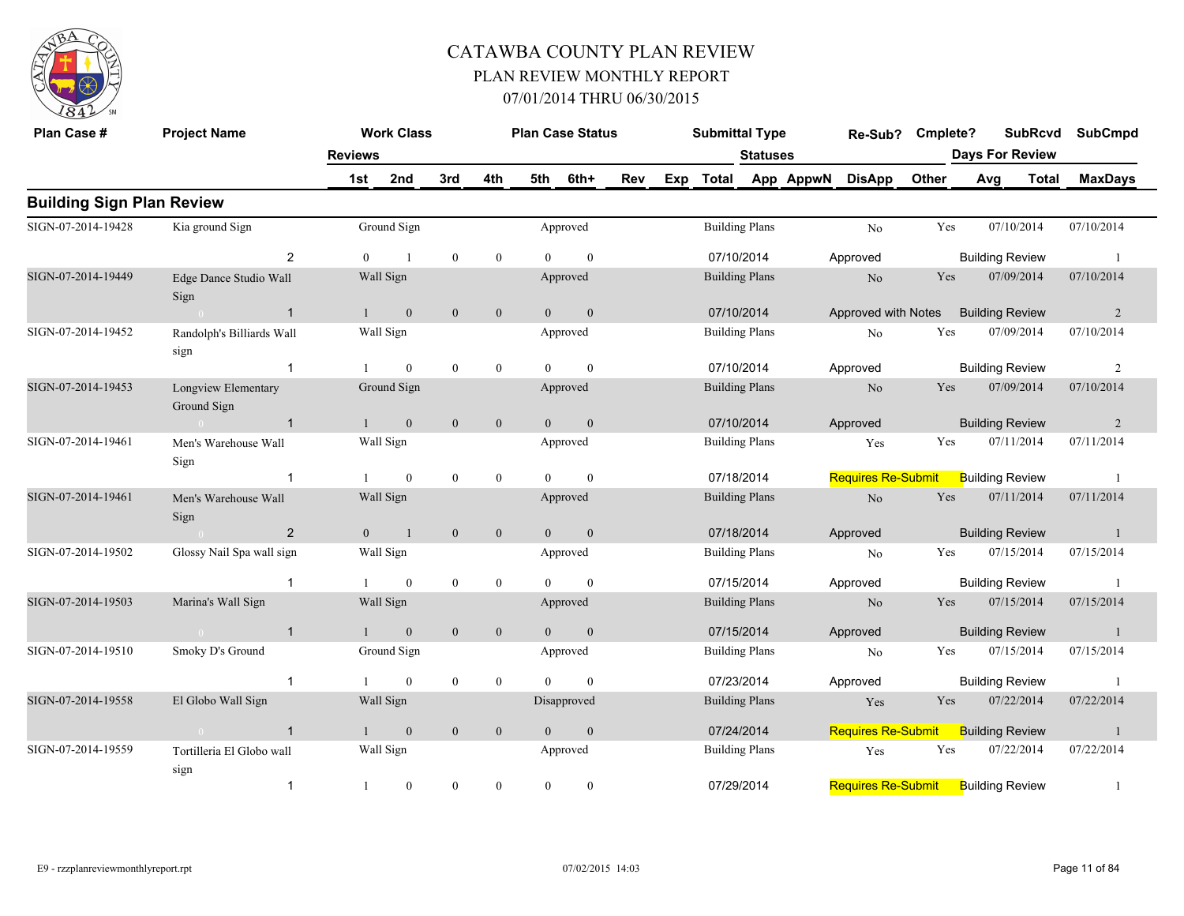

| Plan Case #                      | <b>Project Name</b>                |                | <b>Work Class</b> |                  |                  |                | <b>Plan Case Status</b> |     |     | <b>Submittal Type</b> |                 |           | Re-Sub?                   | Cmplete? |     |                        | <b>SubRcvd</b> | <b>SubCmpd</b> |
|----------------------------------|------------------------------------|----------------|-------------------|------------------|------------------|----------------|-------------------------|-----|-----|-----------------------|-----------------|-----------|---------------------------|----------|-----|------------------------|----------------|----------------|
|                                  |                                    | <b>Reviews</b> |                   |                  |                  |                |                         |     |     |                       | <b>Statuses</b> |           |                           |          |     | <b>Days For Review</b> |                |                |
|                                  |                                    | 1st            | 2nd               | 3rd              | 4th              | 5th            | 6th+                    | Rev | Exp | <b>Total</b>          |                 | App AppwN | <b>DisApp</b>             | Other    | Avg |                        | <b>Total</b>   | <b>MaxDays</b> |
| <b>Building Sign Plan Review</b> |                                    |                |                   |                  |                  |                |                         |     |     |                       |                 |           |                           |          |     |                        |                |                |
| SIGN-07-2014-19428               | Kia ground Sign                    |                | Ground Sign       |                  |                  |                | Approved                |     |     | <b>Building Plans</b> |                 |           | No                        | Yes      |     | 07/10/2014             |                | 07/10/2014     |
|                                  | $\overline{2}$                     | $\Omega$       | $\overline{1}$    | $\mathbf{0}$     | $\mathbf{0}$     | $\Omega$       | $\mathbf{0}$            |     |     | 07/10/2014            |                 |           | Approved                  |          |     | <b>Building Review</b> |                | $\overline{1}$ |
| SIGN-07-2014-19449               | Edge Dance Studio Wall<br>Sign     |                | Wall Sign         |                  |                  |                | Approved                |     |     | <b>Building Plans</b> |                 |           | N <sub>o</sub>            | Yes      |     | 07/09/2014             |                | 07/10/2014     |
|                                  | $\overline{1}$<br>$\Omega$         |                | $\mathbf{0}$      | $\mathbf{0}$     | $\mathbf{0}$     | $\theta$       | $\mathbf{0}$            |     |     | 07/10/2014            |                 |           | Approved with Notes       |          |     | <b>Building Review</b> |                | $\overline{2}$ |
| SIGN-07-2014-19452               | Randolph's Billiards Wall<br>sign  |                | Wall Sign         |                  |                  |                | Approved                |     |     | <b>Building Plans</b> |                 |           | No                        | Yes      |     | 07/09/2014             |                | 07/10/2014     |
|                                  | $\overline{1}$                     |                | $\mathbf{0}$      | $\bf{0}$         | $\boldsymbol{0}$ | $\theta$       | $\mathbf{0}$            |     |     | 07/10/2014            |                 |           | Approved                  |          |     | <b>Building Review</b> |                | $\overline{2}$ |
| SIGN-07-2014-19453               | Longview Elementary<br>Ground Sign |                | Ground Sign       |                  |                  |                | Approved                |     |     | <b>Building Plans</b> |                 |           | N <sub>o</sub>            | Yes      |     | 07/09/2014             |                | 07/10/2014     |
|                                  | $\overline{1}$                     |                | $\overline{0}$    | $\mathbf{0}$     | $\boldsymbol{0}$ | $\Omega$       | $\mathbf{0}$            |     |     | 07/10/2014            |                 |           | Approved                  |          |     | <b>Building Review</b> |                | $\overline{2}$ |
| SIGN-07-2014-19461               | Men's Warehouse Wall<br>Sign       |                | Wall Sign         |                  |                  |                | Approved                |     |     | <b>Building Plans</b> |                 |           | Yes                       | Yes      |     | 07/11/2014             |                | 07/11/2014     |
|                                  |                                    |                | $\theta$          | $\mathbf{0}$     | $\boldsymbol{0}$ | $\Omega$       | $\theta$                |     |     | 07/18/2014            |                 |           | <b>Requires Re-Submit</b> |          |     | <b>Building Review</b> |                | $\overline{1}$ |
| SIGN-07-2014-19461               | Men's Warehouse Wall<br>Sign       |                | Wall Sign         |                  |                  |                | Approved                |     |     | <b>Building Plans</b> |                 |           | N <sub>o</sub>            | Yes      |     | 07/11/2014             |                | 07/11/2014     |
|                                  | 2<br>$\sim 0$                      | $\overline{0}$ | $\mathbf{1}$      | $\mathbf{0}$     | $\mathbf{0}$     | $\overline{0}$ | $\mathbf{0}$            |     |     | 07/18/2014            |                 |           | Approved                  |          |     | <b>Building Review</b> |                | -1             |
| SIGN-07-2014-19502               | Glossy Nail Spa wall sign          |                | Wall Sign         |                  |                  |                | Approved                |     |     | <b>Building Plans</b> |                 |           | No                        | Yes      |     | 07/15/2014             |                | 07/15/2014     |
|                                  | -1                                 |                | $\mathbf{0}$      | $\boldsymbol{0}$ | $\boldsymbol{0}$ | $\theta$       | $\mathbf{0}$            |     |     | 07/15/2014            |                 |           | Approved                  |          |     | <b>Building Review</b> |                | $\overline{1}$ |
| SIGN-07-2014-19503               | Marina's Wall Sign                 |                | Wall Sign         |                  |                  |                | Approved                |     |     | <b>Building Plans</b> |                 |           | N <sub>o</sub>            | Yes      |     | 07/15/2014             |                | 07/15/2014     |
|                                  | $\overline{1}$<br>$\sim 0$         | $\mathbf{1}$   | $\mathbf{0}$      | $\mathbf{0}$     | $\mathbf{0}$     | $\overline{0}$ | $\boldsymbol{0}$        |     |     | 07/15/2014            |                 |           | Approved                  |          |     | <b>Building Review</b> |                | 1              |
| SIGN-07-2014-19510               | Smoky D's Ground                   |                | Ground Sign       |                  |                  |                | Approved                |     |     | <b>Building Plans</b> |                 |           | No                        | Yes      |     | 07/15/2014             |                | 07/15/2014     |
|                                  | $\overline{1}$                     |                | $\theta$          | $\mathbf{0}$     | $\mathbf{0}$     | $\Omega$       | $\mathbf{0}$            |     |     | 07/23/2014            |                 |           | Approved                  |          |     | <b>Building Review</b> |                | $\overline{1}$ |
| SIGN-07-2014-19558               | El Globo Wall Sign                 |                | Wall Sign         |                  |                  |                | Disapproved             |     |     | <b>Building Plans</b> |                 |           | Yes                       | Yes      |     | 07/22/2014             |                | 07/22/2014     |
|                                  | $\overline{1}$                     |                | $\boldsymbol{0}$  | $\mathbf{0}$     | $\mathbf{0}$     | $\theta$       | $\boldsymbol{0}$        |     |     | 07/24/2014            |                 |           | <b>Requires Re-Submit</b> |          |     | <b>Building Review</b> |                | -1             |
| SIGN-07-2014-19559               | Tortilleria El Globo wall<br>sign  |                | Wall Sign         |                  |                  |                | Approved                |     |     | <b>Building Plans</b> |                 |           | Yes                       | Yes      |     | 07/22/2014             |                | 07/22/2014     |
|                                  | $\overline{1}$                     | $\mathbf{1}$   | $\mathbf{0}$      | $\theta$         | $\boldsymbol{0}$ | $\mathbf{0}$   | $\theta$                |     |     | 07/29/2014            |                 |           | <b>Requires Re-Submit</b> |          |     | <b>Building Review</b> |                | $\mathbf{1}$   |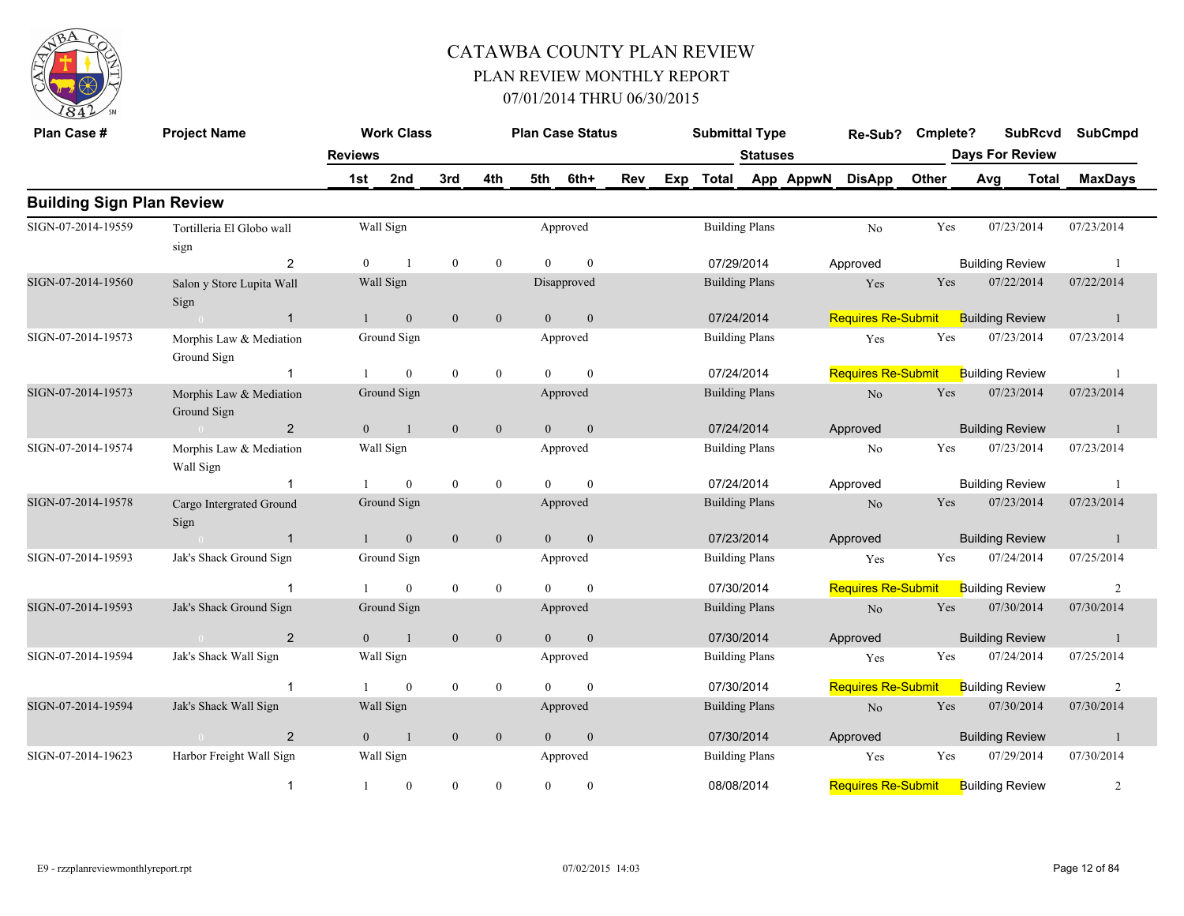

| Plan Case #                      | <b>Project Name</b>                    |                                                                                                                    | <b>Work Class</b> |              |                  |                | <b>Plan Case Status</b> |     |     | <b>Submittal Type</b> |                       |           | Re-Sub?                   | Cmplete? |     | <b>SubRcvd</b>         | <b>SubCmpd</b> |
|----------------------------------|----------------------------------------|--------------------------------------------------------------------------------------------------------------------|-------------------|--------------|------------------|----------------|-------------------------|-----|-----|-----------------------|-----------------------|-----------|---------------------------|----------|-----|------------------------|----------------|
|                                  |                                        | <b>Reviews</b>                                                                                                     |                   |              |                  |                |                         |     |     |                       | <b>Statuses</b>       |           |                           |          |     | <b>Days For Review</b> |                |
|                                  |                                        | 1st                                                                                                                | 2nd               | 3rd          | 4th              | 5th            | 6th+                    | Rev | Exp | Total                 |                       | App AppwN | <b>DisApp</b>             | Other    | Avg | <b>Total</b>           | <b>MaxDays</b> |
| <b>Building Sign Plan Review</b> |                                        |                                                                                                                    |                   |              |                  |                |                         |     |     |                       |                       |           |                           |          |     |                        |                |
| SIGN-07-2014-19559               | Tortilleria El Globo wall              |                                                                                                                    | Wall Sign         |              |                  |                | Approved                |     |     |                       | <b>Building Plans</b> |           | No                        | Yes      |     | 07/23/2014             | 07/23/2014     |
|                                  | sign                                   |                                                                                                                    |                   |              |                  |                |                         |     |     |                       |                       |           |                           |          |     |                        |                |
|                                  | 2                                      | $\theta$                                                                                                           |                   | $\bf{0}$     | $\boldsymbol{0}$ | $\Omega$       | $\Omega$                |     |     | 07/29/2014            |                       |           | Approved                  |          |     | <b>Building Review</b> |                |
| SIGN-07-2014-19560               | Salon y Store Lupita Wall<br>Sign      |                                                                                                                    | Wall Sign         |              |                  |                | Disapproved             |     |     |                       | <b>Building Plans</b> |           | Yes                       | Yes      |     | 07/22/2014             | 07/22/2014     |
|                                  | $\overline{1}$                         |                                                                                                                    | $\mathbf{0}$      | $\mathbf{0}$ | $\mathbf{0}$     | $\theta$       | $\mathbf{0}$            |     |     | 07/24/2014            |                       |           | <b>Requires Re-Submit</b> |          |     | <b>Building Review</b> | -1             |
| SIGN-07-2014-19573               | Morphis Law & Mediation<br>Ground Sign |                                                                                                                    | Ground Sign       |              |                  |                | Approved                |     |     |                       | <b>Building Plans</b> |           | Yes                       | Yes      |     | 07/23/2014             | 07/23/2014     |
|                                  | $\overline{1}$                         |                                                                                                                    | $\theta$          | $\mathbf{0}$ | $\mathbf{0}$     | $\Omega$       | $\theta$                |     |     | 07/24/2014            |                       |           | <b>Requires Re-Submit</b> |          |     | <b>Building Review</b> |                |
| SIGN-07-2014-19573               | Morphis Law & Mediation<br>Ground Sign |                                                                                                                    | Ground Sign       |              |                  |                | Approved                |     |     |                       | <b>Building Plans</b> |           | No                        | Yes      |     | 07/23/2014             | 07/23/2014     |
|                                  | $\overline{2}$<br>$\sim 0$             | $\overline{0}$                                                                                                     | $\mathbf{1}$      | $\mathbf{0}$ | $\mathbf{0}$     | $\overline{0}$ | $\mathbf{0}$            |     |     | 07/24/2014            |                       |           | Approved                  |          |     | <b>Building Review</b> | -1             |
| SIGN-07-2014-19574               | Morphis Law & Mediation<br>Wall Sign   |                                                                                                                    | Wall Sign         |              |                  |                | Approved                |     |     |                       | <b>Building Plans</b> |           | No                        | Yes      |     | 07/23/2014             | 07/23/2014     |
|                                  | $\overline{1}$                         |                                                                                                                    | $\theta$          | $\mathbf{0}$ | $\mathbf{0}$     | $\Omega$       | $\mathbf{0}$            |     |     | 07/24/2014            |                       |           | Approved                  |          |     | <b>Building Review</b> |                |
| SIGN-07-2014-19578               | Cargo Intergrated Ground<br>Sign       |                                                                                                                    | Ground Sign       |              |                  |                | Approved                |     |     |                       | <b>Building Plans</b> |           | No                        | Yes      |     | 07/23/2014             | 07/23/2014     |
|                                  | $\overline{1}$                         | $\mathbf{1}$                                                                                                       | $\mathbf{0}$      | $\mathbf{0}$ | $\mathbf{0}$     | $\overline{0}$ | $\mathbf{0}$            |     |     | 07/23/2014            |                       |           | Approved                  |          |     | <b>Building Review</b> | $\overline{1}$ |
| SIGN-07-2014-19593               | Jak's Shack Ground Sign                |                                                                                                                    | Ground Sign       |              |                  |                | Approved                |     |     |                       | <b>Building Plans</b> |           | Yes                       | Yes      |     | 07/24/2014             | 07/25/2014     |
|                                  |                                        |                                                                                                                    | $\theta$          | $\mathbf{0}$ | $\bf{0}$         |                | $\Omega$                |     |     | 07/30/2014            |                       |           | <b>Requires Re-Submit</b> |          |     | <b>Building Review</b> | $\overline{c}$ |
| SIGN-07-2014-19593               | Jak's Shack Ground Sign                |                                                                                                                    | Ground Sign       |              |                  |                | Approved                |     |     |                       | <b>Building Plans</b> |           | $\rm No$                  | Yes      |     | 07/30/2014             | 07/30/2014     |
|                                  | 2                                      | $\Omega$                                                                                                           |                   | $\mathbf{0}$ | $\mathbf{0}$     | $\overline{0}$ | $\theta$                |     |     | 07/30/2014            |                       |           | Approved                  |          |     | <b>Building Review</b> |                |
| SIGN-07-2014-19594               | Jak's Shack Wall Sign                  |                                                                                                                    | Wall Sign         |              |                  |                | Approved                |     |     |                       | <b>Building Plans</b> |           | Yes                       | Yes      |     | 07/24/2014             | 07/25/2014     |
|                                  | $\overline{1}$                         |                                                                                                                    | $\overline{0}$    | $\bf{0}$     | $\bf{0}$         | $\theta$       | $\theta$                |     |     | 07/30/2014            |                       |           | <b>Requires Re-Submit</b> |          |     | <b>Building Review</b> | $\overline{c}$ |
| SIGN-07-2014-19594               | Jak's Shack Wall Sign                  |                                                                                                                    | Wall Sign         |              |                  |                | Approved                |     |     |                       | <b>Building Plans</b> |           | $\rm No$                  | Yes      |     | 07/30/2014             | 07/30/2014     |
|                                  | 2                                      | $\overline{0}$                                                                                                     | $\overline{1}$    | $\mathbf{0}$ | $\mathbf{0}$     | $\overline{0}$ | $\theta$                |     |     |                       |                       |           | Approved                  |          |     |                        | $\mathbf{1}$   |
| SIGN-07-2014-19623               | Harbor Freight Wall Sign               | 07/30/2014<br><b>Building Review</b><br>07/29/2014<br>Wall Sign<br>Yes<br>Approved<br><b>Building Plans</b><br>Yes |                   | 07/30/2014   |                  |                |                         |     |     |                       |                       |           |                           |          |     |                        |                |
|                                  | $\overline{1}$                         | $\mathbf{1}$                                                                                                       | $\mathbf{0}$      | $\mathbf{0}$ | $\mathbf{0}$     | $\theta$       | $\mathbf{0}$            |     |     | 08/08/2014            |                       |           | <b>Requires Re-Submit</b> |          |     | <b>Building Review</b> | $\overline{2}$ |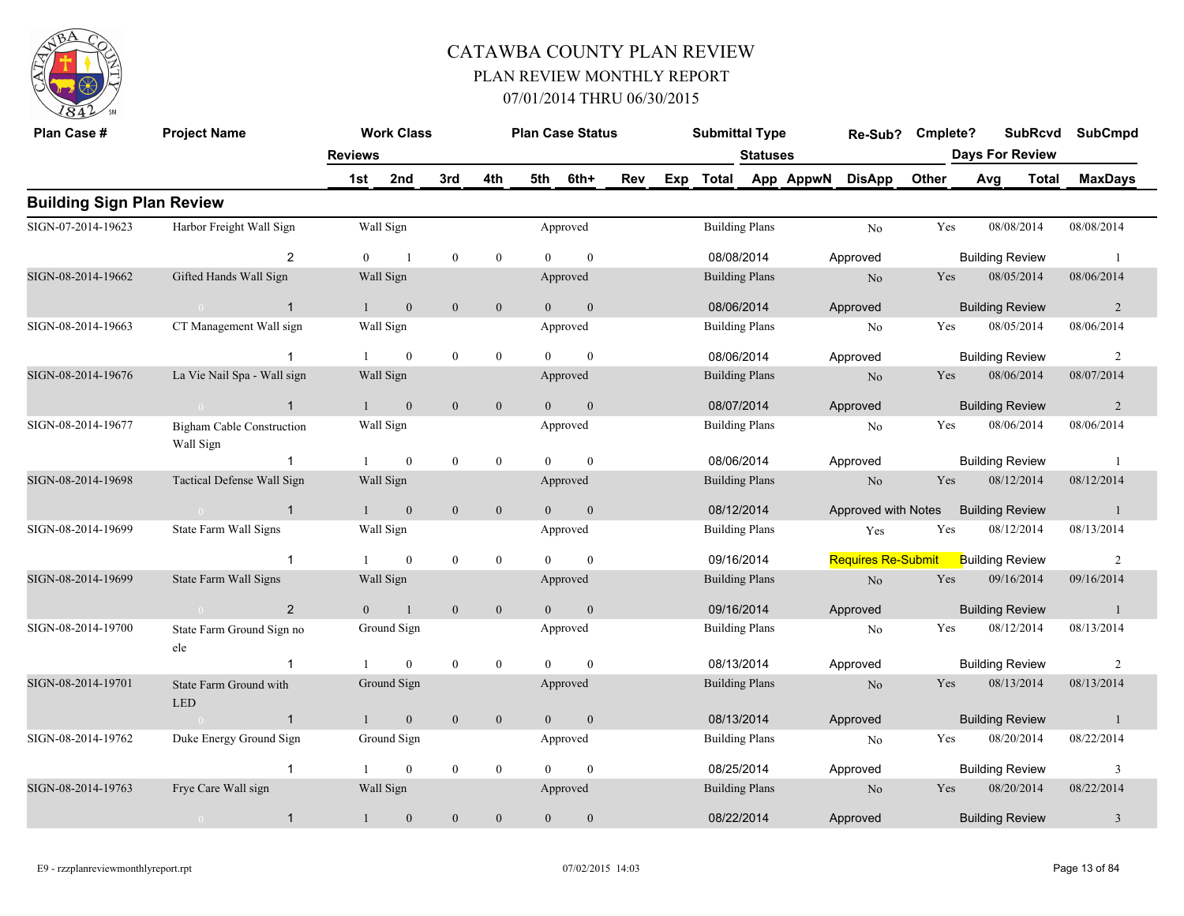

| Plan Case #                      | <b>Project Name</b>                           |                  | <b>Work Class</b> |                  |                  |                | <b>Plan Case Status</b> |     | <b>Submittal Type</b> |                 |                     | Re-Sub?                   | Cmplete? |     | <b>SubRcvd</b>         | <b>SubCmpd</b> |
|----------------------------------|-----------------------------------------------|------------------|-------------------|------------------|------------------|----------------|-------------------------|-----|-----------------------|-----------------|---------------------|---------------------------|----------|-----|------------------------|----------------|
|                                  |                                               | <b>Reviews</b>   |                   |                  |                  |                |                         |     |                       | <b>Statuses</b> |                     |                           |          |     | <b>Days For Review</b> |                |
|                                  |                                               | 1st              | 2nd               | 3rd              | 4th              | 5th            | 6th+                    | Rev |                       |                 | Exp Total App AppwN | <b>DisApp</b>             | Other    | Avg | Total                  | <b>MaxDays</b> |
| <b>Building Sign Plan Review</b> |                                               |                  |                   |                  |                  |                |                         |     |                       |                 |                     |                           |          |     |                        |                |
| SIGN-07-2014-19623               | Harbor Freight Wall Sign                      |                  | Wall Sign         |                  |                  |                | Approved                |     | <b>Building Plans</b> |                 |                     | No                        | Yes      |     | 08/08/2014             | 08/08/2014     |
|                                  | $\overline{2}$                                | $\theta$         | $\overline{1}$    | $\mathbf{0}$     | $\mathbf{0}$     | $\Omega$       | $\theta$                |     | 08/08/2014            |                 |                     | Approved                  |          |     | <b>Building Review</b> | $\overline{1}$ |
| SIGN-08-2014-19662               | Gifted Hands Wall Sign                        |                  | Wall Sign         |                  |                  |                | Approved                |     | <b>Building Plans</b> |                 |                     | N <sub>o</sub>            | Yes      |     | 08/05/2014             | 08/06/2014     |
|                                  | $\overline{1}$                                |                  | $\boldsymbol{0}$  | $\boldsymbol{0}$ | $\boldsymbol{0}$ | $\overline{0}$ | $\boldsymbol{0}$        |     | 08/06/2014            |                 |                     | Approved                  |          |     | <b>Building Review</b> | 2              |
| SIGN-08-2014-19663               | CT Management Wall sign                       |                  | Wall Sign         |                  |                  |                | Approved                |     | <b>Building Plans</b> |                 |                     | N <sub>0</sub>            | Yes      |     | 08/05/2014             | 08/06/2014     |
|                                  | $\overline{1}$                                |                  | $\mathbf{0}$      | $\boldsymbol{0}$ | $\boldsymbol{0}$ | $\Omega$       | $\mathbf{0}$            |     | 08/06/2014            |                 |                     | Approved                  |          |     | <b>Building Review</b> | $\overline{2}$ |
| SIGN-08-2014-19676               | La Vie Nail Spa - Wall sign                   |                  | Wall Sign         |                  |                  |                | Approved                |     | <b>Building Plans</b> |                 |                     | $\rm No$                  | Yes      |     | 08/06/2014             | 08/07/2014     |
|                                  | $\mathbf{1}$<br>$\overline{0}$                |                  | $\mathbf{0}$      | $\mathbf{0}$     | $\mathbf{0}$     | $\Omega$       | $\mathbf{0}$            |     | 08/07/2014            |                 |                     | Approved                  |          |     | <b>Building Review</b> | 2              |
| SIGN-08-2014-19677               | <b>Bigham Cable Construction</b><br>Wall Sign |                  | Wall Sign         |                  |                  |                | Approved                |     | <b>Building Plans</b> |                 |                     | No                        | Yes      |     | 08/06/2014             | 08/06/2014     |
|                                  | $\mathbf{1}$                                  |                  | $\boldsymbol{0}$  | $\mathbf{0}$     | $\boldsymbol{0}$ | $\Omega$       | $\mathbf{0}$            |     | 08/06/2014            |                 |                     | Approved                  |          |     | <b>Building Review</b> | -1             |
| SIGN-08-2014-19698               | Tactical Defense Wall Sign                    |                  | Wall Sign         |                  |                  |                | Approved                |     | <b>Building Plans</b> |                 |                     | N <sub>o</sub>            | Yes      |     | 08/12/2014             | 08/12/2014     |
|                                  | $\overline{1}$<br>$\sim 0$                    | $\left  \right $ | $\mathbf{0}$      | $\boldsymbol{0}$ | $\mathbf{0}$     | $\theta$       | $\mathbf{0}$            |     | 08/12/2014            |                 |                     | Approved with Notes       |          |     | <b>Building Review</b> | -1             |
| SIGN-08-2014-19699               | State Farm Wall Signs                         |                  | Wall Sign         |                  |                  |                | Approved                |     | <b>Building Plans</b> |                 |                     | Yes                       | Yes      |     | 08/12/2014             | 08/13/2014     |
|                                  | $\overline{1}$                                |                  | $\boldsymbol{0}$  | $\boldsymbol{0}$ | $\boldsymbol{0}$ | $\Omega$       | $\boldsymbol{0}$        |     | 09/16/2014            |                 |                     | <b>Requires Re-Submit</b> |          |     | <b>Building Review</b> | $\overline{2}$ |
| SIGN-08-2014-19699               | State Farm Wall Signs                         |                  | Wall Sign         |                  |                  |                | Approved                |     | <b>Building Plans</b> |                 |                     | N <sub>o</sub>            | Yes      |     | 09/16/2014             | 09/16/2014     |
|                                  | $\overline{2}$<br>$\bigcap$                   | $\overline{0}$   | 1                 | $\boldsymbol{0}$ | $\mathbf{0}$     | $\overline{0}$ | $\boldsymbol{0}$        |     | 09/16/2014            |                 |                     | Approved                  |          |     | <b>Building Review</b> | -1             |
| SIGN-08-2014-19700               | State Farm Ground Sign no<br>ele              |                  | Ground Sign       |                  |                  |                | Approved                |     | <b>Building Plans</b> |                 |                     | No                        | Yes      |     | 08/12/2014             | 08/13/2014     |
|                                  | $\mathbf{1}$                                  |                  | $\boldsymbol{0}$  | $\boldsymbol{0}$ | $\boldsymbol{0}$ | $\overline{0}$ | $\boldsymbol{0}$        |     | 08/13/2014            |                 |                     | Approved                  |          |     | <b>Building Review</b> | $\overline{c}$ |
| SIGN-08-2014-19701               | State Farm Ground with<br><b>LED</b>          |                  | Ground Sign       |                  |                  |                | Approved                |     | <b>Building Plans</b> |                 |                     | N <sub>o</sub>            | Yes      |     | 08/13/2014             | 08/13/2014     |
|                                  | $\mathbf{1}$                                  |                  | $\mathbf{0}$      | $\boldsymbol{0}$ | $\mathbf{0}$     | $\overline{0}$ | $\mathbf{0}$            |     | 08/13/2014            |                 |                     | Approved                  |          |     | <b>Building Review</b> | $\mathbf{1}$   |
| SIGN-08-2014-19762               | Duke Energy Ground Sign                       |                  | Ground Sign       |                  |                  |                | Approved                |     | <b>Building Plans</b> |                 |                     | No                        | Yes      |     | 08/20/2014             | 08/22/2014     |
|                                  | $\overline{1}$                                |                  | $\mathbf{0}$      | $\mathbf{0}$     | $\boldsymbol{0}$ | $\mathbf{0}$   | $\boldsymbol{0}$        |     | 08/25/2014            |                 |                     | Approved                  |          |     | <b>Building Review</b> | 3              |
| SIGN-08-2014-19763               | Frye Care Wall sign                           |                  | Wall Sign         |                  |                  |                | Approved                |     | <b>Building Plans</b> |                 |                     | N <sub>o</sub>            | Yes      |     | 08/20/2014             | 08/22/2014     |
|                                  | $\overline{1}$<br>$\overline{0}$              | 1                | $\mathbf{0}$      | $\boldsymbol{0}$ | $\boldsymbol{0}$ | $\mathbf{0}$   | $\boldsymbol{0}$        |     | 08/22/2014            |                 |                     | Approved                  |          |     | <b>Building Review</b> | $\mathfrak{Z}$ |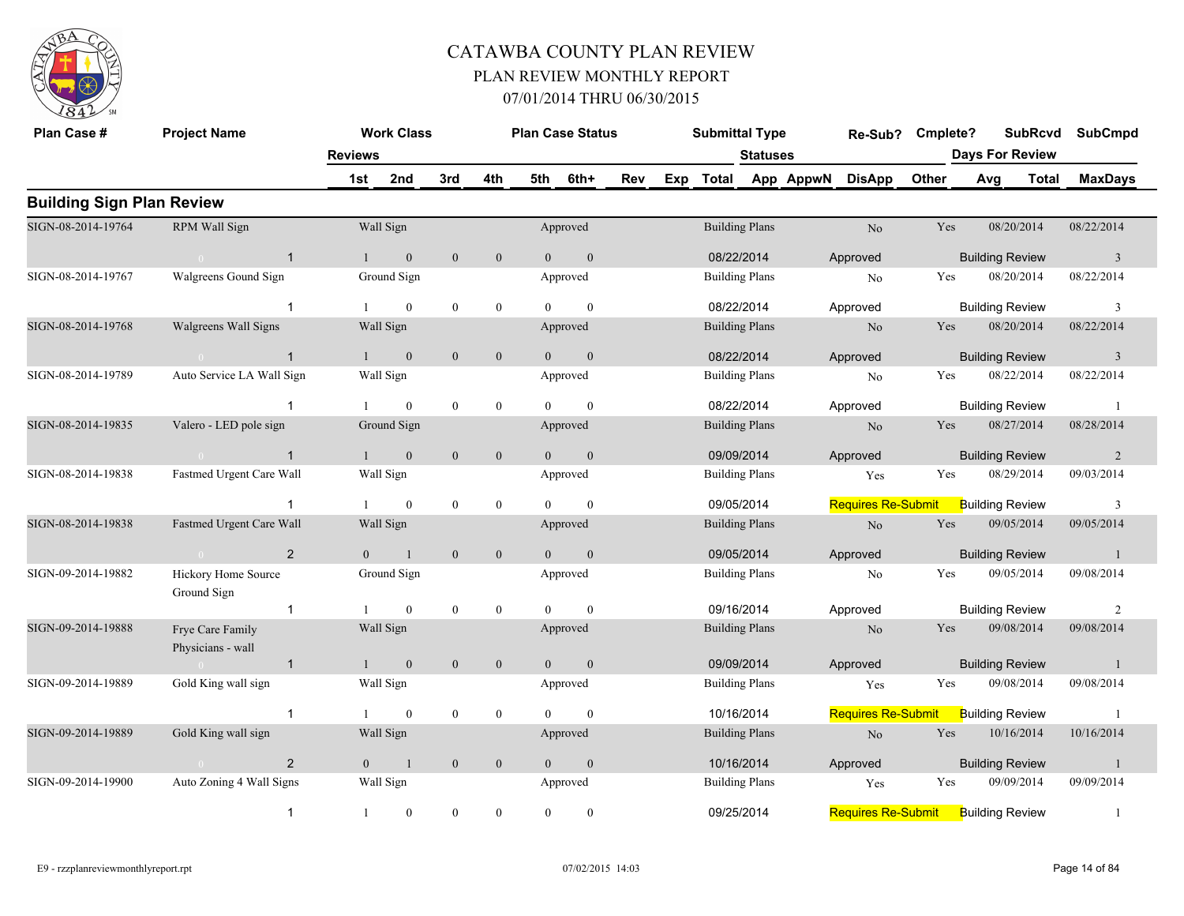

| Plan Case #                      | <b>Project Name</b>                        |                | <b>Work Class</b> |                  |                  |                | <b>Plan Case Status</b> |     |     | <b>Submittal Type</b> |                 |           | Re-Sub?                   | Cmplete? |                        | <b>SubRcvd</b> | <b>SubCmpd</b> |
|----------------------------------|--------------------------------------------|----------------|-------------------|------------------|------------------|----------------|-------------------------|-----|-----|-----------------------|-----------------|-----------|---------------------------|----------|------------------------|----------------|----------------|
|                                  |                                            | <b>Reviews</b> |                   |                  |                  |                |                         |     |     |                       | <b>Statuses</b> |           |                           |          | <b>Days For Review</b> |                |                |
|                                  |                                            | 1st            | 2nd               | 3rd              | 4th              | 5th            | 6th+                    | Rev | Exp | <b>Total</b>          |                 | App AppwN | <b>DisApp</b>             | Other    | Avg                    | Total          | <b>MaxDays</b> |
| <b>Building Sign Plan Review</b> |                                            |                |                   |                  |                  |                |                         |     |     |                       |                 |           |                           |          |                        |                |                |
| SIGN-08-2014-19764               | RPM Wall Sign                              |                | Wall Sign         |                  |                  |                | Approved                |     |     | <b>Building Plans</b> |                 |           | $\rm No$                  | Yes      | 08/20/2014             |                | 08/22/2014     |
|                                  | $\overline{1}$                             | 1              | $\mathbf{0}$      | $\mathbf{0}$     | $\mathbf{0}$     | $\overline{0}$ | $\mathbf{0}$            |     |     | 08/22/2014            |                 |           | Approved                  |          | <b>Building Review</b> |                | $\overline{3}$ |
| SIGN-08-2014-19767               | Walgreens Gound Sign                       |                | Ground Sign       |                  |                  |                | Approved                |     |     | <b>Building Plans</b> |                 |           | No                        | Yes      | 08/20/2014             |                | 08/22/2014     |
|                                  | -1                                         |                | $\theta$          | $\mathbf{0}$     | $\mathbf{0}$     |                | $\Omega$                |     |     | 08/22/2014            |                 |           | Approved                  |          | <b>Building Review</b> |                | $\overline{3}$ |
| SIGN-08-2014-19768               | Walgreens Wall Signs                       |                | Wall Sign         |                  |                  |                | Approved                |     |     | <b>Building Plans</b> |                 |           | N <sub>o</sub>            | Yes      | 08/20/2014             |                | 08/22/2014     |
|                                  | $\mathbf{1}$<br>$\sim 0$                   | 1              | $\mathbf{0}$      | $\mathbf{0}$     | $\mathbf{0}$     | $\overline{0}$ | $\mathbf{0}$            |     |     | 08/22/2014            |                 |           | Approved                  |          | <b>Building Review</b> |                | $\overline{3}$ |
| SIGN-08-2014-19789               | Auto Service LA Wall Sign                  |                | Wall Sign         |                  |                  |                | Approved                |     |     | <b>Building Plans</b> |                 |           | N <sub>0</sub>            | Yes      | 08/22/2014             |                | 08/22/2014     |
|                                  | $\mathbf{1}$                               |                | $\mathbf{0}$      | $\boldsymbol{0}$ | $\mathbf{0}$     |                | $\theta$                |     |     | 08/22/2014            |                 |           | Approved                  |          | <b>Building Review</b> |                | -1             |
| SIGN-08-2014-19835               | Valero - LED pole sign                     |                | Ground Sign       |                  |                  |                | Approved                |     |     | <b>Building Plans</b> |                 |           | $\rm No$                  | Yes      | 08/27/2014             |                | 08/28/2014     |
|                                  | $\overline{1}$<br>$\sim$ 0                 |                | $\boldsymbol{0}$  | $\mathbf{0}$     | $\boldsymbol{0}$ | $\overline{0}$ | $\mathbf{0}$            |     |     | 09/09/2014            |                 |           | Approved                  |          | <b>Building Review</b> |                | $\overline{2}$ |
| SIGN-08-2014-19838               | Fastmed Urgent Care Wall                   |                | Wall Sign         |                  |                  |                | Approved                |     |     | <b>Building Plans</b> |                 |           | Yes                       | Yes      | 08/29/2014             |                | 09/03/2014     |
|                                  | $\mathbf{1}$                               |                | $\mathbf{0}$      | $\boldsymbol{0}$ | $\mathbf{0}$     | $\Omega$       | $\mathbf{0}$            |     |     | 09/05/2014            |                 |           | <b>Requires Re-Submit</b> |          | <b>Building Review</b> |                | $\overline{3}$ |
| SIGN-08-2014-19838               | Fastmed Urgent Care Wall                   |                | Wall Sign         |                  |                  |                | Approved                |     |     | <b>Building Plans</b> |                 |           | No                        | Yes      | 09/05/2014             |                | 09/05/2014     |
|                                  | $\overline{2}$<br>$\sim$ 0 $\sim$ 0 $\sim$ | $\Omega$       | $\overline{1}$    | $\mathbf{0}$     | $\mathbf{0}$     | $\Omega$       | $\Omega$                |     |     | 09/05/2014            |                 |           | Approved                  |          | <b>Building Review</b> |                | -1             |
| SIGN-09-2014-19882               | Hickory Home Source<br>Ground Sign         |                | Ground Sign       |                  |                  |                | Approved                |     |     | <b>Building Plans</b> |                 |           | No                        | Yes      | 09/05/2014             |                | 09/08/2014     |
|                                  | $\overline{1}$                             |                | $\theta$          | $\mathbf{0}$     | $\mathbf{0}$     | $\Omega$       | $\theta$                |     |     | 09/16/2014            |                 |           | Approved                  |          | <b>Building Review</b> |                | $\overline{2}$ |
| SIGN-09-2014-19888               | Frye Care Family<br>Physicians - wall      |                | Wall Sign         |                  |                  |                | Approved                |     |     | <b>Building Plans</b> |                 |           | No                        | Yes      | 09/08/2014             |                | 09/08/2014     |
|                                  | $\overline{1}$<br>$\sim 0$                 |                | $\mathbf{0}$      | $\mathbf{0}$     | $\mathbf{0}$     | $\overline{0}$ | $\mathbf{0}$            |     |     | 09/09/2014            |                 |           | Approved                  |          | <b>Building Review</b> |                | $\mathbf{1}$   |
| SIGN-09-2014-19889               | Gold King wall sign                        |                | Wall Sign         |                  |                  |                | Approved                |     |     | <b>Building Plans</b> |                 |           | Yes                       | Yes      | 09/08/2014             |                | 09/08/2014     |
|                                  | $\overline{1}$                             |                | $\mathbf{0}$      | $\bf{0}$         | $\mathbf{0}$     | $\theta$       | $\theta$                |     |     | 10/16/2014            |                 |           | <b>Requires Re-Submit</b> |          | <b>Building Review</b> |                | -1             |
| SIGN-09-2014-19889               | Gold King wall sign                        |                | Wall Sign         |                  |                  |                | Approved                |     |     | <b>Building Plans</b> |                 |           | N <sub>o</sub>            | Yes      | 10/16/2014             |                | 10/16/2014     |
|                                  | $\overline{2}$<br>$\overline{0}$           | $\overline{0}$ | $\mathbf{1}$      | $\mathbf{0}$     | $\mathbf{0}$     | $\overline{0}$ | $\mathbf{0}$            |     |     | 10/16/2014            |                 |           | Approved                  |          | <b>Building Review</b> |                | $\mathbf{1}$   |
| SIGN-09-2014-19900               | Auto Zoning 4 Wall Signs                   |                | Wall Sign         |                  |                  |                | Approved                |     |     | <b>Building Plans</b> |                 |           | Yes                       | Yes      | 09/09/2014             |                | 09/09/2014     |
|                                  | $\mathbf{1}$                               | $\mathbf{1}$   | $\mathbf{0}$      | $\boldsymbol{0}$ | $\mathbf{0}$     | $\theta$       | $\theta$                |     |     | 09/25/2014            |                 |           | <b>Requires Re-Submit</b> |          | <b>Building Review</b> |                | -1             |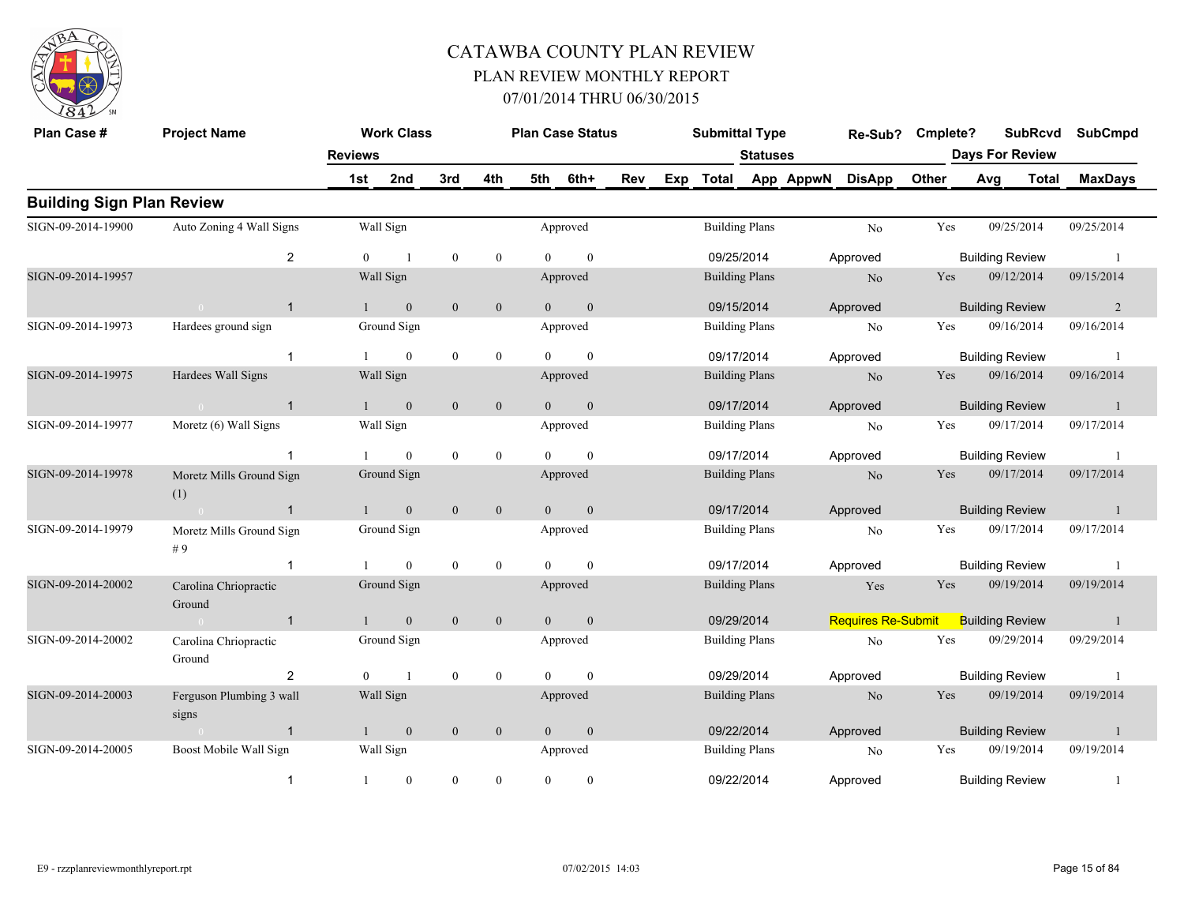

| Plan Case #                      | <b>Project Name</b>               |                | <b>Work Class</b> |                  |                  |                | <b>Plan Case Status</b> |     |     | <b>Submittal Type</b> |                 |           | Re-Sub?                   | Cmplete? |     |                        | <b>SubRcvd</b> | <b>SubCmpd</b> |
|----------------------------------|-----------------------------------|----------------|-------------------|------------------|------------------|----------------|-------------------------|-----|-----|-----------------------|-----------------|-----------|---------------------------|----------|-----|------------------------|----------------|----------------|
|                                  |                                   | <b>Reviews</b> |                   |                  |                  |                |                         |     |     |                       | <b>Statuses</b> |           |                           |          |     | <b>Days For Review</b> |                |                |
|                                  |                                   | 1st            | 2nd               | 3rd              | 4th              | 5th            | 6th+                    | Rev | Exp | <b>Total</b>          |                 | App AppwN | <b>DisApp</b>             | Other    | Avg |                        | <b>Total</b>   | <b>MaxDays</b> |
| <b>Building Sign Plan Review</b> |                                   |                |                   |                  |                  |                |                         |     |     |                       |                 |           |                           |          |     |                        |                |                |
| SIGN-09-2014-19900               | Auto Zoning 4 Wall Signs          |                | Wall Sign         |                  |                  |                | Approved                |     |     | <b>Building Plans</b> |                 |           | No                        | Yes      |     | 09/25/2014             |                | 09/25/2014     |
|                                  | $\overline{2}$                    | $\Omega$       |                   | $\boldsymbol{0}$ | $\mathbf{0}$     | $\Omega$       | $\mathbf{0}$            |     |     | 09/25/2014            |                 |           | Approved                  |          |     | <b>Building Review</b> |                |                |
| SIGN-09-2014-19957               |                                   |                | Wall Sign         |                  |                  |                | Approved                |     |     | <b>Building Plans</b> |                 |           | N <sub>o</sub>            | Yes      |     | 09/12/2014             |                | 09/15/2014     |
|                                  | $\overline{1}$<br>$\overline{0}$  |                | $\mathbf{0}$      | $\boldsymbol{0}$ | $\mathbf{0}$     | $\overline{0}$ | $\boldsymbol{0}$        |     |     | 09/15/2014            |                 |           | Approved                  |          |     | <b>Building Review</b> |                | $\overline{2}$ |
| SIGN-09-2014-19973               | Hardees ground sign               |                | Ground Sign       |                  |                  |                | Approved                |     |     | <b>Building Plans</b> |                 |           | No                        | Yes      |     | 09/16/2014             |                | 09/16/2014     |
|                                  | $\overline{1}$                    |                | $\overline{0}$    | $\boldsymbol{0}$ | $\boldsymbol{0}$ | $\Omega$       | $\mathbf{0}$            |     |     | 09/17/2014            |                 |           | Approved                  |          |     | <b>Building Review</b> |                |                |
| SIGN-09-2014-19975               | Hardees Wall Signs                |                | Wall Sign         |                  |                  |                | Approved                |     |     | <b>Building Plans</b> |                 |           | N <sub>0</sub>            | Yes      |     | 09/16/2014             |                | 09/16/2014     |
|                                  | $\overline{1}$<br>$\overline{0}$  |                | $\boldsymbol{0}$  | $\mathbf{0}$     | $\mathbf{0}$     | $\theta$       | $\mathbf{0}$            |     |     | 09/17/2014            |                 |           | Approved                  |          |     | <b>Building Review</b> |                | -1             |
| SIGN-09-2014-19977               | Moretz (6) Wall Signs             |                | Wall Sign         |                  |                  |                | Approved                |     |     | <b>Building Plans</b> |                 |           | N <sub>o</sub>            | Yes      |     | 09/17/2014             |                | 09/17/2014     |
|                                  |                                   |                | $\mathbf{0}$      | $\bf{0}$         | $\bf{0}$         | $\Omega$       | $\mathbf{0}$            |     |     | 09/17/2014            |                 |           | Approved                  |          |     | <b>Building Review</b> |                |                |
| SIGN-09-2014-19978               | Moretz Mills Ground Sign<br>(1)   |                | Ground Sign       |                  |                  |                | Approved                |     |     | <b>Building Plans</b> |                 |           | N <sub>o</sub>            | Yes      |     | 09/17/2014             |                | 09/17/2014     |
|                                  | $\mathbf{1}$                      |                | $\mathbf{0}$      | $\mathbf{0}$     | $\mathbf{0}$     | $\Omega$       | $\mathbf{0}$            |     |     | 09/17/2014            |                 |           | Approved                  |          |     | <b>Building Review</b> |                |                |
| SIGN-09-2014-19979               | Moretz Mills Ground Sign<br># $9$ |                | Ground Sign       |                  |                  |                | Approved                |     |     | <b>Building Plans</b> |                 |           | N <sub>o</sub>            | Yes      |     | 09/17/2014             |                | 09/17/2014     |
|                                  | $\mathbf{1}$                      |                | $\mathbf{0}$      | $\boldsymbol{0}$ | $\boldsymbol{0}$ | $\Omega$       | $\theta$                |     |     | 09/17/2014            |                 |           | Approved                  |          |     | <b>Building Review</b> |                |                |
| SIGN-09-2014-20002               | Carolina Chriopractic<br>Ground   |                | Ground Sign       |                  |                  |                | Approved                |     |     | <b>Building Plans</b> |                 |           | Yes                       | Yes      |     | 09/19/2014             |                | 09/19/2014     |
|                                  | $\overline{1}$                    |                | $\mathbf{0}$      | $\mathbf{0}$     | $\mathbf{0}$     | $\theta$       | $\mathbf{0}$            |     |     | 09/29/2014            |                 |           | <b>Requires Re-Submit</b> |          |     | <b>Building Review</b> |                | $\overline{1}$ |
| SIGN-09-2014-20002               | Carolina Chriopractic<br>Ground   |                | Ground Sign       |                  |                  |                | Approved                |     |     | <b>Building Plans</b> |                 |           | N <sub>o</sub>            | Yes      |     | 09/29/2014             |                | 09/29/2014     |
|                                  | $\overline{2}$                    | $\theta$       | $\overline{1}$    | $\boldsymbol{0}$ | $\boldsymbol{0}$ | $\Omega$       | $\mathbf{0}$            |     |     | 09/29/2014            |                 |           | Approved                  |          |     | <b>Building Review</b> |                |                |
| SIGN-09-2014-20003               | Ferguson Plumbing 3 wall<br>signs |                | Wall Sign         |                  |                  |                | Approved                |     |     | <b>Building Plans</b> |                 |           | N <sub>o</sub>            | Yes      |     | 09/19/2014             |                | 09/19/2014     |
|                                  | $\overline{1}$<br>$\bigcap$       |                | $\boldsymbol{0}$  | $\boldsymbol{0}$ | $\boldsymbol{0}$ | $\overline{0}$ | $\boldsymbol{0}$        |     |     | 09/22/2014            |                 |           | Approved                  |          |     | <b>Building Review</b> |                |                |
| SIGN-09-2014-20005               | Boost Mobile Wall Sign            |                | Wall Sign         |                  |                  |                | Approved                |     |     | <b>Building Plans</b> |                 |           | N <sub>o</sub>            | Yes      |     | 09/19/2014             |                | 09/19/2014     |
|                                  | -1                                |                | $\boldsymbol{0}$  | $\boldsymbol{0}$ | $\boldsymbol{0}$ | $\theta$       | $\mathbf{0}$            |     |     | 09/22/2014            |                 |           | Approved                  |          |     | <b>Building Review</b> |                |                |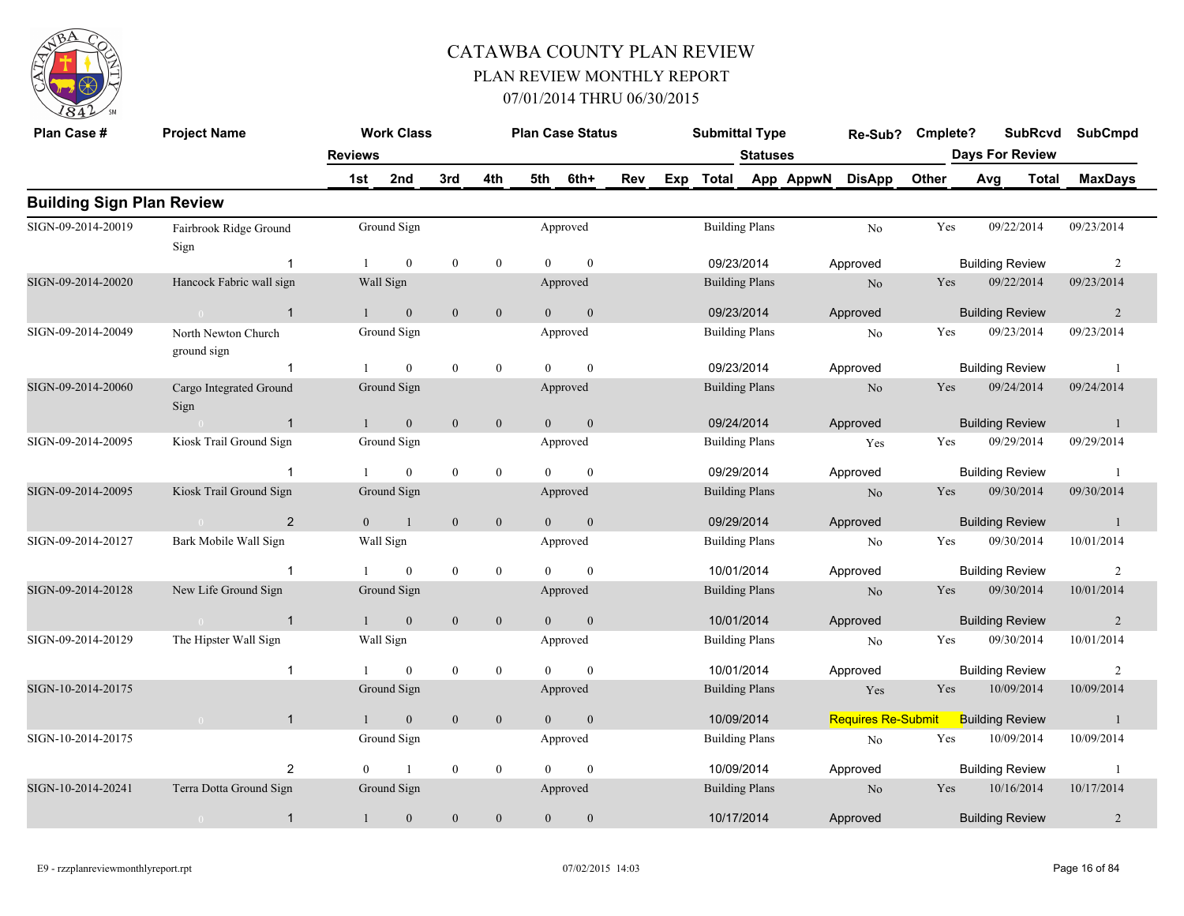

| Plan Case #                      | <b>Project Name</b>                |                | <b>Work Class</b> |                  |                  |                | <b>Plan Case Status</b> |     | <b>Submittal Type</b> |                 |           | Re-Sub?                   | Cmplete? |     | <b>SubRcvd</b>         | <b>SubCmpd</b> |  |
|----------------------------------|------------------------------------|----------------|-------------------|------------------|------------------|----------------|-------------------------|-----|-----------------------|-----------------|-----------|---------------------------|----------|-----|------------------------|----------------|--|
|                                  |                                    | <b>Reviews</b> |                   |                  |                  |                |                         |     |                       | <b>Statuses</b> |           |                           |          |     | <b>Days For Review</b> |                |  |
|                                  |                                    | 1st            | 2nd               | 3rd              | 4th              | 5th            | 6th+                    | Rev | Exp Total             |                 | App AppwN | <b>DisApp</b>             | Other    | Avg | Total                  | <b>MaxDays</b> |  |
| <b>Building Sign Plan Review</b> |                                    |                |                   |                  |                  |                |                         |     |                       |                 |           |                           |          |     |                        |                |  |
| SIGN-09-2014-20019               | Fairbrook Ridge Ground<br>Sign     |                | Ground Sign       |                  |                  |                | Approved                |     | <b>Building Plans</b> |                 |           | No                        | Yes      |     | 09/22/2014             | 09/23/2014     |  |
|                                  | $\overline{1}$                     | $\mathbf{1}$   | $\mathbf{0}$      | $\mathbf{0}$     | $\mathbf{0}$     | $\Omega$       | $\mathbf{0}$            |     | 09/23/2014            |                 |           | Approved                  |          |     | <b>Building Review</b> | $\overline{2}$ |  |
| SIGN-09-2014-20020               | Hancock Fabric wall sign           |                | Wall Sign         |                  |                  |                | Approved                |     | <b>Building Plans</b> |                 |           | N <sub>o</sub>            | Yes      |     | 09/22/2014             | 09/23/2014     |  |
|                                  | $\overline{1}$<br>$\bigcap$        |                | $\mathbf{0}$      | $\mathbf{0}$     | $\mathbf{0}$     | $\theta$       | $\mathbf{0}$            |     | 09/23/2014            |                 |           | Approved                  |          |     | <b>Building Review</b> | 2              |  |
| SIGN-09-2014-20049               | North Newton Church<br>ground sign |                | Ground Sign       |                  |                  |                | Approved                |     | <b>Building Plans</b> |                 |           | No                        | Yes      |     | 09/23/2014             | 09/23/2014     |  |
|                                  | $\mathbf{1}$                       |                | $\theta$          | $\mathbf{0}$     | $\mathbf{0}$     | $\Omega$       | $\theta$                |     | 09/23/2014            |                 |           | Approved                  |          |     | <b>Building Review</b> | -1             |  |
| SIGN-09-2014-20060               | Cargo Integrated Ground<br>Sign    |                | Ground Sign       |                  |                  |                | Approved                |     | <b>Building Plans</b> |                 |           | $\rm No$                  | Yes      |     | 09/24/2014             | 09/24/2014     |  |
|                                  | $\overline{1}$                     | $\mathbf{1}$   | $\mathbf{0}$      | $\mathbf{0}$     | $\mathbf{0}$     | $\theta$       | $\mathbf{0}$            |     | 09/24/2014            |                 |           | Approved                  |          |     | <b>Building Review</b> | $\overline{1}$ |  |
| SIGN-09-2014-20095               | Kiosk Trail Ground Sign            |                | Ground Sign       |                  |                  |                | Approved                |     | <b>Building Plans</b> |                 |           | Yes                       | Yes      |     | 09/29/2014             | 09/29/2014     |  |
|                                  | -1                                 |                | $\mathbf{0}$      | $\boldsymbol{0}$ | $\boldsymbol{0}$ | $\Omega$       | $\mathbf{0}$            |     | 09/29/2014            |                 |           | Approved                  |          |     | <b>Building Review</b> | -1             |  |
| SIGN-09-2014-20095               | Kiosk Trail Ground Sign            |                | Ground Sign       |                  |                  |                | Approved                |     | <b>Building Plans</b> |                 |           | N <sub>o</sub>            | Yes      |     | 09/30/2014             | 09/30/2014     |  |
|                                  | $\overline{2}$                     | $\Omega$       | $\overline{1}$    | $\mathbf{0}$     | $\boldsymbol{0}$ | $\Omega$       | $\mathbf{0}$            |     | 09/29/2014            |                 |           | Approved                  |          |     | <b>Building Review</b> | $\overline{1}$ |  |
| SIGN-09-2014-20127               | Bark Mobile Wall Sign              |                | Wall Sign         |                  |                  |                | Approved                |     | <b>Building Plans</b> |                 |           | No                        | Yes      |     | 09/30/2014             | 10/01/2014     |  |
|                                  | $\overline{1}$                     |                | $\mathbf{0}$      | $\boldsymbol{0}$ | $\mathbf{0}$     | $\Omega$       | $\theta$                |     | 10/01/2014            |                 |           | Approved                  |          |     | <b>Building Review</b> | 2              |  |
| SIGN-09-2014-20128               | New Life Ground Sign               |                | Ground Sign       |                  |                  |                | Approved                |     | <b>Building Plans</b> |                 |           | N <sub>o</sub>            | Yes      |     | 09/30/2014             | 10/01/2014     |  |
|                                  | $\sim$ 0<br>$\overline{1}$         | $\mathbf{1}$   | $\mathbf{0}$      | $\boldsymbol{0}$ | $\boldsymbol{0}$ | $\mathbf{0}$   | $\mathbf{0}$            |     | 10/01/2014            |                 |           | Approved                  |          |     | <b>Building Review</b> | $\overline{2}$ |  |
| SIGN-09-2014-20129               | The Hipster Wall Sign              |                | Wall Sign         |                  |                  |                | Approved                |     | <b>Building Plans</b> |                 |           | N <sub>0</sub>            | Yes      |     | 09/30/2014             | 10/01/2014     |  |
|                                  | $\overline{1}$                     |                | $\mathbf{0}$      | $\boldsymbol{0}$ | $\mathbf{0}$     |                | $\theta$                |     | 10/01/2014            |                 |           | Approved                  |          |     | <b>Building Review</b> | 2              |  |
| SIGN-10-2014-20175               |                                    |                | Ground Sign       |                  |                  |                | Approved                |     | <b>Building Plans</b> |                 |           | Yes                       | Yes      |     | 10/09/2014             | 10/09/2014     |  |
|                                  | $\mathbf{1}$<br>$\bigcap$          |                | $\mathbf{0}$      | $\mathbf{0}$     | $\boldsymbol{0}$ | $\overline{0}$ | $\mathbf{0}$            |     | 10/09/2014            |                 |           | <b>Requires Re-Submit</b> |          |     | <b>Building Review</b> | -1             |  |
| SIGN-10-2014-20175               |                                    |                | Ground Sign       |                  |                  |                | Approved                |     | <b>Building Plans</b> |                 |           | No                        | Yes      |     | 10/09/2014             | 10/09/2014     |  |
|                                  | $\overline{2}$                     | $\theta$       | $\mathbf{1}$      | $\bf{0}$         | $\boldsymbol{0}$ | $\Omega$       | $\theta$                |     | 10/09/2014            |                 |           | Approved                  |          |     | <b>Building Review</b> | -1             |  |
| SIGN-10-2014-20241               | Terra Dotta Ground Sign            |                | Ground Sign       |                  |                  |                | Approved                |     | <b>Building Plans</b> |                 |           | No                        | Yes      |     | 10/16/2014             | 10/17/2014     |  |
|                                  | $\mathbf{1}$<br>$\overline{0}$     |                | $\boldsymbol{0}$  | $\mathbf{0}$     | $\boldsymbol{0}$ | $\overline{0}$ | $\theta$                |     | 10/17/2014            |                 |           | Approved                  |          |     | <b>Building Review</b> | 2              |  |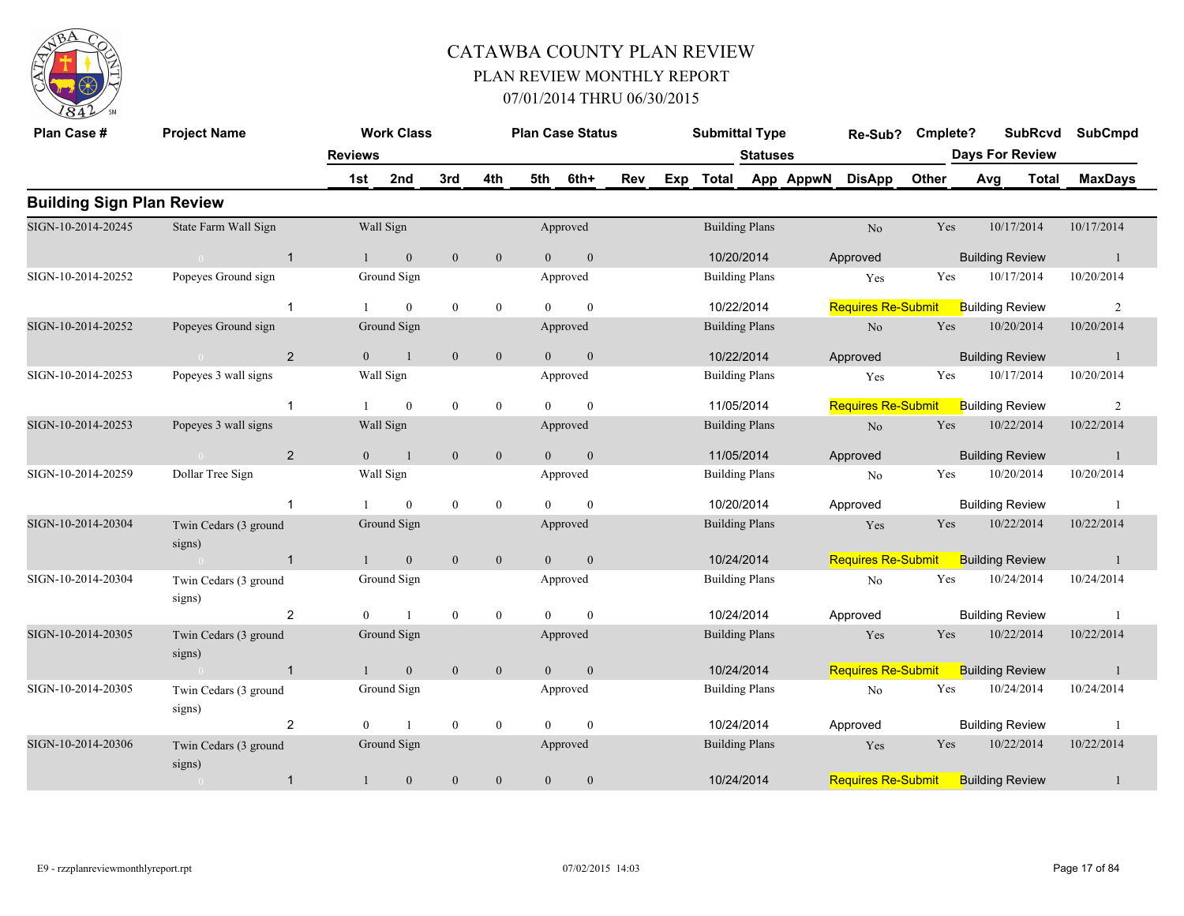

| Plan Case #                      | <b>Project Name</b>             |                       | <b>Work Class</b> |                  |                  |                | <b>Plan Case Status</b> |     |     | <b>Submittal Type</b> |                 |           | Re-Sub?                   | Cmplete? |     | <b>SubRcvd</b><br><b>Days For Review</b> | <b>SubCmpd</b> |
|----------------------------------|---------------------------------|-----------------------|-------------------|------------------|------------------|----------------|-------------------------|-----|-----|-----------------------|-----------------|-----------|---------------------------|----------|-----|------------------------------------------|----------------|
|                                  |                                 | <b>Reviews</b><br>1st | 2nd               | 3rd              | 4th              | 5th            | 6th+                    | Rev | Exp | Total                 | <b>Statuses</b> | App AppwN | <b>DisApp</b>             | Other    | Avg | <b>Total</b>                             | <b>MaxDays</b> |
| <b>Building Sign Plan Review</b> |                                 |                       |                   |                  |                  |                |                         |     |     |                       |                 |           |                           |          |     |                                          |                |
| SIGN-10-2014-20245               | State Farm Wall Sign            |                       | Wall Sign         |                  |                  |                | Approved                |     |     | <b>Building Plans</b> |                 |           | No                        | Yes      |     | 10/17/2014                               | 10/17/2014     |
|                                  | $\overline{1}$<br>$\sim$ 0      |                       | $\mathbf{0}$      | $\boldsymbol{0}$ | $\boldsymbol{0}$ | $\overline{0}$ | $\mathbf{0}$            |     |     | 10/20/2014            |                 |           | Approved                  |          |     | <b>Building Review</b>                   | $\mathbf{1}$   |
| SIGN-10-2014-20252               | Popeyes Ground sign             |                       | Ground Sign       |                  |                  |                | Approved                |     |     | <b>Building Plans</b> |                 |           | Yes                       | Yes      |     | 10/17/2014                               | 10/20/2014     |
|                                  | $\overline{1}$                  |                       | $\overline{0}$    | $\mathbf{0}$     | $\boldsymbol{0}$ | $\Omega$       | $\mathbf{0}$            |     |     | 10/22/2014            |                 |           | <b>Requires Re-Submit</b> |          |     | <b>Building Review</b>                   | 2              |
| SIGN-10-2014-20252               | Popeyes Ground sign             |                       | Ground Sign       |                  |                  |                | Approved                |     |     | <b>Building Plans</b> |                 |           | N <sub>o</sub>            | Yes      |     | 10/20/2014                               | 10/20/2014     |
|                                  | $\overline{2}$<br>$\Omega$      | $\theta$              | $\overline{1}$    | $\mathbf{0}$     | $\boldsymbol{0}$ | $\Omega$       | $\mathbf{0}$            |     |     | 10/22/2014            |                 |           | Approved                  |          |     | <b>Building Review</b>                   | $\overline{1}$ |
| SIGN-10-2014-20253               | Popeyes 3 wall signs            |                       | Wall Sign         |                  |                  |                | Approved                |     |     | <b>Building Plans</b> |                 |           | Yes                       | Yes      |     | 10/17/2014                               | 10/20/2014     |
|                                  | $\overline{1}$                  |                       | $\mathbf{0}$      | $\boldsymbol{0}$ | $\boldsymbol{0}$ |                | $\mathbf{0}$            |     |     | 11/05/2014            |                 |           | <b>Requires Re-Submit</b> |          |     | <b>Building Review</b>                   | $\overline{2}$ |
| SIGN-10-2014-20253               | Popeyes 3 wall signs            |                       | Wall Sign         |                  |                  |                | Approved                |     |     | <b>Building Plans</b> |                 |           | $\rm No$                  | Yes      |     | 10/22/2014                               | 10/22/2014     |
|                                  | 2                               | $\overline{0}$        | $\overline{1}$    | $\mathbf{0}$     | $\mathbf{0}$     | $\Omega$       | $\mathbf{0}$            |     |     | 11/05/2014            |                 |           | Approved                  |          |     | <b>Building Review</b>                   | $\overline{1}$ |
| SIGN-10-2014-20259               | Dollar Tree Sign                |                       | Wall Sign         |                  |                  |                | Approved                |     |     | <b>Building Plans</b> |                 |           | No                        | Yes      |     | 10/20/2014                               | 10/20/2014     |
|                                  | $\overline{1}$                  |                       | $\theta$          | $\mathbf{0}$     | $\mathbf{0}$     | $\Omega$       | $\mathbf{0}$            |     |     | 10/20/2014            |                 |           | Approved                  |          |     | <b>Building Review</b>                   | -1             |
| SIGN-10-2014-20304               | Twin Cedars (3 ground<br>signs) |                       | Ground Sign       |                  |                  |                | Approved                |     |     | <b>Building Plans</b> |                 |           | Yes                       | Yes      |     | 10/22/2014                               | 10/22/2014     |
|                                  | -1                              |                       | $\mathbf{0}$      | $\mathbf{0}$     | $\boldsymbol{0}$ | $\overline{0}$ | $\mathbf{0}$            |     |     | 10/24/2014            |                 |           | <b>Requires Re-Submit</b> |          |     | <b>Building Review</b>                   | $\mathbf{1}$   |
| SIGN-10-2014-20304               | Twin Cedars (3 ground<br>signs) |                       | Ground Sign       |                  |                  |                | Approved                |     |     | <b>Building Plans</b> |                 |           | No                        | Yes      |     | 10/24/2014                               | 10/24/2014     |
|                                  | 2                               | $\theta$              | $\overline{1}$    | $\mathbf{0}$     | $\boldsymbol{0}$ | $\Omega$       | $\mathbf{0}$            |     |     | 10/24/2014            |                 |           | Approved                  |          |     | <b>Building Review</b>                   | $\overline{1}$ |
| SIGN-10-2014-20305               | Twin Cedars (3 ground<br>signs) |                       | Ground Sign       |                  |                  |                | Approved                |     |     | <b>Building Plans</b> |                 |           | Yes                       | Yes      |     | 10/22/2014                               | 10/22/2014     |
|                                  | $\overline{1}$                  |                       | $\mathbf{0}$      | $\mathbf{0}$     | $\mathbf{0}$     | $\overline{0}$ | $\mathbf{0}$            |     |     | 10/24/2014            |                 |           | <b>Requires Re-Submit</b> |          |     | <b>Building Review</b>                   | $\overline{1}$ |
| SIGN-10-2014-20305               | Twin Cedars (3 ground<br>signs) |                       | Ground Sign       |                  |                  |                | Approved                |     |     | <b>Building Plans</b> |                 |           | No                        | Yes      |     | 10/24/2014                               | 10/24/2014     |
|                                  | 2                               | $\theta$              |                   | $\mathbf{0}$     | $\boldsymbol{0}$ | $\theta$       | $\theta$                |     |     | 10/24/2014            |                 |           | Approved                  |          |     | <b>Building Review</b>                   | $\overline{1}$ |
| SIGN-10-2014-20306               | Twin Cedars (3 ground<br>signs) |                       | Ground Sign       |                  |                  |                | Approved                |     |     | <b>Building Plans</b> |                 |           | Yes                       | Yes      |     | 10/22/2014                               | 10/22/2014     |
|                                  | $\mathbf{1}$                    |                       | $\mathbf{0}$      | $\mathbf{0}$     | $\mathbf{0}$     | $\mathbf{0}$   | $\mathbf{0}$            |     |     | 10/24/2014            |                 |           | <b>Requires Re-Submit</b> |          |     | <b>Building Review</b>                   | 1              |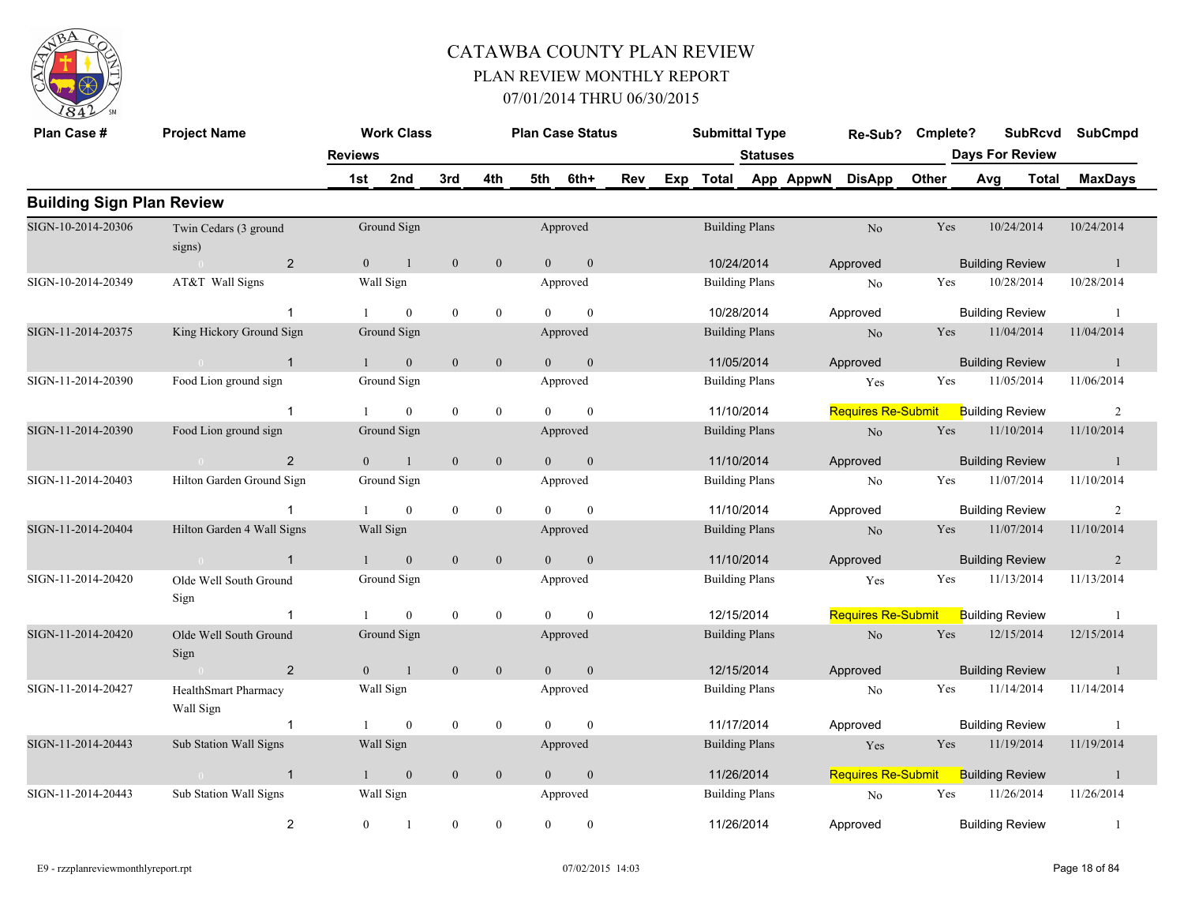

| Plan Case #                      | <b>Project Name</b>               |                | <b>Work Class</b> |                  |                  |                | <b>Plan Case Status</b> |     | <b>Submittal Type</b> |                 |           | Re-Sub?                   | Cmplete? |                        |                        | <b>SubRcvd</b> | <b>SubCmpd</b> |
|----------------------------------|-----------------------------------|----------------|-------------------|------------------|------------------|----------------|-------------------------|-----|-----------------------|-----------------|-----------|---------------------------|----------|------------------------|------------------------|----------------|----------------|
|                                  |                                   | <b>Reviews</b> |                   |                  |                  |                |                         |     |                       | <b>Statuses</b> |           |                           |          | <b>Days For Review</b> |                        |                |                |
|                                  |                                   | 1st            | 2nd               | 3rd              | 4th              | 5th            | 6th+                    | Rev | Exp Total             |                 | App AppwN | <b>DisApp</b>             | Other    |                        | Avg                    | Total          | <b>MaxDays</b> |
| <b>Building Sign Plan Review</b> |                                   |                |                   |                  |                  |                |                         |     |                       |                 |           |                           |          |                        |                        |                |                |
| SIGN-10-2014-20306               | Twin Cedars (3 ground<br>signs)   |                | Ground Sign       |                  |                  |                | Approved                |     | <b>Building Plans</b> |                 |           | No                        | Yes      |                        | 10/24/2014             |                | 10/24/2014     |
|                                  | $\overline{2}$                    | $\theta$       | $\overline{1}$    | $\mathbf{0}$     | $\mathbf{0}$     | $\theta$       | $\mathbf{0}$            |     | 10/24/2014            |                 |           | Approved                  |          |                        | <b>Building Review</b> |                | $\overline{1}$ |
| SIGN-10-2014-20349               | AT&T Wall Signs                   |                | Wall Sign         |                  |                  |                | Approved                |     | <b>Building Plans</b> |                 |           | N <sub>0</sub>            | Yes      |                        | 10/28/2014             |                | 10/28/2014     |
|                                  | $\mathbf{1}$                      |                | $\theta$          | $\mathbf{0}$     | $\mathbf{0}$     | $\Omega$       | $\theta$                |     | 10/28/2014            |                 |           | Approved                  |          |                        | <b>Building Review</b> |                | $\overline{1}$ |
| SIGN-11-2014-20375               | King Hickory Ground Sign          |                | Ground Sign       |                  |                  |                | Approved                |     | <b>Building Plans</b> |                 |           | N <sub>o</sub>            | Yes      |                        | 11/04/2014             |                | 11/04/2014     |
|                                  | $\overline{1}$                    | $\mathbf{1}$   | $\mathbf{0}$      | $\mathbf{0}$     | $\mathbf{0}$     | $\overline{0}$ | $\mathbf{0}$            |     | 11/05/2014            |                 |           | Approved                  |          |                        | <b>Building Review</b> |                | -1             |
| SIGN-11-2014-20390               | Food Lion ground sign             |                | Ground Sign       |                  |                  |                | Approved                |     | <b>Building Plans</b> |                 |           | Yes                       | Yes      |                        | 11/05/2014             |                | 11/06/2014     |
|                                  | $\overline{1}$                    | $\mathbf{1}$   | $\mathbf{0}$      | $\mathbf{0}$     | $\mathbf{0}$     | $\Omega$       | $\theta$                |     | 11/10/2014            |                 |           | <b>Requires Re-Submit</b> |          |                        | <b>Building Review</b> |                | 2              |
| SIGN-11-2014-20390               | Food Lion ground sign             |                | Ground Sign       |                  |                  |                | Approved                |     | <b>Building Plans</b> |                 |           | N <sub>o</sub>            | Yes      |                        | 11/10/2014             |                | 11/10/2014     |
|                                  | $\overline{2}$<br>$\theta$        | $\overline{0}$ | $\mathbf{1}$      | $\mathbf{0}$     | $\mathbf{0}$     | $\overline{0}$ | $\mathbf{0}$            |     | 11/10/2014            |                 |           | Approved                  |          |                        | <b>Building Review</b> |                | $\mathbf{1}$   |
| SIGN-11-2014-20403               | Hilton Garden Ground Sign         |                | Ground Sign       |                  |                  |                | Approved                |     | <b>Building Plans</b> |                 |           | No                        | Yes      |                        | 11/07/2014             |                | 11/10/2014     |
|                                  | $\mathbf{1}$                      |                | $\mathbf{0}$      | $\mathbf{0}$     | $\mathbf{0}$     | $\Omega$       | $\theta$                |     | 11/10/2014            |                 |           | Approved                  |          |                        | <b>Building Review</b> |                | 2              |
| SIGN-11-2014-20404               | Hilton Garden 4 Wall Signs        |                | Wall Sign         |                  |                  |                | Approved                |     | <b>Building Plans</b> |                 |           | No                        | Yes      |                        | 11/07/2014             |                | 11/10/2014     |
|                                  | $\mathbf{1}$                      |                | $\mathbf{0}$      | $\mathbf{0}$     | $\mathbf{0}$     | $\Omega$       | $\Omega$                |     | 11/10/2014            |                 |           | Approved                  |          |                        | <b>Building Review</b> |                | 2              |
| SIGN-11-2014-20420               | Olde Well South Ground<br>Sign    |                | Ground Sign       |                  |                  |                | Approved                |     | <b>Building Plans</b> |                 |           | Yes                       | Yes      |                        | 11/13/2014             |                | 11/13/2014     |
|                                  | -1                                |                | $\theta$          | $\bf{0}$         | $\boldsymbol{0}$ | $\Omega$       | $\Omega$                |     | 12/15/2014            |                 |           | <b>Requires Re-Submit</b> |          |                        | <b>Building Review</b> |                | -1             |
| SIGN-11-2014-20420               | Olde Well South Ground<br>Sign    |                | Ground Sign       |                  |                  |                | Approved                |     | <b>Building Plans</b> |                 |           | N <sub>o</sub>            | Yes      |                        | 12/15/2014             |                | 12/15/2014     |
|                                  | 2                                 | $\overline{0}$ | $\overline{1}$    | $\mathbf{0}$     | $\mathbf{0}$     | $\overline{0}$ | $\mathbf{0}$            |     | 12/15/2014            |                 |           | Approved                  |          |                        | <b>Building Review</b> |                | $\mathbf{1}$   |
| SIGN-11-2014-20427               | HealthSmart Pharmacy<br>Wall Sign |                | Wall Sign         |                  |                  |                | Approved                |     | <b>Building Plans</b> |                 |           | No                        | Yes      |                        | 11/14/2014             |                | 11/14/2014     |
|                                  | $\mathbf{1}$                      | $\mathbf{1}$   | $\mathbf{0}$      | $\bf{0}$         | $\boldsymbol{0}$ | $\overline{0}$ | $\mathbf{0}$            |     | 11/17/2014            |                 |           | Approved                  |          |                        | <b>Building Review</b> |                | -1             |
| SIGN-11-2014-20443               | Sub Station Wall Signs            |                | Wall Sign         |                  |                  |                | Approved                |     | <b>Building Plans</b> |                 |           | Yes                       | Yes      |                        | 11/19/2014             |                | 11/19/2014     |
|                                  | $\mathbf{1}$                      | 1              | $\mathbf{0}$      | $\mathbf{0}$     | $\mathbf{0}$     | $\overline{0}$ | $\mathbf{0}$            |     | 11/26/2014            |                 |           | <b>Requires Re-Submit</b> |          |                        | <b>Building Review</b> |                | $\mathbf{1}$   |
| SIGN-11-2014-20443               | Sub Station Wall Signs            |                | Wall Sign         |                  |                  |                | Approved                |     | <b>Building Plans</b> |                 |           | No                        | Yes      |                        | 11/26/2014             |                | 11/26/2014     |
|                                  | $\overline{2}$                    | $\overline{0}$ |                   | $\boldsymbol{0}$ | $\mathbf{0}$     | $\theta$       | $\mathbf{0}$            |     | 11/26/2014            |                 |           | Approved                  |          |                        | <b>Building Review</b> |                | $\overline{1}$ |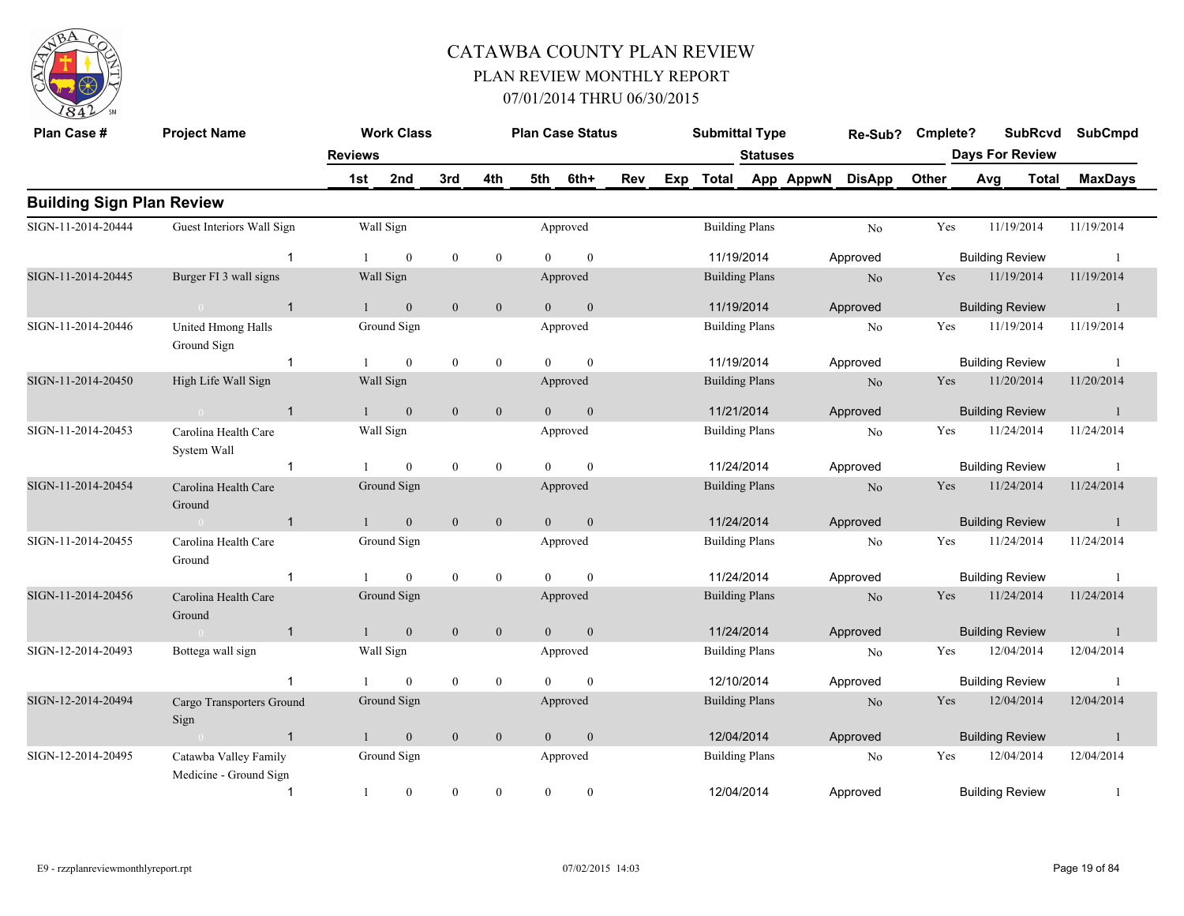

| Plan Case #                      | <b>Project Name</b>                             |                | <b>Work Class</b> |                  |                  |                | <b>Plan Case Status</b> |     |     | <b>Submittal Type</b> |                       |           | Re-Sub?        | Cmplete? |                        | <b>SubRcvd</b> | <b>SubCmpd</b> |
|----------------------------------|-------------------------------------------------|----------------|-------------------|------------------|------------------|----------------|-------------------------|-----|-----|-----------------------|-----------------------|-----------|----------------|----------|------------------------|----------------|----------------|
|                                  |                                                 | <b>Reviews</b> |                   |                  |                  |                |                         |     |     |                       | <b>Statuses</b>       |           |                |          | <b>Days For Review</b> |                |                |
|                                  |                                                 | 1st            | 2nd               | 3rd              | 4th              | 5th            | 6th+                    | Rev | Exp | <b>Total</b>          |                       | App AppwN | <b>DisApp</b>  | Other    | Avg                    | <b>Total</b>   | <b>MaxDays</b> |
| <b>Building Sign Plan Review</b> |                                                 |                |                   |                  |                  |                |                         |     |     |                       |                       |           |                |          |                        |                |                |
| SIGN-11-2014-20444               | Guest Interiors Wall Sign                       |                | Wall Sign         |                  |                  |                | Approved                |     |     | <b>Building Plans</b> |                       |           | N <sub>o</sub> | Yes      |                        | 11/19/2014     | 11/19/2014     |
|                                  | $\mathbf{1}$                                    |                | $\overline{0}$    | $\boldsymbol{0}$ | $\mathbf{0}$     | $\Omega$       | $\mathbf{0}$            |     |     | 11/19/2014            |                       |           | Approved       |          | <b>Building Review</b> |                | -1             |
| SIGN-11-2014-20445               | Burger FI 3 wall signs                          |                | Wall Sign         |                  |                  |                | Approved                |     |     |                       | <b>Building Plans</b> |           | N <sub>o</sub> | Yes      |                        | 11/19/2014     | 11/19/2014     |
|                                  | $\overline{1}$<br>$\sim$ 0                      |                | $\mathbf{0}$      | $\mathbf{0}$     | $\boldsymbol{0}$ | $\theta$       | $\mathbf{0}$            |     |     | 11/19/2014            |                       |           | Approved       |          | <b>Building Review</b> |                | $\overline{1}$ |
| SIGN-11-2014-20446               | United Hmong Halls<br>Ground Sign               |                | Ground Sign       |                  |                  |                | Approved                |     |     | <b>Building Plans</b> |                       |           | No             | Yes      |                        | 11/19/2014     | 11/19/2014     |
|                                  | $\mathbf{1}$                                    |                | $\overline{0}$    | $\mathbf{0}$     | $\mathbf{0}$     | $\theta$       | $\mathbf{0}$            |     |     | 11/19/2014            |                       |           | Approved       |          | <b>Building Review</b> |                | - 1            |
| SIGN-11-2014-20450               | High Life Wall Sign                             |                | Wall Sign         |                  |                  |                | Approved                |     |     | <b>Building Plans</b> |                       |           | N <sub>o</sub> | Yes      |                        | 11/20/2014     | 11/20/2014     |
|                                  | 0 <sup>1</sup><br>$\overline{1}$                |                | $\mathbf{0}$      | $\mathbf{0}$     | $\mathbf{0}$     | $\Omega$       | $\mathbf{0}$            |     |     | 11/21/2014            |                       |           | Approved       |          | <b>Building Review</b> |                | $\blacksquare$ |
| SIGN-11-2014-20453               | Carolina Health Care<br>System Wall             |                | Wall Sign         |                  |                  |                | Approved                |     |     | <b>Building Plans</b> |                       |           | N <sub>o</sub> | Yes      |                        | 11/24/2014     | 11/24/2014     |
|                                  | $\overline{1}$                                  |                | $\overline{0}$    | $\mathbf{0}$     | $\boldsymbol{0}$ | $\theta$       | $\mathbf{0}$            |     |     | 11/24/2014            |                       |           | Approved       |          | <b>Building Review</b> |                |                |
| SIGN-11-2014-20454               | Carolina Health Care<br>Ground                  |                | Ground Sign       |                  |                  |                | Approved                |     |     | <b>Building Plans</b> |                       |           | No             | Yes      |                        | 11/24/2014     | 11/24/2014     |
|                                  | $\overline{1}$<br>$\sim 0$                      |                | $\mathbf{0}$      | $\boldsymbol{0}$ | $\overline{0}$   | $\overline{0}$ | $\boldsymbol{0}$        |     |     | 11/24/2014            |                       |           | Approved       |          | <b>Building Review</b> |                | -1             |
| SIGN-11-2014-20455               | Carolina Health Care<br>Ground                  |                | Ground Sign       |                  |                  |                | Approved                |     |     | <b>Building Plans</b> |                       |           | No             | Yes      |                        | 11/24/2014     | 11/24/2014     |
|                                  | $\overline{1}$                                  |                | $\overline{0}$    | $\boldsymbol{0}$ | $\boldsymbol{0}$ | $\theta$       | $\mathbf{0}$            |     |     | 11/24/2014            |                       |           | Approved       |          | <b>Building Review</b> |                |                |
| SIGN-11-2014-20456               | Carolina Health Care<br>Ground                  |                | Ground Sign       |                  |                  |                | Approved                |     |     | <b>Building Plans</b> |                       |           | N <sub>o</sub> | Yes      |                        | 11/24/2014     | 11/24/2014     |
|                                  | $\mathbf{1}$<br>$\sim 0$                        |                | $\mathbf{0}$      | $\boldsymbol{0}$ | $\mathbf{0}$     | $\overline{0}$ | $\mathbf{0}$            |     |     | 11/24/2014            |                       |           | Approved       |          | <b>Building Review</b> |                | $\overline{1}$ |
| SIGN-12-2014-20493               | Bottega wall sign                               |                | Wall Sign         |                  |                  |                | Approved                |     |     | <b>Building Plans</b> |                       |           | N <sub>o</sub> | Yes      |                        | 12/04/2014     | 12/04/2014     |
|                                  |                                                 |                | $\mathbf{0}$      | $\mathbf{0}$     | $\boldsymbol{0}$ | $\Omega$       | $\mathbf{0}$            |     |     | 12/10/2014            |                       |           | Approved       |          | <b>Building Review</b> |                | -1             |
| SIGN-12-2014-20494               | Cargo Transporters Ground<br>Sign               |                | Ground Sign       |                  |                  |                | Approved                |     |     | <b>Building Plans</b> |                       |           | N <sub>o</sub> | Yes      |                        | 12/04/2014     | 12/04/2014     |
|                                  | $\sim$ 0 $\sim$ 1                               | $\overline{1}$ | $\mathbf{0}$      | $\mathbf{0}$     | $\mathbf{0}$     | $\theta$       | $\mathbf{0}$            |     |     | 12/04/2014            |                       |           | Approved       |          | <b>Building Review</b> |                | -1             |
| SIGN-12-2014-20495               | Catawba Valley Family<br>Medicine - Ground Sign |                | Ground Sign       |                  |                  |                | Approved                |     |     | <b>Building Plans</b> |                       |           | N <sub>o</sub> | Yes      |                        | 12/04/2014     | 12/04/2014     |
|                                  | $\mathbf{1}$                                    | 1              | $\overline{0}$    | $\mathbf{0}$     | $\mathbf{0}$     | $\theta$       | $\mathbf{0}$            |     |     | 12/04/2014            |                       |           | Approved       |          | <b>Building Review</b> |                |                |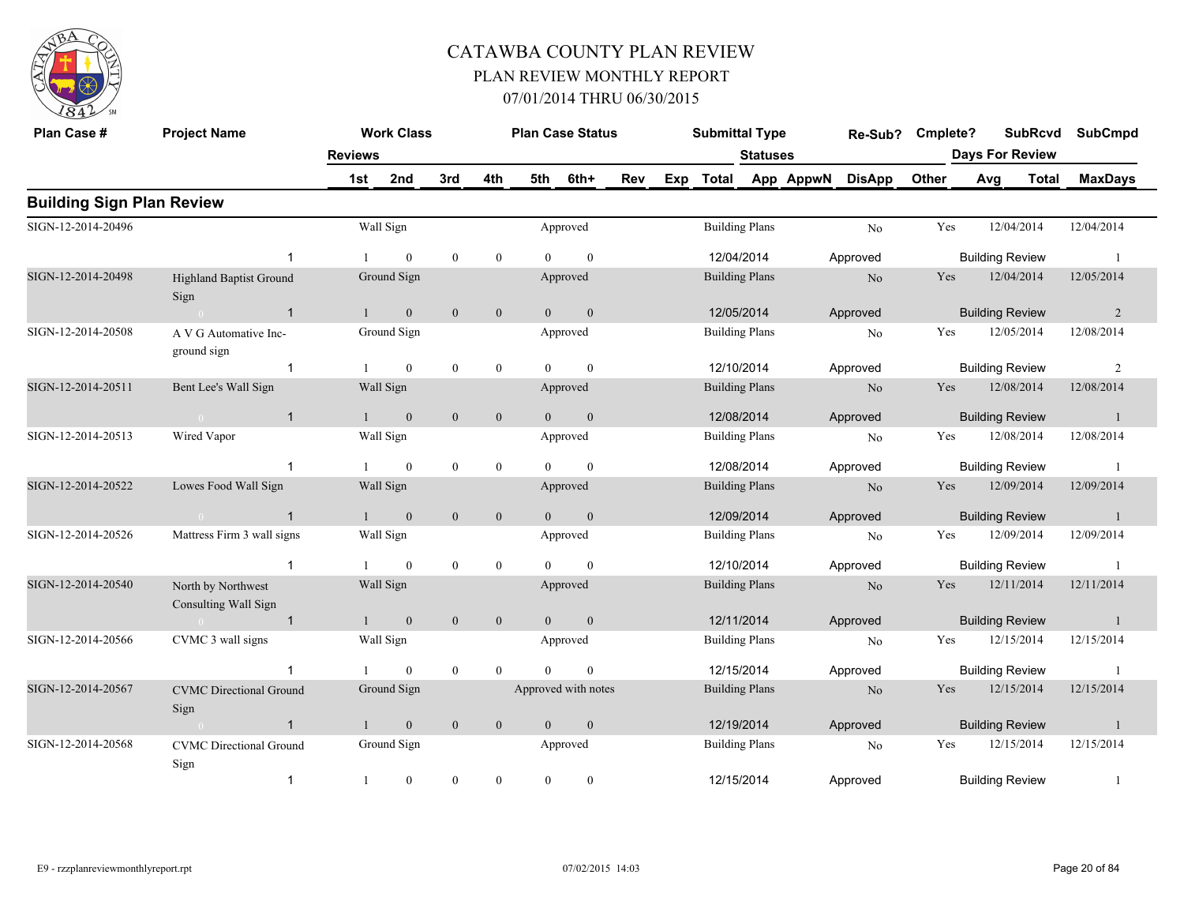

| Plan Case #                      | <b>Project Name</b>                        |                | <b>Work Class</b> |                  |                  |                | <b>Plan Case Status</b> |     |     | <b>Submittal Type</b> |                 |           | Re-Sub?        | Cmplete? |     | <b>SubRcvd</b>         | <b>SubCmpd</b> |
|----------------------------------|--------------------------------------------|----------------|-------------------|------------------|------------------|----------------|-------------------------|-----|-----|-----------------------|-----------------|-----------|----------------|----------|-----|------------------------|----------------|
|                                  |                                            | <b>Reviews</b> |                   |                  |                  |                |                         |     |     |                       | <b>Statuses</b> |           |                |          |     | <b>Days For Review</b> |                |
|                                  |                                            | 1st            | 2nd               | 3rd              | 4th              | 5th            | 6th+                    | Rev | Exp | <b>Total</b>          |                 | App AppwN | <b>DisApp</b>  | Other    | Avg | <b>Total</b>           | <b>MaxDays</b> |
| <b>Building Sign Plan Review</b> |                                            |                |                   |                  |                  |                |                         |     |     |                       |                 |           |                |          |     |                        |                |
| SIGN-12-2014-20496               |                                            |                | Wall Sign         |                  |                  |                | Approved                |     |     | <b>Building Plans</b> |                 |           | No             | Yes      |     | 12/04/2014             | 12/04/2014     |
|                                  | -1                                         |                | $\theta$          | $\mathbf{0}$     | $\mathbf{0}$     | $\Omega$       | $\theta$                |     |     | 12/04/2014            |                 |           | Approved       |          |     | <b>Building Review</b> | $\overline{1}$ |
| SIGN-12-2014-20498               | <b>Highland Baptist Ground</b><br>Sign     |                | Ground Sign       |                  |                  |                | Approved                |     |     | <b>Building Plans</b> |                 |           | N <sub>o</sub> | Yes      |     | 12/04/2014             | 12/05/2014     |
|                                  | $\overline{1}$                             |                | $\mathbf{0}$      | $\boldsymbol{0}$ | $\mathbf{0}$     | $\overline{0}$ | $\mathbf{0}$            |     |     | 12/05/2014            |                 |           | Approved       |          |     | <b>Building Review</b> | $\overline{2}$ |
| SIGN-12-2014-20508               | A V G Automative Inc-<br>ground sign       |                | Ground Sign       |                  |                  |                | Approved                |     |     | <b>Building Plans</b> |                 |           | N <sub>o</sub> | Yes      |     | 12/05/2014             | 12/08/2014     |
|                                  | $\mathbf{1}$                               |                | $\mathbf{0}$      | $\boldsymbol{0}$ | $\mathbf{0}$     | $\theta$       | $\mathbf{0}$            |     |     | 12/10/2014            |                 |           | Approved       |          |     | <b>Building Review</b> | 2              |
| SIGN-12-2014-20511               | Bent Lee's Wall Sign                       |                | Wall Sign         |                  |                  |                | Approved                |     |     | <b>Building Plans</b> |                 |           | N <sub>o</sub> | Yes      |     | 12/08/2014             | 12/08/2014     |
|                                  | $\mathbf{1}$<br>$\sim 0$                   | $\mathbf{1}$   | $\mathbf{0}$      | $\mathbf{0}$     | $\mathbf{0}$     | $\overline{0}$ | $\mathbf{0}$            |     |     | 12/08/2014            |                 |           | Approved       |          |     | <b>Building Review</b> | -1             |
| SIGN-12-2014-20513               | Wired Vapor                                |                | Wall Sign         |                  |                  |                | Approved                |     |     | <b>Building Plans</b> |                 |           | No             | Yes      |     | 12/08/2014             | 12/08/2014     |
|                                  | $\overline{1}$                             |                | $\mathbf{0}$      | $\mathbf{0}$     | $\mathbf{0}$     | $\Omega$       | $\theta$                |     |     | 12/08/2014            |                 |           | Approved       |          |     | <b>Building Review</b> | -1             |
| SIGN-12-2014-20522               | Lowes Food Wall Sign                       |                | Wall Sign         |                  |                  |                | Approved                |     |     | <b>Building Plans</b> |                 |           | N <sub>o</sub> | Yes      |     | 12/09/2014             | 12/09/2014     |
|                                  | $\mathbf{1}$<br>$\bigcap$                  |                | $\mathbf{0}$      | $\mathbf{0}$     | $\boldsymbol{0}$ | $\overline{0}$ | $\mathbf{0}$            |     |     | 12/09/2014            |                 |           | Approved       |          |     | <b>Building Review</b> | $\mathbf{1}$   |
| SIGN-12-2014-20526               | Mattress Firm 3 wall signs                 |                | Wall Sign         |                  |                  |                | Approved                |     |     | <b>Building Plans</b> |                 |           | N <sub>o</sub> | Yes      |     | 12/09/2014             | 12/09/2014     |
|                                  | $\mathbf{1}$                               |                | $\mathbf{0}$      | $\bf{0}$         | $\mathbf{0}$     | $\Omega$       | $\theta$                |     |     | 12/10/2014            |                 |           | Approved       |          |     | <b>Building Review</b> | -1             |
| SIGN-12-2014-20540               | North by Northwest<br>Consulting Wall Sign |                | Wall Sign         |                  |                  |                | Approved                |     |     | <b>Building Plans</b> |                 |           | N <sub>o</sub> | Yes      |     | 12/11/2014             | 12/11/2014     |
|                                  | $\overline{1}$                             |                | $\mathbf{0}$      | $\mathbf{0}$     | $\mathbf{0}$     | $\theta$       | $\mathbf{0}$            |     |     | 12/11/2014            |                 |           | Approved       |          |     | <b>Building Review</b> | -1             |
| SIGN-12-2014-20566               | CVMC 3 wall signs                          |                | Wall Sign         |                  |                  |                | Approved                |     |     | <b>Building Plans</b> |                 |           | N <sub>o</sub> | Yes      |     | 12/15/2014             | 12/15/2014     |
|                                  | 1                                          |                | $\mathbf{0}$      | $\mathbf{0}$     | $\overline{0}$   | $\Omega$       | $\theta$                |     |     | 12/15/2014            |                 |           | Approved       |          |     | <b>Building Review</b> | $\overline{1}$ |
| SIGN-12-2014-20567               | <b>CVMC</b> Directional Ground<br>Sign     |                | Ground Sign       |                  |                  |                | Approved with notes     |     |     | <b>Building Plans</b> |                 |           | No             | Yes      |     | 12/15/2014             | 12/15/2014     |
|                                  | $\mathbf{1}$                               | 1              | $\mathbf{0}$      | $\mathbf{0}$     | $\mathbf{0}$     | $\mathbf{0}$   | $\mathbf{0}$            |     |     | 12/19/2014            |                 |           | Approved       |          |     | <b>Building Review</b> | -1             |
| SIGN-12-2014-20568               | <b>CVMC</b> Directional Ground<br>Sign     |                | Ground Sign       |                  |                  |                | Approved                |     |     | <b>Building Plans</b> |                 |           | No             | Yes      |     | 12/15/2014             | 12/15/2014     |
|                                  | $\mathbf{1}$                               | 1              | $\boldsymbol{0}$  | $\bf{0}$         | $\boldsymbol{0}$ | $\mathbf{0}$   | $\bf{0}$                |     |     | 12/15/2014            |                 |           | Approved       |          |     | <b>Building Review</b> | 1              |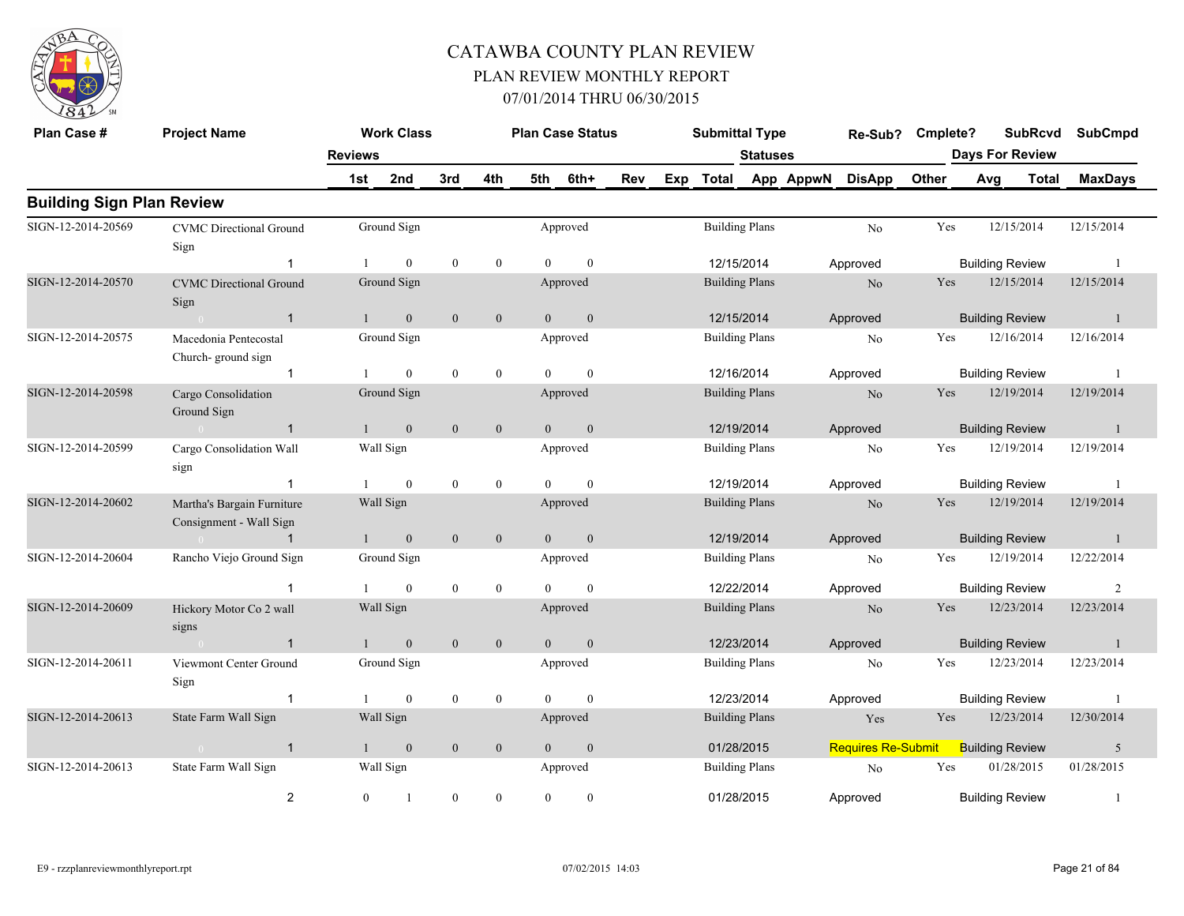

| Plan Case #                      | <b>Project Name</b>                                   |                | <b>Work Class</b> |                  |                  |                | <b>Plan Case Status</b> |     |     | <b>Submittal Type</b> |                 |           | Re-Sub?                   | Cmplete?   |     | <b>SubRcvd</b>         | <b>SubCmpd</b> |
|----------------------------------|-------------------------------------------------------|----------------|-------------------|------------------|------------------|----------------|-------------------------|-----|-----|-----------------------|-----------------|-----------|---------------------------|------------|-----|------------------------|----------------|
|                                  |                                                       | <b>Reviews</b> |                   |                  |                  |                |                         |     |     |                       | <b>Statuses</b> |           |                           |            |     | <b>Days For Review</b> |                |
|                                  |                                                       | 1st            | 2nd               | 3rd              | 4th              | 5th            | 6th+                    | Rev | Exp | <b>Total</b>          |                 | App AppwN | <b>DisApp</b>             | Other      | Avg | <b>Total</b>           | <b>MaxDays</b> |
| <b>Building Sign Plan Review</b> |                                                       |                |                   |                  |                  |                |                         |     |     |                       |                 |           |                           |            |     |                        |                |
| SIGN-12-2014-20569               | <b>CVMC</b> Directional Ground<br>Sign                |                | Ground Sign       |                  |                  |                | Approved                |     |     | <b>Building Plans</b> |                 |           | No                        | Yes        |     | 12/15/2014             | 12/15/2014     |
|                                  |                                                       |                | $\overline{0}$    | $\boldsymbol{0}$ | $\mathbf{0}$     | $\theta$       | $\mathbf{0}$            |     |     | 12/15/2014            |                 |           | Approved                  |            |     | <b>Building Review</b> | $\overline{1}$ |
| SIGN-12-2014-20570               | <b>CVMC</b> Directional Ground<br>Sign                |                | Ground Sign       |                  |                  |                | Approved                |     |     | <b>Building Plans</b> |                 |           | No                        | <b>Yes</b> |     | 12/15/2014             | 12/15/2014     |
|                                  | $\mathbf{1}$                                          |                | $\mathbf{0}$      | $\mathbf{0}$     | $\mathbf{0}$     | $\overline{0}$ | $\mathbf{0}$            |     |     | 12/15/2014            |                 |           | Approved                  |            |     | <b>Building Review</b> | $\overline{1}$ |
| SIGN-12-2014-20575               | Macedonia Pentecostal<br>Church-ground sign           |                | Ground Sign       |                  |                  |                | Approved                |     |     | <b>Building Plans</b> |                 |           | No                        | Yes        |     | 12/16/2014             | 12/16/2014     |
|                                  | $\mathbf{1}$                                          |                | $\overline{0}$    | $\mathbf{0}$     | $\mathbf{0}$     | $\Omega$       | $\theta$                |     |     | 12/16/2014            |                 |           | Approved                  |            |     | <b>Building Review</b> | - 1            |
| SIGN-12-2014-20598               | Cargo Consolidation<br>Ground Sign                    |                | Ground Sign       |                  |                  |                | Approved                |     |     | <b>Building Plans</b> |                 |           | No                        | Yes        |     | 12/19/2014             | 12/19/2014     |
|                                  | $\overline{1}$<br>$\bigcap$                           | $\mathbf{1}$   | $\mathbf{0}$      | $\boldsymbol{0}$ | $\boldsymbol{0}$ | $\overline{0}$ | $\boldsymbol{0}$        |     |     | 12/19/2014            |                 |           | Approved                  |            |     | <b>Building Review</b> | $\overline{1}$ |
| SIGN-12-2014-20599               | Cargo Consolidation Wall<br>sign                      |                | Wall Sign         |                  |                  |                | Approved                |     |     | <b>Building Plans</b> |                 |           | No                        | Yes        |     | 12/19/2014             | 12/19/2014     |
|                                  |                                                       |                | $\theta$          | $\mathbf{0}$     | $\overline{0}$   | $\Omega$       | $\theta$                |     |     | 12/19/2014            |                 |           | Approved                  |            |     | <b>Building Review</b> | -1             |
| SIGN-12-2014-20602               | Martha's Bargain Furniture<br>Consignment - Wall Sign |                | Wall Sign         |                  |                  |                | Approved                |     |     | <b>Building Plans</b> |                 |           | N <sub>o</sub>            | Yes        |     | 12/19/2014             | 12/19/2014     |
|                                  | $\mathbf{1}$                                          |                | $\mathbf{0}$      | $\boldsymbol{0}$ | $\mathbf{0}$     | $\overline{0}$ | $\boldsymbol{0}$        |     |     | 12/19/2014            |                 |           | Approved                  |            |     | <b>Building Review</b> | $\overline{1}$ |
| SIGN-12-2014-20604               | Rancho Viejo Ground Sign                              |                | Ground Sign       |                  |                  |                | Approved                |     |     | <b>Building Plans</b> |                 |           | N <sub>0</sub>            | Yes        |     | 12/19/2014             | 12/22/2014     |
|                                  |                                                       |                | $\theta$          | $\mathbf{0}$     | $\mathbf{0}$     | $\Omega$       | $\theta$                |     |     | 12/22/2014            |                 |           | Approved                  |            |     | <b>Building Review</b> | $\overline{c}$ |
| SIGN-12-2014-20609               | Hickory Motor Co 2 wall<br>signs                      |                | Wall Sign         |                  |                  |                | Approved                |     |     | <b>Building Plans</b> |                 |           | No                        | Yes        |     | 12/23/2014             | 12/23/2014     |
|                                  | $\mathbf{1}$<br>$\bigcap$                             |                | $\mathbf{0}$      | $\mathbf{0}$     | $\mathbf{0}$     | $\overline{0}$ | $\mathbf{0}$            |     |     | 12/23/2014            |                 |           | Approved                  |            |     | <b>Building Review</b> | $\overline{1}$ |
| SIGN-12-2014-20611               | Viewmont Center Ground<br>Sign                        |                | Ground Sign       |                  |                  |                | Approved                |     |     | <b>Building Plans</b> |                 |           | No                        | Yes        |     | 12/23/2014             | 12/23/2014     |
|                                  | $\mathbf{1}$                                          |                | $\theta$          | $\mathbf{0}$     | $\mathbf{0}$     | $\Omega$       | $\theta$                |     |     | 12/23/2014            |                 |           | Approved                  |            |     | <b>Building Review</b> | - 1            |
| SIGN-12-2014-20613               | State Farm Wall Sign                                  |                | Wall Sign         |                  |                  |                | Approved                |     |     | <b>Building Plans</b> |                 |           | Yes                       | Yes        |     | 12/23/2014             | 12/30/2014     |
|                                  | $\overline{1}$<br>$\overline{0}$                      | $\mathbf{1}$   | $\mathbf{0}$      | $\mathbf{0}$     | $\mathbf{0}$     | $\overline{0}$ | $\boldsymbol{0}$        |     |     | 01/28/2015            |                 |           | <b>Requires Re-Submit</b> |            |     | <b>Building Review</b> | 5              |
| SIGN-12-2014-20613               | State Farm Wall Sign                                  |                | Wall Sign         |                  |                  |                | Approved                |     |     | <b>Building Plans</b> |                 |           | No                        | Yes        |     | 01/28/2015             | 01/28/2015     |
|                                  | 2                                                     | $\overline{0}$ | $\mathbf{1}$      | $\mathbf{0}$     | $\mathbf{0}$     | $\theta$       | $\theta$                |     |     | 01/28/2015            |                 |           | Approved                  |            |     | <b>Building Review</b> | $\mathbf{1}$   |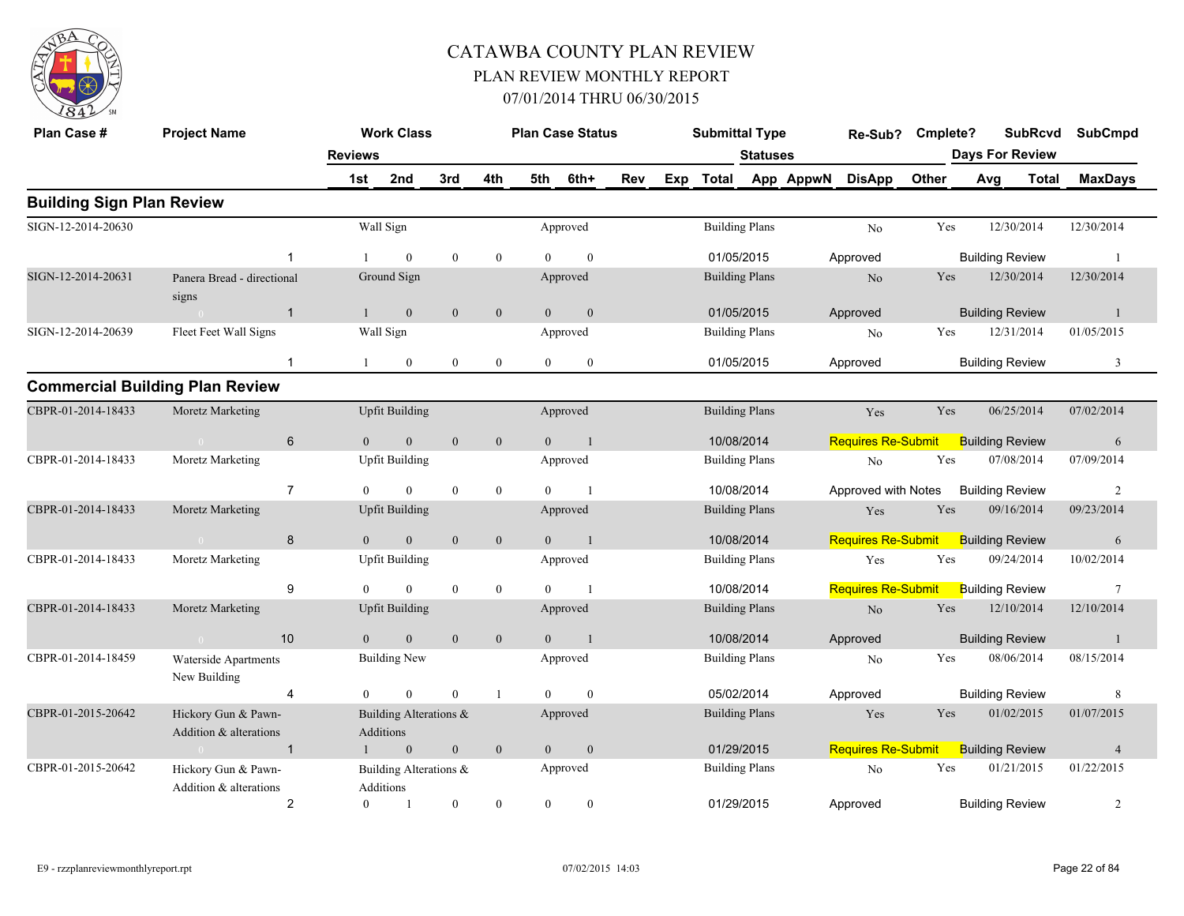

| Plan Case #                      | <b>Project Name</b>                           |                | <b>Work Class</b>                   |              |                  |                | <b>Plan Case Status</b> |     | <b>Submittal Type</b> |          | Re-Sub?                   | Cmplete? |     |                        | <b>SubRcvd</b> | <b>SubCmpd</b>  |
|----------------------------------|-----------------------------------------------|----------------|-------------------------------------|--------------|------------------|----------------|-------------------------|-----|-----------------------|----------|---------------------------|----------|-----|------------------------|----------------|-----------------|
|                                  |                                               | <b>Reviews</b> |                                     |              |                  |                |                         |     |                       | Statuses |                           |          |     | <b>Days For Review</b> |                |                 |
|                                  |                                               | 1st            | 2nd                                 | 3rd          | 4th              | 5th            | 6th+                    | Rev | Exp Total             |          | App AppwN DisApp          | Other    |     | Avg                    | Total          | <b>MaxDays</b>  |
| <b>Building Sign Plan Review</b> |                                               |                |                                     |              |                  |                |                         |     |                       |          |                           |          |     |                        |                |                 |
| SIGN-12-2014-20630               |                                               |                | Wall Sign                           |              |                  |                | Approved                |     | <b>Building Plans</b> |          | No                        | Yes      |     | 12/30/2014             |                | 12/30/2014      |
|                                  | -1                                            |                | $\mathbf{0}$                        | $\theta$     | $\mathbf{0}$     | $\Omega$       | $\theta$                |     | 01/05/2015            |          | Approved                  |          |     | <b>Building Review</b> |                | $\overline{1}$  |
| SIGN-12-2014-20631               | Panera Bread - directional<br>signs           |                | Ground Sign                         |              |                  |                | Approved                |     | <b>Building Plans</b> |          | No                        |          | Yes | 12/30/2014             |                | 12/30/2014      |
|                                  | $\overline{1}$<br>$\sim 0$                    | 1              | $\mathbf{0}$                        | $\mathbf{0}$ | $\boldsymbol{0}$ | $\overline{0}$ | $\mathbf{0}$            |     | 01/05/2015            |          | Approved                  |          |     | <b>Building Review</b> |                | $\mathbf{1}$    |
| SIGN-12-2014-20639               | Fleet Feet Wall Signs                         |                | Wall Sign                           |              |                  |                | Approved                |     | <b>Building Plans</b> |          | No                        |          | Yes | 12/31/2014             |                | 01/05/2015      |
|                                  | $\mathbf{1}$                                  |                | $\mathbf{0}$                        | $\bf{0}$     | $\mathbf{0}$     | $\overline{0}$ | $\boldsymbol{0}$        |     | 01/05/2015            |          | Approved                  |          |     | <b>Building Review</b> |                | 3               |
|                                  | <b>Commercial Building Plan Review</b>        |                |                                     |              |                  |                |                         |     |                       |          |                           |          |     |                        |                |                 |
| CBPR-01-2014-18433               | Moretz Marketing                              |                | <b>Upfit Building</b>               |              |                  |                | Approved                |     | <b>Building Plans</b> |          | Yes                       | Yes      |     | 06/25/2014             |                | 07/02/2014      |
|                                  | $6\phantom{1}$<br>$\sim 0$                    | $\overline{0}$ | $\mathbf{0}$                        | $\mathbf{0}$ | $\mathbf{0}$     | $\overline{0}$ | $\overline{1}$          |     | 10/08/2014            |          | <b>Requires Re-Submit</b> |          |     | <b>Building Review</b> |                | 6               |
| CBPR-01-2014-18433               | Moretz Marketing                              |                | <b>Upfit Building</b>               |              |                  |                | Approved                |     | <b>Building Plans</b> |          | No                        | Yes      |     | 07/08/2014             |                | 07/09/2014      |
|                                  | $\overline{7}$                                | $\theta$       | $\theta$                            | $\mathbf{0}$ | $\overline{0}$   | $\Omega$       | $\overline{1}$          |     | 10/08/2014            |          | Approved with Notes       |          |     | <b>Building Review</b> |                | 2               |
| CBPR-01-2014-18433               | Moretz Marketing                              |                | <b>Upfit Building</b>               |              |                  |                | Approved                |     | <b>Building Plans</b> |          | Yes                       | Yes      |     | 09/16/2014             |                | 09/23/2014      |
|                                  | 8                                             | $\Omega$       | $\overline{0}$                      | $\mathbf{0}$ | $\mathbf{0}$     | $\mathbf{0}$   | $\blacksquare$          |     | 10/08/2014            |          | <b>Requires Re-Submit</b> |          |     | <b>Building Review</b> |                | 6               |
| CBPR-01-2014-18433               | Moretz Marketing                              |                | <b>Upfit Building</b>               |              |                  |                | Approved                |     | <b>Building Plans</b> |          | Yes                       | Yes      |     | 09/24/2014             |                | 10/02/2014      |
|                                  | 9                                             | $\theta$       | $\overline{0}$                      | $\mathbf{0}$ | $\mathbf{0}$     | $\Omega$       | $\overline{1}$          |     | 10/08/2014            |          | <b>Requires Re-Submit</b> |          |     | <b>Building Review</b> |                | $7\phantom{.0}$ |
| CBPR-01-2014-18433               | Moretz Marketing                              |                | <b>Upfit Building</b>               |              |                  |                | Approved                |     | <b>Building Plans</b> |          | No                        | Yes      |     | 12/10/2014             |                | 12/10/2014      |
|                                  | 10<br>$\sim 0$                                | $\Omega$       | $\overline{0}$                      | $\mathbf{0}$ | $\overline{0}$   | $\Omega$       | $\overline{1}$          |     | 10/08/2014            |          | Approved                  |          |     | <b>Building Review</b> |                | -1              |
| CBPR-01-2014-18459               | Waterside Apartments<br>New Building          |                | <b>Building New</b>                 |              |                  |                | Approved                |     | <b>Building Plans</b> |          | N <sub>o</sub>            | Yes      |     | 08/06/2014             |                | 08/15/2014      |
|                                  | $\overline{4}$                                | $\overline{0}$ | $\overline{0}$                      | $\mathbf{0}$ | $\mathbf{1}$     | $\theta$       | $\mathbf{0}$            |     | 05/02/2014            |          | Approved                  |          |     | <b>Building Review</b> |                | 8               |
| CBPR-01-2015-20642               | Hickory Gun & Pawn-<br>Addition & alterations |                | Building Alterations &<br>Additions |              |                  |                | Approved                |     | <b>Building Plans</b> |          | Yes                       |          | Yes | 01/02/2015             |                | 01/07/2015      |
|                                  | $\overline{1}$<br>$\sim 0$                    |                | $\mathbf{0}$                        | $\mathbf{0}$ | $\mathbf{0}$     | $\mathbf{0}$   | $\mathbf{0}$            |     | 01/29/2015            |          | <b>Requires Re-Submit</b> |          |     | <b>Building Review</b> |                | $\overline{4}$  |
| CBPR-01-2015-20642               | Hickory Gun & Pawn-<br>Addition & alterations |                | Building Alterations &<br>Additions |              |                  |                | Approved                |     | <b>Building Plans</b> |          | No                        | Yes      |     | 01/21/2015             |                | 01/22/2015      |
|                                  | $\overline{2}$                                | $\overline{0}$ | $\overline{1}$                      | $\mathbf{0}$ | $\mathbf{0}$     | $\theta$       | $\mathbf{0}$            |     | 01/29/2015            |          | Approved                  |          |     | <b>Building Review</b> |                | 2               |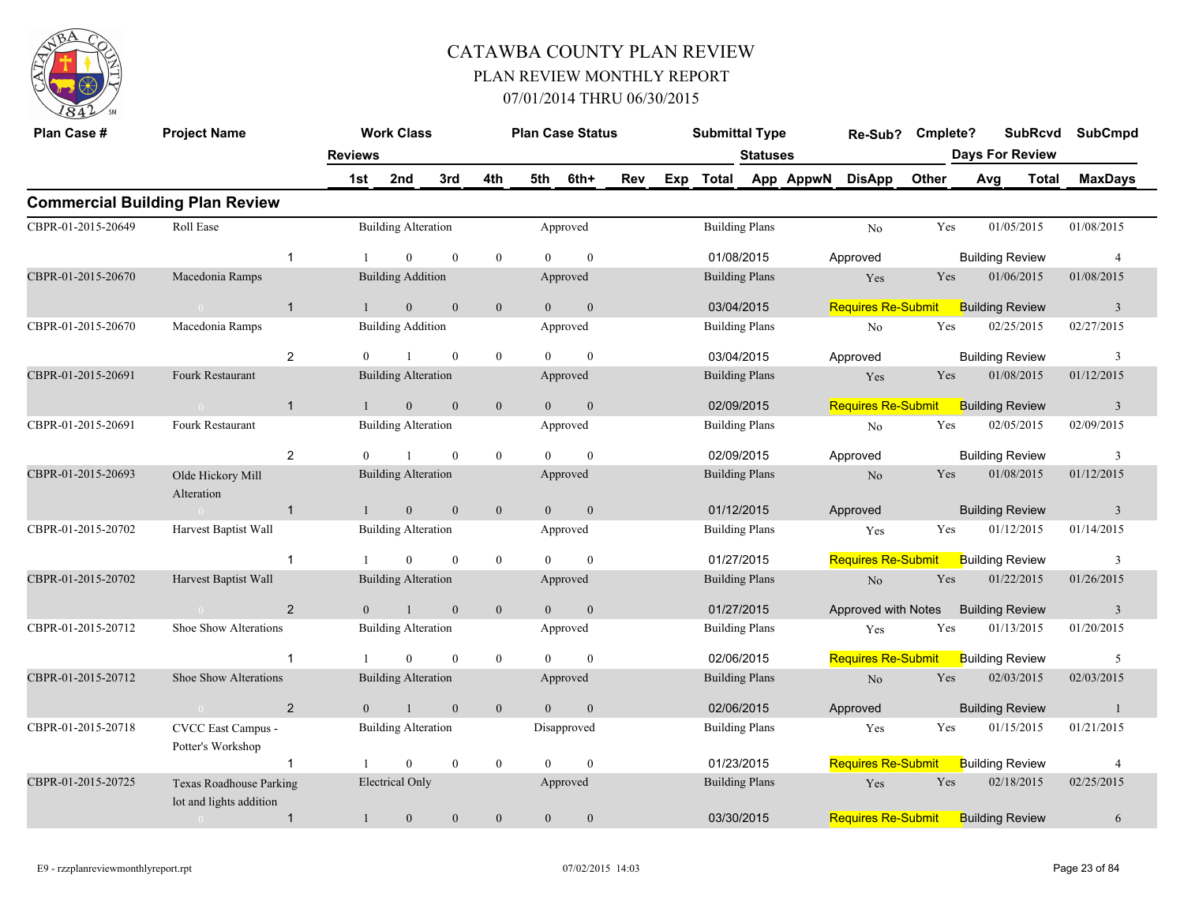

| Plan Case #        | <b>Project Name</b>                                       |                | <b>Work Class</b>          |                |                | <b>Plan Case Status</b> |                  |     | <b>Submittal Type</b> |                 |           | Re-Sub?                   | Cmplete? |                        | <b>SubRcvd</b> | <b>SubCmpd</b>          |
|--------------------|-----------------------------------------------------------|----------------|----------------------------|----------------|----------------|-------------------------|------------------|-----|-----------------------|-----------------|-----------|---------------------------|----------|------------------------|----------------|-------------------------|
|                    |                                                           | <b>Reviews</b> |                            |                |                |                         |                  |     |                       | <b>Statuses</b> |           |                           |          | <b>Days For Review</b> |                |                         |
|                    |                                                           | 1st            | 2nd                        | 3rd            | 4th            | 5th                     | 6th+             | Rev | Exp Total             |                 | App AppwN | <b>DisApp</b>             | Other    | Avg                    | <b>Total</b>   | <b>MaxDays</b>          |
|                    | <b>Commercial Building Plan Review</b>                    |                |                            |                |                |                         |                  |     |                       |                 |           |                           |          |                        |                |                         |
| CBPR-01-2015-20649 | Roll Ease                                                 |                | <b>Building Alteration</b> |                |                | Approved                |                  |     | <b>Building Plans</b> |                 |           | No                        | Yes      | 01/05/2015             |                | 01/08/2015              |
|                    | $\mathbf{1}$                                              |                | $\mathbf{0}$               | $\mathbf{0}$   | $\overline{0}$ | $\Omega$                | $\mathbf{0}$     |     | 01/08/2015            |                 |           | Approved                  |          | <b>Building Review</b> |                | $\overline{4}$          |
| CBPR-01-2015-20670 | Macedonia Ramps                                           |                | <b>Building Addition</b>   |                |                | Approved                |                  |     | <b>Building Plans</b> |                 |           | Yes                       | Yes      | 01/06/2015             |                | 01/08/2015              |
|                    | $\mathbf{1}$<br>$\sim$ 0                                  |                | $\mathbf{0}$               | $\mathbf{0}$   | $\mathbf{0}$   | $\overline{0}$          | $\mathbf{0}$     |     | 03/04/2015            |                 |           | <b>Requires Re-Submit</b> |          | <b>Building Review</b> |                | $\overline{3}$          |
| CBPR-01-2015-20670 | Macedonia Ramps                                           |                | <b>Building Addition</b>   |                |                | Approved                |                  |     | <b>Building Plans</b> |                 |           | No                        | Yes      | 02/25/2015             |                | 02/27/2015              |
|                    | $\overline{2}$                                            | $\theta$       | $\mathbf{1}$               | $\mathbf{0}$   | $\bf{0}$       | $\Omega$                | $\mathbf{0}$     |     | 03/04/2015            |                 |           | Approved                  |          | <b>Building Review</b> |                | 3                       |
| CBPR-01-2015-20691 | Fourk Restaurant                                          |                | <b>Building Alteration</b> |                |                | Approved                |                  |     | <b>Building Plans</b> |                 |           | Yes                       | Yes      | 01/08/2015             |                | 01/12/2015              |
|                    | $\mathbf{1}$                                              |                | $\mathbf{0}$               | $\mathbf{0}$   | $\overline{0}$ | $\theta$                | $\mathbf{0}$     |     | 02/09/2015            |                 |           | <b>Requires Re-Submit</b> |          | <b>Building Review</b> |                | $\overline{3}$          |
| CBPR-01-2015-20691 | Fourk Restaurant                                          |                | <b>Building Alteration</b> |                |                | Approved                |                  |     | <b>Building Plans</b> |                 |           | No                        | Yes      | 02/05/2015             |                | 02/09/2015              |
|                    | $\overline{2}$                                            | $\Omega$       |                            | $\mathbf{0}$   | $\bf{0}$       | $\Omega$                | $\mathbf{0}$     |     | 02/09/2015            |                 |           | Approved                  |          | <b>Building Review</b> |                | 3                       |
| CBPR-01-2015-20693 | Olde Hickory Mill<br>Alteration                           |                | <b>Building Alteration</b> |                |                | Approved                |                  |     | <b>Building Plans</b> |                 |           | No                        | Yes      | 01/08/2015             |                | 01/12/2015              |
|                    | $\mathbf{1}$<br>$\sim$ $\alpha$                           | $\mathbf{1}$   | $\overline{0}$             | $\overline{0}$ | $\overline{0}$ | $\overline{0}$          | $\overline{0}$   |     | 01/12/2015            |                 |           | Approved                  |          | <b>Building Review</b> |                | $\overline{\mathbf{3}}$ |
| CBPR-01-2015-20702 | Harvest Baptist Wall                                      |                | <b>Building Alteration</b> |                |                | Approved                |                  |     | <b>Building Plans</b> |                 |           | Yes                       | Yes      | 01/12/2015             |                | 01/14/2015              |
|                    | $\mathbf{1}$                                              |                | $\mathbf{0}$               | $\mathbf{0}$   | $\overline{0}$ | $\theta$                | $\mathbf{0}$     |     | 01/27/2015            |                 |           | <b>Requires Re-Submit</b> |          | <b>Building Review</b> |                | 3                       |
| CBPR-01-2015-20702 | Harvest Baptist Wall                                      |                | <b>Building Alteration</b> |                |                | Approved                |                  |     | <b>Building Plans</b> |                 |           | N <sub>o</sub>            | Yes      | 01/22/2015             |                | 01/26/2015              |
|                    | 2                                                         | $\overline{0}$ | $\mathbf{1}$               | $\mathbf{0}$   | $\mathbf{0}$   | $\overline{0}$          | $\mathbf{0}$     |     | 01/27/2015            |                 |           | Approved with Notes       |          | <b>Building Review</b> |                | $\overline{\mathbf{3}}$ |
| CBPR-01-2015-20712 | Shoe Show Alterations                                     |                | <b>Building Alteration</b> |                |                | Approved                |                  |     | <b>Building Plans</b> |                 |           | Yes                       | Yes      | 01/13/2015             |                | 01/20/2015              |
|                    | $\mathbf 1$                                               |                | $\mathbf{0}$               | $\mathbf{0}$   | $\bf{0}$       | $\theta$                | $\mathbf{0}$     |     | 02/06/2015            |                 |           | <b>Requires Re-Submit</b> |          | <b>Building Review</b> |                | 5                       |
| CBPR-01-2015-20712 | Shoe Show Alterations                                     |                | <b>Building Alteration</b> |                |                | Approved                |                  |     | <b>Building Plans</b> |                 |           | No                        | Yes      | 02/03/2015             |                | 02/03/2015              |
|                    | 2<br>$\sim 0$                                             | $\Omega$       | $\mathbf{1}$               | $\mathbf{0}$   | $\overline{0}$ | $\theta$                | $\mathbf{0}$     |     | 02/06/2015            |                 |           | Approved                  |          | <b>Building Review</b> |                | $\overline{1}$          |
| CBPR-01-2015-20718 | CVCC East Campus -<br>Potter's Workshop                   |                | <b>Building Alteration</b> |                |                | Disapproved             |                  |     | <b>Building Plans</b> |                 |           | Yes                       | Yes      | 01/15/2015             |                | 01/21/2015              |
|                    | $\mathbf{1}$                                              |                | $\overline{0}$             | $\mathbf{0}$   | $\overline{0}$ | $\theta$                | $\mathbf{0}$     |     | 01/23/2015            |                 |           | <b>Requires Re-Submit</b> |          | <b>Building Review</b> |                | $\overline{4}$          |
| CBPR-01-2015-20725 | <b>Texas Roadhouse Parking</b><br>lot and lights addition |                | Electrical Only            |                |                | Approved                |                  |     | <b>Building Plans</b> |                 |           | Yes                       | Yes      | 02/18/2015             |                | 02/25/2015              |
|                    | $\mathbf{1}$<br>$\bigcap$                                 | $\mathbf{1}$   | $\boldsymbol{0}$           | $\mathbf{0}$   | $\mathbf{0}$   | $\mathbf{0}$            | $\boldsymbol{0}$ |     | 03/30/2015            |                 |           | <b>Requires Re-Submit</b> |          | <b>Building Review</b> |                | 6                       |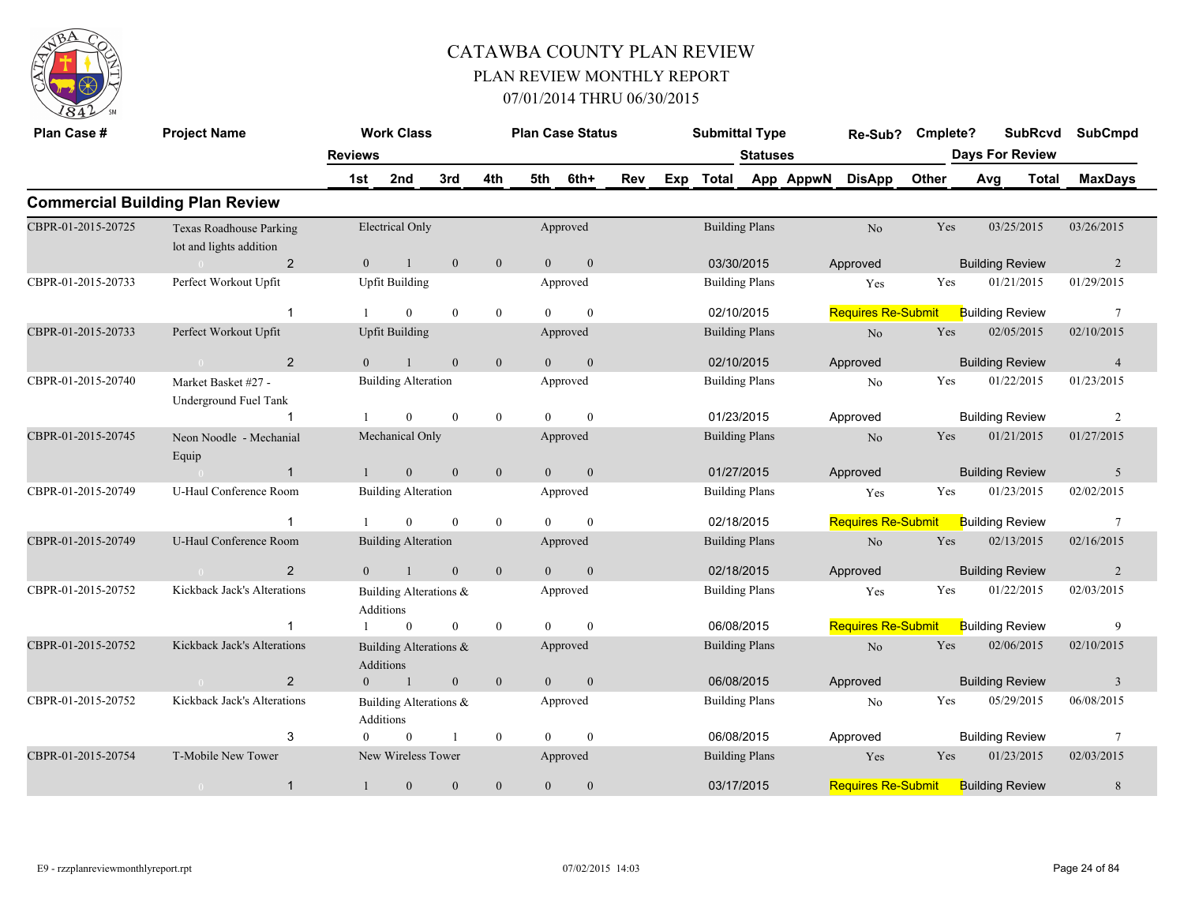

| Plan Case #        | <b>Project Name</b>                                       |                | <b>Work Class</b>                   |                |                  |                | <b>Plan Case Status</b> |     |     | <b>Submittal Type</b> |                 |           | Re-Sub?                   | Cmplete? |                        | <b>SubRcvd</b>         | <b>SubCmpd</b>  |
|--------------------|-----------------------------------------------------------|----------------|-------------------------------------|----------------|------------------|----------------|-------------------------|-----|-----|-----------------------|-----------------|-----------|---------------------------|----------|------------------------|------------------------|-----------------|
|                    |                                                           | <b>Reviews</b> |                                     |                |                  |                |                         |     |     |                       | <b>Statuses</b> |           |                           |          |                        | <b>Days For Review</b> |                 |
|                    |                                                           | 1st            | 2nd                                 | 3rd            | 4th              | 5th            | 6th+                    | Rev | Exp | <b>Total</b>          |                 | App AppwN | <b>DisApp</b>             | Other    | Avg                    | Total                  | <b>MaxDays</b>  |
|                    | <b>Commercial Building Plan Review</b>                    |                |                                     |                |                  |                |                         |     |     |                       |                 |           |                           |          |                        |                        |                 |
| CBPR-01-2015-20725 | <b>Texas Roadhouse Parking</b><br>lot and lights addition |                | <b>Electrical Only</b>              |                |                  |                | Approved                |     |     | <b>Building Plans</b> |                 |           | No                        | Yes      |                        | 03/25/2015             | 03/26/2015      |
|                    | $\overline{2}$                                            | $\overline{0}$ | $\mathbf{1}$                        | $\mathbf{0}$   | $\mathbf{0}$     | $\overline{0}$ | $\boldsymbol{0}$        |     |     | 03/30/2015            |                 |           | Approved                  |          | <b>Building Review</b> |                        | 2               |
| CBPR-01-2015-20733 | Perfect Workout Upfit                                     |                | <b>Upfit Building</b>               |                |                  |                | Approved                |     |     | <b>Building Plans</b> |                 |           | Yes                       | Yes      |                        | 01/21/2015             | 01/29/2015      |
|                    | -1                                                        |                | $\overline{0}$                      | $\mathbf{0}$   | $\overline{0}$   | $\theta$       | $\mathbf{0}$            |     |     | 02/10/2015            |                 |           | <b>Requires Re-Submit</b> |          | <b>Building Review</b> |                        | 7               |
| CBPR-01-2015-20733 | Perfect Workout Upfit                                     |                | <b>Upfit Building</b>               |                |                  |                | Approved                |     |     | <b>Building Plans</b> |                 |           | $\rm No$                  | Yes      |                        | 02/05/2015             | 02/10/2015      |
|                    | $\overline{2}$<br>$\sim 0$                                | $\overline{0}$ | $\mathbf{1}$                        | $\mathbf{0}$   | $\mathbf{0}$     | $\overline{0}$ | $\mathbf{0}$            |     |     | 02/10/2015            |                 |           | Approved                  |          | <b>Building Review</b> |                        | $\overline{4}$  |
| CBPR-01-2015-20740 | Market Basket #27 -<br>Underground Fuel Tank              |                | <b>Building Alteration</b>          |                |                  |                | Approved                |     |     | <b>Building Plans</b> |                 |           | N <sub>o</sub>            | Yes      |                        | 01/22/2015             | 01/23/2015      |
|                    |                                                           |                | $\mathbf{0}$                        | $\theta$       | $\mathbf{0}$     | $\Omega$       | $\mathbf{0}$            |     |     | 01/23/2015            |                 |           | Approved                  |          | <b>Building Review</b> |                        | 2               |
| CBPR-01-2015-20745 | Neon Noodle - Mechanial<br>Equip                          |                | Mechanical Only                     |                |                  |                | Approved                |     |     | <b>Building Plans</b> |                 |           | No                        | Yes      |                        | 01/21/2015             | 01/27/2015      |
|                    | $\mathbf{1}$                                              | $\mathbf{1}$   | $\overline{0}$                      | $\mathbf{0}$   | $\mathbf{0}$     | $\overline{0}$ | $\mathbf{0}$            |     |     | 01/27/2015            |                 |           | Approved                  |          | <b>Building Review</b> |                        | 5               |
| CBPR-01-2015-20749 | U-Haul Conference Room                                    |                | <b>Building Alteration</b>          |                |                  |                | Approved                |     |     | <b>Building Plans</b> |                 |           | Yes                       | Yes      |                        | 01/23/2015             | 02/02/2015      |
|                    | -1                                                        |                | $\mathbf{0}$                        | $\mathbf{0}$   | $\mathbf{0}$     | $\theta$       | $\mathbf{0}$            |     |     | 02/18/2015            |                 |           | <b>Requires Re-Submit</b> |          | <b>Building Review</b> |                        | $7\phantom{.0}$ |
| CBPR-01-2015-20749 | U-Haul Conference Room                                    |                | <b>Building Alteration</b>          |                |                  |                | Approved                |     |     | <b>Building Plans</b> |                 |           | No                        | Yes      |                        | 02/13/2015             | 02/16/2015      |
|                    | 2                                                         | $\Omega$       | $\overline{1}$                      | $\mathbf{0}$   | $\mathbf{0}$     | $\theta$       | $\mathbf{0}$            |     |     | 02/18/2015            |                 |           | Approved                  |          | <b>Building Review</b> |                        | $\overline{2}$  |
| CBPR-01-2015-20752 | Kickback Jack's Alterations                               |                | Building Alterations &<br>Additions |                |                  |                | Approved                |     |     | <b>Building Plans</b> |                 |           | Yes                       | Yes      |                        | 01/22/2015             | 02/03/2015      |
|                    |                                                           |                | $\mathbf{0}$                        | $\overline{0}$ | $\mathbf{0}$     | $\theta$       | $\mathbf{0}$            |     |     | 06/08/2015            |                 |           | <b>Requires Re-Submit</b> |          | <b>Building Review</b> |                        | 9               |
| CBPR-01-2015-20752 | Kickback Jack's Alterations                               |                | Building Alterations &<br>Additions |                |                  |                | Approved                |     |     | <b>Building Plans</b> |                 |           | N <sub>o</sub>            | Yes      |                        | 02/06/2015             | 02/10/2015      |
|                    | $\overline{2}$<br>$\sim$ 0                                | $\overline{0}$ | -1                                  | $\mathbf{0}$   | $\mathbf{0}$     | $\overline{0}$ | $\mathbf{0}$            |     |     | 06/08/2015            |                 |           | Approved                  |          | <b>Building Review</b> |                        | $\overline{3}$  |
| CBPR-01-2015-20752 | Kickback Jack's Alterations                               |                | Building Alterations &<br>Additions |                |                  |                | Approved                |     |     | <b>Building Plans</b> |                 |           | No                        | Yes      |                        | 05/29/2015             | 06/08/2015      |
|                    | 3                                                         |                | $\mathbf{0}$                        | $\mathbf{1}$   | $\boldsymbol{0}$ | $\theta$       | $\mathbf{0}$            |     |     | 06/08/2015            |                 |           | Approved                  |          | <b>Building Review</b> |                        | $7\phantom{.0}$ |
| CBPR-01-2015-20754 | T-Mobile New Tower                                        |                | New Wireless Tower                  |                |                  |                | Approved                |     |     | <b>Building Plans</b> |                 |           | Yes                       | Yes      |                        | 01/23/2015             | 02/03/2015      |
|                    | $\mathbf{1}$<br>$\overline{0}$                            | $\mathbf{1}$   | $\boldsymbol{0}$                    | $\theta$       | $\mathbf{0}$     | $\mathbf{0}$   | $\boldsymbol{0}$        |     |     | 03/17/2015            |                 |           | <b>Requires Re-Submit</b> |          | <b>Building Review</b> |                        | $8\phantom{.}$  |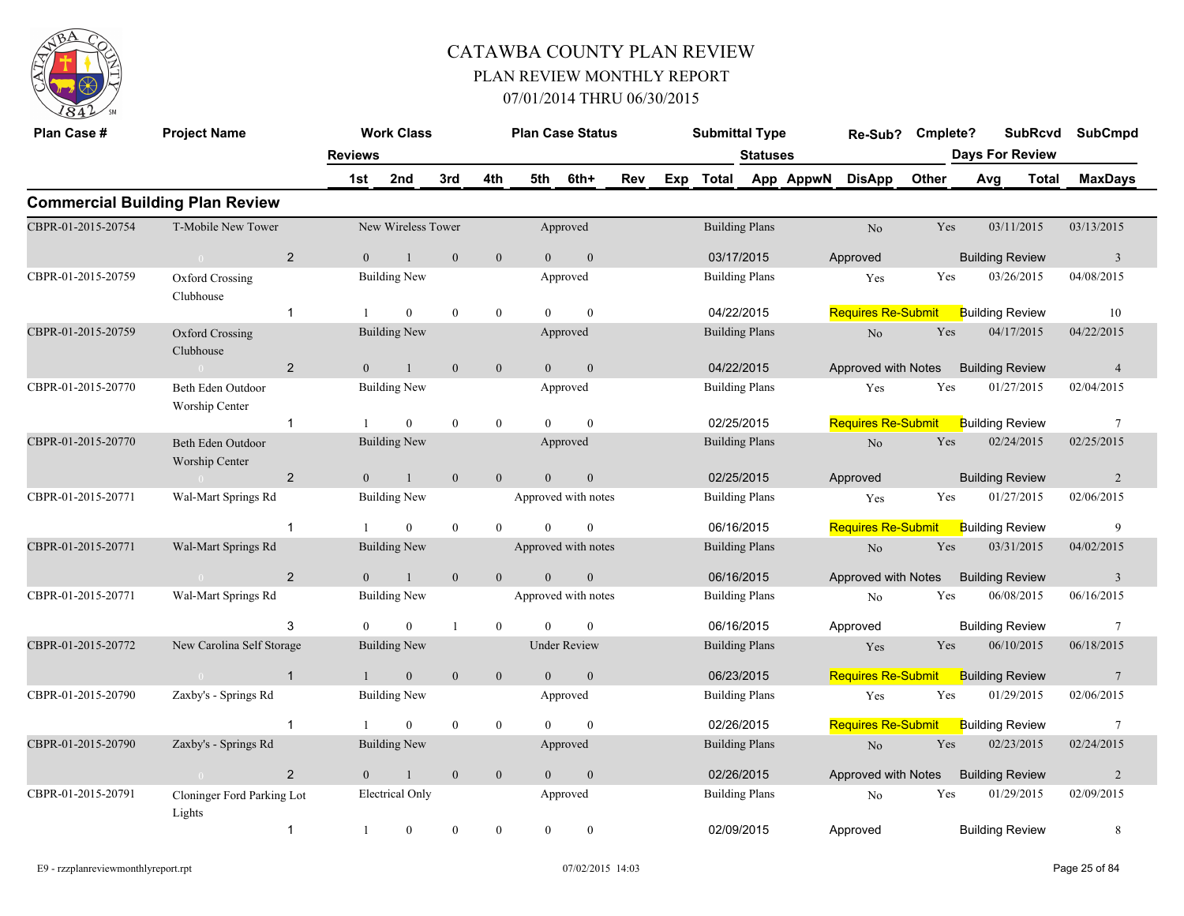

| Plan Case #        | <b>Project Name</b>                    |                | <b>Work Class</b>      |                  |                  |                | <b>Plan Case Status</b> |     |     | <b>Submittal Type</b> |                       |           | Re-Sub?                   | Cmplete? |     |                        | <b>SubRcvd</b> | <b>SubCmpd</b>          |
|--------------------|----------------------------------------|----------------|------------------------|------------------|------------------|----------------|-------------------------|-----|-----|-----------------------|-----------------------|-----------|---------------------------|----------|-----|------------------------|----------------|-------------------------|
|                    |                                        | <b>Reviews</b> |                        |                  |                  |                |                         |     |     |                       | <b>Statuses</b>       |           |                           |          |     | <b>Days For Review</b> |                |                         |
|                    |                                        | 1st            | 2nd                    | 3rd              | 4th              | 5th            | 6th+                    | Rev | Exp | <b>Total</b>          |                       | App AppwN | <b>DisApp</b>             | Other    | Avg |                        | Total          | <b>MaxDays</b>          |
|                    | <b>Commercial Building Plan Review</b> |                |                        |                  |                  |                |                         |     |     |                       |                       |           |                           |          |     |                        |                |                         |
| CBPR-01-2015-20754 | T-Mobile New Tower                     |                | New Wireless Tower     |                  |                  |                | Approved                |     |     |                       | <b>Building Plans</b> |           | No                        | Yes      |     | 03/11/2015             |                | 03/13/2015              |
|                    | $\overline{2}$<br>$\Omega$             | $\theta$       |                        | $\mathbf{0}$     | $\mathbf{0}$     | $\Omega$       | $\mathbf{0}$            |     |     | 03/17/2015            |                       |           | Approved                  |          |     | <b>Building Review</b> |                | $\overline{3}$          |
| CBPR-01-2015-20759 | Oxford Crossing<br>Clubhouse           |                | <b>Building New</b>    |                  |                  |                | Approved                |     |     |                       | <b>Building Plans</b> |           | Yes                       | Yes      |     | 03/26/2015             |                | 04/08/2015              |
|                    | $\mathbf{1}$                           |                | $\mathbf{0}$           | $\boldsymbol{0}$ | $\boldsymbol{0}$ | $\Omega$       | $\mathbf{0}$            |     |     | 04/22/2015            |                       |           | <b>Requires Re-Submit</b> |          |     | <b>Building Review</b> |                | 10                      |
| CBPR-01-2015-20759 | Oxford Crossing<br>Clubhouse           |                | <b>Building New</b>    |                  |                  |                | Approved                |     |     |                       | <b>Building Plans</b> |           | N <sub>o</sub>            | Yes      |     | 04/17/2015             |                | 04/22/2015              |
|                    | $\overline{2}$<br>$\overline{0}$       | $\overline{0}$ | $\mathbf{1}$           | $\mathbf{0}$     | $\mathbf{0}$     | $\overline{0}$ | $\mathbf{0}$            |     |     | 04/22/2015            |                       |           | Approved with Notes       |          |     | <b>Building Review</b> |                | $\overline{4}$          |
| CBPR-01-2015-20770 | Beth Eden Outdoor<br>Worship Center    |                | <b>Building New</b>    |                  |                  |                | Approved                |     |     |                       | <b>Building Plans</b> |           | Yes                       | Yes      |     | 01/27/2015             |                | 02/04/2015              |
|                    | $\overline{1}$                         |                | $\Omega$               | $\mathbf{0}$     | $\boldsymbol{0}$ | $\theta$       | $\theta$                |     |     | 02/25/2015            |                       |           | <b>Requires Re-Submit</b> |          |     | <b>Building Review</b> |                | $7\phantom{.0}$         |
| CBPR-01-2015-20770 | Beth Eden Outdoor<br>Worship Center    |                | <b>Building New</b>    |                  |                  |                | Approved                |     |     |                       | <b>Building Plans</b> |           | No                        | Yes      |     | 02/24/2015             |                | 02/25/2015              |
|                    | $\overline{2}$                         | $\theta$       | $\mathbf{1}$           | $\mathbf{0}$     | $\mathbf{0}$     | $\Omega$       | $\theta$                |     |     | 02/25/2015            |                       |           | Approved                  |          |     | <b>Building Review</b> |                | $\overline{2}$          |
| CBPR-01-2015-20771 | Wal-Mart Springs Rd                    |                | <b>Building New</b>    |                  |                  |                | Approved with notes     |     |     | <b>Building Plans</b> |                       |           | Yes                       | Yes      |     | 01/27/2015             |                | 02/06/2015              |
|                    | $\overline{1}$                         |                | $\overline{0}$         | $\mathbf{0}$     | $\mathbf{0}$     | $\Omega$       | $\theta$                |     |     | 06/16/2015            |                       |           | <b>Requires Re-Submit</b> |          |     | <b>Building Review</b> |                | 9                       |
| CBPR-01-2015-20771 | Wal-Mart Springs Rd                    |                | Building New           |                  |                  |                | Approved with notes     |     |     |                       | <b>Building Plans</b> |           | N <sub>o</sub>            | Yes      |     | 03/31/2015             |                | 04/02/2015              |
|                    | 2<br>$\Omega$                          | $\theta$       |                        | $\overline{0}$   | $\mathbf{0}$     | $\Omega$       | $\theta$                |     |     | 06/16/2015            |                       |           | Approved with Notes       |          |     | <b>Building Review</b> |                | $\overline{\mathbf{3}}$ |
| CBPR-01-2015-20771 | Wal-Mart Springs Rd                    |                | <b>Building New</b>    |                  |                  |                | Approved with notes     |     |     |                       | <b>Building Plans</b> |           | No                        | Yes      |     | 06/08/2015             |                | 06/16/2015              |
|                    | 3                                      | $\Omega$       | $\overline{0}$         | $\overline{1}$   | $\mathbf{0}$     | $\Omega$       | $\Omega$                |     |     | 06/16/2015            |                       |           | Approved                  |          |     | <b>Building Review</b> |                | $7\phantom{.0}$         |
| CBPR-01-2015-20772 | New Carolina Self Storage              |                | <b>Building New</b>    |                  |                  |                | <b>Under Review</b>     |     |     | <b>Building Plans</b> |                       |           | Yes                       | Yes      |     | 06/10/2015             |                | 06/18/2015              |
|                    | $\overline{1}$                         |                | $\mathbf{0}$           | $\mathbf{0}$     | $\mathbf{0}$     | $\Omega$       | $\mathbf{0}$            |     |     | 06/23/2015            |                       |           | <b>Requires Re-Submit</b> |          |     | <b>Building Review</b> |                | $7\phantom{.0}$         |
| CBPR-01-2015-20790 | Zaxby's - Springs Rd                   |                | <b>Building New</b>    |                  |                  |                | Approved                |     |     | <b>Building Plans</b> |                       |           | Yes                       | Yes      |     | 01/29/2015             |                | 02/06/2015              |
|                    | $\overline{1}$                         |                | $\theta$               | $\mathbf{0}$     | $\mathbf{0}$     | $\theta$       | $\theta$                |     |     | 02/26/2015            |                       |           | <b>Requires Re-Submit</b> |          |     | <b>Building Review</b> |                | 7                       |
| CBPR-01-2015-20790 | Zaxby's - Springs Rd                   |                | <b>Building New</b>    |                  |                  |                | Approved                |     |     |                       | <b>Building Plans</b> |           | No                        | Yes      |     | 02/23/2015             |                | 02/24/2015              |
|                    | $\overline{2}$<br>$\overline{0}$       | $\theta$       | $\mathbf{1}$           | $\mathbf{0}$     | $\boldsymbol{0}$ | $\theta$       | $\mathbf{0}$            |     |     | 02/26/2015            |                       |           | Approved with Notes       |          |     | <b>Building Review</b> |                | $\overline{2}$          |
| CBPR-01-2015-20791 | Cloninger Ford Parking Lot<br>Lights   |                | <b>Electrical Only</b> |                  |                  |                | Approved                |     |     |                       | <b>Building Plans</b> |           | No                        | Yes      |     | 01/29/2015             |                | 02/09/2015              |
|                    | $\overline{1}$                         | 1              | $\mathbf{0}$           | $\boldsymbol{0}$ | $\mathbf{0}$     | $\theta$       | $\theta$                |     |     | 02/09/2015            |                       |           | Approved                  |          |     | <b>Building Review</b> |                | 8                       |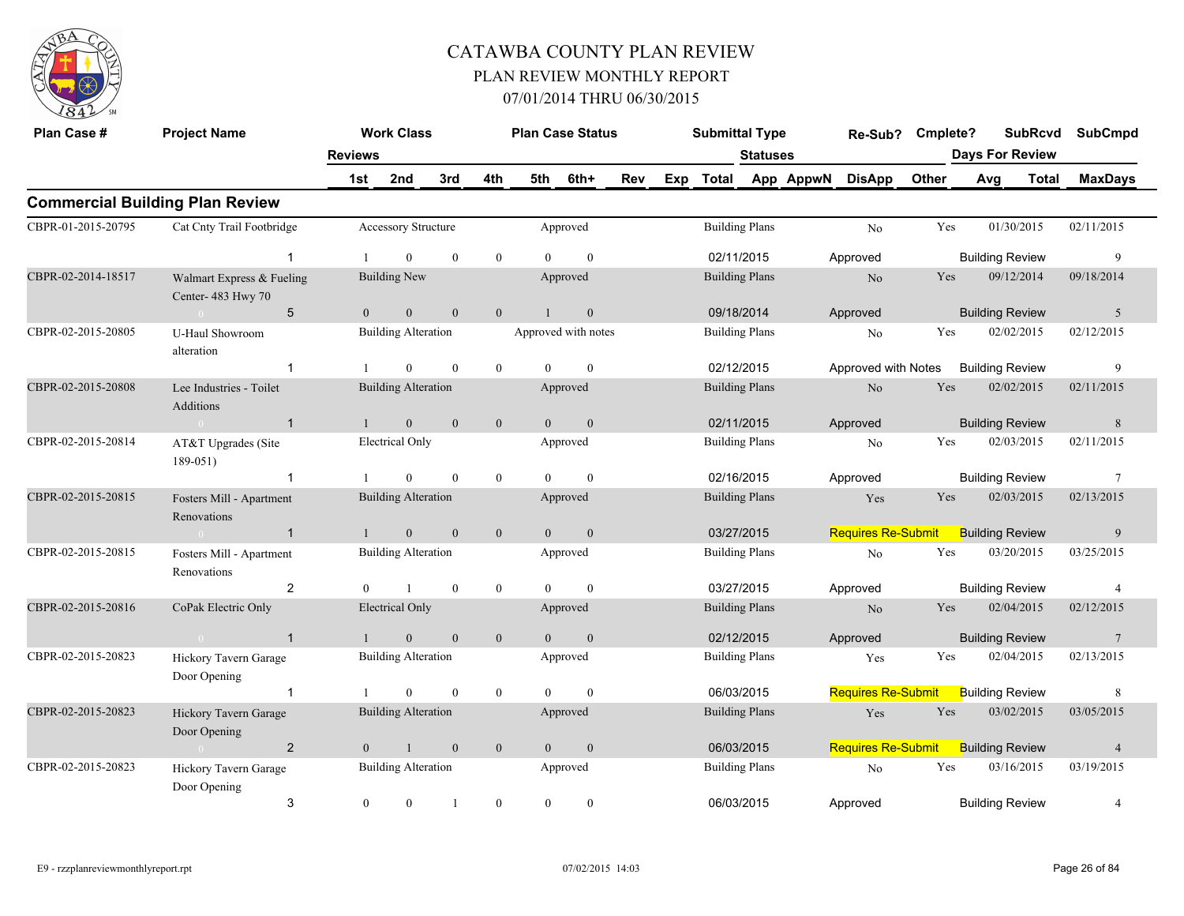

| Plan Case #        | <b>Project Name</b>                            | <b>Reviews</b> | <b>Work Class</b>          |                  |                  | <b>Plan Case Status</b> |                  |     | <b>Submittal Type</b> | Statuses              |           | Re-Sub?                   | Cmplete? | <b>SubRcvd</b><br><b>Days For Review</b> |              | <b>SubCmpd</b>  |
|--------------------|------------------------------------------------|----------------|----------------------------|------------------|------------------|-------------------------|------------------|-----|-----------------------|-----------------------|-----------|---------------------------|----------|------------------------------------------|--------------|-----------------|
|                    |                                                | 1st            | 2nd                        | 3rd              | 4th              | 5th                     | 6th+             | Rev | Exp Total             |                       | App AppwN | <b>DisApp</b>             | Other    | Avg                                      | <b>Total</b> | <b>MaxDays</b>  |
|                    | <b>Commercial Building Plan Review</b>         |                |                            |                  |                  |                         |                  |     |                       |                       |           |                           |          |                                          |              |                 |
| CBPR-01-2015-20795 | Cat Cnty Trail Footbridge                      |                | <b>Accessory Structure</b> |                  |                  |                         | Approved         |     |                       | <b>Building Plans</b> |           | No                        | Yes      | 01/30/2015                               |              | 02/11/2015      |
|                    | $\mathbf{1}$                                   |                | $\Omega$                   | $\mathbf{0}$     | $\bf{0}$         | $\Omega$                | $\mathbf{0}$     |     |                       | 02/11/2015            |           | Approved                  |          | <b>Building Review</b>                   |              | 9               |
| CBPR-02-2014-18517 | Walmart Express & Fueling<br>Center-483 Hwy 70 |                | <b>Building New</b>        |                  |                  |                         | Approved         |     |                       | <b>Building Plans</b> |           | No                        | Yes      | 09/12/2014                               |              | 09/18/2014      |
|                    | 5<br>$\sim 0$                                  | $\overline{0}$ | $\mathbf{0}$               | $\mathbf{0}$     | $\mathbf{0}$     | $\mathbf{1}$            | $\boldsymbol{0}$ |     | 09/18/2014            |                       |           | Approved                  |          | <b>Building Review</b>                   |              | 5               |
| CBPR-02-2015-20805 | <b>U-Haul Showroom</b><br>alteration           |                | <b>Building Alteration</b> |                  |                  | Approved with notes     |                  |     |                       | <b>Building Plans</b> |           | No                        | Yes      | 02/02/2015                               |              | 02/12/2015      |
|                    | $\mathbf 1$                                    |                | $\theta$                   | $\theta$         | $\theta$         | $\Omega$                | $\theta$         |     |                       | 02/12/2015            |           | Approved with Notes       |          | <b>Building Review</b>                   |              | 9               |
| CBPR-02-2015-20808 | Lee Industries - Toilet<br><b>Additions</b>    |                | <b>Building Alteration</b> |                  |                  |                         | Approved         |     |                       | <b>Building Plans</b> |           | No                        | Yes      | 02/02/2015                               |              | 02/11/2015      |
|                    | $\sim 0$<br>$\mathbf{1}$                       | $\mathbf{1}$   | $\mathbf{0}$               | $\mathbf{0}$     | $\boldsymbol{0}$ | $\overline{0}$          | $\mathbf{0}$     |     | 02/11/2015            |                       |           | Approved                  |          | <b>Building Review</b>                   |              | $8\phantom{.}8$ |
| CBPR-02-2015-20814 | AT&T Upgrades (Site<br>189-051)                |                | Electrical Only            |                  |                  |                         | Approved         |     |                       | <b>Building Plans</b> |           | No                        | Yes      | 02/03/2015                               |              | 02/11/2015      |
|                    | $\mathbf 1$                                    |                | $\theta$                   | $\theta$         | $\overline{0}$   | $\Omega$                | $\mathbf{0}$     |     |                       | 02/16/2015            |           | Approved                  |          | <b>Building Review</b>                   |              | $7\phantom{.0}$ |
| CBPR-02-2015-20815 | Fosters Mill - Apartment<br>Renovations        |                | <b>Building Alteration</b> |                  |                  |                         | Approved         |     |                       | <b>Building Plans</b> |           | Yes                       | Yes      | 02/03/2015                               |              | 02/13/2015      |
|                    | $\overline{1}$<br>$\sim 0$                     | $\mathbf{1}$   | $\mathbf{0}$               | $\boldsymbol{0}$ | $\mathbf{0}$     | $\overline{0}$          | $\boldsymbol{0}$ |     | 03/27/2015            |                       |           | <b>Requires Re-Submit</b> |          | <b>Building Review</b>                   |              | 9               |
| CBPR-02-2015-20815 | Fosters Mill - Apartment<br>Renovations        |                | <b>Building Alteration</b> |                  |                  |                         | Approved         |     |                       | <b>Building Plans</b> |           | No                        | Yes      | 03/20/2015                               |              | 03/25/2015      |
|                    | $\overline{2}$                                 | $\theta$       | -1                         | $\mathbf{0}$     | $\overline{0}$   | $\Omega$                | $\mathbf{0}$     |     |                       | 03/27/2015            |           | Approved                  |          | <b>Building Review</b>                   |              | $\overline{4}$  |
| CBPR-02-2015-20816 | CoPak Electric Only                            |                | <b>Electrical Only</b>     |                  |                  |                         | Approved         |     |                       | <b>Building Plans</b> |           | No                        | Yes      | 02/04/2015                               |              | 02/12/2015      |
|                    | $\mathbf{1}$<br>$\sim 0$                       | $\mathbf{1}$   | $\overline{0}$             | $\mathbf{0}$     | $\overline{0}$   | $\overline{0}$          | $\mathbf{0}$     |     | 02/12/2015            |                       |           | Approved                  |          | <b>Building Review</b>                   |              | 7               |
| CBPR-02-2015-20823 | Hickory Tavern Garage<br>Door Opening          |                | <b>Building Alteration</b> |                  |                  |                         | Approved         |     |                       | <b>Building Plans</b> |           | Yes                       | Yes      | 02/04/2015                               |              | 02/13/2015      |
|                    | $\mathbf{1}$                                   |                | $\Omega$                   | $\mathbf{0}$     | $\mathbf{0}$     | $\Omega$                | $\mathbf{0}$     |     | 06/03/2015            |                       |           | <b>Requires Re-Submit</b> |          | <b>Building Review</b>                   |              | 8               |
| CBPR-02-2015-20823 | Hickory Tavern Garage<br>Door Opening          |                | <b>Building Alteration</b> |                  |                  |                         | Approved         |     |                       | <b>Building Plans</b> |           | Yes                       | Yes      | 03/02/2015                               |              | 03/05/2015      |
|                    | $\overline{2}$<br>$\sim 0$                     | $\overline{0}$ | $\overline{1}$             | $\mathbf{0}$     | $\mathbf{0}$     | $\overline{0}$          | $\mathbf{0}$     |     | 06/03/2015            |                       |           | Requires Re-Submit        |          | <b>Building Review</b>                   |              | $\overline{4}$  |
| CBPR-02-2015-20823 | Hickory Tavern Garage<br>Door Opening          |                | <b>Building Alteration</b> |                  |                  |                         | Approved         |     |                       | <b>Building Plans</b> |           | No                        | Yes      | 03/16/2015                               |              | 03/19/2015      |
|                    | 3                                              | $\mathbf{0}$   | $\overline{0}$             |                  | $\overline{0}$   | $\theta$                | $\mathbf{0}$     |     | 06/03/2015            |                       |           | Approved                  |          | <b>Building Review</b>                   |              | $\overline{4}$  |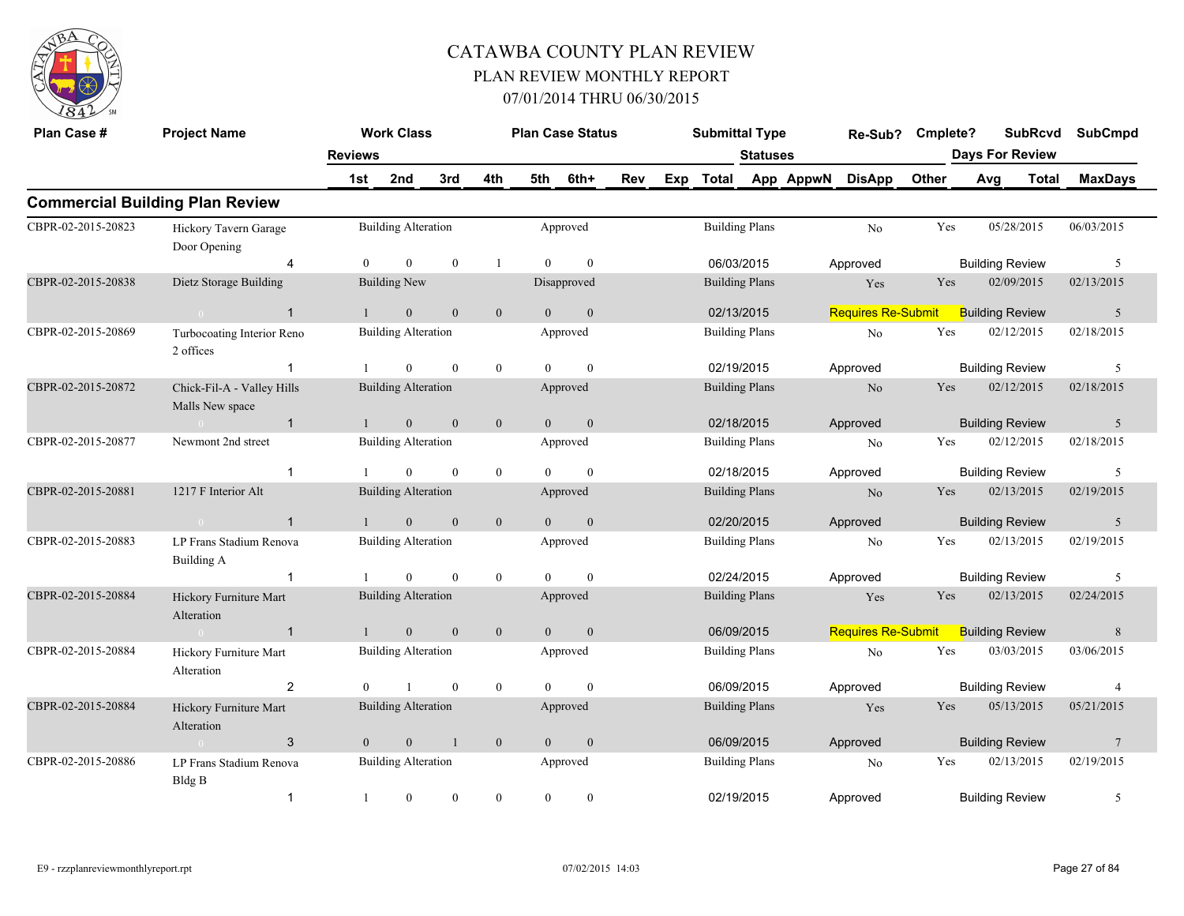

| Plan Case #        | <b>Project Name</b>                           |                       | <b>Work Class</b>          |                  |                |                | <b>Plan Case Status</b> |     |     | <b>Submittal Type</b> |                 |           | Re-Sub?                   | Cmplete? |                        | <b>SubRcvd</b><br><b>Days For Review</b> | <b>SubCmpd</b>  |
|--------------------|-----------------------------------------------|-----------------------|----------------------------|------------------|----------------|----------------|-------------------------|-----|-----|-----------------------|-----------------|-----------|---------------------------|----------|------------------------|------------------------------------------|-----------------|
|                    |                                               | <b>Reviews</b><br>1st | 2nd                        | 3rd              | 4th            | 5th            | 6th+                    | Rev | Exp | <b>Total</b>          | <b>Statuses</b> | App AppwN | <b>DisApp</b>             | Other    | Avg                    | <b>Total</b>                             | <b>MaxDays</b>  |
|                    | <b>Commercial Building Plan Review</b>        |                       |                            |                  |                |                |                         |     |     |                       |                 |           |                           |          |                        |                                          |                 |
| CBPR-02-2015-20823 | Hickory Tavern Garage<br>Door Opening         |                       | <b>Building Alteration</b> |                  |                |                | Approved                |     |     | <b>Building Plans</b> |                 |           | No                        | Yes      |                        | 05/28/2015                               | 06/03/2015      |
|                    | $\overline{4}$                                | $\overline{0}$        | $\overline{0}$             | $\mathbf{0}$     | $\mathbf{1}$   | $\theta$       | $\mathbf{0}$            |     |     | 06/03/2015            |                 |           | Approved                  |          | <b>Building Review</b> |                                          | 5               |
| CBPR-02-2015-20838 | Dietz Storage Building                        |                       | <b>Building New</b>        |                  |                |                | Disapproved             |     |     | <b>Building Plans</b> |                 |           | Yes                       | Yes      |                        | 02/09/2015                               | 02/13/2015      |
|                    | $\mathbf{1}$                                  | $\mathbf{1}$          | $\mathbf{0}$               | $\overline{0}$   | $\mathbf{0}$   | $\theta$       | $\mathbf{0}$            |     |     | 02/13/2015            |                 |           | <b>Requires Re-Submit</b> |          | <b>Building Review</b> |                                          | 5               |
| CBPR-02-2015-20869 | Turbocoating Interior Reno<br>2 offices       |                       | <b>Building Alteration</b> |                  |                |                | Approved                |     |     | <b>Building Plans</b> |                 |           | No                        | Yes      |                        | 02/12/2015                               | 02/18/2015      |
|                    | $\mathbf{1}$                                  |                       | $\Omega$                   | $\theta$         | $\mathbf{0}$   | $\Omega$       | $\theta$                |     |     | 02/19/2015            |                 |           | Approved                  |          | <b>Building Review</b> |                                          | 5               |
| CBPR-02-2015-20872 | Chick-Fil-A - Valley Hills<br>Malls New space |                       | <b>Building Alteration</b> |                  |                |                | Approved                |     |     | <b>Building Plans</b> |                 |           | No                        | Yes      |                        | 02/12/2015                               | 02/18/2015      |
|                    | $\mathbf{1}$<br>$\sim 0$                      | $\mathbf{1}$          | $\overline{0}$             | $\mathbf{0}$     | $\mathbf{0}$   | $\overline{0}$ | $\mathbf{0}$            |     |     | 02/18/2015            |                 |           | Approved                  |          | <b>Building Review</b> |                                          | 5               |
| CBPR-02-2015-20877 | Newmont 2nd street                            |                       | <b>Building Alteration</b> |                  |                |                | Approved                |     |     | <b>Building Plans</b> |                 |           | $\rm No$                  | Yes      |                        | 02/12/2015                               | 02/18/2015      |
|                    | $\mathbf{1}$                                  |                       | $\overline{0}$             | $\theta$         | $\mathbf{0}$   | $\Omega$       | $\mathbf{0}$            |     |     | 02/18/2015            |                 |           | Approved                  |          | <b>Building Review</b> |                                          | 5               |
| CBPR-02-2015-20881 | 1217 F Interior Alt                           |                       | <b>Building Alteration</b> |                  |                |                | Approved                |     |     | <b>Building Plans</b> |                 |           | N <sub>o</sub>            | Yes      |                        | 02/13/2015                               | 02/19/2015      |
|                    | $\mathbf{1}$                                  |                       | $\mathbf{0}$               | $\boldsymbol{0}$ | $\mathbf{0}$   | $\theta$       | $\mathbf{0}$            |     |     | 02/20/2015            |                 |           | Approved                  |          | <b>Building Review</b> |                                          | 5               |
| CBPR-02-2015-20883 | LP Frans Stadium Renova<br>Building A         |                       | <b>Building Alteration</b> |                  |                |                | Approved                |     |     | <b>Building Plans</b> |                 |           | No                        | Yes      |                        | 02/13/2015                               | 02/19/2015      |
|                    | $\mathbf{1}$                                  |                       | $\Omega$                   | $\mathbf{0}$     | $\overline{0}$ | $\Omega$       | $\theta$                |     |     | 02/24/2015            |                 |           | Approved                  |          | <b>Building Review</b> |                                          | 5               |
| CBPR-02-2015-20884 | Hickory Furniture Mart<br>Alteration          |                       | <b>Building Alteration</b> |                  |                |                | Approved                |     |     | <b>Building Plans</b> |                 |           | Yes                       | Yes      |                        | 02/13/2015                               | 02/24/2015      |
|                    | $\mathbf{1}$<br>$\sim 0$                      | $\mathbf{1}$          | $\overline{0}$             | $\mathbf{0}$     | $\mathbf{0}$   | $\overline{0}$ | $\mathbf{0}$            |     |     | 06/09/2015            |                 |           | <b>Requires Re-Submit</b> |          | <b>Building Review</b> |                                          | 8               |
| CBPR-02-2015-20884 | Hickory Furniture Mart<br>Alteration          |                       | <b>Building Alteration</b> |                  |                |                | Approved                |     |     | <b>Building Plans</b> |                 |           | No                        | Yes      |                        | 03/03/2015                               | 03/06/2015      |
|                    | $\overline{c}$                                | $\theta$              |                            | $\theta$         | $\mathbf{0}$   | $\Omega$       | $\theta$                |     |     | 06/09/2015            |                 |           | Approved                  |          | <b>Building Review</b> |                                          | $\overline{4}$  |
| CBPR-02-2015-20884 | Hickory Furniture Mart<br>Alteration          |                       | <b>Building Alteration</b> |                  |                |                | Approved                |     |     | <b>Building Plans</b> |                 |           | Yes                       | Yes      |                        | 05/13/2015                               | 05/21/2015      |
|                    | 3<br>$\sim 0$                                 | $\overline{0}$        | $\mathbf{0}$               | $\mathbf{1}$     | $\mathbf{0}$   | $\overline{0}$ | $\mathbf{0}$            |     |     | 06/09/2015            |                 |           | Approved                  |          | <b>Building Review</b> |                                          | $7\phantom{.0}$ |
| CBPR-02-2015-20886 | LP Frans Stadium Renova<br>Bldg B             |                       | <b>Building Alteration</b> |                  |                |                | Approved                |     |     | <b>Building Plans</b> |                 |           | No                        | Yes      |                        | 02/13/2015                               | 02/19/2015      |
|                    | $\mathbf{1}$                                  |                       | $\mathbf{0}$               | $\mathbf{0}$     | $\overline{0}$ | $\overline{0}$ | $\mathbf{0}$            |     |     | 02/19/2015            |                 |           | Approved                  |          | <b>Building Review</b> |                                          | 5               |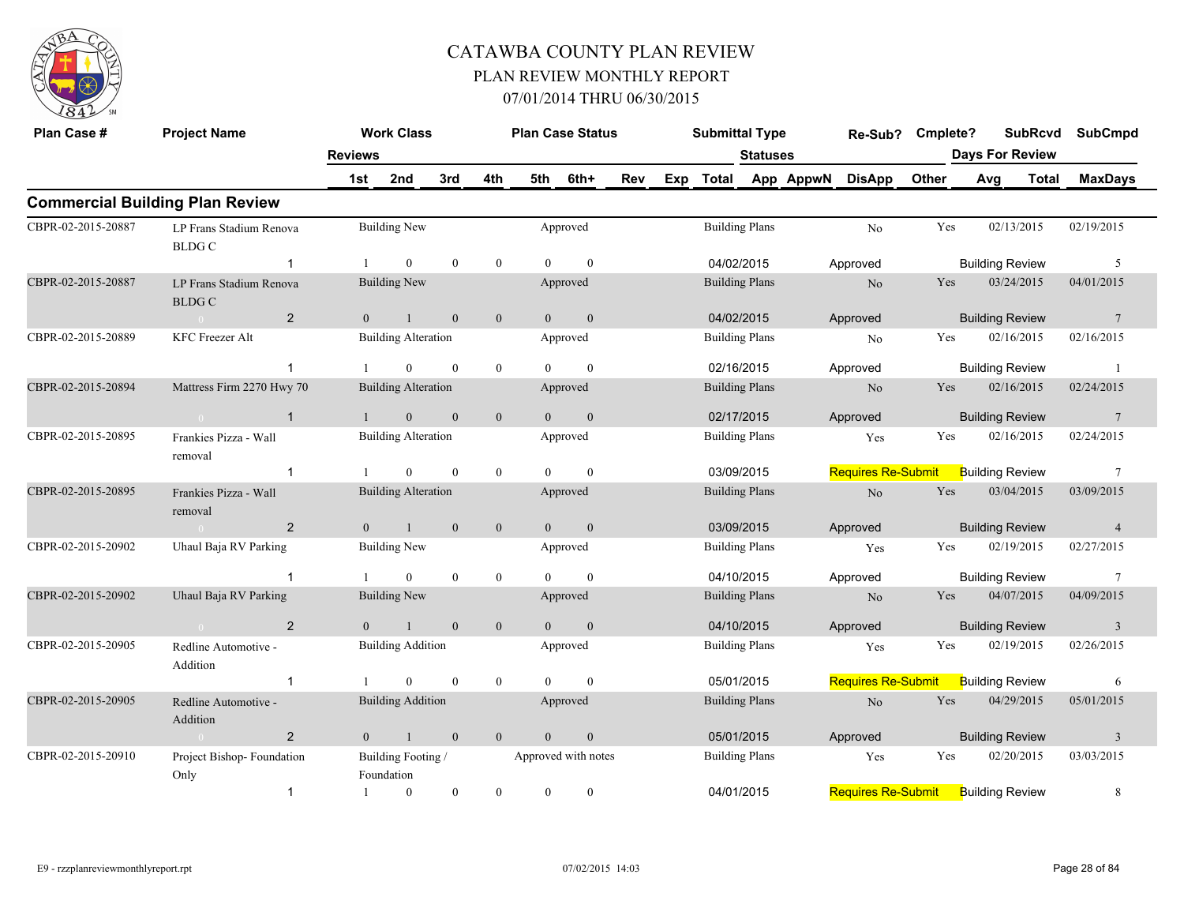

| Plan Case #        | <b>Project Name</b>                      |                | <b>Work Class</b>                |                |                  |                | <b>Plan Case Status</b> |     |     | <b>Submittal Type</b> |                 |           | Re-Sub?                   | Cmplete? |     | <b>SubRcvd</b>         | <b>SubCmpd</b>          |
|--------------------|------------------------------------------|----------------|----------------------------------|----------------|------------------|----------------|-------------------------|-----|-----|-----------------------|-----------------|-----------|---------------------------|----------|-----|------------------------|-------------------------|
|                    |                                          | <b>Reviews</b> |                                  |                |                  |                |                         |     |     |                       | <b>Statuses</b> |           |                           |          |     | <b>Days For Review</b> |                         |
|                    |                                          | 1st            | 2nd                              | 3rd            | 4th              | 5th            | 6th+                    | Rev | Exp | <b>Total</b>          |                 | App AppwN | <b>DisApp</b>             | Other    | Avg | <b>Total</b>           | <b>MaxDays</b>          |
|                    | <b>Commercial Building Plan Review</b>   |                |                                  |                |                  |                |                         |     |     |                       |                 |           |                           |          |     |                        |                         |
| CBPR-02-2015-20887 | LP Frans Stadium Renova<br><b>BLDG C</b> |                | <b>Building New</b>              |                |                  |                | Approved                |     |     | <b>Building Plans</b> |                 |           | No                        | Yes      |     | 02/13/2015             | 02/19/2015              |
|                    | -1                                       |                | $\mathbf{0}$                     | $\mathbf{0}$   | $\mathbf{0}$     | $\Omega$       | $\mathbf{0}$            |     |     | 04/02/2015            |                 |           | Approved                  |          |     | <b>Building Review</b> | 5                       |
| CBPR-02-2015-20887 | LP Frans Stadium Renova<br><b>BLDG C</b> |                | <b>Building New</b>              |                |                  |                | Approved                |     |     | <b>Building Plans</b> |                 |           | N <sub>o</sub>            | Yes      |     | 03/24/2015             | 04/01/2015              |
|                    | $\overline{2}$<br>$\sim$ 0               | $\mathbf{0}$   | $\mathbf{1}$                     | $\mathbf{0}$   | $\boldsymbol{0}$ | $\overline{0}$ | $\mathbf{0}$            |     |     | 04/02/2015            |                 |           | Approved                  |          |     | <b>Building Review</b> | $7\phantom{.0}$         |
| CBPR-02-2015-20889 | <b>KFC Freezer Alt</b>                   |                | <b>Building Alteration</b>       |                |                  |                | Approved                |     |     | <b>Building Plans</b> |                 |           | No                        | Yes      |     | 02/16/2015             | 02/16/2015              |
|                    | $\mathbf{1}$                             |                | $\mathbf{0}$                     | $\mathbf{0}$   | $\mathbf{0}$     | $\theta$       | $\theta$                |     |     | 02/16/2015            |                 |           | Approved                  |          |     | <b>Building Review</b> |                         |
| CBPR-02-2015-20894 | Mattress Firm 2270 Hwy 70                |                | <b>Building Alteration</b>       |                |                  |                | Approved                |     |     | <b>Building Plans</b> |                 |           | No                        | Yes      |     | 02/16/2015             | 02/24/2015              |
|                    | $\mathbf{1}$<br>$\sim 0$                 | $\mathbf{1}$   | $\mathbf{0}$                     | $\mathbf{0}$   | $\mathbf{0}$     | $\overline{0}$ | $\boldsymbol{0}$        |     |     | 02/17/2015            |                 |           | Approved                  |          |     | <b>Building Review</b> | $\overline{7}$          |
| CBPR-02-2015-20895 | Frankies Pizza - Wall<br>removal         |                | <b>Building Alteration</b>       |                |                  |                | Approved                |     |     | <b>Building Plans</b> |                 |           | Yes                       | Yes      |     | 02/16/2015             | 02/24/2015              |
|                    |                                          |                | $\overline{0}$                   | $\mathbf{0}$   | $\mathbf{0}$     | $\Omega$       | $\mathbf{0}$            |     |     | 03/09/2015            |                 |           | <b>Requires Re-Submit</b> |          |     | <b>Building Review</b> | $7\phantom{.0}$         |
| CBPR-02-2015-20895 | Frankies Pizza - Wall<br>removal         |                | <b>Building Alteration</b>       |                |                  |                | Approved                |     |     | <b>Building Plans</b> |                 |           | No                        | Yes      |     | 03/04/2015             | 03/09/2015              |
|                    | $\overline{2}$<br>$\sim 0$               | $\Omega$       | $\mathbf{1}$                     | $\overline{0}$ | $\mathbf{0}$     | $\overline{0}$ | $\mathbf{0}$            |     |     | 03/09/2015            |                 |           | Approved                  |          |     | <b>Building Review</b> | $\overline{4}$          |
| CBPR-02-2015-20902 | Uhaul Baja RV Parking                    |                | <b>Building New</b>              |                |                  |                | Approved                |     |     | <b>Building Plans</b> |                 |           | Yes                       | Yes      |     | 02/19/2015             | 02/27/2015              |
|                    | $\mathbf{1}$                             |                | $\overline{0}$                   | $\mathbf{0}$   | $\mathbf{0}$     | $\theta$       | $\mathbf{0}$            |     |     | 04/10/2015            |                 |           | Approved                  |          |     | <b>Building Review</b> | $7\phantom{.0}$         |
| CBPR-02-2015-20902 | Uhaul Baja RV Parking                    |                | <b>Building New</b>              |                |                  |                | Approved                |     |     | <b>Building Plans</b> |                 |           | No                        | Yes      |     | 04/07/2015             | 04/09/2015              |
|                    | $\overline{2}$                           | $\Omega$       | $\mathbf{1}$                     | $\overline{0}$ | $\mathbf{0}$     | $\theta$       | $\mathbf{0}$            |     |     | 04/10/2015            |                 |           | Approved                  |          |     | <b>Building Review</b> | $\overline{3}$          |
| CBPR-02-2015-20905 | Redline Automotive -<br>Addition         |                | <b>Building Addition</b>         |                |                  |                | Approved                |     |     | <b>Building Plans</b> |                 |           | Yes                       | Yes      |     | 02/19/2015             | 02/26/2015              |
|                    | $\mathbf{1}$                             |                | $\theta$                         | $\theta$       | $\mathbf{0}$     | $\Omega$       | $\theta$                |     |     | 05/01/2015            |                 |           | <b>Requires Re-Submit</b> |          |     | <b>Building Review</b> | 6                       |
| CBPR-02-2015-20905 | Redline Automotive -<br>Addition         |                | <b>Building Addition</b>         |                |                  |                | Approved                |     |     | <b>Building Plans</b> |                 |           | N <sub>o</sub>            | Yes      |     | 04/29/2015             | 05/01/2015              |
|                    | $\overline{2}$<br>$\sim 0$               | $\overline{0}$ | $\mathbf{1}$                     | $\mathbf{0}$   | $\mathbf{0}$     | $\overline{0}$ | $\boldsymbol{0}$        |     |     | 05/01/2015            |                 |           | Approved                  |          |     | <b>Building Review</b> | $\overline{\mathbf{3}}$ |
| CBPR-02-2015-20910 | Project Bishop-Foundation<br>Only        |                | Building Footing /<br>Foundation |                |                  |                | Approved with notes     |     |     | <b>Building Plans</b> |                 |           | Yes                       | Yes      |     | 02/20/2015             | 03/03/2015              |
|                    | $\mathbf{1}$                             |                | $\theta$                         | $\mathbf{0}$   | $\theta$         | $\theta$       | $\theta$                |     |     | 04/01/2015            |                 |           | <b>Requires Re-Submit</b> |          |     | <b>Building Review</b> | 8                       |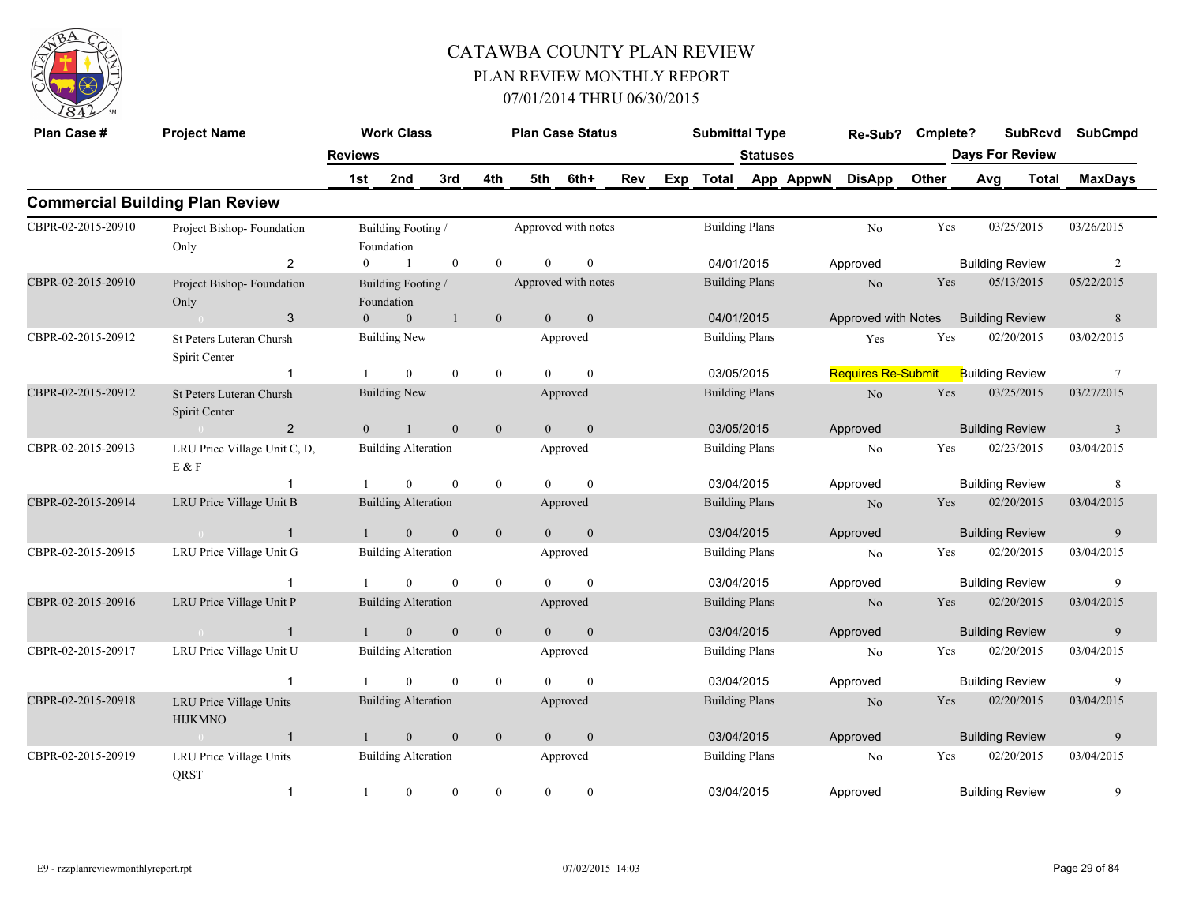

| Plan Case #        | <b>Project Name</b>                              |                | <b>Work Class</b>                |                  |                  | <b>Plan Case Status</b> |                  |     | <b>Submittal Type</b> |                       |           | Re-Sub?                   | Cmplete? |     | <b>SubRcvd</b>         | <b>SubCmpd</b> |
|--------------------|--------------------------------------------------|----------------|----------------------------------|------------------|------------------|-------------------------|------------------|-----|-----------------------|-----------------------|-----------|---------------------------|----------|-----|------------------------|----------------|
|                    |                                                  | <b>Reviews</b> |                                  |                  |                  |                         |                  |     |                       | <b>Statuses</b>       |           |                           |          |     | <b>Days For Review</b> |                |
|                    |                                                  | 1st            | 2nd                              | 3rd              | 4th              | 5th                     | 6th+             | Rev | Exp Total             |                       | App AppwN | <b>DisApp</b>             | Other    | Avg | <b>Total</b>           | <b>MaxDays</b> |
|                    | <b>Commercial Building Plan Review</b>           |                |                                  |                  |                  |                         |                  |     |                       |                       |           |                           |          |     |                        |                |
| CBPR-02-2015-20910 | Project Bishop-Foundation<br>Only                |                | Building Footing /<br>Foundation |                  |                  | Approved with notes     |                  |     |                       | <b>Building Plans</b> |           | No                        | Yes      |     | 03/25/2015             | 03/26/2015     |
|                    | $\overline{2}$                                   | $\theta$       |                                  | $\boldsymbol{0}$ | $\mathbf{0}$     | $\theta$                | $\theta$         |     |                       | 04/01/2015            |           | Approved                  |          |     | <b>Building Review</b> | 2              |
| CBPR-02-2015-20910 | Project Bishop-Foundation<br>Only                |                | Building Footing /<br>Foundation |                  |                  | Approved with notes     |                  |     | <b>Building Plans</b> |                       |           | No                        | Yes      |     | 05/13/2015             | 05/22/2015     |
|                    | 3<br>$\sim 0$                                    | $\overline{0}$ | $\mathbf{0}$                     | $\mathbf{1}$     | $\mathbf{0}$     | $\overline{0}$          | $\boldsymbol{0}$ |     | 04/01/2015            |                       |           | Approved with Notes       |          |     | <b>Building Review</b> | 8              |
| CBPR-02-2015-20912 | <b>St Peters Luteran Chursh</b><br>Spirit Center |                | <b>Building New</b>              |                  |                  |                         | Approved         |     |                       | <b>Building Plans</b> |           | Yes                       | Yes      |     | 02/20/2015             | 03/02/2015     |
|                    | $\overline{1}$                                   |                | $\overline{0}$                   | $\mathbf{0}$     | $\boldsymbol{0}$ | $\Omega$                | $\mathbf{0}$     |     | 03/05/2015            |                       |           | <b>Requires Re-Submit</b> |          |     | <b>Building Review</b> | $\tau$         |
| CBPR-02-2015-20912 | <b>St Peters Luteran Chursh</b><br>Spirit Center |                | <b>Building New</b>              |                  |                  |                         | Approved         |     | <b>Building Plans</b> |                       |           | No                        | Yes      |     | 03/25/2015             | 03/27/2015     |
|                    | $\overline{2}$<br>$\sim 0$                       | $\theta$       | $\overline{1}$                   | $\mathbf{0}$     | $\mathbf{0}$     | $\theta$                | $\mathbf{0}$     |     | 03/05/2015            |                       |           | Approved                  |          |     | <b>Building Review</b> | $\overline{3}$ |
| CBPR-02-2015-20913 | LRU Price Village Unit C, D,<br>E & F            |                | <b>Building Alteration</b>       |                  |                  |                         | Approved         |     |                       | <b>Building Plans</b> |           | N <sub>o</sub>            | Yes      |     | 02/23/2015             | 03/04/2015     |
|                    | $\overline{1}$                                   |                | $\Omega$                         | $\mathbf{0}$     | $\boldsymbol{0}$ | $\Omega$                | $\theta$         |     | 03/04/2015            |                       |           | Approved                  |          |     | <b>Building Review</b> | 8              |
| CBPR-02-2015-20914 | LRU Price Village Unit B                         |                | <b>Building Alteration</b>       |                  |                  |                         | Approved         |     | <b>Building Plans</b> |                       |           | N <sub>o</sub>            | Yes      |     | 02/20/2015             | 03/04/2015     |
|                    | $\overline{1}$<br>$\overline{0}$                 |                | $\mathbf{0}$                     | $\mathbf{0}$     | $\mathbf{0}$     | $\overline{0}$          | $\mathbf{0}$     |     | 03/04/2015            |                       |           | Approved                  |          |     | <b>Building Review</b> | 9              |
| CBPR-02-2015-20915 | LRU Price Village Unit G                         |                | <b>Building Alteration</b>       |                  |                  |                         | Approved         |     | <b>Building Plans</b> |                       |           | No                        | Yes      |     | 02/20/2015             | 03/04/2015     |
|                    | -1                                               |                | $\theta$                         | $\mathbf{0}$     | $\boldsymbol{0}$ | $\Omega$                | $\mathbf{0}$     |     | 03/04/2015            |                       |           | Approved                  |          |     | <b>Building Review</b> | 9              |
| CBPR-02-2015-20916 | LRU Price Village Unit P                         |                | <b>Building Alteration</b>       |                  |                  |                         | Approved         |     | <b>Building Plans</b> |                       |           | No                        | Yes      |     | 02/20/2015             | 03/04/2015     |
|                    | $\overline{1}$<br>$\overline{0}$                 |                | $\mathbf{0}$                     | $\mathbf{0}$     | $\mathbf{0}$     | $\Omega$                | $\boldsymbol{0}$ |     | 03/04/2015            |                       |           | Approved                  |          |     | <b>Building Review</b> | 9              |
| CBPR-02-2015-20917 | LRU Price Village Unit U                         |                | <b>Building Alteration</b>       |                  |                  |                         | Approved         |     | <b>Building Plans</b> |                       |           | No                        | Yes      |     | 02/20/2015             | 03/04/2015     |
|                    | $\overline{1}$                                   |                | $\theta$                         | $\theta$         | $\mathbf{0}$     | $\Omega$                | $\theta$         |     |                       | 03/04/2015            |           | Approved                  |          |     | <b>Building Review</b> | 9              |
| CBPR-02-2015-20918 | LRU Price Village Units<br><b>HIJKMNO</b>        |                | <b>Building Alteration</b>       |                  |                  |                         | Approved         |     |                       | <b>Building Plans</b> |           | N <sub>o</sub>            | Yes      |     | 02/20/2015             | 03/04/2015     |
|                    | $\overline{1}$<br>$\sim 0$                       |                | $\overline{0}$                   | $\mathbf{0}$     | $\mathbf{0}$     | $\theta$                | $\mathbf{0}$     |     | 03/04/2015            |                       |           | Approved                  |          |     | <b>Building Review</b> | 9              |
| CBPR-02-2015-20919 | LRU Price Village Units<br>QRST                  |                | <b>Building Alteration</b>       |                  |                  |                         | Approved         |     |                       | <b>Building Plans</b> |           | No                        | Yes      |     | 02/20/2015             | 03/04/2015     |
|                    | $\overline{1}$                                   | $\overline{1}$ | $\theta$                         | $\theta$         | $\mathbf{0}$     | $\theta$                | $\theta$         |     | 03/04/2015            |                       |           | Approved                  |          |     | <b>Building Review</b> | 9              |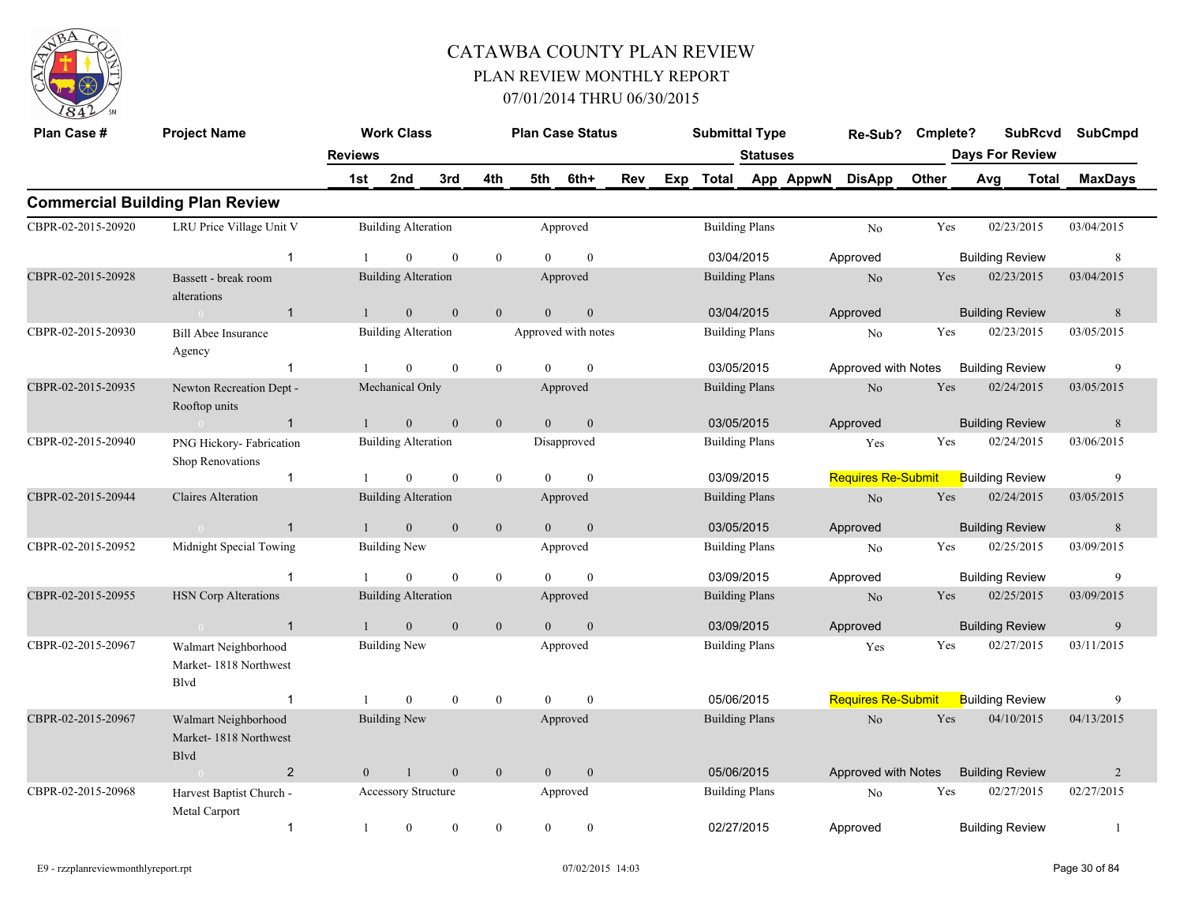

| Plan Case #        | <b>Project Name</b>                                           |                | <b>Work Class</b>          |                  |                |                | <b>Plan Case Status</b> |     | <b>Submittal Type</b> |                 |           | Re-Sub?                   | Cmplete? |                        | <b>SubRcvd</b> | <b>SubCmpd</b> |
|--------------------|---------------------------------------------------------------|----------------|----------------------------|------------------|----------------|----------------|-------------------------|-----|-----------------------|-----------------|-----------|---------------------------|----------|------------------------|----------------|----------------|
|                    |                                                               | <b>Reviews</b> |                            |                  |                |                |                         |     |                       | <b>Statuses</b> |           |                           |          | Days For Review        |                |                |
|                    |                                                               | 1st            | 2nd                        | 3rd              | 4th            | 5th            | 6th+                    | Rev | Exp Total             |                 | App AppwN | <b>DisApp</b>             | Other    | Avg                    | Total          | <b>MaxDays</b> |
|                    | <b>Commercial Building Plan Review</b>                        |                |                            |                  |                |                |                         |     |                       |                 |           |                           |          |                        |                |                |
| CBPR-02-2015-20920 | LRU Price Village Unit V                                      |                | <b>Building Alteration</b> |                  |                |                | Approved                |     | <b>Building Plans</b> |                 |           | No                        | Yes      | 02/23/2015             |                | 03/04/2015     |
|                    | $\overline{1}$                                                |                | $\theta$                   | $\theta$         | $\overline{0}$ | $\Omega$       | $\mathbf{0}$            |     | 03/04/2015            |                 |           | Approved                  |          | <b>Building Review</b> |                | 8              |
| CBPR-02-2015-20928 | Bassett - break room<br>alterations                           |                | <b>Building Alteration</b> |                  |                |                | Approved                |     | <b>Building Plans</b> |                 |           | N <sub>o</sub>            | Yes      | 02/23/2015             |                | 03/04/2015     |
|                    | $\mathbf{1}$                                                  | $\mathbf{1}$   | $\mathbf{0}$               | $\mathbf{0}$     | $\mathbf{0}$   | $\theta$       | $\mathbf{0}$            |     | 03/04/2015            |                 |           | Approved                  |          | <b>Building Review</b> |                | 8              |
| CBPR-02-2015-20930 | <b>Bill Abee Insurance</b><br>Agency                          |                | <b>Building Alteration</b> |                  |                |                | Approved with notes     |     | <b>Building Plans</b> |                 |           | No                        | Yes      | 02/23/2015             |                | 03/05/2015     |
|                    | $\mathbf{1}$                                                  |                | $\overline{0}$             | $\mathbf{0}$     | $\overline{0}$ | $\Omega$       | $\theta$                |     | 03/05/2015            |                 |           | Approved with Notes       |          | <b>Building Review</b> |                | 9              |
| CBPR-02-2015-20935 | Newton Recreation Dept -<br>Rooftop units                     |                | Mechanical Only            |                  |                |                | Approved                |     | <b>Building Plans</b> |                 |           | No                        | Yes      | 02/24/2015             |                | 03/05/2015     |
|                    | $\mathbf{1}$                                                  |                | $\mathbf{0}$               | $\mathbf{0}$     | $\mathbf{0}$   | $\overline{0}$ | $\mathbf{0}$            |     | 03/05/2015            |                 |           | Approved                  |          | <b>Building Review</b> |                | $8\phantom{1}$ |
| CBPR-02-2015-20940 | PNG Hickory- Fabrication<br>Shop Renovations                  |                | <b>Building Alteration</b> |                  |                |                | Disapproved             |     | <b>Building Plans</b> |                 |           | Yes                       | Yes      | 02/24/2015             |                | 03/06/2015     |
|                    | $\mathbf{1}$                                                  |                | $\overline{0}$             | $\boldsymbol{0}$ | $\bf{0}$       | $\theta$       | $\mathbf{0}$            |     | 03/09/2015            |                 |           | <b>Requires Re-Submit</b> |          | <b>Building Review</b> |                | 9              |
| CBPR-02-2015-20944 | <b>Claires Alteration</b>                                     |                | <b>Building Alteration</b> |                  |                |                | Approved                |     | <b>Building Plans</b> |                 |           | No                        | Yes      | 02/24/2015             |                | 03/05/2015     |
|                    | $\overline{1}$                                                | $\mathbf{1}$   | $\mathbf{0}$               | $\mathbf{0}$     | $\mathbf{0}$   | $\overline{0}$ | $\mathbf{0}$            |     | 03/05/2015            |                 |           | Approved                  |          | <b>Building Review</b> |                | 8              |
| CBPR-02-2015-20952 | Midnight Special Towing                                       |                | <b>Building New</b>        |                  |                |                | Approved                |     | <b>Building Plans</b> |                 |           | No                        | Yes      | 02/25/2015             |                | 03/09/2015     |
|                    | $\overline{1}$                                                |                | $\mathbf{0}$               | $\mathbf{0}$     | $\bf{0}$       | $\theta$       | $\mathbf{0}$            |     | 03/09/2015            |                 |           | Approved                  |          | <b>Building Review</b> |                | 9              |
| CBPR-02-2015-20955 | <b>HSN Corp Alterations</b>                                   |                | <b>Building Alteration</b> |                  |                |                | Approved                |     | <b>Building Plans</b> |                 |           | N <sub>o</sub>            | Yes      | 02/25/2015             |                | 03/09/2015     |
|                    | $\mathbf{1}$<br>$\sim 0$                                      | $\overline{1}$ | $\overline{0}$             | $\mathbf{0}$     | $\overline{0}$ | $\overline{0}$ | $\mathbf{0}$            |     | 03/09/2015            |                 |           | Approved                  |          | <b>Building Review</b> |                | 9              |
| CBPR-02-2015-20967 | Walmart Neighborhood<br>Market-1818 Northwest<br>Blvd         |                | <b>Building New</b>        |                  |                |                | Approved                |     | <b>Building Plans</b> |                 |           | Yes                       | Yes      | 02/27/2015             |                | 03/11/2015     |
|                    | $\mathbf 1$                                                   |                | $\overline{0}$             | $\mathbf{0}$     | $\bf{0}$       | $\overline{0}$ | $\mathbf{0}$            |     | 05/06/2015            |                 |           | <b>Requires Re-Submit</b> |          | <b>Building Review</b> |                | 9              |
| CBPR-02-2015-20967 | Walmart Neighborhood<br>Market-1818 Northwest<br><b>B</b> lvd |                | <b>Building New</b>        |                  |                |                | Approved                |     | <b>Building Plans</b> |                 |           | No                        | Yes      | 04/10/2015             |                | 04/13/2015     |
|                    | $\overline{2}$<br>$\sim 0$                                    | $\overline{0}$ | $\mathbf{1}$               | $\mathbf{0}$     | $\mathbf{0}$   | $\overline{0}$ | $\mathbf{0}$            |     | 05/06/2015            |                 |           | Approved with Notes       |          | <b>Building Review</b> |                | 2              |
| CBPR-02-2015-20968 | Harvest Baptist Church -<br>Metal Carport                     |                | <b>Accessory Structure</b> |                  |                |                | Approved                |     | <b>Building Plans</b> |                 |           | No                        | Yes      | 02/27/2015             |                | 02/27/2015     |
|                    | $\mathbf{1}$                                                  | 1              | $\boldsymbol{0}$           | $\mathbf{0}$     | $\mathbf{0}$   | $\mathbf{0}$   | $\boldsymbol{0}$        |     | 02/27/2015            |                 |           | Approved                  |          | <b>Building Review</b> |                | $\mathbf{1}$   |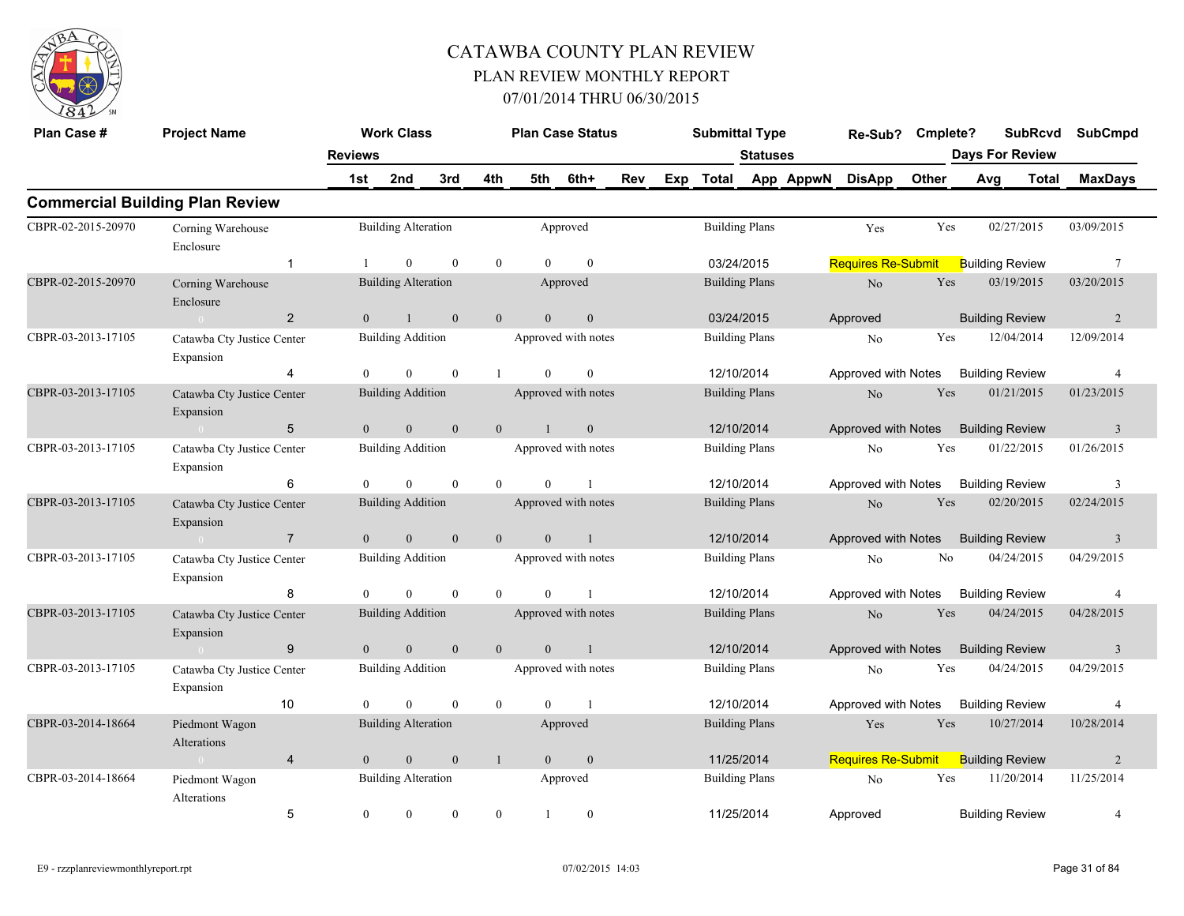

| Plan Case #        | <b>Project Name</b>                     |                | <b>Work Class</b>          |              |                | <b>Plan Case Status</b> |                |     |     | <b>Submittal Type</b> |                 |           | Re-Sub? Cmplete?          |       |                        | <b>SubRcvd</b> | <b>SubCmpd</b>  |
|--------------------|-----------------------------------------|----------------|----------------------------|--------------|----------------|-------------------------|----------------|-----|-----|-----------------------|-----------------|-----------|---------------------------|-------|------------------------|----------------|-----------------|
|                    |                                         | <b>Reviews</b> |                            |              |                |                         |                |     |     |                       | <b>Statuses</b> |           |                           |       | <b>Days For Review</b> |                |                 |
|                    |                                         | 1st            | 2nd                        | 3rd          | 4th            | 5th                     | 6th+           | Rev | Exp | Total                 |                 | App AppwN | <b>DisApp</b>             | Other | Avg                    | Total          | <b>MaxDays</b>  |
|                    | <b>Commercial Building Plan Review</b>  |                |                            |              |                |                         |                |     |     |                       |                 |           |                           |       |                        |                |                 |
| CBPR-02-2015-20970 | Corning Warehouse<br>Enclosure          |                | <b>Building Alteration</b> |              |                |                         | Approved       |     |     | <b>Building Plans</b> |                 |           | Yes                       | Yes   | 02/27/2015             |                | 03/09/2015      |
|                    | $\mathbf{1}$                            |                | $\theta$                   | $\theta$     | $\mathbf{0}$   | $\theta$                | $\theta$       |     |     | 03/24/2015            |                 |           | <b>Requires Re-Submit</b> |       | <b>Building Review</b> |                | $7\phantom{.0}$ |
| CBPR-02-2015-20970 | Corning Warehouse<br>Enclosure          |                | <b>Building Alteration</b> |              |                |                         | Approved       |     |     | <b>Building Plans</b> |                 |           | $\rm No$                  | Yes   | 03/19/2015             |                | 03/20/2015      |
|                    | $\overline{2}$<br>$\sim 0$              | $\Omega$       | $\overline{1}$             | $\theta$     | $\mathbf{0}$   | $\theta$                | $\mathbf{0}$   |     |     | 03/24/2015            |                 |           | Approved                  |       | <b>Building Review</b> |                | 2               |
| CBPR-03-2013-17105 | Catawba Cty Justice Center<br>Expansion |                | <b>Building Addition</b>   |              |                | Approved with notes     |                |     |     | <b>Building Plans</b> |                 |           | No                        | Yes   | 12/04/2014             |                | 12/09/2014      |
|                    | 4                                       | $\theta$       | $\mathbf{0}$               | $\mathbf{0}$ | $\mathbf{1}$   | $\overline{0}$          | $\mathbf{0}$   |     |     | 12/10/2014            |                 |           | Approved with Notes       |       | <b>Building Review</b> |                | $\overline{4}$  |
| CBPR-03-2013-17105 | Catawba Cty Justice Center<br>Expansion |                | <b>Building Addition</b>   |              |                | Approved with notes     |                |     |     | <b>Building Plans</b> |                 |           | No                        | Yes   | 01/21/2015             |                | 01/23/2015      |
|                    | $5\phantom{.0}$<br>$\sim 0$             | $\overline{0}$ | $\boldsymbol{0}$           | $\mathbf{0}$ | $\overline{0}$ | -1                      | $\mathbf{0}$   |     |     | 12/10/2014            |                 |           | Approved with Notes       |       | <b>Building Review</b> |                | $\overline{3}$  |
| CBPR-03-2013-17105 | Catawba Cty Justice Center<br>Expansion |                | <b>Building Addition</b>   |              |                | Approved with notes     |                |     |     | <b>Building Plans</b> |                 |           | No                        | Yes   | 01/22/2015             |                | 01/26/2015      |
|                    | 6                                       | $\theta$       | $\theta$                   | $\theta$     | $\theta$       | $\theta$                | $\overline{1}$ |     |     | 12/10/2014            |                 |           | Approved with Notes       |       | <b>Building Review</b> |                | 3               |
| CBPR-03-2013-17105 | Catawba Cty Justice Center<br>Expansion |                | <b>Building Addition</b>   |              |                | Approved with notes     |                |     |     | <b>Building Plans</b> |                 |           | $\rm No$                  | Yes   | 02/20/2015             |                | 02/24/2015      |
|                    | $\overline{7}$<br>$\sim 0$              | $\overline{0}$ | $\mathbf{0}$               | $\mathbf{0}$ | $\overline{0}$ | $\overline{\mathbf{0}}$ | $\overline{1}$ |     |     | 12/10/2014            |                 |           | Approved with Notes       |       | <b>Building Review</b> |                | 3               |
| CBPR-03-2013-17105 | Catawba Cty Justice Center<br>Expansion |                | <b>Building Addition</b>   |              |                | Approved with notes     |                |     |     | <b>Building Plans</b> |                 |           | No                        | No    | 04/24/2015             |                | 04/29/2015      |
|                    | 8                                       | $\theta$       | $\mathbf{0}$               | $\theta$     | $\theta$       | $\overline{0}$          | $\overline{1}$ |     |     | 12/10/2014            |                 |           | Approved with Notes       |       | <b>Building Review</b> |                | $\overline{4}$  |
| CBPR-03-2013-17105 | Catawba Cty Justice Center<br>Expansion |                | <b>Building Addition</b>   |              |                | Approved with notes     |                |     |     | <b>Building Plans</b> |                 |           | No                        | Yes   | 04/24/2015             |                | 04/28/2015      |
|                    | 9<br>$\sim 0$                           | $\mathbf{0}$   | $\overline{0}$             | $\mathbf{0}$ | $\mathbf{0}$   | $\theta$                | $\overline{1}$ |     |     | 12/10/2014            |                 |           | Approved with Notes       |       | <b>Building Review</b> |                | $\overline{3}$  |
| CBPR-03-2013-17105 | Catawba Cty Justice Center<br>Expansion |                | <b>Building Addition</b>   |              |                | Approved with notes     |                |     |     | <b>Building Plans</b> |                 |           | No                        | Yes   | 04/24/2015             |                | 04/29/2015      |
|                    | 10                                      | $\Omega$       | $\Omega$                   | $\theta$     | $\theta$       | $\theta$                | $\overline{1}$ |     |     | 12/10/2014            |                 |           | Approved with Notes       |       | <b>Building Review</b> |                | $\overline{4}$  |
| CBPR-03-2014-18664 | Piedmont Wagon<br>Alterations           |                | <b>Building Alteration</b> |              |                |                         | Approved       |     |     | <b>Building Plans</b> |                 |           | Yes                       | Yes   | 10/27/2014             |                | 10/28/2014      |
|                    | $\overline{4}$<br>$\sim 0$              | $\theta$       | $\mathbf{0}$               | $\mathbf{0}$ | $\mathbf{1}$   | $\overline{0}$          | $\mathbf{0}$   |     |     | 11/25/2014            |                 |           | Requires Re-Submit        |       | <b>Building Review</b> |                | $\overline{2}$  |
| CBPR-03-2014-18664 | Piedmont Wagon<br>Alterations           |                | <b>Building Alteration</b> |              |                |                         | Approved       |     |     | <b>Building Plans</b> |                 |           | No                        | Yes   | 11/20/2014             |                | 11/25/2014      |
|                    | 5                                       | $\mathbf{0}$   | $\mathbf{0}$               | $\mathbf{0}$ | $\overline{0}$ |                         | $\mathbf{0}$   |     |     | 11/25/2014            |                 |           | Approved                  |       | <b>Building Review</b> |                | $\overline{4}$  |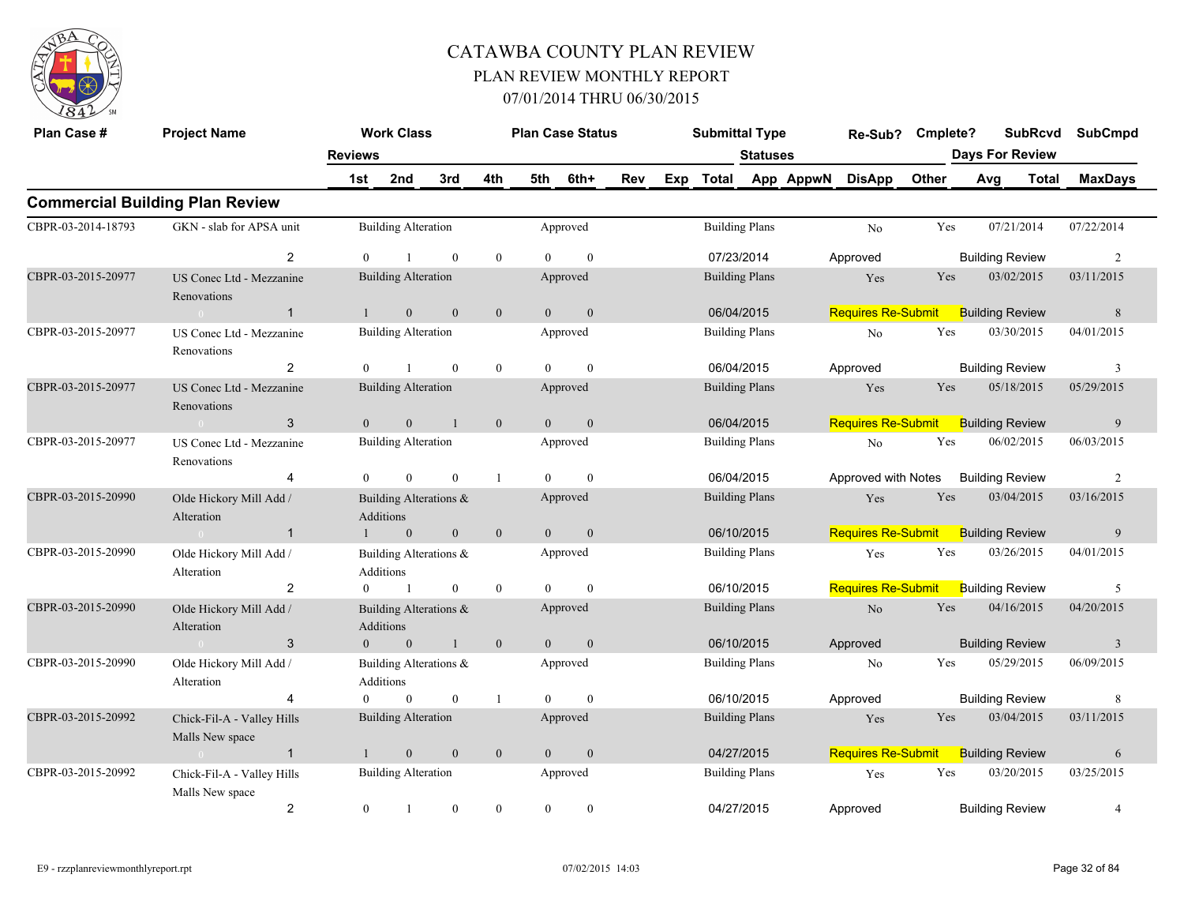

| Plan Case #        | <b>Project Name</b>                           |                  | <b>Work Class</b>                   |                  |              |                | <b>Plan Case Status</b> |            | <b>Submittal Type</b> |                 | Re-Sub?                   | Cmplete? |                        | <b>SubRcvd</b> | <b>SubCmpd</b> |  |
|--------------------|-----------------------------------------------|------------------|-------------------------------------|------------------|--------------|----------------|-------------------------|------------|-----------------------|-----------------|---------------------------|----------|------------------------|----------------|----------------|--|
|                    |                                               | <b>Reviews</b>   |                                     |                  |              |                |                         |            |                       | <b>Statuses</b> |                           |          | <b>Days For Review</b> |                |                |  |
|                    |                                               | 1st              | 2nd                                 | 3rd              | 4th          | 5th            | 6th+                    | <b>Rev</b> | Exp Total             |                 | App AppwN DisApp          | Other    | Avg                    | Total          | <b>MaxDays</b> |  |
|                    | <b>Commercial Building Plan Review</b>        |                  |                                     |                  |              |                |                         |            |                       |                 |                           |          |                        |                |                |  |
| CBPR-03-2014-18793 | GKN - slab for APSA unit                      |                  | <b>Building Alteration</b>          |                  |              |                | Approved                |            | <b>Building Plans</b> |                 | N <sub>0</sub>            | Yes      | 07/21/2014             |                | 07/22/2014     |  |
|                    | $\overline{2}$                                | $\overline{0}$   |                                     | $\mathbf{0}$     | $\mathbf{0}$ | $\theta$       | $\mathbf{0}$            |            | 07/23/2014            |                 | Approved                  |          | <b>Building Review</b> |                | 2              |  |
| CBPR-03-2015-20977 | US Conec Ltd - Mezzanine<br>Renovations       |                  | <b>Building Alteration</b>          |                  |              |                | Approved                |            | <b>Building Plans</b> |                 | Yes                       | Yes      | 03/02/2015             |                | 03/11/2015     |  |
|                    | $\mathbf{1}$<br>$\sim$ 0                      | $\mathbf{1}$     | $\mathbf{0}$                        | $\overline{0}$   | $\mathbf{0}$ | $\overline{0}$ | $\mathbf{0}$            |            | 06/04/2015            |                 | <b>Requires Re-Submit</b> |          | <b>Building Review</b> |                | 8              |  |
| CBPR-03-2015-20977 | US Conec Ltd - Mezzanine<br>Renovations       |                  | <b>Building Alteration</b>          |                  |              |                | Approved                |            | <b>Building Plans</b> |                 | N <sub>o</sub>            | Yes      | 03/30/2015             |                | 04/01/2015     |  |
|                    | 2                                             | $\boldsymbol{0}$ | $\overline{1}$                      | $\mathbf{0}$     | $\mathbf{0}$ | $\overline{0}$ | $\mathbf{0}$            |            | 06/04/2015            |                 | Approved                  |          | <b>Building Review</b> |                | 3              |  |
| CBPR-03-2015-20977 | US Conec Ltd - Mezzanine<br>Renovations       |                  | <b>Building Alteration</b>          |                  |              |                | Approved                |            | <b>Building Plans</b> |                 | Yes                       | Yes      | 05/18/2015             |                | 05/29/2015     |  |
|                    | 3<br>$\sim 0$                                 | $\overline{0}$   | $\mathbf{0}$                        | $\mathbf{1}$     | $\mathbf{0}$ | $\overline{0}$ | $\mathbf{0}$            |            | 06/04/2015            |                 | <b>Requires Re-Submit</b> |          | <b>Building Review</b> |                | 9              |  |
| CBPR-03-2015-20977 | US Conec Ltd - Mezzanine<br>Renovations       |                  | <b>Building Alteration</b>          |                  |              |                | Approved                |            | <b>Building Plans</b> |                 | No                        | Yes      | 06/02/2015             |                | 06/03/2015     |  |
|                    | $\overline{4}$                                | $\overline{0}$   | $\overline{0}$                      | $\mathbf{0}$     | -1           | $\theta$       | $\mathbf{0}$            |            | 06/04/2015            |                 | Approved with Notes       |          | <b>Building Review</b> |                | 2              |  |
| CBPR-03-2015-20990 | Olde Hickory Mill Add /<br>Alteration         |                  | Building Alterations &<br>Additions |                  |              |                | Approved                |            | <b>Building Plans</b> |                 | Yes                       | Yes      | 03/04/2015             |                | 03/16/2015     |  |
|                    | $\overline{1}$<br>$\sim 0$                    |                  | $\mathbf{0}$                        | $\boldsymbol{0}$ | $\mathbf{0}$ | $\overline{0}$ | $\mathbf{0}$            |            | 06/10/2015            |                 | <b>Requires Re-Submit</b> |          | <b>Building Review</b> |                | 9              |  |
| CBPR-03-2015-20990 | Olde Hickory Mill Add /<br>Alteration         |                  | Building Alterations &<br>Additions |                  |              |                | Approved                |            | <b>Building Plans</b> |                 | Yes                       | Yes      | 03/26/2015             |                | 04/01/2015     |  |
|                    | $\overline{2}$                                | $\overline{0}$   | $\overline{1}$                      | $\mathbf{0}$     | $\mathbf{0}$ | $\theta$       | $\mathbf{0}$            |            | 06/10/2015            |                 | <b>Requires Re-Submit</b> |          | <b>Building Review</b> |                | 5              |  |
| CBPR-03-2015-20990 | Olde Hickory Mill Add /<br>Alteration         |                  | Building Alterations &<br>Additions |                  |              |                | Approved                |            | <b>Building Plans</b> |                 | $\rm No$                  | Yes      | 04/16/2015             |                | 04/20/2015     |  |
|                    | 3<br>$\sim 0$                                 | $\theta$         | $\mathbf{0}$                        | $\mathbf{1}$     | $\mathbf{0}$ | $\mathbf{0}$   | $\mathbf{0}$            |            | 06/10/2015            |                 | Approved                  |          | <b>Building Review</b> |                | $\overline{3}$ |  |
| CBPR-03-2015-20990 | Olde Hickory Mill Add /<br>Alteration         |                  | Building Alterations &<br>Additions |                  |              |                | Approved                |            | <b>Building Plans</b> |                 | No                        | Yes      | 05/29/2015             |                | 06/09/2015     |  |
|                    | 4                                             | $\theta$         | $\boldsymbol{0}$                    | $\boldsymbol{0}$ | $\mathbf{1}$ | $\theta$       | $\mathbf{0}$            |            | 06/10/2015            |                 | Approved                  |          | <b>Building Review</b> |                | 8              |  |
| CBPR-03-2015-20992 | Chick-Fil-A - Valley Hills<br>Malls New space |                  | <b>Building Alteration</b>          |                  |              |                | Approved                |            | <b>Building Plans</b> |                 | Yes                       | Yes      | 03/04/2015             |                | 03/11/2015     |  |
|                    | $\sim 0$ and $\sim 0.00$<br>$\overline{1}$    | $\mathbf{1}$     | $\mathbf{0}$                        | $\mathbf{0}$     | $\mathbf{0}$ | $\overline{0}$ | $\mathbf{0}$            |            | 04/27/2015            |                 | Requires Re-Submit        |          | <b>Building Review</b> |                | 6              |  |
| CBPR-03-2015-20992 | Chick-Fil-A - Valley Hills<br>Malls New space |                  | <b>Building Alteration</b>          |                  |              |                | Approved                |            | <b>Building Plans</b> |                 | Yes                       | Yes      | 03/20/2015             |                | 03/25/2015     |  |
|                    | $\overline{c}$                                | $\boldsymbol{0}$ | $\mathbf{1}$                        | $\mathbf{0}$     | $\mathbf{0}$ | $\mathbf{0}$   | $\boldsymbol{0}$        |            | 04/27/2015            |                 | Approved                  |          | <b>Building Review</b> |                | 4              |  |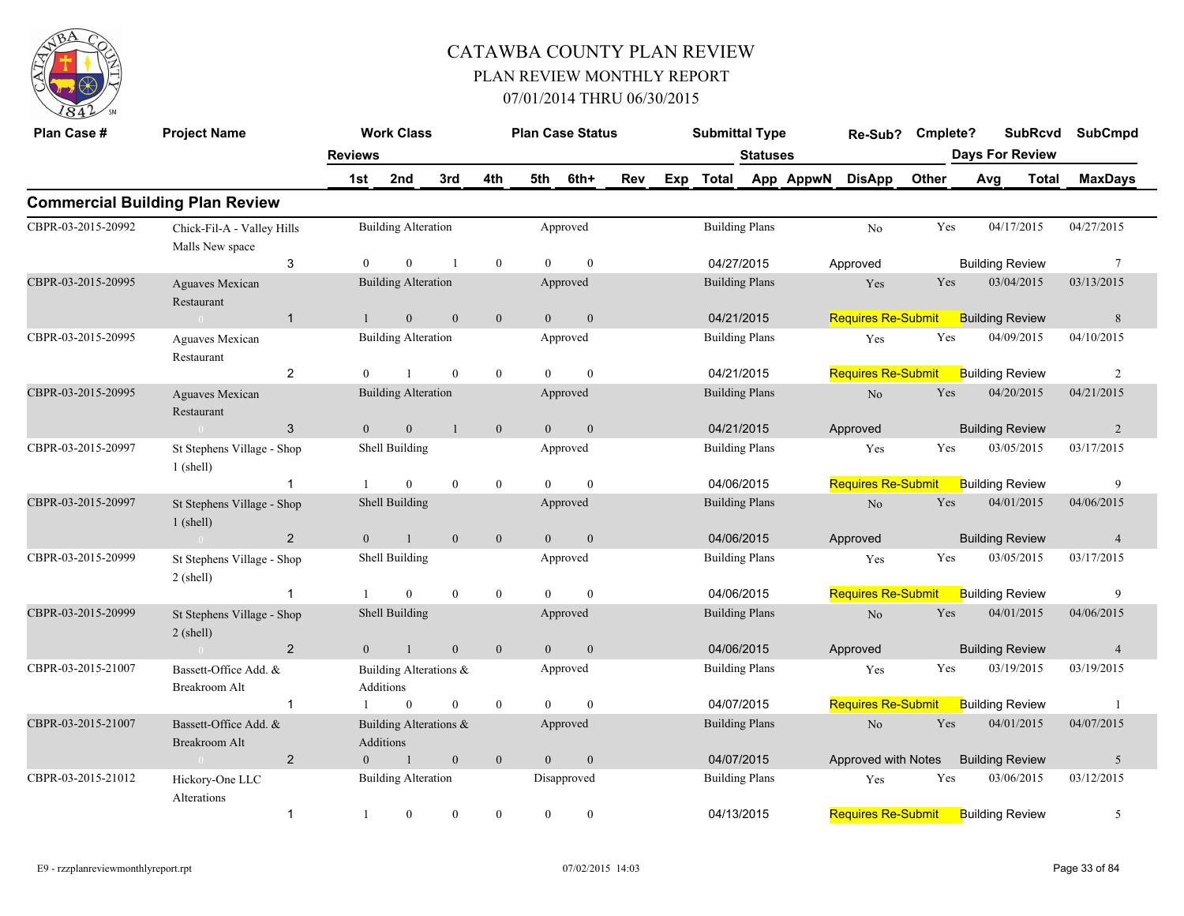

| Plan Case #        | <b>Project Name</b>                           |                | <b>Work Class</b>                   |                |                |                | <b>Plan Case Status</b> |     |     | <b>Submittal Type</b> |                       |           | Re-Sub?                   | Cmplete? |                        | <b>SubRcvd</b> | SubCmpd         |  |
|--------------------|-----------------------------------------------|----------------|-------------------------------------|----------------|----------------|----------------|-------------------------|-----|-----|-----------------------|-----------------------|-----------|---------------------------|----------|------------------------|----------------|-----------------|--|
|                    |                                               | <b>Reviews</b> |                                     |                |                |                |                         |     |     |                       | <b>Statuses</b>       |           |                           |          | <b>Days For Review</b> |                |                 |  |
|                    |                                               | 1st            | 2nd                                 | 3rd            | 4th            | 5th            | 6th+                    | Rev | Exp | Total                 |                       | App AppwN | <b>DisApp</b>             | Other    | Avg                    | Total          | <b>MaxDays</b>  |  |
|                    | <b>Commercial Building Plan Review</b>        |                |                                     |                |                |                |                         |     |     |                       |                       |           |                           |          |                        |                |                 |  |
| CBPR-03-2015-20992 | Chick-Fil-A - Valley Hills<br>Malls New space |                | <b>Building Alteration</b>          |                |                |                | Approved                |     |     |                       | <b>Building Plans</b> |           | N <sub>o</sub>            | Yes      | 04/17/2015             |                | 04/27/2015      |  |
|                    | 3                                             | $\theta$       | $\theta$                            | $\overline{1}$ | $\overline{0}$ | $\theta$       | $\mathbf{0}$            |     |     | 04/27/2015            |                       |           | Approved                  |          | <b>Building Review</b> |                | $7\phantom{.0}$ |  |
| CBPR-03-2015-20995 | Aguaves Mexican<br>Restaurant                 |                | <b>Building Alteration</b>          |                |                |                | Approved                |     |     |                       | <b>Building Plans</b> |           | Yes                       | Yes      | 03/04/2015             |                | 03/13/2015      |  |
|                    | $\mathbf{1}$<br>$\sim 0$                      | $\mathbf{1}$   | $\mathbf{0}$                        | $\mathbf{0}$   | $\overline{0}$ | $\overline{0}$ | $\mathbf{0}$            |     |     | 04/21/2015            |                       |           | <b>Requires Re-Submit</b> |          | <b>Building Review</b> |                | 8               |  |
| CBPR-03-2015-20995 | Aguaves Mexican<br>Restaurant                 |                | <b>Building Alteration</b>          |                |                |                | Approved                |     |     |                       | <b>Building Plans</b> |           | Yes                       | Yes      | 04/09/2015             |                | 04/10/2015      |  |
|                    | 2                                             | $\theta$       | $\overline{1}$                      | $\theta$       | $\overline{0}$ | $\theta$       | $\mathbf{0}$            |     |     |                       | 04/21/2015            |           | <b>Requires Re-Submit</b> |          | <b>Building Review</b> |                | 2               |  |
| CBPR-03-2015-20995 | Aguaves Mexican<br>Restaurant                 |                | <b>Building Alteration</b>          |                |                |                | Approved                |     |     |                       | <b>Building Plans</b> |           | $\rm No$                  | Yes      | 04/20/2015             |                | 04/21/2015      |  |
|                    | 3<br>$\sim 0$                                 | $\mathbf{0}$   | $\mathbf{0}$                        | $\mathbf{1}$   | $\mathbf{0}$   | $\overline{0}$ | $\mathbf{0}$            |     |     | 04/21/2015            |                       |           | Approved                  |          | <b>Building Review</b> |                | 2               |  |
| CBPR-03-2015-20997 | St Stephens Village - Shop<br>$1$ (shell)     |                | Shell Building                      |                |                |                | Approved                |     |     |                       | <b>Building Plans</b> |           | Yes                       | Yes      | 03/05/2015             |                | 03/17/2015      |  |
|                    | $\mathbf{1}$                                  |                | $\overline{0}$                      | $\mathbf{0}$   | $\overline{0}$ | $\Omega$       | $\mathbf{0}$            |     |     |                       | 04/06/2015            |           | <b>Requires Re-Submit</b> |          | <b>Building Review</b> |                | 9               |  |
| CBPR-03-2015-20997 | St Stephens Village - Shop<br>$1$ (shell)     |                | Shell Building                      |                |                |                | Approved                |     |     |                       | <b>Building Plans</b> |           | $\rm No$                  | Yes      | 04/01/2015             |                | 04/06/2015      |  |
|                    | $\overline{2}$<br>$\sim 0$                    | $\overline{0}$ | $\mathbf{1}$                        | $\overline{0}$ | $\mathbf{0}$   | $\mathbf{0}$   | $\mathbf{0}$            |     |     |                       | 04/06/2015            |           | Approved                  |          | <b>Building Review</b> |                | $\overline{4}$  |  |
| CBPR-03-2015-20999 | St Stephens Village - Shop<br>$2$ (shell)     |                | Shell Building                      |                |                |                | Approved                |     |     |                       | <b>Building Plans</b> |           | Yes                       | Yes      | 03/05/2015             |                | 03/17/2015      |  |
|                    | $\mathbf{1}$                                  | -1             | $\overline{0}$                      | $\theta$       | $\mathbf{0}$   | $\theta$       | $\mathbf{0}$            |     |     | 04/06/2015            |                       |           | <b>Requires Re-Submit</b> |          | <b>Building Review</b> |                | 9               |  |
| CBPR-03-2015-20999 | St Stephens Village - Shop<br>$2$ (shell)     |                | Shell Building                      |                |                |                | Approved                |     |     |                       | <b>Building Plans</b> |           | $\rm No$                  | Yes      | 04/01/2015             |                | 04/06/2015      |  |
|                    | $\overline{2}$                                | $\overline{0}$ | $\mathbf{1}$                        | $\mathbf{0}$   | $\mathbf{0}$   | $\overline{0}$ | $\mathbf{0}$            |     |     |                       | 04/06/2015            |           | Approved                  |          | <b>Building Review</b> |                | $\overline{4}$  |  |
| CBPR-03-2015-21007 | Bassett-Office Add. &<br>Breakroom Alt        |                | Building Alterations &<br>Additions |                |                |                | Approved                |     |     |                       | <b>Building Plans</b> |           | Yes                       | Yes      | 03/19/2015             |                | 03/19/2015      |  |
|                    | $\mathbf{1}$                                  |                | $\overline{0}$                      | $\mathbf{0}$   | $\mathbf{0}$   | $\theta$       | $\mathbf{0}$            |     |     | 04/07/2015            |                       |           | <b>Requires Re-Submit</b> |          | <b>Building Review</b> |                | -1              |  |
| CBPR-03-2015-21007 | Bassett-Office Add. &<br>Breakroom Alt        |                | Building Alterations &<br>Additions |                |                |                | Approved                |     |     |                       | <b>Building Plans</b> |           | $\rm No$                  | Yes      | 04/01/2015             |                | 04/07/2015      |  |
|                    | $\overline{2}$<br>$\sim 0$                    | $\overline{0}$ | $\overline{1}$                      | $\mathbf{0}$   | $\overline{0}$ | $\overline{0}$ | $\mathbf{0}$            |     |     | 04/07/2015            |                       |           | Approved with Notes       |          | <b>Building Review</b> |                | 5               |  |
| CBPR-03-2015-21012 | Hickory-One LLC<br>Alterations                |                | <b>Building Alteration</b>          |                |                |                | Disapproved             |     |     |                       | <b>Building Plans</b> |           | Yes                       | Yes      | 03/06/2015             |                | 03/12/2015      |  |
|                    | $\mathbf{1}$                                  | -1             | $\overline{0}$                      | $\theta$       | $\mathbf{0}$   | $\theta$       | $\overline{0}$          |     |     | 04/13/2015            |                       |           | <b>Requires Re-Submit</b> |          | <b>Building Review</b> |                | 5               |  |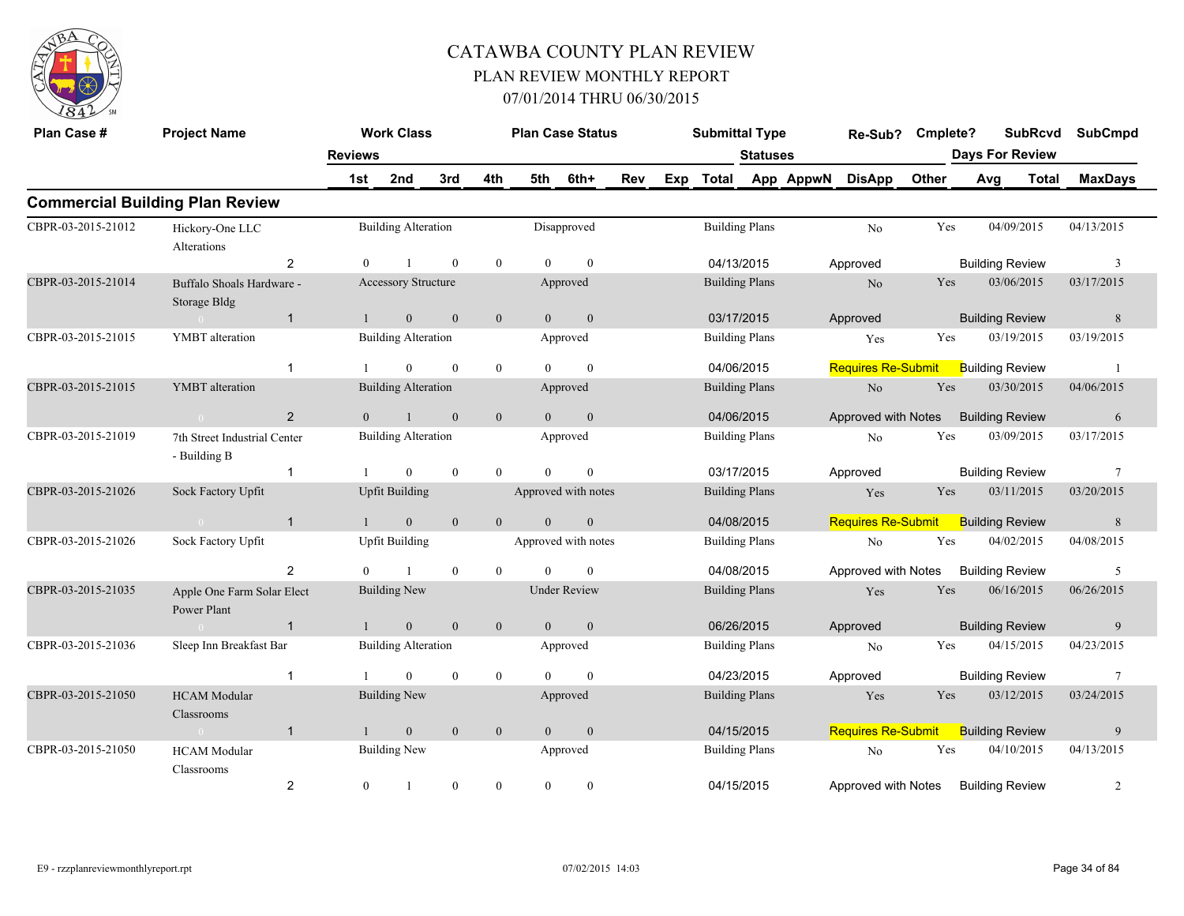

| Plan Case #        | <b>Project Name</b>                          |                | <b>Work Class</b>          |              |                | <b>Plan Case Status</b> |                     |     |     | <b>Submittal Type</b> |                 |           | Re-Sub?                   | Cmplete? |     | <b>SubRcvd</b>         | <b>SubCmpd</b> |
|--------------------|----------------------------------------------|----------------|----------------------------|--------------|----------------|-------------------------|---------------------|-----|-----|-----------------------|-----------------|-----------|---------------------------|----------|-----|------------------------|----------------|
|                    |                                              | <b>Reviews</b> |                            |              |                |                         |                     |     |     |                       | <b>Statuses</b> |           |                           |          |     | <b>Days For Review</b> |                |
|                    |                                              | 1st            | 2nd                        | 3rd          | 4th            | 5th                     | 6th+                | Rev | Exp | <b>Total</b>          |                 | App AppwN | <b>DisApp</b>             | Other    | Avg | Total                  | <b>MaxDays</b> |
|                    | <b>Commercial Building Plan Review</b>       |                |                            |              |                |                         |                     |     |     |                       |                 |           |                           |          |     |                        |                |
| CBPR-03-2015-21012 | Hickory-One LLC<br>Alterations               |                | <b>Building Alteration</b> |              |                |                         | Disapproved         |     |     | <b>Building Plans</b> |                 |           | No                        | Yes      |     | 04/09/2015             | 04/13/2015     |
|                    | 2                                            | $\theta$       |                            | $\theta$     | $\mathbf{0}$   | $\Omega$                | $\theta$            |     |     | 04/13/2015            |                 |           | Approved                  |          |     | <b>Building Review</b> | 3              |
| CBPR-03-2015-21014 | Buffalo Shoals Hardware -<br>Storage Bldg    |                | Accessory Structure        |              |                |                         | Approved            |     |     | <b>Building Plans</b> |                 |           | No                        | Yes      |     | 03/06/2015             | 03/17/2015     |
|                    | $\mathbf{1}$                                 |                | $\boldsymbol{0}$           | $\mathbf{0}$ | $\mathbf{0}$   | $\overline{0}$          | $\boldsymbol{0}$    |     |     | 03/17/2015            |                 |           | Approved                  |          |     | <b>Building Review</b> | 8              |
| CBPR-03-2015-21015 | YMBT alteration                              |                | <b>Building Alteration</b> |              |                |                         | Approved            |     |     | <b>Building Plans</b> |                 |           | Yes                       | Yes      |     | 03/19/2015             | 03/19/2015     |
|                    | $\overline{1}$                               |                | $\mathbf{0}$               | $\theta$     | $\bf{0}$       | $\theta$                | $\mathbf{0}$        |     |     | 04/06/2015            |                 |           | <b>Requires Re-Submit</b> |          |     | <b>Building Review</b> |                |
| CBPR-03-2015-21015 | YMBT alteration                              |                | <b>Building Alteration</b> |              |                |                         | Approved            |     |     | <b>Building Plans</b> |                 |           | No                        | Yes      |     | 03/30/2015             | 04/06/2015     |
|                    | 2                                            | $\Omega$       | $\overline{1}$             | $\Omega$     | $\mathbf{0}$   | $\theta$                | $\boldsymbol{0}$    |     |     | 04/06/2015            |                 |           | Approved with Notes       |          |     | <b>Building Review</b> | 6              |
| CBPR-03-2015-21019 | 7th Street Industrial Center<br>- Building B |                | <b>Building Alteration</b> |              |                |                         | Approved            |     |     | <b>Building Plans</b> |                 |           | N <sub>0</sub>            | Yes      |     | 03/09/2015             | 03/17/2015     |
|                    | $\mathbf 1$                                  |                | $\overline{0}$             | $\mathbf{0}$ | $\overline{0}$ | $\Omega$                | $\mathbf{0}$        |     |     | 03/17/2015            |                 |           | Approved                  |          |     | <b>Building Review</b> | 7              |
| CBPR-03-2015-21026 | Sock Factory Upfit                           |                | <b>Upfit Building</b>      |              |                | Approved with notes     |                     |     |     | <b>Building Plans</b> |                 |           | Yes                       | Yes      |     | 03/11/2015             | 03/20/2015     |
|                    | $\mathbf{1}$                                 |                | $\overline{0}$             | $\mathbf{0}$ | $\mathbf{0}$   | $\Omega$                | $\boldsymbol{0}$    |     |     | 04/08/2015            |                 |           | <b>Requires Re-Submit</b> |          |     | <b>Building Review</b> | 8              |
| CBPR-03-2015-21026 | Sock Factory Upfit                           |                | <b>Upfit Building</b>      |              |                | Approved with notes     |                     |     |     | <b>Building Plans</b> |                 |           | N <sub>o</sub>            | Yes      |     | 04/02/2015             | 04/08/2015     |
|                    | 2                                            |                |                            | $\mathbf{0}$ | $\theta$       |                         | $\Omega$            |     |     | 04/08/2015            |                 |           | Approved with Notes       |          |     | <b>Building Review</b> | 5              |
| CBPR-03-2015-21035 | Apple One Farm Solar Elect<br>Power Plant    |                | <b>Building New</b>        |              |                |                         | <b>Under Review</b> |     |     | <b>Building Plans</b> |                 |           | Yes                       | Yes      |     | 06/16/2015             | 06/26/2015     |
|                    | $\mathbf{1}$<br>$\sim 0$                     |                | $\boldsymbol{0}$           | $\mathbf{0}$ | $\mathbf{0}$   | $\mathbf{0}$            | $\mathbf{0}$        |     |     | 06/26/2015            |                 |           | Approved                  |          |     | <b>Building Review</b> | 9              |
| CBPR-03-2015-21036 | Sleep Inn Breakfast Bar                      |                | <b>Building Alteration</b> |              |                |                         | Approved            |     |     | <b>Building Plans</b> |                 |           | No                        | Yes      |     | 04/15/2015             | 04/23/2015     |
|                    | $\overline{1}$                               |                | $\theta$                   | $\mathbf{0}$ | $\bf{0}$       | $\theta$                | $\theta$            |     |     | 04/23/2015            |                 |           | Approved                  |          |     | <b>Building Review</b> | 7              |
| CBPR-03-2015-21050 | <b>HCAM</b> Modular<br>Classrooms            |                | <b>Building New</b>        |              |                |                         | Approved            |     |     | <b>Building Plans</b> |                 |           | Yes                       | Yes      |     | 03/12/2015             | 03/24/2015     |
|                    | $\mathbf{1}$<br>$\overline{0}$               | $\mathbf{1}$   | $\mathbf{0}$               | $\mathbf{0}$ | $\mathbf{0}$   | $\mathbf{0}$            | $\boldsymbol{0}$    |     |     | 04/15/2015            |                 |           | <b>Requires Re-Submit</b> |          |     | <b>Building Review</b> | 9              |
| CBPR-03-2015-21050 | <b>HCAM</b> Modular<br>Classrooms            |                | <b>Building New</b>        |              |                |                         | Approved            |     |     | <b>Building Plans</b> |                 |           | No                        | Yes      |     | 04/10/2015             | 04/13/2015     |
|                    | $\overline{2}$                               | $\mathbf{0}$   |                            | $\mathbf{0}$ | $\mathbf{0}$   | $\theta$                | $\theta$            |     |     | 04/15/2015            |                 |           | Approved with Notes       |          |     | <b>Building Review</b> | $\overline{2}$ |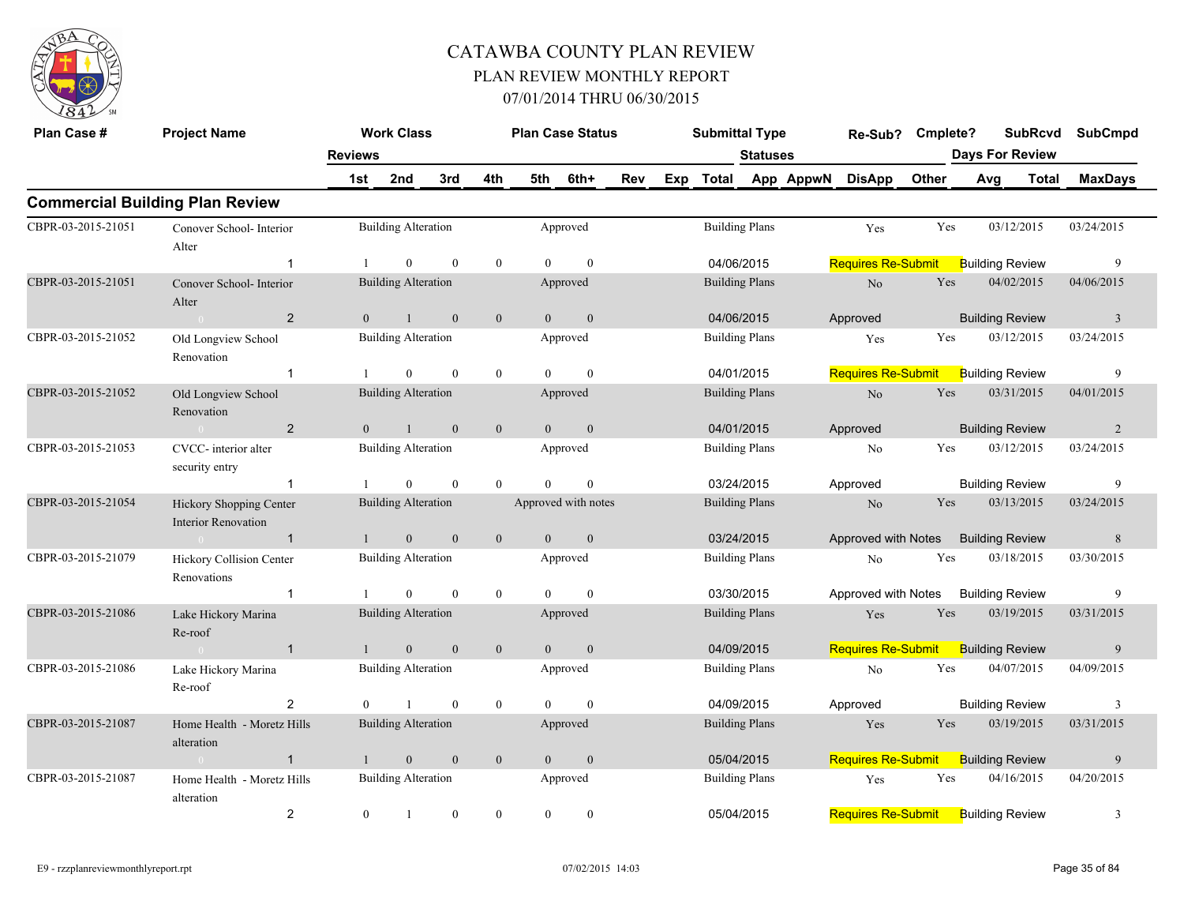

| Plan Case #        | <b>Project Name</b>                                   |                | <b>Work Class</b>          |                |                |                | <b>Plan Case Status</b> |     | <b>Submittal Type</b> |                       |           | Re-Sub?                   | Cmplete? |                        | <b>SubRcvd</b> | <b>SubCmpd</b> |
|--------------------|-------------------------------------------------------|----------------|----------------------------|----------------|----------------|----------------|-------------------------|-----|-----------------------|-----------------------|-----------|---------------------------|----------|------------------------|----------------|----------------|
|                    |                                                       | <b>Reviews</b> |                            |                |                |                |                         |     |                       | <b>Statuses</b>       |           |                           |          | <b>Days For Review</b> |                |                |
|                    |                                                       | 1st            | 2nd                        | 3rd            | 4th            | 5th            | 6th+                    | Rev | Exp Total             |                       | App AppwN | <b>DisApp</b>             | Other    | Avg                    | Total          | <b>MaxDays</b> |
|                    | <b>Commercial Building Plan Review</b>                |                |                            |                |                |                |                         |     |                       |                       |           |                           |          |                        |                |                |
| CBPR-03-2015-21051 | Conover School- Interior<br>Alter                     |                | <b>Building Alteration</b> |                |                |                | Approved                |     |                       | <b>Building Plans</b> |           | Yes                       | Yes      | 03/12/2015             |                | 03/24/2015     |
|                    | $\mathbf{1}$                                          |                | $\theta$                   | $\overline{0}$ | $\overline{0}$ | $\theta$       | $\overline{0}$          |     | 04/06/2015            |                       |           | <b>Requires Re-Submit</b> |          | <b>Building Review</b> |                | 9              |
| CBPR-03-2015-21051 | Conover School-Interior<br>Alter                      |                | <b>Building Alteration</b> |                |                |                | Approved                |     | <b>Building Plans</b> |                       |           | No                        | Yes      | 04/02/2015             |                | 04/06/2015     |
|                    | $\overline{2}$<br>$\sim 0$                            | $\theta$       | $\mathbf{1}$               | $\theta$       | $\overline{0}$ | $\overline{0}$ | $\mathbf{0}$            |     | 04/06/2015            |                       |           | Approved                  |          | <b>Building Review</b> |                | $\overline{3}$ |
| CBPR-03-2015-21052 | Old Longview School<br>Renovation                     |                | <b>Building Alteration</b> |                |                |                | Approved                |     | <b>Building Plans</b> |                       |           | Yes                       | Yes      | 03/12/2015             |                | 03/24/2015     |
|                    | $\mathbf 1$                                           |                | $\overline{0}$             | $\theta$       | $\overline{0}$ | $\Omega$       | $\mathbf{0}$            |     | 04/01/2015            |                       |           | <b>Requires Re-Submit</b> |          | <b>Building Review</b> |                | 9              |
| CBPR-03-2015-21052 | Old Longview School<br>Renovation                     |                | <b>Building Alteration</b> |                |                |                | Approved                |     |                       | <b>Building Plans</b> |           | $\rm No$                  | Yes      | 03/31/2015             |                | 04/01/2015     |
|                    | $\overline{2}$<br>$\sim 0$                            | $\theta$       | $\mathbf{1}$               | $\mathbf{0}$   | $\mathbf{0}$   | $\theta$       | $\mathbf{0}$            |     | 04/01/2015            |                       |           | Approved                  |          | <b>Building Review</b> |                | 2              |
| CBPR-03-2015-21053 | CVCC- interior alter<br>security entry                |                | <b>Building Alteration</b> |                |                |                | Approved                |     | <b>Building Plans</b> |                       |           | No                        | Yes      | 03/12/2015             |                | 03/24/2015     |
|                    | $\mathbf{1}$                                          |                | $\overline{0}$             | $\mathbf{0}$   | $\overline{0}$ | $\theta$       | $\mathbf{0}$            |     | 03/24/2015            |                       |           | Approved                  |          | <b>Building Review</b> |                | 9              |
| CBPR-03-2015-21054 | Hickory Shopping Center<br><b>Interior Renovation</b> |                | <b>Building Alteration</b> |                |                |                | Approved with notes     |     |                       | <b>Building Plans</b> |           | $\rm No$                  | Yes      | 03/13/2015             |                | 03/24/2015     |
|                    | $\overline{1}$                                        | $\mathbf{1}$   | $\mathbf{0}$               | $\mathbf{0}$   | $\mathbf{0}$   | $\overline{0}$ | $\mathbf{0}$            |     | 03/24/2015            |                       |           | Approved with Notes       |          | <b>Building Review</b> |                | $\,$ 8 $\,$    |
| CBPR-03-2015-21079 | Hickory Collision Center<br>Renovations               |                | <b>Building Alteration</b> |                |                |                | Approved                |     | <b>Building Plans</b> |                       |           | N <sub>o</sub>            | Yes      | 03/18/2015             |                | 03/30/2015     |
|                    | $\mathbf{1}$                                          |                | $\overline{0}$             | $\theta$       | $\overline{0}$ | $\theta$       | $\mathbf{0}$            |     | 03/30/2015            |                       |           | Approved with Notes       |          | <b>Building Review</b> |                | 9              |
| CBPR-03-2015-21086 | Lake Hickory Marina<br>Re-roof                        |                | <b>Building Alteration</b> |                |                |                | Approved                |     |                       | <b>Building Plans</b> |           | Yes                       | Yes      | 03/19/2015             |                | 03/31/2015     |
|                    | $\overline{1}$                                        | $\mathbf{1}$   | $\mathbf{0}$               | $\mathbf{0}$   | $\mathbf{0}$   | $\overline{0}$ | $\mathbf{0}$            |     | 04/09/2015            |                       |           | <b>Requires Re-Submit</b> |          | <b>Building Review</b> |                | 9              |
| CBPR-03-2015-21086 | Lake Hickory Marina<br>Re-roof                        |                | <b>Building Alteration</b> |                |                |                | Approved                |     | <b>Building Plans</b> |                       |           | No                        | Yes      | 04/07/2015             |                | 04/09/2015     |
|                    | $\overline{2}$                                        | $\theta$       |                            | $\mathbf{0}$   | $\overline{0}$ | $\theta$       | $\mathbf{0}$            |     | 04/09/2015            |                       |           | Approved                  |          | <b>Building Review</b> |                | 3              |
| CBPR-03-2015-21087 | Home Health - Moretz Hills<br>alteration              |                | <b>Building Alteration</b> |                |                |                | Approved                |     | <b>Building Plans</b> |                       |           | Yes                       | Yes      | 03/19/2015             |                | 03/31/2015     |
|                    | $\mathbf{1}$                                          | $\mathbf{1}$   | $\mathbf{0}$               | $\mathbf{0}$   | $\mathbf{0}$   | $\overline{0}$ | $\mathbf{0}$            |     | 05/04/2015            |                       |           | Requires Re-Submit        |          | <b>Building Review</b> |                | 9              |
| CBPR-03-2015-21087 | Home Health - Moretz Hills<br>alteration              |                | <b>Building Alteration</b> |                |                |                | Approved                |     | <b>Building Plans</b> |                       |           | Yes                       | Yes      | 04/16/2015             |                | 04/20/2015     |
|                    | $\overline{2}$                                        | $\mathbf{0}$   | $\mathbf{1}$               | $\mathbf{0}$   | $\overline{0}$ | $\overline{0}$ | $\boldsymbol{0}$        |     | 05/04/2015            |                       |           | Requires Re-Submit        |          | <b>Building Review</b> |                | $\mathfrak{Z}$ |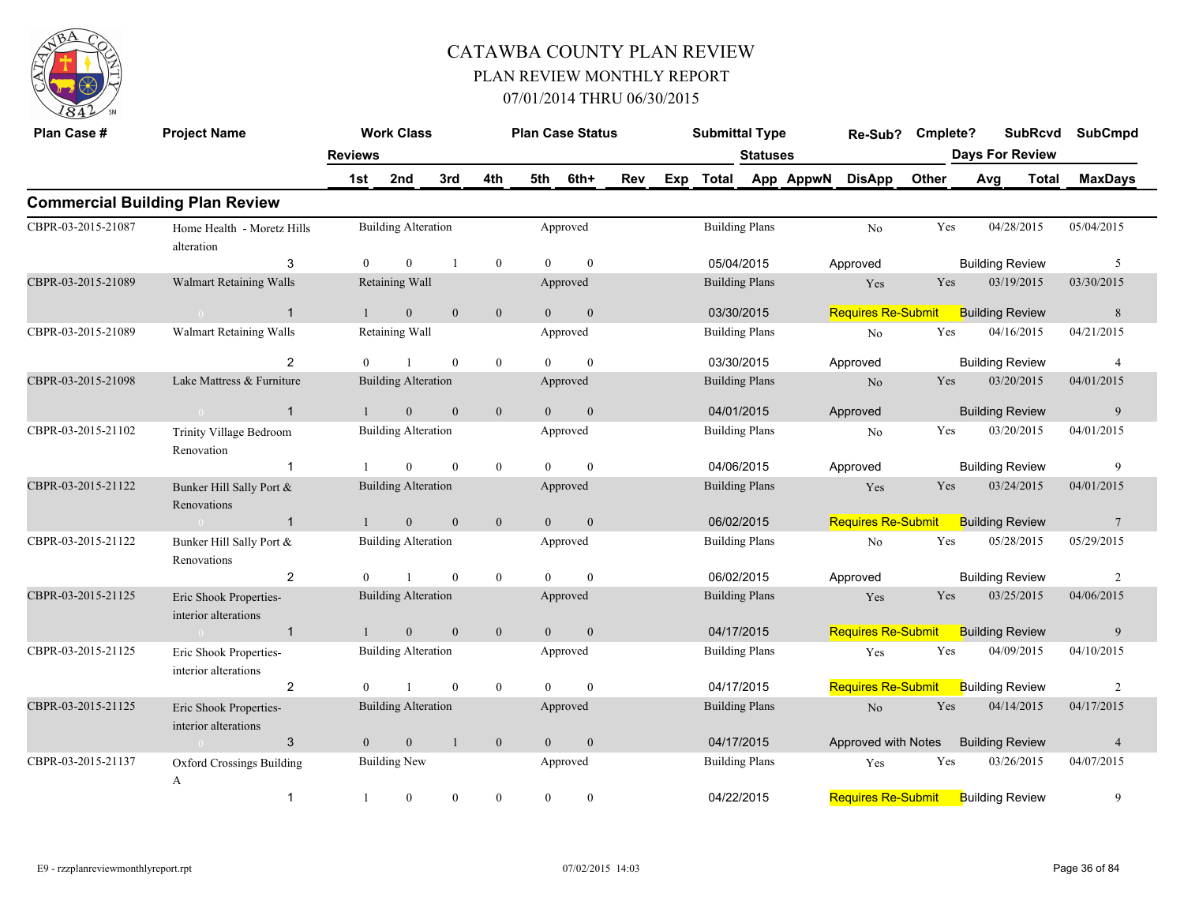

| Plan Case #        | <b>Project Name</b>                            |                       | <b>Work Class</b>          |                |                |                | <b>Plan Case Status</b> |     |     | <b>Submittal Type</b> |                 |           | Re-Sub?                   | Cmplete? |     | <b>SubRcvd</b><br><b>Days For Review</b> | <b>SubCmpd</b>  |
|--------------------|------------------------------------------------|-----------------------|----------------------------|----------------|----------------|----------------|-------------------------|-----|-----|-----------------------|-----------------|-----------|---------------------------|----------|-----|------------------------------------------|-----------------|
|                    |                                                | <b>Reviews</b><br>1st | 2nd                        | 3rd            | 4th            | 5th            | 6th+                    | Rev | Exp | <b>Total</b>          | <b>Statuses</b> | App AppwN | <b>DisApp</b>             | Other    | Avg | <b>Total</b>                             | <b>MaxDays</b>  |
|                    | <b>Commercial Building Plan Review</b>         |                       |                            |                |                |                |                         |     |     |                       |                 |           |                           |          |     |                                          |                 |
| CBPR-03-2015-21087 | Home Health - Moretz Hills<br>alteration       |                       | <b>Building Alteration</b> |                |                |                | Approved                |     |     | <b>Building Plans</b> |                 |           | N <sub>o</sub>            | Yes      |     | 04/28/2015                               | 05/04/2015      |
|                    | 3                                              | $\overline{0}$        | $\overline{0}$             | $\overline{1}$ | $\bf{0}$       | $\theta$       | $\mathbf{0}$            |     |     | 05/04/2015            |                 |           | Approved                  |          |     | <b>Building Review</b>                   | 5               |
| CBPR-03-2015-21089 | <b>Walmart Retaining Walls</b>                 |                       | Retaining Wall             |                |                |                | Approved                |     |     | <b>Building Plans</b> |                 |           | Yes                       | Yes      |     | 03/19/2015                               | 03/30/2015      |
|                    | $\overline{1}$<br>$\sim 0$                     | $\overline{1}$        | $\mathbf{0}$               | $\overline{0}$ | $\overline{0}$ | $\Omega$       | $\mathbf{0}$            |     |     | 03/30/2015            |                 |           | <b>Requires Re-Submit</b> |          |     | <b>Building Review</b>                   | 8               |
| CBPR-03-2015-21089 | Walmart Retaining Walls                        |                       | Retaining Wall             |                |                |                | Approved                |     |     | <b>Building Plans</b> |                 |           | No                        | Yes      |     | 04/16/2015                               | 04/21/2015      |
|                    | $\overline{2}$                                 | $\theta$              |                            | $\mathbf{0}$   | $\mathbf{0}$   | $\Omega$       | $\theta$                |     |     | 03/30/2015            |                 |           | Approved                  |          |     | <b>Building Review</b>                   | $\overline{4}$  |
| CBPR-03-2015-21098 | Lake Mattress & Furniture                      |                       | <b>Building Alteration</b> |                |                |                | Approved                |     |     | <b>Building Plans</b> |                 |           | N <sub>o</sub>            | Yes      |     | 03/20/2015                               | 04/01/2015      |
|                    | $\overline{1}$<br>$\sqrt{0}$                   |                       | $\boldsymbol{0}$           | $\mathbf{0}$   | $\mathbf{0}$   | $\theta$       | $\mathbf{0}$            |     |     | 04/01/2015            |                 |           | Approved                  |          |     | <b>Building Review</b>                   | 9               |
| CBPR-03-2015-21102 | Trinity Village Bedroom<br>Renovation          |                       | <b>Building Alteration</b> |                |                |                | Approved                |     |     | <b>Building Plans</b> |                 |           | No                        | Yes      |     | 03/20/2015                               | 04/01/2015      |
|                    | $\mathbf 1$                                    |                       | $\mathbf{0}$               | $\mathbf{0}$   | $\mathbf{0}$   | $\Omega$       | $\Omega$                |     |     | 04/06/2015            |                 |           | Approved                  |          |     | <b>Building Review</b>                   | 9               |
| CBPR-03-2015-21122 | Bunker Hill Sally Port &<br>Renovations        |                       | <b>Building Alteration</b> |                |                |                | Approved                |     |     | <b>Building Plans</b> |                 |           | Yes                       | Yes      |     | 03/24/2015                               | 04/01/2015      |
|                    | $\overline{1}$<br>$\sim 0$                     |                       | $\mathbf{0}$               | $\mathbf{0}$   | $\mathbf{0}$   | $\theta$       | $\mathbf{0}$            |     |     | 06/02/2015            |                 |           | <b>Requires Re-Submit</b> |          |     | <b>Building Review</b>                   | $7\phantom{.0}$ |
| CBPR-03-2015-21122 | Bunker Hill Sally Port &<br>Renovations        |                       | <b>Building Alteration</b> |                |                |                | Approved                |     |     | <b>Building Plans</b> |                 |           | N <sub>o</sub>            | Yes      |     | 05/28/2015                               | 05/29/2015      |
|                    | $\overline{2}$                                 | $\Omega$              |                            | $\mathbf{0}$   | $\overline{0}$ | $\Omega$       | $\theta$                |     |     | 06/02/2015            |                 |           | Approved                  |          |     | <b>Building Review</b>                   | $\overline{2}$  |
| CBPR-03-2015-21125 | Eric Shook Properties-<br>interior alterations |                       | <b>Building Alteration</b> |                |                |                | Approved                |     |     | <b>Building Plans</b> |                 |           | Yes                       | Yes      |     | 03/25/2015                               | 04/06/2015      |
|                    | $\overline{1}$<br>$\sim 0$                     |                       | $\mathbf{0}$               | $\mathbf{0}$   | $\mathbf{0}$   | $\Omega$       | $\mathbf{0}$            |     |     | 04/17/2015            |                 |           | Requires Re-Submit        |          |     | <b>Building Review</b>                   | 9               |
| CBPR-03-2015-21125 | Eric Shook Properties-<br>interior alterations |                       | <b>Building Alteration</b> |                |                |                | Approved                |     |     | <b>Building Plans</b> |                 |           | Yes                       | Yes      |     | 04/09/2015                               | 04/10/2015      |
|                    | $\overline{2}$                                 | $\Omega$              | $\mathbf{1}$               | $\mathbf{0}$   | $\mathbf{0}$   | $\Omega$       | $\theta$                |     |     | 04/17/2015            |                 |           | <b>Requires Re-Submit</b> |          |     | <b>Building Review</b>                   | $\overline{2}$  |
| CBPR-03-2015-21125 | Eric Shook Properties-<br>interior alterations |                       | <b>Building Alteration</b> |                |                |                | Approved                |     |     | <b>Building Plans</b> |                 |           | N <sub>o</sub>            | Yes      |     | 04/14/2015                               | 04/17/2015      |
|                    | 3<br>$\sim 0$                                  | $\overline{0}$        | $\mathbf{0}$               | -1             | $\mathbf{0}$   | $\overline{0}$ | $\mathbf{0}$            |     |     | 04/17/2015            |                 |           | Approved with Notes       |          |     | <b>Building Review</b>                   | $\overline{4}$  |
| CBPR-03-2015-21137 | <b>Oxford Crossings Building</b><br>A          |                       | <b>Building New</b>        |                |                |                | Approved                |     |     | <b>Building Plans</b> |                 |           | Yes                       | Yes      |     | 03/26/2015                               | 04/07/2015      |
|                    | $\mathbf{1}$                                   |                       | $\mathbf{0}$               | $\mathbf{0}$   | $\theta$       | $\Omega$       | $\theta$                |     |     | 04/22/2015            |                 |           | <b>Requires Re-Submit</b> |          |     | <b>Building Review</b>                   | 9               |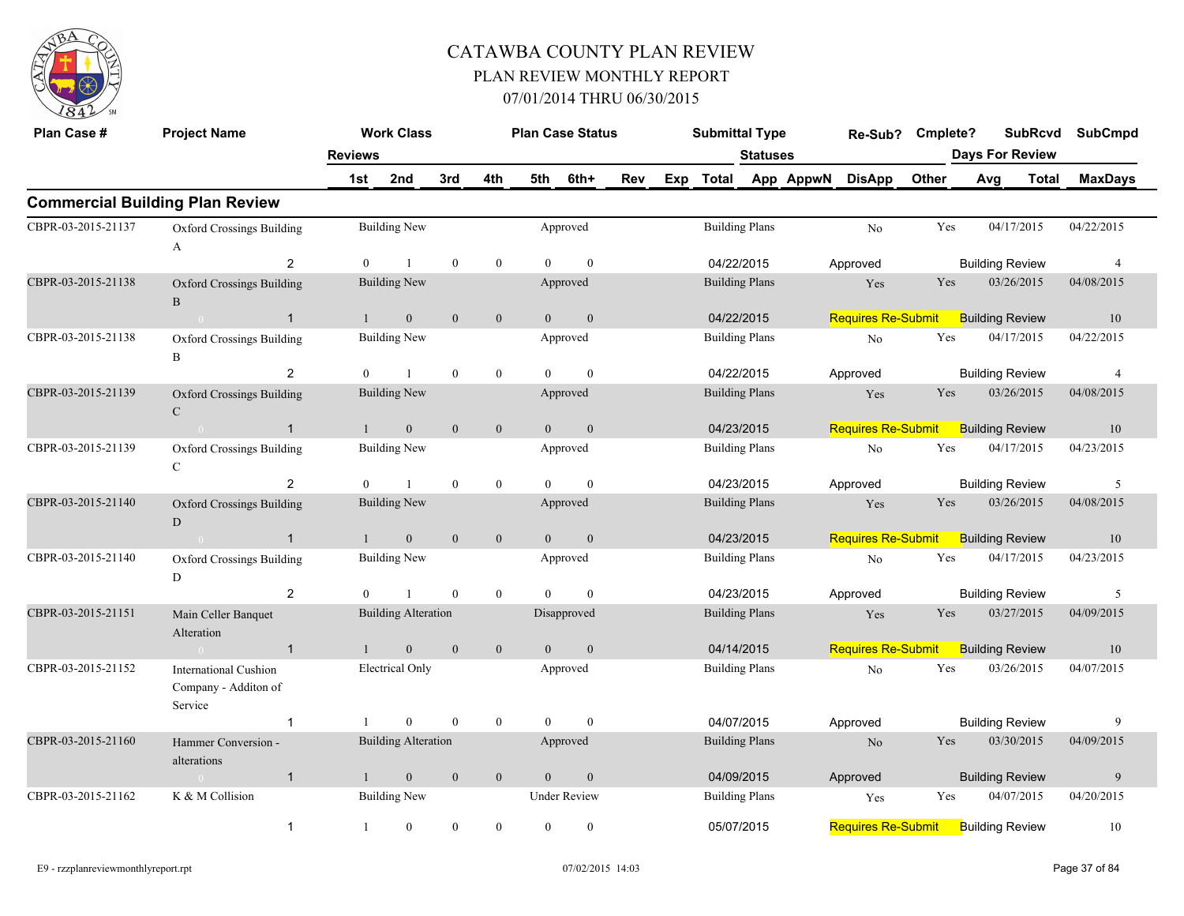

| Plan Case #        | <b>Project Name</b>                                             |                | <b>Work Class</b>          |              |                  |                | <b>Plan Case Status</b> |     | <b>Submittal Type</b> |                 |           | Re-Sub?                   | Cmplete? |                        | <b>SubRcvd</b> | <b>SubCmpd</b> |
|--------------------|-----------------------------------------------------------------|----------------|----------------------------|--------------|------------------|----------------|-------------------------|-----|-----------------------|-----------------|-----------|---------------------------|----------|------------------------|----------------|----------------|
|                    |                                                                 | <b>Reviews</b> |                            |              |                  |                |                         |     |                       | <b>Statuses</b> |           |                           |          | <b>Days For Review</b> |                |                |
|                    |                                                                 | 1st            | 2nd                        | 3rd          | 4th              | 5th            | 6th+                    | Rev | Exp Total             |                 | App AppwN | <b>DisApp</b>             | Other    | Avg                    | <b>Total</b>   | <b>MaxDays</b> |
|                    | <b>Commercial Building Plan Review</b>                          |                |                            |              |                  |                |                         |     |                       |                 |           |                           |          |                        |                |                |
| CBPR-03-2015-21137 | <b>Oxford Crossings Building</b><br>A                           |                | <b>Building New</b>        |              |                  |                | Approved                |     | <b>Building Plans</b> |                 |           | No                        | Yes      | 04/17/2015             |                | 04/22/2015     |
|                    | 2                                                               | $\theta$       |                            | $\theta$     | $\overline{0}$   | $\Omega$       | $\mathbf{0}$            |     | 04/22/2015            |                 |           | Approved                  |          | <b>Building Review</b> |                | $\overline{4}$ |
| CBPR-03-2015-21138 | <b>Oxford Crossings Building</b><br>B                           |                | <b>Building New</b>        |              |                  |                | Approved                |     | <b>Building Plans</b> |                 |           | Yes                       | Yes      | 03/26/2015             |                | 04/08/2015     |
|                    | $\mathbf{1}$<br>$\overline{0}$                                  | $\mathbf{1}$   | $\mathbf{0}$               | $\mathbf{0}$ | $\mathbf{0}$     | $\overline{0}$ | $\boldsymbol{0}$        |     | 04/22/2015            |                 |           | <b>Requires Re-Submit</b> |          | <b>Building Review</b> |                | 10             |
| CBPR-03-2015-21138 | <b>Oxford Crossings Building</b><br>B                           |                | <b>Building New</b>        |              |                  |                | Approved                |     | <b>Building Plans</b> |                 |           | No                        | Yes      | 04/17/2015             |                | 04/22/2015     |
|                    | 2                                                               | $\theta$       | $\mathbf{1}$               | $\theta$     | $\mathbf{0}$     | $\theta$       | $\mathbf{0}$            |     | 04/22/2015            |                 |           | Approved                  |          | <b>Building Review</b> |                | $\overline{4}$ |
| CBPR-03-2015-21139 | <b>Oxford Crossings Building</b><br>$\mathbf C$                 |                | <b>Building New</b>        |              |                  |                | Approved                |     | <b>Building Plans</b> |                 |           | Yes                       | Yes      | 03/26/2015             |                | 04/08/2015     |
|                    | $\mathbf{1}$                                                    |                | $\mathbf{0}$               | $\mathbf{0}$ | $\boldsymbol{0}$ | $\overline{0}$ | $\boldsymbol{0}$        |     | 04/23/2015            |                 |           | <b>Requires Re-Submit</b> |          | <b>Building Review</b> |                | 10             |
| CBPR-03-2015-21139 | Oxford Crossings Building<br>$\mathbf C$                        |                | <b>Building New</b>        |              |                  |                | Approved                |     | <b>Building Plans</b> |                 |           | No                        | Yes      | 04/17/2015             |                | 04/23/2015     |
|                    | 2                                                               | $\theta$       |                            | $\mathbf{0}$ | $\mathbf{0}$     | $\Omega$       | $\theta$                |     | 04/23/2015            |                 |           | Approved                  |          | <b>Building Review</b> |                | 5              |
| CBPR-03-2015-21140 | <b>Oxford Crossings Building</b><br>$\mathbf D$                 |                | <b>Building New</b>        |              |                  |                | Approved                |     | <b>Building Plans</b> |                 |           | Yes                       | Yes      | 03/26/2015             |                | 04/08/2015     |
|                    | $\mathbf{1}$<br>$\Omega$                                        |                | $\mathbf{0}$               | $\mathbf{0}$ | $\mathbf{0}$     | $\theta$       | $\boldsymbol{0}$        |     | 04/23/2015            |                 |           | <b>Requires Re-Submit</b> |          | <b>Building Review</b> |                | 10             |
| CBPR-03-2015-21140 | <b>Oxford Crossings Building</b><br>$\mathbf D$                 |                | <b>Building New</b>        |              |                  |                | Approved                |     | <b>Building Plans</b> |                 |           | No                        | Yes      | 04/17/2015             |                | 04/23/2015     |
|                    | $\overline{2}$                                                  | $\theta$       |                            | $\mathbf{0}$ | $\overline{0}$   | $\theta$       | $\mathbf{0}$            |     | 04/23/2015            |                 |           | Approved                  |          | <b>Building Review</b> |                | 5              |
| CBPR-03-2015-21151 | Main Celler Banquet<br>Alteration                               |                | <b>Building Alteration</b> |              |                  |                | Disapproved             |     | <b>Building Plans</b> |                 |           | Yes                       | Yes      | 03/27/2015             |                | 04/09/2015     |
|                    | $\overline{1}$                                                  |                | $\mathbf{0}$               | $\mathbf{0}$ | $\mathbf{0}$     | $\overline{0}$ | $\mathbf{0}$            |     | 04/14/2015            |                 |           | <b>Requires Re-Submit</b> |          | <b>Building Review</b> |                | 10             |
| CBPR-03-2015-21152 | <b>International Cushion</b><br>Company - Additon of<br>Service |                | <b>Electrical Only</b>     |              |                  |                | Approved                |     | <b>Building Plans</b> |                 |           | No                        | Yes      | 03/26/2015             |                | 04/07/2015     |
|                    |                                                                 |                | $\Omega$                   | $\theta$     | $\overline{0}$   | $\Omega$       | $\theta$                |     | 04/07/2015            |                 |           | Approved                  |          | <b>Building Review</b> |                | 9              |
| CBPR-03-2015-21160 | Hammer Conversion -<br>alterations                              |                | <b>Building Alteration</b> |              |                  |                | Approved                |     | <b>Building Plans</b> |                 |           | N <sub>o</sub>            | Yes      | 03/30/2015             |                | 04/09/2015     |
|                    | $\mathbf{1}$                                                    | $\mathbf{1}$   | $\mathbf{0}$               | $\mathbf{0}$ | $\mathbf{0}$     | $\overline{0}$ | $\mathbf{0}$            |     | 04/09/2015            |                 |           | Approved                  |          | <b>Building Review</b> |                | 9              |
| CBPR-03-2015-21162 | K & M Collision                                                 |                | <b>Building New</b>        |              |                  |                | <b>Under Review</b>     |     | <b>Building Plans</b> |                 |           | Yes                       | Yes      | 04/07/2015             |                | 04/20/2015     |
|                    | $\mathbf{1}$                                                    | 1              | $\mathbf{0}$               | $\mathbf{0}$ | $\mathbf{0}$     | $\overline{0}$ | $\mathbf{0}$            |     | 05/07/2015            |                 |           | <b>Requires Re-Submit</b> |          | <b>Building Review</b> |                | 10             |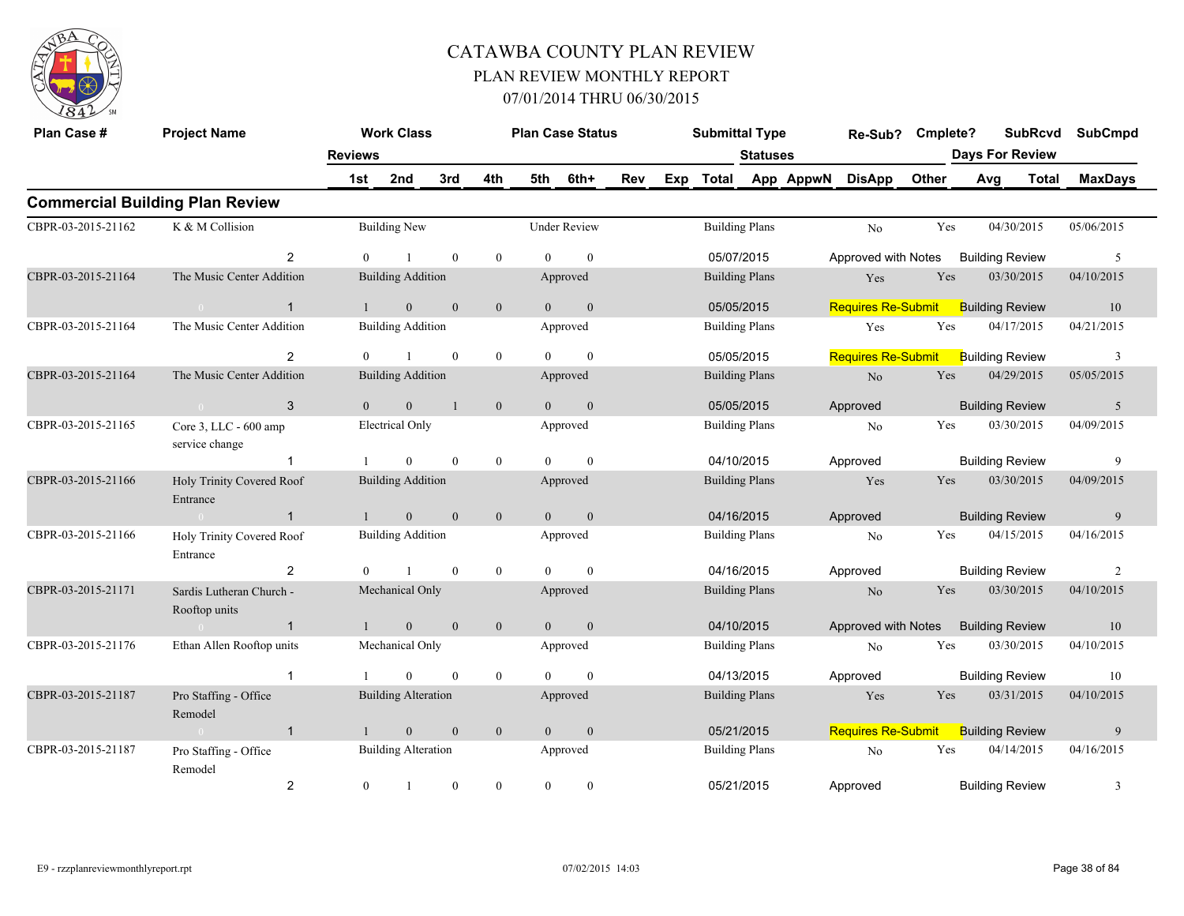

| Plan Case #        | <b>Project Name</b>                       | <b>Reviews</b> | <b>Work Class</b>          |                  |                |                | <b>Plan Case Status</b> |     |     | <b>Submittal Type</b> | <b>Statuses</b>       |           | Re-Sub?                   | Cmplete? | <b>Days For Review</b> | <b>SubRcvd</b> | <b>SubCmpd</b> |
|--------------------|-------------------------------------------|----------------|----------------------------|------------------|----------------|----------------|-------------------------|-----|-----|-----------------------|-----------------------|-----------|---------------------------|----------|------------------------|----------------|----------------|
|                    |                                           | 1st            | 2nd                        | 3rd              | 4th            | 5th            | 6th+                    | Rev | Exp | <b>Total</b>          |                       | App AppwN | <b>DisApp</b>             | Other    | Avg                    | Total          | <b>MaxDays</b> |
|                    | <b>Commercial Building Plan Review</b>    |                |                            |                  |                |                |                         |     |     |                       |                       |           |                           |          |                        |                |                |
| CBPR-03-2015-21162 | K & M Collision                           |                | <b>Building New</b>        |                  |                |                | <b>Under Review</b>     |     |     | <b>Building Plans</b> |                       |           | N <sub>o</sub>            | Yes      | 04/30/2015             |                | 05/06/2015     |
|                    | $\overline{2}$                            | $\Omega$       |                            | $\mathbf{0}$     | $\mathbf{0}$   | $\theta$       | $\mathbf{0}$            |     |     | 05/07/2015            |                       |           | Approved with Notes       |          | <b>Building Review</b> |                | 5              |
| CBPR-03-2015-21164 | The Music Center Addition                 |                | <b>Building Addition</b>   |                  |                |                | Approved                |     |     |                       | <b>Building Plans</b> |           | Yes                       | Yes      | 03/30/2015             |                | 04/10/2015     |
|                    | $\mathbf{1}$<br>$\sim$ 0                  |                | $\overline{0}$             | $\mathbf{0}$     | $\mathbf{0}$   | $\theta$       | $\mathbf{0}$            |     |     | 05/05/2015            |                       |           | <b>Requires Re-Submit</b> |          | <b>Building Review</b> |                | 10             |
| CBPR-03-2015-21164 | The Music Center Addition                 |                | <b>Building Addition</b>   |                  |                |                | Approved                |     |     |                       | <b>Building Plans</b> |           | Yes                       | Yes      | 04/17/2015             |                | 04/21/2015     |
|                    | 2                                         |                |                            | $\mathbf{0}$     | $\mathbf{0}$   | $\theta$       | $\mathbf{0}$            |     |     | 05/05/2015            |                       |           | <b>Requires Re-Submit</b> |          | <b>Building Review</b> |                | 3              |
| CBPR-03-2015-21164 | The Music Center Addition                 |                | <b>Building Addition</b>   |                  |                |                | Approved                |     |     |                       | <b>Building Plans</b> |           | $\rm No$                  | Yes      | 04/29/2015             |                | 05/05/2015     |
|                    | 3<br>$\sim$ 0                             | $\overline{0}$ | $\overline{0}$             | $\overline{1}$   | $\mathbf{0}$   | $\overline{0}$ | $\mathbf{0}$            |     |     | 05/05/2015            |                       |           | Approved                  |          | <b>Building Review</b> |                | 5              |
| CBPR-03-2015-21165 | Core 3, LLC - 600 amp<br>service change   |                | <b>Electrical Only</b>     |                  |                |                | Approved                |     |     |                       | <b>Building Plans</b> |           | N <sub>o</sub>            | Yes      | 03/30/2015             |                | 04/09/2015     |
|                    | $\mathbf{1}$                              |                | $\theta$                   | $\mathbf{0}$     | $\overline{0}$ | $\Omega$       | $\theta$                |     |     | 04/10/2015            |                       |           | Approved                  |          | <b>Building Review</b> |                | 9              |
| CBPR-03-2015-21166 | Holy Trinity Covered Roof<br>Entrance     |                | <b>Building Addition</b>   |                  |                |                | Approved                |     |     |                       | <b>Building Plans</b> |           | Yes                       | Yes      | 03/30/2015             |                | 04/09/2015     |
|                    | $\mathbf{1}$<br>$\overline{0}$            |                | $\overline{0}$             | $\mathbf{0}$     | $\mathbf{0}$   | $\theta$       | $\mathbf{0}$            |     |     | 04/16/2015            |                       |           | Approved                  |          | <b>Building Review</b> |                | 9              |
| CBPR-03-2015-21166 | Holy Trinity Covered Roof<br>Entrance     |                | <b>Building Addition</b>   |                  |                |                | Approved                |     |     |                       | <b>Building Plans</b> |           | No                        | Yes      | 04/15/2015             |                | 04/16/2015     |
|                    | $\overline{c}$                            | $\theta$       |                            | $\mathbf{0}$     | $\mathbf{0}$   | $\theta$       | $\mathbf{0}$            |     |     | 04/16/2015            |                       |           | Approved                  |          | <b>Building Review</b> |                | $\overline{2}$ |
| CBPR-03-2015-21171 | Sardis Lutheran Church -<br>Rooftop units |                | Mechanical Only            |                  |                |                | Approved                |     |     |                       | <b>Building Plans</b> |           | N <sub>o</sub>            | Yes      | 03/30/2015             |                | 04/10/2015     |
|                    | $\overline{1}$<br>$\sim 0$                |                | $\overline{0}$             | $\mathbf{0}$     | $\mathbf{0}$   | $\overline{0}$ | $\mathbf{0}$            |     |     | 04/10/2015            |                       |           | Approved with Notes       |          | <b>Building Review</b> |                | 10             |
| CBPR-03-2015-21176 | Ethan Allen Rooftop units                 |                | Mechanical Only            |                  |                |                | Approved                |     |     | <b>Building Plans</b> |                       |           | No                        | Yes      | 03/30/2015             |                | 04/10/2015     |
|                    | $\mathbf{1}$                              |                | $\theta$                   | $\mathbf{0}$     | $\mathbf{0}$   | $\Omega$       | $\mathbf{0}$            |     |     | 04/13/2015            |                       |           | Approved                  |          | <b>Building Review</b> |                | 10             |
| CBPR-03-2015-21187 | Pro Staffing - Office<br>Remodel          |                | <b>Building Alteration</b> |                  |                |                | Approved                |     |     |                       | <b>Building Plans</b> |           | Yes                       | Yes      | 03/31/2015             |                | 04/10/2015     |
|                    | $\mathbf{1}$<br>$\sim 0$                  |                | $\mathbf{0}$               | $\mathbf{0}$     | $\mathbf{0}$   | $\overline{0}$ | $\mathbf{0}$            |     |     | 05/21/2015            |                       |           | <b>Requires Re-Submit</b> |          | <b>Building Review</b> |                | $\overline{9}$ |
| CBPR-03-2015-21187 | Pro Staffing - Office<br>Remodel          |                | <b>Building Alteration</b> |                  |                |                | Approved                |     |     | <b>Building Plans</b> |                       |           | No                        | Yes      | 04/14/2015             |                | 04/16/2015     |
|                    | $\overline{c}$                            | $\mathbf{0}$   | $\overline{1}$             | $\boldsymbol{0}$ | $\mathbf{0}$   | $\overline{0}$ | $\boldsymbol{0}$        |     |     | 05/21/2015            |                       |           | Approved                  |          | <b>Building Review</b> |                | $\mathfrak{Z}$ |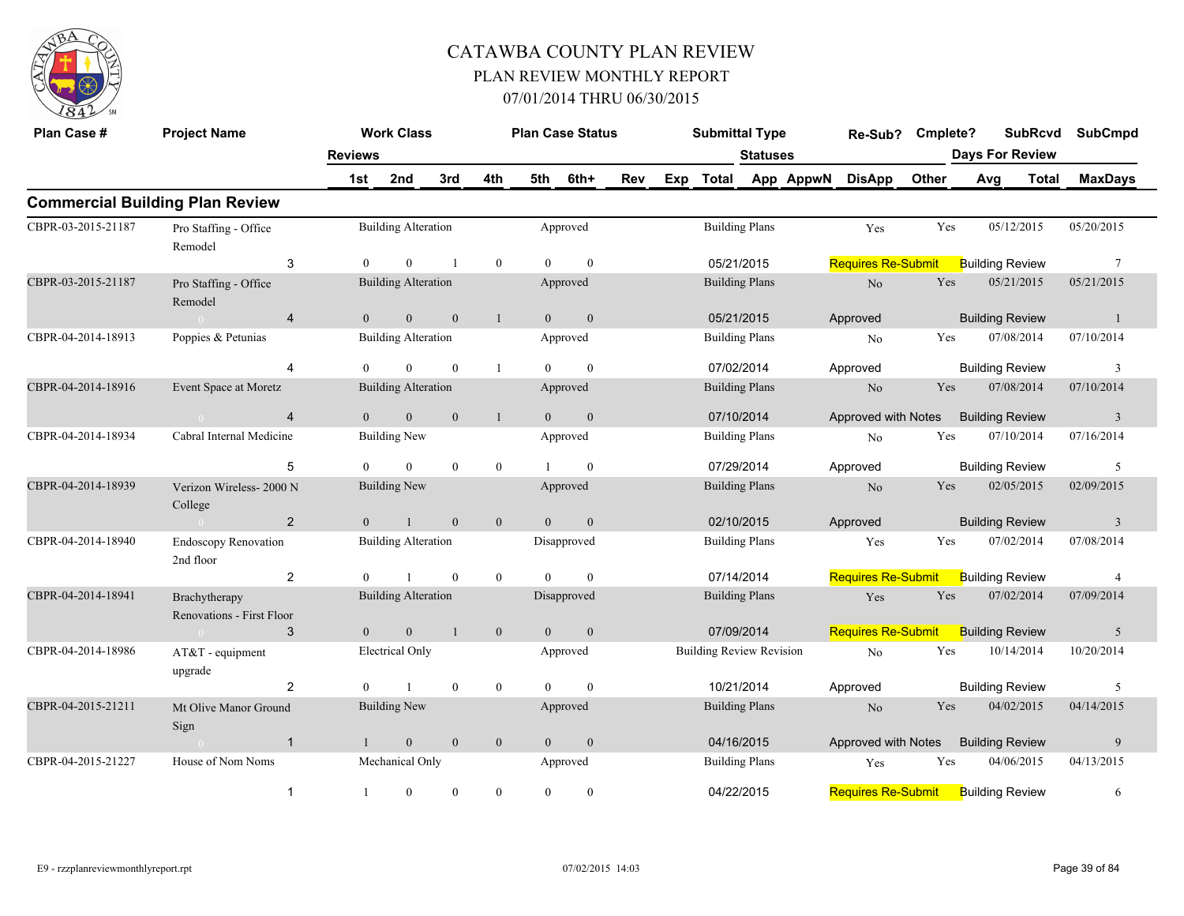

| Plan Case #        | <b>Project Name</b>                        |                | <b>Work Class</b>          |                  |                |                | <b>Plan Case Status</b> |     |     | <b>Submittal Type</b>           |                       |           | Re-Sub?                   | Cmplete? |                        | <b>SubRcvd</b> | <b>SubCmpd</b>  |  |
|--------------------|--------------------------------------------|----------------|----------------------------|------------------|----------------|----------------|-------------------------|-----|-----|---------------------------------|-----------------------|-----------|---------------------------|----------|------------------------|----------------|-----------------|--|
|                    |                                            | <b>Reviews</b> |                            |                  |                |                |                         |     |     |                                 | <b>Statuses</b>       |           |                           |          | <b>Days For Review</b> |                |                 |  |
|                    |                                            | 1st            | 2nd                        | 3rd              | 4th            | 5th            | 6th+                    | Rev | Exp | Total                           |                       | App AppwN | <b>DisApp</b>             | Other    | Avg                    | <b>Total</b>   | <b>MaxDays</b>  |  |
|                    | <b>Commercial Building Plan Review</b>     |                |                            |                  |                |                |                         |     |     |                                 |                       |           |                           |          |                        |                |                 |  |
| CBPR-03-2015-21187 | Pro Staffing - Office<br>Remodel           |                | <b>Building Alteration</b> |                  |                |                | Approved                |     |     |                                 | <b>Building Plans</b> |           | Yes                       | Yes      | 05/12/2015             |                | 05/20/2015      |  |
|                    | 3                                          | $\theta$       | $\mathbf{0}$               |                  | $\overline{0}$ | $\Omega$       | $\mathbf{0}$            |     |     |                                 | 05/21/2015            |           | <b>Requires Re-Submit</b> |          | <b>Building Review</b> |                | $7\phantom{.0}$ |  |
| CBPR-03-2015-21187 | Pro Staffing - Office<br>Remodel           |                | <b>Building Alteration</b> |                  |                |                | Approved                |     |     |                                 | <b>Building Plans</b> |           | $\rm No$                  | Yes      | 05/21/2015             |                | 05/21/2015      |  |
|                    | $\overline{4}$                             | $\mathbf{0}$   | $\mathbf{0}$               | $\boldsymbol{0}$ | $\mathbf{1}$   | $\overline{0}$ | $\mathbf{0}$            |     |     |                                 | 05/21/2015            |           | Approved                  |          | <b>Building Review</b> |                | $\mathbf{1}$    |  |
| CBPR-04-2014-18913 | Poppies & Petunias                         |                | <b>Building Alteration</b> |                  |                |                | Approved                |     |     |                                 | <b>Building Plans</b> |           | No                        | Yes      | 07/08/2014             |                | 07/10/2014      |  |
|                    | $\overline{4}$                             | $\Omega$       | $\theta$                   | $\mathbf{0}$     | $\mathbf{1}$   | $\theta$       | $\theta$                |     |     | 07/02/2014                      |                       |           | Approved                  |          | <b>Building Review</b> |                | 3               |  |
| CBPR-04-2014-18916 | Event Space at Moretz                      |                | <b>Building Alteration</b> |                  |                |                | Approved                |     |     |                                 | <b>Building Plans</b> |           | No                        | Yes      | 07/08/2014             |                | 07/10/2014      |  |
|                    | $\overline{4}$<br>$\sim 0$                 | $\overline{0}$ | $\mathbf{0}$               | $\mathbf{0}$     | $\mathbf{1}$   | $\overline{0}$ | $\mathbf{0}$            |     |     |                                 | 07/10/2014            |           | Approved with Notes       |          | <b>Building Review</b> |                | $\overline{3}$  |  |
| CBPR-04-2014-18934 | Cabral Internal Medicine                   |                | <b>Building New</b>        |                  |                |                | Approved                |     |     |                                 | <b>Building Plans</b> |           | No                        | Yes      | 07/10/2014             |                | 07/16/2014      |  |
|                    | 5                                          | $\Omega$       | $\theta$                   | $\theta$         | $\overline{0}$ |                | $\theta$                |     |     |                                 | 07/29/2014            |           | Approved                  |          | <b>Building Review</b> |                | 5               |  |
| CBPR-04-2014-18939 | Verizon Wireless-2000 N<br>College         |                | <b>Building New</b>        |                  |                |                | Approved                |     |     |                                 | <b>Building Plans</b> |           | $\rm No$                  | Yes      | 02/05/2015             |                | 02/09/2015      |  |
|                    | $\overline{2}$<br>$\sim 0$                 | $\overline{0}$ | $\mathbf{1}$               | $\mathbf{0}$     | $\overline{0}$ | $\theta$       | $\mathbf{0}$            |     |     |                                 | 02/10/2015            |           | Approved                  |          | <b>Building Review</b> |                | $\overline{3}$  |  |
| CBPR-04-2014-18940 | <b>Endoscopy Renovation</b><br>2nd floor   |                | <b>Building Alteration</b> |                  |                |                | Disapproved             |     |     |                                 | <b>Building Plans</b> |           | Yes                       | Yes      | 07/02/2014             |                | 07/08/2014      |  |
|                    | $\overline{c}$                             | $\theta$       |                            | $\mathbf{0}$     | $\overline{0}$ | $\theta$       | $\mathbf{0}$            |     |     | 07/14/2014                      |                       |           | Requires Re-Submit        |          | <b>Building Review</b> |                | $\overline{4}$  |  |
| CBPR-04-2014-18941 | Brachytherapy<br>Renovations - First Floor |                | <b>Building Alteration</b> |                  |                |                | Disapproved             |     |     |                                 | <b>Building Plans</b> |           | Yes                       | Yes      | 07/02/2014             |                | 07/09/2014      |  |
|                    | 3                                          | $\mathbf{0}$   | $\mathbf{0}$               | $\mathbf{1}$     | $\mathbf{0}$   | $\overline{0}$ | $\mathbf{0}$            |     |     | 07/09/2014                      |                       |           | <b>Requires Re-Submit</b> |          | <b>Building Review</b> |                | 5               |  |
| CBPR-04-2014-18986 | AT&T - equipment<br>upgrade                |                | Electrical Only            |                  |                |                | Approved                |     |     | <b>Building Review Revision</b> |                       |           | N <sub>o</sub>            | Yes      | 10/14/2014             |                | 10/20/2014      |  |
|                    | $\overline{2}$                             | $\theta$       | $\mathbf{1}$               | $\mathbf{0}$     | $\overline{0}$ | $\theta$       | $\mathbf{0}$            |     |     |                                 | 10/21/2014            |           | Approved                  |          | <b>Building Review</b> |                | 5               |  |
| CBPR-04-2015-21211 | Mt Olive Manor Ground<br>Sign              |                | <b>Building New</b>        |                  |                |                | Approved                |     |     |                                 | <b>Building Plans</b> |           | N <sub>o</sub>            | Yes      | 04/02/2015             |                | 04/14/2015      |  |
|                    | $\mathbf{1}$                               |                | $\mathbf{0}$               | $\overline{0}$   | $\mathbf{0}$   | $\overline{0}$ | $\mathbf{0}$            |     |     |                                 | 04/16/2015            |           | Approved with Notes       |          | <b>Building Review</b> |                | 9               |  |
| CBPR-04-2015-21227 | House of Nom Noms                          |                | Mechanical Only            |                  |                |                | Approved                |     |     |                                 | <b>Building Plans</b> |           | Yes                       | Yes      | 04/06/2015             |                | 04/13/2015      |  |
|                    | $\mathbf{1}$                               | $\mathbf{1}$   | $\boldsymbol{0}$           | $\mathbf{0}$     | $\overline{0}$ | $\overline{0}$ | $\boldsymbol{0}$        |     |     |                                 | 04/22/2015            |           | <b>Requires Re-Submit</b> |          | <b>Building Review</b> |                | 6               |  |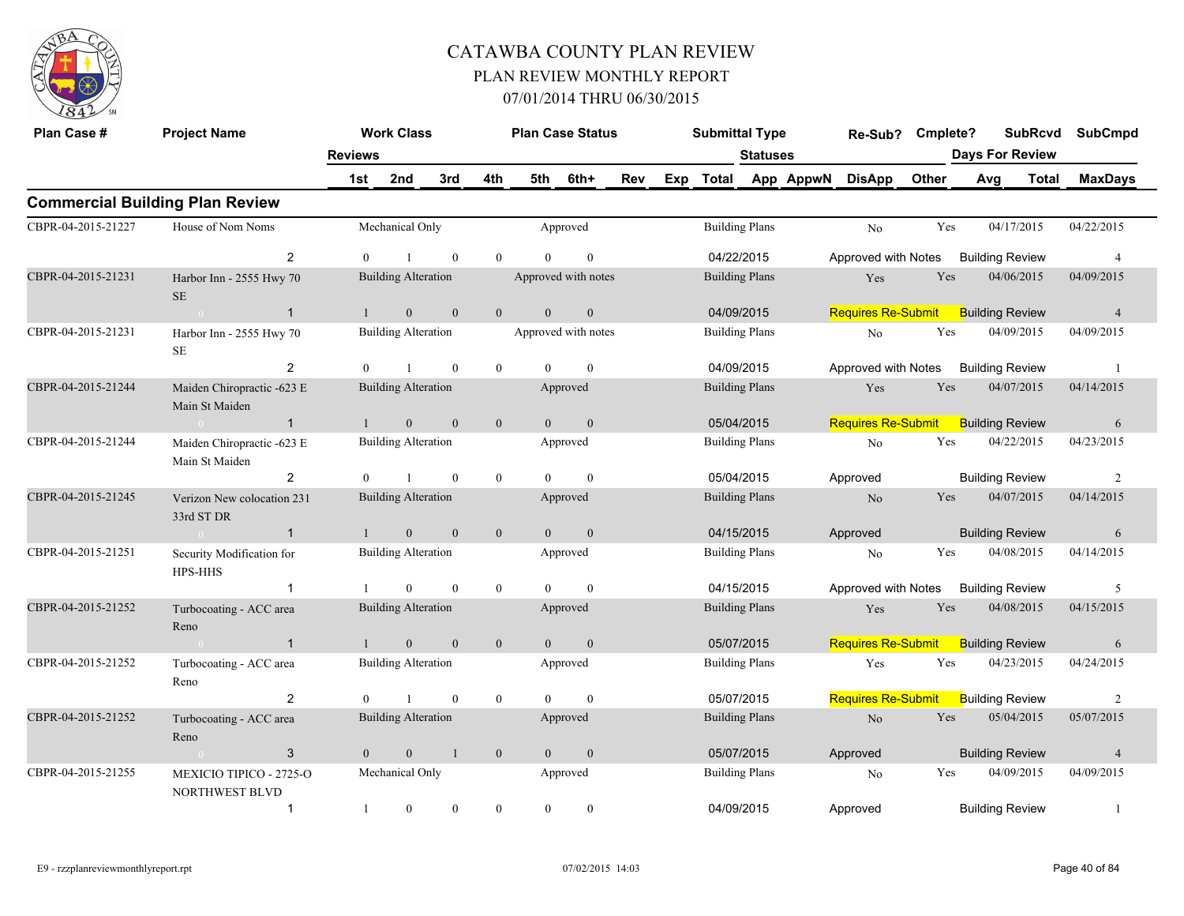

| Plan Case #        | <b>Project Name</b>                              |                | <b>Work Class</b>          |              |                | <b>Plan Case Status</b> |                  |     | <b>Submittal Type</b> |                 |           | Re-Sub?                   | Cmplete? | <b>SubRcvd</b>         |              | <b>SubCmpd</b> |
|--------------------|--------------------------------------------------|----------------|----------------------------|--------------|----------------|-------------------------|------------------|-----|-----------------------|-----------------|-----------|---------------------------|----------|------------------------|--------------|----------------|
|                    |                                                  | <b>Reviews</b> |                            |              |                |                         |                  |     |                       | <b>Statuses</b> |           |                           |          | <b>Days For Review</b> |              |                |
|                    |                                                  | 1st            | 2nd                        | 3rd          | 4th            | 5th                     | 6th+             | Rev | Exp Total             |                 | App AppwN | <b>DisApp</b>             | Other    | Avg                    | <b>Total</b> | <b>MaxDays</b> |
|                    | <b>Commercial Building Plan Review</b>           |                |                            |              |                |                         |                  |     |                       |                 |           |                           |          |                        |              |                |
| CBPR-04-2015-21227 | House of Nom Noms                                |                | Mechanical Only            |              |                |                         | Approved         |     | <b>Building Plans</b> |                 |           | No                        | Yes      | 04/17/2015             |              | 04/22/2015     |
|                    | $\overline{2}$                                   | $\theta$       | $\overline{1}$             | $\mathbf{0}$ | $\theta$       | $\theta$                | $\mathbf{0}$     |     | 04/22/2015            |                 |           | Approved with Notes       |          | <b>Building Review</b> |              | $\overline{4}$ |
| CBPR-04-2015-21231 | Harbor Inn - 2555 Hwy 70<br><b>SE</b>            |                | <b>Building Alteration</b> |              |                | Approved with notes     |                  |     | <b>Building Plans</b> |                 |           | Yes                       | Yes      | 04/06/2015             |              | 04/09/2015     |
|                    | $\overline{1}$<br>$\sim 0$                       | $\mathbf{1}$   | $\mathbf{0}$               | $\mathbf{0}$ | $\overline{0}$ | $\overline{0}$          | $\boldsymbol{0}$ |     | 04/09/2015            |                 |           | <b>Requires Re-Submit</b> |          | <b>Building Review</b> |              | $\overline{4}$ |
| CBPR-04-2015-21231 | Harbor Inn - 2555 Hwy 70<br>$\rm SE$             |                | <b>Building Alteration</b> |              |                | Approved with notes     |                  |     | <b>Building Plans</b> |                 |           | No                        | Yes      | 04/09/2015             |              | 04/09/2015     |
|                    | 2                                                | $\overline{0}$ | $\overline{1}$             | $\mathbf{0}$ | $\mathbf{0}$   | $\theta$                | $\mathbf{0}$     |     | 04/09/2015            |                 |           | Approved with Notes       |          | <b>Building Review</b> |              | -1             |
| CBPR-04-2015-21244 | Maiden Chiropractic -623 E<br>Main St Maiden     |                | <b>Building Alteration</b> |              |                |                         | Approved         |     | <b>Building Plans</b> |                 |           | Yes                       | Yes      | 04/07/2015             |              | 04/14/2015     |
|                    | $\mathbf{1}$<br>$\sim 0$                         |                | $\mathbf{0}$               | $\theta$     | $\mathbf{0}$   | $\theta$                | $\mathbf{0}$     |     | 05/04/2015            |                 |           | <b>Requires Re-Submit</b> |          | <b>Building Review</b> |              | 6              |
| CBPR-04-2015-21244 | Maiden Chiropractic -623 E<br>Main St Maiden     |                | <b>Building Alteration</b> |              |                |                         | Approved         |     | <b>Building Plans</b> |                 |           | No                        | Yes      | 04/22/2015             |              | 04/23/2015     |
|                    | 2                                                | $\overline{0}$ | $\overline{1}$             | $\mathbf{0}$ | $\overline{0}$ | $\Omega$                | $\mathbf{0}$     |     | 05/04/2015            |                 |           | Approved                  |          | <b>Building Review</b> |              | 2              |
| CBPR-04-2015-21245 | Verizon New colocation 231<br>33rd ST DR         |                | <b>Building Alteration</b> |              |                |                         | Approved         |     | <b>Building Plans</b> |                 |           | N <sub>o</sub>            | Yes      | 04/07/2015             |              | 04/14/2015     |
|                    | $\overline{1}$<br>$\sim$ 0 $\sim$                |                | $\mathbf{0}$               | $\mathbf{0}$ | $\overline{0}$ | $\overline{0}$          | $\overline{0}$   |     | 04/15/2015            |                 |           | Approved                  |          | <b>Building Review</b> |              | 6              |
| CBPR-04-2015-21251 | Security Modification for<br>HPS-HHS             |                | <b>Building Alteration</b> |              |                |                         | Approved         |     | <b>Building Plans</b> |                 |           | No                        | Yes      | 04/08/2015             |              | 04/14/2015     |
|                    | $\mathbf{1}$                                     |                | $\overline{0}$             | $\mathbf{0}$ | $\mathbf{0}$   | $\theta$                | $\mathbf{0}$     |     | 04/15/2015            |                 |           | Approved with Notes       |          | <b>Building Review</b> |              | 5              |
| CBPR-04-2015-21252 | Turbocoating - ACC area<br>Reno                  |                | <b>Building Alteration</b> |              |                |                         | Approved         |     | <b>Building Plans</b> |                 |           | Yes                       | Yes      | 04/08/2015             |              | 04/15/2015     |
|                    | $\overline{1}$<br>$\sim 0$                       | $\mathbf{1}$   | $\mathbf{0}$               | $\mathbf{0}$ | $\mathbf{0}$   | $\overline{0}$          | $\mathbf{0}$     |     | 05/07/2015            |                 |           | <b>Requires Re-Submit</b> |          | <b>Building Review</b> |              | 6              |
| CBPR-04-2015-21252 | Turbocoating - ACC area<br>Reno                  |                | <b>Building Alteration</b> |              |                |                         | Approved         |     | <b>Building Plans</b> |                 |           | Yes                       | Yes      | 04/23/2015             |              | 04/24/2015     |
|                    | 2                                                | $\theta$       |                            | $\mathbf{0}$ | $\mathbf{0}$   | $\Omega$                | $\mathbf{0}$     |     | 05/07/2015            |                 |           | <b>Requires Re-Submit</b> |          | <b>Building Review</b> |              | 2              |
| CBPR-04-2015-21252 | Turbocoating - ACC area<br>Reno                  |                | <b>Building Alteration</b> |              |                |                         | Approved         |     | <b>Building Plans</b> |                 |           | N <sub>o</sub>            | Yes      | 05/04/2015             |              | 05/07/2015     |
|                    | 3<br>$\sim 0$                                    | $\overline{0}$ | $\mathbf{0}$               | $\mathbf{1}$ | $\mathbf{0}$   | $\overline{0}$          | $\mathbf{0}$     |     | 05/07/2015            |                 |           | Approved                  |          | <b>Building Review</b> |              | $\overline{4}$ |
| CBPR-04-2015-21255 | MEXICIO TIPICO - 2725-O<br><b>NORTHWEST BLVD</b> |                | Mechanical Only            |              |                |                         | Approved         |     | <b>Building Plans</b> |                 |           | No                        | Yes      | 04/09/2015             |              | 04/09/2015     |
|                    | $\mathbf{1}$                                     | 1              | $\mathbf{0}$               | $\mathbf{0}$ | $\mathbf{0}$   | $\overline{0}$          | $\mathbf{0}$     |     | 04/09/2015            |                 |           | Approved                  |          | <b>Building Review</b> |              | $\mathbf{1}$   |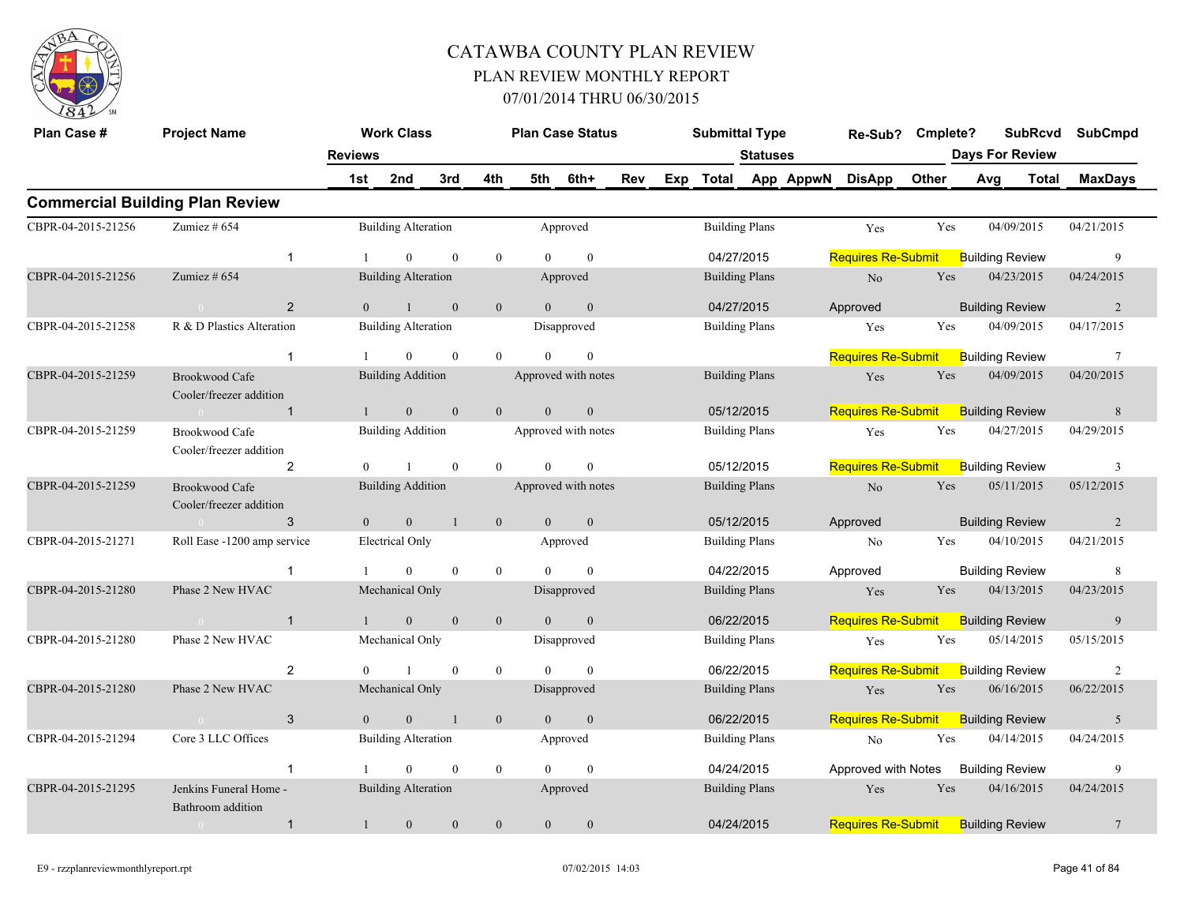

| Plan Case #        | <b>Project Name</b>                                 |                | <b>Work Class</b>          |                |                |                | <b>Plan Case Status</b> |     | <b>Submittal Type</b> |                 | Re-Sub?                    | Cmplete? |                        | <b>SubRcvd</b> | <b>SubCmpd</b>  |
|--------------------|-----------------------------------------------------|----------------|----------------------------|----------------|----------------|----------------|-------------------------|-----|-----------------------|-----------------|----------------------------|----------|------------------------|----------------|-----------------|
|                    |                                                     | <b>Reviews</b> |                            |                |                |                |                         |     |                       | <b>Statuses</b> |                            |          | <b>Days For Review</b> |                |                 |
|                    |                                                     | 1st            | 2nd                        | 3rd            | 4th            | 5th            | 6th+                    | Rev |                       |                 | Exp Total App AppwN DisApp | Other    | Avg                    | Total          | <b>MaxDays</b>  |
|                    | <b>Commercial Building Plan Review</b>              |                |                            |                |                |                |                         |     |                       |                 |                            |          |                        |                |                 |
| CBPR-04-2015-21256 | Zumiez # 654                                        |                | <b>Building Alteration</b> |                |                |                | Approved                |     | <b>Building Plans</b> |                 | Yes                        | Yes      | 04/09/2015             |                | 04/21/2015      |
|                    | $\mathbf{1}$                                        |                | $\overline{0}$             | $\theta$       | $\mathbf{0}$   | $\Omega$       | $\mathbf{0}$            |     | 04/27/2015            |                 | <b>Requires Re-Submit</b>  |          | <b>Building Review</b> |                | 9               |
| CBPR-04-2015-21256 | Zumiez # $654$                                      |                | <b>Building Alteration</b> |                |                |                | Approved                |     | <b>Building Plans</b> |                 | N <sub>o</sub>             | Yes      | 04/23/2015             |                | 04/24/2015      |
|                    | 2<br>$\sim$ 0 $\sim$                                | $\overline{0}$ | $\mathbf{1}$               | $\overline{0}$ | $\mathbf{0}$   | $\Omega$       | $\mathbf{0}$            |     | 04/27/2015            |                 | Approved                   |          | <b>Building Review</b> |                | 2               |
| CBPR-04-2015-21258 | R & D Plastics Alteration                           |                | <b>Building Alteration</b> |                |                |                | Disapproved             |     | <b>Building Plans</b> |                 | Yes                        | Yes      | 04/09/2015             |                | 04/17/2015      |
|                    | $\mathbf{1}$                                        |                | $\overline{0}$             | $\theta$       | $\overline{0}$ | $\theta$       | $\mathbf{0}$            |     |                       |                 | <b>Requires Re-Submit</b>  |          | <b>Building Review</b> |                | $7\phantom{.0}$ |
| CBPR-04-2015-21259 | <b>Brookwood Cafe</b><br>Cooler/freezer addition    |                | <b>Building Addition</b>   |                |                |                | Approved with notes     |     | <b>Building Plans</b> |                 | Yes                        | Yes      | 04/09/2015             |                | 04/20/2015      |
|                    | $\overline{1}$<br>$\sim$ 0 $\sim$ 0 $\sim$ 0 $\sim$ |                | $\mathbf{0}$               | $\mathbf{0}$   | $\overline{0}$ | $\overline{0}$ | $\mathbf{0}$            |     | 05/12/2015            |                 | Requires Re-Submit         |          | <b>Building Review</b> |                | 8               |
| CBPR-04-2015-21259 | Brookwood Cafe<br>Cooler/freezer addition           |                | <b>Building Addition</b>   |                |                |                | Approved with notes     |     | <b>Building Plans</b> |                 | Yes                        | Yes      | 04/27/2015             |                | 04/29/2015      |
|                    | $\overline{2}$                                      | $\Omega$       | $\overline{1}$             | $\theta$       | $\theta$       | $\Omega$       | $\theta$                |     | 05/12/2015            |                 | <b>Requires Re-Submit</b>  |          | <b>Building Review</b> |                | 3               |
| CBPR-04-2015-21259 | <b>Brookwood Cafe</b><br>Cooler/freezer addition    |                | <b>Building Addition</b>   |                |                |                | Approved with notes     |     | <b>Building Plans</b> |                 | $\rm No$                   | Yes      | 05/11/2015             |                | 05/12/2015      |
|                    | 3<br>$\sim 0$ and $\sim 0.00$                       | $\theta$       | $\mathbf{0}$               | $\sim$ 1       | $\mathbf{0}$   | $\overline{0}$ | $\mathbf{0}$            |     | 05/12/2015            |                 | Approved                   |          | <b>Building Review</b> |                | 2               |
| CBPR-04-2015-21271 | Roll Ease -1200 amp service                         |                | <b>Electrical Only</b>     |                |                |                | Approved                |     | <b>Building Plans</b> |                 | No                         | Yes      | 04/10/2015             |                | 04/21/2015      |
|                    | $\mathbf{1}$                                        |                | $\theta$                   | $\mathbf{0}$   | $\overline{0}$ | $\theta$       | $\theta$                |     | 04/22/2015            |                 | Approved                   |          | <b>Building Review</b> |                | 8               |
| CBPR-04-2015-21280 | Phase 2 New HVAC                                    |                | Mechanical Only            |                |                |                | Disapproved             |     | <b>Building Plans</b> |                 | Yes                        | Yes      | 04/13/2015             |                | 04/23/2015      |
|                    | $\overline{1}$<br>$\sim$ 0 $\sim$                   | $\mathbf{1}$   | $\mathbf{0}$               | $\mathbf{0}$   | $\overline{0}$ | $\theta$       | $\mathbf{0}$            |     | 06/22/2015            |                 | <b>Requires Re-Submit</b>  |          | <b>Building Review</b> |                | 9               |
| CBPR-04-2015-21280 | Phase 2 New HVAC                                    |                | Mechanical Only            |                |                |                | Disapproved             |     | <b>Building Plans</b> |                 | Yes                        | Yes      | 05/14/2015             |                | 05/15/2015      |
|                    | 2                                                   | $\theta$       |                            | $\mathbf{0}$   | $\overline{0}$ | $\theta$       | $\mathbf{0}$            |     | 06/22/2015            |                 | <b>Requires Re-Submit</b>  |          | <b>Building Review</b> |                | 2               |
| CBPR-04-2015-21280 | Phase 2 New HVAC                                    |                | Mechanical Only            |                |                |                | Disapproved             |     | <b>Building Plans</b> |                 | Yes                        | Yes      | 06/16/2015             |                | 06/22/2015      |
|                    | 3<br>$\sim 0$                                       | $\theta$       | $\mathbf{0}$               | $\overline{1}$ | $\mathbf{0}$   | $\overline{0}$ | $\mathbf{0}$            |     | 06/22/2015            |                 | <b>Requires Re-Submit</b>  |          | <b>Building Review</b> |                | 5               |
| CBPR-04-2015-21294 | Core 3 LLC Offices                                  |                | <b>Building Alteration</b> |                |                |                | Approved                |     | <b>Building Plans</b> |                 | No                         | Yes      | 04/14/2015             |                | 04/24/2015      |
|                    | $\mathbf{1}$                                        |                | $\theta$                   | $\theta$       | $\mathbf{0}$   | $\Omega$       | $\theta$                |     | 04/24/2015            |                 | Approved with Notes        |          | <b>Building Review</b> |                | 9               |
| CBPR-04-2015-21295 | Jenkins Funeral Home -<br>Bathroom addition         |                | <b>Building Alteration</b> |                |                |                | Approved                |     | <b>Building Plans</b> |                 | Yes                        | Yes      | 04/16/2015             |                | 04/24/2015      |
|                    | $\overline{1}$<br>$\sim 0$                          | $\mathbf{1}$   | $\mathbf{0}$               | $\mathbf{0}$   | $\mathbf{0}$   | $\mathbf{0}$   | $\mathbf{0}$            |     | 04/24/2015            |                 | <b>Requires Re-Submit</b>  |          | <b>Building Review</b> |                | $7\phantom{.0}$ |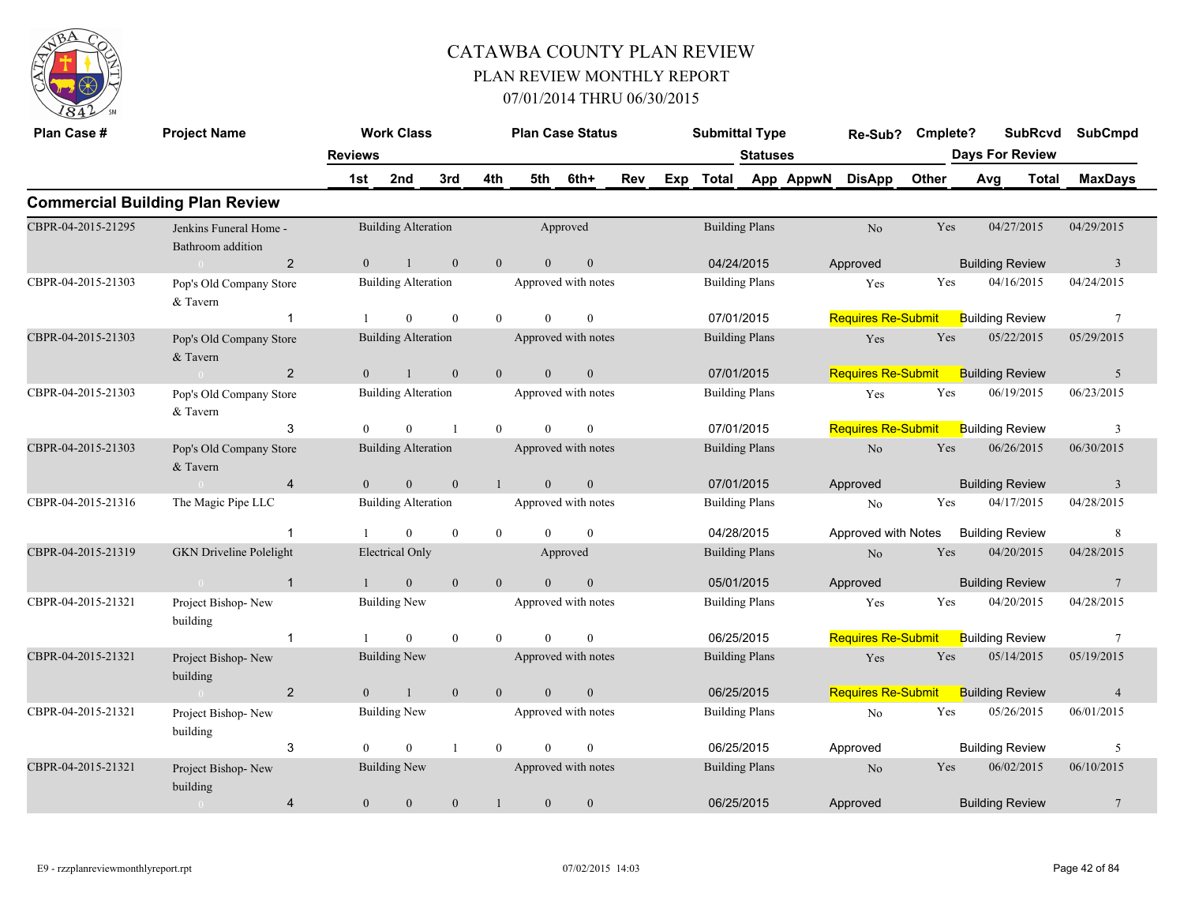

| Plan Case #        | <b>Project Name</b>                         |                | <b>Work Class</b>          |                |                |                | <b>Plan Case Status</b> |     |     | <b>Submittal Type</b> |                       |           | Re-Sub?                   | Cmplete? | <b>SubRcvd</b>         | <b>SubCmpd</b>          |
|--------------------|---------------------------------------------|----------------|----------------------------|----------------|----------------|----------------|-------------------------|-----|-----|-----------------------|-----------------------|-----------|---------------------------|----------|------------------------|-------------------------|
|                    |                                             | <b>Reviews</b> |                            |                |                |                |                         |     |     |                       | <b>Statuses</b>       |           |                           |          | <b>Days For Review</b> |                         |
|                    |                                             | 1st            | 2nd                        | 3rd            | 4th            | 5th            | 6th+                    | Rev | Exp | <b>Total</b>          |                       | App AppwN | <b>DisApp</b>             | Other    | Avg<br><b>Total</b>    | <b>MaxDays</b>          |
|                    | <b>Commercial Building Plan Review</b>      |                |                            |                |                |                |                         |     |     |                       |                       |           |                           |          |                        |                         |
| CBPR-04-2015-21295 | Jenkins Funeral Home -<br>Bathroom addition |                | <b>Building Alteration</b> |                |                |                | Approved                |     |     |                       | <b>Building Plans</b> |           | N <sub>o</sub>            | Yes      | 04/27/2015             | 04/29/2015              |
|                    | 2<br>$\bigcap$                              | $\Omega$       |                            | $\mathbf{0}$   | $\overline{0}$ | $\overline{0}$ | $\boldsymbol{0}$        |     |     |                       | 04/24/2015            |           | Approved                  |          | <b>Building Review</b> | $\overline{\mathbf{3}}$ |
| CBPR-04-2015-21303 | Pop's Old Company Store<br>& Tavern         |                | <b>Building Alteration</b> |                |                |                | Approved with notes     |     |     |                       | <b>Building Plans</b> |           | Yes                       | Yes      | 04/16/2015             | 04/24/2015              |
|                    |                                             |                | $\theta$                   | $\theta$       | $\theta$       | $\theta$       | $\theta$                |     |     |                       | 07/01/2015            |           | <b>Requires Re-Submit</b> |          | <b>Building Review</b> | $\overline{7}$          |
| CBPR-04-2015-21303 | Pop's Old Company Store<br>& Tavern         |                | <b>Building Alteration</b> |                |                |                | Approved with notes     |     |     |                       | <b>Building Plans</b> |           | Yes                       | Yes      | 05/22/2015             | 05/29/2015              |
|                    | 2<br>$\Omega$                               | $\theta$       |                            | $\theta$       | $\overline{0}$ | $\theta$       | $\mathbf{0}$            |     |     |                       | 07/01/2015            |           | <b>Requires Re-Submit</b> |          | <b>Building Review</b> | 5                       |
| CBPR-04-2015-21303 | Pop's Old Company Store<br>& Tavern         |                | <b>Building Alteration</b> |                |                |                | Approved with notes     |     |     |                       | <b>Building Plans</b> |           | Yes                       | Yes      | 06/19/2015             | 06/23/2015              |
|                    | 3                                           | $\theta$       | $\theta$                   | $\overline{1}$ | $\theta$       | $\theta$       | $\theta$                |     |     |                       | 07/01/2015            |           | <b>Requires Re-Submit</b> |          | <b>Building Review</b> | 3                       |
| CBPR-04-2015-21303 | Pop's Old Company Store<br>& Tavern         |                | <b>Building Alteration</b> |                |                |                | Approved with notes     |     |     |                       | <b>Building Plans</b> |           | No                        | Yes      | 06/26/2015             | 06/30/2015              |
|                    | $\overline{4}$                              | $\Omega$       | $\mathbf{0}$               | $\mathbf{0}$   | $\mathbf{1}$   | $\theta$       | $\mathbf{0}$            |     |     |                       | 07/01/2015            |           | Approved                  |          | <b>Building Review</b> | $\overline{3}$          |
| CBPR-04-2015-21316 | The Magic Pipe LLC                          |                | <b>Building Alteration</b> |                |                |                | Approved with notes     |     |     |                       | <b>Building Plans</b> |           | N <sub>o</sub>            | Yes      | 04/17/2015             | 04/28/2015              |
|                    | $\overline{1}$                              |                | $\overline{0}$             | $\mathbf{0}$   | $\overline{0}$ | $\theta$       | $\mathbf{0}$            |     |     |                       | 04/28/2015            |           | Approved with Notes       |          | <b>Building Review</b> | 8                       |
| CBPR-04-2015-21319 | <b>GKN</b> Driveline Polelight              |                | <b>Electrical Only</b>     |                |                |                | Approved                |     |     |                       | <b>Building Plans</b> |           | N <sub>o</sub>            | Yes      | 04/20/2015             | 04/28/2015              |
|                    | $\overline{1}$<br>$\sim 0$                  |                | $\overline{0}$             | $\theta$       | $\overline{0}$ | $\Omega$       | $\mathbf{0}$            |     |     |                       | 05/01/2015            |           | Approved                  |          | <b>Building Review</b> | $7\phantom{.0}$         |
| CBPR-04-2015-21321 | Project Bishop-New<br>building              |                | <b>Building New</b>        |                |                |                | Approved with notes     |     |     |                       | <b>Building Plans</b> |           | Yes                       | Yes      | 04/20/2015             | 04/28/2015              |
|                    | $\overline{1}$                              |                | $\Omega$                   | $\theta$       | $\theta$       | $\Omega$       | $\theta$                |     |     |                       | 06/25/2015            |           | <b>Requires Re-Submit</b> |          | <b>Building Review</b> | 7                       |
| CBPR-04-2015-21321 | Project Bishop-New<br>building              |                | Building New               |                |                |                | Approved with notes     |     |     |                       | <b>Building Plans</b> |           | Yes                       | Yes      | 05/14/2015             | 05/19/2015              |
|                    | $\overline{2}$<br>$\sim 0$                  | $\theta$       | $\mathbf{1}$               | $\mathbf{0}$   | $\mathbf{0}$   | $\theta$       | $\mathbf{0}$            |     |     |                       | 06/25/2015            |           | <b>Requires Re-Submit</b> |          | <b>Building Review</b> | $\overline{4}$          |
| CBPR-04-2015-21321 | Project Bishop-New<br>building              |                | <b>Building New</b>        |                |                |                | Approved with notes     |     |     |                       | <b>Building Plans</b> |           | No                        | Yes      | 05/26/2015             | 06/01/2015              |
|                    | 3                                           | $\Omega$       | $\theta$                   | $\mathbf{1}$   | $\theta$       | $\Omega$       | $\theta$                |     |     |                       | 06/25/2015            |           | Approved                  |          | <b>Building Review</b> | 5                       |
| CBPR-04-2015-21321 | Project Bishop-New<br>building              |                | <b>Building New</b>        |                |                |                | Approved with notes     |     |     |                       | <b>Building Plans</b> |           | No                        | Yes      | 06/02/2015             | 06/10/2015              |
|                    | $\overline{4}$<br>$\overline{0}$            | $\overline{0}$ | $\mathbf{0}$               | $\mathbf{0}$   |                | $\overline{0}$ | $\mathbf{0}$            |     |     |                       | 06/25/2015            |           | Approved                  |          | <b>Building Review</b> | $7\phantom{.0}$         |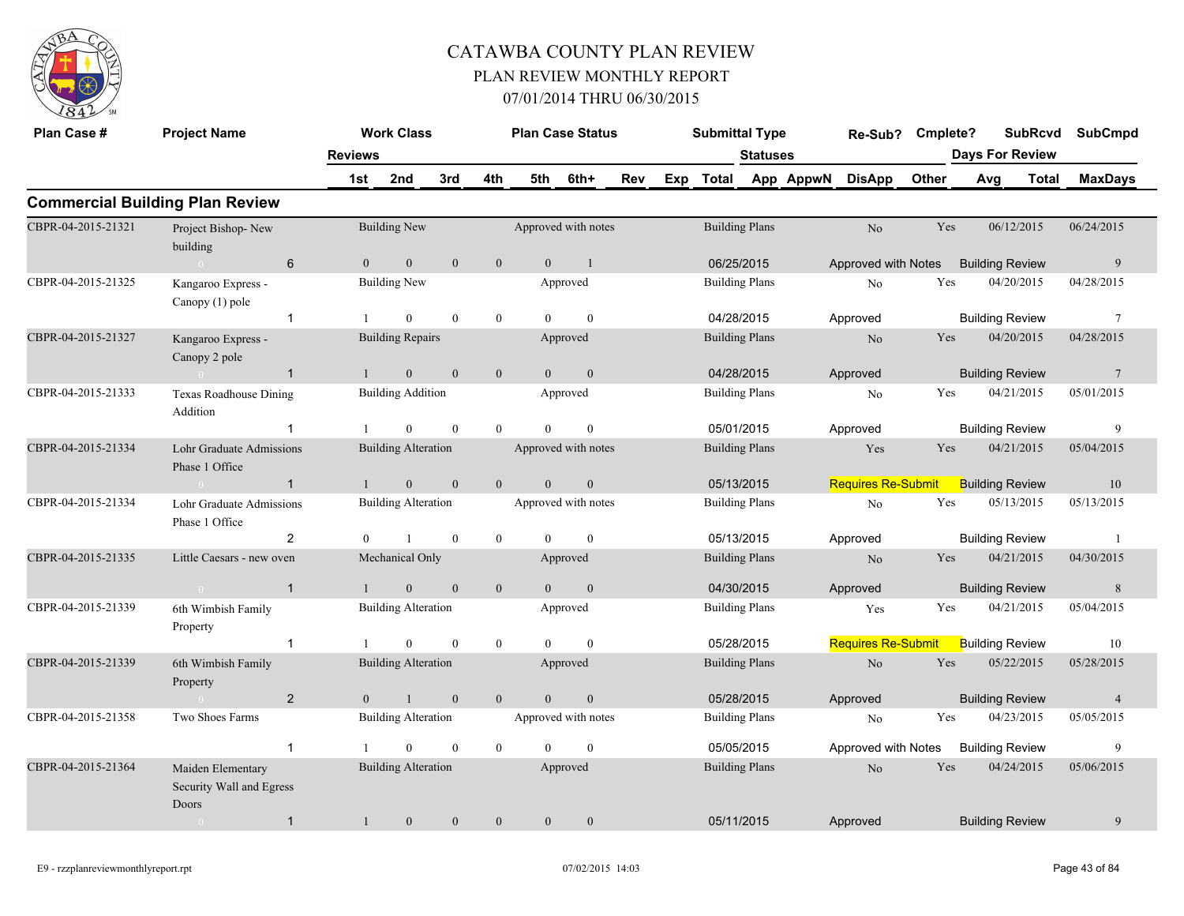

| Plan Case #        | <b>Project Name</b>                                    |                | <b>Work Class</b>          |                  |                  |                | <b>Plan Case Status</b> |     |     | <b>Submittal Type</b> |                       |           | Re-Sub?                   | Cmplete? |                        | <b>SubRcvd</b> | <b>SubCmpd</b>  |  |
|--------------------|--------------------------------------------------------|----------------|----------------------------|------------------|------------------|----------------|-------------------------|-----|-----|-----------------------|-----------------------|-----------|---------------------------|----------|------------------------|----------------|-----------------|--|
|                    |                                                        | <b>Reviews</b> |                            |                  |                  |                |                         |     |     |                       | <b>Statuses</b>       |           |                           |          | <b>Days For Review</b> |                |                 |  |
|                    |                                                        | 1st            | 2nd                        | 3rd              | 4th              | 5th            | 6th+                    | Rev | Exp | <b>Total</b>          |                       | App AppwN | <b>DisApp</b>             | Other    | Avg                    | <b>Total</b>   | <b>MaxDays</b>  |  |
|                    | <b>Commercial Building Plan Review</b>                 |                |                            |                  |                  |                |                         |     |     |                       |                       |           |                           |          |                        |                |                 |  |
| CBPR-04-2015-21321 | Project Bishop-New<br>building                         |                | <b>Building New</b>        |                  |                  |                | Approved with notes     |     |     | <b>Building Plans</b> |                       |           | N <sub>o</sub>            | Yes      | 06/12/2015             |                | 06/24/2015      |  |
|                    | 6<br>$\sim 0$                                          | $\theta$       | $\overline{0}$             | $\mathbf{0}$     | $\mathbf{0}$     | $\theta$       | $\overline{1}$          |     |     | 06/25/2015            |                       |           | Approved with Notes       |          | <b>Building Review</b> |                | 9               |  |
| CBPR-04-2015-21325 | Kangaroo Express -<br>Canopy (1) pole                  |                | <b>Building New</b>        |                  |                  |                | Approved                |     |     | <b>Building Plans</b> |                       |           | N <sub>0</sub>            | Yes      | 04/20/2015             |                | 04/28/2015      |  |
|                    | $\overline{1}$                                         |                | $\mathbf{0}$               | $\mathbf{0}$     | $\boldsymbol{0}$ | $\Omega$       | $\mathbf{0}$            |     |     | 04/28/2015            |                       |           | Approved                  |          | <b>Building Review</b> |                | $7\phantom{.0}$ |  |
| CBPR-04-2015-21327 | Kangaroo Express -<br>Canopy 2 pole                    |                | <b>Building Repairs</b>    |                  |                  |                | Approved                |     |     | <b>Building Plans</b> |                       |           | N <sub>o</sub>            | Yes      | 04/20/2015             |                | 04/28/2015      |  |
|                    | $\sim 0$<br>$\overline{1}$                             | $\mathbf{1}$   | $\mathbf{0}$               | $\mathbf{0}$     | $\mathbf{0}$     | $\overline{0}$ | $\boldsymbol{0}$        |     |     | 04/28/2015            |                       |           | Approved                  |          | <b>Building Review</b> |                | $7\phantom{.0}$ |  |
| CBPR-04-2015-21333 | <b>Texas Roadhouse Dining</b><br>Addition              |                | <b>Building Addition</b>   |                  |                  |                | Approved                |     |     | <b>Building Plans</b> |                       |           | No                        | Yes      | 04/21/2015             |                | 05/01/2015      |  |
|                    | -1                                                     |                | $\theta$                   | $\mathbf{0}$     | $\mathbf{0}$     | $\Omega$       | $\mathbf{0}$            |     |     | 05/01/2015            |                       |           | Approved                  |          | <b>Building Review</b> |                | 9               |  |
| CBPR-04-2015-21334 | Lohr Graduate Admissions<br>Phase 1 Office             |                | <b>Building Alteration</b> |                  |                  |                | Approved with notes     |     |     | <b>Building Plans</b> |                       |           | Yes                       | Yes      | 04/21/2015             |                | 05/04/2015      |  |
|                    | $\overline{1}$<br>$\sim 0$                             |                | $\overline{0}$             | $\mathbf{0}$     | $\mathbf{0}$     | $\theta$       | $\mathbf{0}$            |     |     | 05/13/2015            |                       |           | <b>Requires Re-Submit</b> |          | <b>Building Review</b> |                | 10              |  |
| CBPR-04-2015-21334 | Lohr Graduate Admissions<br>Phase 1 Office             |                | <b>Building Alteration</b> |                  |                  |                | Approved with notes     |     |     | <b>Building Plans</b> |                       |           | No                        | Yes      | 05/13/2015             |                | 05/13/2015      |  |
|                    | $\overline{2}$                                         |                |                            | $\bf{0}$         | $\boldsymbol{0}$ | $\Omega$       | $\mathbf{0}$            |     |     | 05/13/2015            |                       |           | Approved                  |          | <b>Building Review</b> |                | -1              |  |
| CBPR-04-2015-21335 | Little Caesars - new oven                              |                | Mechanical Only            |                  |                  |                | Approved                |     |     | <b>Building Plans</b> |                       |           | N <sub>o</sub>            | Yes      | 04/21/2015             |                | 04/30/2015      |  |
|                    | $\overline{1}$<br>$\sim$ 0 $\sim$                      |                | $\theta$                   | $\mathbf{0}$     | $\mathbf{0}$     | $\theta$       | $\mathbf{0}$            |     |     | 04/30/2015            |                       |           | Approved                  |          | <b>Building Review</b> |                | 8               |  |
| CBPR-04-2015-21339 | 6th Wimbish Family<br>Property                         |                | <b>Building Alteration</b> |                  |                  |                | Approved                |     |     | <b>Building Plans</b> |                       |           | Yes                       | Yes      | 04/21/2015             |                | 05/04/2015      |  |
|                    | $\overline{1}$                                         |                | $\theta$                   | $\mathbf{0}$     | $\mathbf{0}$     | $\Omega$       | $\mathbf{0}$            |     |     | 05/28/2015            |                       |           | <b>Requires Re-Submit</b> |          | <b>Building Review</b> |                | 10              |  |
| CBPR-04-2015-21339 | 6th Wimbish Family<br>Property                         |                | <b>Building Alteration</b> |                  |                  |                | Approved                |     |     | <b>Building Plans</b> |                       |           | N <sub>o</sub>            | Yes      | 05/22/2015             |                | 05/28/2015      |  |
|                    | $\overline{2}$<br>$\sim 0$                             | $\theta$       | $\mathbf{1}$               | $\mathbf{0}$     | $\overline{0}$   | $\overline{0}$ | $\boldsymbol{0}$        |     |     | 05/28/2015            |                       |           | Approved                  |          | <b>Building Review</b> |                | $\overline{4}$  |  |
| CBPR-04-2015-21358 | Two Shoes Farms                                        |                | <b>Building Alteration</b> |                  |                  |                | Approved with notes     |     |     | <b>Building Plans</b> |                       |           | N <sub>0</sub>            | Yes      | 04/23/2015             |                | 05/05/2015      |  |
|                    | $\mathbf{1}$                                           |                | $\Omega$                   | $\theta$         | $\mathbf{0}$     | $\Omega$       | $\theta$                |     |     | 05/05/2015            |                       |           | Approved with Notes       |          | <b>Building Review</b> |                | 9               |  |
| CBPR-04-2015-21364 | Maiden Elementary<br>Security Wall and Egress<br>Doors |                | <b>Building Alteration</b> |                  |                  |                | Approved                |     |     |                       | <b>Building Plans</b> |           | N <sub>o</sub>            | Yes      | 04/24/2015             |                | 05/06/2015      |  |
|                    | $\mathbf{1}$<br>$\sim 0$                               | $\mathbf{1}$   | $\boldsymbol{0}$           | $\boldsymbol{0}$ | $\mathbf{0}$     | $\mathbf{0}$   | $\boldsymbol{0}$        |     |     | 05/11/2015            |                       |           | Approved                  |          | <b>Building Review</b> |                | 9               |  |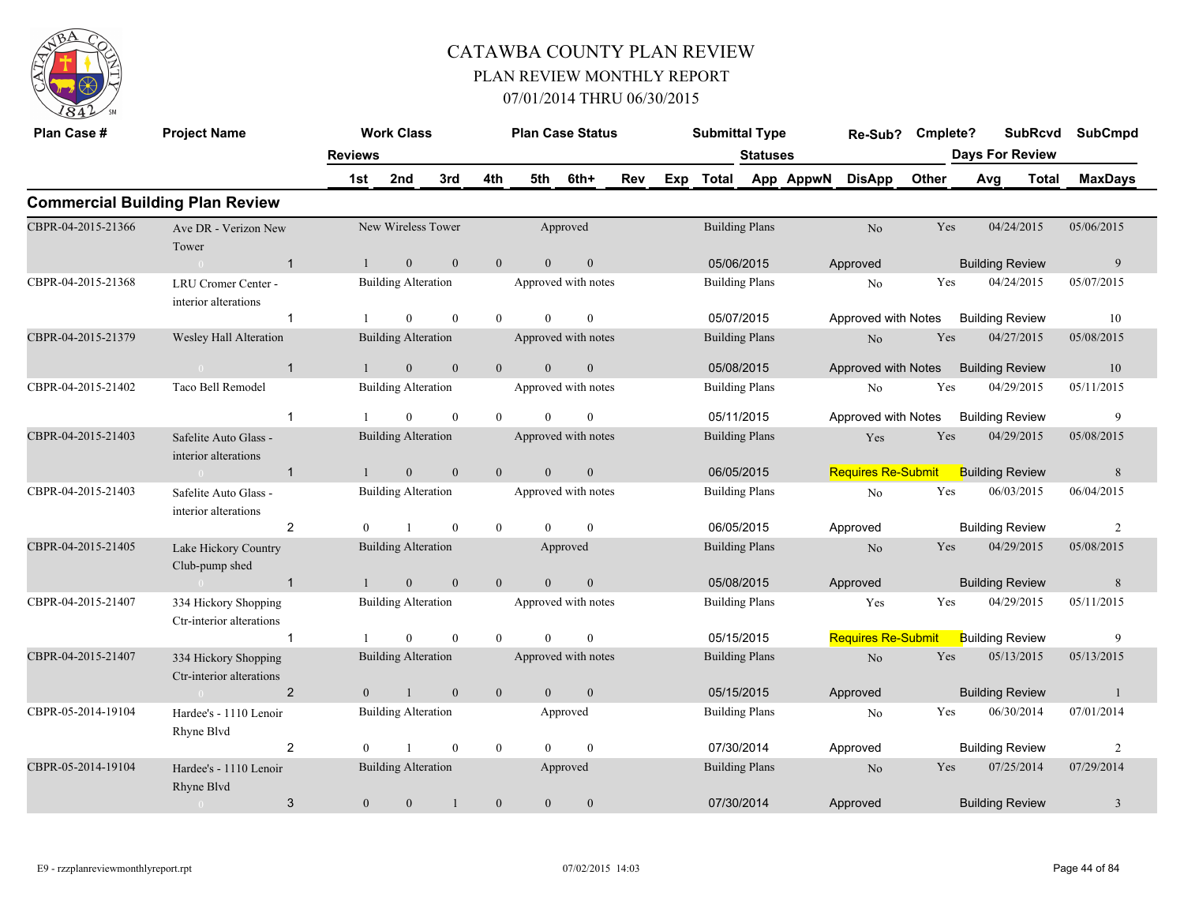

| Plan Case #        | <b>Project Name</b>                                                                                                                                                                                                                           |                | <b>Work Class</b>          |              |                | <b>Plan Case Status</b> |                     |            |     | <b>Submittal Type</b> |                     |           | Re-Sub? Cmplete?          |                        |     | <b>SubRcvd</b>         | <b>SubCmpd</b> |  |
|--------------------|-----------------------------------------------------------------------------------------------------------------------------------------------------------------------------------------------------------------------------------------------|----------------|----------------------------|--------------|----------------|-------------------------|---------------------|------------|-----|-----------------------|---------------------|-----------|---------------------------|------------------------|-----|------------------------|----------------|--|
|                    |                                                                                                                                                                                                                                               | <b>Reviews</b> |                            |              |                |                         |                     |            |     |                       | <b>Statuses</b>     |           |                           |                        |     | <b>Days For Review</b> |                |  |
|                    |                                                                                                                                                                                                                                               | 1st            | 2nd                        | 3rd          | 4th            | 5th                     | 6th+                | Rev        | Exp | <b>Total</b>          |                     | App AppwN | <b>DisApp</b>             | Other                  | Avg | Total                  | <b>MaxDays</b> |  |
|                    | <b>Commercial Building Plan Review</b>                                                                                                                                                                                                        |                |                            |              |                |                         |                     |            |     |                       |                     |           |                           |                        |     |                        |                |  |
| CBPR-04-2015-21366 | Ave DR - Verizon New<br>Tower                                                                                                                                                                                                                 |                | New Wireless Tower         |              |                |                         | Approved            |            |     | <b>Building Plans</b> |                     |           | No                        | Yes                    |     | 04/24/2015             | 05/06/2015     |  |
|                    | $\overline{1}$                                                                                                                                                                                                                                |                | $\mathbf{0}$               | $\mathbf{0}$ | $\mathbf{0}$   | $\overline{0}$          | $\mathbf{0}$        |            |     | 05/06/2015            |                     |           | Approved                  |                        |     | <b>Building Review</b> | $\overline{9}$ |  |
| CBPR-04-2015-21368 | LRU Cromer Center -<br>interior alterations                                                                                                                                                                                                   |                | <b>Building Alteration</b> |              |                |                         | Approved with notes |            |     | <b>Building Plans</b> |                     |           | No                        | Yes                    |     | 04/24/2015             | 05/07/2015     |  |
|                    | $\mathbf{1}$                                                                                                                                                                                                                                  |                | $\boldsymbol{0}$           | $\mathbf{0}$ | $\overline{0}$ | $\overline{0}$          | $\mathbf{0}$        |            |     | 05/07/2015            |                     |           | Approved with Notes       |                        |     | <b>Building Review</b> | 10             |  |
| CBPR-04-2015-21379 | Wesley Hall Alteration                                                                                                                                                                                                                        |                |                            |              |                |                         |                     |            |     | <b>Building Plans</b> |                     |           | $\rm No$                  | Yes                    |     | 04/27/2015             | 05/08/2015     |  |
|                    | <b>Building Alteration</b><br>Approved with notes<br>$\mathbf{0}$<br>$\mathbf{0}$<br>$\overline{0}$<br>$\overline{0}$<br>$\sim 0$<br>$\mathbf{1}$<br>$\overline{1}$<br>Taco Bell Remodel<br><b>Building Alteration</b><br>Approved with notes |                |                            |              | $\mathbf{0}$   |                         |                     | 05/08/2015 |     |                       | Approved with Notes |           |                           | <b>Building Review</b> | 10  |                        |                |  |
| CBPR-04-2015-21402 |                                                                                                                                                                                                                                               |                |                            |              |                |                         |                     |            |     | <b>Building Plans</b> |                     |           | No                        | Yes                    |     | 04/29/2015             | 05/11/2015     |  |
|                    | $\mathbf{1}$                                                                                                                                                                                                                                  |                | $\Omega$                   | $\mathbf{0}$ | $\theta$       | $\Omega$                | $\theta$            |            |     | 05/11/2015            |                     |           | Approved with Notes       |                        |     | <b>Building Review</b> | 9              |  |
| CBPR-04-2015-21403 | Safelite Auto Glass -<br>interior alterations                                                                                                                                                                                                 |                | <b>Building Alteration</b> |              |                |                         | Approved with notes |            |     | <b>Building Plans</b> |                     |           | Yes                       | Yes                    |     | 04/29/2015             | 05/08/2015     |  |
|                    | $\overline{1}$<br>$\sim 0$                                                                                                                                                                                                                    |                | $\overline{0}$             | $\mathbf{0}$ | $\overline{0}$ | $\theta$                | $\mathbf{0}$        |            |     | 06/05/2015            |                     |           | Requires Re-Submit        |                        |     | <b>Building Review</b> | 8              |  |
| CBPR-04-2015-21403 | Safelite Auto Glass -<br>interior alterations                                                                                                                                                                                                 |                | <b>Building Alteration</b> |              |                |                         | Approved with notes |            |     | <b>Building Plans</b> |                     |           | No                        | Yes                    |     | 06/03/2015             | 06/04/2015     |  |
|                    | $\overline{2}$                                                                                                                                                                                                                                | $\Omega$       | $\mathbf{1}$               | $\theta$     | $\overline{0}$ | $\Omega$                | $\theta$            |            |     | 06/05/2015            |                     |           | Approved                  |                        |     | <b>Building Review</b> | 2              |  |
| CBPR-04-2015-21405 | Lake Hickory Country<br>Club-pump shed                                                                                                                                                                                                        |                | <b>Building Alteration</b> |              |                |                         | Approved            |            |     | <b>Building Plans</b> |                     |           | N <sub>o</sub>            | Yes                    |     | 04/29/2015             | 05/08/2015     |  |
|                    | $\overline{1}$<br>$\sim$ 0 $\sim$ 0 $\sim$ 0 $\sim$ 0 $\sim$                                                                                                                                                                                  |                | $\overline{0}$             | $\mathbf{0}$ | $\overline{0}$ | $\theta$                | $\mathbf{0}$        |            |     | 05/08/2015            |                     |           | Approved                  |                        |     | <b>Building Review</b> | 8              |  |
| CBPR-04-2015-21407 | 334 Hickory Shopping<br>Ctr-interior alterations                                                                                                                                                                                              |                | <b>Building Alteration</b> |              |                |                         | Approved with notes |            |     | <b>Building Plans</b> |                     |           | Yes                       | Yes                    |     | 04/29/2015             | 05/11/2015     |  |
|                    | $\mathbf{1}$                                                                                                                                                                                                                                  |                | $\theta$                   | $\mathbf{0}$ | $\overline{0}$ | $\theta$                | $\theta$            |            |     | 05/15/2015            |                     |           | <b>Requires Re-Submit</b> |                        |     | <b>Building Review</b> | 9              |  |
| CBPR-04-2015-21407 | 334 Hickory Shopping<br>Ctr-interior alterations                                                                                                                                                                                              |                | <b>Building Alteration</b> |              |                |                         | Approved with notes |            |     | <b>Building Plans</b> |                     |           | $\rm No$                  | Yes                    |     | 05/13/2015             | 05/13/2015     |  |
|                    | $\overline{2}$                                                                                                                                                                                                                                | $\theta$       | $\mathbf{1}$               | $\mathbf{0}$ | $\mathbf{0}$   | $\overline{0}$          | $\mathbf{0}$        |            |     | 05/15/2015            |                     |           | Approved                  |                        |     | <b>Building Review</b> | $\mathbf{1}$   |  |
| CBPR-05-2014-19104 | Hardee's - 1110 Lenoir<br>Rhyne Blvd                                                                                                                                                                                                          |                | <b>Building Alteration</b> |              |                |                         | Approved            |            |     | <b>Building Plans</b> |                     |           | No                        | Yes                    |     | 06/30/2014             | 07/01/2014     |  |
|                    | $\overline{2}$                                                                                                                                                                                                                                | $\theta$       | $\mathbf{1}$               | $\mathbf{0}$ | $\overline{0}$ | $\Omega$                | $\mathbf{0}$        |            |     | 07/30/2014            |                     |           | Approved                  |                        |     | <b>Building Review</b> | $\overline{c}$ |  |
| CBPR-05-2014-19104 | Hardee's - 1110 Lenoir<br>Rhyne Blyd                                                                                                                                                                                                          |                | <b>Building Alteration</b> |              |                |                         | Approved            |            |     | <b>Building Plans</b> |                     |           | N <sub>o</sub>            | Yes                    |     | 07/25/2014             | 07/29/2014     |  |
|                    | 3                                                                                                                                                                                                                                             | $\overline{0}$ | $\mathbf{0}$               |              | $\mathbf{0}$   | $\overline{0}$          | $\mathbf{0}$        |            |     | 07/30/2014            |                     |           | Approved                  |                        |     | <b>Building Review</b> | $\mathfrak{Z}$ |  |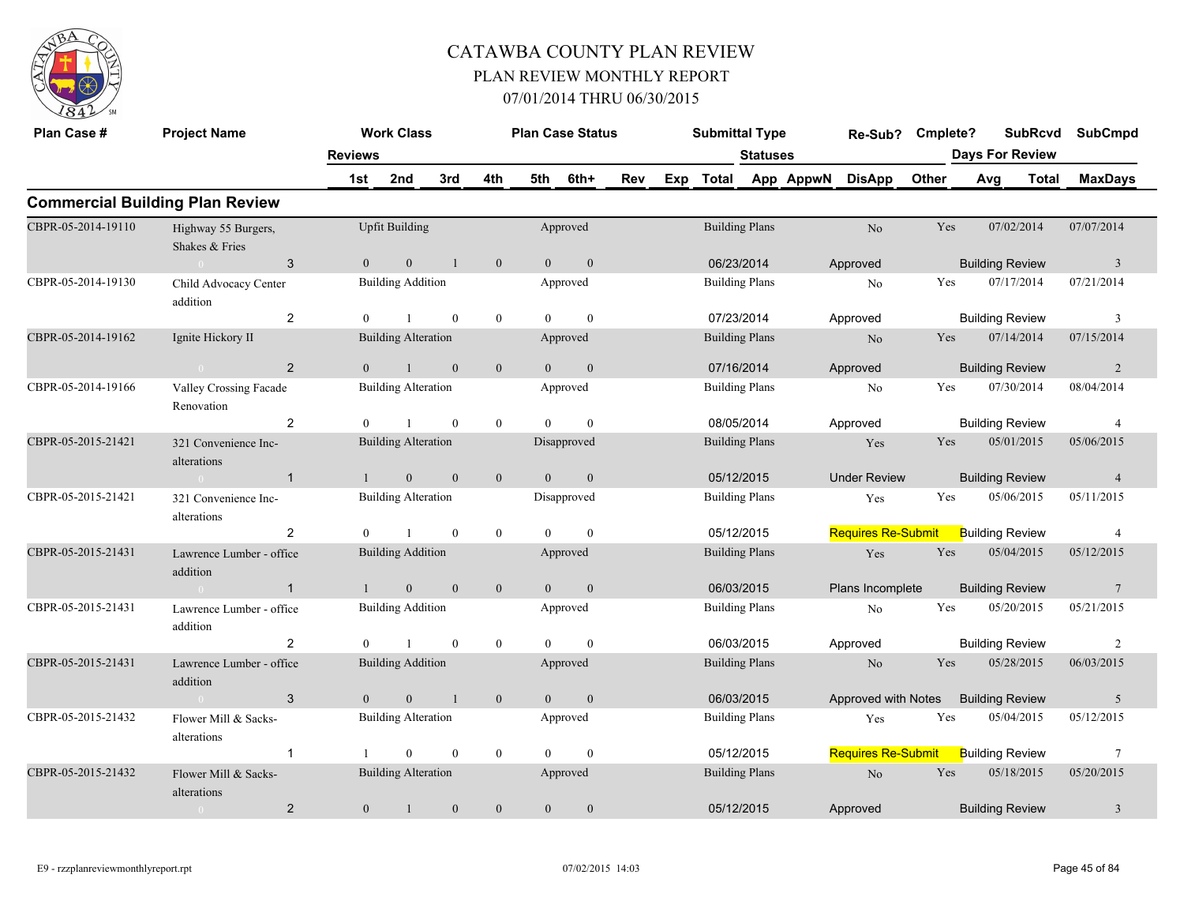

| Plan Case #        | <b>Project Name</b>                    |                | <b>Work Class</b>          |                  |                  |                | <b>Plan Case Status</b> |     |     | <b>Submittal Type</b> |                 |           | Re-Sub?                   | Cmplete? |                        | <b>SubRcvd</b> | <b>SubCmpd</b>          |
|--------------------|----------------------------------------|----------------|----------------------------|------------------|------------------|----------------|-------------------------|-----|-----|-----------------------|-----------------|-----------|---------------------------|----------|------------------------|----------------|-------------------------|
|                    |                                        | <b>Reviews</b> | 2nd                        | 3rd              | 4th              | 5th            | 6th+                    | Rev | Exp | <b>Total</b>          | <b>Statuses</b> | App AppwN | <b>DisApp</b>             | Other    | <b>Days For Review</b> | Total          | <b>MaxDays</b>          |
|                    | <b>Commercial Building Plan Review</b> | 1st            |                            |                  |                  |                |                         |     |     |                       |                 |           |                           |          | Avg                    |                |                         |
|                    |                                        |                |                            |                  |                  |                |                         |     |     |                       |                 |           |                           |          |                        |                |                         |
| CBPR-05-2014-19110 | Highway 55 Burgers,<br>Shakes & Fries  |                | <b>Upfit Building</b>      |                  |                  |                | Approved                |     |     | <b>Building Plans</b> |                 |           | No                        | Yes      | 07/02/2014             |                | 07/07/2014              |
|                    | 3<br>$\cap$                            | $\Omega$       | $\mathbf{0}$               | -1               | $\boldsymbol{0}$ | $\overline{0}$ | $\boldsymbol{0}$        |     |     | 06/23/2014            |                 |           | Approved                  |          | <b>Building Review</b> |                | $\overline{\mathbf{3}}$ |
| CBPR-05-2014-19130 | Child Advocacy Center<br>addition      |                | <b>Building Addition</b>   |                  |                  |                | Approved                |     |     | <b>Building Plans</b> |                 |           | No                        | Yes      | 07/17/2014             |                | 07/21/2014              |
|                    | 2                                      | $\theta$       | $\overline{1}$             | $\mathbf{0}$     | $\boldsymbol{0}$ | $\Omega$       | $\mathbf{0}$            |     |     | 07/23/2014            |                 |           | Approved                  |          | <b>Building Review</b> |                | 3                       |
| CBPR-05-2014-19162 | Ignite Hickory II                      |                | <b>Building Alteration</b> |                  |                  |                | Approved                |     |     | <b>Building Plans</b> |                 |           | No                        | Yes      | 07/14/2014             |                | 07/15/2014              |
|                    | $\overline{2}$<br>$\sim$ 0             | $\overline{0}$ | $\mathbf{1}$               | $\theta$         | $\mathbf{0}$     | $\overline{0}$ | $\overline{0}$          |     |     | 07/16/2014            |                 |           | Approved                  |          | <b>Building Review</b> |                | 2                       |
| CBPR-05-2014-19166 | Valley Crossing Facade<br>Renovation   |                | <b>Building Alteration</b> |                  |                  |                | Approved                |     |     | <b>Building Plans</b> |                 |           | N <sub>o</sub>            | Yes      | 07/30/2014             |                | 08/04/2014              |
|                    | $\overline{2}$                         | $\Omega$       | $\mathbf{1}$               | $\mathbf{0}$     | $\mathbf{0}$     | $\theta$       | $\mathbf{0}$            |     |     | 08/05/2014            |                 |           | Approved                  |          | <b>Building Review</b> |                | $\overline{4}$          |
| CBPR-05-2015-21421 | 321 Convenience Inc-<br>alterations    |                | <b>Building Alteration</b> |                  |                  |                | Disapproved             |     |     | <b>Building Plans</b> |                 |           | Yes                       | Yes      | 05/01/2015             |                | 05/06/2015              |
|                    | $\overline{1}$<br>$\theta$             |                | $\mathbf{0}$               | $\mathbf{0}$     | $\boldsymbol{0}$ | $\overline{0}$ | $\mathbf{0}$            |     |     | 05/12/2015            |                 |           | <b>Under Review</b>       |          | <b>Building Review</b> |                | $\overline{4}$          |
| CBPR-05-2015-21421 | 321 Convenience Inc-<br>alterations    |                | <b>Building Alteration</b> |                  |                  |                | Disapproved             |     |     | <b>Building Plans</b> |                 |           | Yes                       | Yes      | 05/06/2015             |                | 05/11/2015              |
|                    | 2                                      | $\Omega$       |                            | $\mathbf{0}$     | $\mathbf{0}$     | $\theta$       | $\theta$                |     |     | 05/12/2015            |                 |           | <b>Requires Re-Submit</b> |          | <b>Building Review</b> |                | $\overline{4}$          |
| CBPR-05-2015-21431 | Lawrence Lumber - office<br>addition   |                | <b>Building Addition</b>   |                  |                  |                | Approved                |     |     | <b>Building Plans</b> |                 |           | Yes                       | Yes      | 05/04/2015             |                | 05/12/2015              |
|                    | $\sim 0$<br>$\mathbf{1}$               | $\mathbf{1}$   | $\mathbf{0}$               | $\mathbf{0}$     | $\mathbf{0}$     | $\overline{0}$ | $\mathbf{0}$            |     |     | 06/03/2015            |                 |           | Plans Incomplete          |          | <b>Building Review</b> |                | $7\phantom{.0}$         |
| CBPR-05-2015-21431 | Lawrence Lumber - office<br>addition   |                | <b>Building Addition</b>   |                  |                  |                | Approved                |     |     | <b>Building Plans</b> |                 |           | No                        | Yes      | 05/20/2015             |                | 05/21/2015              |
|                    | $\overline{2}$                         | $\theta$       |                            | $\mathbf{0}$     | $\mathbf{0}$     | $\theta$       | $\theta$                |     |     | 06/03/2015            |                 |           | Approved                  |          | <b>Building Review</b> |                | 2                       |
| CBPR-05-2015-21431 | Lawrence Lumber - office<br>addition   |                | <b>Building Addition</b>   |                  |                  |                | Approved                |     |     | <b>Building Plans</b> |                 |           | N <sub>o</sub>            | Yes      | 05/28/2015             |                | 06/03/2015              |
|                    | 3<br>$\sim 0$                          | $\theta$       | $\mathbf{0}$               | $\overline{1}$   | $\mathbf{0}$     | $\theta$       | $\overline{0}$          |     |     | 06/03/2015            |                 |           | Approved with Notes       |          | <b>Building Review</b> |                | 5                       |
| CBPR-05-2015-21432 | Flower Mill & Sacks-<br>alterations    |                | <b>Building Alteration</b> |                  |                  |                | Approved                |     |     | <b>Building Plans</b> |                 |           | Yes                       | Yes      | 05/04/2015             |                | 05/12/2015              |
|                    | $\mathbf{1}$                           |                | $\mathbf{0}$               | $\boldsymbol{0}$ | $\boldsymbol{0}$ | $\theta$       | $\mathbf{0}$            |     |     | 05/12/2015            |                 |           | <b>Requires Re-Submit</b> |          | <b>Building Review</b> |                | $\tau$                  |
| CBPR-05-2015-21432 | Flower Mill & Sacks-<br>alterations    |                | <b>Building Alteration</b> |                  |                  |                | Approved                |     |     | <b>Building Plans</b> |                 |           | No                        | Yes      | 05/18/2015             |                | 05/20/2015              |
|                    | $\overline{2}$<br>$\overline{0}$       | $\overline{0}$ | $\mathbf{1}$               | $\mathbf{0}$     | $\mathbf{0}$     | $\overline{0}$ | $\theta$                |     |     | 05/12/2015            |                 |           | Approved                  |          | <b>Building Review</b> |                | 3                       |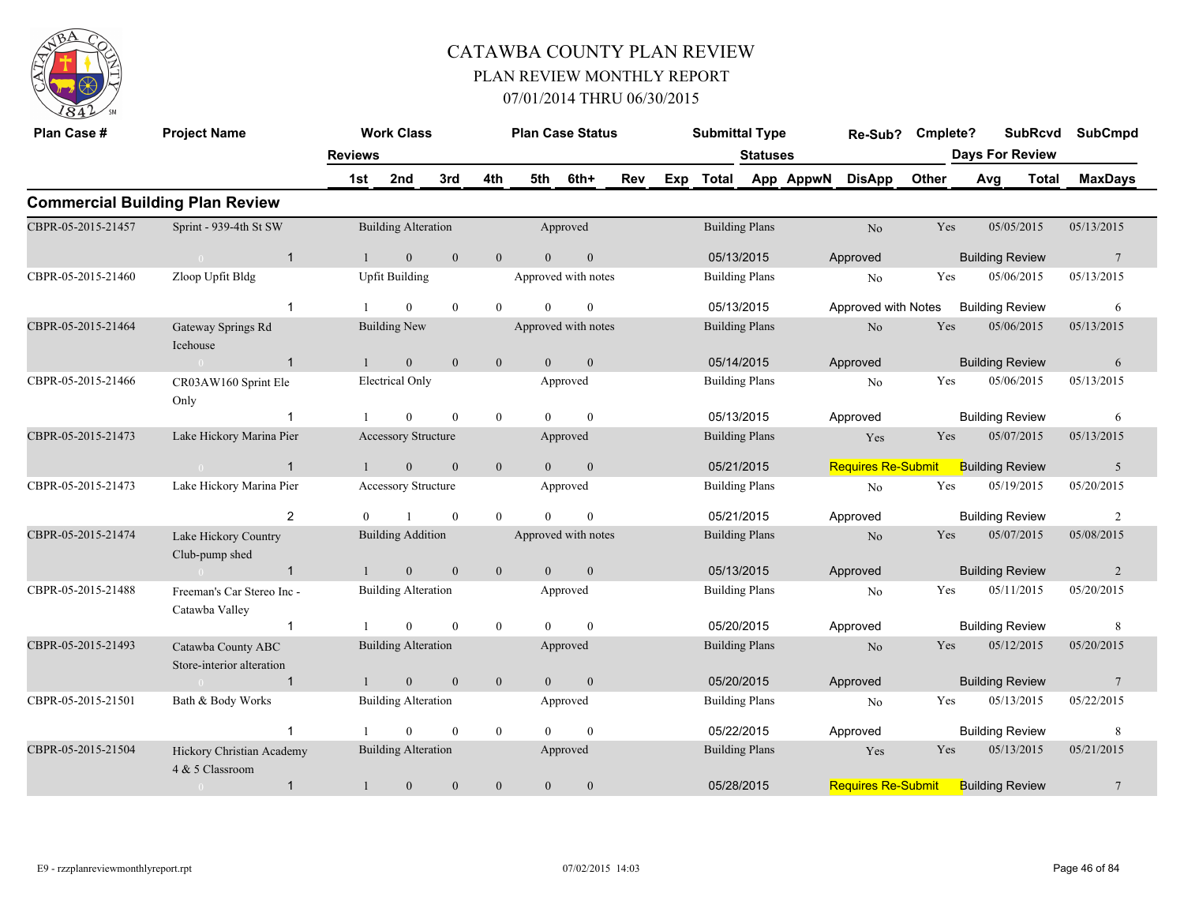

| Plan Case #        | <b>Project Name</b>                             |                | <b>Work Class</b>          |                  |              | <b>Plan Case Status</b> |                  |     | <b>Submittal Type</b> |                 |           | Re-Sub?                   | Cmplete?     |                        |                        | <b>SubRcvd</b> | <b>SubCmpd</b>  |  |
|--------------------|-------------------------------------------------|----------------|----------------------------|------------------|--------------|-------------------------|------------------|-----|-----------------------|-----------------|-----------|---------------------------|--------------|------------------------|------------------------|----------------|-----------------|--|
|                    |                                                 | <b>Reviews</b> |                            |                  |              |                         |                  |     |                       | <b>Statuses</b> |           |                           |              | <b>Days For Review</b> |                        |                |                 |  |
|                    |                                                 | 1st            | 2nd                        | 3rd              | 4th          | 5th                     | 6th+             | Rev | Exp Total             |                 | App AppwN | <b>DisApp</b>             | <b>Other</b> | Avg                    |                        | <b>Total</b>   | <b>MaxDays</b>  |  |
|                    | <b>Commercial Building Plan Review</b>          |                |                            |                  |              |                         |                  |     |                       |                 |           |                           |              |                        |                        |                |                 |  |
| CBPR-05-2015-21457 | Sprint - 939-4th St SW                          |                | <b>Building Alteration</b> |                  |              |                         | Approved         |     | <b>Building Plans</b> |                 |           | No                        | Yes          |                        | 05/05/2015             |                | 05/13/2015      |  |
|                    | $\mathbf{1}$<br>$\sim 0$                        | $\mathbf{1}$   | $\mathbf{0}$               | $\mathbf{0}$     | $\mathbf{0}$ | $\overline{0}$          | $\mathbf{0}$     |     | 05/13/2015            |                 |           | Approved                  |              |                        | <b>Building Review</b> |                | $7\phantom{.0}$ |  |
| CBPR-05-2015-21460 | Zloop Upfit Bldg                                |                | <b>Upfit Building</b>      |                  |              | Approved with notes     |                  |     | <b>Building Plans</b> |                 |           | No                        | Yes          |                        | 05/06/2015             |                | 05/13/2015      |  |
|                    | $\overline{1}$                                  |                | $\theta$                   | $\theta$         | $\theta$     | $\theta$                | $\mathbf{0}$     |     | 05/13/2015            |                 |           | Approved with Notes       |              |                        | <b>Building Review</b> |                | 6               |  |
| CBPR-05-2015-21464 | Gateway Springs Rd<br>Icehouse                  |                | <b>Building New</b>        |                  |              | Approved with notes     |                  |     | <b>Building Plans</b> |                 |           | N <sub>o</sub>            | Yes          |                        | 05/06/2015             |                | 05/13/2015      |  |
|                    | $\sim 0$<br>$\mathbf{1}$                        | $\mathbf{1}$   | $\mathbf{0}$               | $\mathbf{0}$     | $\mathbf{0}$ | $\mathbf{0}$            | $\mathbf{0}$     |     | 05/14/2015            |                 |           | Approved                  |              |                        | <b>Building Review</b> |                | 6               |  |
| CBPR-05-2015-21466 | CR03AW160 Sprint Ele<br>Only                    |                | Electrical Only            |                  |              |                         | Approved         |     | <b>Building Plans</b> |                 |           | No                        | Yes          |                        | 05/06/2015             |                | 05/13/2015      |  |
|                    | 1                                               |                | $\Omega$                   | $\theta$         | $\mathbf{0}$ | $\Omega$                | $\theta$         |     | 05/13/2015            |                 |           | Approved                  |              |                        | <b>Building Review</b> |                | 6               |  |
| CBPR-05-2015-21473 | Lake Hickory Marina Pier                        |                | <b>Accessory Structure</b> |                  |              |                         | Approved         |     | <b>Building Plans</b> |                 |           | Yes                       | Yes          |                        | 05/07/2015             |                | 05/13/2015      |  |
|                    | $\mathbf{1}$                                    |                | $\mathbf{0}$               | $\mathbf{0}$     | $\mathbf{0}$ | $\overline{0}$          | $\mathbf{0}$     |     | 05/21/2015            |                 |           | <b>Requires Re-Submit</b> |              |                        | <b>Building Review</b> |                | 5               |  |
| CBPR-05-2015-21473 | Lake Hickory Marina Pier                        |                | <b>Accessory Structure</b> |                  |              |                         | Approved         |     | <b>Building Plans</b> |                 |           | No                        | Yes          |                        | 05/19/2015             |                | 05/20/2015      |  |
|                    | 2                                               | $\Omega$       |                            | $\theta$         | $\theta$     | $\Omega$                | $\Omega$         |     | 05/21/2015            |                 |           | Approved                  |              |                        | <b>Building Review</b> |                | $\overline{2}$  |  |
| CBPR-05-2015-21474 | Lake Hickory Country<br>Club-pump shed          |                | <b>Building Addition</b>   |                  |              | Approved with notes     |                  |     | <b>Building Plans</b> |                 |           | N <sub>o</sub>            | Yes          |                        | 05/07/2015             |                | 05/08/2015      |  |
|                    | $\mathbf{1}$                                    |                | $\mathbf{0}$               | $\boldsymbol{0}$ | $\mathbf{0}$ | $\overline{0}$          | $\mathbf{0}$     |     | 05/13/2015            |                 |           | Approved                  |              |                        | <b>Building Review</b> |                | $\overline{2}$  |  |
| CBPR-05-2015-21488 | Freeman's Car Stereo Inc -<br>Catawba Valley    |                | <b>Building Alteration</b> |                  |              |                         | Approved         |     | <b>Building Plans</b> |                 |           | No                        | Yes          |                        | 05/11/2015             |                | 05/20/2015      |  |
|                    | $\mathbf{1}$                                    |                | $\theta$                   | $\theta$         | $\mathbf{0}$ | $\theta$                | $\theta$         |     | 05/20/2015            |                 |           | Approved                  |              |                        | <b>Building Review</b> |                | 8               |  |
| CBPR-05-2015-21493 | Catawba County ABC<br>Store-interior alteration |                | <b>Building Alteration</b> |                  |              |                         | Approved         |     | <b>Building Plans</b> |                 |           | N <sub>o</sub>            | Yes          |                        | 05/12/2015             |                | 05/20/2015      |  |
|                    | $\overline{1}$<br>$\sim$ 0 $\sim$               |                | $\mathbf{0}$               | $\mathbf{0}$     | $\mathbf{0}$ | $\overline{0}$          | $\mathbf{0}$     |     | 05/20/2015            |                 |           | Approved                  |              |                        | <b>Building Review</b> |                | $7\phantom{.0}$ |  |
| CBPR-05-2015-21501 | Bath & Body Works                               |                | <b>Building Alteration</b> |                  |              |                         | Approved         |     | <b>Building Plans</b> |                 |           | No                        | Yes          |                        | 05/13/2015             |                | 05/22/2015      |  |
|                    | $\overline{1}$                                  |                | $\Omega$                   | $\mathbf{0}$     | $\mathbf{0}$ | $\Omega$                | $\theta$         |     | 05/22/2015            |                 |           | Approved                  |              |                        | <b>Building Review</b> |                | 8               |  |
| CBPR-05-2015-21504 | Hickory Christian Academy<br>4 & 5 Classroom    |                | <b>Building Alteration</b> |                  |              |                         | Approved         |     | <b>Building Plans</b> |                 |           | Yes                       | Yes          |                        | 05/13/2015             |                | 05/21/2015      |  |
|                    | $\mathbf{1}$<br>$\overline{0}$                  | $\mathbf{1}$   | $\boldsymbol{0}$           | $\mathbf{0}$     | $\mathbf{0}$ | $\mathbf{0}$            | $\boldsymbol{0}$ |     | 05/28/2015            |                 |           | <b>Requires Re-Submit</b> |              |                        | <b>Building Review</b> |                | $7\phantom{.0}$ |  |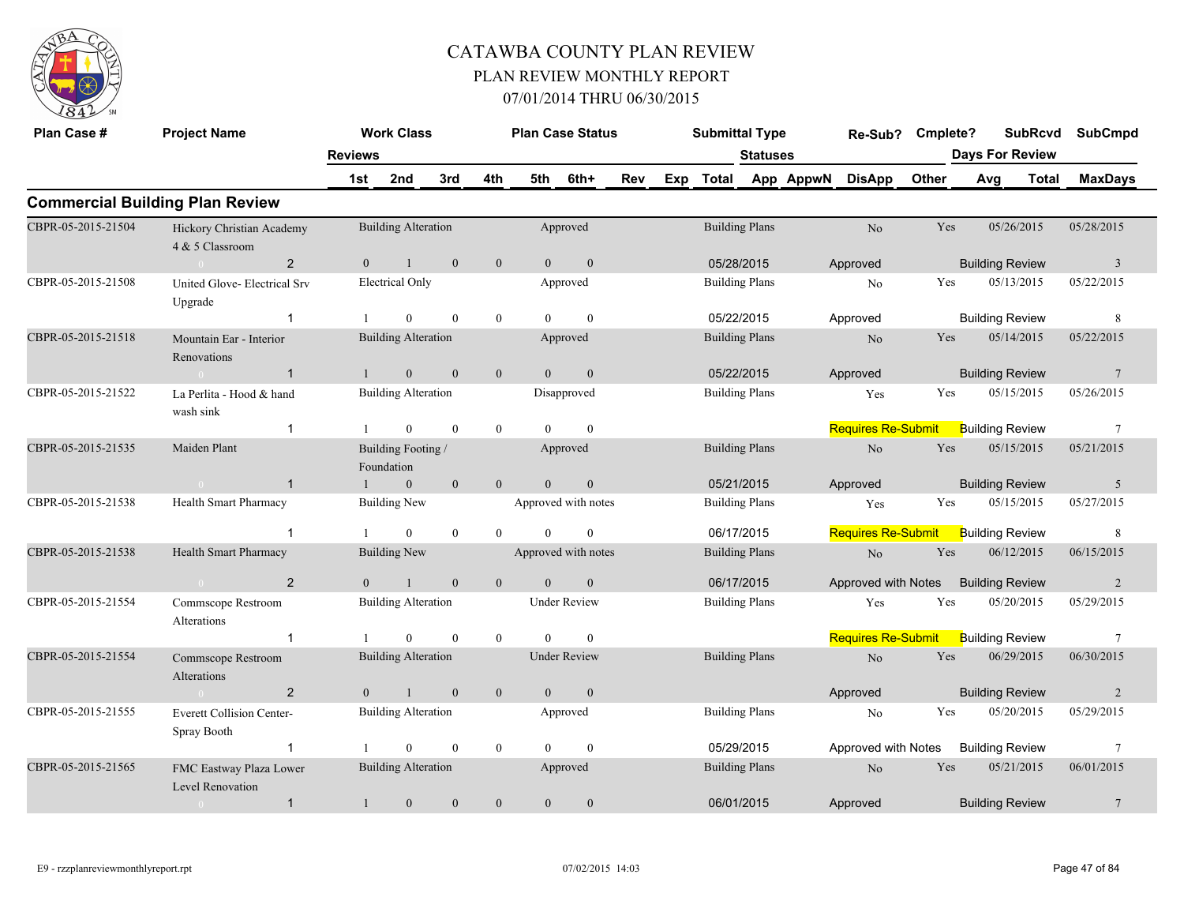

| Plan Case #        | <b>Project Name</b>                             |                | <b>Work Class</b>                |                  |                  |                | <b>Plan Case Status</b> |     |     | <b>Submittal Type</b> |                       |           | Re-Sub?                   | Cmplete? |     | <b>SubRcvd</b>         |              | <b>SubCmpd</b>          |
|--------------------|-------------------------------------------------|----------------|----------------------------------|------------------|------------------|----------------|-------------------------|-----|-----|-----------------------|-----------------------|-----------|---------------------------|----------|-----|------------------------|--------------|-------------------------|
|                    |                                                 | <b>Reviews</b> |                                  |                  |                  |                |                         |     |     |                       | <b>Statuses</b>       |           |                           |          |     | <b>Days For Review</b> |              |                         |
|                    |                                                 | 1st            | 2nd                              | 3rd              | 4th              | 5th            | 6th+                    | Rev | Exp | <b>Total</b>          |                       | App AppwN | <b>DisApp</b>             | Other    | Avg |                        | <b>Total</b> | <b>MaxDays</b>          |
|                    | <b>Commercial Building Plan Review</b>          |                |                                  |                  |                  |                |                         |     |     |                       |                       |           |                           |          |     |                        |              |                         |
| CBPR-05-2015-21504 | Hickory Christian Academy<br>4 & 5 Classroom    |                | <b>Building Alteration</b>       |                  |                  |                | Approved                |     |     |                       | <b>Building Plans</b> |           | $\rm No$                  | Yes      |     | 05/26/2015             |              | 05/28/2015              |
|                    | $\overline{2}$                                  | $\overline{0}$ | $\mathbf{1}$                     | $\overline{0}$   | $\overline{0}$   | $\overline{0}$ | $\overline{0}$          |     |     | 05/28/2015            |                       |           | Approved                  |          |     | <b>Building Review</b> |              | $\overline{\mathbf{3}}$ |
| CBPR-05-2015-21508 | United Glove- Electrical Srv<br>Upgrade         |                | <b>Electrical Only</b>           |                  |                  |                | Approved                |     |     |                       | <b>Building Plans</b> |           | N <sub>0</sub>            | Yes      |     | 05/13/2015             |              | 05/22/2015              |
|                    | $\overline{1}$                                  |                | $\overline{0}$                   | $\mathbf{0}$     | $\boldsymbol{0}$ | $\theta$       | $\mathbf{0}$            |     |     | 05/22/2015            |                       |           | Approved                  |          |     | <b>Building Review</b> |              | 8                       |
| CBPR-05-2015-21518 | Mountain Ear - Interior<br>Renovations          |                | <b>Building Alteration</b>       |                  |                  |                | Approved                |     |     | <b>Building Plans</b> |                       |           | N <sub>o</sub>            | Yes      |     | 05/14/2015             |              | 05/22/2015              |
|                    | $\overline{1}$                                  |                | $\mathbf{0}$                     | $\mathbf{0}$     | $\mathbf{0}$     | $\overline{0}$ | $\mathbf{0}$            |     |     | 05/22/2015            |                       |           | Approved                  |          |     | <b>Building Review</b> |              | $7\phantom{.0}$         |
| CBPR-05-2015-21522 | La Perlita - Hood & hand<br>wash sink           |                | <b>Building Alteration</b>       |                  |                  |                | Disapproved             |     |     |                       | <b>Building Plans</b> |           | Yes                       | Yes      |     | 05/15/2015             |              | 05/26/2015              |
|                    | $\overline{1}$                                  |                | $\mathbf{0}$                     | $\theta$         | $\mathbf{0}$     | $\theta$       | $\theta$                |     |     |                       |                       |           | <b>Requires Re-Submit</b> |          |     | <b>Building Review</b> |              | $7\phantom{.0}$         |
| CBPR-05-2015-21535 | Maiden Plant                                    |                | Building Footing /<br>Foundation |                  |                  |                | Approved                |     |     | <b>Building Plans</b> |                       |           | No                        | Yes      |     | 05/15/2015             |              | 05/21/2015              |
|                    | $\overline{1}$                                  |                | $\mathbf{0}$                     | $\mathbf{0}$     | $\mathbf{0}$     | $\Omega$       | $\mathbf{0}$            |     |     | 05/21/2015            |                       |           | Approved                  |          |     | <b>Building Review</b> |              | 5                       |
| CBPR-05-2015-21538 | Health Smart Pharmacy                           |                | <b>Building New</b>              |                  |                  |                | Approved with notes     |     |     | <b>Building Plans</b> |                       |           | Yes                       | Yes      |     | 05/15/2015             |              | 05/27/2015              |
|                    | -1                                              |                | $\theta$                         | $\mathbf{0}$     | $\theta$         | $\theta$       | $\mathbf{0}$            |     |     | 06/17/2015            |                       |           | <b>Requires Re-Submit</b> |          |     | <b>Building Review</b> |              | 8                       |
| CBPR-05-2015-21538 | Health Smart Pharmacy                           |                | <b>Building New</b>              |                  |                  |                | Approved with notes     |     |     |                       | <b>Building Plans</b> |           | No                        | Yes      |     | 06/12/2015             |              | 06/15/2015              |
|                    | $\overline{2}$<br>$\sim 0$ and $\sim 0.00$      | $\Omega$       | $\mathbf{1}$                     | $\mathbf{0}$     | $\mathbf{0}$     | $\theta$       | $\mathbf{0}$            |     |     | 06/17/2015            |                       |           | Approved with Notes       |          |     | <b>Building Review</b> |              | 2                       |
| CBPR-05-2015-21554 | Commscope Restroom<br>Alterations               |                | <b>Building Alteration</b>       |                  |                  |                | <b>Under Review</b>     |     |     | <b>Building Plans</b> |                       |           | Yes                       | Yes      |     | 05/20/2015             |              | 05/29/2015              |
|                    | $\overline{1}$                                  |                | $\Omega$                         | $\mathbf{0}$     | $\theta$         | $\Omega$       | $\theta$                |     |     |                       |                       |           | <b>Requires Re-Submit</b> |          |     | <b>Building Review</b> |              | $7\phantom{.0}$         |
| CBPR-05-2015-21554 | Commscope Restroom<br>Alterations               |                | <b>Building Alteration</b>       |                  |                  |                | <b>Under Review</b>     |     |     | <b>Building Plans</b> |                       |           | No                        | Yes      |     | 06/29/2015             |              | 06/30/2015              |
|                    | $\overline{2}$<br>$\sim 0$                      | $\theta$       | $\overline{1}$                   | $\mathbf{0}$     | $\mathbf{0}$     | $\overline{0}$ | $\mathbf{0}$            |     |     |                       |                       |           | Approved                  |          |     | <b>Building Review</b> |              | 2                       |
| CBPR-05-2015-21555 | <b>Everett Collision Center-</b><br>Spray Booth |                | <b>Building Alteration</b>       |                  |                  |                | Approved                |     |     | <b>Building Plans</b> |                       |           | N <sub>0</sub>            | Yes      |     | 05/20/2015             |              | 05/29/2015              |
|                    | $\overline{1}$                                  |                | $\mathbf{0}$                     | $\boldsymbol{0}$ | $\mathbf{0}$     | $\theta$       | $\mathbf{0}$            |     |     | 05/29/2015            |                       |           | Approved with Notes       |          |     | <b>Building Review</b> |              | $7\phantom{.0}$         |
| CBPR-05-2015-21565 | FMC Eastway Plaza Lower<br>Level Renovation     |                | <b>Building Alteration</b>       |                  |                  |                | Approved                |     |     |                       | <b>Building Plans</b> |           | N <sub>o</sub>            | Yes      |     | 05/21/2015             |              | 06/01/2015              |
|                    | $\overline{1}$<br>$\overline{0}$                | $\mathbf{1}$   | $\mathbf{0}$                     | $\mathbf{0}$     | $\mathbf{0}$     | $\theta$       | $\theta$                |     |     | 06/01/2015            |                       |           | Approved                  |          |     | <b>Building Review</b> |              | $7\phantom{.0}$         |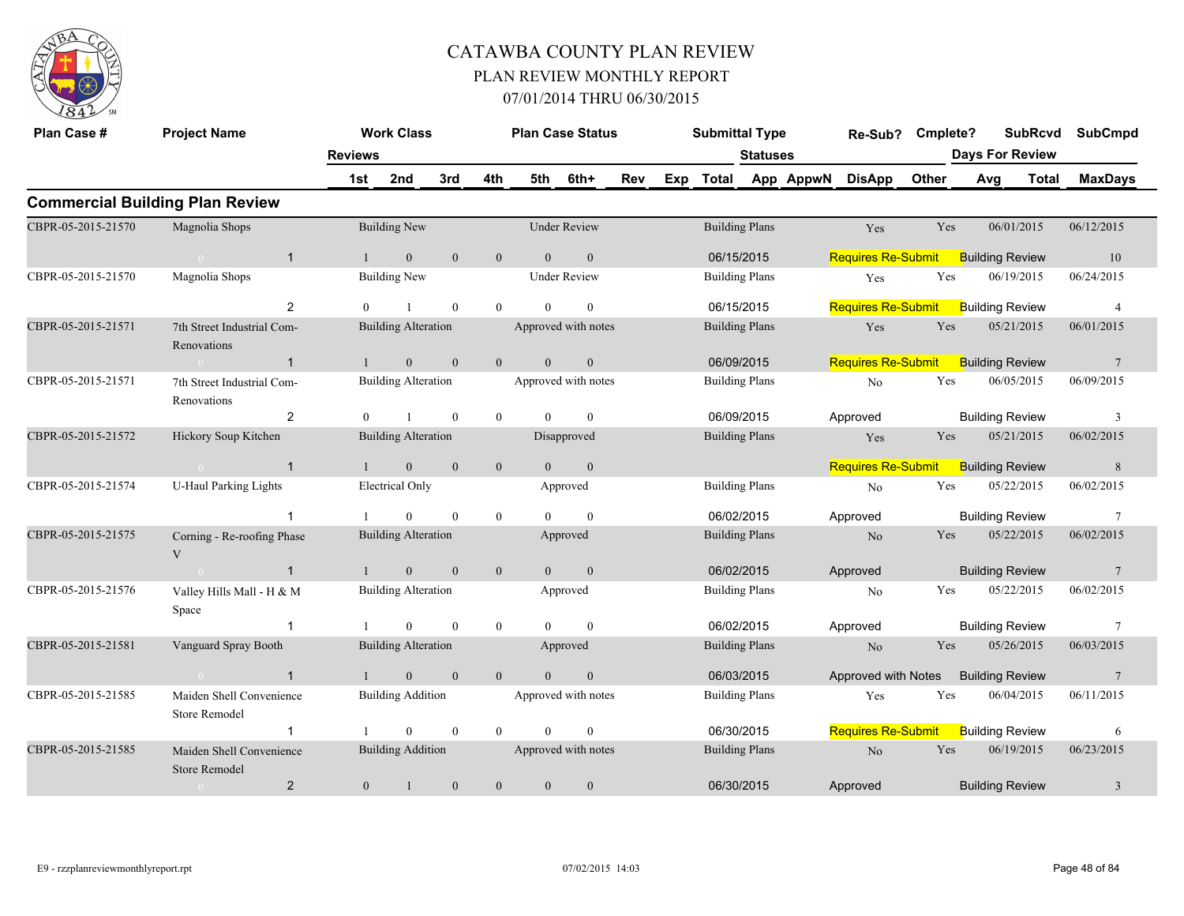

| Plan Case #        | <b>Project Name</b>                              |                                                 | <b>Work Class</b>          |                  |                  |                | <b>Plan Case Status</b>                                                                                                         |     |  | <b>Submittal Type</b> |                       |           | Re-Sub?                   | Cmplete? |            | <b>SubRcvd</b>         | <b>SubCmpd</b>  |
|--------------------|--------------------------------------------------|-------------------------------------------------|----------------------------|------------------|------------------|----------------|---------------------------------------------------------------------------------------------------------------------------------|-----|--|-----------------------|-----------------------|-----------|---------------------------|----------|------------|------------------------|-----------------|
|                    |                                                  | <b>Reviews</b>                                  |                            |                  |                  |                |                                                                                                                                 |     |  |                       | <b>Statuses</b>       |           |                           |          |            | <b>Days For Review</b> |                 |
|                    |                                                  | 1st                                             | 2nd                        | 3rd              | 4th              | 5th            | 6th+                                                                                                                            | Rev |  | Exp Total             |                       | App AppwN | <b>DisApp</b>             | Other    | Avg        | <b>Total</b>           | <b>MaxDays</b>  |
|                    | <b>Commercial Building Plan Review</b>           |                                                 |                            |                  |                  |                |                                                                                                                                 |     |  |                       |                       |           |                           |          |            |                        |                 |
| CBPR-05-2015-21570 | Magnolia Shops                                   |                                                 | <b>Building New</b>        |                  |                  |                | <b>Under Review</b>                                                                                                             |     |  |                       | <b>Building Plans</b> |           | Yes                       | Yes      |            | 06/01/2015             | 06/12/2015      |
|                    | $\mathbf{1}$<br>$\sim$ 0                         |                                                 | $\overline{0}$             | $\mathbf{0}$     | $\mathbf{0}$     | $\overline{0}$ | $\mathbf{0}$                                                                                                                    |     |  |                       | 06/15/2015            |           | <b>Requires Re-Submit</b> |          |            | <b>Building Review</b> | 10              |
| CBPR-05-2015-21570 | Magnolia Shops                                   |                                                 | <b>Building New</b>        |                  |                  |                | <b>Under Review</b>                                                                                                             |     |  |                       | <b>Building Plans</b> |           | Yes                       | Yes      |            | 06/19/2015             | 06/24/2015      |
|                    | $\overline{2}$                                   | $\theta$                                        |                            | $\theta$         | $\Omega$         | $\theta$       | $\mathbf{0}$                                                                                                                    |     |  |                       | 06/15/2015            |           | <b>Requires Re-Submit</b> |          |            | <b>Building Review</b> | $\overline{4}$  |
| CBPR-05-2015-21571 | 7th Street Industrial Com-<br>Renovations        |                                                 | <b>Building Alteration</b> |                  |                  |                | Approved with notes                                                                                                             |     |  |                       |                       |           | Yes                       | Yes      |            | 05/21/2015             | 06/01/2015      |
|                    | $\mathbf{1}$<br>$\sim 0$                         | $\mathbf{1}$                                    | $\mathbf{0}$               | $\boldsymbol{0}$ | $\mathbf{0}$     | $\overline{0}$ | $\mathbf{0}$                                                                                                                    |     |  |                       |                       |           | <b>Requires Re-Submit</b> |          |            | <b>Building Review</b> | $7\phantom{.0}$ |
| CBPR-05-2015-21571 | 7th Street Industrial Com-<br>Renovations        |                                                 | <b>Building Alteration</b> |                  |                  |                | <b>Building Plans</b><br>06/09/2015<br>Approved with notes<br><b>Building Plans</b><br>06/09/2015<br>$\theta$<br>$\overline{0}$ |     |  |                       |                       |           | No                        | Yes      |            | 06/05/2015             | 06/09/2015      |
|                    | 2                                                | $\theta$                                        | $\mathbf{1}$               | $\mathbf{0}$     | $\mathbf{0}$     |                |                                                                                                                                 |     |  |                       |                       |           | Approved                  |          |            | <b>Building Review</b> | 3               |
| CBPR-05-2015-21572 | Hickory Soup Kitchen                             |                                                 | <b>Building Alteration</b> |                  |                  |                | Disapproved                                                                                                                     |     |  |                       | <b>Building Plans</b> |           | Yes                       | Yes      |            | 05/21/2015             | 06/02/2015      |
|                    | $\mathbf{1}$                                     | $\mathbf{1}$                                    | $\mathbf{0}$               | $\mathbf{0}$     | $\mathbf{0}$     | $\theta$       | $\overline{0}$                                                                                                                  |     |  |                       |                       |           | <b>Requires Re-Submit</b> |          |            | <b>Building Review</b> | 8               |
| CBPR-05-2015-21574 | <b>U-Haul Parking Lights</b>                     |                                                 | Electrical Only            |                  |                  |                | Approved                                                                                                                        |     |  |                       | <b>Building Plans</b> |           | No                        | Yes      |            | 05/22/2015             | 06/02/2015      |
|                    |                                                  |                                                 | $\mathbf{0}$               | $\mathbf{0}$     | $\boldsymbol{0}$ | $\theta$       | $\mathbf{0}$                                                                                                                    |     |  |                       | 06/02/2015            |           | Approved                  |          |            | <b>Building Review</b> | 7               |
| CBPR-05-2015-21575 | Corning - Re-roofing Phase<br>$\mathbf{V}$       |                                                 | <b>Building Alteration</b> |                  |                  |                | Approved                                                                                                                        |     |  |                       | <b>Building Plans</b> |           | N <sub>o</sub>            | Yes      |            | 05/22/2015             | 06/02/2015      |
|                    | $\overline{1}$                                   | $\mathbf{1}$                                    | $\mathbf{0}$               | $\theta$         | $\mathbf{0}$     | $\theta$       | $\mathbf{0}$                                                                                                                    |     |  |                       | 06/02/2015            |           | Approved                  |          |            | <b>Building Review</b> | $7\phantom{.0}$ |
| CBPR-05-2015-21576 | Valley Hills Mall - H & M<br>Space               |                                                 | <b>Building Alteration</b> |                  |                  |                | Approved                                                                                                                        |     |  |                       | <b>Building Plans</b> |           | N <sub>o</sub>            | Yes      |            | 05/22/2015             | 06/02/2015      |
|                    | $\mathbf{1}$                                     |                                                 | $\theta$                   | $\mathbf{0}$     | $\mathbf{0}$     | $\theta$       | $\theta$                                                                                                                        |     |  |                       | 06/02/2015            |           | Approved                  |          |            | <b>Building Review</b> | $7\phantom{.0}$ |
| CBPR-05-2015-21581 | Vanguard Spray Booth                             |                                                 | <b>Building Alteration</b> |                  |                  |                | Approved                                                                                                                        |     |  |                       | <b>Building Plans</b> |           | N <sub>o</sub>            | Yes      |            | 05/26/2015             | 06/03/2015      |
|                    | $\overline{1}$                                   |                                                 | $\mathbf{0}$               | $\mathbf{0}$     | $\overline{0}$   | $\theta$       | $\mathbf{0}$                                                                                                                    |     |  |                       | 06/03/2015            |           | Approved with Notes       |          |            | <b>Building Review</b> | $7\phantom{.0}$ |
| CBPR-05-2015-21585 | Maiden Shell Convenience<br>Store Remodel        |                                                 | <b>Building Addition</b>   |                  |                  |                | Approved with notes                                                                                                             |     |  |                       | <b>Building Plans</b> |           | Yes                       | Yes      |            | 06/04/2015             | 06/11/2015      |
|                    | $\mathbf{1}$                                     |                                                 | $\theta$                   | $\mathbf{0}$     | $\mathbf{0}$     | $\theta$       | $\theta$                                                                                                                        |     |  |                       | 06/30/2015            |           | <b>Requires Re-Submit</b> |          |            | <b>Building Review</b> | 6               |
| CBPR-05-2015-21585 | Maiden Shell Convenience<br><b>Store Remodel</b> | Approved with notes<br><b>Building Addition</b> |                            |                  |                  |                |                                                                                                                                 |     |  | <b>Building Plans</b> |                       | $\rm No$  | Yes                       |          | 06/19/2015 | 06/23/2015             |                 |
|                    | $\overline{2}$<br>$\overline{0}$                 | $\mathbf{0}$                                    |                            | $\boldsymbol{0}$ | $\boldsymbol{0}$ | $\mathbf{0}$   | $\boldsymbol{0}$                                                                                                                |     |  | 06/30/2015            |                       |           | Approved                  |          |            | <b>Building Review</b> | 3               |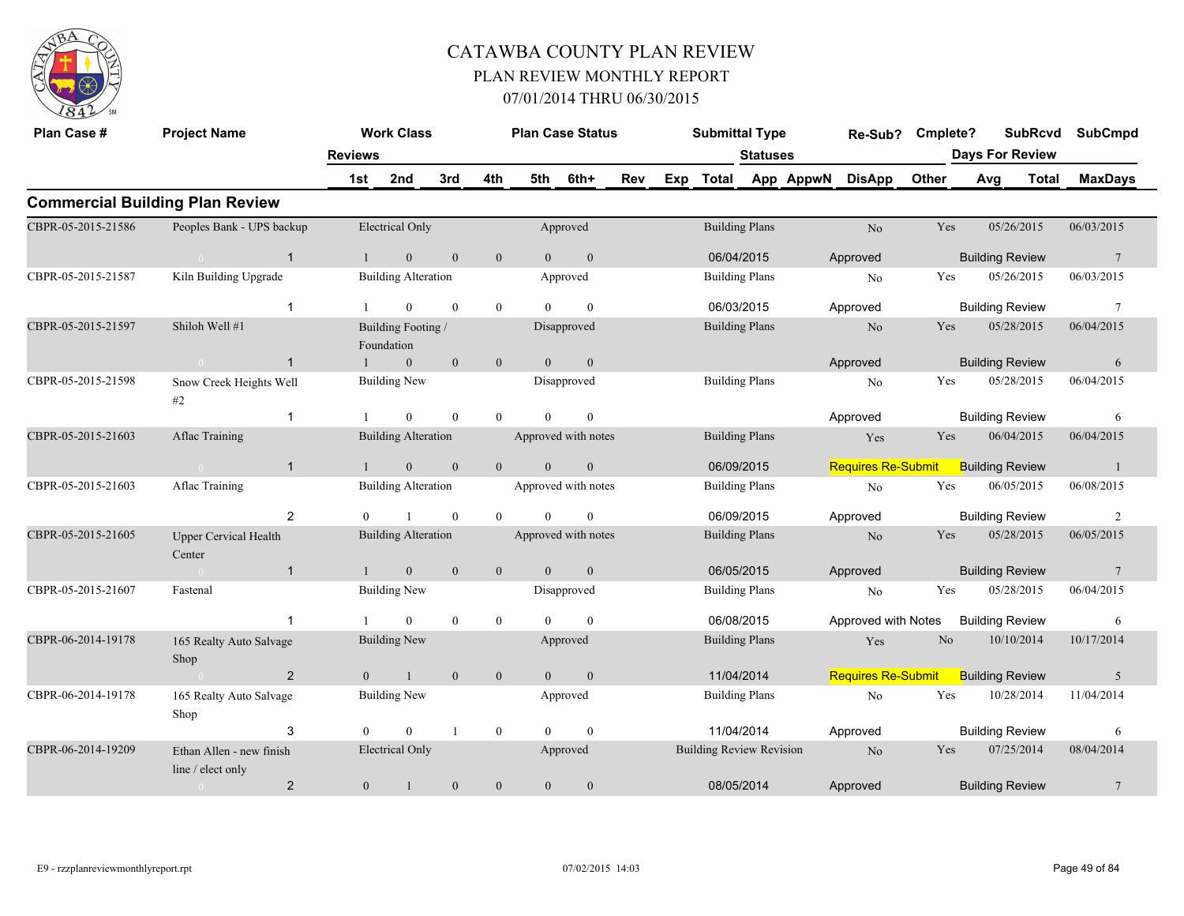

| Plan Case #        | <b>Project Name</b>                           |                | <b>Work Class</b>                |                  |                  | <b>Plan Case Status</b> |                  |     |     | <b>Submittal Type</b>           |                 |           | Re-Sub?                   | Cmplete?       |                        | <b>SubRcvd</b>         | <b>SubCmpd</b>  |
|--------------------|-----------------------------------------------|----------------|----------------------------------|------------------|------------------|-------------------------|------------------|-----|-----|---------------------------------|-----------------|-----------|---------------------------|----------------|------------------------|------------------------|-----------------|
|                    |                                               | <b>Reviews</b> |                                  |                  |                  |                         |                  |     |     |                                 | <b>Statuses</b> |           |                           |                |                        | <b>Days For Review</b> |                 |
|                    |                                               | 1st            | 2nd                              | 3rd              | 4th              | 5th                     | 6th+             | Rev | Exp | Total                           |                 | App AppwN | <b>DisApp</b>             | Other          | Avg                    | <b>Total</b>           | <b>MaxDays</b>  |
|                    | <b>Commercial Building Plan Review</b>        |                |                                  |                  |                  |                         |                  |     |     |                                 |                 |           |                           |                |                        |                        |                 |
| CBPR-05-2015-21586 | Peoples Bank - UPS backup                     |                | <b>Electrical Only</b>           |                  |                  |                         | Approved         |     |     | <b>Building Plans</b>           |                 |           | No                        | Yes            |                        | 05/26/2015             | 06/03/2015      |
|                    | $\mathbf{1}$<br>$\overline{0}$                |                | $\mathbf{0}$                     | $\mathbf{0}$     | $\mathbf{0}$     | $\overline{0}$          | $\boldsymbol{0}$ |     |     | 06/04/2015                      |                 |           | Approved                  |                | <b>Building Review</b> |                        | $7\phantom{.0}$ |
| CBPR-05-2015-21587 | Kiln Building Upgrade                         |                | <b>Building Alteration</b>       |                  |                  |                         | Approved         |     |     | <b>Building Plans</b>           |                 |           | No                        | Yes            |                        | 05/26/2015             | 06/03/2015      |
|                    |                                               |                | $\overline{0}$                   | $\mathbf{0}$     | $\mathbf{0}$     | $\Omega$                | $\mathbf{0}$     |     |     | 06/03/2015                      |                 |           | Approved                  |                | <b>Building Review</b> |                        | $7\phantom{.0}$ |
| CBPR-05-2015-21597 | Shiloh Well #1                                |                | Building Footing /<br>Foundation |                  |                  |                         | Disapproved      |     |     | <b>Building Plans</b>           |                 |           | N <sub>o</sub>            | Yes            |                        | 05/28/2015             | 06/04/2015      |
|                    | $\overline{1}$<br>$\overline{0}$              |                | $\mathbf{0}$                     | $\mathbf{0}$     | $\mathbf{0}$     | $\theta$                | $\mathbf{0}$     |     |     |                                 |                 |           | Approved                  |                | <b>Building Review</b> |                        | 6               |
| CBPR-05-2015-21598 | Snow Creek Heights Well<br>#2                 |                | Building New                     |                  |                  |                         | Disapproved      |     |     | <b>Building Plans</b>           |                 |           | No                        | Yes            |                        | 05/28/2015             | 06/04/2015      |
|                    | $\mathbf 1$                                   |                | $\overline{0}$                   | $\mathbf{0}$     | $\mathbf{0}$     | $\theta$                | $\boldsymbol{0}$ |     |     |                                 |                 |           | Approved                  |                | <b>Building Review</b> |                        | 6               |
| CBPR-05-2015-21603 | Aflac Training                                |                | <b>Building Alteration</b>       |                  |                  | Approved with notes     |                  |     |     | <b>Building Plans</b>           |                 |           | Yes                       | Yes            |                        | 06/04/2015             | 06/04/2015      |
|                    | $\overline{1}$<br>$\theta$                    |                | $\mathbf{0}$                     | $\mathbf{0}$     | $\mathbf{0}$     | $\Omega$                | $\boldsymbol{0}$ |     |     | 06/09/2015                      |                 |           | <b>Requires Re-Submit</b> |                | <b>Building Review</b> |                        | $\overline{1}$  |
| CBPR-05-2015-21603 | Aflac Training                                |                | <b>Building Alteration</b>       |                  |                  | Approved with notes     |                  |     |     | <b>Building Plans</b>           |                 |           | N <sub>o</sub>            | Yes            |                        | 06/05/2015             | 06/08/2015      |
|                    | 2                                             |                |                                  | $\theta$         | $\theta$         |                         | $\Omega$         |     |     | 06/09/2015                      |                 |           | Approved                  |                | <b>Building Review</b> |                        | 2               |
| CBPR-05-2015-21605 | <b>Upper Cervical Health</b><br>Center        |                | <b>Building Alteration</b>       |                  |                  | Approved with notes     |                  |     |     | <b>Building Plans</b>           |                 |           | N <sub>o</sub>            | Yes            |                        | 05/28/2015             | 06/05/2015      |
|                    | $\mathbf{1}$<br>$\sim 0$                      |                | $\overline{0}$                   | $\mathbf{0}$     | $\mathbf{0}$     | $\theta$                | $\mathbf{0}$     |     |     | 06/05/2015                      |                 |           | Approved                  |                | <b>Building Review</b> |                        | $7\phantom{.0}$ |
| CBPR-05-2015-21607 | Fastenal                                      |                | <b>Building New</b>              |                  |                  |                         | Disapproved      |     |     | <b>Building Plans</b>           |                 |           | N <sub>o</sub>            | Yes            |                        | 05/28/2015             | 06/04/2015      |
|                    | $\overline{1}$                                |                | $\overline{0}$                   | $\mathbf{0}$     | $\mathbf{0}$     | $\Omega$                | $\theta$         |     |     | 06/08/2015                      |                 |           | Approved with Notes       |                | <b>Building Review</b> |                        | 6               |
| CBPR-06-2014-19178 | 165 Realty Auto Salvage<br>Shop               |                | <b>Building New</b>              |                  |                  |                         | Approved         |     |     | <b>Building Plans</b>           |                 |           | Yes                       | N <sub>o</sub> |                        | 10/10/2014             | 10/17/2014      |
|                    | $\overline{2}$<br>$\overline{0}$              | $\overline{0}$ |                                  | $\mathbf{0}$     | $\mathbf{0}$     | $\overline{0}$          | $\mathbf{0}$     |     |     | 11/04/2014                      |                 |           | <b>Requires Re-Submit</b> |                | <b>Building Review</b> |                        | 5               |
| CBPR-06-2014-19178 | 165 Realty Auto Salvage<br>Shop               |                | <b>Building New</b>              |                  |                  |                         | Approved         |     |     | <b>Building Plans</b>           |                 |           | N <sub>o</sub>            | Yes            |                        | 10/28/2014             | 11/04/2014      |
|                    | 3                                             | $\Omega$       | $\theta$                         |                  | $\boldsymbol{0}$ | $\Omega$                | $\theta$         |     |     | 11/04/2014                      |                 |           | Approved                  |                | <b>Building Review</b> |                        | 6               |
| CBPR-06-2014-19209 | Ethan Allen - new finish<br>line / elect only |                | <b>Electrical Only</b>           |                  |                  |                         | Approved         |     |     | <b>Building Review Revision</b> |                 |           | N <sub>o</sub>            | Yes            |                        | 07/25/2014             | 08/04/2014      |
|                    | $\overline{2}$<br>$\overline{0}$              | $\mathbf{0}$   |                                  | $\boldsymbol{0}$ | $\boldsymbol{0}$ | $\mathbf{0}$            | $\mathbf{0}$     |     |     | 08/05/2014                      |                 |           | Approved                  |                | <b>Building Review</b> |                        | $\overline{7}$  |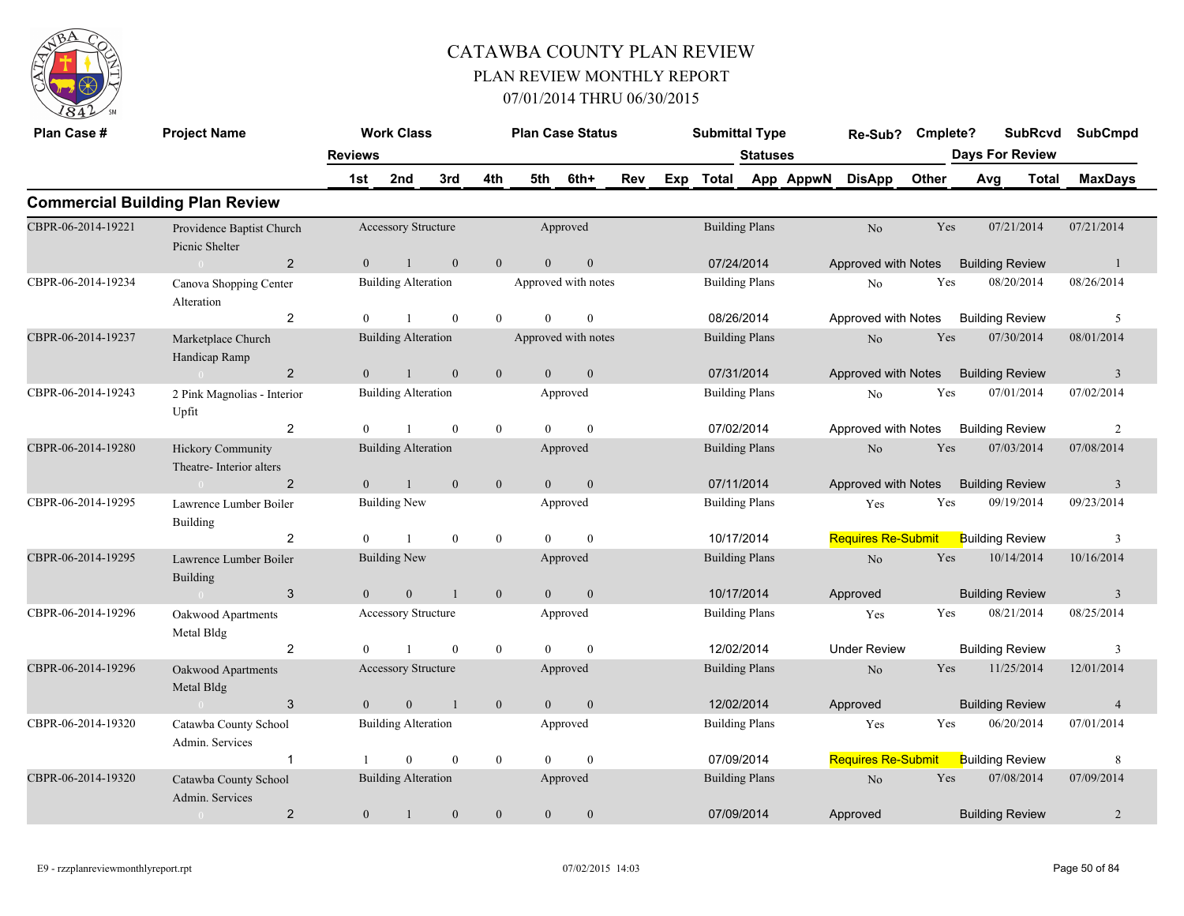

| Plan Case #        | <b>Project Name</b>                                 |                | <b>Work Class</b>          |                |                | <b>Plan Case Status</b> |                  |     |     | <b>Submittal Type</b> |                       |           | Re-Sub?                   | Cmplete? |                        | <b>SubRcvd</b>         | <b>SubCmpd</b>          |
|--------------------|-----------------------------------------------------|----------------|----------------------------|----------------|----------------|-------------------------|------------------|-----|-----|-----------------------|-----------------------|-----------|---------------------------|----------|------------------------|------------------------|-------------------------|
|                    |                                                     | <b>Reviews</b> |                            |                |                |                         |                  |     |     |                       | <b>Statuses</b>       |           |                           |          |                        | <b>Days For Review</b> |                         |
|                    |                                                     | 1st            | 2nd                        | 3rd            | 4th            | 5th                     | 6th+             | Rev | Exp | <b>Total</b>          |                       | App AppwN | <b>DisApp</b>             | Other    | Avg                    | <b>Total</b>           | <b>MaxDays</b>          |
|                    | <b>Commercial Building Plan Review</b>              |                |                            |                |                |                         |                  |     |     |                       |                       |           |                           |          |                        |                        |                         |
| CBPR-06-2014-19221 | Providence Baptist Church<br>Picnic Shelter         |                | Accessory Structure        |                |                |                         | Approved         |     |     | <b>Building Plans</b> |                       |           | N <sub>o</sub>            | Yes      |                        | 07/21/2014             | 07/21/2014              |
|                    | $\overline{2}$                                      | $\overline{0}$ | $\mathbf{1}$               | $\mathbf{0}$   | $\overline{0}$ | $\overline{0}$          | $\boldsymbol{0}$ |     |     | 07/24/2014            |                       |           | Approved with Notes       |          | <b>Building Review</b> |                        | -1                      |
| CBPR-06-2014-19234 | Canova Shopping Center<br>Alteration                |                | <b>Building Alteration</b> |                |                | Approved with notes     |                  |     |     | <b>Building Plans</b> |                       |           | N <sub>0</sub>            | Yes      |                        | 08/20/2014             | 08/26/2014              |
|                    | 2                                                   | $\Omega$       |                            | $\theta$       | $\theta$       | $\theta$                | $\mathbf{0}$     |     |     | 08/26/2014            |                       |           | Approved with Notes       |          | <b>Building Review</b> |                        | 5                       |
| CBPR-06-2014-19237 | Marketplace Church<br>Handicap Ramp                 |                | <b>Building Alteration</b> |                |                | Approved with notes     |                  |     |     | <b>Building Plans</b> |                       |           | No                        | Yes      |                        | 07/30/2014             | 08/01/2014              |
|                    | $\overline{2}$<br>$\sim 0$                          | $\Omega$       | $\overline{1}$             | $\mathbf{0}$   | $\mathbf{0}$   | $\overline{0}$          | $\mathbf{0}$     |     |     | 07/31/2014            |                       |           | Approved with Notes       |          | <b>Building Review</b> |                        | $\overline{3}$          |
| CBPR-06-2014-19243 | 2 Pink Magnolias - Interior<br>Upfit                |                | <b>Building Alteration</b> |                |                |                         | Approved         |     |     |                       | <b>Building Plans</b> |           | No                        | Yes      |                        | 07/01/2014             | 07/02/2014              |
|                    | 2                                                   | $\theta$       | $\overline{1}$             | $\theta$       | $\mathbf{0}$   | $\Omega$                | $\mathbf{0}$     |     |     | 07/02/2014            |                       |           | Approved with Notes       |          | <b>Building Review</b> |                        | $\overline{2}$          |
| CBPR-06-2014-19280 | <b>Hickory Community</b><br>Theatre-Interior alters |                | <b>Building Alteration</b> |                |                |                         | Approved         |     |     | <b>Building Plans</b> |                       |           | No                        | Yes      |                        | 07/03/2014             | 07/08/2014              |
|                    | $\overline{2}$<br>$\sim 0$                          | $\overline{0}$ | $\mathbf{1}$               | $\mathbf{0}$   | $\mathbf{0}$   | $\overline{0}$          | $\boldsymbol{0}$ |     |     | 07/11/2014            |                       |           | Approved with Notes       |          | <b>Building Review</b> |                        | $\overline{\mathbf{3}}$ |
| CBPR-06-2014-19295 | Lawrence Lumber Boiler<br>Building                  |                | <b>Building New</b>        |                |                |                         | Approved         |     |     | <b>Building Plans</b> |                       |           | Yes                       | Yes      |                        | 09/19/2014             | 09/23/2014              |
|                    | $\overline{2}$                                      | $\Omega$       |                            | $\theta$       | $\overline{0}$ | $\theta$                | $\mathbf{0}$     |     |     |                       | 10/17/2014            |           | <b>Requires Re-Submit</b> |          | <b>Building Review</b> |                        | 3                       |
| CBPR-06-2014-19295 | Lawrence Lumber Boiler<br><b>Building</b>           |                | <b>Building New</b>        |                |                |                         | Approved         |     |     | <b>Building Plans</b> |                       |           | No                        | Yes      |                        | 10/14/2014             | 10/16/2014              |
|                    | 3<br>$\sim 0$                                       | $\theta$       | $\overline{0}$             | $\overline{1}$ | $\mathbf{0}$   | $\overline{0}$          | $\mathbf{0}$     |     |     |                       | 10/17/2014            |           | Approved                  |          | <b>Building Review</b> |                        | $\overline{3}$          |
| CBPR-06-2014-19296 | Oakwood Apartments<br>Metal Bldg                    |                | Accessory Structure        |                |                |                         | Approved         |     |     |                       | <b>Building Plans</b> |           | Yes                       | Yes      |                        | 08/21/2014             | 08/25/2014              |
|                    | $\overline{2}$                                      | $\Omega$       |                            | $\theta$       | $\mathbf{0}$   | $\theta$                | $\theta$         |     |     | 12/02/2014            |                       |           | <b>Under Review</b>       |          | <b>Building Review</b> |                        | 3                       |
| CBPR-06-2014-19296 | Oakwood Apartments<br>Metal Bldg                    |                | <b>Accessory Structure</b> |                |                |                         | Approved         |     |     | <b>Building Plans</b> |                       |           | No                        | Yes      |                        | 11/25/2014             | 12/01/2014              |
|                    | $\mathbf{3}$<br>$\sim 0$                            | $\overline{0}$ | $\mathbf{0}$               | $\overline{1}$ | $\mathbf{0}$   | $\overline{0}$          | $\boldsymbol{0}$ |     |     |                       | 12/02/2014            |           | Approved                  |          | <b>Building Review</b> |                        | $\overline{4}$          |
| CBPR-06-2014-19320 | Catawba County School<br>Admin. Services            |                | <b>Building Alteration</b> |                |                |                         | Approved         |     |     |                       | <b>Building Plans</b> |           | Yes                       | Yes      |                        | 06/20/2014             | 07/01/2014              |
|                    | $\mathbf{1}$                                        |                | $\theta$                   | $\theta$       | $\mathbf{0}$   | $\Omega$                | $\theta$         |     |     | 07/09/2014            |                       |           | <b>Requires Re-Submit</b> |          | <b>Building Review</b> |                        | 8                       |
| CBPR-06-2014-19320 | Catawba County School<br>Admin. Services            |                | <b>Building Alteration</b> |                |                |                         | Approved         |     |     | <b>Building Plans</b> |                       |           | No                        | Yes      |                        | 07/08/2014             | 07/09/2014              |
|                    | $\overline{2}$<br>$\overline{0}$                    | $\mathbf{0}$   | $\overline{1}$             | $\mathbf{0}$   | $\mathbf{0}$   | $\overline{0}$          | $\mathbf{0}$     |     |     | 07/09/2014            |                       |           | Approved                  |          | <b>Building Review</b> |                        | $\overline{2}$          |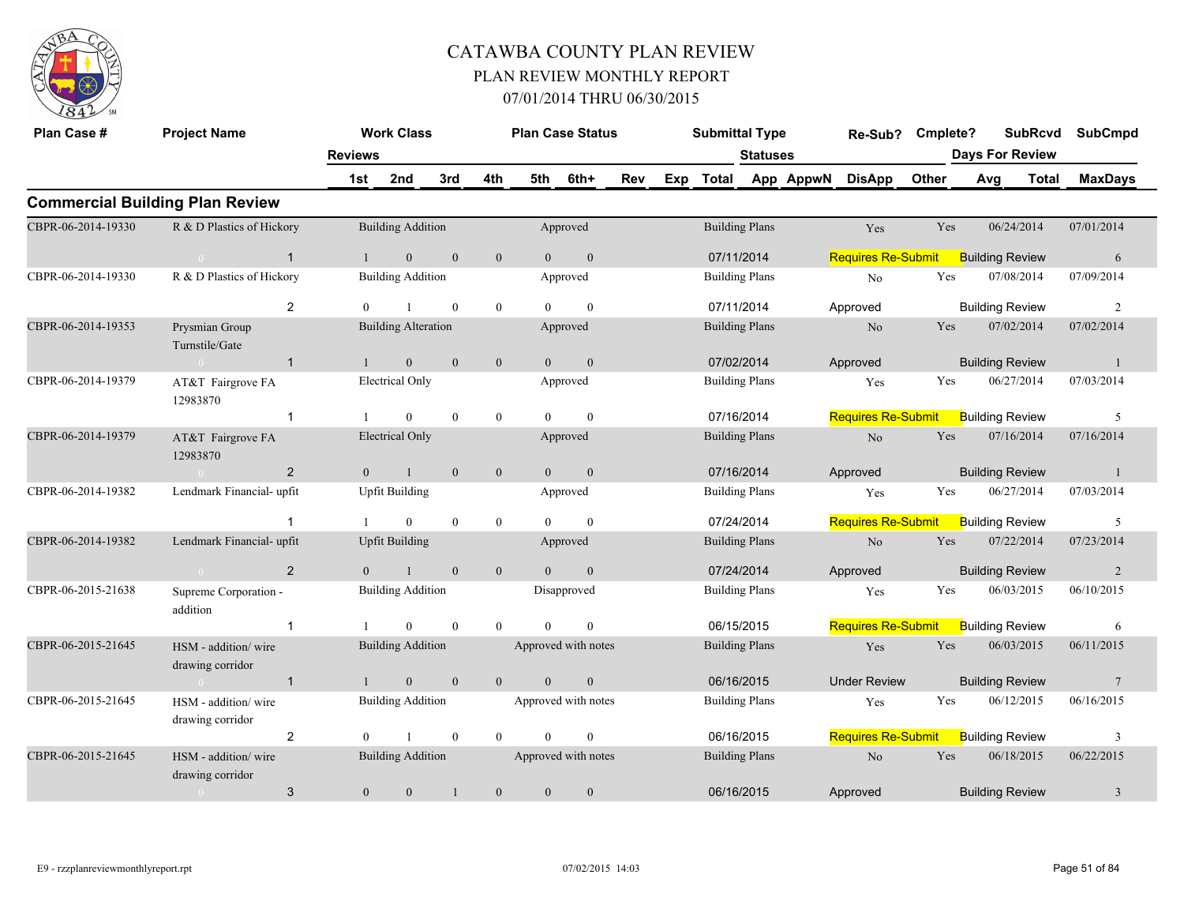

| Plan Case #        | <b>Project Name</b>                     | <b>Reviews</b> | <b>Work Class</b>          |              |                |                | <b>Plan Case Status</b> |     |     | <b>Submittal Type</b> | <b>Statuses</b>       |           | Re-Sub?                   | Cmplete? |     | <b>SubRcvd</b><br><b>Days For Review</b> | <b>SubCmpd</b>  |
|--------------------|-----------------------------------------|----------------|----------------------------|--------------|----------------|----------------|-------------------------|-----|-----|-----------------------|-----------------------|-----------|---------------------------|----------|-----|------------------------------------------|-----------------|
|                    |                                         | 1st            | 2nd                        | 3rd          | 4th            | 5th            | 6th+                    | Rev | Exp | <b>Total</b>          |                       | App AppwN | <b>DisApp</b>             | Other    | Avg | Total                                    | <b>MaxDays</b>  |
|                    | <b>Commercial Building Plan Review</b>  |                |                            |              |                |                |                         |     |     |                       |                       |           |                           |          |     |                                          |                 |
| CBPR-06-2014-19330 | R & D Plastics of Hickory               |                | <b>Building Addition</b>   |              |                |                | Approved                |     |     |                       | <b>Building Plans</b> |           | Yes                       | Yes      |     | 06/24/2014                               | 07/01/2014      |
|                    | $\mathbf{1}$<br>$\sim 0$                | $\mathbf{1}$   | $\overline{0}$             | $\mathbf{0}$ | $\mathbf{0}$   | $\overline{0}$ | $\mathbf{0}$            |     |     | 07/11/2014            |                       |           | <b>Requires Re-Submit</b> |          |     | <b>Building Review</b>                   | 6               |
| CBPR-06-2014-19330 | R & D Plastics of Hickory               |                | <b>Building Addition</b>   |              |                |                | Approved                |     |     |                       | <b>Building Plans</b> |           | No                        | Yes      |     | 07/08/2014                               | 07/09/2014      |
|                    | 2                                       | $\mathbf{0}$   |                            | $\mathbf{0}$ | $\mathbf{0}$   | $\theta$       | $\mathbf{0}$            |     |     | 07/11/2014            |                       |           | Approved                  |          |     | <b>Building Review</b>                   | $\overline{2}$  |
| CBPR-06-2014-19353 | Prysmian Group<br>Turnstile/Gate        |                | <b>Building Alteration</b> |              |                |                | Approved                |     |     |                       | <b>Building Plans</b> |           | N <sub>o</sub>            | Yes      |     | 07/02/2014                               | 07/02/2014      |
|                    | $\mathbf{1}$<br>$\sim 0$                | $\mathbf{1}$   | $\mathbf{0}$               | $\mathbf{0}$ | $\mathbf{0}$   | $\overline{0}$ | $\mathbf{0}$            |     |     | 07/02/2014            |                       |           | Approved                  |          |     | <b>Building Review</b>                   | -1              |
| CBPR-06-2014-19379 | AT&T Fairgrove FA<br>12983870           |                | <b>Electrical Only</b>     |              |                |                | Approved                |     |     |                       | <b>Building Plans</b> |           | Yes                       | Yes      |     | 06/27/2014                               | 07/03/2014      |
|                    | $\mathbf 1$                             |                | $\overline{0}$             | $\mathbf{0}$ | $\mathbf{0}$   | $\theta$       | $\mathbf{0}$            |     |     | 07/16/2014            |                       |           | <b>Requires Re-Submit</b> |          |     | <b>Building Review</b>                   | 5               |
| CBPR-06-2014-19379 | AT&T Fairgrove FA<br>12983870           |                | <b>Electrical Only</b>     |              |                |                | Approved                |     |     |                       | <b>Building Plans</b> |           | $\rm No$                  | Yes      |     | 07/16/2014                               | 07/16/2014      |
|                    | $\overline{2}$<br>$\sim 0$              | $\overline{0}$ | $\mathbf{1}$               | $\mathbf{0}$ | $\mathbf{0}$   | $\mathbf{0}$   | $\mathbf{0}$            |     |     | 07/16/2014            |                       |           | Approved                  |          |     | <b>Building Review</b>                   | $\mathbf{1}$    |
| CBPR-06-2014-19382 | Lendmark Financial-upfit                |                | <b>Upfit Building</b>      |              |                |                | Approved                |     |     |                       | <b>Building Plans</b> |           | Yes                       | Yes      |     | 06/27/2014                               | 07/03/2014      |
|                    | $\overline{1}$                          |                | $\overline{0}$             | $\mathbf{0}$ | $\mathbf{0}$   | $\Omega$       | $\mathbf{0}$            |     |     | 07/24/2014            |                       |           | <b>Requires Re-Submit</b> |          |     | <b>Building Review</b>                   | 5               |
| CBPR-06-2014-19382 | Lendmark Financial-upfit                |                | <b>Upfit Building</b>      |              |                |                | Approved                |     |     |                       | <b>Building Plans</b> |           | No                        | Yes      |     | 07/22/2014                               | 07/23/2014      |
|                    | $\overline{2}$<br>$\sim 0$              | $\overline{0}$ |                            | $\mathbf{0}$ | $\mathbf{0}$   | $\overline{0}$ | $\mathbf{0}$            |     |     | 07/24/2014            |                       |           | Approved                  |          |     | <b>Building Review</b>                   | $\overline{2}$  |
| CBPR-06-2015-21638 | Supreme Corporation -<br>addition       |                | <b>Building Addition</b>   |              |                |                | Disapproved             |     |     |                       | <b>Building Plans</b> |           | Yes                       | Yes      |     | 06/03/2015                               | 06/10/2015      |
|                    | $\mathbf{1}$                            |                | $\Omega$                   | $\theta$     | $\theta$       | $\Omega$       | $\theta$                |     |     | 06/15/2015            |                       |           | <b>Requires Re-Submit</b> |          |     | <b>Building Review</b>                   | 6               |
| CBPR-06-2015-21645 | HSM - addition/wire<br>drawing corridor |                | <b>Building Addition</b>   |              |                |                | Approved with notes     |     |     |                       | <b>Building Plans</b> |           | Yes                       | Yes      |     | 06/03/2015                               | 06/11/2015      |
|                    | $\mathbf{1}$<br>$\sim$ 0                | $\mathbf{1}$   | $\overline{0}$             | $\mathbf{0}$ | $\overline{0}$ | $\theta$       | $\mathbf{0}$            |     |     | 06/16/2015            |                       |           | <b>Under Review</b>       |          |     | <b>Building Review</b>                   | $7\phantom{.0}$ |
| CBPR-06-2015-21645 | HSM - addition/wire<br>drawing corridor |                | <b>Building Addition</b>   |              |                |                | Approved with notes     |     |     |                       | <b>Building Plans</b> |           | Yes                       | Yes      |     | 06/12/2015                               | 06/16/2015      |
|                    | 2                                       | $\theta$       |                            | $\mathbf{0}$ | $\mathbf{0}$   | $\Omega$       | $\mathbf{0}$            |     |     | 06/16/2015            |                       |           | <b>Requires Re-Submit</b> |          |     | <b>Building Review</b>                   | $\overline{3}$  |
| CBPR-06-2015-21645 | HSM - addition/wire<br>drawing corridor |                | <b>Building Addition</b>   |              |                |                | Approved with notes     |     |     |                       | <b>Building Plans</b> |           | N <sub>o</sub>            | Yes      |     | 06/18/2015                               | 06/22/2015      |
|                    | 3<br>$\sim$ 0                           | $\overline{0}$ | $\overline{0}$             |              | $\mathbf{0}$   | $\mathbf{0}$   | $\mathbf{0}$            |     |     | 06/16/2015            |                       |           | Approved                  |          |     | <b>Building Review</b>                   | 3               |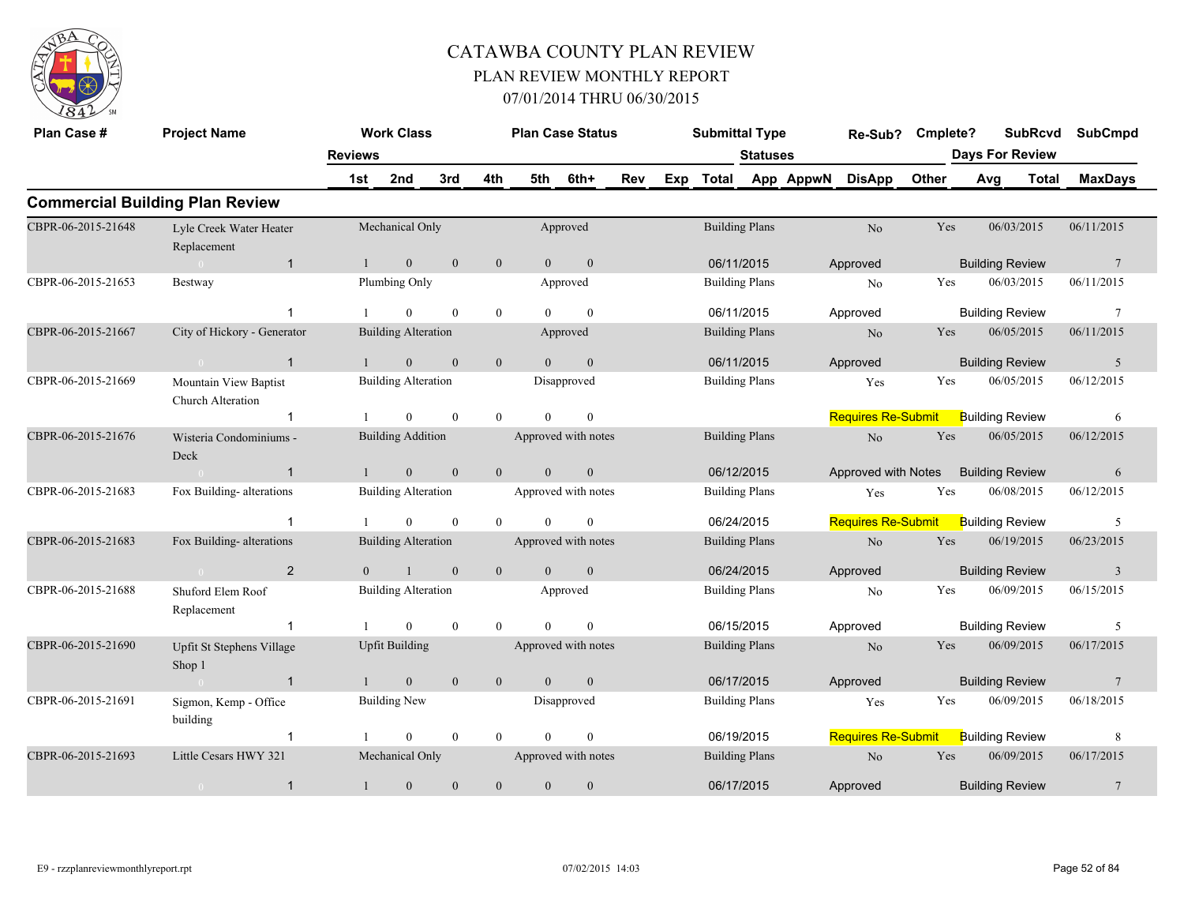

| Plan Case #        | <b>Project Name</b>                        | <b>Reviews</b> | <b>Work Class</b>          |              |                  |          | <b>Plan Case Status</b> |     | <b>Submittal Type</b> | <b>Statuses</b> |           | Re-Sub?                   | Cmplete? | <b>Days For Review</b> | <b>SubRcvd</b> | <b>SubCmpd</b>  |
|--------------------|--------------------------------------------|----------------|----------------------------|--------------|------------------|----------|-------------------------|-----|-----------------------|-----------------|-----------|---------------------------|----------|------------------------|----------------|-----------------|
|                    |                                            | 1st            | 2nd                        | 3rd          | 4th              | 5th      | 6th+                    | Rev | Exp Total             |                 | App AppwN | <b>DisApp</b>             | Other    | Avg                    | <b>Total</b>   | <b>MaxDays</b>  |
|                    | <b>Commercial Building Plan Review</b>     |                |                            |              |                  |          |                         |     |                       |                 |           |                           |          |                        |                |                 |
| CBPR-06-2015-21648 | Lyle Creek Water Heater<br>Replacement     |                | Mechanical Only            |              |                  |          | Approved                |     | <b>Building Plans</b> |                 |           | No                        | Yes      | 06/03/2015             |                | 06/11/2015      |
|                    | $\overline{1}$<br>$\sim 0$                 |                | $\mathbf{0}$               | $\mathbf{0}$ | $\mathbf{0}$     | $\theta$ | $\mathbf{0}$            |     | 06/11/2015            |                 |           | Approved                  |          | <b>Building Review</b> |                | $7\phantom{.0}$ |
| CBPR-06-2015-21653 | Bestway                                    |                | Plumbing Only              |              |                  |          | Approved                |     | <b>Building Plans</b> |                 |           | No                        | Yes      | 06/03/2015             |                | 06/11/2015      |
|                    | $\mathbf 1$                                |                | $\theta$                   | $\theta$     | $\mathbf{0}$     | $\Omega$ | $\theta$                |     | 06/11/2015            |                 |           | Approved                  |          | <b>Building Review</b> |                | $7\phantom{.0}$ |
| CBPR-06-2015-21667 | City of Hickory - Generator                |                | <b>Building Alteration</b> |              |                  |          | Approved                |     | <b>Building Plans</b> |                 |           | No                        | Yes      | 06/05/2015             |                | 06/11/2015      |
|                    | $\mathbf{1}$<br>$\sim$ 0                   |                | $\mathbf{0}$               | $\mathbf{0}$ | $\mathbf{0}$     | $\theta$ | $\mathbf{0}$            |     | 06/11/2015            |                 |           | Approved                  |          | <b>Building Review</b> |                | 5               |
| CBPR-06-2015-21669 | Mountain View Baptist<br>Church Alteration |                | <b>Building Alteration</b> |              |                  |          | Disapproved             |     | <b>Building Plans</b> |                 |           | Yes                       | Yes      | 06/05/2015             |                | 06/12/2015      |
|                    | $\mathbf{1}$                               |                | $\theta$                   | $\mathbf{0}$ | $\overline{0}$   | $\theta$ | $\mathbf{0}$            |     |                       |                 |           | <b>Requires Re-Submit</b> |          | <b>Building Review</b> |                | 6               |
| CBPR-06-2015-21676 | Wisteria Condominiums -<br>Deck            |                | <b>Building Addition</b>   |              |                  |          | Approved with notes     |     | <b>Building Plans</b> |                 |           | No                        | Yes      | 06/05/2015             |                | 06/12/2015      |
|                    | $\overline{1}$<br>$\sim 0$                 |                | $\theta$                   | $\mathbf{0}$ | $\mathbf{0}$     | $\theta$ | $\mathbf{0}$            |     | 06/12/2015            |                 |           | Approved with Notes       |          | <b>Building Review</b> |                | 6               |
| CBPR-06-2015-21683 | Fox Building-alterations                   |                | <b>Building Alteration</b> |              |                  |          | Approved with notes     |     | <b>Building Plans</b> |                 |           | Yes                       | Yes      | 06/08/2015             |                | 06/12/2015      |
|                    | $\overline{1}$                             |                | $\Omega$                   | $\theta$     | $\theta$         | $\Omega$ | $\theta$                |     | 06/24/2015            |                 |           | <b>Requires Re-Submit</b> |          | <b>Building Review</b> |                | 5               |
| CBPR-06-2015-21683 | Fox Building-alterations                   |                | <b>Building Alteration</b> |              |                  |          | Approved with notes     |     | <b>Building Plans</b> |                 |           | No                        | Yes      | 06/19/2015             |                | 06/23/2015      |
|                    | $\overline{2}$                             | $\Omega$       | $\mathbf{1}$               | $\mathbf{0}$ | $\boldsymbol{0}$ | $\theta$ | $\mathbf{0}$            |     | 06/24/2015            |                 |           | Approved                  |          | <b>Building Review</b> |                | $\overline{3}$  |
| CBPR-06-2015-21688 | Shuford Elem Roof<br>Replacement           |                | <b>Building Alteration</b> |              |                  |          | Approved                |     | <b>Building Plans</b> |                 |           | No                        | Yes      | 06/09/2015             |                | 06/15/2015      |
|                    | $\mathbf{1}$                               |                | $\theta$                   | $\mathbf{0}$ | $\mathbf{0}$     | $\Omega$ | $\mathbf{0}$            |     | 06/15/2015            |                 |           | Approved                  |          | <b>Building Review</b> |                | 5               |
| CBPR-06-2015-21690 | Upfit St Stephens Village<br>Shop 1        |                | <b>Upfit Building</b>      |              |                  |          | Approved with notes     |     | <b>Building Plans</b> |                 |           | N <sub>o</sub>            | Yes      | 06/09/2015             |                | 06/17/2015      |
|                    | $\overline{1}$<br>$\sim$ 0                 |                | $\mathbf{0}$               | $\mathbf{0}$ | $\mathbf{0}$     | $\theta$ | $\mathbf{0}$            |     | 06/17/2015            |                 |           | Approved                  |          | <b>Building Review</b> |                | $7\phantom{.0}$ |
| CBPR-06-2015-21691 | Sigmon, Kemp - Office<br>building          |                | <b>Building New</b>        |              |                  |          | Disapproved             |     | <b>Building Plans</b> |                 |           | Yes                       | Yes      | 06/09/2015             |                | 06/18/2015      |
|                    | -1                                         |                | $\overline{0}$             | $\mathbf{0}$ | $\theta$         | $\Omega$ | $\mathbf{0}$            |     | 06/19/2015            |                 |           | <b>Requires Re-Submit</b> |          | <b>Building Review</b> |                | 8               |
| CBPR-06-2015-21693 | Little Cesars HWY 321                      |                | Mechanical Only            |              |                  |          | Approved with notes     |     | <b>Building Plans</b> |                 |           | No                        | Yes      | 06/09/2015             |                | 06/17/2015      |
|                    | $\mathbf{1}$<br>$\overline{0}$             |                | $\mathbf{0}$               | $\mathbf{0}$ | $\mathbf{0}$     | $\Omega$ | $\theta$                |     | 06/17/2015            |                 |           | Approved                  |          | <b>Building Review</b> |                | $7\phantom{.0}$ |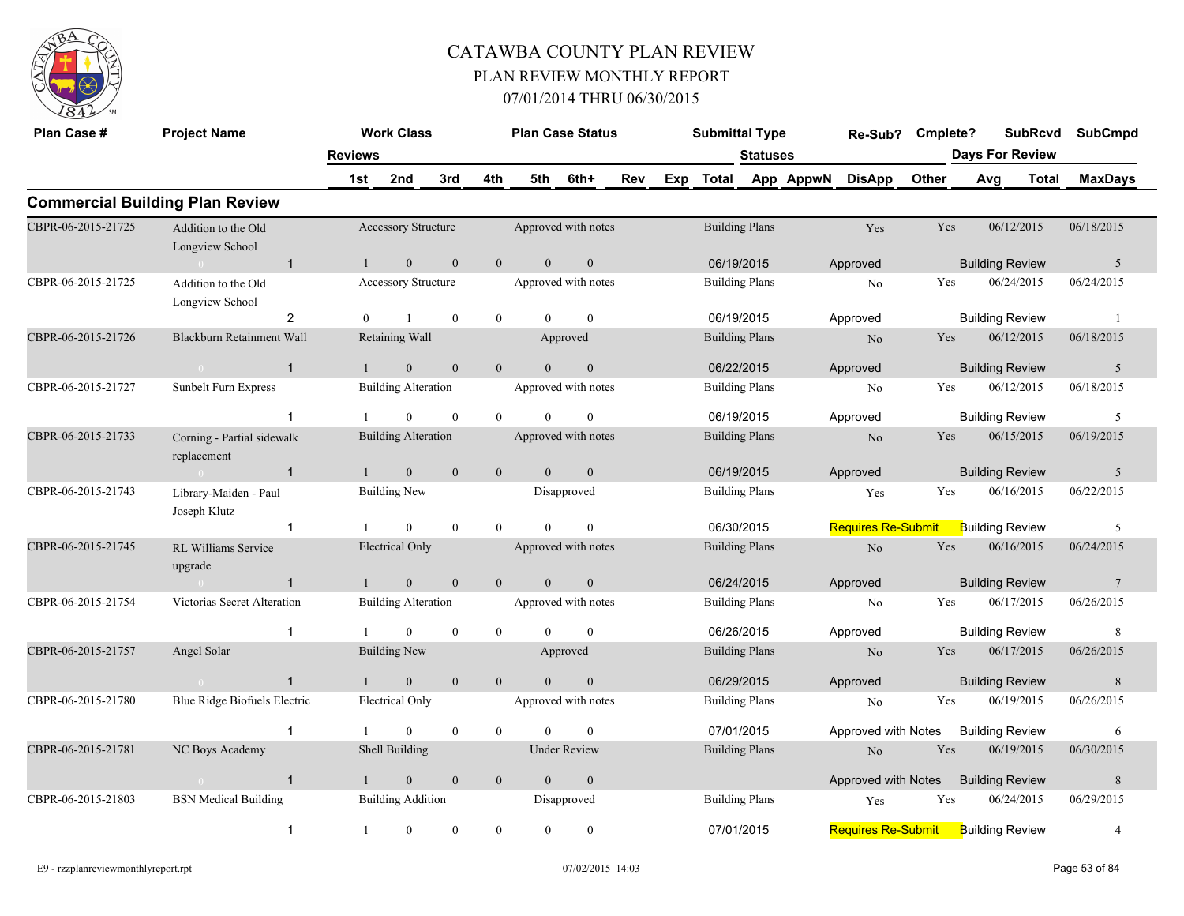

| Plan Case #        | <b>Project Name</b>                       |                | <b>Work Class</b>          |                  |              |                | <b>Plan Case Status</b> |     | <b>Submittal Type</b> |                 |                     | Re-Sub?                   | Cmplete? |                        | <b>SubRcvd</b> | <b>SubCmpd</b>  |
|--------------------|-------------------------------------------|----------------|----------------------------|------------------|--------------|----------------|-------------------------|-----|-----------------------|-----------------|---------------------|---------------------------|----------|------------------------|----------------|-----------------|
|                    |                                           | <b>Reviews</b> |                            |                  |              |                |                         |     |                       | <b>Statuses</b> |                     |                           |          | <b>Days For Review</b> |                |                 |
|                    |                                           | 1st            | 2nd                        | 3rd              | 4th          | 5th            | 6th+                    | Rev |                       |                 | Exp Total App AppwN | <b>DisApp</b>             | Other    | Avg                    | Total          | <b>MaxDays</b>  |
|                    | <b>Commercial Building Plan Review</b>    |                |                            |                  |              |                |                         |     |                       |                 |                     |                           |          |                        |                |                 |
| CBPR-06-2015-21725 | Addition to the Old<br>Longview School    |                | Accessory Structure        |                  |              |                | Approved with notes     |     | <b>Building Plans</b> |                 |                     | Yes                       | Yes      | 06/12/2015             |                | 06/18/2015      |
|                    | $\overline{1}$<br>$\sim 0$                | $\overline{1}$ | $\mathbf{0}$               | $\mathbf{0}$     | $\mathbf{0}$ | $\overline{0}$ | $\mathbf{0}$            |     | 06/19/2015            |                 |                     | Approved                  |          | <b>Building Review</b> |                | 5               |
| CBPR-06-2015-21725 | Addition to the Old<br>Longview School    |                | Accessory Structure        |                  |              |                | Approved with notes     |     | <b>Building Plans</b> |                 |                     | N <sub>o</sub>            | Yes      | 06/24/2015             |                | 06/24/2015      |
|                    | $\overline{2}$                            | $\theta$       | $\mathbf{1}$               | $\mathbf{0}$     | $\mathbf{0}$ | $\Omega$       | $\theta$                |     | 06/19/2015            |                 |                     | Approved                  |          | <b>Building Review</b> |                | -1              |
| CBPR-06-2015-21726 | Blackburn Retainment Wall                 |                | Retaining Wall             |                  |              |                | Approved                |     | <b>Building Plans</b> |                 |                     | No                        | Yes      | 06/12/2015             |                | 06/18/2015      |
|                    | $\mathbf{1}$<br>$\bigcap$                 |                | $\mathbf{0}$               | $\boldsymbol{0}$ | $\mathbf{0}$ | $\Omega$       | $\theta$                |     | 06/22/2015            |                 |                     | Approved                  |          | <b>Building Review</b> |                | 5               |
| CBPR-06-2015-21727 | Sunbelt Furn Express                      |                | <b>Building Alteration</b> |                  |              |                | Approved with notes     |     | <b>Building Plans</b> |                 |                     | No                        | Yes      | 06/12/2015             |                | 06/18/2015      |
|                    | $\mathbf{1}$                              |                | $\mathbf{0}$               | $\mathbf{0}$     | $\theta$     | $\theta$       | $\mathbf{0}$            |     | 06/19/2015            |                 |                     | Approved                  |          | <b>Building Review</b> |                | 5               |
| CBPR-06-2015-21733 | Corning - Partial sidewalk<br>replacement |                | <b>Building Alteration</b> |                  |              |                | Approved with notes     |     | <b>Building Plans</b> |                 |                     | No                        | Yes      | 06/15/2015             |                | 06/19/2015      |
|                    | $\sim 0$<br>$\overline{1}$                | 1              | $\mathbf{0}$               | $\mathbf{0}$     | $\mathbf{0}$ | $\overline{0}$ | $\mathbf{0}$            |     | 06/19/2015            |                 |                     | Approved                  |          | <b>Building Review</b> |                | 5               |
| CBPR-06-2015-21743 | Library-Maiden - Paul<br>Joseph Klutz     |                | <b>Building New</b>        |                  |              |                | Disapproved             |     | <b>Building Plans</b> |                 |                     | Yes                       | Yes      | 06/16/2015             |                | 06/22/2015      |
|                    | $\mathbf{1}$                              |                | $\mathbf{0}$               | $\mathbf{0}$     | $\theta$     | $\theta$       | $\theta$                |     | 06/30/2015            |                 |                     | <b>Requires Re-Submit</b> |          | <b>Building Review</b> |                | 5               |
| CBPR-06-2015-21745 | RL Williams Service<br>upgrade            |                | <b>Electrical Only</b>     |                  |              |                | Approved with notes     |     | <b>Building Plans</b> |                 |                     | N <sub>o</sub>            | Yes      | 06/16/2015             |                | 06/24/2015      |
|                    | $\mathbf{1}$<br>$\sim 0$                  | $\mathbf{1}$   | $\mathbf{0}$               | $\mathbf{0}$     | $\theta$     | $\theta$       | $\mathbf{0}$            |     | 06/24/2015            |                 |                     | Approved                  |          | <b>Building Review</b> |                | $7\phantom{.0}$ |
| CBPR-06-2015-21754 | Victorias Secret Alteration               |                | <b>Building Alteration</b> |                  |              |                | Approved with notes     |     | <b>Building Plans</b> |                 |                     | No                        | Yes      | 06/17/2015             |                | 06/26/2015      |
|                    | $\overline{1}$                            |                | $\mathbf{0}$               | $\mathbf{0}$     | $\mathbf{0}$ | $\theta$       | $\theta$                |     | 06/26/2015            |                 |                     | Approved                  |          | <b>Building Review</b> |                | 8               |
| CBPR-06-2015-21757 | Angel Solar                               |                | <b>Building New</b>        |                  |              |                | Approved                |     | <b>Building Plans</b> |                 |                     | No                        | Yes      | 06/17/2015             |                | 06/26/2015      |
|                    | $\mathbf{1}$                              |                | $\mathbf{0}$               | $\mathbf{0}$     | $\theta$     | $\theta$       | $\overline{0}$          |     | 06/29/2015            |                 |                     | Approved                  |          | <b>Building Review</b> |                | 8               |
| CBPR-06-2015-21780 | Blue Ridge Biofuels Electric              |                | Electrical Only            |                  |              |                | Approved with notes     |     | <b>Building Plans</b> |                 |                     | No                        | Yes      | 06/19/2015             |                | 06/26/2015      |
|                    | -1                                        |                | $\overline{0}$             | $\mathbf{0}$     | $\mathbf{0}$ | $\Omega$       | $\Omega$                |     | 07/01/2015            |                 |                     | Approved with Notes       |          | <b>Building Review</b> |                | 6               |
| CBPR-06-2015-21781 | NC Boys Academy                           |                | Shell Building             |                  |              |                | <b>Under Review</b>     |     | <b>Building Plans</b> |                 |                     | N <sub>o</sub>            | Yes      | 06/19/2015             |                | 06/30/2015      |
|                    | $\overline{1}$<br>$\overline{0}$          | $\overline{1}$ | $\mathbf{0}$               | $\mathbf{0}$     | $\mathbf{0}$ | $\overline{0}$ | $\mathbf{0}$            |     |                       |                 |                     | Approved with Notes       |          | <b>Building Review</b> |                | 8               |
| CBPR-06-2015-21803 | <b>BSN</b> Medical Building               |                | <b>Building Addition</b>   |                  |              |                | Disapproved             |     | <b>Building Plans</b> |                 |                     | Yes                       | Yes      | 06/24/2015             |                | 06/29/2015      |
|                    | $\overline{1}$                            | $\mathbf{1}$   | $\mathbf{0}$               | $\mathbf{0}$     | $\theta$     | $\theta$       | $\mathbf{0}$            |     | 07/01/2015            |                 |                     | <b>Requires Re-Submit</b> |          | <b>Building Review</b> |                | 4               |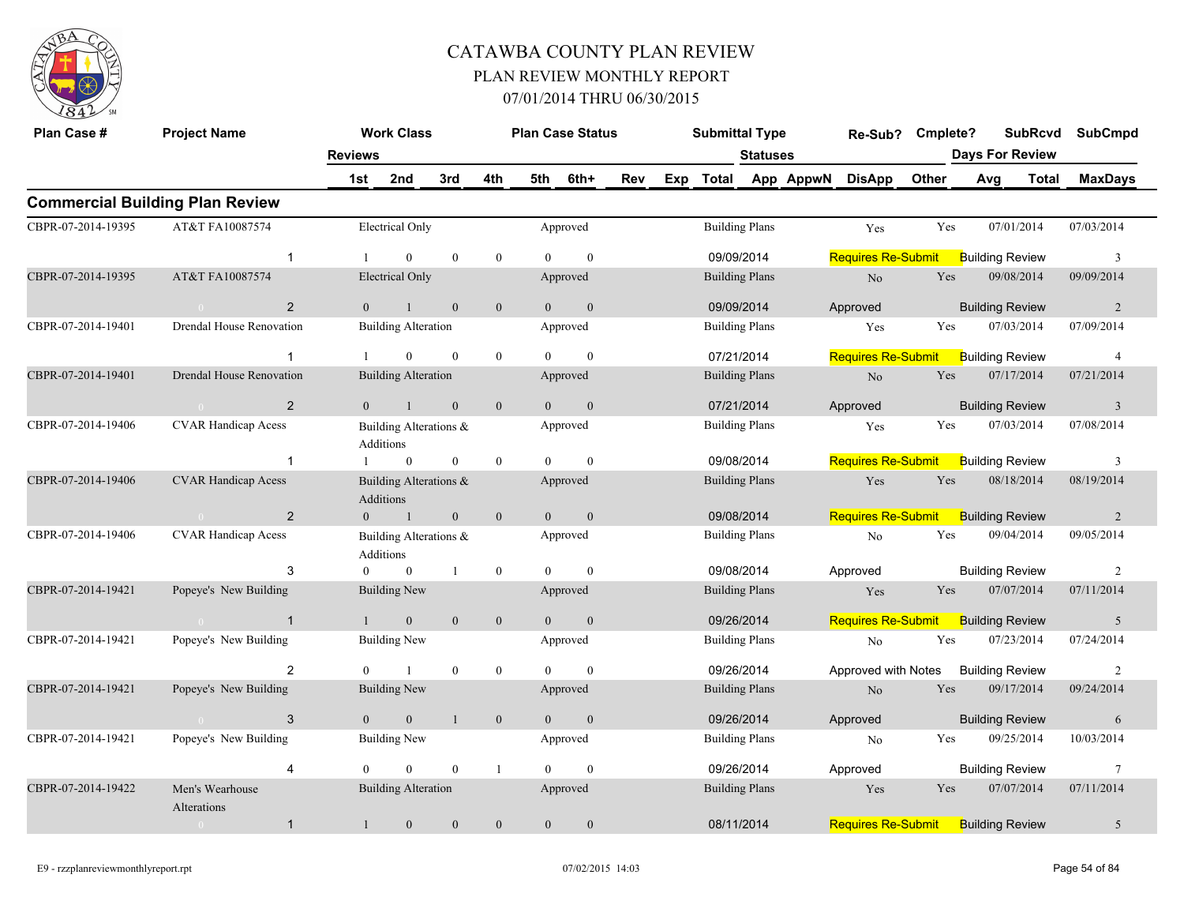

| Plan Case #        | <b>Project Name</b>                    |                  | <b>Work Class</b>          |              |                |                | <b>Plan Case Status</b> |     | <b>Submittal Type</b> |                 |           | Re-Sub?                   | Cmplete? |     | <b>SubRcvd</b>         |       | <b>SubCmpd</b> |
|--------------------|----------------------------------------|------------------|----------------------------|--------------|----------------|----------------|-------------------------|-----|-----------------------|-----------------|-----------|---------------------------|----------|-----|------------------------|-------|----------------|
|                    |                                        | <b>Reviews</b>   |                            |              |                |                |                         |     |                       | <b>Statuses</b> |           |                           |          |     | <b>Days For Review</b> |       |                |
|                    |                                        | 1st              | 2nd                        | 3rd          | 4th            | 5th            | 6th+                    | Rev | Exp Total             |                 | App AppwN | <b>DisApp</b>             | Other    | Avg |                        | Total | <b>MaxDays</b> |
|                    | <b>Commercial Building Plan Review</b> |                  |                            |              |                |                |                         |     |                       |                 |           |                           |          |     |                        |       |                |
| CBPR-07-2014-19395 | AT&T FA10087574                        |                  | Electrical Only            |              |                |                | Approved                |     | <b>Building Plans</b> |                 |           | Yes                       | Yes      |     | 07/01/2014             |       | 07/03/2014     |
|                    | $\mathbf{1}$                           |                  | $\Omega$                   | $\mathbf{0}$ | $\overline{0}$ | $\Omega$       | $\theta$                |     | 09/09/2014            |                 |           | <b>Requires Re-Submit</b> |          |     | <b>Building Review</b> |       | 3              |
| CBPR-07-2014-19395 | AT&T FA10087574                        |                  | <b>Electrical Only</b>     |              |                |                | Approved                |     | <b>Building Plans</b> |                 |           | $\rm No$                  | Yes      |     | 09/08/2014             |       | 09/09/2014     |
|                    | 2                                      | $\Omega$         | $\mathbf{1}$               | $\mathbf{0}$ | $\mathbf{0}$   | $\overline{0}$ | $\mathbf{0}$            |     | 09/09/2014            |                 |           | Approved                  |          |     | <b>Building Review</b> |       | 2              |
| CBPR-07-2014-19401 | Drendal House Renovation               |                  | <b>Building Alteration</b> |              |                |                | Approved                |     | <b>Building Plans</b> |                 |           | Yes                       | Yes      |     | 07/03/2014             |       | 07/09/2014     |
|                    | $\mathbf{1}$                           |                  | $\overline{0}$             | $\mathbf{0}$ | $\mathbf{0}$   | $\Omega$       | $\mathbf{0}$            |     | 07/21/2014            |                 |           | <b>Requires Re-Submit</b> |          |     | <b>Building Review</b> |       | $\overline{4}$ |
| CBPR-07-2014-19401 | <b>Drendal House Renovation</b>        |                  | <b>Building Alteration</b> |              |                |                | Approved                |     | <b>Building Plans</b> |                 |           | No                        | Yes      |     | 07/17/2014             |       | 07/21/2014     |
|                    | 2                                      | $\overline{0}$   | $\mathbf{1}$               | $\mathbf{0}$ | $\mathbf{0}$   | $\theta$       | $\mathbf{0}$            |     | 07/21/2014            |                 |           | Approved                  |          |     | <b>Building Review</b> |       | $\overline{3}$ |
| CBPR-07-2014-19406 | <b>CVAR Handicap Acess</b>             | Additions        | Building Alterations &     |              |                |                | Approved                |     | <b>Building Plans</b> |                 |           | Yes                       | Yes      |     | 07/03/2014             |       | 07/08/2014     |
|                    | $\overline{1}$                         |                  | $\mathbf{0}$               | $\mathbf{0}$ | $\mathbf{0}$   | $\theta$       | $\theta$                |     | 09/08/2014            |                 |           | <b>Requires Re-Submit</b> |          |     | <b>Building Review</b> |       | 3              |
| CBPR-07-2014-19406 | <b>CVAR Handicap Acess</b>             | <b>Additions</b> | Building Alterations &     |              |                |                | Approved                |     | <b>Building Plans</b> |                 |           | Yes                       | Yes      |     | 08/18/2014             |       | 08/19/2014     |
|                    | $\overline{2}$                         | $\overline{0}$   | $\blacksquare$             | $\mathbf{0}$ | $\mathbf{0}$   | $\overline{0}$ | $\mathbf{0}$            |     | 09/08/2014            |                 |           | <b>Requires Re-Submit</b> |          |     | <b>Building Review</b> |       | $\overline{2}$ |
| CBPR-07-2014-19406 | <b>CVAR Handicap Acess</b>             | Additions        | Building Alterations &     |              |                |                | Approved                |     | <b>Building Plans</b> |                 |           | No                        | Yes      |     | 09/04/2014             |       | 09/05/2014     |
|                    | 3                                      | $\theta$         | $\overline{0}$             | $\mathbf{1}$ | $\bf{0}$       | $\theta$       | $\theta$                |     | 09/08/2014            |                 |           | Approved                  |          |     | <b>Building Review</b> |       | 2              |
| CBPR-07-2014-19421 | Popeye's New Building                  |                  | <b>Building New</b>        |              |                |                | Approved                |     | <b>Building Plans</b> |                 |           | Yes                       | Yes      |     | 07/07/2014             |       | 07/11/2014     |
|                    | $\overline{1}$                         |                  | $\mathbf{0}$               | $\mathbf{0}$ | $\mathbf{0}$   | $\Omega$       | $\mathbf{0}$            |     | 09/26/2014            |                 |           | <b>Requires Re-Submit</b> |          |     | <b>Building Review</b> |       | 5              |
| CBPR-07-2014-19421 | Popeye's New Building                  |                  | <b>Building New</b>        |              |                |                | Approved                |     | <b>Building Plans</b> |                 |           | No                        | Yes      |     | 07/23/2014             |       | 07/24/2014     |
|                    | 2                                      | $\theta$         | 1                          | $\mathbf{0}$ | $\bf{0}$       | $\theta$       | $\mathbf{0}$            |     | 09/26/2014            |                 |           | Approved with Notes       |          |     | <b>Building Review</b> |       | $\overline{2}$ |
| CBPR-07-2014-19421 | Popeye's New Building                  |                  | <b>Building New</b>        |              |                |                | Approved                |     | <b>Building Plans</b> |                 |           | $\rm No$                  | Yes      |     | 09/17/2014             |       | 09/24/2014     |
|                    | 3                                      | $\theta$         | $\mathbf{0}$               | $\mathbf{1}$ | $\mathbf{0}$   | $\overline{0}$ | $\mathbf{0}$            |     | 09/26/2014            |                 |           | Approved                  |          |     | <b>Building Review</b> |       | 6              |
| CBPR-07-2014-19421 | Popeye's New Building                  |                  | <b>Building New</b>        |              |                |                | Approved                |     | <b>Building Plans</b> |                 |           | No                        | Yes      |     | 09/25/2014             |       | 10/03/2014     |
|                    | $\overline{4}$                         | $\Omega$         | $\Omega$                   | $\theta$     | $\mathbf{1}$   | $\Omega$       | $\theta$                |     | 09/26/2014            |                 |           | Approved                  |          |     | <b>Building Review</b> |       | 7              |
| CBPR-07-2014-19422 | Men's Wearhouse<br>Alterations         |                  | <b>Building Alteration</b> |              |                |                | Approved                |     | <b>Building Plans</b> |                 |           | Yes                       | Yes      |     | 07/07/2014             |       | 07/11/2014     |
|                    | $\mathbf{1}$<br>$\overline{0}$         | $\mathbf{1}$     | $\mathbf{0}$               | $\mathbf{0}$ | $\mathbf{0}$   | $\mathbf{0}$   | $\mathbf{0}$            |     | 08/11/2014            |                 |           | <b>Requires Re-Submit</b> |          |     | <b>Building Review</b> |       | 5              |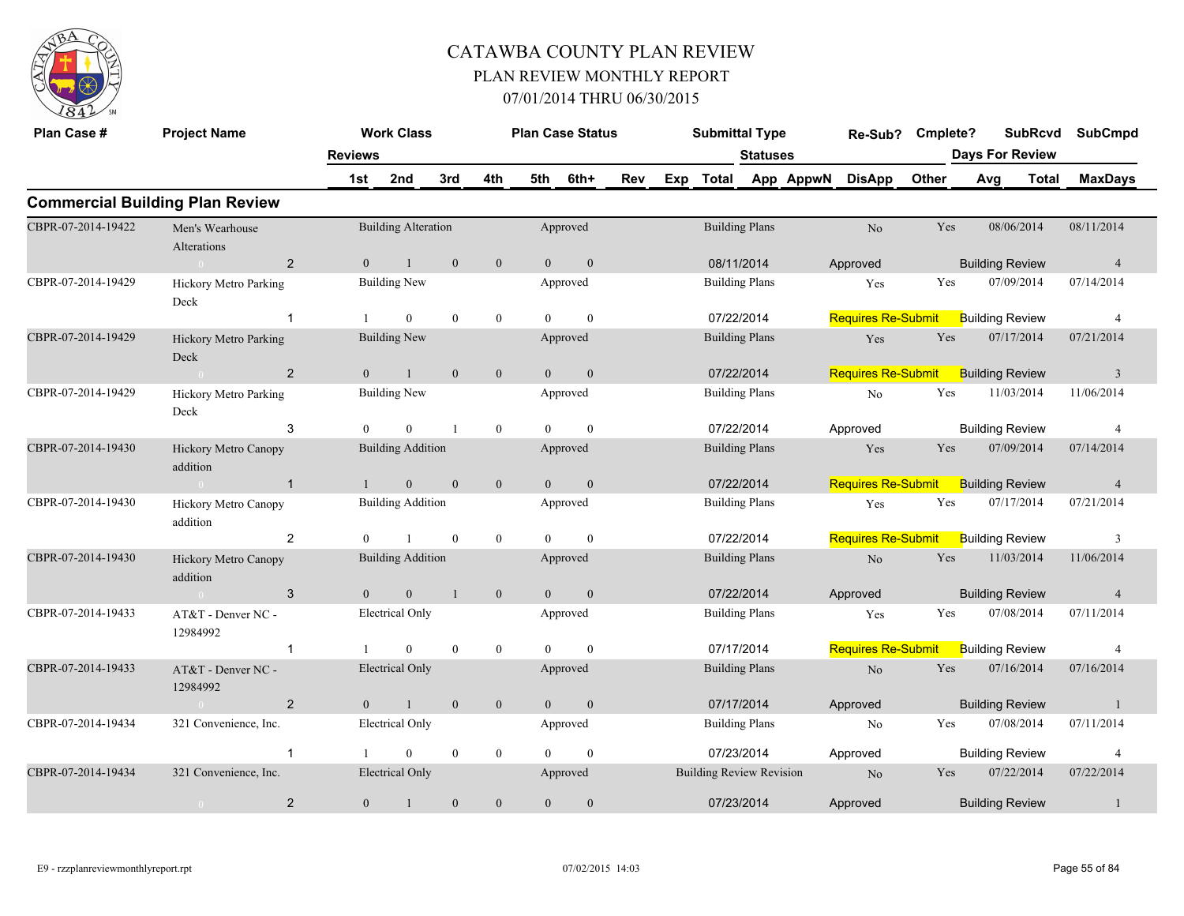

| Plan Case #        | <b>Project Name</b>                    |                | <b>Work Class</b>          |                  |                  |                | <b>Plan Case Status</b> |     |     | <b>Submittal Type</b>           |                 |           | Re-Sub?                   | Cmplete? |     | <b>SubRcvd</b>         |              | <b>SubCmpd</b> |
|--------------------|----------------------------------------|----------------|----------------------------|------------------|------------------|----------------|-------------------------|-----|-----|---------------------------------|-----------------|-----------|---------------------------|----------|-----|------------------------|--------------|----------------|
|                    |                                        | <b>Reviews</b> |                            |                  |                  |                |                         |     |     |                                 | <b>Statuses</b> |           |                           |          |     | <b>Days For Review</b> |              |                |
|                    |                                        | 1st            | 2nd                        | 3rd              | 4th              | 5th            | 6th+                    | Rev | Exp | <b>Total</b>                    |                 | App AppwN | <b>DisApp</b>             | Other    | Avg |                        | <b>Total</b> | <b>MaxDays</b> |
|                    | <b>Commercial Building Plan Review</b> |                |                            |                  |                  |                |                         |     |     |                                 |                 |           |                           |          |     |                        |              |                |
| CBPR-07-2014-19422 | Men's Wearhouse<br>Alterations         |                | <b>Building Alteration</b> |                  |                  |                | Approved                |     |     | <b>Building Plans</b>           |                 |           | No                        | Yes      |     | 08/06/2014             |              | 08/11/2014     |
|                    | $\overline{2}$                         | $\overline{0}$ |                            | $\mathbf{0}$     | $\mathbf{0}$     | $\overline{0}$ | $\mathbf{0}$            |     |     | 08/11/2014                      |                 |           | Approved                  |          |     | <b>Building Review</b> |              | $\overline{4}$ |
| CBPR-07-2014-19429 | <b>Hickory Metro Parking</b><br>Deck   |                | <b>Building New</b>        |                  |                  |                | Approved                |     |     | <b>Building Plans</b>           |                 |           | Yes                       | Yes      |     | 07/09/2014             |              | 07/14/2014     |
|                    | $\overline{1}$                         |                | $\overline{0}$             | $\boldsymbol{0}$ | $\bf{0}$         | $\theta$       | $\mathbf{0}$            |     |     | 07/22/2014                      |                 |           | <b>Requires Re-Submit</b> |          |     | <b>Building Review</b> |              | $\overline{4}$ |
| CBPR-07-2014-19429 | Hickory Metro Parking<br>Deck          |                | <b>Building New</b>        |                  |                  |                | Approved                |     |     | <b>Building Plans</b>           |                 |           | Yes                       | Yes      |     | 07/17/2014             |              | 07/21/2014     |
|                    | 2                                      | $\theta$       |                            | $\mathbf{0}$     | $\boldsymbol{0}$ | $\theta$       | $\mathbf{0}$            |     |     | 07/22/2014                      |                 |           | <b>Requires Re-Submit</b> |          |     | <b>Building Review</b> |              | $\overline{3}$ |
| CBPR-07-2014-19429 | Hickory Metro Parking<br>Deck          |                | <b>Building New</b>        |                  |                  |                | Approved                |     |     | <b>Building Plans</b>           |                 |           | No                        | Yes      |     | 11/03/2014             |              | 11/06/2014     |
|                    | 3                                      | $\Omega$       | $\Omega$                   |                  | $\mathbf{0}$     | $\theta$       | $\theta$                |     |     | 07/22/2014                      |                 |           | Approved                  |          |     | <b>Building Review</b> |              | $\overline{4}$ |
| CBPR-07-2014-19430 | Hickory Metro Canopy<br>addition       |                | <b>Building Addition</b>   |                  |                  |                | Approved                |     |     | <b>Building Plans</b>           |                 |           | Yes                       | Yes      |     | 07/09/2014             |              | 07/14/2014     |
|                    | $\overline{1}$<br>$\sim$ 0             |                | $\overline{0}$             | $\mathbf{0}$     | $\mathbf{0}$     | $\overline{0}$ | $\mathbf{0}$            |     |     | 07/22/2014                      |                 |           | <b>Requires Re-Submit</b> |          |     | <b>Building Review</b> |              | $\overline{4}$ |
| CBPR-07-2014-19430 | Hickory Metro Canopy<br>addition       |                | <b>Building Addition</b>   |                  |                  |                | Approved                |     |     | <b>Building Plans</b>           |                 |           | Yes                       | Yes      |     | 07/17/2014             |              | 07/21/2014     |
|                    | $\overline{2}$                         | $\Omega$       |                            | $\mathbf{0}$     | $\boldsymbol{0}$ | $\theta$       | $\theta$                |     |     | 07/22/2014                      |                 |           | <b>Requires Re-Submit</b> |          |     | <b>Building Review</b> |              | 3              |
| CBPR-07-2014-19430 | Hickory Metro Canopy<br>addition       |                | <b>Building Addition</b>   |                  |                  |                | Approved                |     |     | <b>Building Plans</b>           |                 |           | No                        | Yes      |     | 11/03/2014             |              | 11/06/2014     |
|                    | 3<br>$\sim 0$                          | $\overline{0}$ | $\mathbf{0}$               | $\overline{1}$   | $\boldsymbol{0}$ | $\overline{0}$ | $\mathbf{0}$            |     |     | 07/22/2014                      |                 |           | Approved                  |          |     | <b>Building Review</b> |              | $\overline{4}$ |
| CBPR-07-2014-19433 | AT&T - Denver NC -<br>12984992         |                | <b>Electrical Only</b>     |                  |                  |                | Approved                |     |     | <b>Building Plans</b>           |                 |           | Yes                       | Yes      |     | 07/08/2014             |              | 07/11/2014     |
|                    | -1                                     |                | $\Omega$                   | $\mathbf{0}$     | $\mathbf{0}$     | $\Omega$       | $\theta$                |     |     | 07/17/2014                      |                 |           | <b>Requires Re-Submit</b> |          |     | <b>Building Review</b> |              | $\overline{4}$ |
| CBPR-07-2014-19433 | AT&T - Denver NC -<br>12984992         |                | <b>Electrical Only</b>     |                  |                  |                | Approved                |     |     | <b>Building Plans</b>           |                 |           | No                        | Yes      |     | 07/16/2014             |              | 07/16/2014     |
|                    | $\overline{2}$<br>$\sim 0$             | $\overline{0}$ | $\mathbf{1}$               | $\overline{0}$   | $\mathbf{0}$     | $\overline{0}$ | $\mathbf{0}$            |     |     | 07/17/2014                      |                 |           | Approved                  |          |     | <b>Building Review</b> |              | -1             |
| CBPR-07-2014-19434 | 321 Convenience, Inc.                  |                | <b>Electrical Only</b>     |                  |                  |                | Approved                |     |     | <b>Building Plans</b>           |                 |           | N <sub>o</sub>            | Yes      |     | 07/08/2014             |              | 07/11/2014     |
|                    | $\overline{1}$                         |                | $\overline{0}$             | $\bf{0}$         | $\bf{0}$         | $\theta$       | $\boldsymbol{0}$        |     |     | 07/23/2014                      |                 |           | Approved                  |          |     | <b>Building Review</b> |              | $\overline{4}$ |
| CBPR-07-2014-19434 | 321 Convenience, Inc.                  |                | <b>Electrical Only</b>     |                  |                  |                | Approved                |     |     | <b>Building Review Revision</b> |                 |           | N <sub>o</sub>            | Yes      |     | 07/22/2014             |              | 07/22/2014     |
|                    | $\overline{2}$<br>$\overline{0}$       | $\overline{0}$ | $\mathbf{1}$               | $\mathbf{0}$     | $\mathbf{0}$     | $\overline{0}$ | $\mathbf{0}$            |     |     | 07/23/2014                      |                 |           | Approved                  |          |     | <b>Building Review</b> |              |                |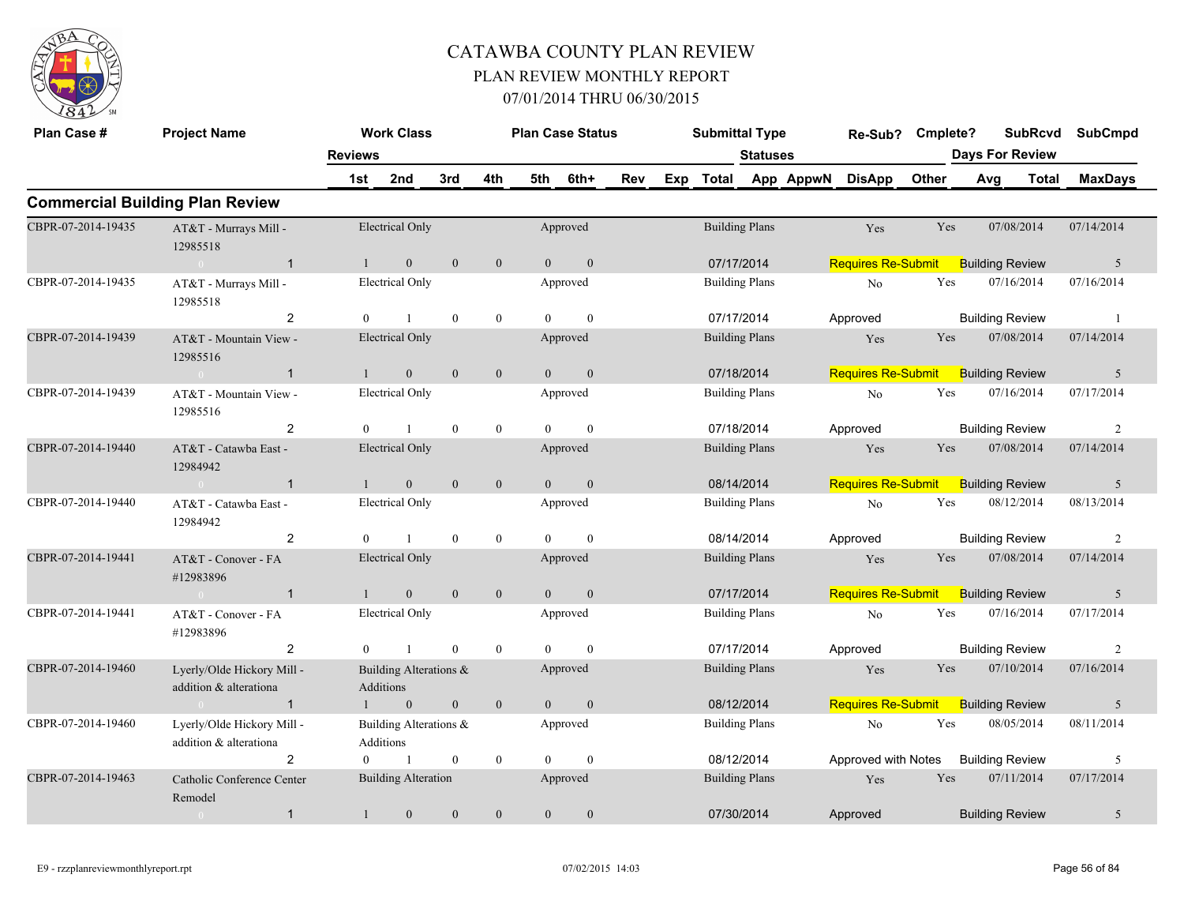

| Plan Case #        | <b>Project Name</b>                                  |                | <b>Work Class</b>                          |                  |                  |                | <b>Plan Case Status</b> |            | <b>Submittal Type</b> |                 |           | Re-Sub? Cmplete?          |              |                        | <b>SubRcvd</b> | <b>SubCmpd</b> |
|--------------------|------------------------------------------------------|----------------|--------------------------------------------|------------------|------------------|----------------|-------------------------|------------|-----------------------|-----------------|-----------|---------------------------|--------------|------------------------|----------------|----------------|
|                    |                                                      | <b>Reviews</b> |                                            |                  |                  |                |                         |            |                       | <b>Statuses</b> |           |                           |              | <b>Days For Review</b> |                |                |
|                    |                                                      | 1st            | 2nd                                        | 3rd              | 4th              | 5th            | 6th+                    | <b>Rev</b> | Exp Total             |                 | App AppwN | <b>DisApp</b>             | <b>Other</b> | Avg                    | Total          | <b>MaxDays</b> |
|                    | <b>Commercial Building Plan Review</b>               |                |                                            |                  |                  |                |                         |            |                       |                 |           |                           |              |                        |                |                |
| CBPR-07-2014-19435 | AT&T - Murrays Mill -<br>12985518                    |                | <b>Electrical Only</b>                     |                  |                  |                | Approved                |            | <b>Building Plans</b> |                 |           | Yes                       | Yes          | 07/08/2014             |                | 07/14/2014     |
|                    | $\overline{1}$<br>$\sim 0$                           | $\mathbf{1}$   | $\mathbf{0}$                               | $\overline{0}$   | $\mathbf{0}$     | $\overline{0}$ | $\mathbf{0}$            |            | 07/17/2014            |                 |           | <b>Requires Re-Submit</b> |              | <b>Building Review</b> |                | 5              |
| CBPR-07-2014-19435 | AT&T - Murrays Mill -<br>12985518                    |                | <b>Electrical Only</b>                     |                  |                  |                | Approved                |            | <b>Building Plans</b> |                 |           | $\rm No$                  | Yes          | 07/16/2014             |                | 07/16/2014     |
|                    | $\overline{2}$                                       | $\Omega$       | $\mathbf{1}$                               | $\theta$         | $\bf{0}$         | $\Omega$       | $\theta$                |            | 07/17/2014            |                 |           | Approved                  |              | <b>Building Review</b> |                | $\overline{1}$ |
| CBPR-07-2014-19439 | AT&T - Mountain View -<br>12985516                   |                | <b>Electrical Only</b>                     |                  |                  |                | Approved                |            | <b>Building Plans</b> |                 |           | Yes                       | Yes          | 07/08/2014             |                | 07/14/2014     |
|                    | $\overline{1}$<br>$\sim 0$                           | $\mathbf{1}$   | $\mathbf{0}$                               | $\overline{0}$   | $\mathbf{0}$     | $\overline{0}$ | $\mathbf{0}$            |            | 07/18/2014            |                 |           | <b>Requires Re-Submit</b> |              | <b>Building Review</b> |                | 5              |
| CBPR-07-2014-19439 | AT&T - Mountain View -<br>12985516                   |                | <b>Electrical Only</b>                     |                  |                  |                | Approved                |            | <b>Building Plans</b> |                 |           | No                        | Yes          | 07/16/2014             |                | 07/17/2014     |
|                    | 2                                                    | $\Omega$       | $\mathbf{1}$                               | $\overline{0}$   | $\mathbf{0}$     | $\Omega$       | $\theta$                |            | 07/18/2014            |                 |           | Approved                  |              | <b>Building Review</b> |                | 2              |
| CBPR-07-2014-19440 | AT&T - Catawba East -<br>12984942                    |                | <b>Electrical Only</b>                     |                  |                  |                | Approved                |            | <b>Building Plans</b> |                 |           | Yes                       | Yes          | 07/08/2014             |                | 07/14/2014     |
|                    | $\overline{1}$<br>$\sim 0$                           | $\mathbf{1}$   | $\mathbf{0}$                               | $\mathbf{0}$     | $\boldsymbol{0}$ | $\overline{0}$ | $\mathbf{0}$            |            | 08/14/2014            |                 |           | <b>Requires Re-Submit</b> |              | <b>Building Review</b> |                | 5              |
| CBPR-07-2014-19440 | AT&T - Catawba East -<br>12984942                    |                | <b>Electrical Only</b>                     |                  |                  |                | Approved                |            | <b>Building Plans</b> |                 |           | No                        | Yes          | 08/12/2014             |                | 08/13/2014     |
|                    | 2                                                    | $\theta$       | $\mathbf{1}$                               | $\mathbf{0}$     | $\mathbf{0}$     | $\Omega$       | $\mathbf{0}$            |            | 08/14/2014            |                 |           | Approved                  |              | <b>Building Review</b> |                | 2              |
| CBPR-07-2014-19441 | AT&T - Conover - FA<br>#12983896                     |                | <b>Electrical Only</b>                     |                  |                  |                | Approved                |            | <b>Building Plans</b> |                 |           | Yes                       | Yes          | 07/08/2014             |                | 07/14/2014     |
|                    | $\overline{1}$<br>$\theta$                           |                | $\overline{0}$                             | $\overline{0}$   | $\mathbf{0}$     | $\Omega$       | $\mathbf{0}$            |            | 07/17/2014            |                 |           | <b>Requires Re-Submit</b> |              | <b>Building Review</b> |                | 5              |
| CBPR-07-2014-19441 | AT&T - Conover - FA<br>#12983896                     |                | <b>Electrical Only</b>                     |                  |                  |                | Approved                |            | <b>Building Plans</b> |                 |           | No                        | Yes          | 07/16/2014             |                | 07/17/2014     |
|                    | $\overline{2}$                                       | $\overline{0}$ | $\mathbf{1}$                               | $\mathbf{0}$     | $\mathbf{0}$     | $\theta$       | $\mathbf{0}$            |            | 07/17/2014            |                 |           | Approved                  |              | <b>Building Review</b> |                | 2              |
| CBPR-07-2014-19460 | Lyerly/Olde Hickory Mill -<br>addition & alterationa |                | Building Alterations &<br>Additions        |                  |                  |                | Approved                |            | <b>Building Plans</b> |                 |           | Yes                       | <b>Yes</b>   | 07/10/2014             |                | 07/16/2014     |
|                    | $\overline{1}$<br>$\sim 0$                           |                | $\mathbf{0}$                               | $\mathbf{0}$     | $\mathbf{0}$     | $\overline{0}$ | $\mathbf{0}$            |            | 08/12/2014            |                 |           | <b>Requires Re-Submit</b> |              | <b>Building Review</b> |                | 5              |
| CBPR-07-2014-19460 | Lyerly/Olde Hickory Mill -<br>addition & alterationa |                | Building Alterations &<br><b>Additions</b> |                  |                  |                | Approved                |            | <b>Building Plans</b> |                 |           | No                        | Yes          | 08/05/2014             |                | 08/11/2014     |
|                    | $\overline{2}$                                       | $\overline{0}$ | $\mathbf{1}$                               | $\boldsymbol{0}$ | $\mathbf{0}$     | $\theta$       | $\mathbf{0}$            |            | 08/12/2014            |                 |           | Approved with Notes       |              | <b>Building Review</b> |                | 5              |
| CBPR-07-2014-19463 | Catholic Conference Center<br>Remodel                |                | <b>Building Alteration</b>                 |                  |                  |                | Approved                |            | <b>Building Plans</b> |                 |           | Yes                       | Yes          | 07/11/2014             |                | 07/17/2014     |
|                    | $\mathbf{1}$<br>$\sim 0$                             | $\mathbf{1}$   | $\mathbf{0}$                               | $\mathbf{0}$     | $\mathbf{0}$     | $\overline{0}$ | $\boldsymbol{0}$        |            | 07/30/2014            |                 |           | Approved                  |              | <b>Building Review</b> |                | 5              |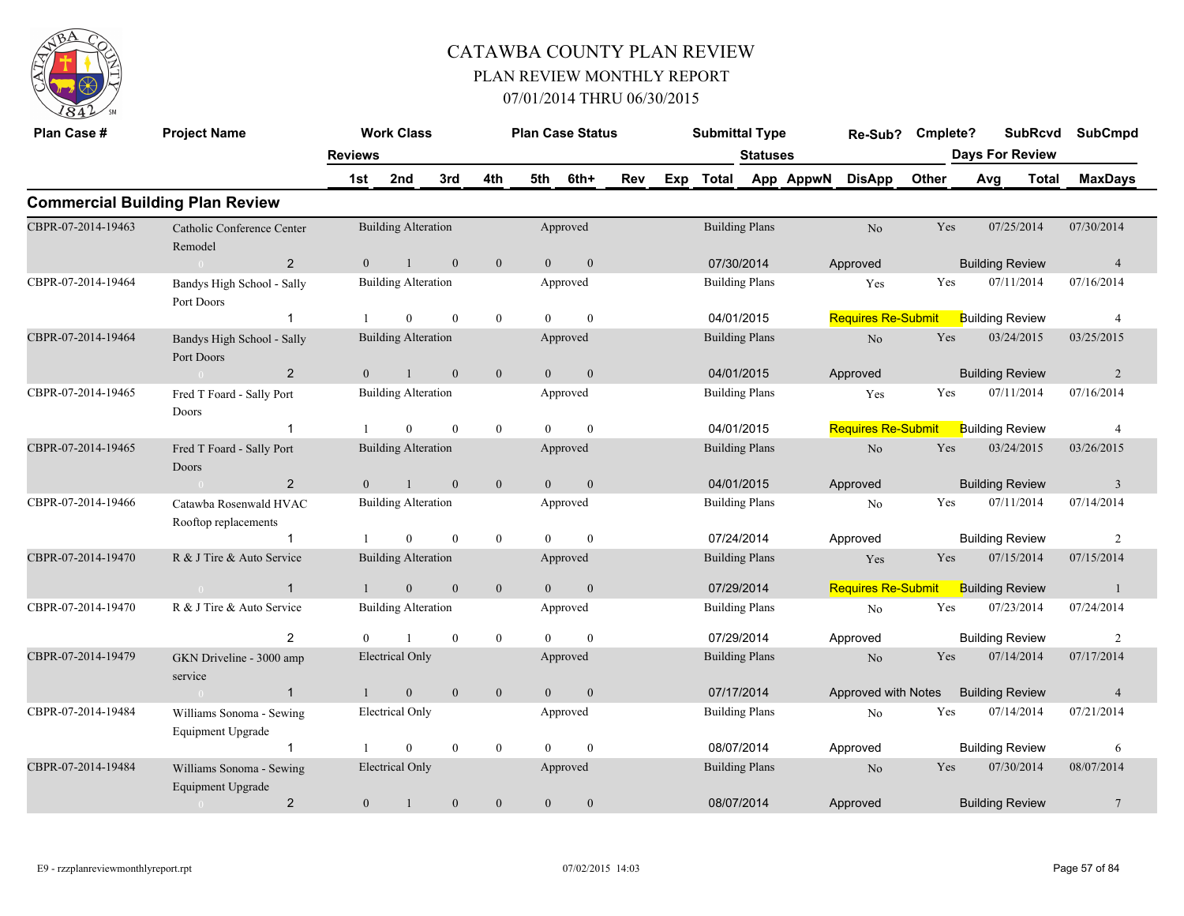

| Plan Case #        | <b>Project Name</b>                            |                | <b>Work Class</b>          |                  |                  |                | <b>Plan Case Status</b> |     |     | <b>Submittal Type</b> |                       |           | Re-Sub?                   | Cmplete? |     |                        | <b>SubRcvd</b> | <b>SubCmpd</b> |
|--------------------|------------------------------------------------|----------------|----------------------------|------------------|------------------|----------------|-------------------------|-----|-----|-----------------------|-----------------------|-----------|---------------------------|----------|-----|------------------------|----------------|----------------|
|                    |                                                | <b>Reviews</b> |                            |                  |                  |                |                         |     |     |                       | <b>Statuses</b>       |           |                           |          |     | <b>Days For Review</b> |                |                |
|                    |                                                | 1st            | 2nd                        | 3rd              | 4th              | 5th            | 6th+                    | Rev | Exp | <b>Total</b>          |                       | App AppwN | <b>DisApp</b>             | Other    | Avg |                        | <b>Total</b>   | <b>MaxDays</b> |
|                    | <b>Commercial Building Plan Review</b>         |                |                            |                  |                  |                |                         |     |     |                       |                       |           |                           |          |     |                        |                |                |
| CBPR-07-2014-19463 | Catholic Conference Center<br>Remodel          |                | <b>Building Alteration</b> |                  |                  |                | Approved                |     |     | <b>Building Plans</b> |                       |           | No                        | Yes      |     | 07/25/2014             |                | 07/30/2014     |
|                    | $\overline{2}$<br>$\sqrt{2}$                   | $\overline{0}$ |                            | $\mathbf{0}$     | $\mathbf{0}$     | $\overline{0}$ | $\mathbf{0}$            |     |     | 07/30/2014            |                       |           | Approved                  |          |     | <b>Building Review</b> |                | $\overline{4}$ |
| CBPR-07-2014-19464 | Bandys High School - Sally<br>Port Doors       |                | <b>Building Alteration</b> |                  |                  |                | Approved                |     |     | <b>Building Plans</b> |                       |           | Yes                       | Yes      |     | 07/11/2014             |                | 07/16/2014     |
|                    | $\mathbf{1}$                                   | $\mathbf{1}$   | $\theta$                   | $\theta$         | $\overline{0}$   | $\Omega$       | $\theta$                |     |     | 04/01/2015            |                       |           | <b>Requires Re-Submit</b> |          |     | <b>Building Review</b> |                | $\overline{4}$ |
| CBPR-07-2014-19464 | Bandys High School - Sally<br>Port Doors       |                | <b>Building Alteration</b> |                  |                  |                | Approved                |     |     | <b>Building Plans</b> |                       |           | No                        | Yes      |     | 03/24/2015             |                | 03/25/2015     |
|                    | 2<br>$\bigcap$                                 | $\theta$       |                            | $\mathbf{0}$     | $\mathbf{0}$     | $\Omega$       | $\mathbf{0}$            |     |     | 04/01/2015            |                       |           | Approved                  |          |     | <b>Building Review</b> |                | $\overline{2}$ |
| CBPR-07-2014-19465 | Fred T Foard - Sally Port<br>Doors             |                | <b>Building Alteration</b> |                  |                  |                | Approved                |     |     | <b>Building Plans</b> |                       |           | Yes                       | Yes      |     | 07/11/2014             |                | 07/16/2014     |
|                    | $\overline{1}$                                 |                | $\overline{0}$             | $\mathbf{0}$     | $\bf{0}$         | $\theta$       | $\mathbf{0}$            |     |     | 04/01/2015            |                       |           | <b>Requires Re-Submit</b> |          |     | <b>Building Review</b> |                | $\overline{4}$ |
| CBPR-07-2014-19465 | Fred T Foard - Sally Port<br>Doors             |                | <b>Building Alteration</b> |                  |                  |                | Approved                |     |     | <b>Building Plans</b> |                       |           | $\rm No$                  | Yes      |     | 03/24/2015             |                | 03/26/2015     |
|                    | $\overline{2}$                                 | $\overline{0}$ |                            | $\mathbf{0}$     | $\mathbf{0}$     | $\overline{0}$ | $\mathbf{0}$            |     |     | 04/01/2015            |                       |           | Approved                  |          |     | <b>Building Review</b> |                | $\overline{3}$ |
| CBPR-07-2014-19466 | Catawba Rosenwald HVAC<br>Rooftop replacements |                | <b>Building Alteration</b> |                  |                  |                | Approved                |     |     | <b>Building Plans</b> |                       |           | No                        | Yes      |     | 07/11/2014             |                | 07/14/2014     |
|                    |                                                |                | $\overline{0}$             | $\theta$         | $\mathbf{0}$     | $\Omega$       | $\theta$                |     |     | 07/24/2014            |                       |           | Approved                  |          |     | <b>Building Review</b> |                | 2              |
| CBPR-07-2014-19470 | R & J Tire & Auto Service                      |                | <b>Building Alteration</b> |                  |                  |                | Approved                |     |     | <b>Building Plans</b> |                       |           | Yes                       | Yes      |     | 07/15/2014             |                | 07/15/2014     |
|                    | $\overline{1}$<br>$\sim 0$                     | $\mathbf{1}$   | $\mathbf{0}$               | $\mathbf{0}$     | $\mathbf{0}$     | $\overline{0}$ | $\boldsymbol{0}$        |     |     | 07/29/2014            |                       |           | <b>Requires Re-Submit</b> |          |     | <b>Building Review</b> |                | $\mathbf{1}$   |
| CBPR-07-2014-19470 | R & J Tire & Auto Service                      |                | <b>Building Alteration</b> |                  |                  |                | Approved                |     |     | <b>Building Plans</b> |                       |           | $\rm No$                  | Yes      |     | 07/23/2014             |                | 07/24/2014     |
|                    | $\overline{2}$                                 |                |                            | $\mathbf{0}$     | $\mathbf{0}$     | $\Omega$       | $\theta$                |     |     | 07/29/2014            |                       |           | Approved                  |          |     | <b>Building Review</b> |                | $\overline{2}$ |
| CBPR-07-2014-19479 | GKN Driveline - 3000 amp<br>service            |                | Electrical Only            |                  |                  |                | Approved                |     |     | <b>Building Plans</b> |                       |           | N <sub>o</sub>            | Yes      |     | 07/14/2014             |                | 07/17/2014     |
|                    | $\overline{1}$<br>$\sim 0$                     |                | $\mathbf{0}$               | $\mathbf{0}$     | $\mathbf{0}$     | $\theta$       | $\mathbf{0}$            |     |     | 07/17/2014            |                       |           | Approved with Notes       |          |     | <b>Building Review</b> |                | $\overline{4}$ |
| CBPR-07-2014-19484 | Williams Sonoma - Sewing<br>Equipment Upgrade  |                | <b>Electrical Only</b>     |                  |                  |                | Approved                |     |     | <b>Building Plans</b> |                       |           | No                        | Yes      |     | 07/14/2014             |                | 07/21/2014     |
|                    | $\mathbf{1}$                                   |                | $\theta$                   | $\boldsymbol{0}$ | $\bf{0}$         | $\Omega$       | $\theta$                |     |     | 08/07/2014            |                       |           | Approved                  |          |     | <b>Building Review</b> |                | 6              |
| CBPR-07-2014-19484 | Williams Sonoma - Sewing<br>Equipment Upgrade  |                | <b>Electrical Only</b>     |                  |                  |                | Approved                |     |     |                       | <b>Building Plans</b> |           | N <sub>o</sub>            | Yes      |     | 07/30/2014             |                | 08/07/2014     |
|                    | $\overline{2}$<br>$\overline{0}$               | $\mathbf{0}$   |                            | $\mathbf{0}$     | $\boldsymbol{0}$ | $\theta$       | $\theta$                |     |     | 08/07/2014            |                       |           | Approved                  |          |     | <b>Building Review</b> |                | 7              |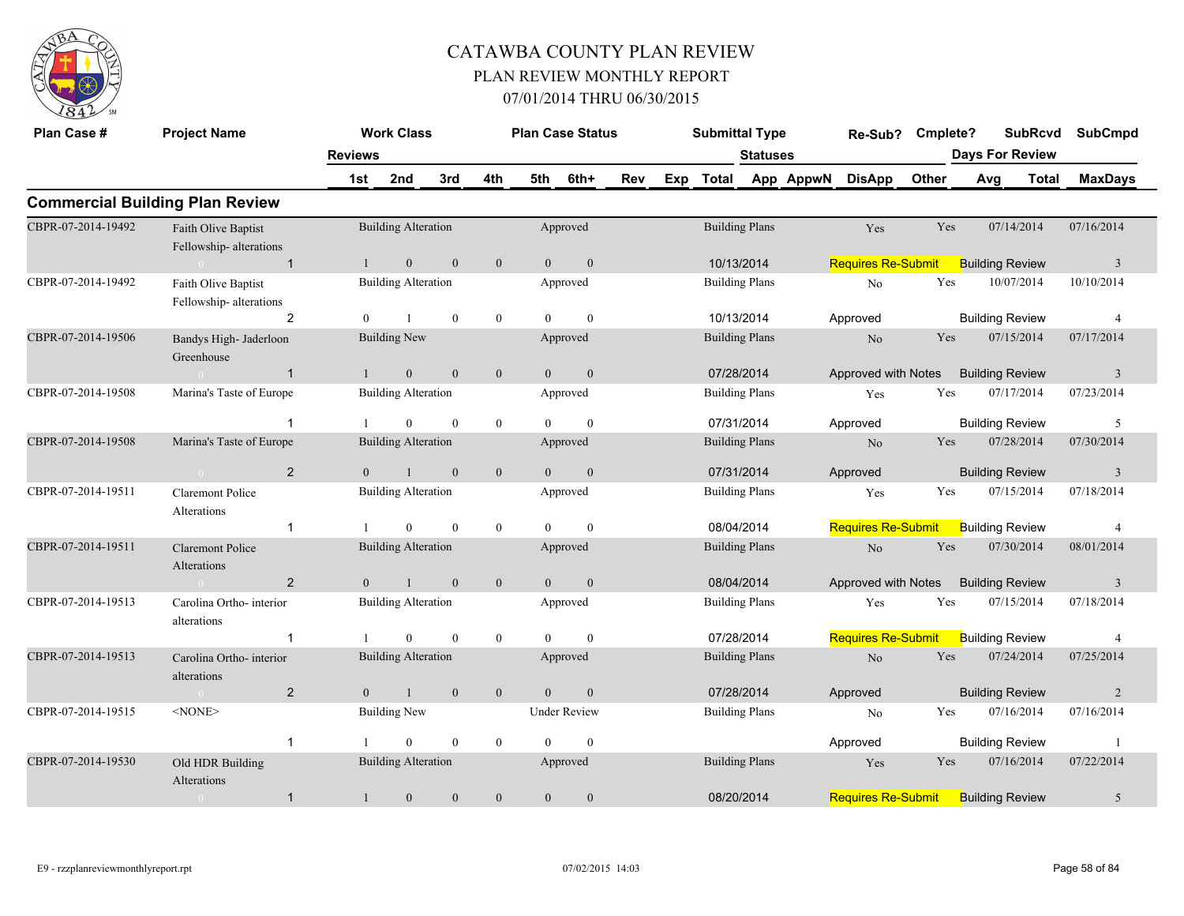

| Plan Case #        | <b>Project Name</b>                           |                | <b>Work Class</b>          |                |                  |                | <b>Plan Case Status</b> |     |     | <b>Submittal Type</b> |                 |           | Re-Sub?                   | Cmplete? | <b>SubRcvd</b>         |       | <b>SubCmpd</b> |
|--------------------|-----------------------------------------------|----------------|----------------------------|----------------|------------------|----------------|-------------------------|-----|-----|-----------------------|-----------------|-----------|---------------------------|----------|------------------------|-------|----------------|
|                    |                                               | <b>Reviews</b> |                            |                |                  |                |                         |     |     |                       | <b>Statuses</b> |           |                           |          | <b>Days For Review</b> |       |                |
|                    |                                               | 1st            | 2nd                        | 3rd            | 4th              | 5th            | 6th+                    | Rev | Exp | <b>Total</b>          |                 | App AppwN | <b>DisApp</b>             | Other    | Avg                    | Total | <b>MaxDays</b> |
|                    | <b>Commercial Building Plan Review</b>        |                |                            |                |                  |                |                         |     |     |                       |                 |           |                           |          |                        |       |                |
| CBPR-07-2014-19492 | Faith Olive Baptist<br>Fellowship-alterations |                | <b>Building Alteration</b> |                |                  |                | Approved                |     |     | <b>Building Plans</b> |                 |           | Yes                       | Yes      | 07/14/2014             |       | 07/16/2014     |
|                    | $\overline{1}$<br>$\theta$                    |                | $\mathbf{0}$               | $\mathbf{0}$   | $\boldsymbol{0}$ | $\overline{0}$ | $\boldsymbol{0}$        |     |     | 10/13/2014            |                 |           | <b>Requires Re-Submit</b> |          | <b>Building Review</b> |       | $\overline{3}$ |
| CBPR-07-2014-19492 | Faith Olive Baptist<br>Fellowship-alterations |                | <b>Building Alteration</b> |                |                  |                | Approved                |     |     | <b>Building Plans</b> |                 |           | No                        | Yes      | 10/07/2014             |       | 10/10/2014     |
|                    | $\overline{2}$                                | $\overline{0}$ |                            | $\mathbf{0}$   | $\mathbf{0}$     | $\Omega$       | $\mathbf{0}$            |     |     | 10/13/2014            |                 |           | Approved                  |          | <b>Building Review</b> |       | $\overline{4}$ |
| CBPR-07-2014-19506 | Bandys High- Jaderloon<br>Greenhouse          |                | <b>Building New</b>        |                |                  |                | Approved                |     |     | <b>Building Plans</b> |                 |           | N <sub>o</sub>            | Yes      | 07/15/2014             |       | 07/17/2014     |
|                    | $\overline{1}$<br>$\bigcap$                   | $\mathbf{1}$   | $\mathbf{0}$               | $\mathbf{0}$   | $\boldsymbol{0}$ | $\overline{0}$ | $\boldsymbol{0}$        |     |     | 07/28/2014            |                 |           | Approved with Notes       |          | <b>Building Review</b> |       | $\mathbf{3}$   |
| CBPR-07-2014-19508 | Marina's Taste of Europe                      |                | <b>Building Alteration</b> |                |                  |                | Approved                |     |     | <b>Building Plans</b> |                 |           | Yes                       | Yes      | 07/17/2014             |       | 07/23/2014     |
|                    | $\overline{1}$                                |                | $\Omega$                   | $\theta$       | $\mathbf{0}$     | $\Omega$       | $\theta$                |     |     | 07/31/2014            |                 |           | Approved                  |          | <b>Building Review</b> |       | 5              |
| CBPR-07-2014-19508 | Marina's Taste of Europe                      |                | <b>Building Alteration</b> |                |                  |                | Approved                |     |     | <b>Building Plans</b> |                 |           | N <sub>o</sub>            | Yes      | 07/28/2014             |       | 07/30/2014     |
|                    | $\overline{2}$<br>$\sim$ 0                    | $\theta$       | $\mathbf{1}$               | $\overline{0}$ | $\mathbf{0}$     | $\theta$       | $\mathbf{0}$            |     |     | 07/31/2014            |                 |           | Approved                  |          | <b>Building Review</b> |       | 3              |
| CBPR-07-2014-19511 | <b>Claremont Police</b><br>Alterations        |                | <b>Building Alteration</b> |                |                  |                | Approved                |     |     | <b>Building Plans</b> |                 |           | Yes                       | Yes      | 07/15/2014             |       | 07/18/2014     |
|                    | $\overline{1}$                                |                | $\overline{0}$             | $\overline{0}$ | $\mathbf{0}$     | $\theta$       | $\boldsymbol{0}$        |     |     | 08/04/2014            |                 |           | <b>Requires Re-Submit</b> |          | <b>Building Review</b> |       | 4              |
| CBPR-07-2014-19511 | <b>Claremont Police</b><br>Alterations        |                | <b>Building Alteration</b> |                |                  |                | Approved                |     |     | <b>Building Plans</b> |                 |           | $\rm No$                  | Yes      | 07/30/2014             |       | 08/01/2014     |
|                    | 2<br>$\sim$ 0                                 | $\overline{0}$ | $\mathbf{1}$               | $\mathbf{0}$   | $\mathbf{0}$     | $\overline{0}$ | $\mathbf{0}$            |     |     | 08/04/2014            |                 |           | Approved with Notes       |          | <b>Building Review</b> |       | 3              |
| CBPR-07-2014-19513 | Carolina Ortho-interior<br>alterations        |                | <b>Building Alteration</b> |                |                  |                | Approved                |     |     | <b>Building Plans</b> |                 |           | Yes                       | Yes      | 07/15/2014             |       | 07/18/2014     |
|                    | -1                                            |                | $\overline{0}$             | $\mathbf{0}$   | $\mathbf{0}$     | $\theta$       | $\mathbf{0}$            |     |     | 07/28/2014            |                 |           | <b>Requires Re-Submit</b> |          | <b>Building Review</b> |       | 4              |
| CBPR-07-2014-19513 | Carolina Ortho- interior<br>alterations       |                | <b>Building Alteration</b> |                |                  |                | Approved                |     |     | <b>Building Plans</b> |                 |           | No                        | Yes      | 07/24/2014             |       | 07/25/2014     |
|                    | $\overline{2}$<br>$\sim 0$                    | $\mathbf{0}$   | $\mathbf{1}$               | $\mathbf{0}$   | $\mathbf{0}$     | $\overline{0}$ | $\boldsymbol{0}$        |     |     | 07/28/2014            |                 |           | Approved                  |          | <b>Building Review</b> |       | $\overline{2}$ |
| CBPR-07-2014-19515 | $<$ NONE $>$                                  |                | <b>Building New</b>        |                |                  |                | <b>Under Review</b>     |     |     | <b>Building Plans</b> |                 |           | No                        | Yes      | 07/16/2014             |       | 07/16/2014     |
|                    | $\mathbf{1}$                                  |                | $\theta$                   | $\mathbf{0}$   | $\mathbf{0}$     | $\Omega$       | $\mathbf{0}$            |     |     |                       |                 |           | Approved                  |          | <b>Building Review</b> |       | $\overline{1}$ |
| CBPR-07-2014-19530 | Old HDR Building<br>Alterations               |                | <b>Building Alteration</b> |                |                  |                | Approved                |     |     | <b>Building Plans</b> |                 |           | Yes                       | Yes      | 07/16/2014             |       | 07/22/2014     |
|                    | $\mathbf{1}$<br>$\overline{0}$                | $\mathbf{1}$   | $\mathbf{0}$               | $\mathbf{0}$   | $\mathbf{0}$     | $\mathbf{0}$   | $\mathbf{0}$            |     |     | 08/20/2014            |                 |           | <b>Requires Re-Submit</b> |          | <b>Building Review</b> |       | 5              |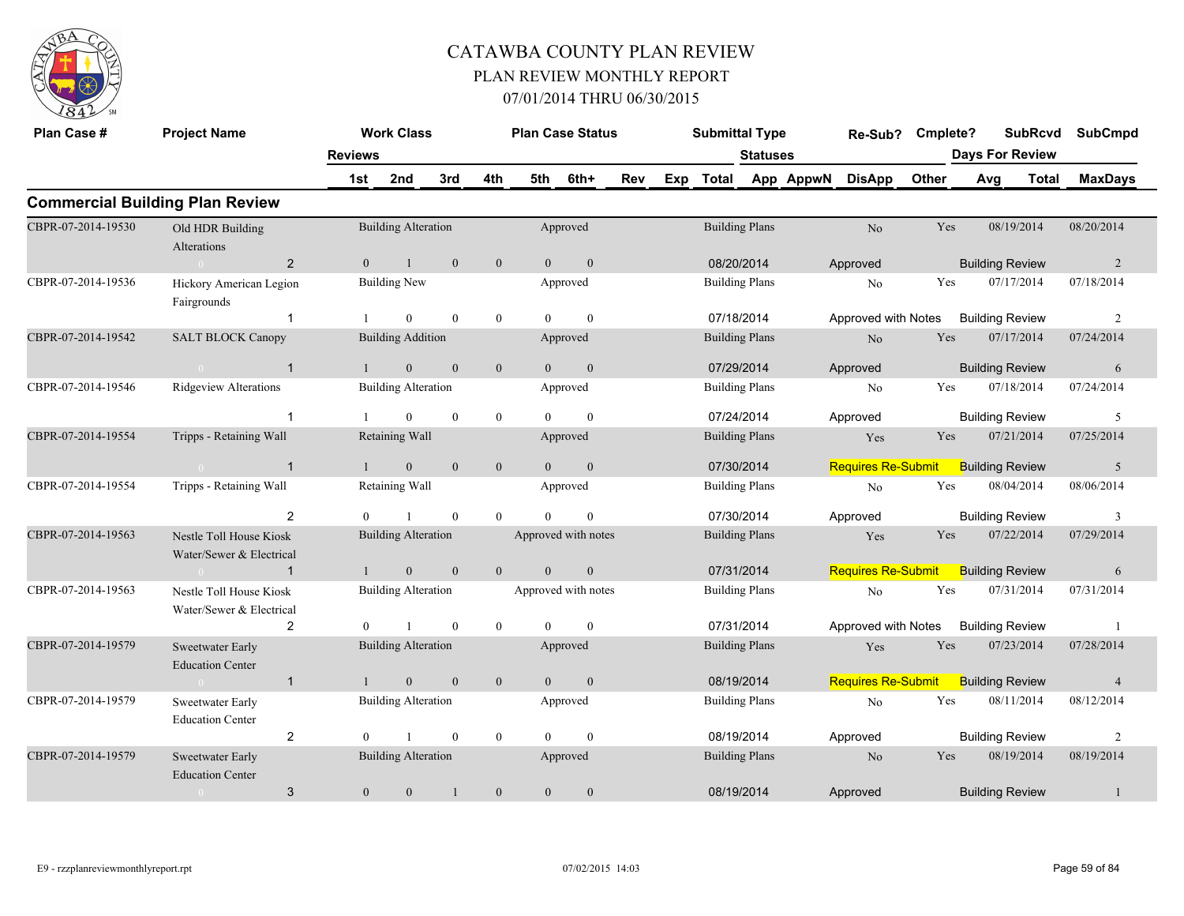

| Plan Case #        | <b>Project Name</b>                                 |                | <b>Work Class</b>          |              |                  |                | <b>Plan Case Status</b> |     |     | <b>Submittal Type</b> |                 |           | Re-Sub?                   | Cmplete? |     | <b>SubRcvd</b>         | <b>SubCmpd</b> |
|--------------------|-----------------------------------------------------|----------------|----------------------------|--------------|------------------|----------------|-------------------------|-----|-----|-----------------------|-----------------|-----------|---------------------------|----------|-----|------------------------|----------------|
|                    |                                                     | <b>Reviews</b> |                            |              |                  |                |                         |     |     |                       | <b>Statuses</b> |           |                           |          |     | <b>Days For Review</b> |                |
|                    |                                                     | 1st            | 2nd                        | 3rd          | 4th              | 5th            | 6th+                    | Rev | Exp | <b>Total</b>          |                 | App AppwN | <b>DisApp</b>             | Other    | Avg | Total                  | <b>MaxDays</b> |
|                    | <b>Commercial Building Plan Review</b>              |                |                            |              |                  |                |                         |     |     |                       |                 |           |                           |          |     |                        |                |
| CBPR-07-2014-19530 | Old HDR Building<br>Alterations                     |                | <b>Building Alteration</b> |              |                  |                | Approved                |     |     | <b>Building Plans</b> |                 |           | N <sub>o</sub>            | Yes      |     | 08/19/2014             | 08/20/2014     |
|                    | $\overline{2}$<br>$\bigcirc$                        | $\overline{0}$ |                            | $\mathbf{0}$ | $\mathbf{0}$     | $\overline{0}$ | $\boldsymbol{0}$        |     |     | 08/20/2014            |                 |           | Approved                  |          |     | <b>Building Review</b> | 2              |
| CBPR-07-2014-19536 | Hickory American Legion<br>Fairgrounds              |                | <b>Building New</b>        |              |                  |                | Approved                |     |     | <b>Building Plans</b> |                 |           | No                        | Yes      |     | 07/17/2014             | 07/18/2014     |
|                    | -1                                                  |                | $\Omega$                   | $\mathbf{0}$ | $\overline{0}$   | $\Omega$       | $\theta$                |     |     | 07/18/2014            |                 |           | Approved with Notes       |          |     | <b>Building Review</b> | $\overline{2}$ |
| CBPR-07-2014-19542 | <b>SALT BLOCK Canopy</b>                            |                | <b>Building Addition</b>   |              |                  |                | Approved                |     |     | <b>Building Plans</b> |                 |           | N <sub>o</sub>            | Yes      |     | 07/17/2014             | 07/24/2014     |
|                    | $\sim 0$<br>$\overline{1}$                          | $\overline{1}$ | $\mathbf{0}$               | $\mathbf{0}$ | $\overline{0}$   | $\Omega$       | $\mathbf{0}$            |     |     | 07/29/2014            |                 |           | Approved                  |          |     | <b>Building Review</b> | 6              |
| CBPR-07-2014-19546 | <b>Ridgeview Alterations</b>                        |                | <b>Building Alteration</b> |              |                  |                | Approved                |     |     | <b>Building Plans</b> |                 |           | No                        | Yes      |     | 07/18/2014             | 07/24/2014     |
|                    | $\overline{1}$                                      |                | $\Omega$                   | $\theta$     | $\mathbf{0}$     | $\Omega$       | $\theta$                |     |     | 07/24/2014            |                 |           | Approved                  |          |     | <b>Building Review</b> | 5              |
| CBPR-07-2014-19554 | Tripps - Retaining Wall                             |                | Retaining Wall             |              |                  |                | Approved                |     |     | <b>Building Plans</b> |                 |           | Yes                       | Yes      |     | 07/21/2014             | 07/25/2014     |
|                    | $\overline{1}$                                      |                | $\theta$                   | $\mathbf{0}$ | $\mathbf{0}$     | $\Omega$       | $\theta$                |     |     | 07/30/2014            |                 |           | <b>Requires Re-Submit</b> |          |     | <b>Building Review</b> | 5              |
| CBPR-07-2014-19554 | Tripps - Retaining Wall                             |                | Retaining Wall             |              |                  |                | Approved                |     |     | <b>Building Plans</b> |                 |           | No                        | Yes      |     | 08/04/2014             | 08/06/2014     |
|                    | 2                                                   | $\Omega$       |                            | $\mathbf{0}$ | $\overline{0}$   | $\Omega$       | $\theta$                |     |     | 07/30/2014            |                 |           | Approved                  |          |     | <b>Building Review</b> | 3              |
| CBPR-07-2014-19563 | Nestle Toll House Kiosk<br>Water/Sewer & Electrical |                | <b>Building Alteration</b> |              |                  |                | Approved with notes     |     |     | <b>Building Plans</b> |                 |           | Yes                       | Yes      |     | 07/22/2014             | 07/29/2014     |
|                    | $\overline{1}$                                      |                | $\mathbf{0}$               | $\mathbf{0}$ | $\mathbf{0}$     | $\overline{0}$ | $\boldsymbol{0}$        |     |     | 07/31/2014            |                 |           | <b>Requires Re-Submit</b> |          |     | <b>Building Review</b> | 6              |
| CBPR-07-2014-19563 | Nestle Toll House Kiosk<br>Water/Sewer & Electrical |                | <b>Building Alteration</b> |              |                  |                | Approved with notes     |     |     | <b>Building Plans</b> |                 |           | No                        | Yes      |     | 07/31/2014             | 07/31/2014     |
|                    | 2                                                   | $\Omega$       |                            | $\mathbf{0}$ | $\mathbf{0}$     | $\Omega$       | $\theta$                |     |     | 07/31/2014            |                 |           | Approved with Notes       |          |     | <b>Building Review</b> | $\overline{1}$ |
| CBPR-07-2014-19579 | Sweetwater Early<br><b>Education Center</b>         |                | <b>Building Alteration</b> |              |                  |                | Approved                |     |     | <b>Building Plans</b> |                 |           | Yes                       | Yes      |     | 07/23/2014             | 07/28/2014     |
|                    | $\overline{1}$<br>$\bigcap$                         |                | $\mathbf{0}$               | $\mathbf{0}$ | $\mathbf{0}$     | $\overline{0}$ | $\mathbf{0}$            |     |     | 08/19/2014            |                 |           | <b>Requires Re-Submit</b> |          |     | <b>Building Review</b> | $\overline{4}$ |
| CBPR-07-2014-19579 | Sweetwater Early<br><b>Education Center</b>         |                | <b>Building Alteration</b> |              |                  |                | Approved                |     |     | <b>Building Plans</b> |                 |           | $\rm No$                  | Yes      |     | 08/11/2014             | 08/12/2014     |
|                    | $\overline{2}$                                      | $\Omega$       |                            | $\mathbf{0}$ | $\mathbf{0}$     | $\Omega$       | $\theta$                |     |     | 08/19/2014            |                 |           | Approved                  |          |     | <b>Building Review</b> | $\overline{2}$ |
| CBPR-07-2014-19579 | Sweetwater Early<br><b>Education Center</b>         |                | <b>Building Alteration</b> |              |                  |                | Approved                |     |     | <b>Building Plans</b> |                 |           | N <sub>o</sub>            | Yes      |     | 08/19/2014             | 08/19/2014     |
|                    | 3<br>$\overline{0}$                                 | $\overline{0}$ | $\mathbf{0}$               | $\mathbf{1}$ | $\boldsymbol{0}$ | $\overline{0}$ | $\theta$                |     |     | 08/19/2014            |                 |           | Approved                  |          |     | <b>Building Review</b> | $\mathbf{1}$   |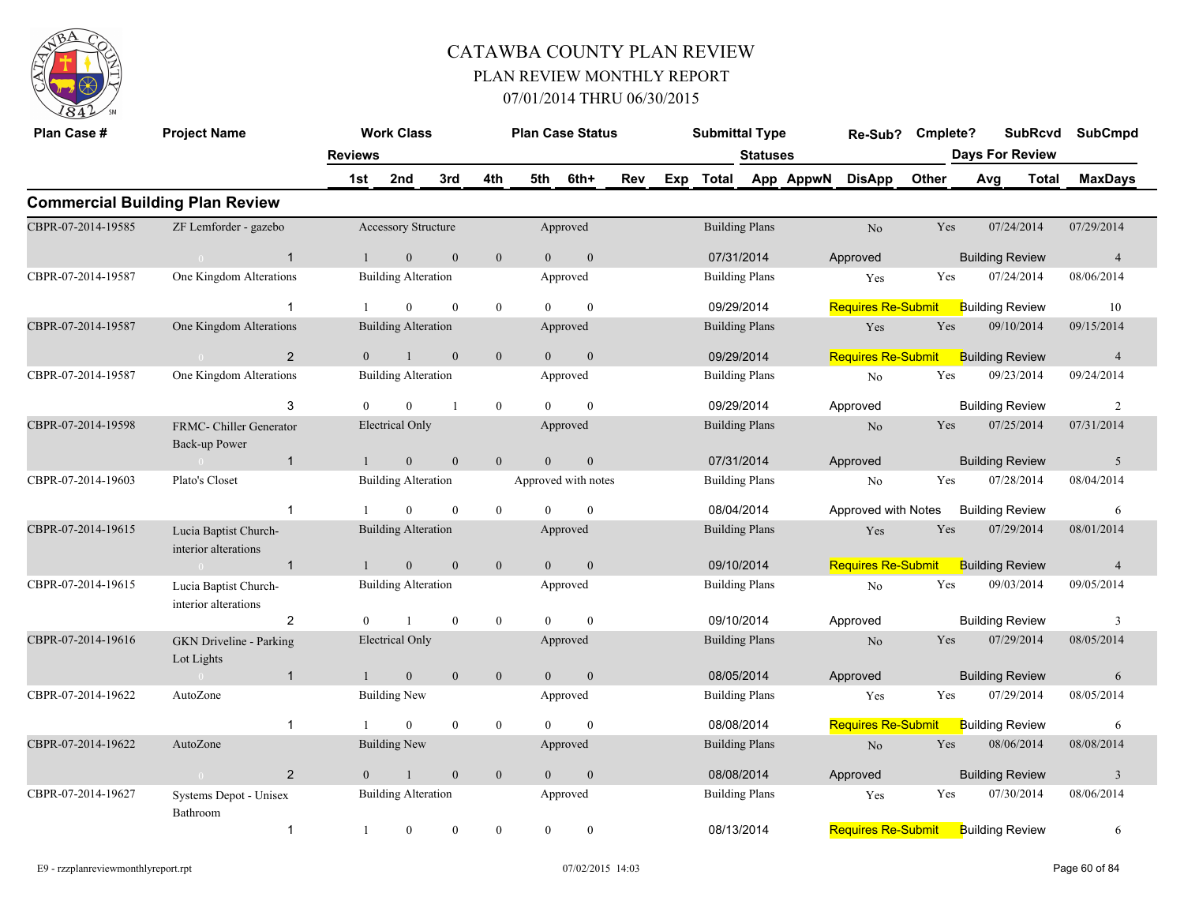

| Plan Case #        | <b>Project Name</b>                           |                | <b>Work Class</b>          |              |                  |          | <b>Plan Case Status</b> |     | <b>Submittal Type</b> |                 |           | Re-Sub?                   | Cmplete? |                        | <b>SubRcvd</b>         |       | SubCmpd                 |
|--------------------|-----------------------------------------------|----------------|----------------------------|--------------|------------------|----------|-------------------------|-----|-----------------------|-----------------|-----------|---------------------------|----------|------------------------|------------------------|-------|-------------------------|
|                    |                                               | <b>Reviews</b> |                            |              |                  |          |                         |     |                       | <b>Statuses</b> |           |                           |          | <b>Days For Review</b> |                        |       |                         |
|                    |                                               | 1st            | 2nd                        | 3rd          | 4th              | 5th      | 6th+                    | Rev | Exp Total             |                 | App AppwN | <b>DisApp</b>             | Other    | Avg                    |                        | Total | <b>MaxDays</b>          |
|                    | <b>Commercial Building Plan Review</b>        |                |                            |              |                  |          |                         |     |                       |                 |           |                           |          |                        |                        |       |                         |
| CBPR-07-2014-19585 | ZF Lemforder - gazebo                         |                | Accessory Structure        |              |                  |          | Approved                |     | <b>Building Plans</b> |                 |           | N <sub>o</sub>            | Yes      |                        | 07/24/2014             |       | 07/29/2014              |
|                    | $\overline{1}$<br>$\bigcap$                   |                | $\overline{0}$             | $\mathbf{0}$ | $\mathbf{0}$     | $\theta$ | $\boldsymbol{0}$        |     | 07/31/2014            |                 |           | Approved                  |          |                        | <b>Building Review</b> |       | $\overline{4}$          |
| CBPR-07-2014-19587 | One Kingdom Alterations                       |                | <b>Building Alteration</b> |              |                  |          | Approved                |     | <b>Building Plans</b> |                 |           | Yes                       | Yes      |                        | 07/24/2014             |       | 08/06/2014              |
|                    |                                               |                | $\theta$                   | $\theta$     | $\mathbf{0}$     | $\theta$ | $\theta$                |     | 09/29/2014            |                 |           | <b>Requires Re-Submit</b> |          |                        | <b>Building Review</b> |       | 10                      |
| CBPR-07-2014-19587 | One Kingdom Alterations                       |                | <b>Building Alteration</b> |              |                  |          | Approved                |     | <b>Building Plans</b> |                 |           | Yes                       | Yes      |                        | 09/10/2014             |       | 09/15/2014              |
|                    | $\overline{2}$<br>$\overline{0}$              | $\overline{0}$ |                            | $\mathbf{0}$ | $\mathbf{0}$     | $\theta$ | $\mathbf{0}$            |     | 09/29/2014            |                 |           | <b>Requires Re-Submit</b> |          |                        | <b>Building Review</b> |       | $\overline{4}$          |
| CBPR-07-2014-19587 | One Kingdom Alterations                       |                | <b>Building Alteration</b> |              |                  |          | Approved                |     | <b>Building Plans</b> |                 |           | No                        | Yes      |                        | 09/23/2014             |       | 09/24/2014              |
|                    | 3                                             | $\Omega$       | $\theta$                   |              | $\overline{0}$   | $\Omega$ | $\theta$                |     | 09/29/2014            |                 |           | Approved                  |          |                        | <b>Building Review</b> |       | $\overline{2}$          |
| CBPR-07-2014-19598 | FRMC- Chiller Generator<br>Back-up Power      |                | <b>Electrical Only</b>     |              |                  |          | Approved                |     | <b>Building Plans</b> |                 |           | $\rm No$                  | Yes      |                        | 07/25/2014             |       | 07/31/2014              |
|                    | $\mathbf{1}$                                  |                | $\mathbf{0}$               | $\mathbf{0}$ | $\overline{0}$   | $\theta$ | $\mathbf{0}$            |     | 07/31/2014            |                 |           | Approved                  |          |                        | <b>Building Review</b> |       | 5                       |
| CBPR-07-2014-19603 | Plato's Closet                                |                | <b>Building Alteration</b> |              |                  |          | Approved with notes     |     | <b>Building Plans</b> |                 |           | No                        | Yes      |                        | 07/28/2014             |       | 08/04/2014              |
|                    | -1                                            |                | $\overline{0}$             | $\mathbf{0}$ | $\boldsymbol{0}$ | $\theta$ | $\mathbf{0}$            |     | 08/04/2014            |                 |           | Approved with Notes       |          |                        | <b>Building Review</b> |       | 6                       |
| CBPR-07-2014-19615 | Lucia Baptist Church-<br>interior alterations |                | <b>Building Alteration</b> |              |                  |          | Approved                |     | <b>Building Plans</b> |                 |           | Yes                       | Yes      |                        | 07/29/2014             |       | 08/01/2014              |
|                    | $\overline{1}$                                |                | $\mathbf{0}$               | $\mathbf{0}$ | $\mathbf{0}$     | $\theta$ | $\mathbf{0}$            |     | 09/10/2014            |                 |           | <b>Requires Re-Submit</b> |          |                        | <b>Building Review</b> |       | $\overline{4}$          |
| CBPR-07-2014-19615 | Lucia Baptist Church-<br>interior alterations |                | <b>Building Alteration</b> |              |                  |          | Approved                |     | <b>Building Plans</b> |                 |           | N <sub>o</sub>            | Yes      |                        | 09/03/2014             |       | 09/05/2014              |
|                    | $\overline{2}$                                | $\Omega$       |                            | $\mathbf{0}$ | $\mathbf{0}$     | $\Omega$ | $\mathbf{0}$            |     | 09/10/2014            |                 |           | Approved                  |          |                        | <b>Building Review</b> |       | 3                       |
| CBPR-07-2014-19616 | <b>GKN</b> Driveline - Parking<br>Lot Lights  |                | <b>Electrical Only</b>     |              |                  |          | Approved                |     | <b>Building Plans</b> |                 |           | N <sub>o</sub>            | Yes      |                        | 07/29/2014             |       | 08/05/2014              |
|                    | $\overline{1}$                                |                | $\mathbf{0}$               | $\mathbf{0}$ | $\mathbf{0}$     | $\theta$ | $\mathbf{0}$            |     | 08/05/2014            |                 |           | Approved                  |          |                        | <b>Building Review</b> |       | 6                       |
| CBPR-07-2014-19622 | AutoZone                                      |                | <b>Building New</b>        |              |                  |          | Approved                |     | <b>Building Plans</b> |                 |           | Yes                       | Yes      |                        | 07/29/2014             |       | 08/05/2014              |
|                    | -1                                            |                | $\theta$                   | $\mathbf{0}$ | $\overline{0}$   | $\Omega$ | $\theta$                |     | 08/08/2014            |                 |           | <b>Requires Re-Submit</b> |          |                        | <b>Building Review</b> |       | 6                       |
| CBPR-07-2014-19622 | AutoZone                                      |                | <b>Building New</b>        |              |                  |          | Approved                |     | <b>Building Plans</b> |                 |           | N <sub>o</sub>            | Yes      |                        | 08/06/2014             |       | 08/08/2014              |
|                    | $\overline{2}$<br>$\bigcirc$                  | $\theta$       | $\mathbf{1}$               | $\mathbf{0}$ | $\boldsymbol{0}$ | $\theta$ | $\boldsymbol{0}$        |     | 08/08/2014            |                 |           | Approved                  |          |                        | <b>Building Review</b> |       | $\overline{\mathbf{3}}$ |
| CBPR-07-2014-19627 | Systems Depot - Unisex<br>Bathroom            |                | <b>Building Alteration</b> |              |                  |          | Approved                |     | <b>Building Plans</b> |                 |           | Yes                       | Yes      |                        | 07/30/2014             |       | 08/06/2014              |
|                    | $\mathbf{1}$                                  | -1             | $\overline{0}$             | $\mathbf{0}$ | $\mathbf{0}$     | $\theta$ | $\theta$                |     | 08/13/2014            |                 |           | <b>Requires Re-Submit</b> |          |                        | <b>Building Review</b> |       | 6                       |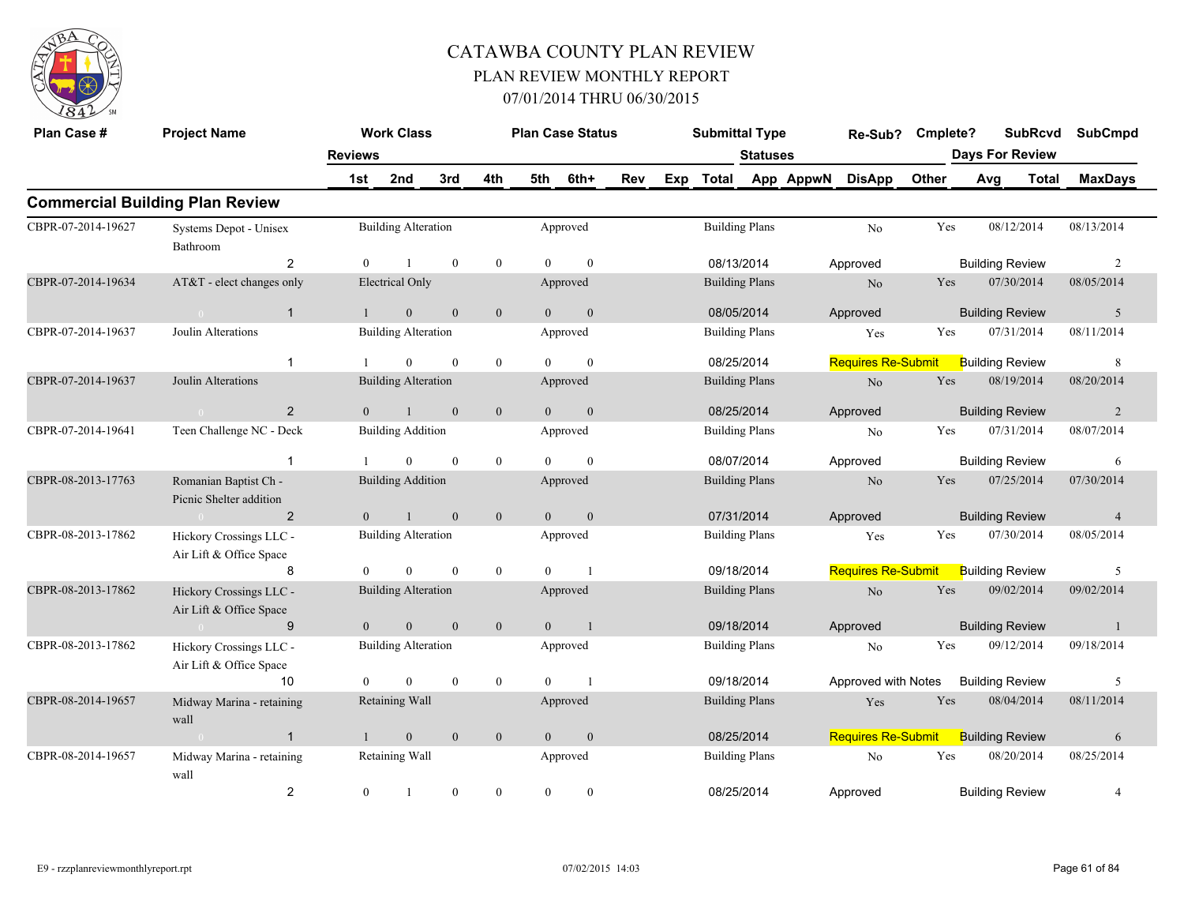

| Plan Case #        | <b>Project Name</b>                                |                  | <b>Work Class</b>          |                  |                  |                | <b>Plan Case Status</b> |     |     | <b>Submittal Type</b> |                 |           | Re-Sub?                   | Cmplete? |     | <b>SubRcvd</b>         |       | <b>SubCmpd</b> |
|--------------------|----------------------------------------------------|------------------|----------------------------|------------------|------------------|----------------|-------------------------|-----|-----|-----------------------|-----------------|-----------|---------------------------|----------|-----|------------------------|-------|----------------|
|                    |                                                    | <b>Reviews</b>   |                            |                  |                  |                |                         |     |     |                       | <b>Statuses</b> |           |                           |          |     | <b>Days For Review</b> |       |                |
|                    |                                                    | 1st              | 2nd                        | 3rd              | 4th              | 5th            | 6th+                    | Rev | Exp | <b>Total</b>          |                 | App AppwN | <b>DisApp</b>             | Other    | Avg |                        | Total | <b>MaxDays</b> |
|                    | <b>Commercial Building Plan Review</b>             |                  |                            |                  |                  |                |                         |     |     |                       |                 |           |                           |          |     |                        |       |                |
| CBPR-07-2014-19627 | Systems Depot - Unisex<br>Bathroom                 |                  | <b>Building Alteration</b> |                  |                  |                | Approved                |     |     | <b>Building Plans</b> |                 |           | No                        | Yes      |     | 08/12/2014             |       | 08/13/2014     |
|                    | 2                                                  | $\theta$         |                            | $\mathbf{0}$     | $\mathbf{0}$     | $\Omega$       | $\mathbf{0}$            |     |     | 08/13/2014            |                 |           | Approved                  |          |     | <b>Building Review</b> |       | 2              |
| CBPR-07-2014-19634 | AT&T - elect changes only                          |                  | <b>Electrical Only</b>     |                  |                  |                | Approved                |     |     | <b>Building Plans</b> |                 |           | N <sub>o</sub>            | Yes      |     | 07/30/2014             |       | 08/05/2014     |
|                    | $\mathbf{1}$<br>$\sim 0$                           | $\mathbf{1}$     | $\overline{0}$             | $\boldsymbol{0}$ | $\mathbf{0}$     | $\overline{0}$ | $\mathbf{0}$            |     |     | 08/05/2014            |                 |           | Approved                  |          |     | <b>Building Review</b> |       | 5              |
| CBPR-07-2014-19637 | Joulin Alterations                                 |                  | <b>Building Alteration</b> |                  |                  |                | Approved                |     |     | <b>Building Plans</b> |                 |           | Yes                       | Yes      |     | 07/31/2014             |       | 08/11/2014     |
|                    | 1                                                  |                  | $\overline{0}$             | $\mathbf{0}$     | $\mathbf{0}$     | $\Omega$       | $\mathbf{0}$            |     |     | 08/25/2014            |                 |           | <b>Requires Re-Submit</b> |          |     | <b>Building Review</b> |       | 8              |
| CBPR-07-2014-19637 | Joulin Alterations                                 |                  | <b>Building Alteration</b> |                  |                  |                | Approved                |     |     | <b>Building Plans</b> |                 |           | $\rm No$                  | Yes      |     | 08/19/2014             |       | 08/20/2014     |
|                    | $\overline{2}$                                     | $\theta$         |                            | $\mathbf{0}$     | $\mathbf{0}$     | $\theta$       | $\mathbf{0}$            |     |     | 08/25/2014            |                 |           | Approved                  |          |     | <b>Building Review</b> |       | 2              |
| CBPR-07-2014-19641 | Teen Challenge NC - Deck                           |                  | <b>Building Addition</b>   |                  |                  |                | Approved                |     |     | <b>Building Plans</b> |                 |           | N <sub>o</sub>            | Yes      |     | 07/31/2014             |       | 08/07/2014     |
|                    | $\mathbf{1}$                                       |                  | $\overline{0}$             | $\mathbf{0}$     | $\mathbf{0}$     | $\Omega$       | $\mathbf{0}$            |     |     | 08/07/2014            |                 |           | Approved                  |          |     | <b>Building Review</b> |       | 6              |
| CBPR-08-2013-17763 | Romanian Baptist Ch -<br>Picnic Shelter addition   |                  | <b>Building Addition</b>   |                  |                  |                | Approved                |     |     | <b>Building Plans</b> |                 |           | N <sub>o</sub>            | Yes      |     | 07/25/2014             |       | 07/30/2014     |
|                    | $\overline{2}$                                     | $\mathbf{0}$     |                            | $\mathbf{0}$     | $\boldsymbol{0}$ | $\overline{0}$ | $\mathbf{0}$            |     |     | 07/31/2014            |                 |           | Approved                  |          |     | <b>Building Review</b> |       | $\overline{4}$ |
| CBPR-08-2013-17862 | Hickory Crossings LLC -<br>Air Lift & Office Space |                  | <b>Building Alteration</b> |                  |                  |                | Approved                |     |     | <b>Building Plans</b> |                 |           | Yes                       | Yes      |     | 07/30/2014             |       | 08/05/2014     |
|                    | $\mathsf{R}$                                       | $\Omega$         | $\overline{0}$             | $\mathbf{0}$     | $\mathbf{0}$     | $\Omega$       | $\overline{1}$          |     |     | 09/18/2014            |                 |           | <b>Requires Re-Submit</b> |          |     | <b>Building Review</b> |       | 5              |
| CBPR-08-2013-17862 | Hickory Crossings LLC -<br>Air Lift & Office Space |                  | <b>Building Alteration</b> |                  |                  |                | Approved                |     |     | <b>Building Plans</b> |                 |           | $\rm No$                  | Yes      |     | 09/02/2014             |       | 09/02/2014     |
|                    | 9<br>$\bigcap$                                     | $\overline{0}$   | $\overline{0}$             | $\boldsymbol{0}$ | $\mathbf{0}$     | $\overline{0}$ | $\overline{1}$          |     |     | 09/18/2014            |                 |           | Approved                  |          |     | <b>Building Review</b> |       | $\mathbf{1}$   |
| CBPR-08-2013-17862 | Hickory Crossings LLC -<br>Air Lift & Office Space |                  | <b>Building Alteration</b> |                  |                  |                | Approved                |     |     | <b>Building Plans</b> |                 |           | No                        | Yes      |     | 09/12/2014             |       | 09/18/2014     |
|                    | 10                                                 | $\Omega$         | $\Omega$                   | $\mathbf{0}$     | $\mathbf{0}$     | $\Omega$       | $\overline{1}$          |     |     | 09/18/2014            |                 |           | Approved with Notes       |          |     | <b>Building Review</b> |       | 5              |
| CBPR-08-2014-19657 | Midway Marina - retaining<br>wall                  |                  | Retaining Wall             |                  |                  |                | Approved                |     |     | <b>Building Plans</b> |                 |           | Yes                       | Yes      |     | 08/04/2014             |       | 08/11/2014     |
|                    | $\mathbf{1}$                                       |                  | $\overline{0}$             | $\mathbf{0}$     | $\mathbf{0}$     | $\theta$       | $\mathbf{0}$            |     |     | 08/25/2014            |                 |           | <b>Requires Re-Submit</b> |          |     | <b>Building Review</b> |       | 6              |
| CBPR-08-2014-19657 | Midway Marina - retaining<br>wall                  |                  | Retaining Wall             |                  |                  |                | Approved                |     |     | <b>Building Plans</b> |                 |           | No                        | Yes      |     | 08/20/2014             |       | 08/25/2014     |
|                    | $\overline{\mathbf{c}}$                            | $\boldsymbol{0}$ |                            | $\mathbf{0}$     | $\overline{0}$   | $\mathbf{0}$   | $\boldsymbol{0}$        |     |     | 08/25/2014            |                 |           | Approved                  |          |     | <b>Building Review</b> |       | $\overline{4}$ |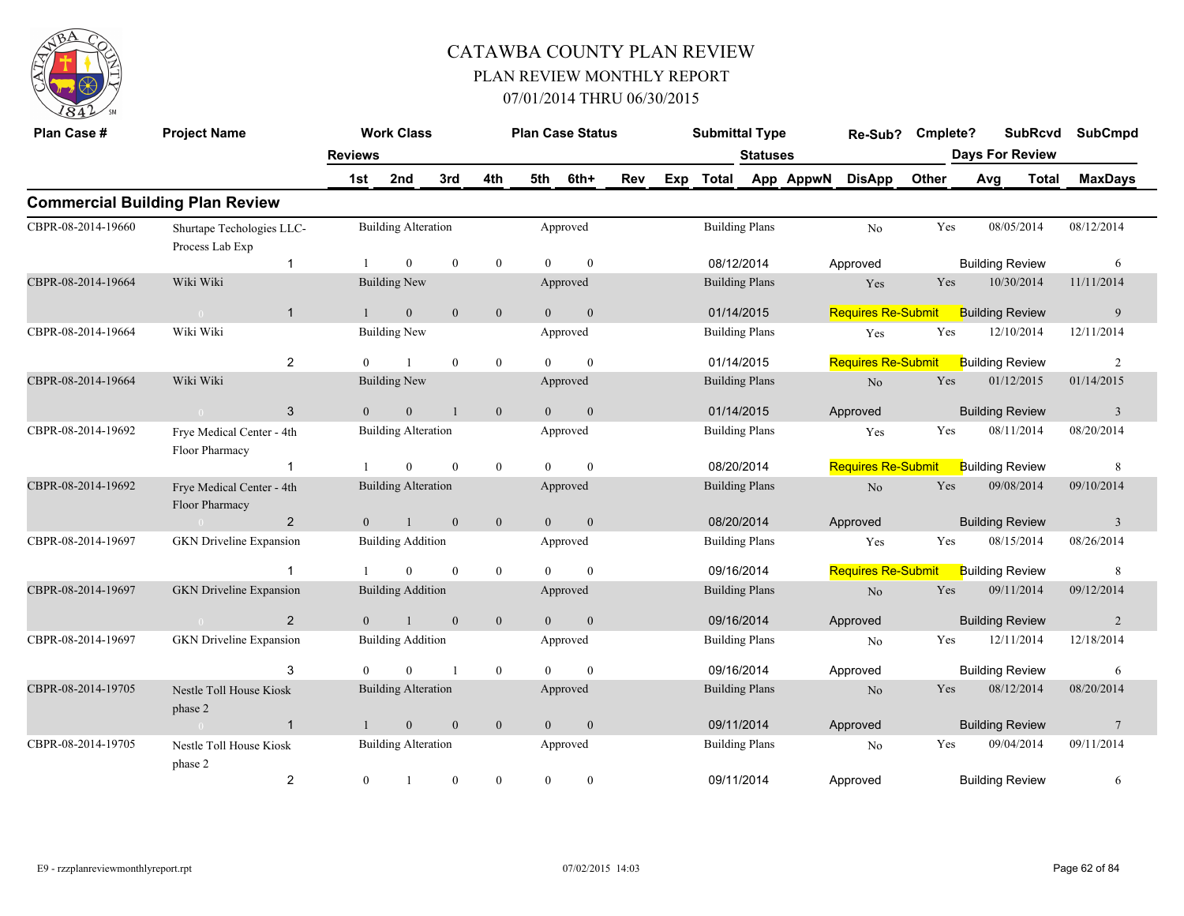

| Plan Case #        | <b>Project Name</b>                          |                | <b>Work Class</b>          |                  |                  |                | <b>Plan Case Status</b> |     |     | <b>Submittal Type</b>                             |                       |           | Re-Sub?                   | Cmplete? |     | <b>SubRcvd</b>         |              | <b>SubCmpd</b>          |
|--------------------|----------------------------------------------|----------------|----------------------------|------------------|------------------|----------------|-------------------------|-----|-----|---------------------------------------------------|-----------------------|-----------|---------------------------|----------|-----|------------------------|--------------|-------------------------|
|                    |                                              | <b>Reviews</b> |                            |                  |                  |                |                         |     |     |                                                   | <b>Statuses</b>       |           |                           |          |     | <b>Days For Review</b> |              |                         |
|                    |                                              | 1st            | 2nd                        | 3rd              | 4th              | 5th            | 6th+                    | Rev | Exp | <b>Total</b>                                      |                       | App AppwN | <b>DisApp</b>             | Other    | Avg |                        | <b>Total</b> | <b>MaxDays</b>          |
|                    | <b>Commercial Building Plan Review</b>       |                |                            |                  |                  |                |                         |     |     |                                                   |                       |           |                           |          |     |                        |              |                         |
| CBPR-08-2014-19660 | Shurtape Techologies LLC-<br>Process Lab Exp |                | <b>Building Alteration</b> |                  |                  |                | Approved                |     |     | <b>Building Plans</b>                             |                       |           | N <sub>0</sub>            | Yes      |     | 08/05/2014             |              | 08/12/2014              |
|                    | $\mathbf{1}$                                 |                | $\mathbf{0}$               | $\mathbf{0}$     | $\boldsymbol{0}$ | $\theta$       | $\mathbf{0}$            |     |     | 08/12/2014<br><b>Building Plans</b>               |                       |           | Approved                  |          |     | <b>Building Review</b> |              | 6                       |
| CBPR-08-2014-19664 | Wiki Wiki                                    |                | <b>Building New</b>        |                  |                  |                | Approved                |     |     |                                                   |                       |           | Yes                       | Yes      |     | 10/30/2014             |              | 11/11/2014              |
|                    | $\overline{1}$                               |                | $\mathbf{0}$               | $\mathbf{0}$     | $\mathbf{0}$     | $\Omega$       | $\mathbf{0}$            |     |     |                                                   |                       |           | <b>Requires Re-Submit</b> |          |     | <b>Building Review</b> |              | 9                       |
| CBPR-08-2014-19664 | Wiki Wiki                                    |                | <b>Building New</b>        |                  |                  |                | Approved                |     |     | 01/14/2015<br><b>Building Plans</b><br>01/14/2015 |                       |           | Yes                       | Yes      |     | 12/10/2014             |              | 12/11/2014              |
|                    | 2                                            | $\theta$       | $\overline{1}$             | $\mathbf{0}$     | $\boldsymbol{0}$ | $\Omega$       | $\mathbf{0}$            |     |     |                                                   |                       |           | <b>Requires Re-Submit</b> |          |     | <b>Building Review</b> |              | $\overline{c}$          |
| CBPR-08-2014-19664 | Wiki Wiki                                    |                | <b>Building New</b>        |                  |                  |                | Approved                |     |     | <b>Building Plans</b>                             |                       |           | No                        | Yes      |     | 01/12/2015             |              | 01/14/2015              |
|                    | 3                                            | $\theta$       | $\overline{0}$             |                  | $\mathbf{0}$     | $\Omega$       | $\mathbf{0}$            |     |     | 01/14/2015                                        |                       |           | Approved                  |          |     | <b>Building Review</b> |              | $\overline{3}$          |
| CBPR-08-2014-19692 | Frye Medical Center - 4th<br>Floor Pharmacy  |                | <b>Building Alteration</b> |                  |                  |                | Approved                |     |     |                                                   | <b>Building Plans</b> |           | Yes                       | Yes      |     | 08/11/2014             |              | 08/20/2014              |
|                    | $\overline{1}$                               |                | $\theta$                   | $\Omega$         | $\mathbf{0}$     | $\Omega$       | $\theta$                |     |     | 08/20/2014                                        |                       |           | <b>Requires Re-Submit</b> |          |     | <b>Building Review</b> |              | 8                       |
| CBPR-08-2014-19692 | Frye Medical Center - 4th<br>Floor Pharmacy  |                | <b>Building Alteration</b> |                  |                  |                | Approved                |     |     | <b>Building Plans</b>                             |                       |           | No                        | Yes      |     | 09/08/2014             |              | 09/10/2014              |
|                    | $\overline{2}$<br>$\bigcap$                  | $\overline{0}$ | $\overline{1}$             | $\mathbf{0}$     | $\mathbf{0}$     | $\overline{0}$ | $\boldsymbol{0}$        |     |     | 08/20/2014                                        |                       |           | Approved                  |          |     | <b>Building Review</b> |              | $\overline{\mathbf{3}}$ |
| CBPR-08-2014-19697 | <b>GKN</b> Driveline Expansion               |                | <b>Building Addition</b>   |                  |                  |                | Approved                |     |     | <b>Building Plans</b>                             |                       |           | Yes                       | Yes      |     | 08/15/2014             |              | 08/26/2014              |
|                    | $\overline{1}$                               |                | $\theta$                   | $\mathbf{0}$     | $\boldsymbol{0}$ | $\theta$       | $\mathbf{0}$            |     |     | 09/16/2014                                        |                       |           | <b>Requires Re-Submit</b> |          |     | <b>Building Review</b> |              | 8                       |
| CBPR-08-2014-19697 | <b>GKN</b> Driveline Expansion               |                | <b>Building Addition</b>   |                  |                  |                | Approved                |     |     |                                                   | <b>Building Plans</b> |           | N <sub>o</sub>            | Yes      |     | 09/11/2014             |              | 09/12/2014              |
|                    | 2                                            | $\mathbf{0}$   |                            | $\mathbf{0}$     | $\mathbf{0}$     | $\mathbf{0}$   | $\mathbf{0}$            |     |     | 09/16/2014                                        |                       |           | Approved                  |          |     | <b>Building Review</b> |              | 2                       |
| CBPR-08-2014-19697 | <b>GKN</b> Driveline Expansion               |                | <b>Building Addition</b>   |                  |                  |                | Approved                |     |     |                                                   | <b>Building Plans</b> |           | N <sub>o</sub>            | Yes      |     | 12/11/2014             |              | 12/18/2014              |
|                    | 3                                            | $\theta$       | $\theta$                   | $\mathbf{1}$     | $\boldsymbol{0}$ | $\theta$       | $\mathbf{0}$            |     |     |                                                   |                       |           | Approved                  |          |     | <b>Building Review</b> |              | 6                       |
| CBPR-08-2014-19705 | Nestle Toll House Kiosk<br>phase 2           |                | <b>Building Alteration</b> |                  |                  |                | Approved                |     |     | 09/16/2014<br><b>Building Plans</b>               |                       |           | N <sub>o</sub>            | Yes      |     | 08/12/2014             |              | 08/20/2014              |
|                    | $\overline{1}$                               |                | $\overline{0}$             | $\mathbf{0}$     | $\mathbf{0}$     | $\overline{0}$ | $\mathbf{0}$            |     |     | 09/11/2014                                        |                       |           | Approved                  |          |     | <b>Building Review</b> |              | $\overline{7}$          |
| CBPR-08-2014-19705 | Nestle Toll House Kiosk<br>phase 2           |                | <b>Building Alteration</b> |                  |                  |                | Approved                |     |     | <b>Building Plans</b>                             |                       |           | No                        | Yes      |     | 09/04/2014             |              | 09/11/2014              |
|                    | $\overline{c}$                               | $\overline{0}$ |                            | $\boldsymbol{0}$ | $\boldsymbol{0}$ | $\overline{0}$ | $\boldsymbol{0}$        |     |     | 09/11/2014                                        |                       |           | Approved                  |          |     | <b>Building Review</b> |              | 6                       |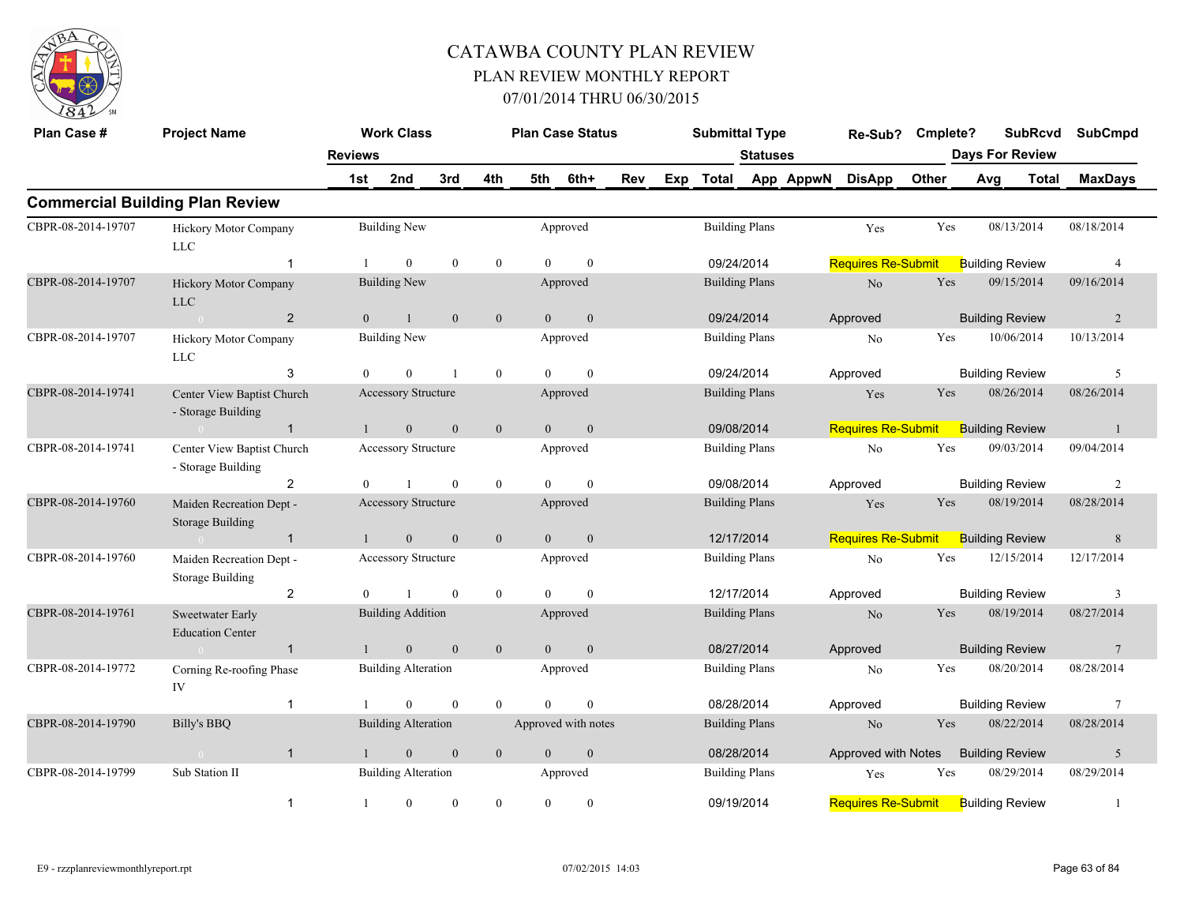

| Plan Case #        | <b>Project Name</b>                                 |                | <b>Work Class</b>          |                |                  |                | <b>Plan Case Status</b> |     |     | <b>Submittal Type</b>               |                 |           | Re-Sub?                   | Cmplete? |     | <b>SubRcvd</b>         |       | <b>SubCmpd</b>  |
|--------------------|-----------------------------------------------------|----------------|----------------------------|----------------|------------------|----------------|-------------------------|-----|-----|-------------------------------------|-----------------|-----------|---------------------------|----------|-----|------------------------|-------|-----------------|
|                    |                                                     | <b>Reviews</b> |                            |                |                  |                |                         |     |     |                                     | <b>Statuses</b> |           |                           |          |     | <b>Days For Review</b> |       |                 |
|                    |                                                     | 1st            | 2nd                        | 3rd            | 4th              | 5th            | 6th+                    | Rev | Exp | <b>Total</b>                        |                 | App AppwN | <b>DisApp</b>             | Other    | Avg |                        | Total | <b>MaxDays</b>  |
|                    | <b>Commercial Building Plan Review</b>              |                |                            |                |                  |                |                         |     |     |                                     |                 |           |                           |          |     |                        |       |                 |
| CBPR-08-2014-19707 | Hickory Motor Company<br>$_{\rm LLC}$               |                | <b>Building New</b>        |                |                  |                | Approved                |     |     | <b>Building Plans</b>               |                 |           | Yes                       | Yes      |     | 08/13/2014             |       | 08/18/2014      |
|                    | -1                                                  |                | $\theta$                   | $\mathbf{0}$   | $\mathbf{0}$     | $\theta$       | $\mathbf{0}$            |     |     | 09/24/2014<br><b>Building Plans</b> |                 |           | <b>Requires Re-Submit</b> |          |     | <b>Building Review</b> |       | $\overline{4}$  |
| CBPR-08-2014-19707 | Hickory Motor Company<br><b>LLC</b>                 |                | <b>Building New</b>        |                |                  |                | Approved                |     |     | 09/24/2014                          |                 |           | No                        | Yes      |     | 09/15/2014             |       | 09/16/2014      |
|                    | 2                                                   | $\overline{0}$ | $\mathbf{1}$               | $\mathbf{0}$   | $\mathbf{0}$     | $\overline{0}$ | $\mathbf{0}$            |     |     |                                     |                 |           | Approved                  |          |     | <b>Building Review</b> |       | 2               |
| CBPR-08-2014-19707 | Hickory Motor Company<br>LLC                        |                | <b>Building New</b>        |                |                  |                | Approved                |     |     | <b>Building Plans</b><br>09/24/2014 |                 |           | No                        | Yes      |     | 10/06/2014             |       | 10/13/2014      |
|                    | 3                                                   | $\overline{0}$ | $\mathbf{0}$               | $\overline{1}$ | $\boldsymbol{0}$ | $\Omega$       | $\mathbf{0}$            |     |     |                                     |                 |           | Approved                  |          |     | <b>Building Review</b> |       | 5               |
| CBPR-08-2014-19741 | Center View Baptist Church<br>- Storage Building    |                | Accessory Structure        |                |                  |                | Approved                |     |     | <b>Building Plans</b>               |                 |           | Yes                       | Yes      |     | 08/26/2014             |       | 08/26/2014      |
|                    | $\mathbf{1}$                                        |                | $\overline{0}$             | $\mathbf{0}$   | $\mathbf{0}$     | $\Omega$       | $\overline{0}$          |     |     | 09/08/2014                          |                 |           | <b>Requires Re-Submit</b> |          |     | <b>Building Review</b> |       | -1              |
| CBPR-08-2014-19741 | Center View Baptist Church<br>- Storage Building    |                | Accessory Structure        |                |                  |                | Approved                |     |     | <b>Building Plans</b>               |                 |           | No                        | Yes      |     | 09/03/2014             |       | 09/04/2014      |
|                    | $\overline{2}$                                      | $\theta$       |                            | $\theta$       | $\mathbf{0}$     | $\theta$       | $\theta$                |     |     | 09/08/2014                          |                 |           | Approved                  |          |     | <b>Building Review</b> |       | $\overline{c}$  |
| CBPR-08-2014-19760 | Maiden Recreation Dept -<br><b>Storage Building</b> |                | Accessory Structure        |                |                  |                | Approved                |     |     | <b>Building Plans</b>               |                 |           | Yes                       | Yes      |     | 08/19/2014             |       | 08/28/2014      |
|                    | $\mathbf{1}$                                        |                | $\overline{0}$             | $\mathbf{0}$   | $\mathbf{0}$     | $\overline{0}$ | $\boldsymbol{0}$        |     |     | 12/17/2014                          |                 |           | <b>Requires Re-Submit</b> |          |     | <b>Building Review</b> |       | $\,$ 8 $\,$     |
| CBPR-08-2014-19760 | Maiden Recreation Dept -<br><b>Storage Building</b> |                | Accessory Structure        |                |                  |                | Approved                |     |     | <b>Building Plans</b>               |                 |           | No                        | Yes      |     | 12/15/2014             |       | 12/17/2014      |
|                    | $\overline{2}$                                      | $\theta$       |                            | $\theta$       | $\mathbf{0}$     | $\theta$       | $\theta$                |     |     | 12/17/2014                          |                 |           | Approved                  |          |     | <b>Building Review</b> |       | 3               |
| CBPR-08-2014-19761 | Sweetwater Early<br><b>Education Center</b>         |                | <b>Building Addition</b>   |                |                  |                | Approved                |     |     | <b>Building Plans</b>               |                 |           | No                        | Yes      |     | 08/19/2014             |       | 08/27/2014      |
|                    | $\mathbf{1}$                                        |                | $\mathbf{0}$               | $\mathbf{0}$   | $\mathbf{0}$     | $\overline{0}$ | $\boldsymbol{0}$        |     |     | 08/27/2014                          |                 |           | Approved                  |          |     | <b>Building Review</b> |       | $7\phantom{.0}$ |
| CBPR-08-2014-19772 | Corning Re-roofing Phase<br>IV                      |                | <b>Building Alteration</b> |                |                  |                | Approved                |     |     | <b>Building Plans</b>               |                 |           | N <sub>o</sub>            | Yes      |     | 08/20/2014             |       | 08/28/2014      |
|                    | $\overline{1}$                                      |                | $\Omega$                   | $\theta$       | $\theta$         | $\Omega$       | $\theta$                |     |     |                                     |                 |           | Approved                  |          |     | <b>Building Review</b> |       | $\tau$          |
| CBPR-08-2014-19790 | Billy's BBQ                                         |                | <b>Building Alteration</b> |                |                  |                | Approved with notes     |     |     | 08/28/2014<br><b>Building Plans</b> |                 |           | No                        | Yes      |     | 08/22/2014             |       | 08/28/2014      |
|                    | $\mathbf{1}$<br>$\sim 0$                            |                | $\boldsymbol{0}$           | $\mathbf{0}$   | $\mathbf{0}$     | $\mathbf{0}$   | $\boldsymbol{0}$        |     |     | 08/28/2014                          |                 |           | Approved with Notes       |          |     | <b>Building Review</b> |       | $\sqrt{5}$      |
| CBPR-08-2014-19799 | Sub Station II                                      |                | <b>Building Alteration</b> |                |                  |                | Approved                |     |     | <b>Building Plans</b>               |                 |           | Yes                       | Yes      |     | 08/29/2014             |       | 08/29/2014      |
|                    | $\mathbf{1}$                                        | 1              | $\mathbf{0}$               | $\mathbf{0}$   | $\overline{0}$   | $\theta$       | $\mathbf{0}$            |     |     | 09/19/2014                          |                 |           | <b>Requires Re-Submit</b> |          |     | <b>Building Review</b> |       | $\mathbf{1}$    |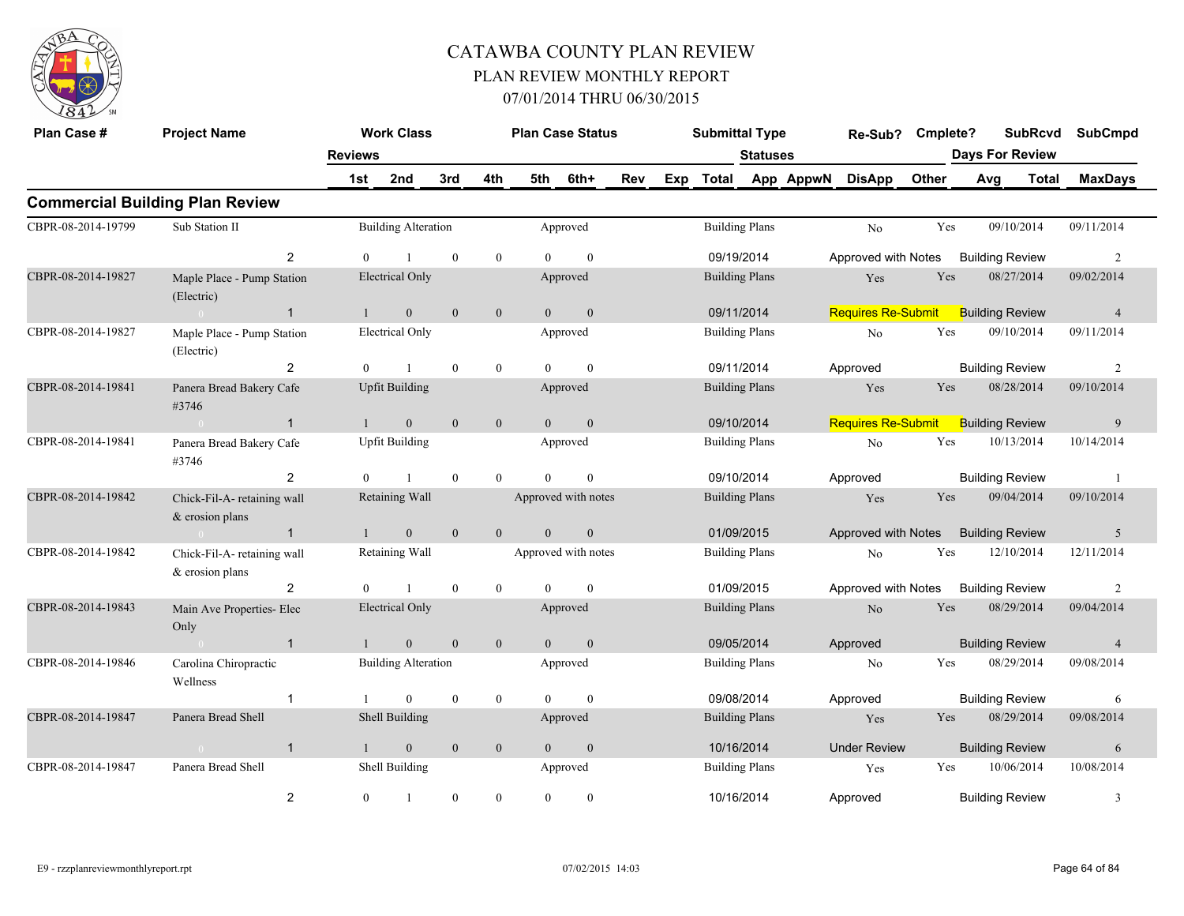

| Plan Case #        | <b>Project Name</b>                              |                | <b>Work Class</b>          |              |                |                | <b>Plan Case Status</b> |     |                                     | <b>Submittal Type</b>               |                       |           | Re-Sub?                   | Cmplete?   | <b>SubRcvd</b>         |              | <b>SubCmpd</b> |
|--------------------|--------------------------------------------------|----------------|----------------------------|--------------|----------------|----------------|-------------------------|-----|-------------------------------------|-------------------------------------|-----------------------|-----------|---------------------------|------------|------------------------|--------------|----------------|
|                    |                                                  | <b>Reviews</b> |                            |              |                |                |                         |     |                                     |                                     | <b>Statuses</b>       |           |                           |            | <b>Days For Review</b> |              |                |
|                    |                                                  | 1st            | 2nd                        | 3rd          | 4th            | 5th            | 6th+                    | Rev | Exp                                 | <b>Total</b>                        |                       | App AppwN | <b>DisApp</b>             | Other      | Avg                    | <b>Total</b> | <b>MaxDays</b> |
|                    | <b>Commercial Building Plan Review</b>           |                |                            |              |                |                |                         |     |                                     |                                     |                       |           |                           |            |                        |              |                |
| CBPR-08-2014-19799 | Sub Station II                                   |                | <b>Building Alteration</b> |              |                |                | Approved                |     |                                     |                                     | <b>Building Plans</b> |           | No                        | Yes        | 09/10/2014             |              | 09/11/2014     |
|                    | 2                                                | $\theta$       |                            | $\mathbf{0}$ | $\mathbf{0}$   |                | $\boldsymbol{0}$        |     |                                     | 09/19/2014                          |                       |           | Approved with Notes       |            | <b>Building Review</b> |              | 2              |
| CBPR-08-2014-19827 | Maple Place - Pump Station<br>(Electric)         |                | <b>Electrical Only</b>     |              |                |                | Approved                |     |                                     | <b>Building Plans</b><br>09/11/2014 |                       |           | Yes                       | Yes        | 08/27/2014             |              | 09/02/2014     |
|                    | $\mathbf{1}$<br>$\sim 0$                         | $\mathbf{1}$   | $\overline{0}$             | $\theta$     | $\overline{0}$ | $\theta$       | $\overline{0}$          |     |                                     |                                     |                       |           | <b>Requires Re-Submit</b> |            | <b>Building Review</b> |              | $\overline{4}$ |
| CBPR-08-2014-19827 | Maple Place - Pump Station<br>(Electric)         |                | <b>Electrical Only</b>     |              |                |                | Approved                |     |                                     | <b>Building Plans</b><br>09/11/2014 |                       |           | $\rm No$                  | Yes        | 09/10/2014             |              | 09/11/2014     |
|                    | 2                                                | $\theta$       |                            | $\theta$     | $\mathbf{0}$   | $\Omega$       | $\mathbf{0}$            |     |                                     |                                     |                       |           | Approved                  |            | <b>Building Review</b> |              | 2              |
| CBPR-08-2014-19841 | Panera Bread Bakery Cafe<br>#3746                |                | <b>Upfit Building</b>      |              |                |                | Approved                |     |                                     |                                     | <b>Building Plans</b> |           | Yes                       | Yes        | 08/28/2014             |              | 09/10/2014     |
|                    | $\mathbf{1}$<br>$\sim 0$                         | $\mathbf{1}$   | $\overline{0}$             | $\theta$     | $\mathbf{0}$   | $\theta$       | $\mathbf{0}$            |     |                                     | 09/10/2014                          |                       |           | <b>Requires Re-Submit</b> |            | <b>Building Review</b> |              | 9              |
| CBPR-08-2014-19841 | Panera Bread Bakery Cafe<br>#3746                |                | <b>Upfit Building</b>      |              |                |                | Approved                |     |                                     |                                     | <b>Building Plans</b> |           | No                        | Yes        | 10/13/2014             |              | 10/14/2014     |
|                    | $\overline{2}$                                   | $\theta$       |                            | $\theta$     | $\theta$       | $\Omega$       | $\theta$                |     |                                     | 09/10/2014                          |                       |           | Approved                  |            | <b>Building Review</b> |              | $\overline{1}$ |
| CBPR-08-2014-19842 | Chick-Fil-A- retaining wall<br>$&$ erosion plans |                | Retaining Wall             |              |                |                | Approved with notes     |     |                                     |                                     | <b>Building Plans</b> |           | Yes                       | Yes        | 09/04/2014             |              | 09/10/2014     |
|                    | $\mathbf{1}$<br>$\sim 0$                         | $\mathbf{1}$   | $\mathbf{0}$               | $\mathbf{0}$ | $\mathbf{0}$   | $\overline{0}$ | $\mathbf{0}$            |     |                                     |                                     | 01/09/2015            |           | Approved with Notes       |            | <b>Building Review</b> |              | 5              |
| CBPR-08-2014-19842 | Chick-Fil-A- retaining wall<br>& erosion plans   |                | Retaining Wall             |              |                |                | Approved with notes     |     |                                     |                                     | <b>Building Plans</b> |           | N <sub>o</sub>            | Yes        | 12/10/2014             |              | 12/11/2014     |
|                    | 2                                                | $\Omega$       |                            | $\theta$     | $\theta$       | $\Omega$       | $\theta$                |     |                                     |                                     | 01/09/2015            |           | Approved with Notes       |            | <b>Building Review</b> |              | 2              |
| CBPR-08-2014-19843 | Main Ave Properties- Elec<br>Only                |                | <b>Electrical Only</b>     |              |                |                | Approved                |     |                                     |                                     | <b>Building Plans</b> |           | N <sub>o</sub>            | Yes        | 08/29/2014             |              | 09/04/2014     |
|                    | $\mathbf{1}$                                     | $\mathbf{1}$   | $\overline{0}$             | $\mathbf{0}$ | $\mathbf{0}$   | $\overline{0}$ | $\mathbf{0}$            |     |                                     | 09/05/2014                          |                       |           | Approved                  |            | <b>Building Review</b> |              | $\overline{4}$ |
| CBPR-08-2014-19846 | Carolina Chiropractic<br>Wellness                |                | <b>Building Alteration</b> |              |                |                | Approved                |     |                                     |                                     | <b>Building Plans</b> |           | N <sub>o</sub>            | Yes        | 08/29/2014             |              | 09/08/2014     |
|                    | $\mathbf 1$                                      | -1             | $\Omega$                   | $\theta$     | $\mathbf{0}$   | $\theta$       | $\theta$                |     |                                     |                                     |                       |           | Approved                  |            | <b>Building Review</b> |              | 6              |
| CBPR-08-2014-19847 | Panera Bread Shell                               |                | Shell Building             |              |                |                | Approved                |     |                                     | 09/08/2014<br><b>Building Plans</b> |                       |           | Yes                       | Yes        | 08/29/2014             |              | 09/08/2014     |
|                    | $\mathbf{1}$<br>$\sim$ 0                         | $\mathbf{1}$   | $\overline{0}$             | $\mathbf{0}$ | $\mathbf{0}$   | $\overline{0}$ | $\mathbf{0}$            |     |                                     | 10/16/2014                          |                       |           | <b>Under Review</b>       |            | <b>Building Review</b> |              | 6              |
| CBPR-08-2014-19847 | Panera Bread Shell                               |                | Shell Building             |              |                |                | Approved                |     | <b>Building Plans</b><br>10/16/2014 |                                     |                       | Yes       | Yes                       | 10/06/2014 |                        | 10/08/2014   |                |
|                    | 2                                                | $\mathbf{0}$   |                            | $\theta$     | $\theta$       | $\Omega$       | $\mathbf{0}$            |     |                                     |                                     |                       |           | Approved                  |            | <b>Building Review</b> |              | 3              |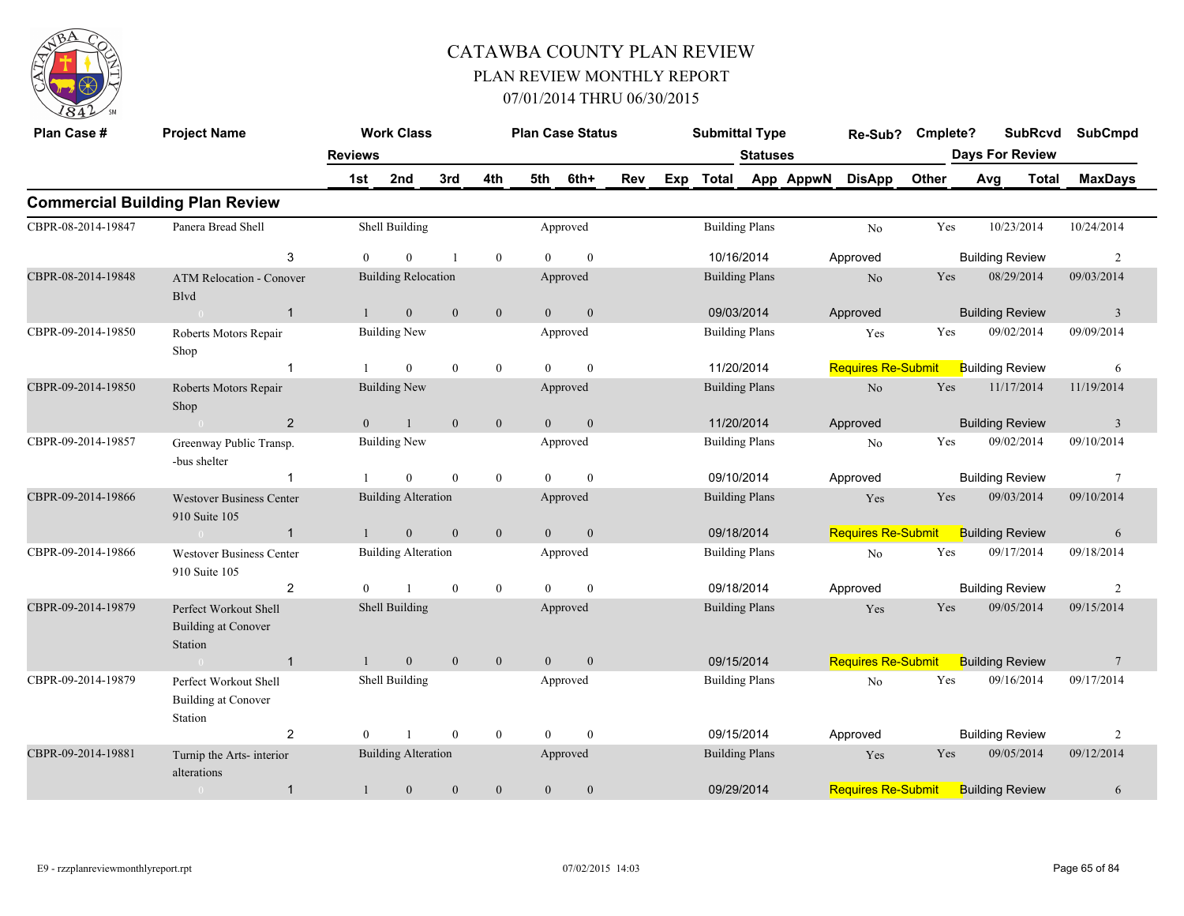

| Plan Case #        | <b>Project Name</b>                                            |                | <b>Work Class</b>          |                |                  |                | <b>Plan Case Status</b> |     |                                     | <b>Submittal Type</b>               |                 |           | Re-Sub?                   | Cmplete? |     | <b>SubRcvd</b>         |              | <b>SubCmpd</b>          |
|--------------------|----------------------------------------------------------------|----------------|----------------------------|----------------|------------------|----------------|-------------------------|-----|-------------------------------------|-------------------------------------|-----------------|-----------|---------------------------|----------|-----|------------------------|--------------|-------------------------|
|                    |                                                                | <b>Reviews</b> |                            |                |                  |                |                         |     |                                     |                                     | <b>Statuses</b> |           |                           |          |     | <b>Days For Review</b> |              |                         |
|                    |                                                                | 1st            | 2nd                        | 3rd            | 4th              | 5th            | 6th+                    | Rev | Exp                                 | <b>Total</b>                        |                 | App AppwN | <b>DisApp</b>             | Other    | Avg |                        | <b>Total</b> | <b>MaxDays</b>          |
|                    | <b>Commercial Building Plan Review</b>                         |                |                            |                |                  |                |                         |     |                                     |                                     |                 |           |                           |          |     |                        |              |                         |
| CBPR-08-2014-19847 | Panera Bread Shell                                             |                | Shell Building             |                |                  |                | Approved                |     |                                     | <b>Building Plans</b>               |                 |           | N <sub>o</sub>            | Yes      |     | 10/23/2014             |              | 10/24/2014              |
|                    | 3                                                              | $\theta$       | $\theta$                   | $\overline{1}$ | $\mathbf{0}$     | $\Omega$       | $\mathbf{0}$            |     |                                     | 10/16/2014                          |                 |           | Approved                  |          |     | <b>Building Review</b> |              | $\overline{2}$          |
| CBPR-08-2014-19848 | <b>ATM Relocation - Conover</b><br><b>B</b> lvd                |                | <b>Building Relocation</b> |                |                  |                | Approved                |     |                                     | <b>Building Plans</b>               |                 |           | No                        | Yes      |     | 08/29/2014             |              | 09/03/2014              |
|                    | $\mathbf{1}$                                                   |                | $\mathbf{0}$               | $\mathbf{0}$   | $\boldsymbol{0}$ | $\overline{0}$ | $\mathbf{0}$            |     | 09/03/2014<br><b>Building Plans</b> |                                     |                 |           | Approved                  |          |     | <b>Building Review</b> |              | $\overline{\mathbf{3}}$ |
| CBPR-09-2014-19850 | Roberts Motors Repair<br>Shop                                  |                | <b>Building New</b>        |                |                  |                | Approved                |     |                                     |                                     |                 |           | Yes                       | Yes      |     | 09/02/2014             |              | 09/09/2014              |
|                    | $\overline{1}$                                                 |                | $\mathbf{0}$               | $\mathbf{0}$   | $\boldsymbol{0}$ | $\Omega$       | $\mathbf{0}$            |     |                                     |                                     |                 |           | <b>Requires Re-Submit</b> |          |     | <b>Building Review</b> |              | 6                       |
| CBPR-09-2014-19850 | Roberts Motors Repair<br>Shop                                  |                | <b>Building New</b>        |                |                  |                | Approved                |     |                                     | 11/20/2014<br><b>Building Plans</b> |                 |           | $\rm No$                  | Yes      |     | 11/17/2014             |              | 11/19/2014              |
|                    | 2                                                              | $\overline{0}$ | $\mathbf{1}$               | $\mathbf{0}$   | $\mathbf{0}$     | $\overline{0}$ | $\mathbf{0}$            |     |                                     | 11/20/2014                          |                 |           | Approved                  |          |     | <b>Building Review</b> |              | $\overline{3}$          |
| CBPR-09-2014-19857 | Greenway Public Transp.<br>-bus shelter                        |                | <b>Building New</b>        |                |                  |                | Approved                |     |                                     | <b>Building Plans</b>               |                 |           | N <sub>0</sub>            | Yes      |     | 09/02/2014             |              | 09/10/2014              |
|                    | -1                                                             |                | $\mathbf{0}$               | $\mathbf{0}$   | $\boldsymbol{0}$ | $\Omega$       | $\mathbf{0}$            |     |                                     | 09/10/2014                          |                 |           | Approved                  |          |     | <b>Building Review</b> |              | 7                       |
| CBPR-09-2014-19866 | <b>Westover Business Center</b><br>910 Suite 105               |                | <b>Building Alteration</b> |                |                  |                | Approved                |     |                                     | <b>Building Plans</b>               |                 |           | Yes                       | Yes      |     | 09/03/2014             |              | 09/10/2014              |
|                    | $\mathbf{1}$<br>$\sim$ 0                                       |                | $\boldsymbol{0}$           | $\mathbf{0}$   | $\mathbf{0}$     | $\overline{0}$ | $\boldsymbol{0}$        |     |                                     | 09/18/2014                          |                 |           | <b>Requires Re-Submit</b> |          |     | <b>Building Review</b> |              | 6                       |
| CBPR-09-2014-19866 | <b>Westover Business Center</b><br>910 Suite 105               |                | <b>Building Alteration</b> |                |                  |                | Approved                |     |                                     | <b>Building Plans</b>               |                 |           | N <sub>o</sub>            | Yes      |     | 09/17/2014             |              | 09/18/2014              |
|                    | 2                                                              | $\theta$       |                            | $\mathbf{0}$   | $\mathbf{0}$     | $\theta$       | $\mathbf{0}$            |     |                                     | 09/18/2014                          |                 |           | Approved                  |          |     | <b>Building Review</b> |              | 2                       |
| CBPR-09-2014-19879 | Perfect Workout Shell<br><b>Building at Conover</b><br>Station |                | Shell Building             |                |                  |                | Approved                |     |                                     | <b>Building Plans</b>               |                 |           | Yes                       | Yes      |     | 09/05/2014             |              | 09/15/2014              |
|                    | $\mathbf{1}$                                                   |                | $\boldsymbol{0}$           | $\mathbf{0}$   | $\mathbf{0}$     | $\overline{0}$ | $\boldsymbol{0}$        |     |                                     |                                     |                 |           | <b>Requires Re-Submit</b> |          |     | <b>Building Review</b> |              | $7\phantom{.0}$         |
| CBPR-09-2014-19879 | Perfect Workout Shell<br><b>Building at Conover</b><br>Station |                | Shell Building             |                |                  |                | Approved                |     |                                     | 09/15/2014<br><b>Building Plans</b> |                 |           | N <sub>o</sub>            | Yes      |     | 09/16/2014             |              | 09/17/2014              |
|                    | $\overline{2}$                                                 | $\theta$       |                            | $\mathbf{0}$   | $\boldsymbol{0}$ | $\theta$       | $\mathbf{0}$            |     |                                     | 09/15/2014<br>Approved              |                 |           |                           |          |     | <b>Building Review</b> |              | $\overline{c}$          |
| CBPR-09-2014-19881 | Turnip the Arts- interior<br>alterations                       |                | <b>Building Alteration</b> |                |                  |                | Approved                |     |                                     | <b>Building Plans</b>               |                 |           | Yes                       | Yes      |     | 09/05/2014             |              | 09/12/2014              |
|                    | $\mathbf{1}$<br>$\overline{0}$                                 | $\mathbf{1}$   | $\mathbf{0}$               | $\theta$       | $\boldsymbol{0}$ | $\mathbf{0}$   | $\mathbf{0}$            |     |                                     | 09/29/2014                          |                 |           | <b>Requires Re-Submit</b> |          |     | <b>Building Review</b> |              | 6                       |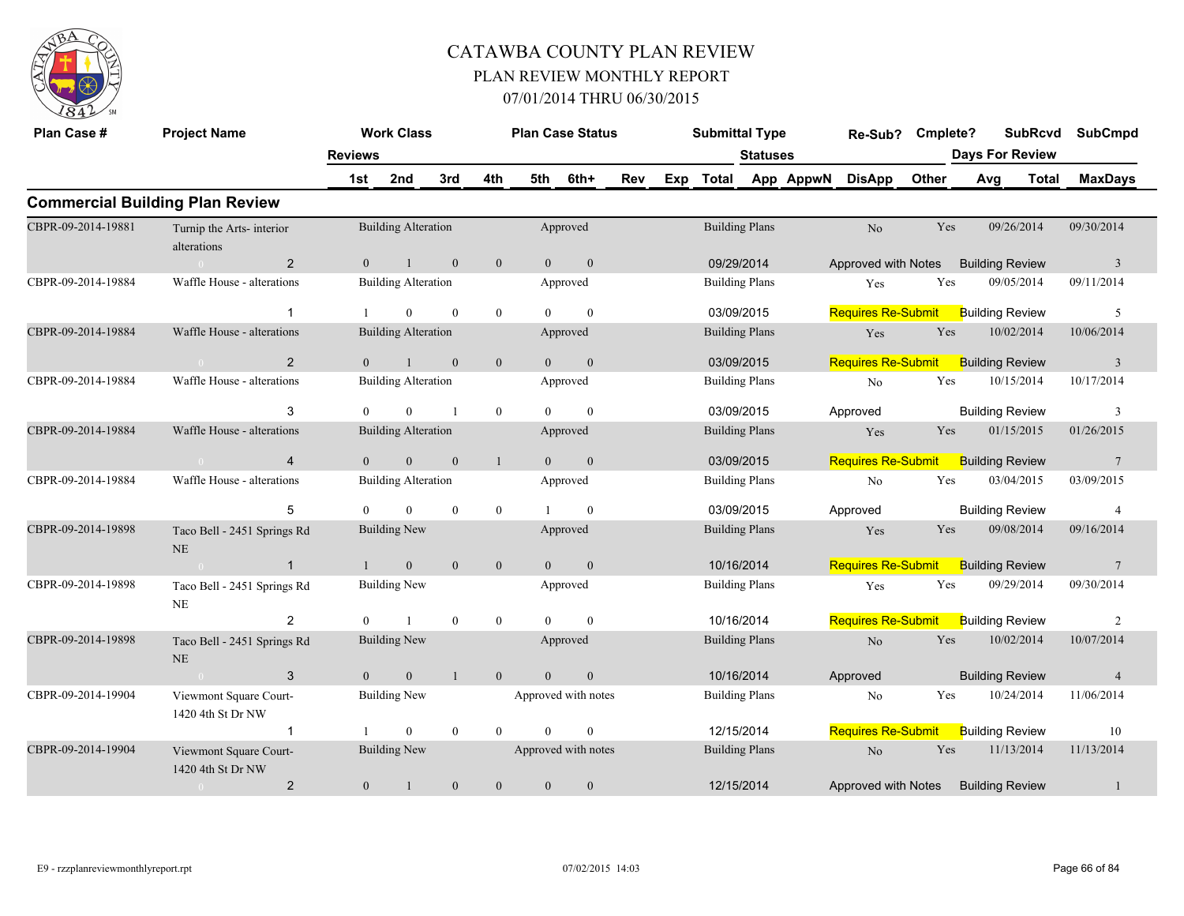

| Plan Case #        | <b>Project Name</b>                         |                | <b>Work Class</b>          |                  |                  |                | <b>Plan Case Status</b> |     |                       | <b>Submittal Type</b>               |                 |                           | Re-Sub?                   | Cmplete?                  |                        | <b>SubRcvd</b> | <b>SubCmpd</b>          |
|--------------------|---------------------------------------------|----------------|----------------------------|------------------|------------------|----------------|-------------------------|-----|-----------------------|-------------------------------------|-----------------|---------------------------|---------------------------|---------------------------|------------------------|----------------|-------------------------|
|                    |                                             | <b>Reviews</b> |                            |                  |                  |                |                         |     |                       |                                     | <b>Statuses</b> |                           |                           |                           | <b>Days For Review</b> |                |                         |
|                    |                                             | 1st            | 2nd                        | 3rd              | 4th              | 5th            | 6th+                    | Rev | Exp                   | <b>Total</b>                        |                 | App AppwN                 | <b>DisApp</b>             | Other                     | Avg                    | Total          | <b>MaxDays</b>          |
|                    | <b>Commercial Building Plan Review</b>      |                |                            |                  |                  |                |                         |     |                       |                                     |                 |                           |                           |                           |                        |                |                         |
| CBPR-09-2014-19881 | Turnip the Arts- interior<br>alterations    |                | <b>Building Alteration</b> |                  |                  |                | Approved                |     |                       | <b>Building Plans</b>               |                 |                           | No                        | Yes                       |                        | 09/26/2014     | 09/30/2014              |
|                    | 2                                           | $\overline{0}$ |                            | $\mathbf{0}$     | $\mathbf{0}$     | $\overline{0}$ | $\boldsymbol{0}$        |     |                       | 09/29/2014                          |                 |                           | Approved with Notes       |                           | <b>Building Review</b> |                | $\mathbf{3}$            |
| CBPR-09-2014-19884 | Waffle House - alterations                  |                | <b>Building Alteration</b> |                  |                  |                | Approved                |     |                       | <b>Building Plans</b>               |                 |                           | Yes                       | Yes                       |                        | 09/05/2014     | 09/11/2014              |
|                    |                                             |                | $\theta$                   | $\mathbf{0}$     | $\mathbf{0}$     | $\theta$       | $\theta$                |     |                       | 03/09/2015<br><b>Building Plans</b> |                 |                           |                           | <b>Requires Re-Submit</b> | <b>Building Review</b> |                | -5                      |
| CBPR-09-2014-19884 | Waffle House - alterations                  |                | <b>Building Alteration</b> |                  |                  |                | Approved                |     |                       | 03/09/2015                          |                 |                           |                           | Yes                       |                        | 10/02/2014     | 10/06/2014              |
|                    | 2<br>$\overline{0}$                         | $\overline{0}$ |                            | $\mathbf{0}$     | $\mathbf{0}$     | $\theta$       | $\mathbf{0}$            |     |                       |                                     |                 |                           | <b>Requires Re-Submit</b> |                           | <b>Building Review</b> |                | $\overline{\mathbf{3}}$ |
| CBPR-09-2014-19884 | Waffle House - alterations                  |                | <b>Building Alteration</b> |                  |                  |                | Approved                |     |                       | <b>Building Plans</b><br>03/09/2015 |                 |                           | N <sub>o</sub>            | Yes                       |                        | 10/15/2014     | 10/17/2014              |
|                    | 3                                           | $\Omega$       | $\Omega$                   |                  | $\mathbf{0}$     | $\Omega$       | $\theta$                |     |                       |                                     |                 |                           | Approved                  |                           | <b>Building Review</b> |                | 3                       |
| CBPR-09-2014-19884 | Waffle House - alterations                  |                | <b>Building Alteration</b> |                  |                  |                | Approved                |     |                       | <b>Building Plans</b>               |                 |                           | Yes                       | Yes                       |                        | 01/15/2015     | 01/26/2015              |
|                    | $\overline{4}$<br>$\bigcap$                 | $\overline{0}$ | $\boldsymbol{0}$           | $\mathbf{0}$     | $\mathbf{1}$     | $\overline{0}$ | $\boldsymbol{0}$        |     |                       | 03/09/2015                          |                 |                           | <b>Requires Re-Submit</b> |                           | <b>Building Review</b> |                | $7\phantom{.0}$         |
| CBPR-09-2014-19884 | Waffle House - alterations                  |                | <b>Building Alteration</b> |                  |                  |                | Approved                |     |                       | <b>Building Plans</b>               |                 |                           | N <sub>o</sub>            | Yes                       |                        | 03/04/2015     | 03/09/2015              |
|                    | 5                                           | $\Omega$       | $\theta$                   | $\mathbf{0}$     | $\overline{0}$   |                | $\theta$                |     |                       | 03/09/2015                          |                 |                           | Approved                  |                           | <b>Building Review</b> |                | $\overline{4}$          |
| CBPR-09-2014-19898 | Taco Bell - 2451 Springs Rd<br><b>NE</b>    |                | <b>Building New</b>        |                  |                  |                | Approved                |     |                       | <b>Building Plans</b>               |                 |                           | Yes                       | Yes                       |                        | 09/08/2014     | 09/16/2014              |
|                    | $\overline{1}$                              |                | $\overline{0}$             | $\mathbf{0}$     | $\boldsymbol{0}$ | $\theta$       | $\mathbf{0}$            |     |                       | 10/16/2014                          |                 |                           | <b>Requires Re-Submit</b> |                           | <b>Building Review</b> |                | $\overline{7}$          |
| CBPR-09-2014-19898 | Taco Bell - 2451 Springs Rd<br>NE           |                | <b>Building New</b>        |                  |                  |                | Approved                |     |                       | <b>Building Plans</b>               |                 |                           | Yes                       | Yes                       |                        | 09/29/2014     | 09/30/2014              |
|                    | $\mathfrak{p}$                              | $\theta$       |                            | $\mathbf{0}$     | $\mathbf{0}$     | $\Omega$       | $\theta$                |     |                       | 10/16/2014                          |                 |                           | <b>Requires Re-Submit</b> |                           | <b>Building Review</b> |                | $\overline{2}$          |
| CBPR-09-2014-19898 | Taco Bell - 2451 Springs Rd<br><b>NE</b>    |                | <b>Building New</b>        |                  |                  |                | Approved                |     |                       | <b>Building Plans</b>               |                 |                           | N <sub>o</sub>            | Yes                       |                        | 10/02/2014     | 10/07/2014              |
|                    | 3<br>$\bigcap$                              | $\overline{0}$ | $\mathbf{0}$               |                  | $\mathbf{0}$     | $\theta$       | $\mathbf{0}$            |     |                       |                                     |                 |                           | Approved                  |                           | <b>Building Review</b> |                | $\overline{4}$          |
| CBPR-09-2014-19904 | Viewmont Square Court-<br>1420 4th St Dr NW |                | <b>Building New</b>        |                  |                  |                | Approved with notes     |     |                       | 10/16/2014<br><b>Building Plans</b> |                 |                           | No                        | Yes                       |                        | 10/24/2014     | 11/06/2014              |
|                    | $\overline{1}$                              |                | $\theta$                   | $\mathbf{0}$     | $\mathbf{0}$     | $\Omega$       | $\theta$                |     | 12/15/2014            |                                     |                 | <b>Requires Re-Submit</b> |                           | <b>Building Review</b>    |                        | 10             |                         |
| CBPR-09-2014-19904 | Viewmont Square Court-<br>1420 4th St Dr NW |                | <b>Building New</b>        |                  |                  |                | Approved with notes     |     | <b>Building Plans</b> |                                     |                 | N <sub>o</sub>            | Yes                       |                           | 11/13/2014             | 11/13/2014     |                         |
|                    | $\overline{2}$<br>$\Omega$                  | $\overline{0}$ |                            | $\boldsymbol{0}$ | $\boldsymbol{0}$ | $\overline{0}$ | $\mathbf{0}$            |     |                       | 12/15/2014                          |                 |                           | Approved with Notes       |                           | <b>Building Review</b> |                |                         |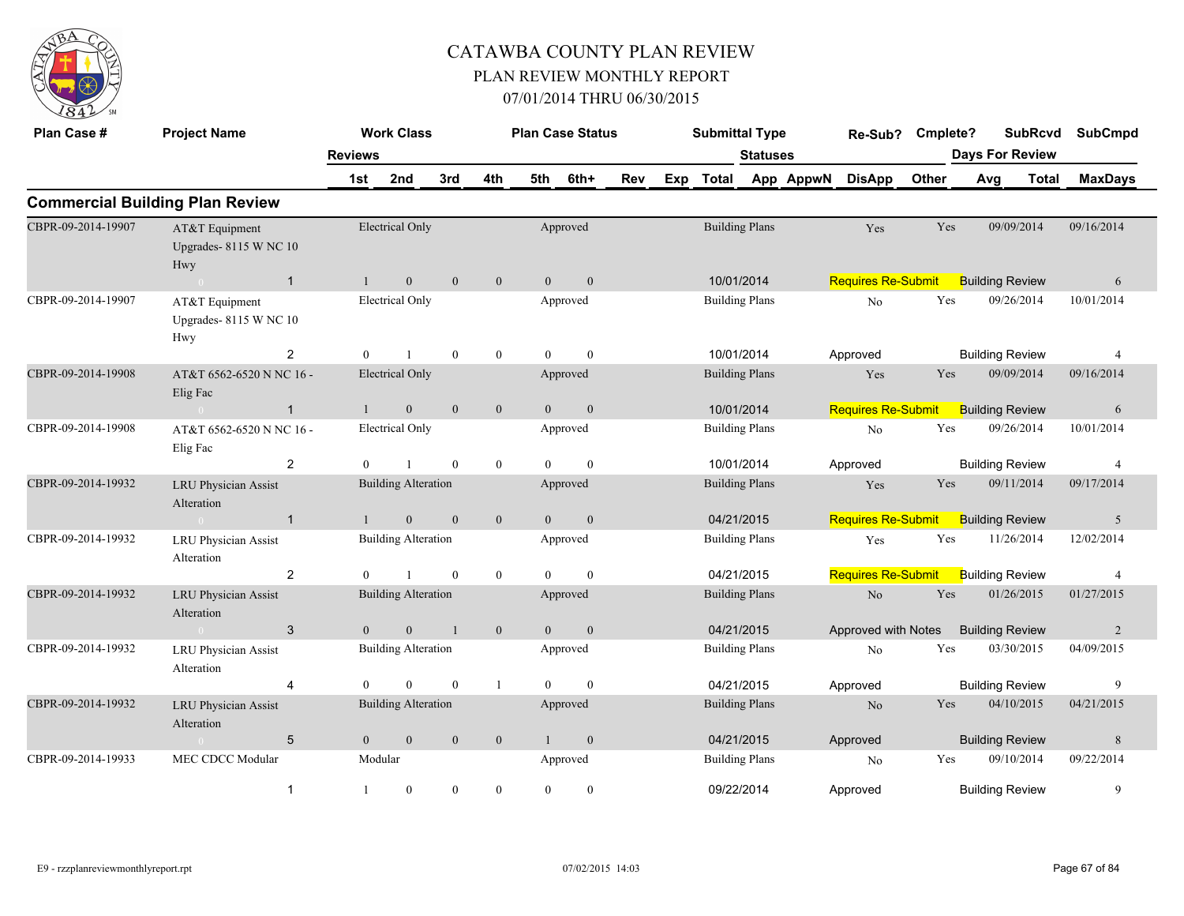

| Plan Case #        | <b>Project Name</b>                            |                | <b>Work Class</b>          |                |                  | <b>Plan Case Status</b> |                  |     |                                                                                 | <b>Submittal Type</b> |                 |           | Re-Sub?                   | Cmplete?             |            | <b>SubRcvd</b>         | <b>SubCmpd</b> |
|--------------------|------------------------------------------------|----------------|----------------------------|----------------|------------------|-------------------------|------------------|-----|---------------------------------------------------------------------------------|-----------------------|-----------------|-----------|---------------------------|----------------------|------------|------------------------|----------------|
|                    |                                                | <b>Reviews</b> |                            |                |                  |                         |                  |     |                                                                                 |                       | <b>Statuses</b> |           |                           |                      |            | <b>Days For Review</b> |                |
|                    |                                                | 1st            | 2nd                        | 3rd            | 4th              | 5th                     | 6th+             | Rev |                                                                                 | Exp Total             |                 | App AppwN | <b>DisApp</b>             | Other                | Avg        | <b>Total</b>           | <b>MaxDays</b> |
|                    | <b>Commercial Building Plan Review</b>         |                |                            |                |                  |                         |                  |     |                                                                                 |                       |                 |           |                           |                      |            |                        |                |
| CBPR-09-2014-19907 | AT&T Equipment<br>Upgrades-8115 W NC 10<br>Hwy |                | <b>Electrical Only</b>     |                |                  |                         | Approved         |     |                                                                                 | <b>Building Plans</b> |                 |           | Yes                       | Yes                  |            | 09/09/2014             | 09/16/2014     |
|                    | $\overline{1}$<br>$\sim 0$                     | $\mathbf{1}$   | $\mathbf{0}$               | $\mathbf{0}$   | $\mathbf{0}$     | $\overline{0}$          | $\mathbf{0}$     |     |                                                                                 | 10/01/2014            |                 |           | <b>Requires Re-Submit</b> |                      |            | <b>Building Review</b> | 6              |
| CBPR-09-2014-19907 | AT&T Equipment<br>Upgrades-8115 W NC 10<br>Hwy |                | <b>Electrical Only</b>     |                |                  |                         | Approved         |     | <b>Building Plans</b><br>10/01/2014<br>Approved<br><b>Building Plans</b><br>Yes |                       |                 |           | No                        | Yes                  |            | 09/26/2014             | 10/01/2014     |
|                    | 2                                              | $\mathbf{0}$   |                            | $\mathbf{0}$   | $\overline{0}$   | $\theta$                | $\theta$         |     |                                                                                 |                       |                 |           |                           |                      |            | <b>Building Review</b> | $\overline{4}$ |
| CBPR-09-2014-19908 | AT&T 6562-6520 N NC 16 -<br>Elig Fac           |                | <b>Electrical Only</b>     |                |                  |                         | Approved         |     |                                                                                 | 10/01/2014            |                 |           |                           | Yes                  |            | 09/09/2014             | 09/16/2014     |
|                    | $\mathbf{1}$                                   | $\mathbf{1}$   | $\overline{0}$             | $\mathbf{0}$   | $\mathbf{0}$     | $\theta$                | $\mathbf{0}$     |     |                                                                                 |                       |                 |           | <b>Requires Re-Submit</b> |                      |            | <b>Building Review</b> | 6              |
| CBPR-09-2014-19908 | AT&T 6562-6520 N NC 16 -<br>Elig Fac           |                | <b>Electrical Only</b>     |                |                  |                         | Approved         |     |                                                                                 | <b>Building Plans</b> |                 |           | No                        | $\operatorname{Yes}$ |            | 09/26/2014             | 10/01/2014     |
|                    | $\overline{2}$                                 | $\theta$       |                            | $\mathbf{0}$   | $\mathbf{0}$     | $\theta$                | $\mathbf{0}$     |     |                                                                                 | 10/01/2014            |                 |           | Approved                  |                      |            | <b>Building Review</b> | $\overline{4}$ |
| CBPR-09-2014-19932 | <b>LRU Physician Assist</b><br>Alteration      |                | <b>Building Alteration</b> |                |                  |                         | Approved         |     |                                                                                 | <b>Building Plans</b> |                 |           | Yes                       | Yes                  |            | 09/11/2014             | 09/17/2014     |
|                    | $\mathbf{1}$<br>$\sim 0$                       |                | $\mathbf{0}$               | $\mathbf{0}$   | $\mathbf{0}$     | $\overline{0}$          | $\mathbf{0}$     |     |                                                                                 | 04/21/2015            |                 |           | <b>Requires Re-Submit</b> |                      |            | <b>Building Review</b> | 5              |
| CBPR-09-2014-19932 | <b>LRU Physician Assist</b><br>Alteration      |                | <b>Building Alteration</b> |                |                  |                         | Approved         |     |                                                                                 | <b>Building Plans</b> |                 |           | Yes                       | Yes                  |            | 11/26/2014             | 12/02/2014     |
|                    | $\overline{2}$                                 | $\theta$       |                            | $\mathbf{0}$   | $\overline{0}$   | $\theta$                | $\mathbf{0}$     |     |                                                                                 | 04/21/2015            |                 |           | <b>Requires Re-Submit</b> |                      |            | <b>Building Review</b> | 4              |
| CBPR-09-2014-19932 | <b>LRU Physician Assist</b><br>Alteration      |                | <b>Building Alteration</b> |                |                  |                         | Approved         |     |                                                                                 | <b>Building Plans</b> |                 |           | No                        | Yes                  |            | 01/26/2015             | 01/27/2015     |
|                    | $\mathbf{3}$<br>$\sim 0$                       | $\overline{0}$ | $\boldsymbol{0}$           | $\overline{1}$ | $\mathbf{0}$     | $\overline{0}$          | $\boldsymbol{0}$ |     |                                                                                 | 04/21/2015            |                 |           | Approved with Notes       |                      |            | <b>Building Review</b> | 2              |
| CBPR-09-2014-19932 | <b>LRU Physician Assist</b><br>Alteration      |                | <b>Building Alteration</b> |                |                  |                         | Approved         |     |                                                                                 | <b>Building Plans</b> |                 |           | N <sub>o</sub>            | Yes                  |            | 03/30/2015             | 04/09/2015     |
|                    | $\overline{4}$                                 | $\overline{0}$ | $\theta$                   | $\mathbf{0}$   | $\mathbf{1}$     | $\overline{0}$          | $\mathbf{0}$     |     |                                                                                 |                       |                 |           | Approved                  |                      |            | <b>Building Review</b> | 9              |
| CBPR-09-2014-19932 | <b>LRU Physician Assist</b><br>Alteration      |                | <b>Building Alteration</b> |                |                  |                         | Approved         |     | 04/21/2015<br><b>Building Plans</b>                                             |                       |                 |           | N <sub>o</sub>            | Yes                  |            | 04/10/2015             | 04/21/2015     |
|                    | 5                                              | $\overline{0}$ | $\boldsymbol{0}$           | $\mathbf{0}$   | $\mathbf{0}$     | 1                       | $\boldsymbol{0}$ |     | 04/21/2015                                                                      |                       |                 |           | Approved                  |                      |            | <b>Building Review</b> | 8              |
| CBPR-09-2014-19933 |                                                | Modular        |                            |                |                  | Approved                |                  |     | <b>Building Plans</b>                                                           |                       |                 | No        | Yes                       |                      | 09/10/2014 | 09/22/2014             |                |
|                    | $\mathbf{1}$                                   |                | $\mathbf{0}$               | $\mathbf{0}$   | $\boldsymbol{0}$ | $\mathbf{0}$            | $\bf{0}$         |     |                                                                                 | 09/22/2014            |                 |           | Approved                  |                      |            | <b>Building Review</b> | 9              |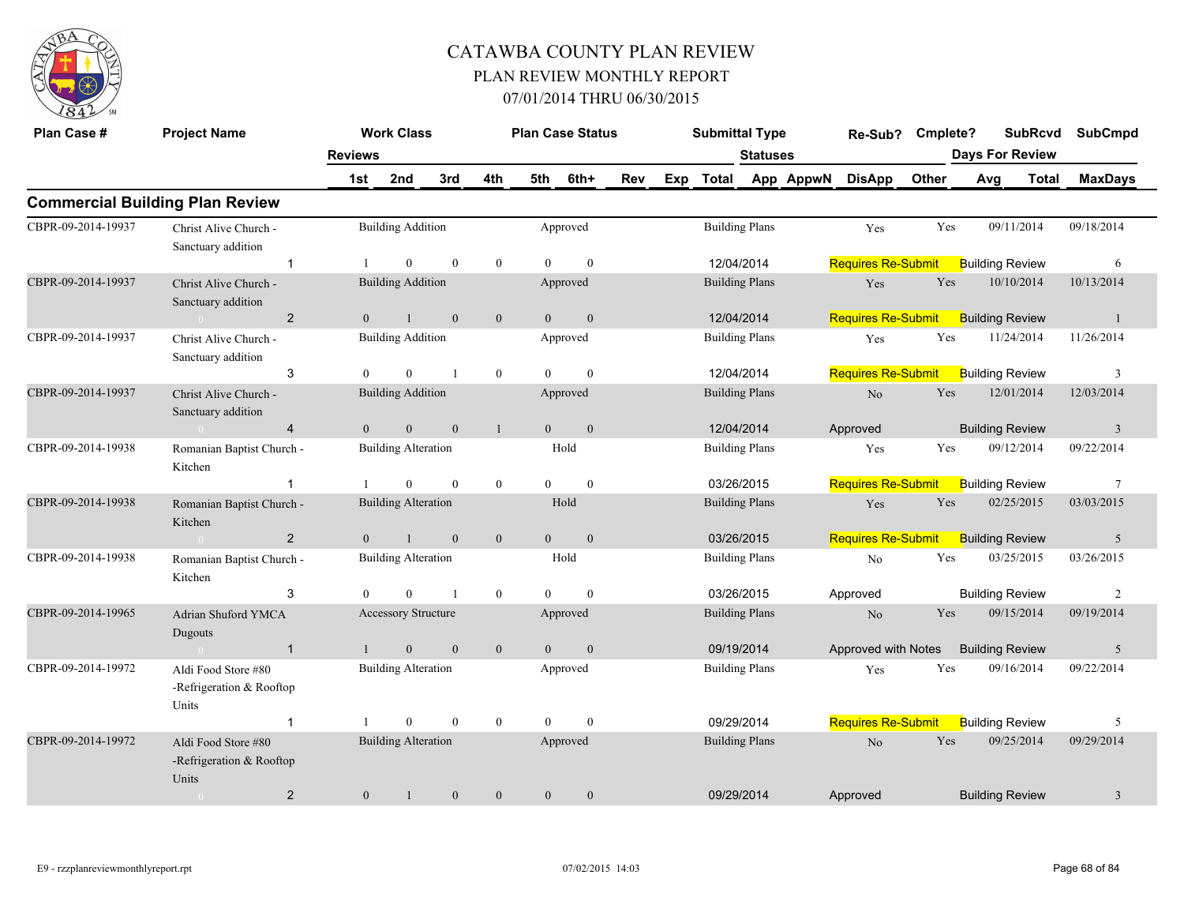

| Plan Case #        | <b>Project Name</b>                                      |                       | <b>Work Class</b>          |                  |                  |                | <b>Plan Case Status</b> |     |     | <b>Submittal Type</b>               |                 |           | Re-Sub?                   | Cmplete? |     | <b>SubRcvd</b><br><b>Days For Review</b> | <b>SubCmpd</b> |
|--------------------|----------------------------------------------------------|-----------------------|----------------------------|------------------|------------------|----------------|-------------------------|-----|-----|-------------------------------------|-----------------|-----------|---------------------------|----------|-----|------------------------------------------|----------------|
|                    |                                                          | <b>Reviews</b><br>1st | 2nd                        | 3rd              | 4th              | 5th            | 6th+                    | Rev | Exp | <b>Total</b>                        | <b>Statuses</b> | App AppwN | <b>DisApp</b>             | Other    | Avg | <b>Total</b>                             | <b>MaxDays</b> |
|                    | <b>Commercial Building Plan Review</b>                   |                       |                            |                  |                  |                |                         |     |     |                                     |                 |           |                           |          |     |                                          |                |
| CBPR-09-2014-19937 | Christ Alive Church -<br>Sanctuary addition              |                       | <b>Building Addition</b>   |                  |                  |                | Approved                |     |     | <b>Building Plans</b>               |                 |           | Yes                       | Yes      |     | 09/11/2014                               | 09/18/2014     |
|                    | $\mathbf{1}$                                             |                       | $\mathbf{0}$               | $\mathbf{0}$     | $\overline{0}$   | $\theta$       | $\mathbf{0}$            |     |     | 12/04/2014                          |                 |           | <b>Requires Re-Submit</b> |          |     | <b>Building Review</b>                   | 6              |
| CBPR-09-2014-19937 | Christ Alive Church -<br>Sanctuary addition              |                       | <b>Building Addition</b>   |                  |                  |                | Approved                |     |     | <b>Building Plans</b><br>12/04/2014 |                 |           | Yes                       | Yes      |     | 10/10/2014                               | 10/13/2014     |
|                    | $\overline{2}$                                           | $\mathbf{0}$          | $\mathbf{1}$               | $\mathbf{0}$     | $\boldsymbol{0}$ | $\overline{0}$ | $\mathbf{0}$            |     |     |                                     |                 |           | <b>Requires Re-Submit</b> |          |     | <b>Building Review</b>                   | 1              |
| CBPR-09-2014-19937 | Christ Alive Church -<br>Sanctuary addition              |                       | <b>Building Addition</b>   |                  |                  |                | Approved                |     |     | <b>Building Plans</b><br>12/04/2014 |                 |           | Yes                       | Yes      |     | 11/24/2014                               | 11/26/2014     |
|                    | 3                                                        | $\Omega$              | $\mathbf{0}$               |                  | $\bf{0}$         | $\theta$       | $\mathbf{0}$            |     |     |                                     |                 |           | <b>Requires Re-Submit</b> |          |     | <b>Building Review</b>                   | 3              |
| CBPR-09-2014-19937 | Christ Alive Church -<br>Sanctuary addition              |                       | <b>Building Addition</b>   |                  |                  |                | Approved                |     |     | <b>Building Plans</b>               |                 |           | N <sub>o</sub>            | Yes      |     | 12/01/2014                               | 12/03/2014     |
|                    | $\overline{4}$                                           | $\overline{0}$        | $\boldsymbol{0}$           | $\boldsymbol{0}$ | $\mathbf{1}$     | $\overline{0}$ | $\mathbf{0}$            |     |     | 12/04/2014                          |                 |           | Approved                  |          |     | <b>Building Review</b>                   | $\mathbf{3}$   |
| CBPR-09-2014-19938 | Romanian Baptist Church -<br>Kitchen                     |                       | <b>Building Alteration</b> |                  |                  |                | Hold                    |     |     | <b>Building Plans</b>               |                 |           | Yes                       | Yes      |     | 09/12/2014                               | 09/22/2014     |
|                    | $\mathbf 1$                                              |                       | $\mathbf{0}$               | $\boldsymbol{0}$ | $\boldsymbol{0}$ | $\overline{0}$ | $\boldsymbol{0}$        |     |     | 03/26/2015                          |                 |           | <b>Requires Re-Submit</b> |          |     | <b>Building Review</b>                   | $\overline{7}$ |
| CBPR-09-2014-19938 | Romanian Baptist Church -<br>Kitchen                     |                       | <b>Building Alteration</b> |                  |                  |                | Hold                    |     |     | <b>Building Plans</b>               |                 |           | Yes                       | Yes      |     | 02/25/2015                               | 03/03/2015     |
|                    | $\overline{2}$                                           | $\theta$              | $\mathbf{1}$               | $\mathbf{0}$     | $\mathbf{0}$     | $\overline{0}$ | $\mathbf{0}$            |     |     | 03/26/2015                          |                 |           | <b>Requires Re-Submit</b> |          |     | <b>Building Review</b>                   | 5              |
| CBPR-09-2014-19938 | Romanian Baptist Church -<br>Kitchen                     |                       | <b>Building Alteration</b> |                  |                  |                | Hold                    |     |     | <b>Building Plans</b>               |                 |           | No                        | Yes      |     | 03/25/2015                               | 03/26/2015     |
|                    | 3                                                        | $\Omega$              | $\Omega$                   | $\mathbf{1}$     | $\overline{0}$   | $\theta$       | $\mathbf{0}$            |     |     | 03/26/2015                          |                 |           | Approved                  |          |     | <b>Building Review</b>                   | 2              |
| CBPR-09-2014-19965 | <b>Adrian Shuford YMCA</b><br>Dugouts                    |                       | Accessory Structure        |                  |                  |                | Approved                |     |     | <b>Building Plans</b>               |                 |           | N <sub>o</sub>            | Yes      |     | 09/15/2014                               | 09/19/2014     |
|                    | $\mathbf{1}$                                             | $\mathbf{1}$          | $\overline{0}$             | $\mathbf{0}$     | $\mathbf{0}$     | $\mathbf{0}$   | $\mathbf{0}$            |     |     |                                     |                 |           | Approved with Notes       |          |     | <b>Building Review</b>                   | 5              |
| CBPR-09-2014-19972 | Aldi Food Store #80<br>-Refrigeration & Rooftop<br>Units |                       | <b>Building Alteration</b> |                  |                  |                | Approved                |     |     | 09/19/2014<br><b>Building Plans</b> |                 |           | Yes                       | Yes      |     | 09/16/2014                               | 09/22/2014     |
|                    | $\mathbf{1}$                                             |                       | $\overline{0}$             | $\mathbf{0}$     | $\mathbf{0}$     | $\mathbf{0}$   | $\mathbf{0}$            |     |     | 09/29/2014                          |                 |           | <b>Requires Re-Submit</b> |          |     | <b>Building Review</b>                   | 5              |
| CBPR-09-2014-19972 | Aldi Food Store #80<br>-Refrigeration & Rooftop<br>Units |                       | <b>Building Alteration</b> |                  |                  |                | Approved                |     |     | <b>Building Plans</b><br>09/29/2014 |                 |           | N <sub>o</sub>            | Yes      |     | 09/25/2014                               | 09/29/2014     |
|                    | $\overline{2}$                                           | $\overline{0}$        |                            | $\mathbf{0}$     | $\theta$         | $\overline{0}$ | $\mathbf{0}$            |     |     |                                     |                 |           | Approved                  |          |     | <b>Building Review</b>                   | 3              |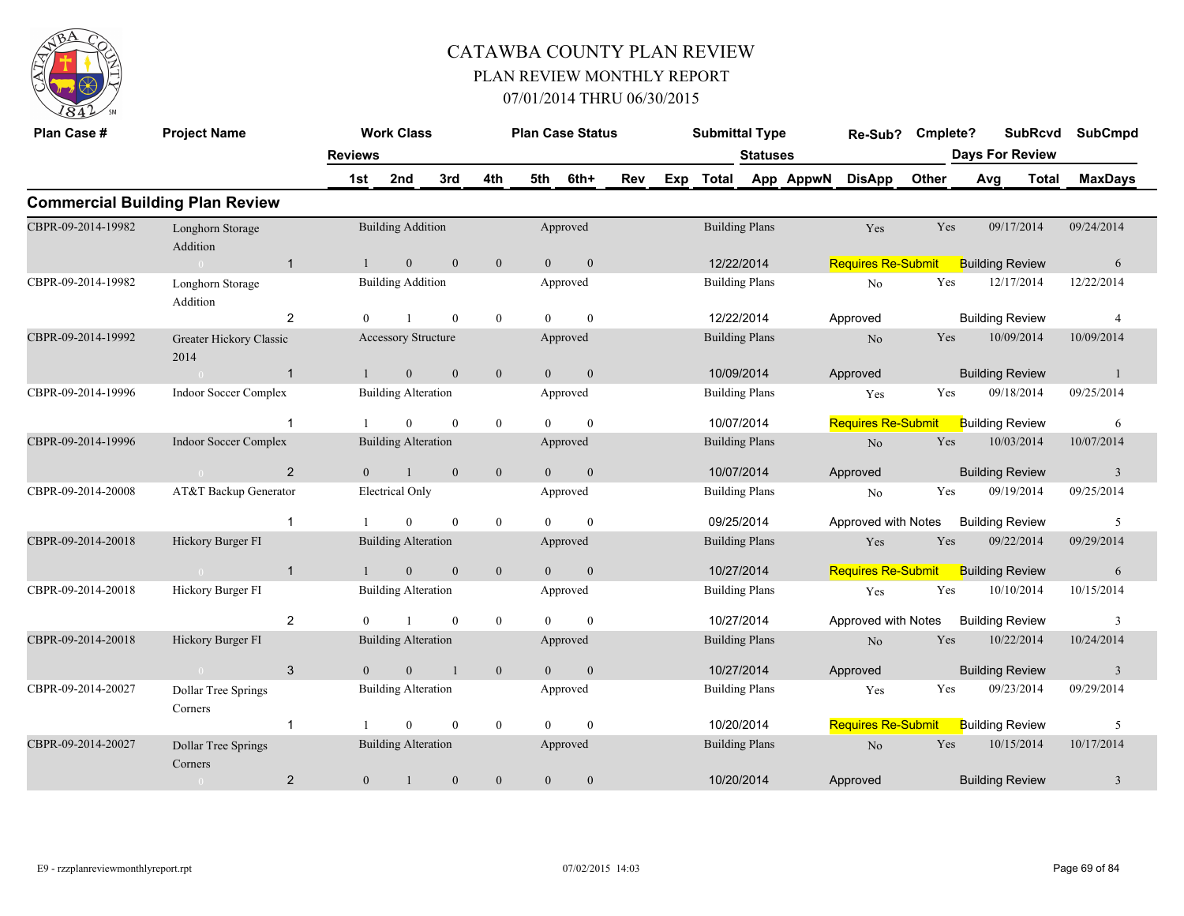

| Plan Case #        | <b>Project Name</b>                    |                | <b>Work Class</b>          |                |                  |                | <b>Plan Case Status</b> |     |                                                              | <b>Submittal Type</b> |                       |           | Re-Sub?                   | Cmplete? |            | <b>SubRcvd</b>         | <b>SubCmpd</b> |  |
|--------------------|----------------------------------------|----------------|----------------------------|----------------|------------------|----------------|-------------------------|-----|--------------------------------------------------------------|-----------------------|-----------------------|-----------|---------------------------|----------|------------|------------------------|----------------|--|
|                    |                                        | <b>Reviews</b> |                            |                |                  |                |                         |     |                                                              |                       | <b>Statuses</b>       |           |                           |          |            | <b>Days For Review</b> |                |  |
|                    |                                        | 1st            | 2nd                        | 3rd            | 4th              | 5th            | 6th+                    | Rev | Exp                                                          | <b>Total</b>          |                       | App AppwN | <b>DisApp</b>             | Other    | Avg        | Total                  | <b>MaxDays</b> |  |
|                    | <b>Commercial Building Plan Review</b> |                |                            |                |                  |                |                         |     |                                                              |                       |                       |           |                           |          |            |                        |                |  |
| CBPR-09-2014-19982 | Longhorn Storage<br>Addition           |                | <b>Building Addition</b>   |                |                  |                | Approved                |     |                                                              |                       | <b>Building Plans</b> |           | Yes                       | Yes      |            | 09/17/2014             | 09/24/2014     |  |
|                    | $\overline{1}$<br>$\bigcirc$           |                | $\overline{0}$             | $\mathbf{0}$   | $\mathbf{0}$     | $\theta$       | $\mathbf{0}$            |     |                                                              |                       | 12/22/2014            |           | <b>Requires Re-Submit</b> |          |            | <b>Building Review</b> | 6              |  |
| CBPR-09-2014-19982 | Longhorn Storage<br>Addition           |                | <b>Building Addition</b>   |                |                  |                | Approved                |     | <b>Building Plans</b><br>12/22/2014<br><b>Building Plans</b> |                       |                       |           | No                        | Yes      |            | 12/17/2014             | 12/22/2014     |  |
|                    | $\overline{2}$                         |                |                            | $\mathbf{0}$   | $\boldsymbol{0}$ | $\Omega$       | $\theta$                |     |                                                              |                       |                       |           | Approved                  |          |            | <b>Building Review</b> | $\overline{4}$ |  |
| CBPR-09-2014-19992 | Greater Hickory Classic<br>2014        |                | <b>Accessory Structure</b> |                |                  |                | Approved                |     |                                                              | 10/09/2014            |                       |           |                           | Yes      |            | 10/09/2014             | 10/09/2014     |  |
|                    | $\overline{1}$<br>$\sim$ 0             |                | $\mathbf{0}$               | $\mathbf{0}$   | $\boldsymbol{0}$ | $\overline{0}$ | $\boldsymbol{0}$        |     |                                                              |                       |                       |           | Approved                  |          |            | <b>Building Review</b> | -1             |  |
| CBPR-09-2014-19996 | Indoor Soccer Complex                  |                | <b>Building Alteration</b> |                |                  |                | Approved                |     |                                                              |                       | <b>Building Plans</b> |           | Yes                       | Yes      |            | 09/18/2014             | 09/25/2014     |  |
|                    |                                        |                | $\Omega$                   | $\mathbf{0}$   | $\boldsymbol{0}$ | $\Omega$       | $\theta$                |     |                                                              |                       | 10/07/2014            |           | <b>Requires Re-Submit</b> |          |            | <b>Building Review</b> | 6              |  |
| CBPR-09-2014-19996 | <b>Indoor Soccer Complex</b>           |                | <b>Building Alteration</b> |                |                  |                | Approved                |     |                                                              |                       | <b>Building Plans</b> |           | $\rm No$                  | Yes      |            | 10/03/2014             | 10/07/2014     |  |
|                    | 2<br>$\bigcap$                         | $\theta$       | $\mathbf{1}$               | $\mathbf{0}$   | $\mathbf{0}$     | $\Omega$       | $\mathbf{0}$            |     |                                                              |                       | 10/07/2014            |           | Approved                  |          |            | <b>Building Review</b> | $\overline{3}$ |  |
| CBPR-09-2014-20008 | AT&T Backup Generator                  |                | <b>Electrical Only</b>     |                |                  |                | Approved                |     |                                                              |                       | <b>Building Plans</b> |           | No                        | Yes      |            | 09/19/2014             | 09/25/2014     |  |
|                    | $\overline{1}$                         |                | $\theta$                   | $\theta$       | $\mathbf{0}$     | $\Omega$       | $\theta$                |     |                                                              |                       | 09/25/2014            |           | Approved with Notes       |          |            | <b>Building Review</b> | 5              |  |
| CBPR-09-2014-20018 | Hickory Burger FI                      |                | <b>Building Alteration</b> |                |                  |                | Approved                |     |                                                              |                       | <b>Building Plans</b> |           | Yes                       | Yes      |            | 09/22/2014             | 09/29/2014     |  |
|                    | $\overline{1}$<br>$\theta$             |                | $\overline{0}$             | $\mathbf{0}$   | $\boldsymbol{0}$ | $\Omega$       | $\boldsymbol{0}$        |     |                                                              |                       | 10/27/2014            |           | <b>Requires Re-Submit</b> |          |            | <b>Building Review</b> | 6              |  |
| CBPR-09-2014-20018 | Hickory Burger FI                      |                | <b>Building Alteration</b> |                |                  |                | Approved                |     |                                                              |                       | <b>Building Plans</b> |           | Yes                       | Yes      |            | 10/10/2014             | 10/15/2014     |  |
|                    | $\overline{2}$                         |                |                            | $\theta$       | $\boldsymbol{0}$ | $\Omega$       | $\theta$                |     |                                                              |                       | 10/27/2014            |           | Approved with Notes       |          |            | <b>Building Review</b> | 3              |  |
| CBPR-09-2014-20018 | Hickory Burger FI                      |                | <b>Building Alteration</b> |                |                  |                | Approved                |     |                                                              |                       | <b>Building Plans</b> |           | N <sub>o</sub>            | Yes      |            | 10/22/2014             | 10/24/2014     |  |
|                    | 3<br>$\bigcap$                         | $\theta$       | $\mathbf{0}$               | $\blacksquare$ | $\mathbf{0}$     | $\Omega$       | $\mathbf{0}$            |     |                                                              |                       | 10/27/2014            |           | Approved                  |          |            | <b>Building Review</b> | 3              |  |
| CBPR-09-2014-20027 | <b>Dollar Tree Springs</b><br>Corners  |                | <b>Building Alteration</b> |                |                  |                | Approved                |     |                                                              |                       | <b>Building Plans</b> |           | Yes                       | Yes      |            | 09/23/2014             | 09/29/2014     |  |
|                    | $\overline{1}$                         |                | $\theta$                   | $\mathbf{0}$   | $\mathbf{0}$     | $\Omega$       | $\mathbf{0}$            |     | 10/20/2014                                                   |                       |                       |           | <b>Requires Re-Submit</b> |          |            | <b>Building Review</b> | 5              |  |
| CBPR-09-2014-20027 | Dollar Tree Springs<br>Corners         |                | <b>Building Alteration</b> |                |                  |                | Approved                |     | <b>Building Plans</b>                                        |                       |                       | $\rm No$  | Yes                       |          | 10/15/2014 | 10/17/2014             |                |  |
|                    | $\overline{2}$<br>$\sim 0$             | $\overline{0}$ | $\mathbf{1}$               | $\mathbf{0}$   | $\boldsymbol{0}$ | $\mathbf{0}$   | $\boldsymbol{0}$        |     | 10/20/2014                                                   |                       |                       |           | Approved                  |          |            | <b>Building Review</b> | 3              |  |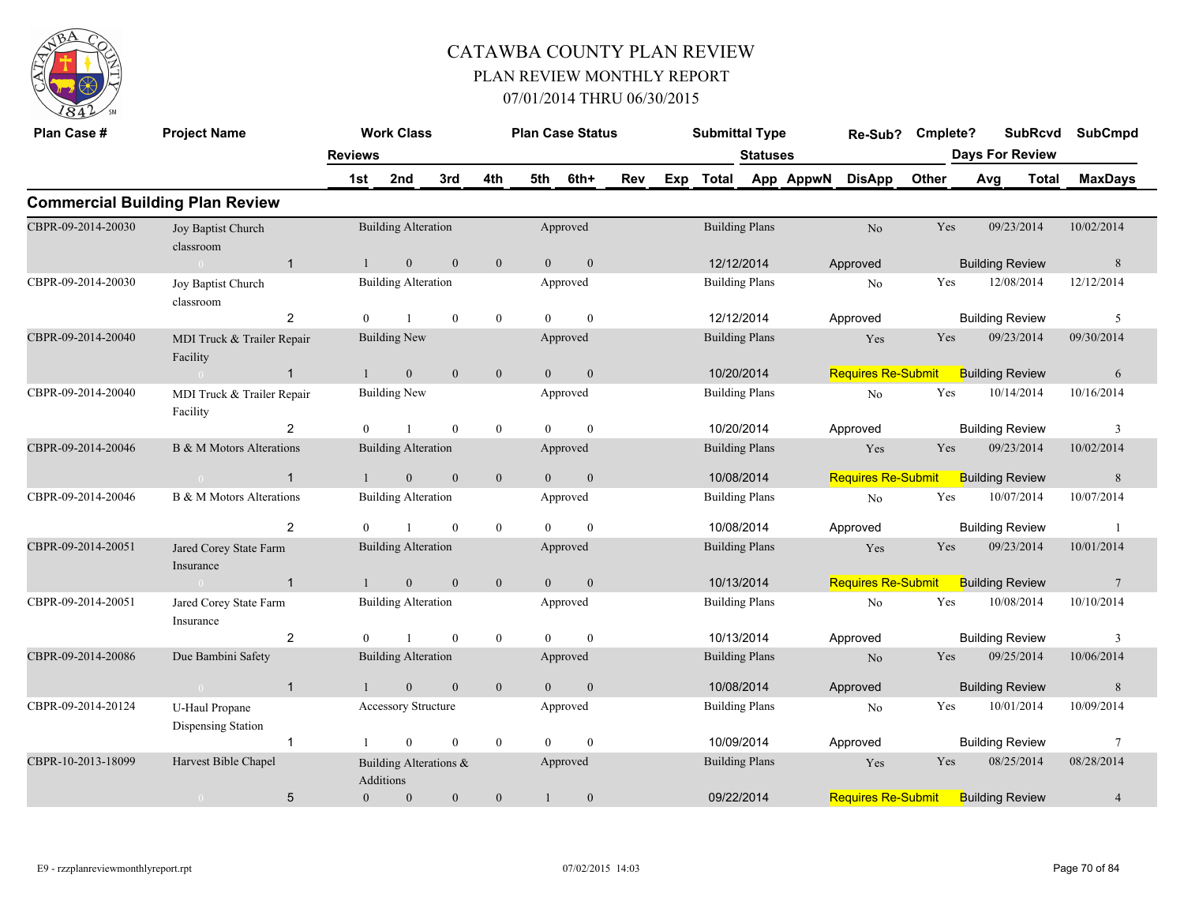

| Plan Case #        | <b>Project Name</b>                    |                | <b>Work Class</b>                   |              |                  |                | <b>Plan Case Status</b> |     |     | <b>Submittal Type</b>               |                       |           | Re-Sub?                   | Cmplete?   |     | <b>SubRcvd</b>         |              | <b>SubCmpd</b>          |
|--------------------|----------------------------------------|----------------|-------------------------------------|--------------|------------------|----------------|-------------------------|-----|-----|-------------------------------------|-----------------------|-----------|---------------------------|------------|-----|------------------------|--------------|-------------------------|
|                    |                                        | <b>Reviews</b> |                                     |              |                  |                |                         |     |     |                                     | <b>Statuses</b>       |           |                           |            |     | <b>Days For Review</b> |              |                         |
|                    |                                        | 1st            | 2nd                                 | 3rd          | 4th              | 5th            | 6th+                    | Rev | Exp | <b>Total</b>                        |                       | App AppwN | <b>DisApp</b>             | Other      | Avg |                        | <b>Total</b> | <b>MaxDays</b>          |
|                    | <b>Commercial Building Plan Review</b> |                |                                     |              |                  |                |                         |     |     |                                     |                       |           |                           |            |     |                        |              |                         |
| CBPR-09-2014-20030 | Joy Baptist Church<br>classroom        |                | <b>Building Alteration</b>          |              |                  |                | Approved                |     |     |                                     | <b>Building Plans</b> |           | No                        | Yes        |     | 09/23/2014             |              | 10/02/2014              |
|                    | $\overline{1}$<br>$0 -$                |                | $\mathbf{0}$                        | $\mathbf{0}$ | $\mathbf{0}$     | $\overline{0}$ | $\mathbf{0}$            |     |     | 12/12/2014                          |                       |           | Approved                  |            |     | <b>Building Review</b> |              | 8                       |
| CBPR-09-2014-20030 | Joy Baptist Church<br>classroom        |                | <b>Building Alteration</b>          |              |                  |                | Approved                |     |     | <b>Building Plans</b><br>12/12/2014 |                       |           | N <sub>o</sub>            | Yes        |     | 12/08/2014             |              | 12/12/2014              |
|                    | $\overline{2}$                         | $\theta$       |                                     | $\mathbf{0}$ | $\bf{0}$         | $\Omega$       | $\theta$                |     |     |                                     |                       |           | Approved                  |            |     | <b>Building Review</b> |              | 5                       |
| CBPR-09-2014-20040 | MDI Truck & Trailer Repair<br>Facility |                | <b>Building New</b>                 |              |                  |                | Approved                |     |     | <b>Building Plans</b><br>10/20/2014 |                       |           | Yes                       | Yes        |     | 09/23/2014             |              | 09/30/2014              |
|                    | $\sim 0$<br>$\mathbf{1}$               | $\mathbf{1}$   | $\mathbf{0}$                        | $\mathbf{0}$ | $\mathbf{0}$     | $\overline{0}$ | $\boldsymbol{0}$        |     |     |                                     |                       |           | <b>Requires Re-Submit</b> |            |     | <b>Building Review</b> |              | 6                       |
| CBPR-09-2014-20040 | MDI Truck & Trailer Repair<br>Facility |                | <b>Building New</b>                 |              |                  |                | Approved                |     |     |                                     | <b>Building Plans</b> |           | No                        | Yes        |     | 10/14/2014             |              | 10/16/2014              |
|                    | $\overline{c}$                         | $\theta$       |                                     | $\mathbf{0}$ | $\mathbf{0}$     | $\theta$       | $\mathbf{0}$            |     |     |                                     | 10/20/2014            |           | Approved                  |            |     | <b>Building Review</b> |              | $\overline{\mathbf{3}}$ |
| CBPR-09-2014-20046 | B & M Motors Alterations               |                | <b>Building Alteration</b>          |              |                  |                | Approved                |     |     |                                     | <b>Building Plans</b> |           | Yes                       | Yes        |     | 09/23/2014             |              | 10/02/2014              |
|                    | $\overline{1}$<br>$\sim 0$             |                | $\overline{0}$                      | $\mathbf{0}$ | $\mathbf{0}$     | $\overline{0}$ | $\mathbf{0}$            |     |     | 10/08/2014                          |                       |           | <b>Requires Re-Submit</b> |            |     | <b>Building Review</b> |              | 8                       |
| CBPR-09-2014-20046 | B & M Motors Alterations               |                | <b>Building Alteration</b>          |              |                  |                | Approved                |     |     |                                     | <b>Building Plans</b> |           | N <sub>0</sub>            | Yes        |     | 10/07/2014             |              | 10/07/2014              |
|                    | 2                                      | $\Omega$       |                                     | $\theta$     | $\mathbf{0}$     | $\Omega$       | $\theta$                |     |     |                                     | 10/08/2014            |           | Approved                  |            |     | <b>Building Review</b> |              | $\overline{1}$          |
| CBPR-09-2014-20051 | Jared Corey State Farm<br>Insurance    |                | <b>Building Alteration</b>          |              |                  |                | Approved                |     |     |                                     | <b>Building Plans</b> |           | Yes                       | Yes        |     | 09/23/2014             |              | 10/01/2014              |
|                    | $\overline{1}$<br>$\sim 0$             |                | $\mathbf{0}$                        | $\mathbf{0}$ | $\mathbf{0}$     | $\Omega$       | $\boldsymbol{0}$        |     |     | 10/13/2014                          |                       |           | <b>Requires Re-Submit</b> |            |     | <b>Building Review</b> |              | 7                       |
| CBPR-09-2014-20051 | Jared Corey State Farm<br>Insurance    |                | <b>Building Alteration</b>          |              |                  |                | Approved                |     |     |                                     | <b>Building Plans</b> |           | $\rm No$                  | Yes        |     | 10/08/2014             |              | 10/10/2014              |
|                    | $\overline{2}$                         | $\theta$       |                                     | $\mathbf{0}$ | $\boldsymbol{0}$ | $\theta$       | $\mathbf{0}$            |     |     | 10/13/2014                          |                       |           | Approved                  |            |     | <b>Building Review</b> |              | 3                       |
| CBPR-09-2014-20086 | Due Bambini Safety                     |                | <b>Building Alteration</b>          |              |                  |                | Approved                |     |     |                                     | <b>Building Plans</b> |           | No                        | <b>Yes</b> |     | 09/25/2014             |              | 10/06/2014              |
|                    | $\overline{1}$<br>$\sim$ 0             |                | $\overline{0}$                      | $\mathbf{0}$ | $\mathbf{0}$     | $\theta$       | $\mathbf{0}$            |     |     |                                     |                       |           | Approved                  |            |     | <b>Building Review</b> |              | 8                       |
| CBPR-09-2014-20124 | U-Haul Propane<br>Dispensing Station   |                | Accessory Structure                 |              |                  |                | Approved                |     |     | 10/08/2014<br><b>Building Plans</b> |                       |           | No                        | Yes        |     | 10/01/2014             |              | 10/09/2014              |
|                    | $\overline{1}$                         |                | $\overline{0}$                      | $\mathbf{0}$ | $\boldsymbol{0}$ | $\theta$       | $\mathbf{0}$            |     |     | 10/09/2014                          |                       |           | Approved                  |            |     | <b>Building Review</b> |              | 7                       |
| CBPR-10-2013-18099 | Harvest Bible Chapel                   |                | Building Alterations &<br>Additions |              |                  |                | Approved                |     |     | <b>Building Plans</b>               |                       |           | Yes                       | Yes        |     | 08/25/2014             |              | 08/28/2014              |
|                    | 5<br>$\bigcirc$                        | $\Omega$       | $\mathbf{0}$                        | $\mathbf{0}$ | $\boldsymbol{0}$ |                | $\theta$                |     |     | 09/22/2014                          |                       |           | <b>Requires Re-Submit</b> |            |     | <b>Building Review</b> |              | $\overline{4}$          |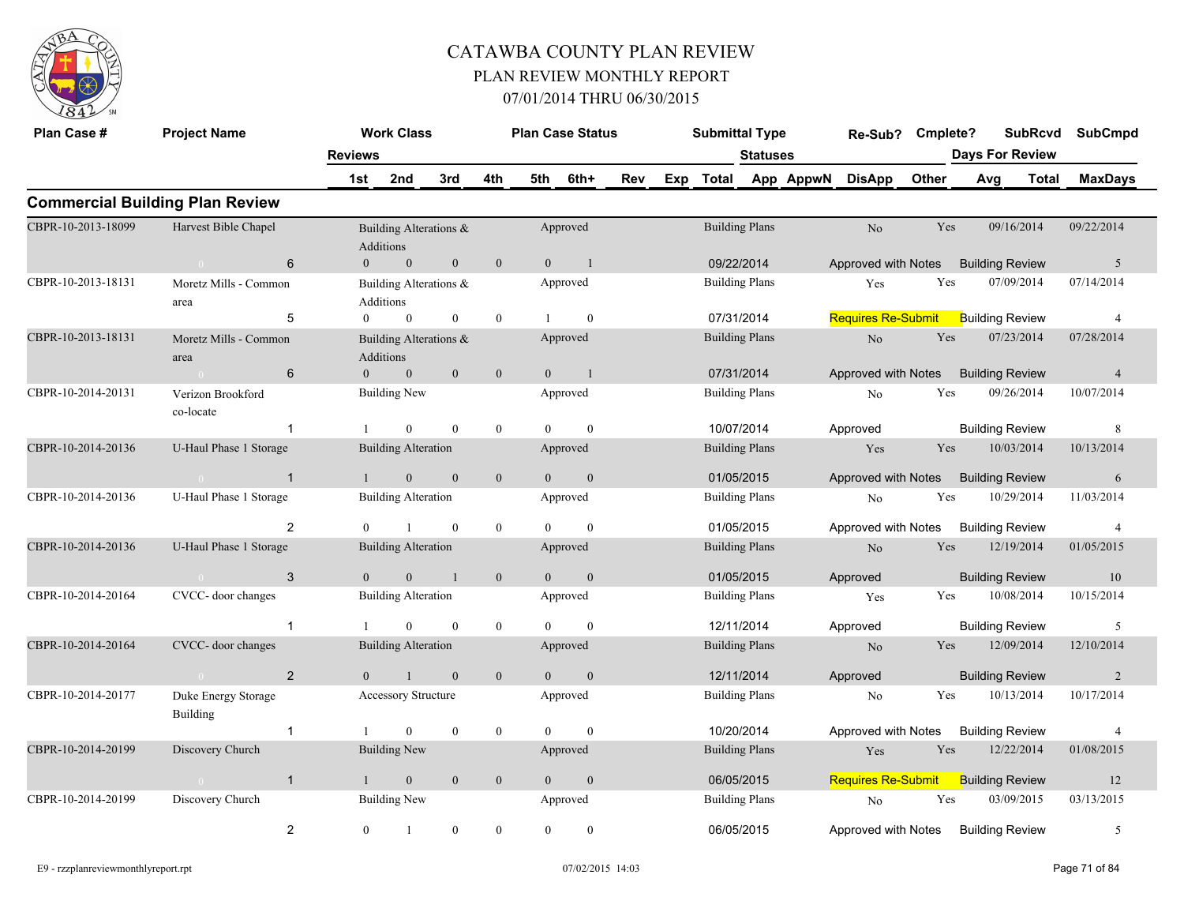

| Plan Case #        | <b>Project Name</b>                    |                | <b>Work Class</b>                   |                |                  |                | <b>Plan Case Status</b> |     |                       | <b>Submittal Type</b>               |                 |                           | Re-Sub?                   | Cmplete?               |                        | <b>SubRcvd</b> | <b>SubCmpd</b> |
|--------------------|----------------------------------------|----------------|-------------------------------------|----------------|------------------|----------------|-------------------------|-----|-----------------------|-------------------------------------|-----------------|---------------------------|---------------------------|------------------------|------------------------|----------------|----------------|
|                    |                                        | <b>Reviews</b> |                                     |                |                  |                |                         |     |                       |                                     | <b>Statuses</b> |                           |                           |                        | <b>Days For Review</b> |                |                |
|                    |                                        | 1st            | 2nd                                 | 3rd            | 4th              | 5th            | 6th+                    | Rev |                       |                                     |                 | Exp Total App AppwN       | <b>DisApp</b>             | Other                  | Avg                    | Total          | <b>MaxDays</b> |
|                    | <b>Commercial Building Plan Review</b> |                |                                     |                |                  |                |                         |     |                       |                                     |                 |                           |                           |                        |                        |                |                |
| CBPR-10-2013-18099 | Harvest Bible Chapel                   |                | Building Alterations &<br>Additions |                |                  |                | Approved                |     |                       | <b>Building Plans</b>               |                 |                           | No                        | Yes                    | 09/16/2014             |                | 09/22/2014     |
|                    | 6<br>$\sim 0$                          | $\overline{0}$ | $\mathbf{0}$                        | $\mathbf{0}$   | $\mathbf{0}$     | $\theta$       | -1                      |     |                       | 09/22/2014                          |                 |                           | Approved with Notes       |                        | <b>Building Review</b> |                | 5              |
| CBPR-10-2013-18131 | Moretz Mills - Common<br>area          |                | Building Alterations &<br>Additions |                |                  |                | Approved                |     |                       | <b>Building Plans</b>               |                 |                           | Yes                       | Yes                    | 07/09/2014             |                | 07/14/2014     |
|                    | 5                                      | $\overline{0}$ | $\bf{0}$                            | $\bf{0}$       | $\boldsymbol{0}$ |                | $\mathbf{0}$            |     |                       | 07/31/2014<br><b>Building Plans</b> |                 |                           | <b>Requires Re-Submit</b> |                        | <b>Building Review</b> |                | $\overline{4}$ |
| CBPR-10-2013-18131 | Moretz Mills - Common<br>area          |                | Building Alterations &<br>Additions |                |                  |                | Approved                |     |                       | 07/31/2014                          |                 |                           | No                        | Yes                    | 07/23/2014             |                | 07/28/2014     |
|                    | 6                                      | $\overline{0}$ | $\mathbf{0}$                        | $\mathbf{0}$   | $\boldsymbol{0}$ | $\overline{0}$ | $\blacksquare$          |     |                       |                                     |                 |                           | Approved with Notes       |                        | <b>Building Review</b> |                | $\overline{4}$ |
| CBPR-10-2014-20131 | Verizon Brookford<br>co-locate         |                | <b>Building New</b>                 |                |                  |                | Approved                |     |                       | <b>Building Plans</b><br>10/07/2014 |                 |                           | N <sub>o</sub>            | Yes                    | 09/26/2014             |                | 10/07/2014     |
|                    | $\overline{1}$                         |                | $\Omega$                            | $\theta$       | $\mathbf{0}$     | $\Omega$       | $\theta$                |     |                       |                                     |                 |                           | Approved                  |                        | <b>Building Review</b> |                | 8              |
| CBPR-10-2014-20136 | U-Haul Phase 1 Storage                 |                | <b>Building Alteration</b>          |                |                  |                | Approved                |     |                       | <b>Building Plans</b>               |                 |                           | Yes                       | Yes                    | 10/03/2014             |                | 10/13/2014     |
|                    | $\sim 0$<br>$\overline{1}$             | $\mathbf{1}$   | $\mathbf{0}$                        | $\mathbf{0}$   | $\mathbf{0}$     | $\overline{0}$ | $\mathbf{0}$            |     |                       | 01/05/2015                          |                 |                           | Approved with Notes       |                        | <b>Building Review</b> |                | 6              |
| CBPR-10-2014-20136 | U-Haul Phase 1 Storage                 |                | <b>Building Alteration</b>          |                |                  |                | Approved                |     |                       | <b>Building Plans</b>               |                 |                           | N <sub>o</sub>            | Yes                    | 10/29/2014             |                | 11/03/2014     |
|                    | $\overline{2}$                         | $\Omega$       | $\mathbf{1}$                        | $\mathbf{0}$   | $\mathbf{0}$     | $\Omega$       | $\theta$                |     |                       | 01/05/2015                          |                 |                           | Approved with Notes       |                        | <b>Building Review</b> |                | $\overline{4}$ |
| CBPR-10-2014-20136 | U-Haul Phase 1 Storage                 |                | <b>Building Alteration</b>          |                |                  |                | Approved                |     |                       | <b>Building Plans</b>               |                 |                           | No                        | Yes                    | 12/19/2014             |                | 01/05/2015     |
|                    | 3                                      | $\Omega$       | $\Omega$                            | $\overline{1}$ | $\mathbf{0}$     | $\theta$       | $\theta$                |     |                       | 01/05/2015                          |                 |                           | Approved                  |                        | <b>Building Review</b> |                | <sup>10</sup>  |
| CBPR-10-2014-20164 | CVCC- door changes                     |                | <b>Building Alteration</b>          |                |                  |                | Approved                |     |                       | <b>Building Plans</b>               |                 |                           | Yes                       | Yes                    | 10/08/2014             |                | 10/15/2014     |
|                    | $\mathbf{1}$                           | $\mathbf{1}$   | $\mathbf{0}$                        | $\mathbf{0}$   | $\mathbf{0}$     | $\Omega$       | $\theta$                |     |                       | 12/11/2014                          |                 |                           | Approved                  |                        | <b>Building Review</b> |                | 5              |
| CBPR-10-2014-20164 | CVCC- door changes                     |                | <b>Building Alteration</b>          |                |                  |                | Approved                |     |                       | <b>Building Plans</b>               |                 |                           | No                        | Yes                    | 12/09/2014             |                | 12/10/2014     |
|                    | $\overline{2}$<br>$\bigcap$            | $\theta$       |                                     | $\mathbf{0}$   | $\mathbf{0}$     | $\Omega$       | $\mathbf{0}$            |     |                       | 12/11/2014                          |                 |                           | Approved                  |                        | <b>Building Review</b> |                | 2              |
| CBPR-10-2014-20177 | Duke Energy Storage<br><b>Building</b> |                | Accessory Structure                 |                |                  |                | Approved                |     |                       | <b>Building Plans</b>               |                 |                           | No                        | Yes                    | 10/13/2014             |                | 10/17/2014     |
|                    | $\overline{1}$                         |                | $\theta$                            | $\mathbf{0}$   | $\mathbf{0}$     | $\theta$       | $\theta$                |     |                       | 10/20/2014                          |                 |                           | Approved with Notes       |                        | <b>Building Review</b> |                | $\overline{4}$ |
| CBPR-10-2014-20199 | Discovery Church                       |                | <b>Building New</b>                 |                |                  |                | Approved                |     | <b>Building Plans</b> |                                     |                 | Yes                       | Yes                       | 12/22/2014             |                        | 01/08/2015     |                |
|                    | $\overline{1}$<br>$\sim 0$             | $\mathbf{1}$   | $\mathbf{0}$                        | $\mathbf{0}$   | $\mathbf{0}$     | $\overline{0}$ | $\mathbf{0}$            |     | 06/05/2015            |                                     |                 | <b>Requires Re-Submit</b> |                           | <b>Building Review</b> |                        | 12             |                |
| CBPR-10-2014-20199 | Discovery Church                       |                | <b>Building New</b>                 |                |                  |                | Approved                |     | <b>Building Plans</b> |                                     |                 | $\rm No$                  | Yes                       | 03/09/2015             |                        | 03/13/2015     |                |
|                    | $\overline{c}$                         | $\overline{0}$ | 1                                   | $\bf{0}$       | $\boldsymbol{0}$ | $\overline{0}$ | $\mathbf{0}$            |     |                       | 06/05/2015                          |                 |                           | Approved with Notes       |                        | <b>Building Review</b> |                | 5              |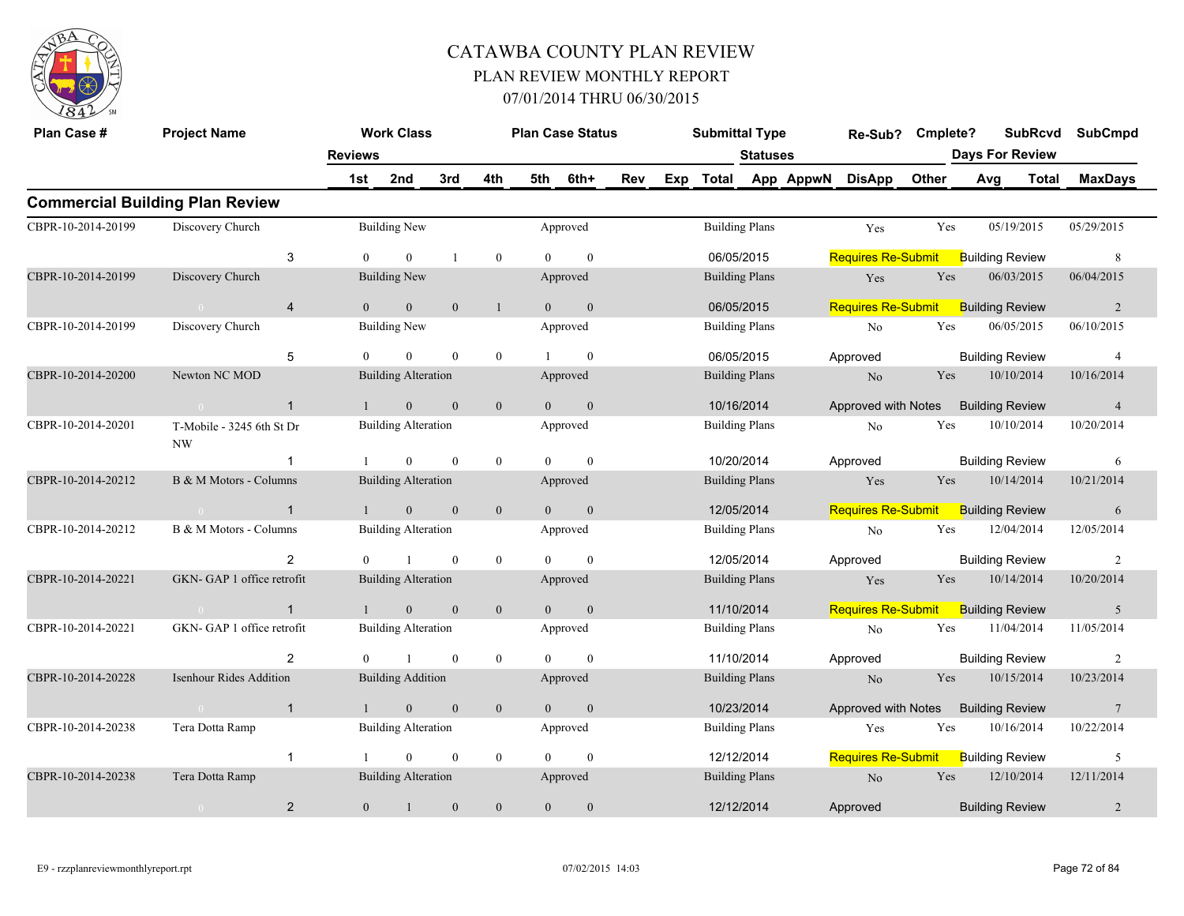

| Plan Case #        | <b>Project Name</b>                    |                |                | <b>Work Class</b>          |                |                |                | <b>Plan Case Status</b> |     |                                     | <b>Submittal Type</b> |                       |                           | Re-Sub?                   | Cmplete?               |                        | <b>SubRcvd</b> | <b>SubCmpd</b>  |  |
|--------------------|----------------------------------------|----------------|----------------|----------------------------|----------------|----------------|----------------|-------------------------|-----|-------------------------------------|-----------------------|-----------------------|---------------------------|---------------------------|------------------------|------------------------|----------------|-----------------|--|
|                    |                                        |                | <b>Reviews</b> |                            |                |                |                |                         |     |                                     |                       | <b>Statuses</b>       |                           |                           |                        | <b>Days For Review</b> |                |                 |  |
|                    |                                        |                | 1st            | 2nd                        | 3rd            | 4th            | 5th            | 6th+                    | Rev | Exp                                 | Total                 |                       | App AppwN                 | <b>DisApp</b>             | <b>Other</b>           | Avg                    | <b>Total</b>   | <b>MaxDays</b>  |  |
|                    | <b>Commercial Building Plan Review</b> |                |                |                            |                |                |                |                         |     |                                     |                       |                       |                           |                           |                        |                        |                |                 |  |
| CBPR-10-2014-20199 | Discovery Church                       |                |                | <b>Building New</b>        |                |                |                | Approved                |     |                                     |                       | <b>Building Plans</b> |                           | Yes                       | Yes                    | 05/19/2015             |                | 05/29/2015      |  |
|                    |                                        | 3              | $\theta$       | $\theta$                   |                | $\overline{0}$ | $\Omega$       | $\mathbf{0}$            |     |                                     | 06/05/2015            |                       |                           | <b>Requires Re-Submit</b> |                        | <b>Building Review</b> |                | 8               |  |
| CBPR-10-2014-20199 | Discovery Church                       |                |                | <b>Building New</b>        |                |                |                | Approved                |     | <b>Building Plans</b><br>06/05/2015 |                       |                       | Yes                       | Yes                       | 06/03/2015             |                        | 06/04/2015     |                 |  |
|                    | $\sim 0$ and $\sim 0.00$               | $\overline{4}$ | $\Omega$       | $\overline{0}$             | $\overline{0}$ | $\mathbf{1}$   | $\Omega$       | $\overline{0}$          |     |                                     |                       |                       |                           | <b>Requires Re-Submit</b> |                        | <b>Building Review</b> |                | 2               |  |
| CBPR-10-2014-20199 | Discovery Church                       |                |                | <b>Building New</b>        |                |                |                | Approved                |     | <b>Building Plans</b><br>06/05/2015 |                       |                       | No                        | Yes                       | 06/05/2015             |                        | 06/10/2015     |                 |  |
|                    |                                        | 5              | $\theta$       | $\theta$                   | $\theta$       | $\overline{0}$ | $\mathbf{1}$   | $\theta$                |     |                                     |                       |                       | Approved                  |                           | <b>Building Review</b> |                        | $\overline{4}$ |                 |  |
| CBPR-10-2014-20200 | Newton NC MOD                          |                |                | <b>Building Alteration</b> |                |                |                | Approved                |     | <b>Building Plans</b>               |                       |                       | No                        | Yes                       | 10/10/2014             |                        | 10/16/2014     |                 |  |
|                    | $\sim 0$                               | $\mathbf{1}$   | $\mathbf{1}$   | $\overline{0}$             | $\mathbf{0}$   | $\mathbf{0}$   | $\Omega$       | $\mathbf{0}$            |     |                                     | 10/16/2014            |                       |                           | Approved with Notes       |                        | <b>Building Review</b> |                | $\overline{4}$  |  |
| CBPR-10-2014-20201 | T-Mobile - 3245 6th St Dr<br>NW        |                |                | <b>Building Alteration</b> |                |                |                | Approved                |     |                                     |                       | <b>Building Plans</b> |                           | No                        | Yes                    | 10/10/2014             |                | 10/20/2014      |  |
|                    |                                        | $\mathbf{1}$   | -1             | $\overline{0}$             | $\mathbf{0}$   | $\overline{0}$ | $\theta$       | $\mathbf{0}$            |     |                                     | 10/20/2014            |                       |                           | Approved                  |                        | <b>Building Review</b> |                | 6               |  |
| CBPR-10-2014-20212 | B & M Motors - Columns                 |                |                | <b>Building Alteration</b> |                |                |                | Approved                |     |                                     |                       | <b>Building Plans</b> |                           | Yes                       | Yes                    | 10/14/2014             |                | 10/21/2014      |  |
|                    | $\sim$ 0                               | $\mathbf{1}$   |                | $\mathbf{0}$               | $\mathbf{0}$   | $\mathbf{0}$   | $\theta$       | $\mathbf{0}$            |     |                                     | 12/05/2014            |                       |                           | <b>Requires Re-Submit</b> |                        | <b>Building Review</b> |                | 6               |  |
| CBPR-10-2014-20212 | B & M Motors - Columns                 |                |                | <b>Building Alteration</b> |                |                |                | Approved                |     |                                     |                       | <b>Building Plans</b> |                           | No                        | Yes                    | 12/04/2014             |                | 12/05/2014      |  |
|                    |                                        | 2              | $\theta$       | $\overline{1}$             | $\mathbf{0}$   | $\overline{0}$ | $\theta$       | $\mathbf{0}$            |     |                                     | 12/05/2014            |                       |                           | Approved                  |                        | <b>Building Review</b> |                | 2               |  |
| CBPR-10-2014-20221 | GKN-GAP 1 office retrofit              |                |                | <b>Building Alteration</b> |                |                |                | Approved                |     |                                     |                       | <b>Building Plans</b> |                           | Yes                       | Yes                    | 10/14/2014             |                | 10/20/2014      |  |
|                    | $\sim 0$                               | $\overline{1}$ | $\mathbf{1}$   | $\overline{0}$             | $\mathbf{0}$   | $\mathbf{0}$   | $\theta$       | $\mathbf{0}$            |     |                                     | 11/10/2014            |                       |                           | <b>Requires Re-Submit</b> |                        | <b>Building Review</b> |                | 5               |  |
| CBPR-10-2014-20221 | GKN-GAP 1 office retrofit              |                |                | <b>Building Alteration</b> |                |                |                | Approved                |     |                                     |                       | <b>Building Plans</b> |                           | No                        | Yes                    | 11/04/2014             |                | 11/05/2014      |  |
|                    |                                        | 2              | $\theta$       |                            | $\mathbf{0}$   | $\mathbf{0}$   | $\Omega$       | $\theta$                |     |                                     | 11/10/2014            |                       |                           | Approved                  |                        | <b>Building Review</b> |                | 2               |  |
| CBPR-10-2014-20228 | <b>Isenhour Rides Addition</b>         |                |                | <b>Building Addition</b>   |                |                |                | Approved                |     |                                     |                       | <b>Building Plans</b> |                           | N <sub>o</sub>            | Yes                    | 10/15/2014             |                | 10/23/2014      |  |
|                    | $\sim 0$                               | $\mathbf{1}$   | $\mathbf{1}$   | $\overline{0}$             | $\mathbf{0}$   | $\mathbf{0}$   | $\overline{0}$ | $\mathbf{0}$            |     |                                     | 10/23/2014            |                       |                           | Approved with Notes       |                        | <b>Building Review</b> |                | $7\phantom{.0}$ |  |
| CBPR-10-2014-20238 | Tera Dotta Ramp                        |                |                | <b>Building Alteration</b> |                |                |                | Approved                |     | <b>Building Plans</b>               |                       |                       | Yes                       | Yes                       | 10/16/2014             |                        | 10/22/2014     |                 |  |
|                    |                                        | $\mathbf{1}$   | -1             | $\overline{0}$             | $\mathbf{0}$   | $\overline{0}$ | $\theta$       | $\mathbf{0}$            |     | 12/12/2014                          |                       |                       | <b>Requires Re-Submit</b> |                           | <b>Building Review</b> |                        | 5              |                 |  |
| CBPR-10-2014-20238 | Tera Dotta Ramp                        |                |                | <b>Building Alteration</b> |                |                |                | Approved                |     | <b>Building Plans</b>               |                       |                       | No                        | Yes                       | 12/10/2014             |                        | 12/11/2014     |                 |  |
|                    | $\overline{2}$                         | $\overline{0}$ | $\mathbf{1}$   | $\boldsymbol{0}$           | $\mathbf{0}$   | $\mathbf{0}$   | $\mathbf{0}$   |                         |     | 12/12/2014                          |                       |                       | Approved                  |                           | <b>Building Review</b> |                        | 2              |                 |  |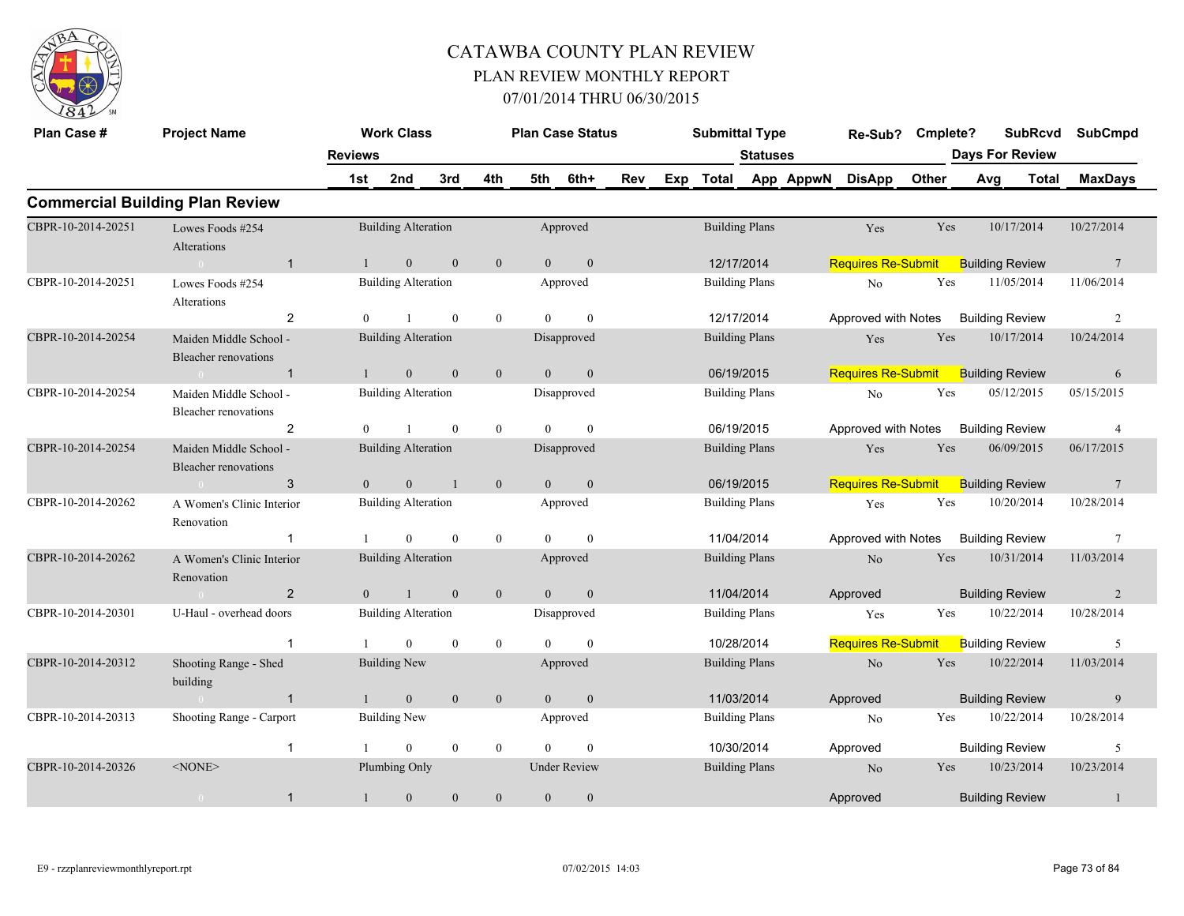

| Plan Case #        | <b>Project Name</b>                                   |                | <b>Work Class</b>          |                |                  |                | <b>Plan Case Status</b> |     |     | <b>Submittal Type</b> |                 |           | Re-Sub?                   | Cmplete?   |     | <b>SubRcvd</b>         | <b>SubCmpd</b>  |  |
|--------------------|-------------------------------------------------------|----------------|----------------------------|----------------|------------------|----------------|-------------------------|-----|-----|-----------------------|-----------------|-----------|---------------------------|------------|-----|------------------------|-----------------|--|
|                    |                                                       | <b>Reviews</b> |                            |                |                  |                |                         |     |     |                       | <b>Statuses</b> |           |                           |            |     | <b>Days For Review</b> |                 |  |
|                    |                                                       | 1st            | 2nd                        | 3rd            | 4th              | 5th            | 6th+                    | Rev | Exp | <b>Total</b>          |                 | App AppwN | <b>DisApp</b>             | Other      | Avg | Total                  | <b>MaxDays</b>  |  |
|                    | <b>Commercial Building Plan Review</b>                |                |                            |                |                  |                |                         |     |     |                       |                 |           |                           |            |     |                        |                 |  |
| CBPR-10-2014-20251 | Lowes Foods #254<br>Alterations                       |                | <b>Building Alteration</b> |                |                  |                | Approved                |     |     | <b>Building Plans</b> |                 |           | Yes                       | Yes        |     | 10/17/2014             | 10/27/2014      |  |
|                    | $\overline{1}$<br>$\Omega$                            |                | $\mathbf{0}$               | $\mathbf{0}$   | $\mathbf{0}$     | $\overline{0}$ | $\boldsymbol{0}$        |     |     | 12/17/2014            |                 |           | <b>Requires Re-Submit</b> |            |     | <b>Building Review</b> | $7\phantom{.0}$ |  |
| CBPR-10-2014-20251 | Lowes Foods #254<br>Alterations                       |                | <b>Building Alteration</b> |                |                  |                | Approved                |     |     | <b>Building Plans</b> |                 |           | No                        | Yes        |     | 11/05/2014             | 11/06/2014      |  |
|                    | 2                                                     | $\Omega$       |                            | $\theta$       | $\mathbf{0}$     | $\Omega$       | $\theta$                |     |     | 12/17/2014            |                 |           | Approved with Notes       |            |     | <b>Building Review</b> | $\overline{c}$  |  |
| CBPR-10-2014-20254 | Maiden Middle School -<br>Bleacher renovations        |                | <b>Building Alteration</b> |                |                  |                | Disapproved             |     |     | <b>Building Plans</b> |                 |           | Yes                       | Yes        |     | 10/17/2014             | 10/24/2014      |  |
|                    | $\overline{1}$                                        |                | $\mathbf{0}$               | $\mathbf{0}$   | $\boldsymbol{0}$ | $\overline{0}$ | $\mathbf{0}$            |     |     | 06/19/2015            |                 |           | <b>Requires Re-Submit</b> |            |     | <b>Building Review</b> | 6               |  |
| CBPR-10-2014-20254 | Maiden Middle School -<br>Bleacher renovations        |                | <b>Building Alteration</b> |                |                  |                | Disapproved             |     |     | <b>Building Plans</b> |                 |           | $\rm No$                  | Yes        |     | 05/12/2015             | 05/15/2015      |  |
|                    | 2                                                     | $\theta$       |                            | $\theta$       | $\mathbf{0}$     | $\theta$       | $\mathbf{0}$            |     |     | 06/19/2015            |                 |           | Approved with Notes       |            |     | <b>Building Review</b> | $\overline{4}$  |  |
| CBPR-10-2014-20254 | Maiden Middle School -<br><b>Bleacher renovations</b> |                | <b>Building Alteration</b> |                |                  |                | Disapproved             |     |     | <b>Building Plans</b> |                 |           | Yes                       | Yes        |     | 06/09/2015             | 06/17/2015      |  |
|                    | 3                                                     | $\overline{0}$ | $\mathbf{0}$               |                | $\mathbf{0}$     | $\overline{0}$ | $\boldsymbol{0}$        |     |     | 06/19/2015            |                 |           | <b>Requires Re-Submit</b> |            |     | <b>Building Review</b> | $7\phantom{.0}$ |  |
| CBPR-10-2014-20262 | A Women's Clinic Interior<br>Renovation               |                | <b>Building Alteration</b> |                |                  |                | Approved                |     |     | <b>Building Plans</b> |                 |           | Yes                       | Yes        |     | 10/20/2014             | 10/28/2014      |  |
|                    |                                                       |                | $\Omega$                   | $\theta$       | $\bf{0}$         | $\Omega$       | $\theta$                |     |     | 11/04/2014            |                 |           | Approved with Notes       |            |     | <b>Building Review</b> | $\tau$          |  |
| CBPR-10-2014-20262 | A Women's Clinic Interior<br>Renovation               |                | <b>Building Alteration</b> |                |                  |                | Approved                |     |     | <b>Building Plans</b> |                 |           | $\rm No$                  | Yes        |     | 10/31/2014             | 11/03/2014      |  |
|                    | 2                                                     | $\overline{0}$ |                            | $\overline{0}$ | $\mathbf{0}$     | $\overline{0}$ | $\mathbf{0}$            |     |     | 11/04/2014            |                 |           | Approved                  |            |     | <b>Building Review</b> | 2               |  |
| CBPR-10-2014-20301 | U-Haul - overhead doors                               |                | <b>Building Alteration</b> |                |                  |                | Disapproved             |     |     | <b>Building Plans</b> |                 |           | Yes                       | Yes        |     | 10/22/2014             | 10/28/2014      |  |
|                    | $\mathbf{1}$                                          |                | $\theta$                   | $\mathbf{0}$   | $\mathbf{0}$     | $\theta$       | $\mathbf{0}$            |     |     | 10/28/2014            |                 |           | <b>Requires Re-Submit</b> |            |     | <b>Building Review</b> | 5               |  |
| CBPR-10-2014-20312 | Shooting Range - Shed<br>building                     |                | <b>Building New</b>        |                |                  |                | Approved                |     |     | <b>Building Plans</b> |                 |           | No                        | Yes        |     | 10/22/2014             | 11/03/2014      |  |
|                    | $\overline{1}$                                        |                | $\overline{0}$             | $\theta$       | $\mathbf{0}$     | $\theta$       | $\mathbf{0}$            |     |     | 11/03/2014            |                 |           | Approved                  |            |     | <b>Building Review</b> | 9               |  |
| CBPR-10-2014-20313 | Shooting Range - Carport                              |                | <b>Building New</b>        |                |                  |                | Approved                |     |     | <b>Building Plans</b> |                 |           | N <sub>0</sub>            | Yes        |     | 10/22/2014             | 10/28/2014      |  |
|                    | $\overline{1}$                                        |                | $\mathbf{0}$               | $\mathbf{0}$   | $\mathbf{0}$     | $\Omega$       | $\theta$                |     |     | 10/30/2014            |                 |           | Approved                  |            |     | <b>Building Review</b> | 5               |  |
| CBPR-10-2014-20326 | $<$ NONE $>$                                          |                | Plumbing Only              |                |                  |                | <b>Under Review</b>     |     |     | <b>Building Plans</b> |                 |           | N <sub>o</sub>            | <b>Yes</b> |     | 10/23/2014             | 10/23/2014      |  |
|                    | $\mathbf{1}$<br>$\overline{0}$                        | 1              | $\mathbf{0}$               | $\mathbf{0}$   | $\boldsymbol{0}$ | $\mathbf{0}$   | $\mathbf{0}$            |     |     |                       |                 |           | Approved                  |            |     | <b>Building Review</b> | 1               |  |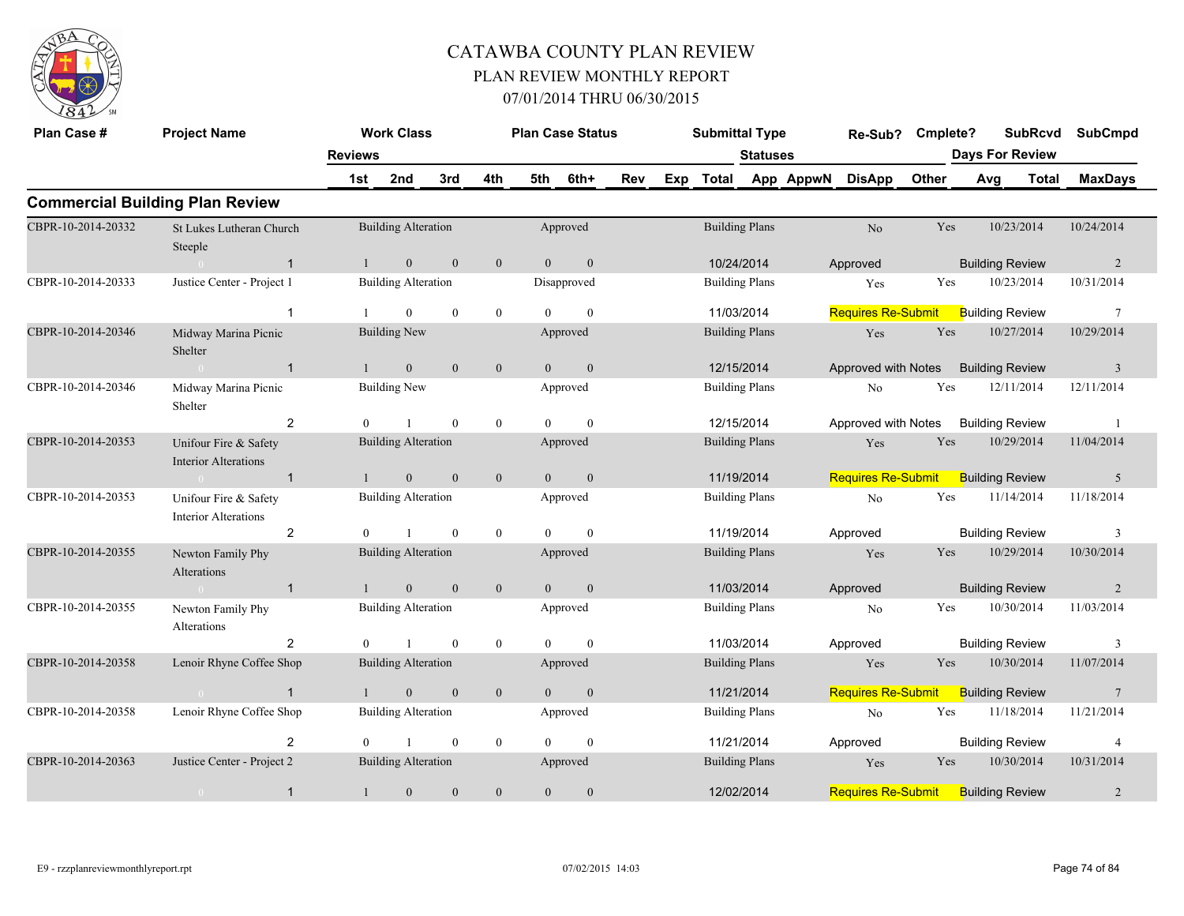

| Plan Case #        | <b>Project Name</b>                                  |                | <b>Work Class</b>          |                  |                |                | <b>Plan Case Status</b> |     |     | <b>Submittal Type</b> |                 |           | Re-Sub?                   | Cmplete? | <b>SubRcvd</b>         |              | <b>SubCmpd</b>  |
|--------------------|------------------------------------------------------|----------------|----------------------------|------------------|----------------|----------------|-------------------------|-----|-----|-----------------------|-----------------|-----------|---------------------------|----------|------------------------|--------------|-----------------|
|                    |                                                      | <b>Reviews</b> |                            |                  |                |                |                         |     |     |                       | <b>Statuses</b> |           |                           |          | <b>Days For Review</b> |              |                 |
|                    |                                                      | 1st            | 2nd                        | 3rd              | 4th            | 5th            | 6th+                    | Rev | Exp | <b>Total</b>          |                 | App AppwN | <b>DisApp</b>             | Other    | Avg                    | <b>Total</b> | <b>MaxDays</b>  |
|                    | <b>Commercial Building Plan Review</b>               |                |                            |                  |                |                |                         |     |     |                       |                 |           |                           |          |                        |              |                 |
| CBPR-10-2014-20332 | St Lukes Lutheran Church<br>Steeple                  |                | <b>Building Alteration</b> |                  |                |                | Approved                |     |     | <b>Building Plans</b> |                 |           | N <sub>o</sub>            | Yes      | 10/23/2014             |              | 10/24/2014      |
|                    | $\mathbf{1}$                                         | $\mathbf{1}$   | $\overline{0}$             | $\mathbf{0}$     | $\mathbf{0}$   | $\overline{0}$ | $\mathbf{0}$            |     |     | 10/24/2014            |                 |           | Approved                  |          | <b>Building Review</b> |              | $\overline{2}$  |
| CBPR-10-2014-20333 | Justice Center - Project 1                           |                | <b>Building Alteration</b> |                  |                |                | Disapproved             |     |     | <b>Building Plans</b> |                 |           | Yes                       | Yes      | 10/23/2014             |              | 10/31/2014      |
|                    | $\mathbf{1}$                                         |                | $\Omega$                   | $\theta$         | $\overline{0}$ | $\Omega$       | $\theta$                |     |     | 11/03/2014            |                 |           | <b>Requires Re-Submit</b> |          | <b>Building Review</b> |              | $7\phantom{.0}$ |
| CBPR-10-2014-20346 | Midway Marina Picnic<br>Shelter                      |                | <b>Building New</b>        |                  |                |                | Approved                |     |     | <b>Building Plans</b> |                 |           | Yes                       | Yes      | 10/27/2014             |              | 10/29/2014      |
|                    | $\sim 0$<br>$\mathbf{1}$                             | $\mathbf{1}$   | $\mathbf{0}$               | $\mathbf{0}$     | $\mathbf{0}$   | $\overline{0}$ | $\mathbf{0}$            |     |     | 12/15/2014            |                 |           | Approved with Notes       |          | <b>Building Review</b> |              | $\overline{3}$  |
| CBPR-10-2014-20346 | Midway Marina Picnic<br>Shelter                      |                | <b>Building New</b>        |                  |                |                | Approved                |     |     | <b>Building Plans</b> |                 |           | N <sub>o</sub>            | Yes      | 12/11/2014             |              | 12/11/2014      |
|                    | $\overline{2}$                                       | $\Omega$       |                            | $\theta$         | $\theta$       | $\Omega$       | $\theta$                |     |     | 12/15/2014            |                 |           | Approved with Notes       |          | <b>Building Review</b> |              | $\overline{1}$  |
| CBPR-10-2014-20353 | Unifour Fire & Safety<br><b>Interior Alterations</b> |                | <b>Building Alteration</b> |                  |                |                | Approved                |     |     | <b>Building Plans</b> |                 |           | Yes                       | Yes      | 10/29/2014             |              | 11/04/2014      |
|                    | $\overline{1}$                                       |                | $\mathbf{0}$               | $\boldsymbol{0}$ | $\mathbf{0}$   | $\Omega$       | $\mathbf{0}$            |     |     | 11/19/2014            |                 |           | <b>Requires Re-Submit</b> |          | <b>Building Review</b> |              | 5               |
| CBPR-10-2014-20353 | Unifour Fire & Safety<br><b>Interior Alterations</b> |                | <b>Building Alteration</b> |                  |                |                | Approved                |     |     | <b>Building Plans</b> |                 |           | N <sub>o</sub>            | Yes      | 11/14/2014             |              | 11/18/2014      |
|                    | $\overline{2}$                                       | $\theta$       |                            | $\mathbf{0}$     | $\overline{0}$ | $\theta$       | $\theta$                |     |     | 11/19/2014            |                 |           | Approved                  |          | <b>Building Review</b> |              | 3               |
| CBPR-10-2014-20355 | Newton Family Phy<br>Alterations                     |                | <b>Building Alteration</b> |                  |                |                | Approved                |     |     | <b>Building Plans</b> |                 |           | Yes                       | Yes      | 10/29/2014             |              | 10/30/2014      |
|                    | $\mathbf{1}$                                         |                | $\mathbf{0}$               | $\mathbf{0}$     | $\mathbf{0}$   | $\Omega$       | $\overline{0}$          |     |     | 11/03/2014            |                 |           | Approved                  |          | <b>Building Review</b> |              | 2               |
| CBPR-10-2014-20355 | Newton Family Phy<br>Alterations                     |                | <b>Building Alteration</b> |                  |                |                | Approved                |     |     | <b>Building Plans</b> |                 |           | No                        | Yes      | 10/30/2014             |              | 11/03/2014      |
|                    | 2                                                    | $\overline{0}$ | $\mathbf{1}$               | $\mathbf{0}$     | $\bf{0}$       | $\theta$       | $\mathbf{0}$            |     |     | 11/03/2014            |                 |           | Approved                  |          | <b>Building Review</b> |              | 3               |
| CBPR-10-2014-20358 | Lenoir Rhyne Coffee Shop                             |                | <b>Building Alteration</b> |                  |                |                | Approved                |     |     | <b>Building Plans</b> |                 |           | Yes                       | Yes      | 10/30/2014             |              | 11/07/2014      |
|                    | $\mathbf{1}$<br>$\sim 0$                             | $\mathbf{1}$   | $\overline{0}$             | $\mathbf{0}$     | $\mathbf{0}$   | $\overline{0}$ | $\mathbf{0}$            |     |     | 11/21/2014            |                 |           | <b>Requires Re-Submit</b> |          | <b>Building Review</b> |              | $7\phantom{.0}$ |
| CBPR-10-2014-20358 | Lenoir Rhyne Coffee Shop                             |                | <b>Building Alteration</b> |                  |                |                | Approved                |     |     | <b>Building Plans</b> |                 |           | No                        | Yes      | 11/18/2014             |              | 11/21/2014      |
|                    | $\overline{2}$                                       | $\Omega$       |                            | $\mathbf{0}$     | $\overline{0}$ | $\Omega$       | $\mathbf{0}$            |     |     | 11/21/2014            |                 |           | Approved                  |          | <b>Building Review</b> |              | 4               |
| CBPR-10-2014-20363 | Justice Center - Project 2                           |                | <b>Building Alteration</b> |                  |                |                | Approved                |     |     | <b>Building Plans</b> |                 |           | Yes                       | Yes      | 10/30/2014             |              | 10/31/2014      |
|                    | $\mathbf{1}$<br>$\overline{0}$                       | $\mathbf{1}$   | $\boldsymbol{0}$           | $\boldsymbol{0}$ | $\mathbf{0}$   | $\mathbf{0}$   | $\mathbf{0}$            |     |     | 12/02/2014            |                 |           | <b>Requires Re-Submit</b> |          | <b>Building Review</b> |              | $\overline{2}$  |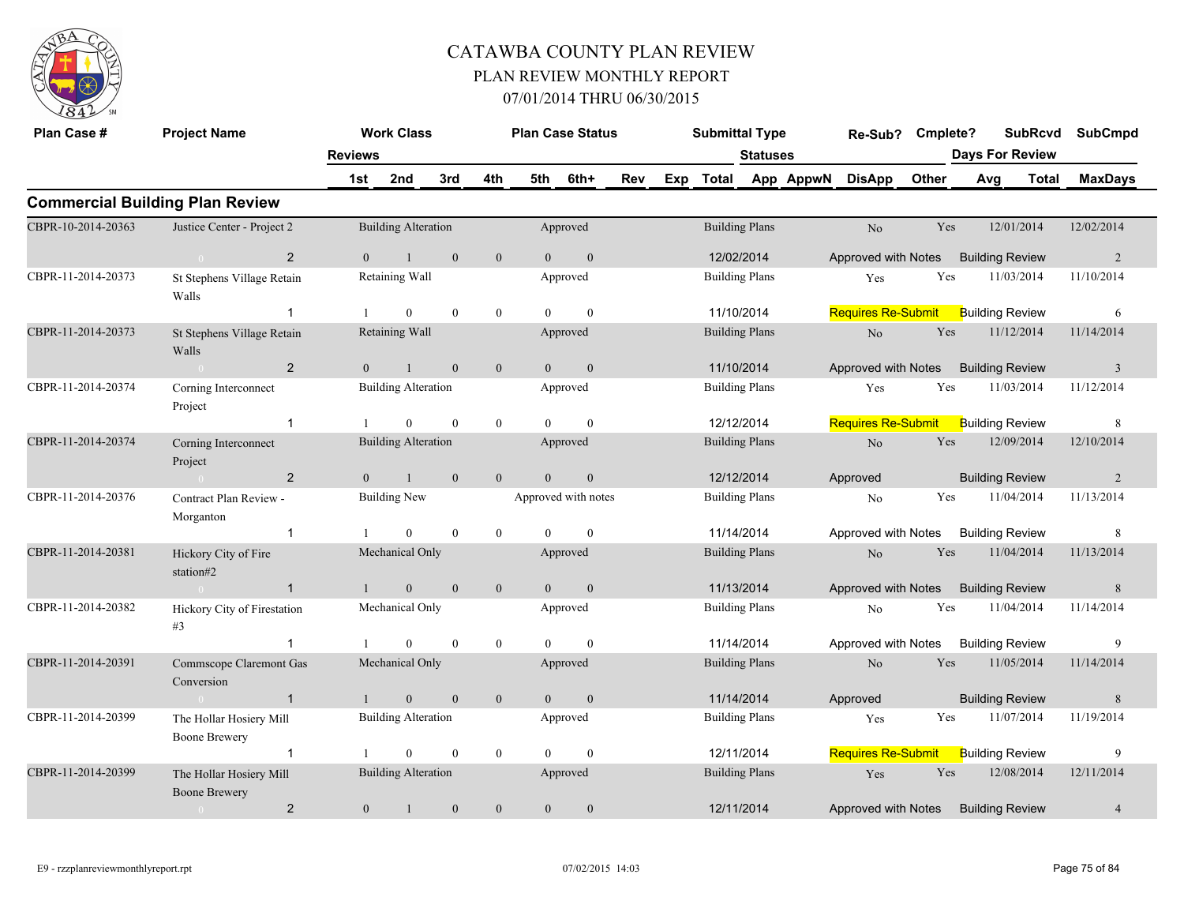

| Plan Case #        | <b>Project Name</b>                             |                       | <b>Work Class</b>          |              |                |                | <b>Plan Case Status</b> |     |     | <b>Submittal Type</b> |                       |           | Re-Sub? Cmplete?                    |       |     | <b>SubRcvd</b><br><b>Days For Review</b> | <b>SubCmpd</b> |
|--------------------|-------------------------------------------------|-----------------------|----------------------------|--------------|----------------|----------------|-------------------------|-----|-----|-----------------------|-----------------------|-----------|-------------------------------------|-------|-----|------------------------------------------|----------------|
|                    |                                                 | <b>Reviews</b><br>1st | 2nd                        | 3rd          | 4th            | 5th            | 6th+                    | Rev | Exp | <b>Total</b>          | <b>Statuses</b>       | App AppwN | <b>DisApp</b>                       | Other | Avg | Total                                    | <b>MaxDays</b> |
|                    | <b>Commercial Building Plan Review</b>          |                       |                            |              |                |                |                         |     |     |                       |                       |           |                                     |       |     |                                          |                |
| CBPR-10-2014-20363 | Justice Center - Project 2                      |                       | <b>Building Alteration</b> |              |                |                | Approved                |     |     |                       | <b>Building Plans</b> |           | No                                  | Yes   |     | 12/01/2014                               | 12/02/2014     |
|                    | $\overline{2}$<br>$\sim 0$                      | $\theta$              | $\mathbf{1}$               | $\mathbf{0}$ | $\mathbf{0}$   | $\overline{0}$ | $\mathbf{0}$            |     |     | 12/02/2014            |                       |           | Approved with Notes                 |       |     | <b>Building Review</b>                   | 2              |
| CBPR-11-2014-20373 | St Stephens Village Retain<br>Walls             |                       | Retaining Wall             |              |                |                | Approved                |     |     |                       | <b>Building Plans</b> |           | Yes                                 | Yes   |     | 11/03/2014                               | 11/10/2014     |
|                    | $\mathbf{1}$                                    |                       | $\overline{0}$             | $\mathbf{0}$ | $\mathbf{0}$   | $\theta$       | $\mathbf{0}$            |     |     |                       | 11/10/2014            |           | Requires Re-Submit                  |       |     | <b>Building Review</b>                   | 6              |
| CBPR-11-2014-20373 | St Stephens Village Retain<br>Walls             |                       | Retaining Wall             |              |                |                | Approved                |     |     |                       | <b>Building Plans</b> |           | $\rm No$                            | Yes   |     | 11/12/2014                               | 11/14/2014     |
|                    | $\overline{2}$<br>$\sim$ 0                      | $\overline{0}$        | $\mathbf{1}$               | $\mathbf{0}$ | $\mathbf{0}$   | $\overline{0}$ | $\mathbf{0}$            |     |     |                       | 11/10/2014            |           | Approved with Notes                 |       |     | <b>Building Review</b>                   | $\overline{3}$ |
| CBPR-11-2014-20374 | Corning Interconnect<br>Project                 |                       | <b>Building Alteration</b> |              |                |                | Approved                |     |     |                       | <b>Building Plans</b> |           | Yes                                 | Yes   |     | 11/03/2014                               | 11/12/2014     |
|                    | $\mathbf{1}$                                    |                       | $\overline{0}$             | $\theta$     | $\overline{0}$ | $\Omega$       | $\theta$                |     |     |                       | 12/12/2014            |           | <b>Requires Re-Submit</b>           |       |     | <b>Building Review</b>                   | 8              |
| CBPR-11-2014-20374 | Corning Interconnect<br>Project                 |                       | <b>Building Alteration</b> |              |                |                | Approved                |     |     |                       | <b>Building Plans</b> |           | $\rm No$                            | Yes   |     | 12/09/2014                               | 12/10/2014     |
|                    | $\overline{2}$<br>$\sim 0$                      | $\overline{0}$        | $\mathbf{1}$               | $\mathbf{0}$ | $\overline{0}$ | $\overline{0}$ | $\mathbf{0}$            |     |     | 12/12/2014            |                       |           | Approved                            |       |     | <b>Building Review</b>                   | 2              |
| CBPR-11-2014-20376 | Contract Plan Review -<br>Morganton             |                       | <b>Building New</b>        |              |                |                | Approved with notes     |     |     |                       | <b>Building Plans</b> |           | No                                  | Yes   |     | 11/04/2014                               | 11/13/2014     |
|                    | $\mathbf{1}$                                    |                       | $\bf{0}$                   | $\mathbf{0}$ | $\overline{0}$ | $\theta$       | $\overline{0}$          |     |     |                       | 11/14/2014            |           | Approved with Notes                 |       |     | <b>Building Review</b>                   | 8              |
| CBPR-11-2014-20381 | Hickory City of Fire<br>station#2               |                       | Mechanical Only            |              |                |                | Approved                |     |     |                       | <b>Building Plans</b> |           | No                                  | Yes   |     | 11/04/2014                               | 11/13/2014     |
|                    | $\mathbf{1}$<br>$\sim 0$                        | $\mathbf{1}$          | $\mathbf{0}$               | $\mathbf{0}$ | $\mathbf{0}$   | $\overline{0}$ | $\mathbf{0}$            |     |     | 11/13/2014            |                       |           | Approved with Notes                 |       |     | <b>Building Review</b>                   | 8              |
| CBPR-11-2014-20382 | Hickory City of Firestation<br>#3               |                       | Mechanical Only            |              |                |                | Approved                |     |     |                       | <b>Building Plans</b> |           | N <sub>o</sub>                      | Yes   |     | 11/04/2014                               | 11/14/2014     |
|                    | $\mathbf{1}$                                    | $\overline{1}$        | $\overline{0}$             | $\mathbf{0}$ | $\overline{0}$ | $\theta$       | $\mathbf{0}$            |     |     | 11/14/2014            |                       |           | Approved with Notes                 |       |     | <b>Building Review</b>                   | 9              |
| CBPR-11-2014-20391 | Commscope Claremont Gas<br>Conversion           |                       | Mechanical Only            |              |                |                | Approved                |     |     | <b>Building Plans</b> |                       |           | No                                  | Yes   |     | 11/05/2014                               | 11/14/2014     |
|                    | $\overline{1}$<br>$\sim 0$                      | $\mathbf{1}$          | $\mathbf{0}$               | $\mathbf{0}$ | $\overline{0}$ | $\overline{0}$ | $\mathbf{0}$            |     |     | 11/14/2014            |                       |           | Approved                            |       |     | <b>Building Review</b>                   | 8              |
| CBPR-11-2014-20399 | The Hollar Hosiery Mill<br><b>Boone Brewery</b> |                       | <b>Building Alteration</b> |              |                |                | Approved                |     |     |                       | <b>Building Plans</b> |           | Yes                                 | Yes   |     | 11/07/2014                               | 11/19/2014     |
|                    | $\mathbf{1}$                                    |                       | $\overline{0}$             | $\mathbf{0}$ | $\overline{0}$ | $\Omega$       | $\mathbf{0}$            |     |     | 12/11/2014            |                       |           | Requires Re-Submit                  |       |     | <b>Building Review</b>                   | 9              |
| CBPR-11-2014-20399 | The Hollar Hosiery Mill<br><b>Boone Brewery</b> |                       | <b>Building Alteration</b> |              |                |                | Approved                |     |     |                       | <b>Building Plans</b> |           | Yes                                 | Yes   |     | 12/08/2014                               | 12/11/2014     |
|                    | $\overline{2}$                                  | $\overline{0}$        | $\mathbf{1}$               | $\mathbf{0}$ | $\theta$       | $\overline{0}$ | $\mathbf{0}$            |     |     | 12/11/2014            |                       |           | Approved with Notes Building Review |       |     |                                          | $\overline{4}$ |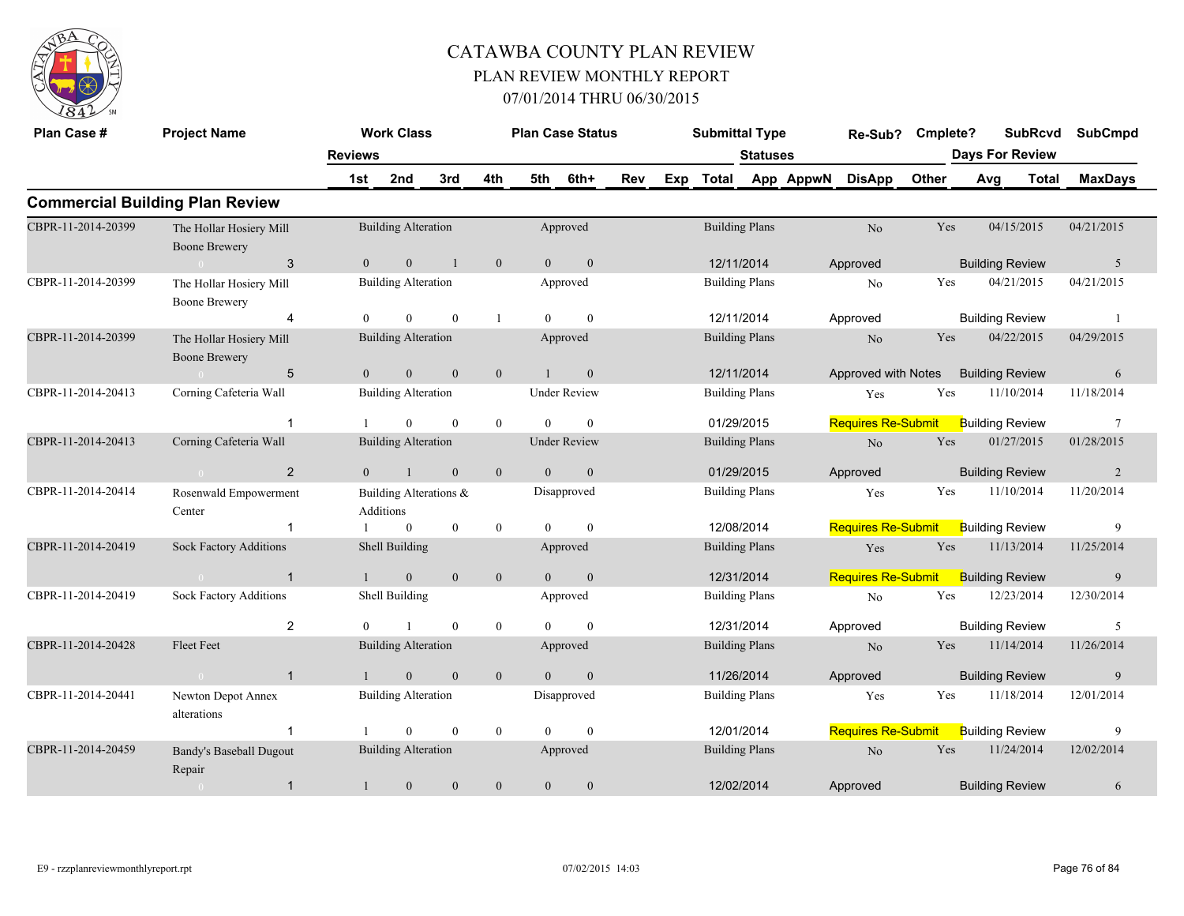

| Plan Case #        | <b>Project Name</b>                             | <b>Reviews</b> | <b>Work Class</b>                   |                  |                  |                | <b>Plan Case Status</b> |     |     | <b>Submittal Type</b> | <b>Statuses</b> |           | Re-Sub?                   | Cmplete? |     | <b>SubRcvd</b><br><b>Days For Review</b> | <b>SubCmpd</b>  |
|--------------------|-------------------------------------------------|----------------|-------------------------------------|------------------|------------------|----------------|-------------------------|-----|-----|-----------------------|-----------------|-----------|---------------------------|----------|-----|------------------------------------------|-----------------|
|                    |                                                 | 1st            | 2nd                                 | 3rd              | 4th              | 5th            | 6th+                    | Rev | Exp | Total                 |                 | App AppwN | <b>DisApp</b>             | Other    | Avg | <b>Total</b>                             | <b>MaxDays</b>  |
|                    | <b>Commercial Building Plan Review</b>          |                |                                     |                  |                  |                |                         |     |     |                       |                 |           |                           |          |     |                                          |                 |
| CBPR-11-2014-20399 | The Hollar Hosiery Mill<br><b>Boone Brewery</b> |                | <b>Building Alteration</b>          |                  |                  |                | Approved                |     |     | <b>Building Plans</b> |                 |           | No                        | Yes      |     | 04/15/2015                               | 04/21/2015      |
|                    | 3                                               | $\overline{0}$ | $\mathbf{0}$                        | $\overline{1}$   | $\mathbf{0}$     | $\overline{0}$ | $\mathbf{0}$            |     |     | 12/11/2014            |                 |           | Approved                  |          |     | <b>Building Review</b>                   | 5               |
| CBPR-11-2014-20399 | The Hollar Hosiery Mill<br><b>Boone Brewery</b> |                | <b>Building Alteration</b>          |                  |                  |                | Approved                |     |     | <b>Building Plans</b> |                 |           | No                        | Yes      |     | 04/21/2015                               | 04/21/2015      |
|                    | $\overline{4}$                                  |                | $\theta$                            | $\theta$         | -1               | $\Omega$       | $\theta$                |     |     | 12/11/2014            |                 |           | Approved                  |          |     | <b>Building Review</b>                   |                 |
| CBPR-11-2014-20399 | The Hollar Hosiery Mill<br><b>Boone Brewery</b> |                | <b>Building Alteration</b>          |                  |                  |                | Approved                |     |     | <b>Building Plans</b> |                 |           | N <sub>o</sub>            | Yes      |     | 04/22/2015                               | 04/29/2015      |
|                    | $\sqrt{5}$<br>$\sim 0$                          | $\theta$       | $\overline{0}$                      | $\mathbf{0}$     | $\mathbf{0}$     |                | $\mathbf{0}$            |     |     | 12/11/2014            |                 |           | Approved with Notes       |          |     | <b>Building Review</b>                   | 6               |
| CBPR-11-2014-20413 | Corning Cafeteria Wall                          |                | <b>Building Alteration</b>          |                  |                  |                | <b>Under Review</b>     |     |     | <b>Building Plans</b> |                 |           | Yes                       | Yes      |     | 11/10/2014                               | 11/18/2014      |
|                    | $\overline{\mathbf{1}}$                         |                | $\theta$                            | $\theta$         | $\mathbf{0}$     | $\theta$       | $\theta$                |     |     | 01/29/2015            |                 |           | <b>Requires Re-Submit</b> |          |     | <b>Building Review</b>                   | $7\phantom{.0}$ |
| CBPR-11-2014-20413 | Corning Cafeteria Wall                          |                | <b>Building Alteration</b>          |                  |                  |                | <b>Under Review</b>     |     |     | <b>Building Plans</b> |                 |           | No                        | Yes      |     | 01/27/2015                               | 01/28/2015      |
|                    | 2<br>$\sim 0$                                   | $\theta$       | $\overline{1}$                      | $\overline{0}$   | $\mathbf{0}$     | $\theta$       | $\mathbf{0}$            |     |     | 01/29/2015            |                 |           | Approved                  |          |     | <b>Building Review</b>                   | $\overline{2}$  |
| CBPR-11-2014-20414 | Rosenwald Empowerment<br>Center                 |                | Building Alterations &<br>Additions |                  |                  |                | Disapproved             |     |     | <b>Building Plans</b> |                 |           | Yes                       | Yes      |     | 11/10/2014                               | 11/20/2014      |
|                    | $\mathbf{1}$                                    |                | $\overline{0}$                      | $\mathbf{0}$     | $\boldsymbol{0}$ | $\Omega$       | $\theta$                |     |     | 12/08/2014            |                 |           | <b>Requires Re-Submit</b> |          |     | <b>Building Review</b>                   | 9               |
| CBPR-11-2014-20419 | <b>Sock Factory Additions</b>                   |                | Shell Building                      |                  |                  |                | Approved                |     |     | <b>Building Plans</b> |                 |           | Yes                       | Yes      |     | 11/13/2014                               | 11/25/2014      |
|                    | $\overline{1}$<br>$\overline{0}$                | $\mathbf{1}$   | $\mathbf{0}$                        | $\mathbf{0}$     | $\boldsymbol{0}$ | $\theta$       | $\boldsymbol{0}$        |     |     | 12/31/2014            |                 |           | <b>Requires Re-Submit</b> |          |     | <b>Building Review</b>                   | 9               |
| CBPR-11-2014-20419 | Sock Factory Additions                          |                | Shell Building                      |                  |                  |                | Approved                |     |     | <b>Building Plans</b> |                 |           | No                        | Yes      |     | 12/23/2014                               | 12/30/2014      |
|                    | $\overline{2}$                                  |                |                                     | $\theta$         | $\mathbf{0}$     | $\Omega$       | $\theta$                |     |     | 12/31/2014            |                 |           | Approved                  |          |     | <b>Building Review</b>                   | 5               |
| CBPR-11-2014-20428 | <b>Fleet Feet</b>                               |                | <b>Building Alteration</b>          |                  |                  |                | Approved                |     |     | <b>Building Plans</b> |                 |           | N <sub>o</sub>            | Yes      |     | 11/14/2014                               | 11/26/2014      |
|                    | $\overline{1}$<br>$\theta$                      |                | $\Omega$                            | $\theta$         | $\mathbf{0}$     | $\Omega$       | $\theta$                |     |     | 11/26/2014            |                 |           | Approved                  |          |     | <b>Building Review</b>                   | 9               |
| CBPR-11-2014-20441 | Newton Depot Annex<br>alterations               |                | <b>Building Alteration</b>          |                  |                  |                | Disapproved             |     |     | <b>Building Plans</b> |                 |           | Yes                       | Yes      |     | 11/18/2014                               | 12/01/2014      |
|                    |                                                 |                | $\theta$                            | $\theta$         | $\bf{0}$         | $\Omega$       | $\theta$                |     |     | 12/01/2014            |                 |           | <b>Requires Re-Submit</b> |          |     | <b>Building Review</b>                   | 9               |
| CBPR-11-2014-20459 | <b>Bandy's Baseball Dugout</b><br>Repair        |                | <b>Building Alteration</b>          |                  |                  |                | Approved                |     |     | <b>Building Plans</b> |                 |           | N <sub>o</sub>            | Yes      |     | 11/24/2014                               | 12/02/2014      |
|                    | $\overline{1}$<br>$\sim 0$                      | $\mathbf{1}$   | $\mathbf{0}$                        | $\boldsymbol{0}$ | $\boldsymbol{0}$ | $\overline{0}$ | $\boldsymbol{0}$        |     |     | 12/02/2014            |                 |           | Approved                  |          |     | <b>Building Review</b>                   | 6               |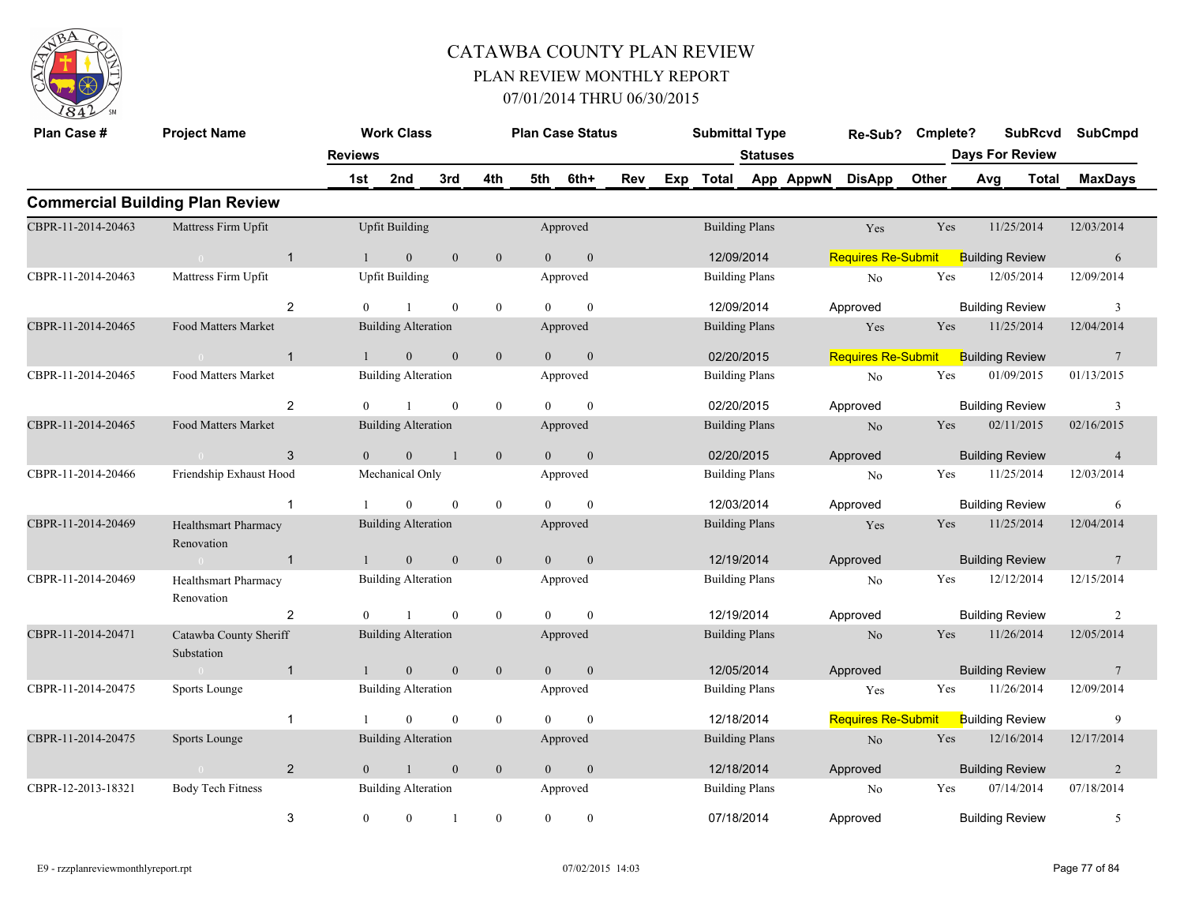

| Plan Case #        | <b>Project Name</b>                                             |                | <b>Work Class</b>          |                |                  |                | <b>Plan Case Status</b> |     | <b>Submittal Type</b> |                 |                     | Re-Sub?                   | Cmplete? |                        | <b>SubRcvd</b> | <b>SubCmpd</b>  |
|--------------------|-----------------------------------------------------------------|----------------|----------------------------|----------------|------------------|----------------|-------------------------|-----|-----------------------|-----------------|---------------------|---------------------------|----------|------------------------|----------------|-----------------|
|                    |                                                                 | <b>Reviews</b> |                            |                |                  |                |                         |     |                       | <b>Statuses</b> |                     |                           |          | <b>Days For Review</b> |                |                 |
|                    |                                                                 | 1st            | 2nd                        | 3rd            | 4th              | 5th            | 6th+                    | Rev |                       |                 | Exp Total App AppwN | <b>DisApp</b>             | Other    | Avg                    | Total          | <b>MaxDays</b>  |
|                    | <b>Commercial Building Plan Review</b>                          |                |                            |                |                  |                |                         |     |                       |                 |                     |                           |          |                        |                |                 |
| CBPR-11-2014-20463 | Mattress Firm Upfit                                             |                | <b>Upfit Building</b>      |                |                  |                | Approved                |     | <b>Building Plans</b> |                 |                     | Yes                       | Yes      | 11/25/2014             |                | 12/03/2014      |
|                    | $\overline{1}$<br>$\sim$ 0.000 $\sim$ 0.000 $\sim$ 0.000 $\sim$ | 1              | $\mathbf{0}$               | $\mathbf{0}$   | $\mathbf{0}$     | $\Omega$       | $\mathbf{0}$            |     | 12/09/2014            |                 |                     | <b>Requires Re-Submit</b> |          | <b>Building Review</b> |                | 6               |
| CBPR-11-2014-20463 | Mattress Firm Upfit                                             |                | <b>Upfit Building</b>      |                |                  |                | Approved                |     | <b>Building Plans</b> |                 |                     | No                        | Yes      | 12/05/2014             |                | 12/09/2014      |
|                    | 2                                                               | $\theta$       |                            | $\mathbf{0}$   | $\bf{0}$         | $\Omega$       | $\mathbf{0}$            |     | 12/09/2014            |                 |                     | Approved                  |          | <b>Building Review</b> |                | $\overline{3}$  |
| CBPR-11-2014-20465 | Food Matters Market                                             |                | <b>Building Alteration</b> |                |                  |                | Approved                |     | <b>Building Plans</b> |                 |                     | Yes                       | Yes      | 11/25/2014             |                | 12/04/2014      |
|                    | $\sim 0$<br>$\mathbf{1}$                                        | $\overline{1}$ | $\mathbf{0}$               | $\overline{0}$ | $\mathbf{0}$     | $\theta$       | $\mathbf{0}$            |     | 02/20/2015            |                 |                     | <b>Requires Re-Submit</b> |          | <b>Building Review</b> |                | $\overline{7}$  |
| CBPR-11-2014-20465 | Food Matters Market                                             |                | <b>Building Alteration</b> |                |                  |                | Approved                |     | <b>Building Plans</b> |                 |                     | No                        | Yes      | 01/09/2015             |                | 01/13/2015      |
|                    | $\overline{2}$                                                  | $\Omega$       | $\overline{1}$             | $\theta$       | $\mathbf{0}$     | $\Omega$       | $\theta$                |     | 02/20/2015            |                 |                     | Approved                  |          | <b>Building Review</b> |                | 3               |
| CBPR-11-2014-20465 | <b>Food Matters Market</b>                                      |                | <b>Building Alteration</b> |                |                  |                | Approved                |     | <b>Building Plans</b> |                 |                     | N <sub>o</sub>            | Yes      | 02/11/2015             |                | 02/16/2015      |
|                    | 3<br>$\bigcap$                                                  | $\Omega$       | $\mathbf{0}$               | $\overline{1}$ | $\mathbf{0}$     | $\overline{0}$ | $\mathbf{0}$            |     | 02/20/2015            |                 |                     | Approved                  |          | <b>Building Review</b> |                | $\overline{4}$  |
| CBPR-11-2014-20466 | Friendship Exhaust Hood                                         |                | Mechanical Only            |                |                  |                | Approved                |     | <b>Building Plans</b> |                 |                     | N <sub>0</sub>            | Yes      | 11/25/2014             |                | 12/03/2014      |
|                    | $\overline{1}$                                                  |                | $\overline{0}$             | $\theta$       | $\mathbf{0}$     | $\Omega$       | $\mathbf{0}$            |     | 12/03/2014            |                 |                     | Approved                  |          | <b>Building Review</b> |                | 6               |
| CBPR-11-2014-20469 | Healthsmart Pharmacy                                            |                | <b>Building Alteration</b> |                |                  |                | Approved                |     | <b>Building Plans</b> |                 |                     | Yes                       | Yes      | 11/25/2014             |                | 12/04/2014      |
|                    | Renovation<br>$\overline{1}$<br>$\sim 0$ and $\sim 0.000$       | 1              | $\mathbf{0}$               | $\mathbf{0}$   | $\mathbf{0}$     | $\overline{0}$ | $\mathbf{0}$            |     | 12/19/2014            |                 |                     | Approved                  |          | <b>Building Review</b> |                | $7\phantom{.0}$ |
| CBPR-11-2014-20469 | Healthsmart Pharmacy                                            |                | <b>Building Alteration</b> |                |                  |                | Approved                |     | <b>Building Plans</b> |                 |                     | No                        | Yes      | 12/12/2014             |                | 12/15/2014      |
|                    | Renovation<br>$\overline{2}$                                    | $\Omega$       |                            | $\theta$       | $\mathbf{0}$     | $\Omega$       | $\theta$                |     | 12/19/2014            |                 |                     | Approved                  |          | <b>Building Review</b> |                | 2               |
| CBPR-11-2014-20471 | Catawba County Sheriff                                          |                | <b>Building Alteration</b> |                |                  |                | Approved                |     | <b>Building Plans</b> |                 |                     | N <sub>o</sub>            | Yes      | 11/26/2014             |                | 12/05/2014      |
|                    | Substation                                                      |                |                            |                |                  |                |                         |     |                       |                 |                     |                           |          |                        |                |                 |
|                    | $\sim 0$<br>$\overline{1}$                                      | $\blacksquare$ | $\mathbf{0}$               | $\mathbf{0}$   | $\mathbf{0}$     | $\overline{0}$ | $\mathbf{0}$            |     | 12/05/2014            |                 |                     | Approved                  |          | <b>Building Review</b> |                | $7\phantom{.0}$ |
| CBPR-11-2014-20475 | Sports Lounge                                                   |                | <b>Building Alteration</b> |                |                  |                | Approved                |     | <b>Building Plans</b> |                 |                     | Yes                       | Yes      | 11/26/2014             |                | 12/09/2014      |
|                    | $\mathbf{1}$                                                    |                | $\overline{0}$             | $\overline{0}$ | $\overline{0}$   | $\Omega$       | $\mathbf{0}$            |     | 12/18/2014            |                 |                     | <b>Requires Re-Submit</b> |          | <b>Building Review</b> |                | 9               |
| CBPR-11-2014-20475 | Sports Lounge                                                   |                | <b>Building Alteration</b> |                |                  |                | Approved                |     | <b>Building Plans</b> |                 |                     | $\rm No$                  | Yes      | 12/16/2014             |                | 12/17/2014      |
|                    | $\overline{2}$<br>$\sim 0$                                      | 0              | $\mathbf{1}$               | $\mathbf{0}$   | $\mathbf{0}$     | $\overline{0}$ | $\mathbf{0}$            |     | 12/18/2014            |                 |                     | Approved                  |          | <b>Building Review</b> |                | $\overline{2}$  |
| CBPR-12-2013-18321 | <b>Body Tech Fitness</b>                                        |                | <b>Building Alteration</b> |                |                  |                | Approved                |     | <b>Building Plans</b> |                 |                     | N <sub>0</sub>            | Yes      | 07/14/2014             |                | 07/18/2014      |
|                    | 3                                                               | $\overline{0}$ | $\boldsymbol{0}$           |                | $\boldsymbol{0}$ | $\overline{0}$ | $\boldsymbol{0}$        |     | 07/18/2014            |                 |                     | Approved                  |          | <b>Building Review</b> |                | 5               |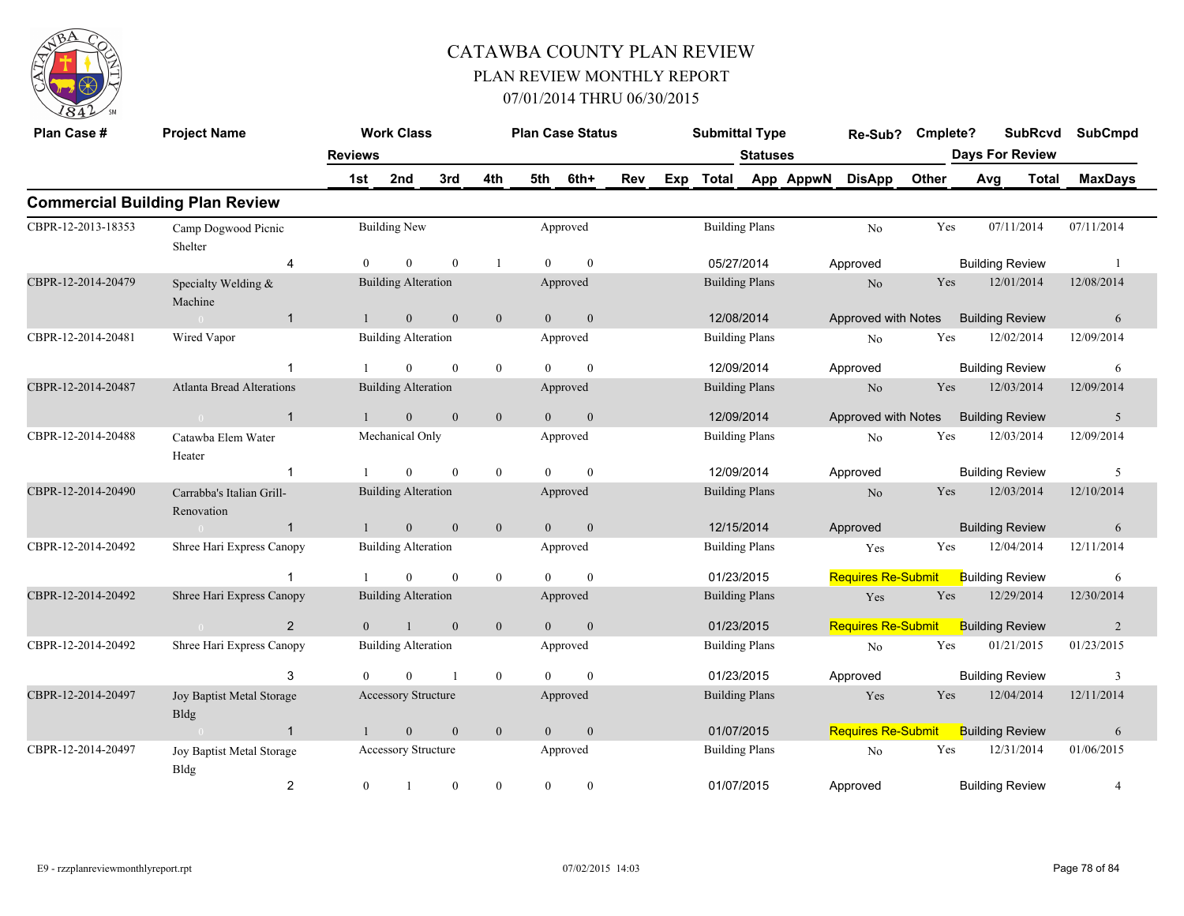

| Plan Case #        | <b>Project Name</b>                      |                | <b>Work Class</b>          |                  |                  |                | <b>Plan Case Status</b> |     |     | <b>Submittal Type</b> |                       |           | Re-Sub?                   | Cmplete? |     | <b>SubRcvd</b>         | <b>SubCmpd</b> |
|--------------------|------------------------------------------|----------------|----------------------------|------------------|------------------|----------------|-------------------------|-----|-----|-----------------------|-----------------------|-----------|---------------------------|----------|-----|------------------------|----------------|
|                    |                                          | <b>Reviews</b> |                            |                  |                  |                |                         |     |     |                       | <b>Statuses</b>       |           |                           |          |     | <b>Days For Review</b> |                |
|                    |                                          | 1st            | 2nd                        | 3rd              | 4th              | 5th            | 6th+                    | Rev | Exp | Total                 |                       | App AppwN | <b>DisApp</b>             | Other    | Avg | <b>Total</b>           | <b>MaxDays</b> |
|                    | <b>Commercial Building Plan Review</b>   |                |                            |                  |                  |                |                         |     |     |                       |                       |           |                           |          |     |                        |                |
| CBPR-12-2013-18353 | Camp Dogwood Picnic<br>Shelter           |                | <b>Building New</b>        |                  |                  |                | Approved                |     |     |                       | <b>Building Plans</b> |           | No                        | Yes      |     | 07/11/2014             | 07/11/2014     |
|                    | 4                                        | $\Omega$       | $\overline{0}$             | $\mathbf{0}$     | -1               | $\Omega$       | $\theta$                |     |     |                       | 05/27/2014            |           | Approved                  |          |     | <b>Building Review</b> | -1             |
| CBPR-12-2014-20479 | Specialty Welding &<br>Machine           |                | <b>Building Alteration</b> |                  |                  |                | Approved                |     |     |                       | <b>Building Plans</b> |           | N <sub>o</sub>            | Yes      |     | 12/01/2014             | 12/08/2014     |
|                    | $\mathbf{1}$                             | $\mathbf{1}$   | $\mathbf{0}$               | $\mathbf{0}$     | $\overline{0}$   | $\theta$       | $\mathbf{0}$            |     |     |                       | 12/08/2014            |           | Approved with Notes       |          |     | <b>Building Review</b> | 6              |
| CBPR-12-2014-20481 | Wired Vapor                              |                | <b>Building Alteration</b> |                  |                  |                | Approved                |     |     |                       | <b>Building Plans</b> |           | N <sub>o</sub>            | Yes      |     | 12/02/2014             | 12/09/2014     |
|                    | -1                                       |                | $\mathbf{0}$               | $\mathbf{0}$     | $\boldsymbol{0}$ | $\Omega$       | $\overline{0}$          |     |     |                       | 12/09/2014            |           | Approved                  |          |     | <b>Building Review</b> | 6              |
| CBPR-12-2014-20487 | <b>Atlanta Bread Alterations</b>         |                | <b>Building Alteration</b> |                  |                  |                | Approved                |     |     |                       | <b>Building Plans</b> |           | N <sub>o</sub>            | Yes      |     | 12/03/2014             | 12/09/2014     |
|                    | $\mathbf{1}$                             | $\mathbf{1}$   | $\mathbf{0}$               | $\mathbf{0}$     | $\overline{0}$   | $\theta$       | $\mathbf{0}$            |     |     |                       | 12/09/2014            |           | Approved with Notes       |          |     | <b>Building Review</b> | 5              |
| CBPR-12-2014-20488 | Catawba Elem Water<br>Heater             |                | Mechanical Only            |                  |                  |                | Approved                |     |     |                       | <b>Building Plans</b> |           | No                        | Yes      |     | 12/03/2014             | 12/09/2014     |
|                    | $\mathbf{1}$                             |                | $\theta$                   | $\mathbf{0}$     | $\overline{0}$   | $\Omega$       | $\overline{0}$          |     |     |                       | 12/09/2014            |           | Approved                  |          |     | <b>Building Review</b> | 5              |
| CBPR-12-2014-20490 | Carrabba's Italian Grill-<br>Renovation  |                | <b>Building Alteration</b> |                  |                  |                | Approved                |     |     |                       | <b>Building Plans</b> |           | N <sub>o</sub>            | Yes      |     | 12/03/2014             | 12/10/2014     |
|                    | $\mathbf{1}$<br>$\sim 0$                 | $\overline{1}$ | $\overline{0}$             | $\mathbf{0}$     | $\mathbf{0}$     | $\overline{0}$ | $\overline{0}$          |     |     |                       | 12/15/2014            |           | Approved                  |          |     | <b>Building Review</b> | 6              |
| CBPR-12-2014-20492 | Shree Hari Express Canopy                |                | <b>Building Alteration</b> |                  |                  |                | Approved                |     |     |                       | <b>Building Plans</b> |           | Yes                       | Yes      |     | 12/04/2014             | 12/11/2014     |
|                    | $\mathbf{1}$                             |                | $\overline{0}$             | $\mathbf{0}$     | $\overline{0}$   | $\Omega$       | $\mathbf{0}$            |     |     |                       | 01/23/2015            |           | <b>Requires Re-Submit</b> |          |     | <b>Building Review</b> | 6              |
| CBPR-12-2014-20492 | Shree Hari Express Canopy                |                | <b>Building Alteration</b> |                  |                  |                | Approved                |     |     |                       | <b>Building Plans</b> |           | Yes                       | Yes      |     | 12/29/2014             | 12/30/2014     |
|                    | 2<br>$\sim$ 0.000 $\sim$ 0.000 $\sim$    | $\theta$       | $\mathbf{1}$               | $\mathbf{0}$     | $\mathbf{0}$     | $\overline{0}$ | $\mathbf{0}$            |     |     |                       | 01/23/2015            |           | <b>Requires Re-Submit</b> |          |     | <b>Building Review</b> | 2              |
| CBPR-12-2014-20492 | Shree Hari Express Canopy                |                | <b>Building Alteration</b> |                  |                  |                | Approved                |     |     |                       | <b>Building Plans</b> |           | No                        | Yes      |     | 01/21/2015             | 01/23/2015     |
|                    | 3                                        | $\Omega$       | $\Omega$                   | $\mathbf{1}$     | $\overline{0}$   | $\Omega$       | $\theta$                |     |     |                       | 01/23/2015            |           | Approved                  |          |     | <b>Building Review</b> | 3              |
| CBPR-12-2014-20497 | Joy Baptist Metal Storage<br><b>Bldg</b> |                | <b>Accessory Structure</b> |                  |                  |                | Approved                |     |     |                       | <b>Building Plans</b> |           | Yes                       | Yes      |     | 12/04/2014             | 12/11/2014     |
|                    | $\overline{1}$                           | $\mathbf{1}$   | $\mathbf{0}$               | $\mathbf{0}$     | $\mathbf{0}$     | $\overline{0}$ | $\mathbf{0}$            |     |     |                       | 01/07/2015            |           | <b>Requires Re-Submit</b> |          |     | <b>Building Review</b> | 6              |
| CBPR-12-2014-20497 | Joy Baptist Metal Storage<br>Bldg        |                | Accessory Structure        |                  |                  |                | Approved                |     |     |                       | <b>Building Plans</b> |           | N <sub>o</sub>            | Yes      |     | 12/31/2014             | 01/06/2015     |
|                    | $\overline{2}$                           | $\mathbf{0}$   |                            | $\boldsymbol{0}$ | $\overline{0}$   | $\overline{0}$ | $\boldsymbol{0}$        |     |     |                       | 01/07/2015            |           | Approved                  |          |     | <b>Building Review</b> | 4              |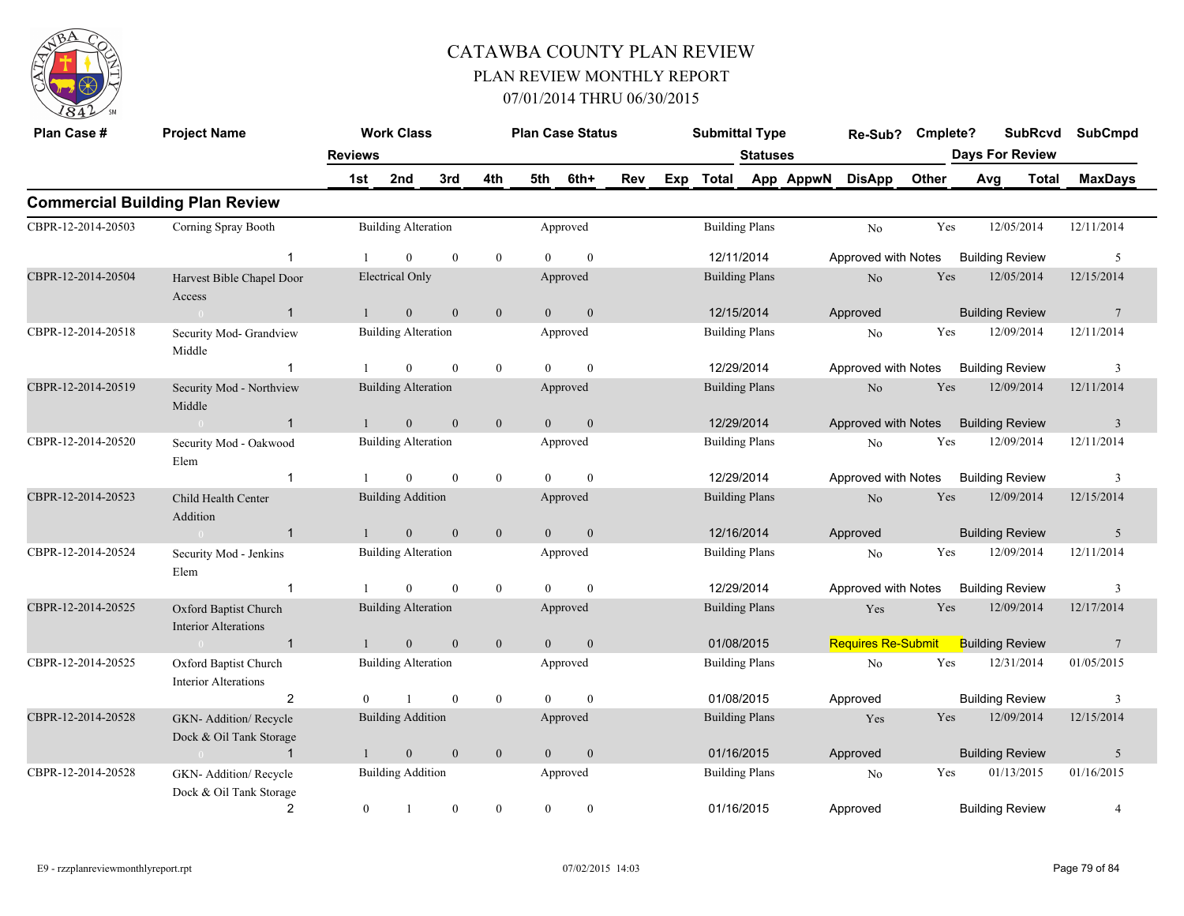

| Plan Case #        | <b>Project Name</b>                                  |                  | <b>Work Class</b>          |                  |              |                | <b>Plan Case Status</b> |            | <b>Submittal Type</b> |                       |           | Re-Sub? Cmplete?          |       | <b>SubRcvd</b>         | <b>SubCmpd</b>  |
|--------------------|------------------------------------------------------|------------------|----------------------------|------------------|--------------|----------------|-------------------------|------------|-----------------------|-----------------------|-----------|---------------------------|-------|------------------------|-----------------|
|                    |                                                      | <b>Reviews</b>   |                            |                  |              |                |                         |            |                       | <b>Statuses</b>       |           |                           |       | <b>Days For Review</b> |                 |
|                    |                                                      | 1st              | 2nd                        | 3rd              | 4th          | 5th            | 6th+                    | <b>Rev</b> | Exp Total             |                       | App AppwN | <b>DisApp</b>             | Other | Avg<br>Total           | <b>MaxDays</b>  |
|                    | <b>Commercial Building Plan Review</b>               |                  |                            |                  |              |                |                         |            |                       |                       |           |                           |       |                        |                 |
| CBPR-12-2014-20503 | Corning Spray Booth                                  |                  | <b>Building Alteration</b> |                  |              |                | Approved                |            |                       | <b>Building Plans</b> |           | No                        | Yes   | 12/05/2014             | 12/11/2014      |
|                    | $\mathbf{1}$                                         | -1               | $\overline{0}$             | $\mathbf{0}$     | $\mathbf{0}$ | $\Omega$       | $\mathbf{0}$            |            | 12/11/2014            |                       |           | Approved with Notes       |       | <b>Building Review</b> | 5               |
| CBPR-12-2014-20504 | Harvest Bible Chapel Door<br>Access                  |                  | Electrical Only            |                  |              |                | Approved                |            |                       | <b>Building Plans</b> |           | N <sub>o</sub>            | Yes   | 12/05/2014             | 12/15/2014      |
|                    | $\mathbf{1}$<br>$\sim 0$                             | $\mathbf{1}$     | $\mathbf{0}$               | $\mathbf{0}$     | $\mathbf{0}$ | $\overline{0}$ | $\mathbf{0}$            |            | 12/15/2014            |                       |           | Approved                  |       | <b>Building Review</b> | $7\phantom{.0}$ |
| CBPR-12-2014-20518 | Security Mod- Grandview<br>Middle                    |                  | <b>Building Alteration</b> |                  |              |                | Approved                |            | <b>Building Plans</b> |                       |           | No                        | Yes   | 12/09/2014             | 12/11/2014      |
|                    | $\mathbf{1}$                                         | -1               | $\overline{0}$             | $\mathbf{0}$     | $\mathbf{0}$ | $\theta$       | $\mathbf{0}$            |            | 12/29/2014            |                       |           | Approved with Notes       |       | <b>Building Review</b> | 3               |
| CBPR-12-2014-20519 | Security Mod - Northview<br>Middle                   |                  | <b>Building Alteration</b> |                  |              |                | Approved                |            | <b>Building Plans</b> |                       |           | No                        | Yes   | 12/09/2014             | 12/11/2014      |
|                    | $\overline{1}$<br>$\sim 0$                           | $\mathbf{1}$     | $\mathbf{0}$               | $\mathbf{0}$     | $\mathbf{0}$ | $\overline{0}$ | $\mathbf{0}$            |            | 12/29/2014            |                       |           | Approved with Notes       |       | <b>Building Review</b> | $\overline{3}$  |
| CBPR-12-2014-20520 | Security Mod - Oakwood<br>Elem                       |                  | <b>Building Alteration</b> |                  |              |                | Approved                |            | <b>Building Plans</b> |                       |           | No                        | Yes   | 12/09/2014             | 12/11/2014      |
|                    | $\mathbf{1}$                                         | -1               | $\overline{0}$             | $\mathbf{0}$     | $\mathbf{0}$ | $\Omega$       | $\mathbf{0}$            |            | 12/29/2014            |                       |           | Approved with Notes       |       | <b>Building Review</b> | 3               |
| CBPR-12-2014-20523 | Child Health Center<br>Addition                      |                  | <b>Building Addition</b>   |                  |              |                | Approved                |            | <b>Building Plans</b> |                       |           | No                        | Yes   | 12/09/2014             | 12/15/2014      |
|                    | $\overline{1}$<br>$\sim 0$                           | $\mathbf{1}$     | $\mathbf{0}$               | $\boldsymbol{0}$ | $\mathbf{0}$ | $\mathbf{0}$   | $\boldsymbol{0}$        |            | 12/16/2014            |                       |           | Approved                  |       | <b>Building Review</b> | 5               |
| CBPR-12-2014-20524 | Security Mod - Jenkins<br>Elem                       |                  | <b>Building Alteration</b> |                  |              |                | Approved                |            |                       | <b>Building Plans</b> |           | N <sub>o</sub>            | Yes   | 12/09/2014             | 12/11/2014      |
|                    | $\mathbf{1}$                                         |                  | $\theta$                   | $\mathbf{0}$     | $\mathbf{0}$ | $\theta$       | $\mathbf{0}$            |            | 12/29/2014            |                       |           | Approved with Notes       |       | <b>Building Review</b> | 3               |
| CBPR-12-2014-20525 | Oxford Baptist Church<br><b>Interior Alterations</b> |                  | <b>Building Alteration</b> |                  |              |                | Approved                |            | <b>Building Plans</b> |                       |           | Yes                       | Yes   | 12/09/2014             | 12/17/2014      |
|                    | $\overline{1}$<br>$\sim 0$                           | $\mathbf{1}$     | $\overline{0}$             | $\overline{0}$   | $\mathbf{0}$ | $\overline{0}$ | $\mathbf{0}$            |            |                       | 01/08/2015            |           | <b>Requires Re-Submit</b> |       | <b>Building Review</b> | 7               |
| CBPR-12-2014-20525 | Oxford Baptist Church<br><b>Interior Alterations</b> |                  | <b>Building Alteration</b> |                  |              |                | Approved                |            | <b>Building Plans</b> |                       |           | No                        | Yes   | 12/31/2014             | 01/05/2015      |
|                    | $\overline{2}$                                       | $\Omega$         | $\mathbf{1}$               | $\mathbf{0}$     | $\mathbf{0}$ | $\Omega$       | $\mathbf{0}$            |            | 01/08/2015            |                       |           | Approved                  |       | <b>Building Review</b> | 3               |
| CBPR-12-2014-20528 | GKN- Addition/ Recycle<br>Dock & Oil Tank Storage    |                  | <b>Building Addition</b>   |                  |              |                | Approved                |            |                       | <b>Building Plans</b> |           | Yes                       | Yes   | 12/09/2014             | 12/15/2014      |
|                    | $\overline{1}$<br>$\sim 0$ and $\sim 0.00$           | $\mathbf{1}$     | $\mathbf{0}$               | $\mathbf{0}$     | $\mathbf{0}$ | $\overline{0}$ | $\mathbf{0}$            |            | 01/16/2015            |                       |           | Approved                  |       | <b>Building Review</b> | 5               |
| CBPR-12-2014-20528 | GKN- Addition/ Recycle<br>Dock & Oil Tank Storage    |                  | <b>Building Addition</b>   |                  |              |                | Approved                |            |                       | <b>Building Plans</b> |           | No                        | Yes   | 01/13/2015             | 01/16/2015      |
|                    | $\overline{2}$                                       | $\boldsymbol{0}$ | $\mathbf{1}$               | $\mathbf{0}$     | $\mathbf{0}$ | $\mathbf{0}$   | $\boldsymbol{0}$        |            | 01/16/2015            |                       |           | Approved                  |       | <b>Building Review</b> | $\overline{4}$  |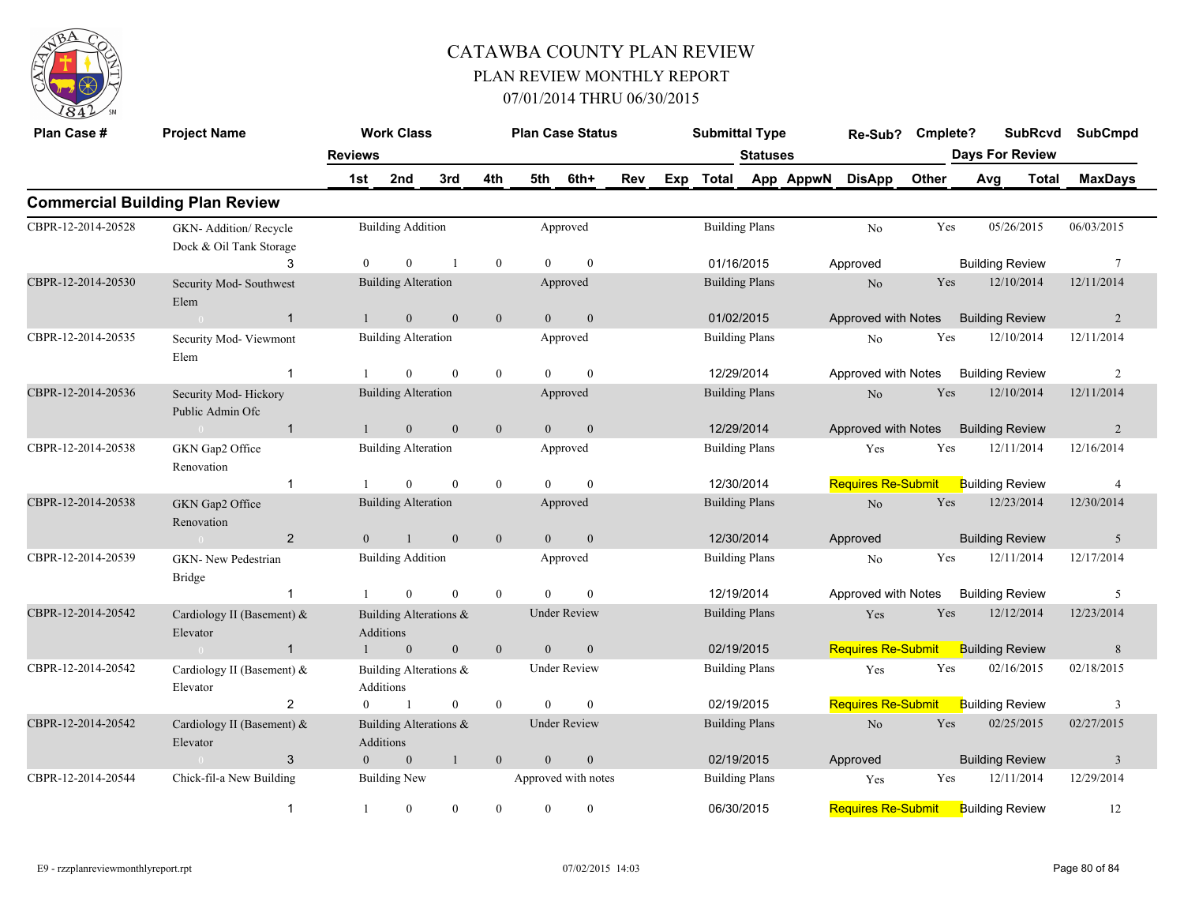

| Plan Case #        | <b>Project Name</b>                               |                | <b>Work Class</b>                   |                |                  |                | <b>Plan Case Status</b> |            | <b>Submittal Type</b> |                       |           | Re-Sub? Cmplete?          |       | <b>SubRcvd</b>         |       | <b>SubCmpd</b>          |
|--------------------|---------------------------------------------------|----------------|-------------------------------------|----------------|------------------|----------------|-------------------------|------------|-----------------------|-----------------------|-----------|---------------------------|-------|------------------------|-------|-------------------------|
|                    |                                                   | <b>Reviews</b> |                                     |                |                  |                |                         |            |                       | <b>Statuses</b>       |           |                           |       | <b>Days For Review</b> |       |                         |
|                    |                                                   | 1st            | 2nd                                 | 3rd            | 4th              | 5th            | 6th+                    | <b>Rev</b> | Exp Total             |                       | App AppwN | <b>DisApp</b>             | Other | Avg                    | Total | <b>MaxDays</b>          |
|                    | <b>Commercial Building Plan Review</b>            |                |                                     |                |                  |                |                         |            |                       |                       |           |                           |       |                        |       |                         |
| CBPR-12-2014-20528 | GKN- Addition/ Recycle<br>Dock & Oil Tank Storage |                | <b>Building Addition</b>            |                |                  |                | Approved                |            |                       | <b>Building Plans</b> |           | No                        | Yes   | 05/26/2015             |       | 06/03/2015              |
|                    | 3                                                 | $\Omega$       | $\Omega$                            | $\overline{1}$ | $\boldsymbol{0}$ | $\Omega$       | $\theta$                |            | 01/16/2015            |                       |           | Approved                  |       | <b>Building Review</b> |       | $7\phantom{.0}$         |
| CBPR-12-2014-20530 | Security Mod-Southwest<br>Elem                    |                | <b>Building Alteration</b>          |                |                  |                | Approved                |            |                       | <b>Building Plans</b> |           | No                        | Yes   | 12/10/2014             |       | 12/11/2014              |
|                    | $\mathbf{1}$<br>$\sim 0$                          |                | $\overline{0}$                      | $\mathbf{0}$   | $\mathbf{0}$     | $\overline{0}$ | $\mathbf{0}$            |            | 01/02/2015            |                       |           | Approved with Notes       |       | <b>Building Review</b> |       | 2                       |
| CBPR-12-2014-20535 | Security Mod-Viewmont<br>Elem                     |                | <b>Building Alteration</b>          |                |                  |                | Approved                |            |                       | <b>Building Plans</b> |           | N <sub>o</sub>            | Yes   | 12/10/2014             |       | 12/11/2014              |
|                    | $\mathbf 1$                                       |                | $\Omega$                            | $\theta$       | $\theta$         | $\Omega$       | $\theta$                |            | 12/29/2014            |                       |           | Approved with Notes       |       | <b>Building Review</b> |       | 2                       |
| CBPR-12-2014-20536 | Security Mod-Hickory<br>Public Admin Ofc          |                | <b>Building Alteration</b>          |                |                  |                | Approved                |            | <b>Building Plans</b> |                       |           | $\rm No$                  | Yes   | 12/10/2014             |       | 12/11/2014              |
|                    | $\overline{1}$<br>$\sim 0$                        |                | $\mathbf{0}$                        | $\mathbf{0}$   | $\mathbf{0}$     | $\overline{0}$ | $\mathbf{0}$            |            | 12/29/2014            |                       |           | Approved with Notes       |       | <b>Building Review</b> |       | 2                       |
| CBPR-12-2014-20538 | GKN Gap2 Office<br>Renovation                     |                | <b>Building Alteration</b>          |                |                  |                | Approved                |            |                       | <b>Building Plans</b> |           | Yes                       | Yes   | 12/11/2014             |       | 12/16/2014              |
|                    | $\mathbf{1}$                                      |                | $\theta$                            | $\theta$       | $\overline{0}$   | $\Omega$       | $\theta$                |            | 12/30/2014            |                       |           | <b>Requires Re-Submit</b> |       | <b>Building Review</b> |       | $\overline{4}$          |
| CBPR-12-2014-20538 | GKN Gap2 Office<br>Renovation                     |                | <b>Building Alteration</b>          |                |                  |                | Approved                |            |                       | <b>Building Plans</b> |           | No                        | Yes   | 12/23/2014             |       | 12/30/2014              |
|                    | $\overline{2}$<br>$\sim 0$                        | $\Omega$       | $\overline{1}$                      | $\mathbf{0}$   | $\mathbf{0}$     | $\overline{0}$ | $\mathbf{0}$            |            | 12/30/2014            |                       |           | Approved                  |       | <b>Building Review</b> |       | 5                       |
| CBPR-12-2014-20539 | GKN- New Pedestrian<br><b>Bridge</b>              |                | <b>Building Addition</b>            |                |                  |                | Approved                |            | <b>Building Plans</b> |                       |           | No                        | Yes   | 12/11/2014             |       | 12/17/2014              |
|                    |                                                   |                | $\overline{0}$                      | $\mathbf{0}$   | $\mathbf{0}$     | $\Omega$       | $\theta$                |            |                       | 12/19/2014            |           | Approved with Notes       |       | <b>Building Review</b> |       | 5                       |
| CBPR-12-2014-20542 | Cardiology II (Basement) &<br>Elevator            |                | Building Alterations &<br>Additions |                |                  |                | <b>Under Review</b>     |            |                       | <b>Building Plans</b> |           | Yes                       | Yes   | 12/12/2014             |       | 12/23/2014              |
|                    | $\mathbf{1}$<br>$\sim 0$                          | $\mathbf{1}$   | $\mathbf{0}$                        | $\mathbf{0}$   | $\mathbf{0}$     | $\overline{0}$ | $\boldsymbol{0}$        |            | 02/19/2015            |                       |           | <b>Requires Re-Submit</b> |       | <b>Building Review</b> |       | 8                       |
| CBPR-12-2014-20542 | Cardiology II (Basement) &<br>Elevator            |                | Building Alterations &<br>Additions |                |                  |                | <b>Under Review</b>     |            |                       | <b>Building Plans</b> |           | Yes                       | Yes   | 02/16/2015             |       | 02/18/2015              |
|                    | 2                                                 | $\overline{0}$ | $\overline{1}$                      | $\bf{0}$       | $\mathbf{0}$     | $\theta$       | $\mathbf{0}$            |            |                       | 02/19/2015            |           | <b>Requires Re-Submit</b> |       | <b>Building Review</b> |       | 3                       |
| CBPR-12-2014-20542 | Cardiology II (Basement) &<br>Elevator            |                | Building Alterations &<br>Additions |                |                  |                | <b>Under Review</b>     |            |                       | <b>Building Plans</b> |           | $\rm No$                  | Yes   | 02/25/2015             |       | 02/27/2015              |
|                    | 3<br>$\sim 0$                                     | $\overline{0}$ | $\mathbf{0}$                        | $\mathbf{1}$   | $\overline{0}$   | $\mathbf{0}$   | $\boldsymbol{0}$        |            | 02/19/2015            |                       |           | Approved                  |       | <b>Building Review</b> |       | $\overline{\mathbf{3}}$ |
| CBPR-12-2014-20544 | Chick-fil-a New Building                          |                | <b>Building New</b>                 |                |                  |                | Approved with notes     |            | <b>Building Plans</b> |                       |           | Yes                       | Yes   | 12/11/2014             |       | 12/29/2014              |
|                    | $\mathbf{1}$                                      | 1              | $\mathbf{0}$                        | $\theta$       | $\theta$         | $\theta$       | $\mathbf{0}$            |            | 06/30/2015            |                       |           | <b>Requires Re-Submit</b> |       | <b>Building Review</b> |       | 12                      |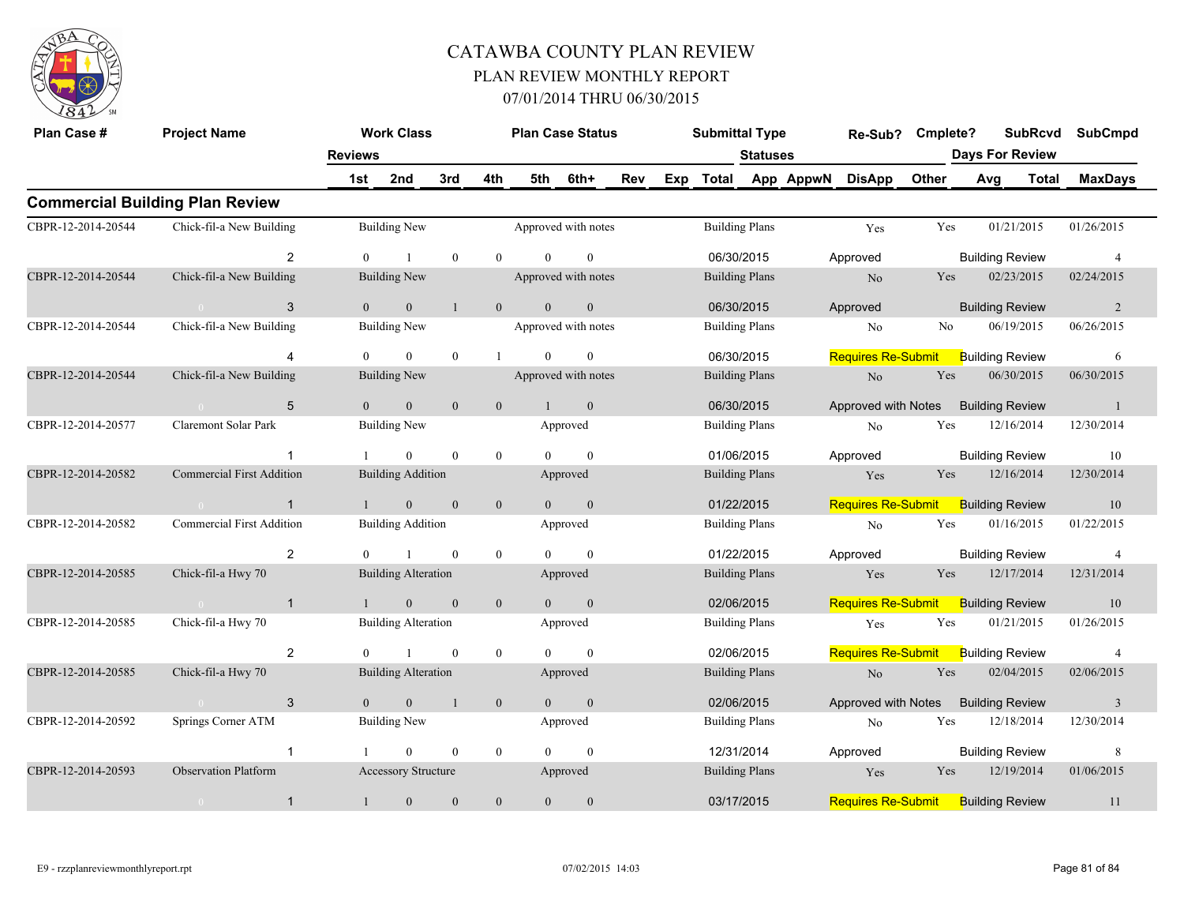

| Plan Case #        | <b>Project Name</b>                    |                | <b>Work Class</b>          |                |                  |                | <b>Plan Case Status</b> |     |     | <b>Submittal Type</b> |          |           | Re-Sub?                   | Cmplete? |     | <b>SubRcvd</b>         |            | <b>SubCmpd</b> |
|--------------------|----------------------------------------|----------------|----------------------------|----------------|------------------|----------------|-------------------------|-----|-----|-----------------------|----------|-----------|---------------------------|----------|-----|------------------------|------------|----------------|
|                    |                                        | <b>Reviews</b> |                            |                |                  |                |                         |     |     |                       | Statuses |           |                           |          |     | <b>Days For Review</b> |            |                |
|                    |                                        | 1st            | 2nd                        | 3rd            | 4th              | 5th            | 6th+                    | Rev | Exp | <b>Total</b>          |          | App AppwN | <b>DisApp</b>             | Other    | Avg | <b>Total</b>           |            | <b>MaxDays</b> |
|                    | <b>Commercial Building Plan Review</b> |                |                            |                |                  |                |                         |     |     |                       |          |           |                           |          |     |                        |            |                |
| CBPR-12-2014-20544 | Chick-fil-a New Building               |                | <b>Building New</b>        |                |                  |                | Approved with notes     |     |     | <b>Building Plans</b> |          |           | Yes                       | Yes      |     | 01/21/2015             | 01/26/2015 |                |
|                    | 2                                      | $\Omega$       |                            | $\theta$       | $\theta$         | $\Omega$       | $\theta$                |     |     | 06/30/2015            |          |           | Approved                  |          |     | <b>Building Review</b> |            | $\overline{4}$ |
| CBPR-12-2014-20544 | Chick-fil-a New Building               |                | <b>Building New</b>        |                |                  |                | Approved with notes     |     |     | <b>Building Plans</b> |          |           | No                        | Yes      |     | 02/23/2015             | 02/24/2015 |                |
|                    | 3<br>$\overline{0}$                    | $\theta$       | $\overline{0}$             |                | $\mathbf{0}$     | $\Omega$       | $\mathbf{0}$            |     |     | 06/30/2015            |          |           | Approved                  |          |     | <b>Building Review</b> |            | 2              |
| CBPR-12-2014-20544 | Chick-fil-a New Building               |                | <b>Building New</b>        |                |                  |                | Approved with notes     |     |     | <b>Building Plans</b> |          |           | No                        | No       |     | 06/19/2015             | 06/26/2015 |                |
|                    | $\boldsymbol{\Delta}$                  | $\Omega$       | $\theta$                   | $\mathbf{0}$   | $\mathbf{1}$     | $\Omega$       | $\Omega$                |     |     | 06/30/2015            |          |           | <b>Requires Re-Submit</b> |          |     | <b>Building Review</b> |            | 6              |
| CBPR-12-2014-20544 | Chick-fil-a New Building               |                | <b>Building New</b>        |                |                  |                | Approved with notes     |     |     | <b>Building Plans</b> |          |           | N <sub>o</sub>            | Yes      |     | 06/30/2015             | 06/30/2015 |                |
|                    | 5<br>$\sim 0$                          | $\overline{0}$ | $\mathbf{0}$               | $\mathbf{0}$   | $\boldsymbol{0}$ | $\mathbf{1}$   | $\mathbf{0}$            |     |     | 06/30/2015            |          |           | Approved with Notes       |          |     | <b>Building Review</b> |            | -1             |
| CBPR-12-2014-20577 | Claremont Solar Park                   |                | <b>Building New</b>        |                |                  |                | Approved                |     |     | <b>Building Plans</b> |          |           | No                        | Yes      |     | 12/16/2014             | 12/30/2014 |                |
|                    |                                        |                | $\Omega$                   | $\theta$       | $\mathbf{0}$     | $\Omega$       | $\theta$                |     |     | 01/06/2015            |          |           | Approved                  |          |     | <b>Building Review</b> |            | 10             |
| CBPR-12-2014-20582 | <b>Commercial First Addition</b>       |                | <b>Building Addition</b>   |                |                  |                | Approved                |     |     | <b>Building Plans</b> |          |           | Yes                       | Yes      |     | 12/16/2014             | 12/30/2014 |                |
|                    | $\overline{1}$                         |                | $\mathbf{0}$               | $\mathbf{0}$   | $\mathbf{0}$     | $\overline{0}$ | $\mathbf{0}$            |     |     | 01/22/2015            |          |           | <b>Requires Re-Submit</b> |          |     | <b>Building Review</b> |            | 10             |
| CBPR-12-2014-20582 | <b>Commercial First Addition</b>       |                | <b>Building Addition</b>   |                |                  |                | Approved                |     |     | <b>Building Plans</b> |          |           | No                        | Yes      |     | 01/16/2015             | 01/22/2015 |                |
|                    | $\overline{2}$                         | $\Omega$       |                            | $\mathbf{0}$   | $\boldsymbol{0}$ | $\Omega$       | $\mathbf{0}$            |     |     | 01/22/2015            |          |           | Approved                  |          |     | <b>Building Review</b> |            | $\overline{4}$ |
| CBPR-12-2014-20585 | Chick-fil-a Hwy 70                     |                | <b>Building Alteration</b> |                |                  |                | Approved                |     |     | <b>Building Plans</b> |          |           | Yes                       | Yes      |     | 12/17/2014             | 12/31/2014 |                |
|                    | $\overline{1}$<br>$\sim$               |                | $\overline{0}$             | $\mathbf{0}$   | $\boldsymbol{0}$ | $\theta$       | $\mathbf{0}$            |     |     | 02/06/2015            |          |           | <b>Requires Re-Submit</b> |          |     | <b>Building Review</b> |            | 10             |
| CBPR-12-2014-20585 | Chick-fil-a Hwy 70                     |                | <b>Building Alteration</b> |                |                  |                | Approved                |     |     | <b>Building Plans</b> |          |           | Yes                       | Yes      |     | 01/21/2015             | 01/26/2015 |                |
|                    | $\overline{2}$                         | $\theta$       |                            | $\theta$       | $\boldsymbol{0}$ | $\theta$       | $\theta$                |     |     | 02/06/2015            |          |           | <b>Requires Re-Submit</b> |          |     | <b>Building Review</b> |            | $\overline{4}$ |
| CBPR-12-2014-20585 | Chick-fil-a Hwy 70                     |                | <b>Building Alteration</b> |                |                  |                | Approved                |     |     | <b>Building Plans</b> |          |           | N <sub>o</sub>            | Yes      |     | 02/04/2015             | 02/06/2015 |                |
|                    | 3<br>$\sim 0$                          | $\Omega$       | $\overline{0}$             | $\overline{1}$ | $\mathbf{0}$     | $\Omega$       | $\mathbf{0}$            |     |     | 02/06/2015            |          |           | Approved with Notes       |          |     | <b>Building Review</b> |            | $\overline{3}$ |
| CBPR-12-2014-20592 | Springs Corner ATM                     |                | <b>Building New</b>        |                |                  |                | Approved                |     |     | <b>Building Plans</b> |          |           | N <sub>0</sub>            | Yes      |     | 12/18/2014             | 12/30/2014 |                |
|                    | $\overline{1}$                         |                | $\theta$                   | $\mathbf{0}$   | $\boldsymbol{0}$ | $\Omega$       | $\mathbf{0}$            |     |     | 12/31/2014            |          |           | Approved                  |          |     | <b>Building Review</b> |            | 8              |
| CBPR-12-2014-20593 | Observation Platform                   |                | <b>Accessory Structure</b> |                |                  |                | Approved                |     |     | <b>Building Plans</b> |          |           | Yes                       | Yes      |     | 12/19/2014             | 01/06/2015 |                |
|                    | $\mathbf{1}$<br>$\overline{0}$         | $\mathbf{1}$   | $\mathbf{0}$               | $\mathbf{0}$   | $\mathbf{0}$     | $\overline{0}$ | $\mathbf{0}$            |     |     | 03/17/2015            |          |           | <b>Requires Re-Submit</b> |          |     | <b>Building Review</b> |            | 11             |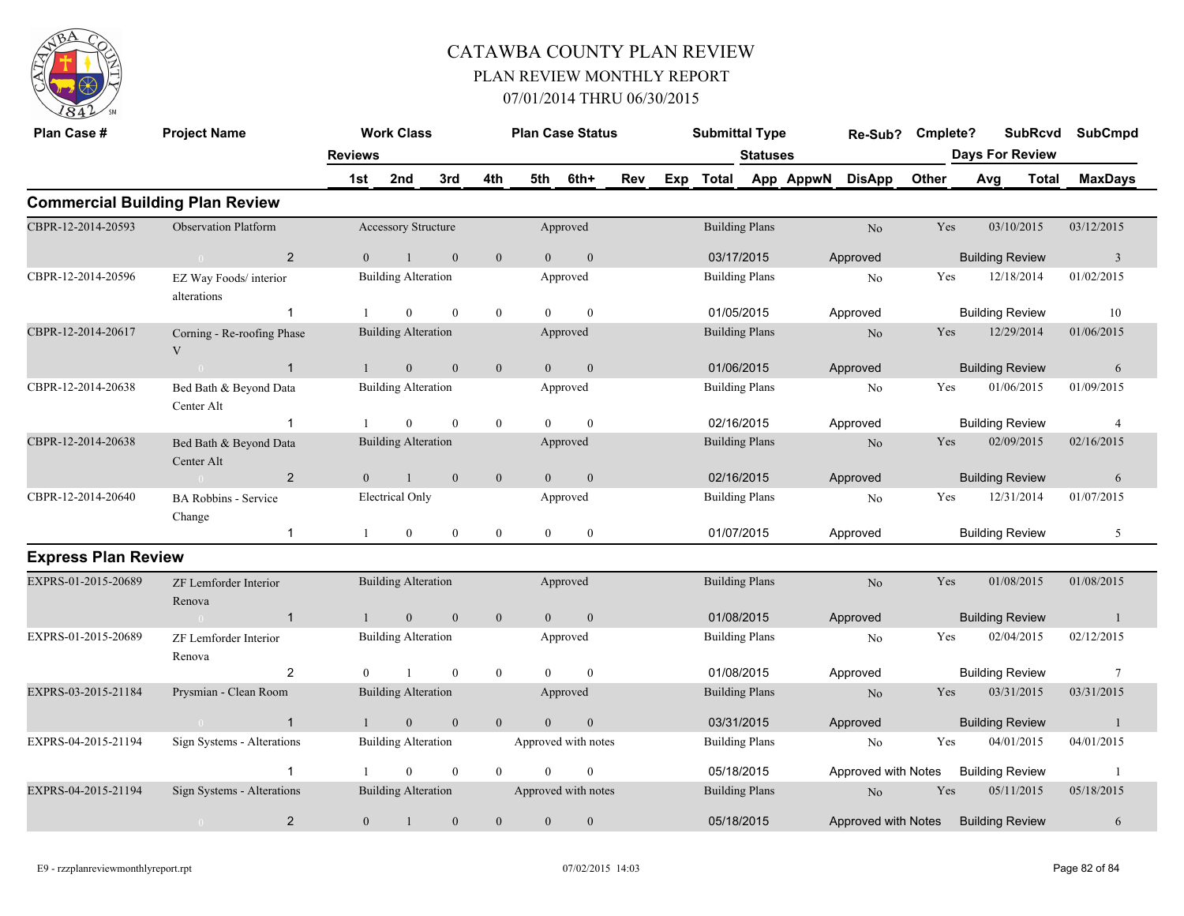

| Plan Case #                | <b>Project Name</b>                    |                | <b>Work Class</b>          |                  |                  |                | <b>Plan Case Status</b> |     | <b>Submittal Type</b> |                 |                     | Re-Sub?                             | Cmplete? |                        | <b>SubRcvd</b>         |       | <b>SubCmpd</b>  |
|----------------------------|----------------------------------------|----------------|----------------------------|------------------|------------------|----------------|-------------------------|-----|-----------------------|-----------------|---------------------|-------------------------------------|----------|------------------------|------------------------|-------|-----------------|
|                            |                                        | <b>Reviews</b> |                            |                  |                  |                |                         |     |                       | <b>Statuses</b> |                     |                                     |          | <b>Days For Review</b> |                        |       |                 |
|                            |                                        | 1st            | 2nd                        | 3rd              | 4th              | 5th            | 6th+                    | Rev |                       |                 | Exp Total App AppwN | <b>DisApp</b>                       | Other    | Avg                    |                        | Total | <b>MaxDays</b>  |
|                            | <b>Commercial Building Plan Review</b> |                |                            |                  |                  |                |                         |     |                       |                 |                     |                                     |          |                        |                        |       |                 |
| CBPR-12-2014-20593         | <b>Observation Platform</b>            |                | Accessory Structure        |                  |                  |                | Approved                |     | <b>Building Plans</b> |                 |                     | No                                  | Yes      |                        | 03/10/2015             |       | 03/12/2015      |
|                            | 2<br>$\theta$                          | $\theta$       |                            | $\theta$         | $\mathbf{0}$     | $\Omega$       | $\mathbf{0}$            |     | 03/17/2015            |                 |                     | Approved                            |          |                        | <b>Building Review</b> |       | $\overline{3}$  |
| CBPR-12-2014-20596         | EZ Way Foods/ interior<br>alterations  |                | <b>Building Alteration</b> |                  |                  |                | Approved                |     | <b>Building Plans</b> |                 |                     | N <sub>0</sub>                      | Yes      |                        | 12/18/2014             |       | 01/02/2015      |
|                            | $\overline{1}$                         |                | $\theta$                   | $\mathbf{0}$     | $\mathbf{0}$     | $\Omega$       | $\mathbf{0}$            |     | 01/05/2015            |                 |                     | Approved                            |          |                        | <b>Building Review</b> |       | 10              |
| CBPR-12-2014-20617         | Corning - Re-roofing Phase<br>V        |                | <b>Building Alteration</b> |                  |                  |                | Approved                |     | <b>Building Plans</b> |                 |                     | No                                  | Yes      |                        | 12/29/2014             |       | 01/06/2015      |
|                            | $\overline{1}$<br>$\sim 0$             |                | $\overline{0}$             | $\mathbf{0}$     | $\overline{0}$   | $\Omega$       | $\mathbf{0}$            |     | 01/06/2015            |                 |                     | Approved                            |          |                        | <b>Building Review</b> |       | 6               |
| CBPR-12-2014-20638         | Bed Bath & Beyond Data<br>Center Alt   |                | <b>Building Alteration</b> |                  |                  |                | Approved                |     | <b>Building Plans</b> |                 |                     | No                                  | Yes      |                        | 01/06/2015             |       | 01/09/2015      |
|                            | $\overline{1}$                         |                | $\overline{0}$             | $\mathbf{0}$     | $\boldsymbol{0}$ | $\Omega$       | $\Omega$                |     | 02/16/2015            |                 |                     | Approved                            |          |                        | <b>Building Review</b> |       | $\overline{4}$  |
| CBPR-12-2014-20638         | Bed Bath & Beyond Data<br>Center Alt   |                | <b>Building Alteration</b> |                  |                  |                | Approved                |     | <b>Building Plans</b> |                 |                     | N <sub>o</sub>                      | Yes      |                        | 02/09/2015             |       | 02/16/2015      |
|                            | 2<br>$\theta$                          | $\overline{0}$ |                            | $\mathbf{0}$     | $\mathbf{0}$     | $\overline{0}$ | $\mathbf{0}$            |     | 02/16/2015            |                 |                     | Approved                            |          |                        | <b>Building Review</b> |       | 6               |
| CBPR-12-2014-20640         | <b>BA Robbins - Service</b><br>Change  |                | <b>Electrical Only</b>     |                  |                  |                | Approved                |     | <b>Building Plans</b> |                 |                     | No                                  | Yes      |                        | 12/31/2014             |       | 01/07/2015      |
|                            | $\mathbf{1}$                           | -1             | $\overline{0}$             | $\overline{0}$   | $\boldsymbol{0}$ | $\theta$       | $\mathbf{0}$            |     | 01/07/2015            |                 |                     | Approved                            |          |                        | <b>Building Review</b> |       | 5               |
| <b>Express Plan Review</b> |                                        |                |                            |                  |                  |                |                         |     |                       |                 |                     |                                     |          |                        |                        |       |                 |
| EXPRS-01-2015-20689        | ZF Lemforder Interior<br>Renova        |                | <b>Building Alteration</b> |                  |                  |                | Approved                |     | <b>Building Plans</b> |                 |                     | No                                  | Yes      |                        | 01/08/2015             |       | 01/08/2015      |
|                            | $\overline{1}$<br>$\sim 0$             |                | $\mathbf{0}$               | $\mathbf{0}$     | $\mathbf{0}$     | $\overline{0}$ | $\boldsymbol{0}$        |     | 01/08/2015            |                 |                     | Approved                            |          |                        | <b>Building Review</b> |       | $\overline{1}$  |
| EXPRS-01-2015-20689        | ZF Lemforder Interior<br>Renova        |                | <b>Building Alteration</b> |                  |                  |                | Approved                |     | <b>Building Plans</b> |                 |                     | No                                  | Yes      |                        | 02/04/2015             |       | 02/12/2015      |
|                            | 2                                      | $\Omega$       |                            | $\mathbf{0}$     | $\mathbf{0}$     | $\Omega$       | $\theta$                |     | 01/08/2015            |                 |                     | Approved                            |          |                        | <b>Building Review</b> |       | $7\phantom{.0}$ |
| EXPRS-03-2015-21184        | Prysmian - Clean Room                  |                | <b>Building Alteration</b> |                  |                  |                | Approved                |     | <b>Building Plans</b> |                 |                     | N <sub>o</sub>                      | Yes      |                        | 03/31/2015             |       | 03/31/2015      |
|                            | $\overline{1}$                         |                | $\mathbf{0}$               | $\mathbf{0}$     | $\mathbf{0}$     | $\theta$       | $\theta$                |     | 03/31/2015            |                 |                     | Approved                            |          |                        | <b>Building Review</b> |       | -1              |
| EXPRS-04-2015-21194        | Sign Systems - Alterations             |                | <b>Building Alteration</b> |                  |                  |                | Approved with notes     |     | <b>Building Plans</b> |                 |                     | No                                  | Yes      |                        | 04/01/2015             |       | 04/01/2015      |
|                            | $\overline{1}$                         |                | $\overline{0}$             | $\mathbf{0}$     | $\mathbf{0}$     | $\theta$       | $\mathbf{0}$            |     | 05/18/2015            |                 |                     | Approved with Notes                 |          |                        | <b>Building Review</b> |       | -1              |
| EXPRS-04-2015-21194        | Sign Systems - Alterations             |                | <b>Building Alteration</b> |                  |                  |                | Approved with notes     |     | <b>Building Plans</b> |                 |                     | N <sub>o</sub>                      | Yes      |                        | 05/11/2015             |       | 05/18/2015      |
|                            | $\overline{2}$<br>$\overline{0}$       | $\overline{0}$ | $\mathbf{1}$               | $\boldsymbol{0}$ | $\boldsymbol{0}$ | $\mathbf{0}$   | $\mathbf{0}$            |     | 05/18/2015            |                 |                     | Approved with Notes Building Review |          |                        |                        |       | 6               |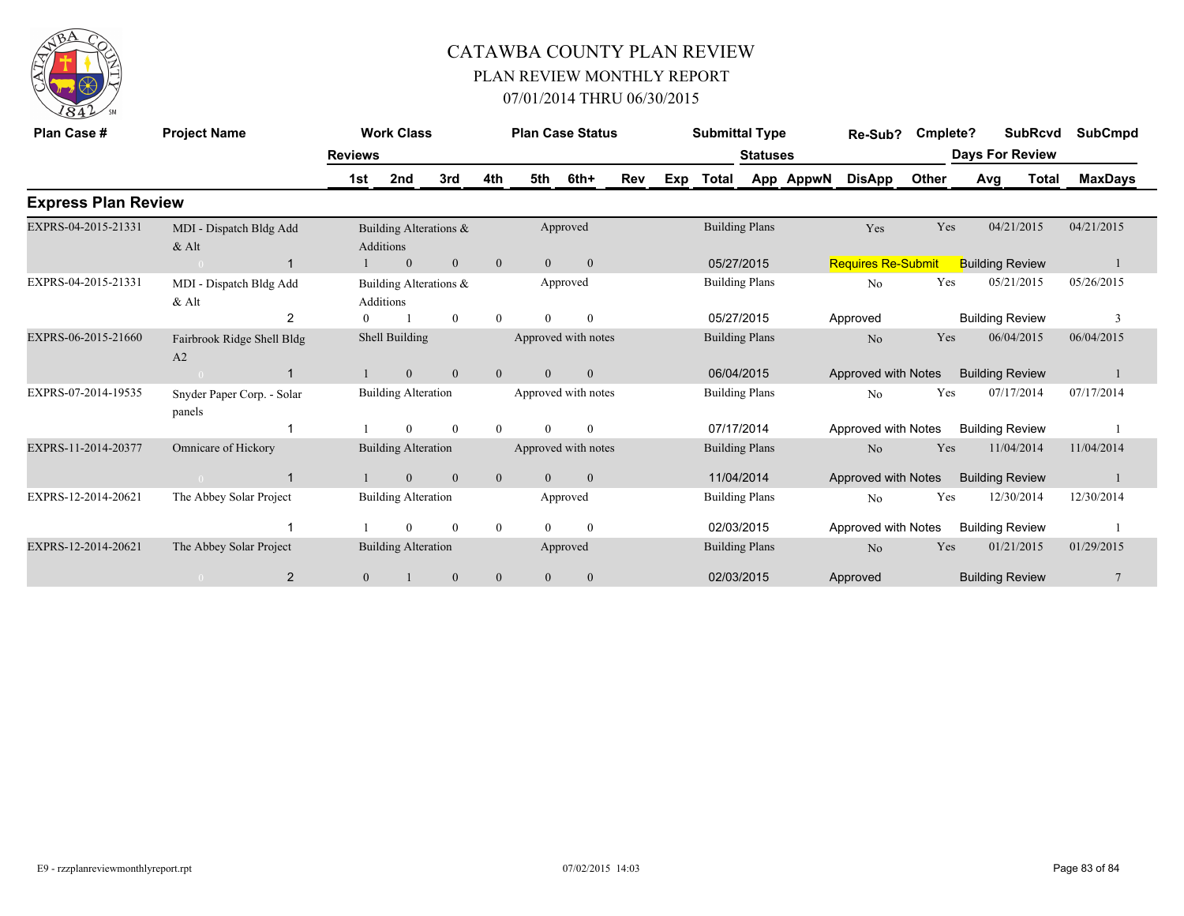

| Plan Case #                | <b>Project Name</b>                  |                | <b>Work Class</b>                          |                |                |                | <b>Plan Case Status</b> |     |     | <b>Submittal Type</b> |                       |           | Re-Sub?                   | Cmplete? |                        | <b>SubRcvd</b> | <b>SubCmpd</b> |
|----------------------------|--------------------------------------|----------------|--------------------------------------------|----------------|----------------|----------------|-------------------------|-----|-----|-----------------------|-----------------------|-----------|---------------------------|----------|------------------------|----------------|----------------|
|                            |                                      | <b>Reviews</b> |                                            |                |                |                |                         |     |     |                       | <b>Statuses</b>       |           |                           |          | <b>Days For Review</b> |                |                |
|                            |                                      | 1st            | 2nd                                        | 3rd            | 4th            | 5th            | 6th+                    | Rev | Exp | <b>Total</b>          |                       | App AppwN | <b>DisApp</b>             | Other    | Avg                    | <b>Total</b>   | <b>MaxDays</b> |
| <b>Express Plan Review</b> |                                      |                |                                            |                |                |                |                         |     |     |                       |                       |           |                           |          |                        |                |                |
| EXPRS-04-2015-21331        | MDI - Dispatch Bldg Add<br>$&$ Alt   |                | Building Alterations &<br><b>Additions</b> |                |                |                | Approved                |     |     |                       | <b>Building Plans</b> |           | Yes                       | Yes      |                        | 04/21/2015     | 04/21/2015     |
|                            | $\overline{1}$                       |                | $\mathbf{0}$                               | $\mathbf{0}$   | $\mathbf{0}$   | $\overline{0}$ | $\mathbf{0}$            |     |     | 05/27/2015            |                       |           | <b>Requires Re-Submit</b> |          | <b>Building Review</b> |                |                |
| EXPRS-04-2015-21331        | MDI - Dispatch Bldg Add<br>$&$ Alt   |                | Building Alterations &<br>Additions        |                |                |                | Approved                |     |     |                       | <b>Building Plans</b> |           | N <sub>0</sub>            | Yes      |                        | 05/21/2015     | 05/26/2015     |
|                            | $\overline{2}$                       | $\Omega$       |                                            | $\mathbf{0}$   | $\theta$       | $\Omega$       | $\mathbf{0}$            |     |     | 05/27/2015            |                       |           | Approved                  |          | <b>Building Review</b> |                | 3              |
| EXPRS-06-2015-21660        | Fairbrook Ridge Shell Bldg<br>A2     |                | Shell Building                             |                |                |                | Approved with notes     |     |     | <b>Building Plans</b> |                       |           | No                        | Yes      |                        | 06/04/2015     | 06/04/2015     |
|                            | $\mathbf{1}$                         |                | $\overline{0}$                             | $\overline{0}$ | $\overline{0}$ | $\overline{0}$ | $\mathbf{0}$            |     |     | 06/04/2015            |                       |           | Approved with Notes       |          | <b>Building Review</b> |                |                |
| EXPRS-07-2014-19535        | Snyder Paper Corp. - Solar<br>panels |                | <b>Building Alteration</b>                 |                |                |                | Approved with notes     |     |     | <b>Building Plans</b> |                       |           | N <sub>0</sub>            | Yes      |                        | 07/17/2014     | 07/17/2014     |
|                            |                                      |                | $\Omega$                                   | $\mathbf{0}$   | $\Omega$       | $\Omega$       | $\theta$                |     |     | 07/17/2014            |                       |           | Approved with Notes       |          | <b>Building Review</b> |                |                |
| EXPRS-11-2014-20377        | Omnicare of Hickory                  |                | <b>Building Alteration</b>                 |                |                |                | Approved with notes     |     |     | <b>Building Plans</b> |                       |           | No                        | Yes      |                        | 11/04/2014     | 11/04/2014     |
|                            | -1                                   |                | $\mathbf{0}$                               | $\mathbf{0}$   | $\mathbf{0}$   | $\theta$       | $\mathbf{0}$            |     |     | 11/04/2014            |                       |           | Approved with Notes       |          | <b>Building Review</b> |                |                |
| EXPRS-12-2014-20621        | The Abbey Solar Project              |                | <b>Building Alteration</b>                 |                |                |                | Approved                |     |     | <b>Building Plans</b> |                       |           | N <sub>0</sub>            | Yes      |                        | 12/30/2014     | 12/30/2014     |
|                            |                                      |                | $\theta$                                   | $\mathbf{0}$   | $\overline{0}$ | $\Omega$       | $\overline{0}$          |     |     | 02/03/2015            |                       |           | Approved with Notes       |          | <b>Building Review</b> |                |                |
| EXPRS-12-2014-20621        | The Abbey Solar Project              |                | <b>Building Alteration</b>                 |                |                |                | Approved                |     |     | <b>Building Plans</b> |                       |           | No                        | Yes      |                        | 01/21/2015     | 01/29/2015     |
|                            | $\overline{2}$                       | $\mathbf{0}$   |                                            | $\mathbf{0}$   | $\mathbf{0}$   | $\mathbf{0}$   | $\mathbf{0}$            |     |     | 02/03/2015            |                       |           | Approved                  |          | <b>Building Review</b> |                | $\overline{7}$ |